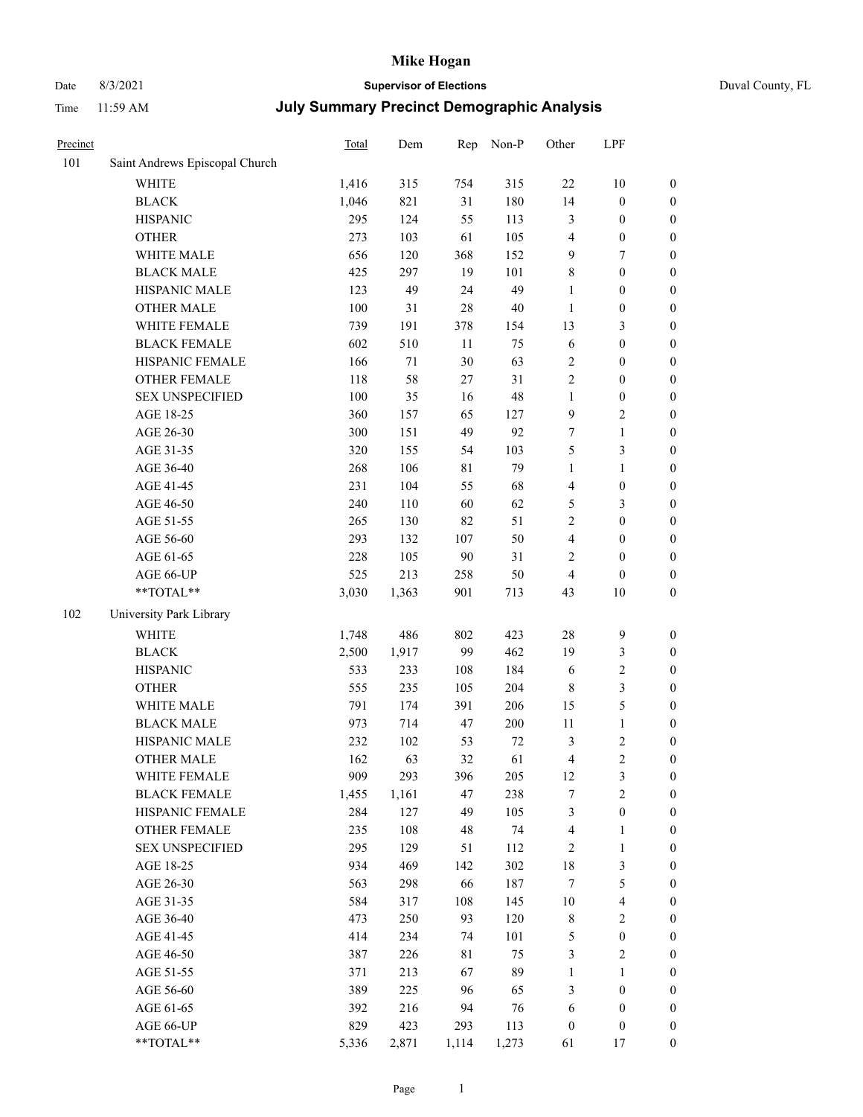# Date 8/3/2021 **Supervisor of Elections** Duval County, FL

| Precinct |                                | Total   | Dem    | Rep         | Non-P  | Other            | LPF                     |                  |
|----------|--------------------------------|---------|--------|-------------|--------|------------------|-------------------------|------------------|
| 101      | Saint Andrews Episcopal Church |         |        |             |        |                  |                         |                  |
|          | <b>WHITE</b>                   | 1,416   | 315    | 754         | 315    | $22\,$           | $10\,$                  | $\boldsymbol{0}$ |
|          | <b>BLACK</b>                   | 1,046   | 821    | 31          | 180    | 14               | $\boldsymbol{0}$        | $\boldsymbol{0}$ |
|          | <b>HISPANIC</b>                | 295     | 124    | 55          | 113    | 3                | $\boldsymbol{0}$        | $\boldsymbol{0}$ |
|          | <b>OTHER</b>                   | 273     | 103    | 61          | 105    | 4                | $\boldsymbol{0}$        | $\boldsymbol{0}$ |
|          | WHITE MALE                     | 656     | 120    | 368         | 152    | 9                | $\boldsymbol{7}$        | $\boldsymbol{0}$ |
|          | <b>BLACK MALE</b>              | 425     | 297    | 19          | 101    | 8                | $\boldsymbol{0}$        | $\boldsymbol{0}$ |
|          | HISPANIC MALE                  | 123     | 49     | 24          | 49     | $\mathbf{1}$     | $\boldsymbol{0}$        | $\boldsymbol{0}$ |
|          | <b>OTHER MALE</b>              | $100\,$ | 31     | 28          | $40\,$ | $\mathbf{1}$     | $\boldsymbol{0}$        | $\boldsymbol{0}$ |
|          | WHITE FEMALE                   | 739     | 191    | 378         | 154    | 13               | $\mathfrak{Z}$          | $\boldsymbol{0}$ |
|          | <b>BLACK FEMALE</b>            | 602     | 510    | 11          | 75     | 6                | $\boldsymbol{0}$        | $\boldsymbol{0}$ |
|          | HISPANIC FEMALE                | 166     | $71\,$ | 30          | 63     | $\sqrt{2}$       | $\boldsymbol{0}$        | $\boldsymbol{0}$ |
|          | OTHER FEMALE                   | 118     | 58     | 27          | 31     | $\sqrt{2}$       | $\boldsymbol{0}$        | $\boldsymbol{0}$ |
|          | <b>SEX UNSPECIFIED</b>         | 100     | 35     | 16          | 48     | $\mathbf{1}$     | $\boldsymbol{0}$        | $\boldsymbol{0}$ |
|          | AGE 18-25                      | 360     | 157    | 65          | 127    | 9                | $\sqrt{2}$              | $\boldsymbol{0}$ |
|          | AGE 26-30                      | 300     | 151    | 49          | 92     | 7                | $\mathbf{1}$            | $\boldsymbol{0}$ |
|          | AGE 31-35                      | 320     | 155    | 54          | 103    | 5                | $\mathfrak{Z}$          | $\boldsymbol{0}$ |
|          | AGE 36-40                      | 268     | 106    | $8\sqrt{1}$ | 79     | $\mathbf{1}$     | $\mathbf{1}$            | $\boldsymbol{0}$ |
|          | AGE 41-45                      | 231     | 104    | 55          | 68     | $\overline{4}$   | $\boldsymbol{0}$        | $\boldsymbol{0}$ |
|          | AGE 46-50                      | 240     | 110    | 60          | 62     | 5                | $\mathfrak{Z}$          | $\boldsymbol{0}$ |
|          | AGE 51-55                      | 265     | 130    | 82          | 51     | $\sqrt{2}$       | $\boldsymbol{0}$        | $\boldsymbol{0}$ |
|          | AGE 56-60                      | 293     | 132    | 107         | 50     | $\overline{4}$   | $\boldsymbol{0}$        | $\boldsymbol{0}$ |
|          | AGE 61-65                      | 228     | 105    | 90          | 31     | $\overline{2}$   | $\boldsymbol{0}$        | $\boldsymbol{0}$ |
|          | AGE 66-UP                      | 525     | 213    | 258         | 50     | 4                | $\boldsymbol{0}$        | $\boldsymbol{0}$ |
|          | **TOTAL**                      | 3,030   | 1,363  | 901         | 713    | 43               | $10\,$                  | $\boldsymbol{0}$ |
| 102      | University Park Library        |         |        |             |        |                  |                         |                  |
|          | <b>WHITE</b>                   | 1,748   | 486    | 802         | 423    | 28               | $\mathbf{9}$            | $\boldsymbol{0}$ |
|          | <b>BLACK</b>                   | 2,500   | 1,917  | 99          | 462    | 19               | $\mathfrak{Z}$          | $\boldsymbol{0}$ |
|          | <b>HISPANIC</b>                | 533     | 233    | 108         | 184    | 6                | $\sqrt{2}$              | $\boldsymbol{0}$ |
|          | <b>OTHER</b>                   | 555     | 235    | 105         | 204    | $\,$ 8 $\,$      | $\mathfrak{Z}$          | $\boldsymbol{0}$ |
|          | WHITE MALE                     | 791     | 174    | 391         | 206    | 15               | $\mathfrak s$           | $\boldsymbol{0}$ |
|          | <b>BLACK MALE</b>              | 973     | 714    | 47          | 200    | 11               | $\mathbf{1}$            | $\boldsymbol{0}$ |
|          | HISPANIC MALE                  | 232     | 102    | 53          | $72\,$ | 3                | $\sqrt{2}$              | 0                |
|          | <b>OTHER MALE</b>              | 162     | 63     | 32          | 61     | 4                | $\overline{c}$          | $\boldsymbol{0}$ |
|          | WHITE FEMALE                   | 909     | 293    | 396         | 205    | 12               | $\mathfrak{Z}$          | $\boldsymbol{0}$ |
|          | <b>BLACK FEMALE</b>            | 1,455   | 1,161  | 47          | 238    | 7                | $\sqrt{2}$              | $\overline{0}$   |
|          | HISPANIC FEMALE                | 284     | 127    | 49          | 105    | 3                | $\boldsymbol{0}$        | $\overline{0}$   |
|          | <b>OTHER FEMALE</b>            | 235     | 108    | 48          | 74     | 4                | $\mathbf{1}$            | $\overline{0}$   |
|          | <b>SEX UNSPECIFIED</b>         | 295     | 129    | 51          | 112    | 2                | $\mathbf{1}$            | $\overline{0}$   |
|          | AGE 18-25                      | 934     | 469    | 142         | 302    | 18               | $\mathfrak{Z}$          | 0                |
|          | AGE 26-30                      | 563     | 298    | 66          | 187    | $\tau$           | $\mathfrak s$           | 0                |
|          | AGE 31-35                      | 584     | 317    | 108         | 145    | $10\,$           | $\overline{\mathbf{4}}$ | 0                |
|          | AGE 36-40                      | 473     | 250    | 93          | 120    | $\,$ 8 $\,$      | $\sqrt{2}$              | 0                |
|          | AGE 41-45                      | 414     | 234    | 74          | 101    | 5                | $\boldsymbol{0}$        | 0                |
|          | AGE 46-50                      | 387     | 226    | 81          | 75     | 3                | $\overline{2}$          | $\boldsymbol{0}$ |
|          | AGE 51-55                      | 371     | 213    | 67          | 89     | $\mathbf{1}$     | 1                       | $\boldsymbol{0}$ |
|          | AGE 56-60                      | 389     | 225    | 96          | 65     | 3                | $\boldsymbol{0}$        | $\overline{0}$   |
|          | AGE 61-65                      | 392     | 216    | 94          | 76     | 6                | $\boldsymbol{0}$        | 0                |
|          | AGE 66-UP                      | 829     | 423    | 293         | 113    | $\boldsymbol{0}$ | $\boldsymbol{0}$        | 0                |
|          | **TOTAL**                      | 5,336   | 2,871  | 1,114       | 1,273  | 61               | 17                      | $\boldsymbol{0}$ |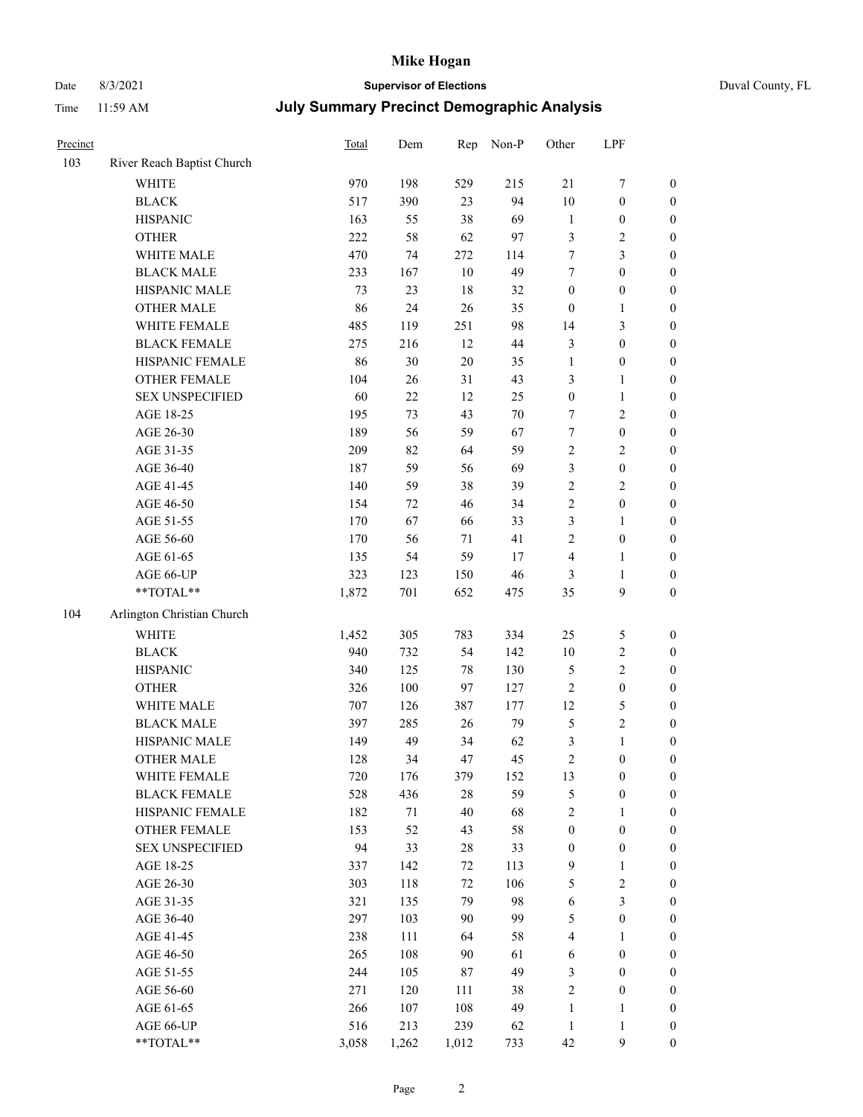# Date 8/3/2021 **Supervisor of Elections** Duval County, FL

| Precinct |                            | Total | Dem    | Rep    | Non-P  | Other                   | LPF              |                  |
|----------|----------------------------|-------|--------|--------|--------|-------------------------|------------------|------------------|
| 103      | River Reach Baptist Church |       |        |        |        |                         |                  |                  |
|          | <b>WHITE</b>               | 970   | 198    | 529    | 215    | 21                      | $\boldsymbol{7}$ | 0                |
|          | <b>BLACK</b>               | 517   | 390    | 23     | 94     | $10\,$                  | $\boldsymbol{0}$ | $\boldsymbol{0}$ |
|          | <b>HISPANIC</b>            | 163   | 55     | 38     | 69     | $\mathbf{1}$            | $\boldsymbol{0}$ | $\boldsymbol{0}$ |
|          | <b>OTHER</b>               | 222   | 58     | 62     | 97     | 3                       | $\sqrt{2}$       | $\boldsymbol{0}$ |
|          | WHITE MALE                 | 470   | 74     | 272    | 114    | 7                       | $\mathfrak{Z}$   | $\boldsymbol{0}$ |
|          | <b>BLACK MALE</b>          | 233   | 167    | 10     | 49     | 7                       | $\boldsymbol{0}$ | $\boldsymbol{0}$ |
|          | HISPANIC MALE              | 73    | 23     | $18\,$ | 32     | $\boldsymbol{0}$        | $\boldsymbol{0}$ | $\boldsymbol{0}$ |
|          | <b>OTHER MALE</b>          | 86    | 24     | 26     | 35     | $\boldsymbol{0}$        | $\mathbf{1}$     | $\boldsymbol{0}$ |
|          | WHITE FEMALE               | 485   | 119    | 251    | 98     | 14                      | $\mathfrak{Z}$   | $\boldsymbol{0}$ |
|          | <b>BLACK FEMALE</b>        | 275   | 216    | 12     | $44\,$ | 3                       | $\boldsymbol{0}$ | $\boldsymbol{0}$ |
|          | HISPANIC FEMALE            | 86    | 30     | $20\,$ | 35     | $\mathbf{1}$            | $\boldsymbol{0}$ | 0                |
|          | OTHER FEMALE               | 104   | 26     | 31     | 43     | 3                       | $\mathbf{1}$     | $\boldsymbol{0}$ |
|          | <b>SEX UNSPECIFIED</b>     | 60    | 22     | 12     | 25     | $\boldsymbol{0}$        | $\mathbf{1}$     | $\boldsymbol{0}$ |
|          | AGE 18-25                  | 195   | 73     | 43     | $70\,$ | 7                       | $\sqrt{2}$       | $\boldsymbol{0}$ |
|          | AGE 26-30                  | 189   | 56     | 59     | 67     | 7                       | $\boldsymbol{0}$ | $\boldsymbol{0}$ |
|          | AGE 31-35                  | 209   | 82     | 64     | 59     | $\sqrt{2}$              | $\sqrt{2}$       | $\boldsymbol{0}$ |
|          | AGE 36-40                  | 187   | 59     | 56     | 69     | 3                       | $\boldsymbol{0}$ | $\boldsymbol{0}$ |
|          | AGE 41-45                  | 140   | 59     | 38     | 39     | $\overline{c}$          | $\overline{2}$   | $\boldsymbol{0}$ |
|          | AGE 46-50                  | 154   | 72     | 46     | 34     | $\overline{c}$          | $\boldsymbol{0}$ | $\boldsymbol{0}$ |
|          | AGE 51-55                  | 170   | 67     | 66     | 33     | 3                       | $\mathbf{1}$     | $\boldsymbol{0}$ |
|          | AGE 56-60                  | 170   | 56     | 71     | 41     | $\overline{c}$          | $\boldsymbol{0}$ | 0                |
|          | AGE 61-65                  | 135   | 54     | 59     | 17     | 4                       | $\mathbf{1}$     | 0                |
|          | AGE 66-UP                  | 323   | 123    | 150    | 46     | 3                       | $\mathbf{1}$     | $\boldsymbol{0}$ |
|          | **TOTAL**                  | 1,872 | 701    | 652    | 475    | 35                      | $\boldsymbol{9}$ | $\boldsymbol{0}$ |
| 104      | Arlington Christian Church |       |        |        |        |                         |                  |                  |
|          | <b>WHITE</b>               | 1,452 | 305    | 783    | 334    | 25                      | 5                | $\boldsymbol{0}$ |
|          | <b>BLACK</b>               | 940   | 732    | 54     | 142    | $10\,$                  | $\sqrt{2}$       | $\boldsymbol{0}$ |
|          | <b>HISPANIC</b>            | 340   | 125    | 78     | 130    | 5                       | $\sqrt{2}$       | $\boldsymbol{0}$ |
|          | <b>OTHER</b>               | 326   | 100    | 97     | 127    | $\sqrt{2}$              | $\boldsymbol{0}$ | $\boldsymbol{0}$ |
|          | WHITE MALE                 | 707   | 126    | 387    | 177    | 12                      | $\mathfrak{S}$   | $\boldsymbol{0}$ |
|          | <b>BLACK MALE</b>          | 397   | 285    | 26     | 79     | 5                       | $\overline{2}$   | $\boldsymbol{0}$ |
|          | HISPANIC MALE              | 149   | 49     | 34     | 62     | 3                       | $\mathbf{1}$     | $\boldsymbol{0}$ |
|          | <b>OTHER MALE</b>          | 128   | 34     | 47     | 45     | $\overline{c}$          | $\boldsymbol{0}$ | $\boldsymbol{0}$ |
|          | WHITE FEMALE               | 720   | 176    | 379    | 152    | 13                      | $\boldsymbol{0}$ | 0                |
|          | <b>BLACK FEMALE</b>        | 528   | 436    | 28     | 59     | 5                       | $\boldsymbol{0}$ | $\boldsymbol{0}$ |
|          | HISPANIC FEMALE            | 182   | $71\,$ | 40     | 68     | $\overline{c}$          | $\mathbf{1}$     | $\overline{0}$   |
|          | <b>OTHER FEMALE</b>        | 153   | 52     | 43     | 58     | $\boldsymbol{0}$        | $\boldsymbol{0}$ | $\overline{0}$   |
|          | <b>SEX UNSPECIFIED</b>     | 94    | 33     | 28     | 33     | $\boldsymbol{0}$        | $\boldsymbol{0}$ | 0                |
|          | AGE 18-25                  | 337   | 142    | 72     | 113    | 9                       | $\mathbf{1}$     | 0                |
|          | AGE 26-30                  | 303   | 118    | 72     | 106    | 5                       | $\sqrt{2}$       | 0                |
|          | AGE 31-35                  | 321   | 135    | 79     | 98     | 6                       | $\mathfrak{Z}$   | 0                |
|          | AGE 36-40                  | 297   | 103    | 90     | 99     | 5                       | $\boldsymbol{0}$ | 0                |
|          | AGE 41-45                  | 238   | 111    | 64     | 58     | $\overline{\mathbf{4}}$ | 1                | 0                |
|          | AGE 46-50                  | 265   | 108    | 90     | 61     | 6                       | $\boldsymbol{0}$ | 0                |
|          | AGE 51-55                  | 244   | 105    | 87     | 49     | 3                       | $\boldsymbol{0}$ | 0                |
|          | AGE 56-60                  | 271   | 120    | 111    | 38     | $\overline{c}$          | $\boldsymbol{0}$ | $\overline{0}$   |
|          | AGE 61-65                  | 266   | 107    | 108    | 49     | $\mathbf{1}$            | 1                | $\boldsymbol{0}$ |
|          | AGE 66-UP                  | 516   | 213    | 239    | 62     | $\mathbf{1}$            | $\mathbf{1}$     | 0                |
|          | $**TOTAL**$                | 3,058 | 1,262  | 1,012  | 733    | 42                      | 9                | $\boldsymbol{0}$ |
|          |                            |       |        |        |        |                         |                  |                  |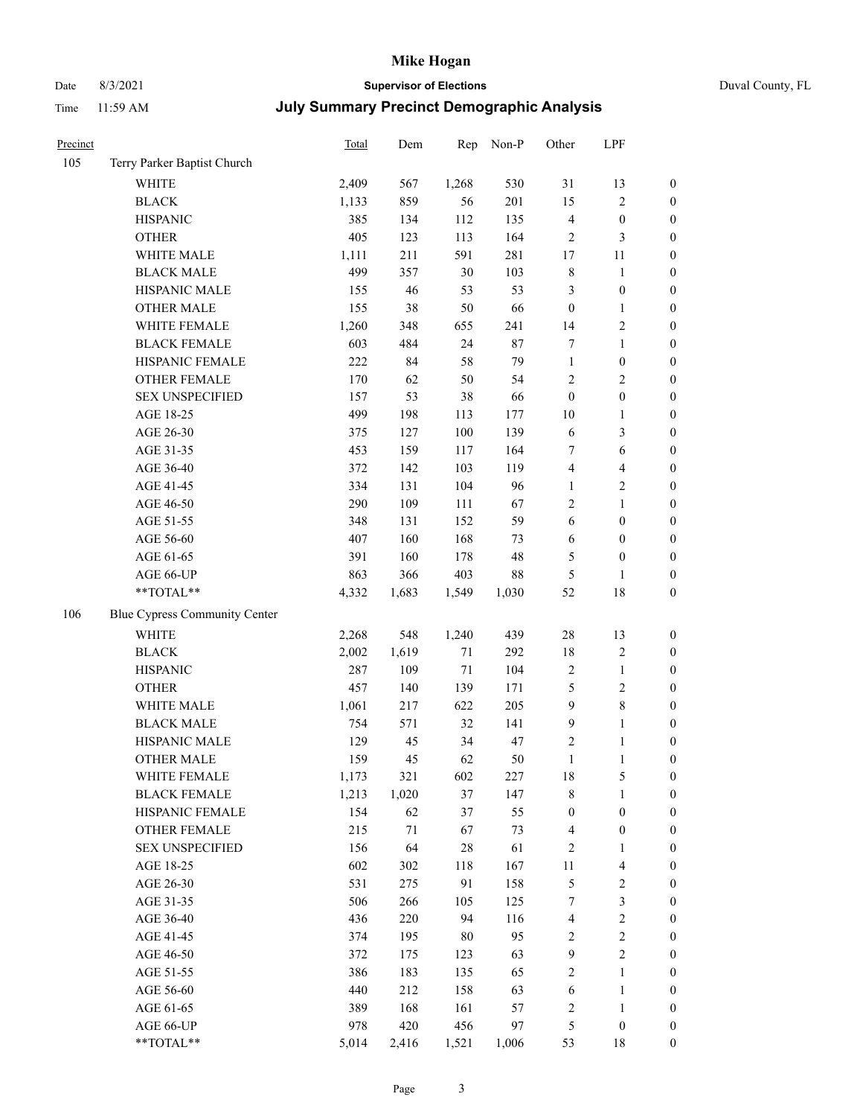# Date 8/3/2021 **Supervisor of Elections** Duval County, FL

| Precinct |                               | Total | Dem    | Rep    | Non-P | Other                   | LPF                     |                  |
|----------|-------------------------------|-------|--------|--------|-------|-------------------------|-------------------------|------------------|
| 105      | Terry Parker Baptist Church   |       |        |        |       |                         |                         |                  |
|          | <b>WHITE</b>                  | 2,409 | 567    | 1,268  | 530   | 31                      | 13                      | 0                |
|          | <b>BLACK</b>                  | 1,133 | 859    | 56     | 201   | 15                      | $\sqrt{2}$              | $\boldsymbol{0}$ |
|          | <b>HISPANIC</b>               | 385   | 134    | 112    | 135   | 4                       | $\boldsymbol{0}$        | $\boldsymbol{0}$ |
|          | <b>OTHER</b>                  | 405   | 123    | 113    | 164   | $\overline{c}$          | $\mathfrak{Z}$          | $\boldsymbol{0}$ |
|          | WHITE MALE                    | 1,111 | 211    | 591    | 281   | 17                      | 11                      | $\boldsymbol{0}$ |
|          | <b>BLACK MALE</b>             | 499   | 357    | 30     | 103   | $\,$ $\,$               | $\mathbf{1}$            | $\boldsymbol{0}$ |
|          | HISPANIC MALE                 | 155   | 46     | 53     | 53    | 3                       | $\boldsymbol{0}$        | $\boldsymbol{0}$ |
|          | <b>OTHER MALE</b>             | 155   | 38     | 50     | 66    | $\boldsymbol{0}$        | $\mathbf{1}$            | $\boldsymbol{0}$ |
|          | WHITE FEMALE                  | 1,260 | 348    | 655    | 241   | 14                      | $\sqrt{2}$              | $\boldsymbol{0}$ |
|          | <b>BLACK FEMALE</b>           | 603   | 484    | 24     | 87    | 7                       | $\mathbf{1}$            | $\boldsymbol{0}$ |
|          | HISPANIC FEMALE               | 222   | 84     | 58     | 79    | $\mathbf{1}$            | $\boldsymbol{0}$        | 0                |
|          | OTHER FEMALE                  | 170   | 62     | 50     | 54    | $\sqrt{2}$              | $\sqrt{2}$              | $\boldsymbol{0}$ |
|          | <b>SEX UNSPECIFIED</b>        | 157   | 53     | 38     | 66    | $\boldsymbol{0}$        | $\boldsymbol{0}$        | $\boldsymbol{0}$ |
|          | AGE 18-25                     | 499   | 198    | 113    | 177   | $10\,$                  | $\mathbf{1}$            | $\boldsymbol{0}$ |
|          | AGE 26-30                     | 375   | 127    | 100    | 139   | 6                       | $\mathfrak{Z}$          | $\boldsymbol{0}$ |
|          | AGE 31-35                     | 453   | 159    | 117    | 164   | 7                       | 6                       | $\boldsymbol{0}$ |
|          | AGE 36-40                     | 372   | 142    | 103    | 119   | 4                       | $\overline{\mathbf{4}}$ | $\boldsymbol{0}$ |
|          | AGE 41-45                     | 334   | 131    | 104    | 96    | $\mathbf{1}$            | $\overline{2}$          | $\boldsymbol{0}$ |
|          | AGE 46-50                     | 290   | 109    | 111    | 67    | 2                       | $\mathbf{1}$            | $\boldsymbol{0}$ |
|          | AGE 51-55                     | 348   | 131    | 152    | 59    | 6                       | $\boldsymbol{0}$        | $\boldsymbol{0}$ |
|          | AGE 56-60                     | 407   | 160    | 168    | 73    | 6                       | $\boldsymbol{0}$        | 0                |
|          | AGE 61-65                     | 391   | 160    | 178    | 48    | 5                       | $\boldsymbol{0}$        | 0                |
|          | AGE 66-UP                     | 863   | 366    | 403    | 88    | 5                       | $\mathbf{1}$            | $\boldsymbol{0}$ |
|          | **TOTAL**                     | 4,332 | 1,683  | 1,549  | 1,030 | 52                      | $18\,$                  | $\boldsymbol{0}$ |
| 106      | Blue Cypress Community Center |       |        |        |       |                         |                         |                  |
|          | <b>WHITE</b>                  | 2,268 | 548    | 1,240  | 439   | 28                      | 13                      | $\boldsymbol{0}$ |
|          | <b>BLACK</b>                  | 2,002 | 1,619  | 71     | 292   | 18                      | $\sqrt{2}$              | $\boldsymbol{0}$ |
|          | <b>HISPANIC</b>               | 287   | 109    | $71\,$ | 104   | $\sqrt{2}$              | $\mathbf{1}$            | $\boldsymbol{0}$ |
|          | <b>OTHER</b>                  | 457   | 140    | 139    | 171   | 5                       | $\sqrt{2}$              | $\boldsymbol{0}$ |
|          | WHITE MALE                    | 1,061 | 217    | 622    | 205   | $\mathbf{9}$            | $8\,$                   | $\boldsymbol{0}$ |
|          | <b>BLACK MALE</b>             | 754   | 571    | 32     | 141   | 9                       | $\mathbf{1}$            | $\boldsymbol{0}$ |
|          | HISPANIC MALE                 | 129   | 45     | 34     | 47    | 2                       | 1                       | $\boldsymbol{0}$ |
|          | <b>OTHER MALE</b>             | 159   | 45     | 62     | 50    | $\mathbf{1}$            | $\mathbf{1}$            | $\boldsymbol{0}$ |
|          | WHITE FEMALE                  | 1,173 | 321    | 602    | 227   | 18                      | 5                       | 0                |
|          | <b>BLACK FEMALE</b>           | 1,213 | 1,020  | 37     | 147   | 8                       | $\mathbf{1}$            | $\boldsymbol{0}$ |
|          | HISPANIC FEMALE               | 154   | 62     | 37     | 55    | $\boldsymbol{0}$        | $\boldsymbol{0}$        | 0                |
|          | OTHER FEMALE                  | 215   | $71\,$ | 67     | 73    | 4                       | $\boldsymbol{0}$        | 0                |
|          | <b>SEX UNSPECIFIED</b>        | 156   | 64     | 28     | 61    | 2                       | $\mathbf{1}$            | 0                |
|          | AGE 18-25                     | 602   | 302    | 118    | 167   | 11                      | $\overline{\mathbf{4}}$ | 0                |
|          | AGE 26-30                     | 531   | 275    | 91     | 158   | 5                       | $\sqrt{2}$              | 0                |
|          | AGE 31-35                     | 506   | 266    | 105    | 125   | 7                       | $\mathfrak{Z}$          | 0                |
|          | AGE 36-40                     | 436   | 220    | 94     | 116   | $\overline{\mathbf{4}}$ | $\sqrt{2}$              | 0                |
|          | AGE 41-45                     | 374   | 195    | 80     | 95    | 2                       | $\sqrt{2}$              | 0                |
|          | AGE 46-50                     | 372   | 175    | 123    | 63    | 9                       | $\sqrt{2}$              | 0                |
|          | AGE 51-55                     | 386   | 183    | 135    | 65    | 2                       | $\mathbf{1}$            | 0                |
|          | AGE 56-60                     | 440   | 212    | 158    | 63    | 6                       | $\mathbf{1}$            | 0                |
|          | AGE 61-65                     | 389   | 168    | 161    | 57    | 2                       | $\mathbf{1}$            | 0                |
|          | AGE 66-UP                     | 978   | 420    | 456    | 97    | 5                       | $\boldsymbol{0}$        | 0                |
|          | **TOTAL**                     | 5,014 | 2,416  | 1,521  | 1,006 | 53                      | 18                      | $\boldsymbol{0}$ |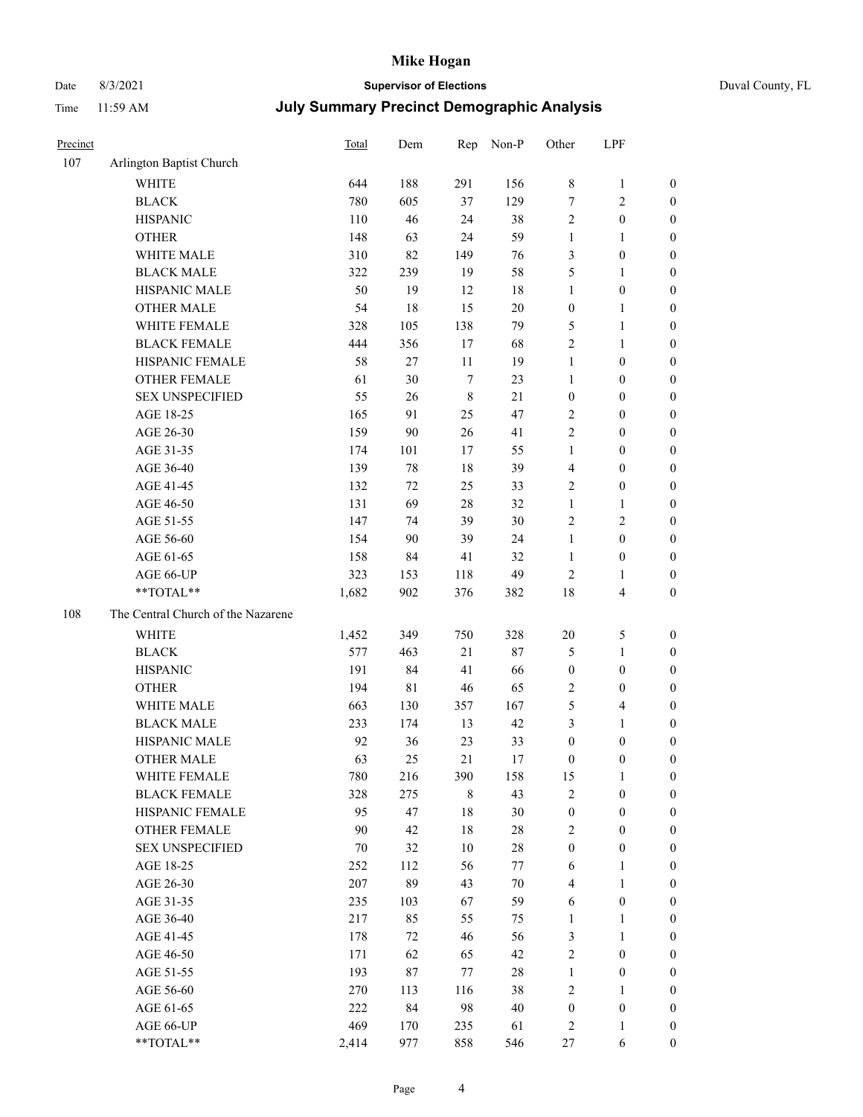# Date 8/3/2021 **Supervisor of Elections** Duval County, FL

| Precinct |                                    | Total | Dem         | Rep         | Non-P  | Other                   | LPF                                     |                                      |
|----------|------------------------------------|-------|-------------|-------------|--------|-------------------------|-----------------------------------------|--------------------------------------|
| 107      | Arlington Baptist Church           |       |             |             |        |                         |                                         |                                      |
|          | <b>WHITE</b>                       | 644   | 188         | 291         | 156    | 8                       | $\mathbf{1}$                            | 0                                    |
|          | <b>BLACK</b>                       | 780   | 605         | 37          | 129    | $\tau$                  | $\sqrt{2}$                              | 0                                    |
|          | <b>HISPANIC</b>                    | 110   | 46          | 24          | 38     | $\sqrt{2}$              | $\boldsymbol{0}$                        | $\boldsymbol{0}$                     |
|          | <b>OTHER</b>                       | 148   | 63          | 24          | 59     | 1                       | 1                                       | $\boldsymbol{0}$                     |
|          | WHITE MALE                         | 310   | 82          | 149         | 76     | 3                       | $\boldsymbol{0}$                        | $\boldsymbol{0}$                     |
|          | <b>BLACK MALE</b>                  | 322   | 239         | 19          | 58     | 5                       | $\mathbf{1}$                            | $\boldsymbol{0}$                     |
|          | HISPANIC MALE                      | 50    | 19          | 12          | 18     | $\mathbf{1}$            | $\boldsymbol{0}$                        | $\boldsymbol{0}$                     |
|          | <b>OTHER MALE</b>                  | 54    | 18          | 15          | $20\,$ | $\boldsymbol{0}$        | $\mathbf{1}$                            | $\boldsymbol{0}$                     |
|          | WHITE FEMALE                       | 328   | 105         | 138         | 79     | 5                       | $\mathbf{1}$                            | $\boldsymbol{0}$                     |
|          | <b>BLACK FEMALE</b>                | 444   | 356         | 17          | 68     | $\sqrt{2}$              | $\mathbf{1}$                            | 0                                    |
|          | HISPANIC FEMALE                    | 58    | $27\,$      | 11          | 19     | $\mathbf{1}$            | $\boldsymbol{0}$                        | 0                                    |
|          | OTHER FEMALE                       | 61    | 30          | $\tau$      | 23     | $\mathbf{1}$            | $\boldsymbol{0}$                        | $\boldsymbol{0}$                     |
|          | <b>SEX UNSPECIFIED</b>             | 55    | $26\,$      | $\,$ 8 $\,$ | 21     | $\boldsymbol{0}$        | $\boldsymbol{0}$                        | $\boldsymbol{0}$                     |
|          | AGE 18-25                          | 165   | 91          | 25          | 47     | $\sqrt{2}$              | $\boldsymbol{0}$                        | $\boldsymbol{0}$                     |
|          | AGE 26-30                          | 159   | 90          | 26          | 41     | $\sqrt{2}$              | $\boldsymbol{0}$                        | $\boldsymbol{0}$                     |
|          | AGE 31-35                          | 174   | 101         | 17          | 55     | $\mathbf{1}$            | $\boldsymbol{0}$                        | $\boldsymbol{0}$                     |
|          | AGE 36-40                          | 139   | $78\,$      | 18          | 39     | 4                       | $\boldsymbol{0}$                        | $\boldsymbol{0}$                     |
|          | AGE 41-45                          | 132   | 72          | 25          | 33     | $\mathbf{2}$            | $\boldsymbol{0}$                        | $\boldsymbol{0}$                     |
|          | AGE 46-50                          | 131   | 69          | 28          | 32     | $\mathbf{1}$            | $\mathbf{1}$                            | $\boldsymbol{0}$                     |
|          | AGE 51-55                          | 147   | 74          | 39          | 30     | $\sqrt{2}$              | $\sqrt{2}$                              | $\boldsymbol{0}$                     |
|          | AGE 56-60                          | 154   | 90          | 39          | 24     | $\mathbf{1}$            | $\boldsymbol{0}$                        |                                      |
|          | AGE 61-65                          | 158   | 84          | 41          | 32     | $\mathbf{1}$            | $\boldsymbol{0}$                        | 0<br>0                               |
|          | AGE 66-UP                          | 323   |             |             | 49     | $\sqrt{2}$              |                                         |                                      |
|          | **TOTAL**                          | 1,682 | 153<br>902  | 118<br>376  | 382    | 18                      | $\mathbf{1}$<br>$\overline{\mathbf{4}}$ | $\boldsymbol{0}$<br>$\boldsymbol{0}$ |
|          |                                    |       |             |             |        |                         |                                         |                                      |
| 108      | The Central Church of the Nazarene |       |             |             |        |                         |                                         |                                      |
|          | <b>WHITE</b>                       | 1,452 | 349         | 750         | 328    | $20\,$                  | $\mathfrak{S}$                          | $\boldsymbol{0}$                     |
|          | <b>BLACK</b>                       | 577   | 463         | $21\,$      | 87     | 5                       | $\mathbf{1}$                            | $\boldsymbol{0}$                     |
|          | <b>HISPANIC</b>                    | 191   | 84          | 41          | 66     | $\boldsymbol{0}$        | $\boldsymbol{0}$                        | $\boldsymbol{0}$                     |
|          | <b>OTHER</b>                       | 194   | $8\sqrt{1}$ | 46          | 65     | $\sqrt{2}$              | $\boldsymbol{0}$                        | $\boldsymbol{0}$                     |
|          | WHITE MALE                         | 663   | 130         | 357         | 167    | 5                       | $\overline{\mathbf{4}}$                 | $\boldsymbol{0}$                     |
|          | <b>BLACK MALE</b>                  | 233   | 174         | 13          | 42     | 3                       | $\mathbf{1}$                            | $\boldsymbol{0}$                     |
|          | HISPANIC MALE                      | 92    | 36          | 23          | 33     | $\boldsymbol{0}$        | $\boldsymbol{0}$                        | 0                                    |
|          | <b>OTHER MALE</b>                  | 63    | 25          | 21          | 17     | $\boldsymbol{0}$        | $\boldsymbol{0}$                        | $\boldsymbol{0}$                     |
|          | WHITE FEMALE                       | 780   | 216         | 390         | 158    | 15                      | 1                                       | 0                                    |
|          | <b>BLACK FEMALE</b>                | 328   | 275         | $\,$ 8 $\,$ | 43     | 2                       | $\boldsymbol{0}$                        | $\overline{0}$                       |
|          | HISPANIC FEMALE                    | 95    | 47          | 18          | 30     | $\boldsymbol{0}$        | $\boldsymbol{0}$                        | $\overline{0}$                       |
|          | OTHER FEMALE                       | 90    | 42          | 18          | $28\,$ | 2                       | $\boldsymbol{0}$                        | $\overline{0}$                       |
|          | <b>SEX UNSPECIFIED</b>             | 70    | 32          | 10          | $28\,$ | $\boldsymbol{0}$        | $\boldsymbol{0}$                        | 0                                    |
|          | AGE 18-25                          | 252   | 112         | 56          | 77     | 6                       | $\mathbf{1}$                            | $\theta$                             |
|          | AGE 26-30                          | 207   | 89          | 43          | $70\,$ | $\overline{\mathbf{4}}$ | $\mathbf{1}$                            | 0                                    |
|          | AGE 31-35                          | 235   | 103         | 67          | 59     | 6                       | $\boldsymbol{0}$                        | 0                                    |
|          | AGE 36-40                          | 217   | 85          | 55          | 75     | $\mathbf{1}$            | $\mathbf{1}$                            | 0                                    |
|          | AGE 41-45                          | 178   | 72          | 46          | 56     | 3                       | $\mathbf{1}$                            | 0                                    |
|          | AGE 46-50                          | 171   | 62          | 65          | 42     | $\mathbf{2}$            | $\boldsymbol{0}$                        | 0                                    |
|          | AGE 51-55                          | 193   | 87          | 77          | $28\,$ | $\mathbf{1}$            | $\boldsymbol{0}$                        | 0                                    |
|          | AGE 56-60                          | 270   | 113         | 116         | 38     | $\mathbf{2}$            | $\mathbf{1}$                            | $\overline{0}$                       |
|          | AGE 61-65                          | 222   | 84          | 98          | 40     | $\boldsymbol{0}$        | $\boldsymbol{0}$                        | $\overline{0}$                       |
|          | AGE 66-UP                          | 469   | 170         | 235         | 61     | 2                       | $\mathbf{1}$                            | $\boldsymbol{0}$                     |
|          | **TOTAL**                          | 2,414 | 977         | 858         | 546    | 27                      | 6                                       | $\boldsymbol{0}$                     |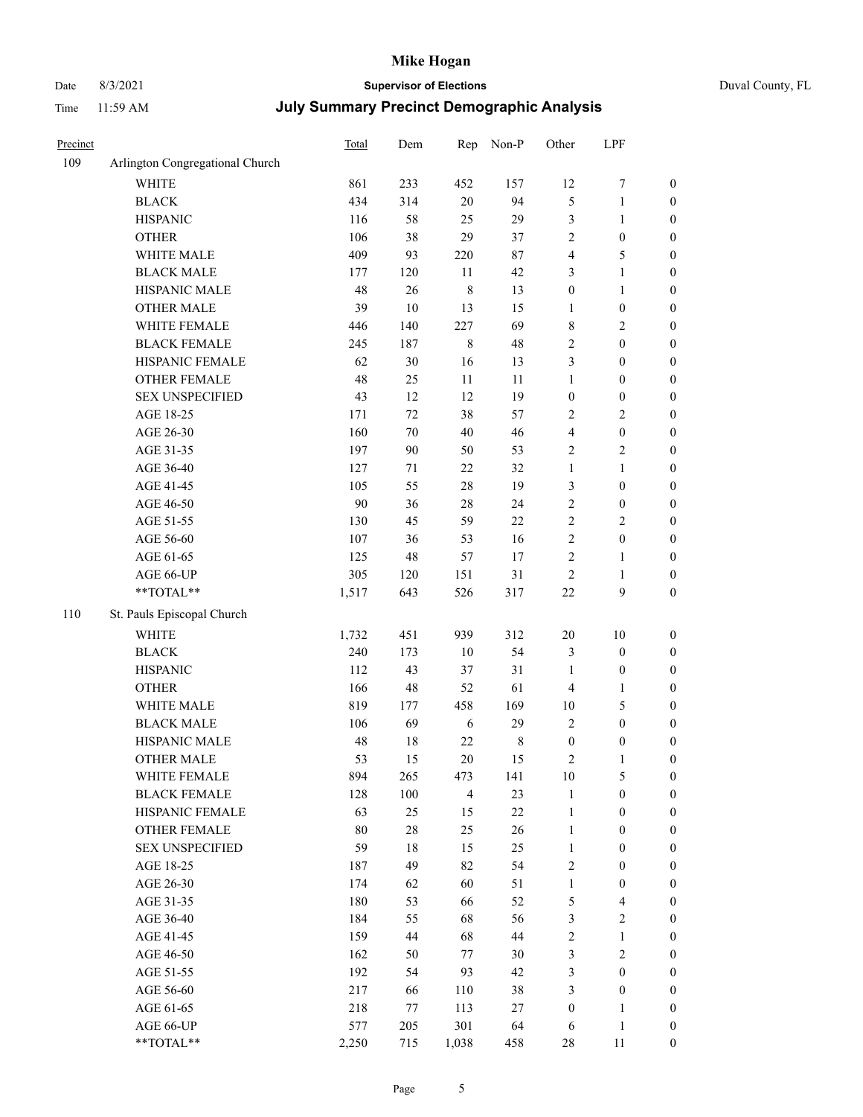# Date 8/3/2021 **Supervisor of Elections** Duval County, FL

| Precinct |                                 | <b>Total</b> | Dem    | Rep            | Non-P   | Other            | LPF              |                  |
|----------|---------------------------------|--------------|--------|----------------|---------|------------------|------------------|------------------|
| 109      | Arlington Congregational Church |              |        |                |         |                  |                  |                  |
|          | <b>WHITE</b>                    | 861          | 233    | 452            | 157     | 12               | $\boldsymbol{7}$ | 0                |
|          | <b>BLACK</b>                    | 434          | 314    | $20\,$         | 94      | 5                | $\mathbf{1}$     | $\boldsymbol{0}$ |
|          | <b>HISPANIC</b>                 | 116          | 58     | 25             | 29      | 3                | $\mathbf{1}$     | $\boldsymbol{0}$ |
|          | <b>OTHER</b>                    | 106          | 38     | 29             | 37      | $\overline{c}$   | $\boldsymbol{0}$ | $\boldsymbol{0}$ |
|          | WHITE MALE                      | 409          | 93     | 220            | $87\,$  | 4                | 5                | $\boldsymbol{0}$ |
|          | <b>BLACK MALE</b>               | 177          | 120    | 11             | 42      | 3                | $\mathbf{1}$     | $\boldsymbol{0}$ |
|          | HISPANIC MALE                   | 48           | 26     | $\,$ 8 $\,$    | 13      | $\boldsymbol{0}$ | $\mathbf{1}$     | $\boldsymbol{0}$ |
|          | <b>OTHER MALE</b>               | 39           | $10\,$ | 13             | 15      | $\mathbf{1}$     | $\boldsymbol{0}$ | $\boldsymbol{0}$ |
|          | WHITE FEMALE                    | 446          | 140    | 227            | 69      | 8                | $\sqrt{2}$       | $\boldsymbol{0}$ |
|          | <b>BLACK FEMALE</b>             | 245          | 187    | $\,$ 8 $\,$    | 48      | 2                | $\boldsymbol{0}$ | $\boldsymbol{0}$ |
|          | HISPANIC FEMALE                 | 62           | $30\,$ | 16             | 13      | 3                | $\boldsymbol{0}$ | $\boldsymbol{0}$ |
|          | <b>OTHER FEMALE</b>             | 48           | 25     | 11             | 11      | $\mathbf{1}$     | $\boldsymbol{0}$ | $\boldsymbol{0}$ |
|          | <b>SEX UNSPECIFIED</b>          | 43           | 12     | 12             | 19      | $\boldsymbol{0}$ | $\boldsymbol{0}$ | $\boldsymbol{0}$ |
|          | AGE 18-25                       | 171          | 72     | 38             | 57      | 2                | $\sqrt{2}$       | $\boldsymbol{0}$ |
|          | AGE 26-30                       | 160          | $70\,$ | 40             | 46      | 4                | $\boldsymbol{0}$ | $\boldsymbol{0}$ |
|          | AGE 31-35                       | 197          | 90     | 50             | 53      | $\overline{c}$   | $\sqrt{2}$       | $\boldsymbol{0}$ |
|          | AGE 36-40                       | 127          | 71     | 22             | 32      | $\mathbf{1}$     | $\mathbf{1}$     | $\boldsymbol{0}$ |
|          | AGE 41-45                       | 105          | 55     | $28\,$         | 19      | 3                | $\boldsymbol{0}$ | $\boldsymbol{0}$ |
|          | AGE 46-50                       | 90           | 36     | $28\,$         | 24      | $\overline{c}$   | $\boldsymbol{0}$ | $\boldsymbol{0}$ |
|          | AGE 51-55                       | 130          | 45     | 59             | $22\,$  | $\overline{c}$   | $\sqrt{2}$       | $\boldsymbol{0}$ |
|          | AGE 56-60                       | 107          | 36     | 53             | 16      | $\overline{c}$   | $\boldsymbol{0}$ | 0                |
|          | AGE 61-65                       | 125          | 48     | 57             | 17      | $\overline{c}$   | $\mathbf{1}$     | $\boldsymbol{0}$ |
|          | AGE 66-UP                       | 305          | 120    | 151            | 31      | $\sqrt{2}$       | $\mathbf{1}$     | $\boldsymbol{0}$ |
|          | $**TOTAL**$                     | 1,517        | 643    | 526            | 317     | $22\,$           | $\boldsymbol{9}$ | $\boldsymbol{0}$ |
| 110      | St. Pauls Episcopal Church      |              |        |                |         |                  |                  |                  |
|          | <b>WHITE</b>                    | 1,732        | 451    | 939            | 312     | $20\,$           | $10\,$           | $\boldsymbol{0}$ |
|          | <b>BLACK</b>                    | 240          | 173    | $10\,$         | 54      | 3                | $\boldsymbol{0}$ | $\boldsymbol{0}$ |
|          | <b>HISPANIC</b>                 | 112          | 43     | 37             | 31      | $\mathbf{1}$     | $\boldsymbol{0}$ | $\boldsymbol{0}$ |
|          | <b>OTHER</b>                    | 166          | 48     | 52             | 61      | 4                | $\mathbf{1}$     | $\boldsymbol{0}$ |
|          | WHITE MALE                      | 819          | 177    | 458            | 169     | $10\,$           | 5                | $\boldsymbol{0}$ |
|          | <b>BLACK MALE</b>               | 106          | 69     | 6              | 29      | $\overline{2}$   | $\boldsymbol{0}$ | $\boldsymbol{0}$ |
|          | HISPANIC MALE                   | 48           | 18     | $22\,$         | $\,8\,$ | $\boldsymbol{0}$ | $\boldsymbol{0}$ | $\boldsymbol{0}$ |
|          | <b>OTHER MALE</b>               | 53           | 15     | 20             | 15      | 2                | $\mathbf{1}$     | $\boldsymbol{0}$ |
|          | WHITE FEMALE                    | 894          | 265    | 473            | 141     | 10               | 5                | 0                |
|          | <b>BLACK FEMALE</b>             | 128          | 100    | $\overline{4}$ | 23      | $\mathbf{1}$     | $\boldsymbol{0}$ | $\overline{0}$   |
|          | HISPANIC FEMALE                 | 63           | 25     | 15             | $22\,$  | $\mathbf{1}$     | $\boldsymbol{0}$ | $\overline{0}$   |
|          | <b>OTHER FEMALE</b>             | $80\,$       | $28\,$ | 25             | 26      | $\mathbf{1}$     | $\boldsymbol{0}$ | $\overline{0}$   |
|          | <b>SEX UNSPECIFIED</b>          | 59           | 18     | 15             | 25      | $\mathbf{1}$     | $\boldsymbol{0}$ | 0                |
|          | AGE 18-25                       | 187          | 49     | 82             | 54      | 2                | $\boldsymbol{0}$ | $\theta$         |
|          | AGE 26-30                       | 174          | 62     | 60             | 51      | $\mathbf{1}$     | $\boldsymbol{0}$ | 0                |
|          | AGE 31-35                       | 180          | 53     | 66             | 52      | 5                | $\overline{4}$   | 0                |
|          | AGE 36-40                       | 184          | 55     | 68             | 56      | 3                | $\sqrt{2}$       | 0                |
|          | AGE 41-45                       | 159          | 44     | 68             | 44      | 2                | $\mathbf{1}$     | 0                |
|          | AGE 46-50                       | 162          | 50     | 77             | 30      | 3                | $\sqrt{2}$       | 0                |
|          | AGE 51-55                       | 192          | 54     | 93             | 42      | 3                | $\boldsymbol{0}$ | 0                |
|          | AGE 56-60                       | 217          | 66     | 110            | 38      | 3                | $\boldsymbol{0}$ | $\overline{0}$   |
|          | AGE 61-65                       | 218          | 77     | 113            | 27      | $\boldsymbol{0}$ | $\mathbf{1}$     | $\overline{0}$   |
|          | AGE 66-UP                       | 577          | 205    | 301            | 64      | 6                | $\mathbf{1}$     | 0                |
|          | **TOTAL**                       | 2,250        | 715    | 1,038          | 458     | 28               | 11               | $\boldsymbol{0}$ |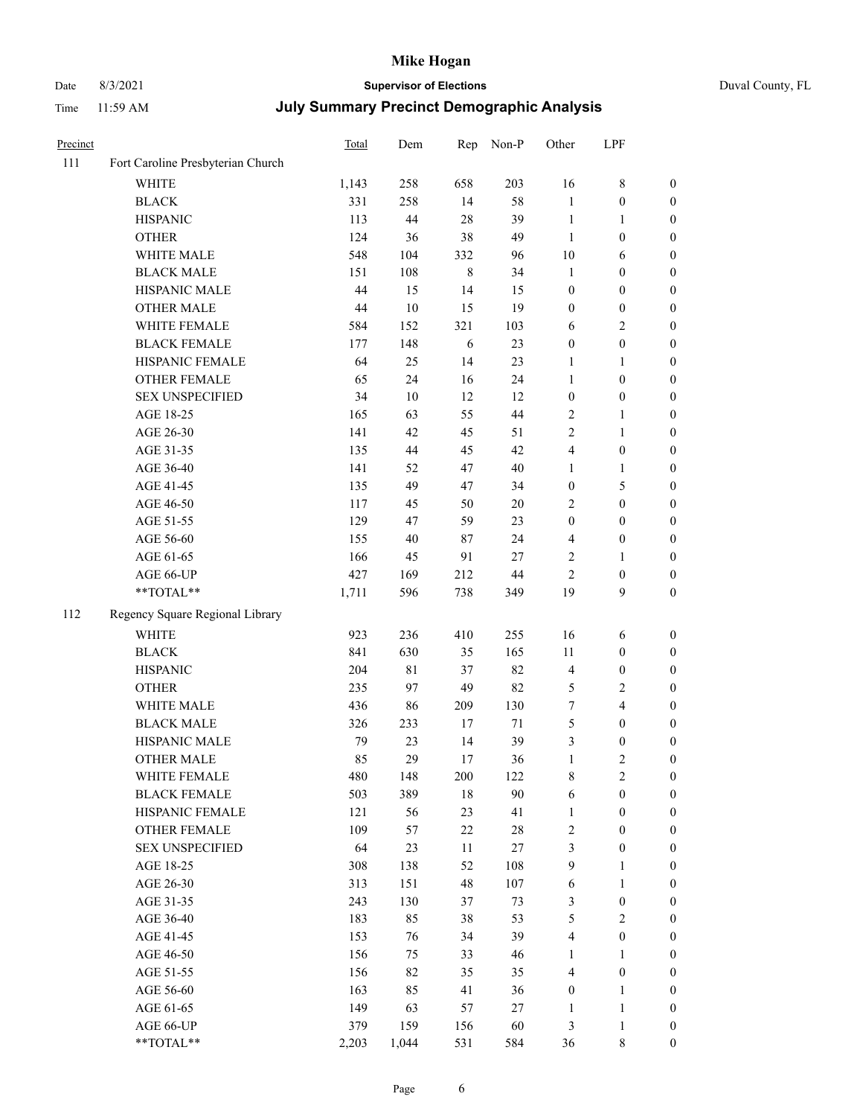# Date 8/3/2021 **Supervisor of Elections** Duval County, FL

| Precinct |                                   | <b>Total</b> | Dem    | Rep         | Non-P  | Other            | LPF              |                  |
|----------|-----------------------------------|--------------|--------|-------------|--------|------------------|------------------|------------------|
| 111      | Fort Caroline Presbyterian Church |              |        |             |        |                  |                  |                  |
|          | <b>WHITE</b>                      | 1,143        | 258    | 658         | 203    | 16               | $\,$ 8 $\,$      | 0                |
|          | <b>BLACK</b>                      | 331          | 258    | 14          | 58     | $\mathbf{1}$     | $\boldsymbol{0}$ | $\boldsymbol{0}$ |
|          | <b>HISPANIC</b>                   | 113          | 44     | 28          | 39     | $\mathbf{1}$     | 1                | $\boldsymbol{0}$ |
|          | <b>OTHER</b>                      | 124          | 36     | 38          | 49     | $\mathbf{1}$     | $\boldsymbol{0}$ | $\boldsymbol{0}$ |
|          | WHITE MALE                        | 548          | 104    | 332         | 96     | 10               | 6                | $\boldsymbol{0}$ |
|          | <b>BLACK MALE</b>                 | 151          | 108    | $\,$ 8 $\,$ | 34     | $\mathbf{1}$     | $\boldsymbol{0}$ | $\boldsymbol{0}$ |
|          | HISPANIC MALE                     | 44           | 15     | 14          | 15     | $\boldsymbol{0}$ | $\boldsymbol{0}$ | $\boldsymbol{0}$ |
|          | OTHER MALE                        | 44           | $10\,$ | 15          | 19     | $\boldsymbol{0}$ | $\boldsymbol{0}$ | $\boldsymbol{0}$ |
|          | WHITE FEMALE                      | 584          | 152    | 321         | 103    | 6                | $\sqrt{2}$       | $\boldsymbol{0}$ |
|          | <b>BLACK FEMALE</b>               | 177          | 148    | 6           | 23     | $\boldsymbol{0}$ | $\boldsymbol{0}$ | 0                |
|          | HISPANIC FEMALE                   | 64           | 25     | 14          | 23     | $\mathbf{1}$     | $\mathbf{1}$     | $\boldsymbol{0}$ |
|          | OTHER FEMALE                      | 65           | 24     | 16          | 24     | $\mathbf{1}$     | $\boldsymbol{0}$ | $\boldsymbol{0}$ |
|          | <b>SEX UNSPECIFIED</b>            | 34           | $10\,$ | 12          | 12     | $\boldsymbol{0}$ | $\boldsymbol{0}$ | $\boldsymbol{0}$ |
|          | AGE 18-25                         | 165          | 63     | 55          | 44     | 2                | $\mathbf{1}$     | $\boldsymbol{0}$ |
|          | AGE 26-30                         | 141          | 42     | 45          | 51     | 2                | $\mathbf{1}$     | $\boldsymbol{0}$ |
|          | AGE 31-35                         | 135          | 44     | 45          | 42     | 4                | $\boldsymbol{0}$ | $\boldsymbol{0}$ |
|          | AGE 36-40                         | 141          | 52     | 47          | $40\,$ | $\mathbf{1}$     | $\mathbf{1}$     | $\boldsymbol{0}$ |
|          | AGE 41-45                         | 135          | 49     | 47          | 34     | $\boldsymbol{0}$ | $\mathfrak{S}$   | $\boldsymbol{0}$ |
|          | AGE 46-50                         | 117          | 45     | 50          | $20\,$ | 2                | $\boldsymbol{0}$ | $\boldsymbol{0}$ |
|          | AGE 51-55                         | 129          | 47     | 59          | 23     | $\boldsymbol{0}$ | $\boldsymbol{0}$ | 0                |
|          | AGE 56-60                         | 155          | 40     | $87\,$      | 24     | 4                | $\boldsymbol{0}$ | $\boldsymbol{0}$ |
|          | AGE 61-65                         | 166          | 45     | 91          | $27\,$ | 2                | 1                | $\boldsymbol{0}$ |
|          | AGE 66-UP                         | 427          | 169    | 212         | 44     | $\mathbf{2}$     | $\boldsymbol{0}$ | $\boldsymbol{0}$ |
|          | **TOTAL**                         | 1,711        | 596    | 738         | 349    | 19               | 9                | $\boldsymbol{0}$ |
| 112      | Regency Square Regional Library   |              |        |             |        |                  |                  |                  |
|          | <b>WHITE</b>                      | 923          | 236    | 410         | 255    | 16               | 6                | $\boldsymbol{0}$ |
|          | <b>BLACK</b>                      | 841          | 630    | 35          | 165    | 11               | $\boldsymbol{0}$ | $\boldsymbol{0}$ |
|          | <b>HISPANIC</b>                   | 204          | 81     | 37          | 82     | 4                | $\boldsymbol{0}$ | $\boldsymbol{0}$ |
|          | <b>OTHER</b>                      | 235          | 97     | 49          | 82     | 5                | $\sqrt{2}$       | $\boldsymbol{0}$ |
|          | WHITE MALE                        | 436          | 86     | 209         | 130    | 7                | $\overline{4}$   | $\boldsymbol{0}$ |
|          | <b>BLACK MALE</b>                 | 326          | 233    | 17          | 71     | 5                | $\boldsymbol{0}$ | $\boldsymbol{0}$ |
|          | HISPANIC MALE                     | 79           | 23     | 14          | 39     | 3                | $\boldsymbol{0}$ | 0                |
|          | <b>OTHER MALE</b>                 | 85           | 29     | 17          | 36     | $\mathbf{1}$     | $\mathbf{2}$     | $\boldsymbol{0}$ |
|          | WHITE FEMALE                      | 480          | 148    | 200         | 122    | 8                | $\overline{c}$   | $\overline{0}$   |
|          | <b>BLACK FEMALE</b>               | 503          | 389    | 18          | 90     | 6                | $\boldsymbol{0}$ | $\overline{0}$   |
|          | HISPANIC FEMALE                   | 121          | 56     | 23          | 41     | $\mathbf{1}$     | $\boldsymbol{0}$ | $\overline{0}$   |
|          | <b>OTHER FEMALE</b>               | 109          | 57     | 22          | $28\,$ | 2                | $\boldsymbol{0}$ | $\overline{0}$   |
|          | <b>SEX UNSPECIFIED</b>            | 64           | 23     | $11\,$      | $27\,$ | 3                | $\boldsymbol{0}$ | 0                |
|          | AGE 18-25                         | 308          | 138    | 52          | 108    | 9                | $\mathbf{1}$     | 0                |
|          | AGE 26-30                         | 313          | 151    | 48          | 107    | 6                | $\mathbf{1}$     | 0                |
|          | AGE 31-35                         | 243          | 130    | 37          | 73     | 3                | $\boldsymbol{0}$ | 0                |
|          | AGE 36-40                         | 183          | 85     | 38          | 53     | 5                | $\mathbf{2}$     | 0                |
|          | AGE 41-45                         | 153          | 76     | 34          | 39     | 4                | $\boldsymbol{0}$ | 0                |
|          | AGE 46-50                         | 156          | 75     | 33          | 46     | 1                | $\mathbf{1}$     | 0                |
|          | AGE 51-55                         | 156          | 82     | 35          | 35     | 4                | $\boldsymbol{0}$ | $\boldsymbol{0}$ |
|          | AGE 56-60                         | 163          | 85     | 41          | 36     | $\boldsymbol{0}$ | $\mathbf{1}$     | $\boldsymbol{0}$ |
|          | AGE 61-65                         | 149          | 63     | 57          | 27     | $\mathbf{1}$     | $\mathbf{1}$     | 0                |
|          | AGE 66-UP                         | 379          | 159    | 156         | 60     | 3                | $\mathbf{1}$     | 0                |
|          | **TOTAL**                         | 2,203        | 1,044  | 531         | 584    | 36               | $8\,$            | $\boldsymbol{0}$ |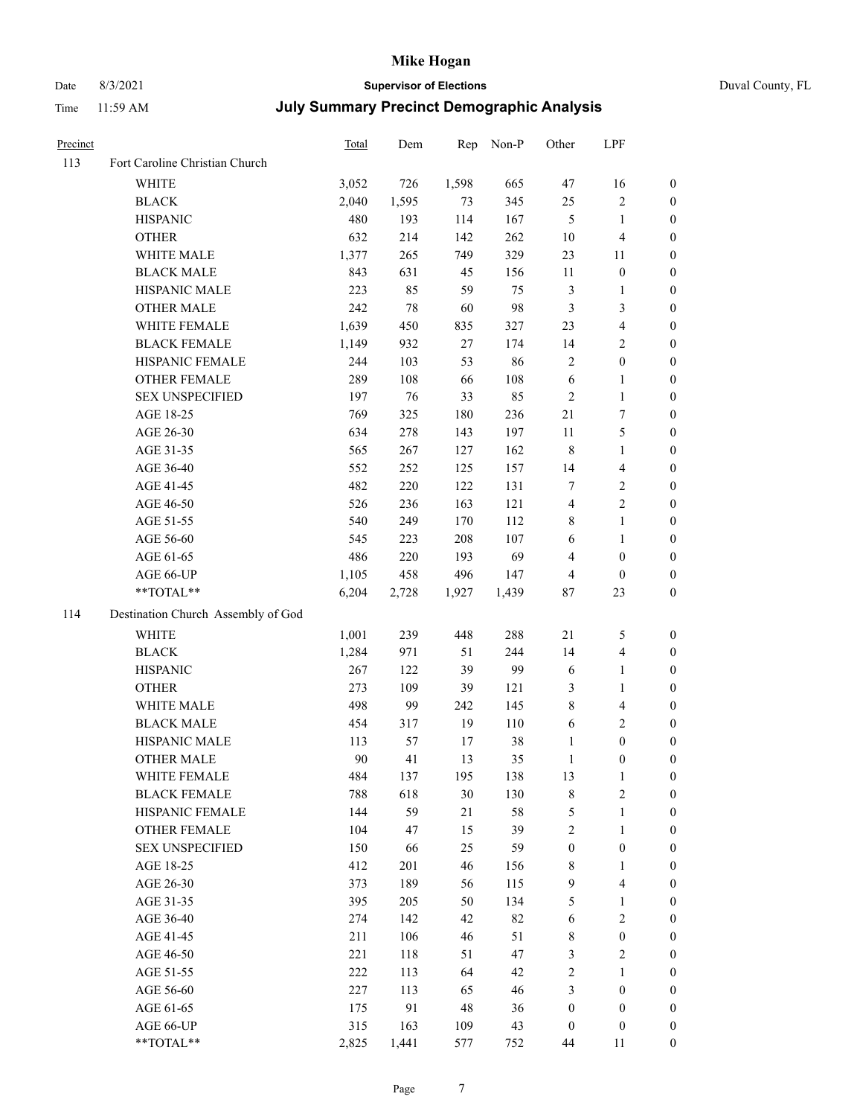# Date 8/3/2021 **Supervisor of Elections** Duval County, FL

| Precinct |                                    | <b>Total</b> | Dem    | Rep   | Non-P | Other            | LPF                     |                  |
|----------|------------------------------------|--------------|--------|-------|-------|------------------|-------------------------|------------------|
| 113      | Fort Caroline Christian Church     |              |        |       |       |                  |                         |                  |
|          | <b>WHITE</b>                       | 3,052        | 726    | 1,598 | 665   | 47               | 16                      | 0                |
|          | <b>BLACK</b>                       | 2,040        | 1,595  | 73    | 345   | 25               | $\sqrt{2}$              | 0                |
|          | <b>HISPANIC</b>                    | 480          | 193    | 114   | 167   | $\mathfrak{S}$   | $\mathbf{1}$            | $\boldsymbol{0}$ |
|          | <b>OTHER</b>                       | 632          | 214    | 142   | 262   | $10\,$           | $\overline{\mathbf{4}}$ | $\boldsymbol{0}$ |
|          | WHITE MALE                         | 1,377        | 265    | 749   | 329   | 23               | 11                      | $\boldsymbol{0}$ |
|          | <b>BLACK MALE</b>                  | 843          | 631    | 45    | 156   | 11               | $\boldsymbol{0}$        | $\boldsymbol{0}$ |
|          | HISPANIC MALE                      | 223          | 85     | 59    | 75    | 3                | $\mathbf{1}$            | $\boldsymbol{0}$ |
|          | <b>OTHER MALE</b>                  | 242          | $78\,$ | 60    | 98    | 3                | $\mathfrak{Z}$          | $\boldsymbol{0}$ |
|          | WHITE FEMALE                       | 1,639        | 450    | 835   | 327   | 23               | $\overline{4}$          | $\boldsymbol{0}$ |
|          | <b>BLACK FEMALE</b>                | 1,149        | 932    | 27    | 174   | 14               | $\sqrt{2}$              | 0                |
|          | HISPANIC FEMALE                    | 244          | 103    | 53    | 86    | $\sqrt{2}$       | $\boldsymbol{0}$        | 0                |
|          | OTHER FEMALE                       | 289          | 108    | 66    | 108   | $\sqrt{6}$       | $\mathbf{1}$            | 0                |
|          | <b>SEX UNSPECIFIED</b>             | 197          | 76     | 33    | 85    | $\sqrt{2}$       | $\mathbf{1}$            | $\boldsymbol{0}$ |
|          | AGE 18-25                          | 769          | 325    | 180   | 236   | 21               | $\boldsymbol{7}$        | $\boldsymbol{0}$ |
|          | AGE 26-30                          | 634          | 278    | 143   | 197   | $11\,$           | $\mathfrak{S}$          | $\boldsymbol{0}$ |
|          | AGE 31-35                          | 565          | 267    | 127   | 162   | $\,$ 8 $\,$      | $\mathbf{1}$            | $\boldsymbol{0}$ |
|          | AGE 36-40                          | 552          | 252    | 125   | 157   | 14               | $\overline{\mathbf{4}}$ | $\boldsymbol{0}$ |
|          | AGE 41-45                          | 482          | 220    | 122   | 131   | $\tau$           | $\sqrt{2}$              | $\overline{0}$   |
|          | AGE 46-50                          | 526          | 236    | 163   | 121   | $\overline{4}$   | $\overline{2}$          | $\boldsymbol{0}$ |
|          | AGE 51-55                          | 540          | 249    | 170   | 112   | 8                | $\mathbf{1}$            | 0                |
|          | AGE 56-60                          | 545          | 223    | 208   | 107   | 6                | $\mathbf{1}$            | 0                |
|          | AGE 61-65                          | 486          | 220    | 193   | 69    | 4                | $\boldsymbol{0}$        | 0                |
|          | AGE 66-UP                          | 1,105        | 458    | 496   | 147   | $\overline{4}$   | $\boldsymbol{0}$        | $\boldsymbol{0}$ |
|          | **TOTAL**                          | 6,204        | 2,728  | 1,927 | 1,439 | 87               | 23                      | $\boldsymbol{0}$ |
| 114      | Destination Church Assembly of God |              |        |       |       |                  |                         |                  |
|          | <b>WHITE</b>                       | 1,001        | 239    | 448   | 288   | 21               | 5                       | $\boldsymbol{0}$ |
|          | <b>BLACK</b>                       | 1,284        | 971    | 51    | 244   | 14               | $\overline{\mathbf{4}}$ | $\boldsymbol{0}$ |
|          | <b>HISPANIC</b>                    | 267          | 122    | 39    | 99    | 6                | $\mathbf{1}$            | $\boldsymbol{0}$ |
|          | <b>OTHER</b>                       | 273          | 109    | 39    | 121   | 3                | $\mathbf{1}$            | $\boldsymbol{0}$ |
|          | WHITE MALE                         | 498          | 99     | 242   | 145   | 8                | $\overline{\mathbf{4}}$ | $\boldsymbol{0}$ |
|          | <b>BLACK MALE</b>                  | 454          | 317    | 19    | 110   | $\sqrt{6}$       | $\overline{2}$          | $\boldsymbol{0}$ |
|          | HISPANIC MALE                      | 113          | 57     | 17    | 38    | $\mathbf{1}$     | $\boldsymbol{0}$        | $\boldsymbol{0}$ |
|          | <b>OTHER MALE</b>                  | 90           | 41     | 13    | 35    | $\mathbf{1}$     | $\boldsymbol{0}$        | $\boldsymbol{0}$ |
|          | WHITE FEMALE                       | 484          | 137    | 195   | 138   | 13               | 1                       | 0                |
|          | <b>BLACK FEMALE</b>                | 788          | 618    | 30    | 130   | 8                | $\sqrt{2}$              | $\overline{0}$   |
|          | HISPANIC FEMALE                    | 144          | 59     | 21    | 58    | 5                | $\mathbf{1}$            | $\overline{0}$   |
|          | <b>OTHER FEMALE</b>                | 104          | 47     | 15    | 39    | 2                | $\mathbf{1}$            | $\overline{0}$   |
|          | <b>SEX UNSPECIFIED</b>             | 150          | 66     | 25    | 59    | $\boldsymbol{0}$ | $\boldsymbol{0}$        | 0                |
|          | AGE 18-25                          | 412          | 201    | 46    | 156   | $\,$ 8 $\,$      | $\mathbf{1}$            | 0                |
|          | AGE 26-30                          | 373          | 189    | 56    | 115   | 9                | $\overline{4}$          | 0                |
|          | AGE 31-35                          | 395          | 205    | 50    | 134   | 5                | $\mathbf{1}$            | 0                |
|          | AGE 36-40                          | 274          | 142    | 42    | 82    | 6                | $\sqrt{2}$              | 0                |
|          | AGE 41-45                          | 211          | 106    | 46    | 51    | 8                | $\boldsymbol{0}$        | 0                |
|          | AGE 46-50                          | 221          | 118    | 51    | 47    | 3                | $\sqrt{2}$              | 0                |
|          | AGE 51-55                          | 222          | 113    | 64    | 42    | 2                | $\mathbf{1}$            | 0                |
|          | AGE 56-60                          | 227          | 113    | 65    | 46    | 3                | $\boldsymbol{0}$        | $\overline{0}$   |
|          | AGE 61-65                          | 175          | 91     | 48    | 36    | $\boldsymbol{0}$ | $\boldsymbol{0}$        | $\overline{0}$   |
|          | AGE 66-UP                          | 315          | 163    | 109   | 43    | $\boldsymbol{0}$ | $\boldsymbol{0}$        | 0                |
|          | **TOTAL**                          | 2,825        | 1,441  | 577   | 752   | 44               | 11                      | $\boldsymbol{0}$ |
|          |                                    |              |        |       |       |                  |                         |                  |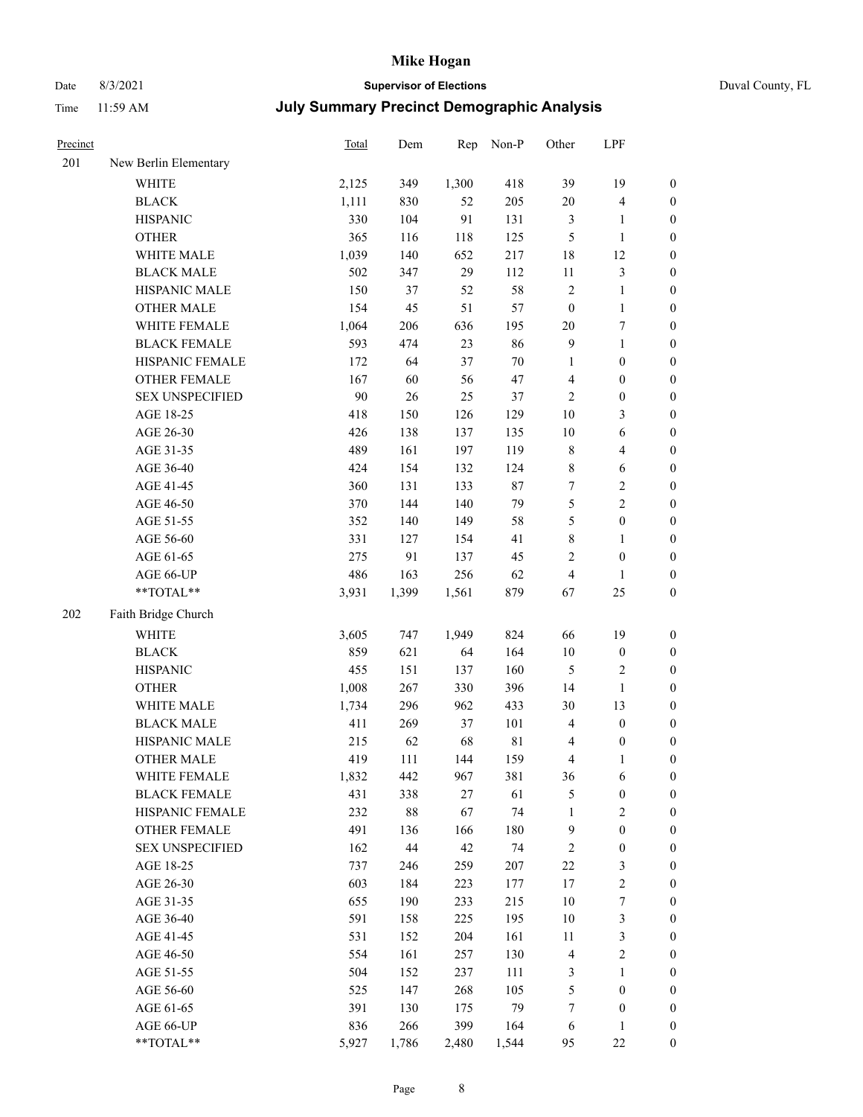# Date 8/3/2021 **Supervisor of Elections** Duval County, FL

| Precinct |                        | Total | Dem    | Rep    | Non-P       | Other            | LPF                     |                  |
|----------|------------------------|-------|--------|--------|-------------|------------------|-------------------------|------------------|
| 201      | New Berlin Elementary  |       |        |        |             |                  |                         |                  |
|          | <b>WHITE</b>           | 2,125 | 349    | 1,300  | 418         | 39               | 19                      | $\boldsymbol{0}$ |
|          | <b>BLACK</b>           | 1,111 | 830    | 52     | 205         | 20               | 4                       | $\bf{0}$         |
|          | <b>HISPANIC</b>        | 330   | 104    | 91     | 131         | $\mathfrak{Z}$   | 1                       | $\boldsymbol{0}$ |
|          | <b>OTHER</b>           | 365   | 116    | 118    | 125         | $\mathfrak{S}$   | $\mathbf{1}$            | $\boldsymbol{0}$ |
|          | WHITE MALE             | 1,039 | 140    | 652    | 217         | 18               | 12                      | $\boldsymbol{0}$ |
|          | <b>BLACK MALE</b>      | 502   | 347    | 29     | 112         | $11\,$           | 3                       | $\boldsymbol{0}$ |
|          | HISPANIC MALE          | 150   | 37     | 52     | 58          | $\sqrt{2}$       | $\mathbf{1}$            | $\boldsymbol{0}$ |
|          | <b>OTHER MALE</b>      | 154   | 45     | 51     | 57          | $\boldsymbol{0}$ | $\mathbf{1}$            | $\boldsymbol{0}$ |
|          | WHITE FEMALE           | 1,064 | 206    | 636    | 195         | 20               | 7                       | $\boldsymbol{0}$ |
|          | <b>BLACK FEMALE</b>    | 593   | 474    | 23     | 86          | 9                | $\mathbf{1}$            | $\boldsymbol{0}$ |
|          | HISPANIC FEMALE        | 172   | 64     | 37     | 70          | $\mathbf{1}$     | $\boldsymbol{0}$        | $\boldsymbol{0}$ |
|          | <b>OTHER FEMALE</b>    | 167   | 60     | 56     | 47          | $\overline{4}$   | $\boldsymbol{0}$        | $\boldsymbol{0}$ |
|          | <b>SEX UNSPECIFIED</b> | 90    | $26\,$ | 25     | 37          | $\overline{2}$   | $\boldsymbol{0}$        | $\boldsymbol{0}$ |
|          | AGE 18-25              | 418   | 150    | 126    | 129         | 10               | 3                       | $\boldsymbol{0}$ |
|          | AGE 26-30              | 426   | 138    | 137    | 135         | 10               | 6                       | $\boldsymbol{0}$ |
|          | AGE 31-35              | 489   | 161    | 197    | 119         | $\,$ 8 $\,$      | 4                       | $\boldsymbol{0}$ |
|          | AGE 36-40              | 424   | 154    | 132    | 124         | $\,$ 8 $\,$      | 6                       | $\boldsymbol{0}$ |
|          | AGE 41-45              | 360   | 131    | 133    | $87\,$      | $\boldsymbol{7}$ | 2                       | $\boldsymbol{0}$ |
|          | AGE 46-50              | 370   | 144    | 140    | 79          | $\mathfrak{S}$   | 2                       | $\boldsymbol{0}$ |
|          | AGE 51-55              | 352   | 140    | 149    | 58          | 5                | $\boldsymbol{0}$        | $\boldsymbol{0}$ |
|          | AGE 56-60              | 331   | 127    | 154    | 41          | $\,$ 8 $\,$      | 1                       | $\boldsymbol{0}$ |
|          | AGE 61-65              | 275   | 91     | 137    | 45          | $\overline{2}$   | $\boldsymbol{0}$        | $\boldsymbol{0}$ |
|          | AGE 66-UP              | 486   | 163    | 256    | 62          | $\overline{4}$   | 1                       | $\boldsymbol{0}$ |
|          | **TOTAL**              | 3,931 | 1,399  | 1,561  | 879         | 67               | 25                      | $\boldsymbol{0}$ |
| 202      | Faith Bridge Church    |       |        |        |             |                  |                         |                  |
|          | <b>WHITE</b>           | 3,605 | 747    | 1,949  | 824         | 66               | 19                      | $\boldsymbol{0}$ |
|          | <b>BLACK</b>           | 859   | 621    | 64     | 164         | $10\,$           | $\boldsymbol{0}$        | $\boldsymbol{0}$ |
|          | <b>HISPANIC</b>        | 455   | 151    | 137    | 160         | $\mathfrak s$    | 2                       | $\boldsymbol{0}$ |
|          | <b>OTHER</b>           | 1,008 | 267    | 330    | 396         | 14               | $\mathbf{1}$            | $\boldsymbol{0}$ |
|          | WHITE MALE             | 1,734 | 296    | 962    | 433         | 30               | 13                      | $\boldsymbol{0}$ |
|          | <b>BLACK MALE</b>      | 411   | 269    | 37     | 101         | $\overline{4}$   | $\boldsymbol{0}$        | $\boldsymbol{0}$ |
|          | HISPANIC MALE          | 215   | 62     | 68     | $8\sqrt{1}$ | $\overline{4}$   | $\boldsymbol{0}$        | $\boldsymbol{0}$ |
|          | <b>OTHER MALE</b>      | 419   | 111    | 144    | 159         | 4                | 1                       | $\boldsymbol{0}$ |
|          | WHITE FEMALE           | 1,832 | 442    | 967    | 381         | 36               | 6                       | $\boldsymbol{0}$ |
|          | <b>BLACK FEMALE</b>    | 431   | 338    | $27\,$ | 61          | $\mathfrak{S}$   | $\boldsymbol{0}$        | $\boldsymbol{0}$ |
|          | HISPANIC FEMALE        | 232   | $88\,$ | 67     | 74          | $\mathbf{1}$     | $\overline{\mathbf{c}}$ | $\boldsymbol{0}$ |
|          | <b>OTHER FEMALE</b>    | 491   | 136    | 166    | 180         | $\overline{9}$   | $\boldsymbol{0}$        | $\boldsymbol{0}$ |
|          | <b>SEX UNSPECIFIED</b> | 162   | $44\,$ | 42     | 74          | $\sqrt{2}$       | $\boldsymbol{0}$        | $\boldsymbol{0}$ |
|          | AGE 18-25              | 737   | 246    | 259    | 207         | $22\,$           | 3                       | $\boldsymbol{0}$ |
|          | AGE 26-30              | 603   | 184    | 223    | 177         | 17               | $\mathbf{2}$            | $\boldsymbol{0}$ |
|          | AGE 31-35              | 655   | 190    | 233    | 215         | 10               | $\boldsymbol{7}$        | $\boldsymbol{0}$ |
|          | AGE 36-40              | 591   | 158    | 225    | 195         | $10\,$           | 3                       | $\boldsymbol{0}$ |
|          | AGE 41-45              | 531   | 152    | 204    | 161         | 11               | 3                       | $\boldsymbol{0}$ |
|          | AGE 46-50              | 554   | 161    | 257    | 130         | $\overline{4}$   | $\mathbf{2}$            | $\boldsymbol{0}$ |
|          | AGE 51-55              | 504   | 152    | 237    | 111         | $\mathfrak z$    | 1                       | $\boldsymbol{0}$ |
|          | AGE 56-60              | 525   | 147    | 268    | 105         | $\mathfrak s$    | $\boldsymbol{0}$        | $\boldsymbol{0}$ |
|          | AGE 61-65              | 391   | 130    | 175    | 79          | $\boldsymbol{7}$ | $\boldsymbol{0}$        | $\boldsymbol{0}$ |
|          | AGE 66-UP              | 836   | 266    | 399    | 164         | 6                | 1                       | $\boldsymbol{0}$ |
|          | **TOTAL**              | 5,927 | 1,786  | 2,480  | 1,544       | 95               | 22                      | $\boldsymbol{0}$ |
|          |                        |       |        |        |             |                  |                         |                  |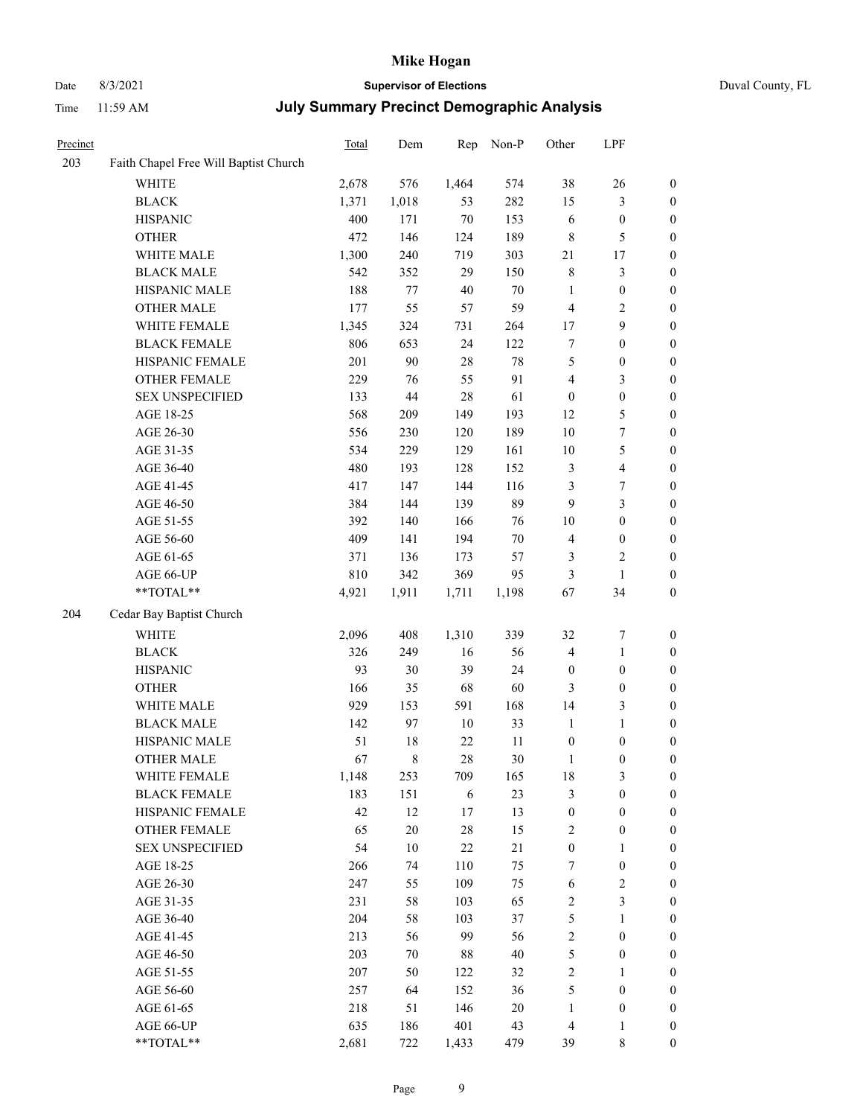# Date 8/3/2021 **Supervisor of Elections** Duval County, FL

| Precinct |                                                           | Total | Dem    | Rep    | Non-P  | Other                   | LPF                     |                  |
|----------|-----------------------------------------------------------|-------|--------|--------|--------|-------------------------|-------------------------|------------------|
| 203      | Faith Chapel Free Will Baptist Church                     |       |        |        |        |                         |                         |                  |
|          | <b>WHITE</b>                                              | 2,678 | 576    | 1,464  | 574    | 38                      | $26\,$                  | $\boldsymbol{0}$ |
|          | <b>BLACK</b>                                              | 1,371 | 1,018  | 53     | 282    | 15                      | $\mathfrak{Z}$          | $\boldsymbol{0}$ |
|          | <b>HISPANIC</b>                                           | 400   | 171    | $70\,$ | 153    | 6                       | $\boldsymbol{0}$        | $\boldsymbol{0}$ |
|          | <b>OTHER</b>                                              | 472   | 146    | 124    | 189    | $\,$ 8 $\,$             | 5                       | $\boldsymbol{0}$ |
|          | WHITE MALE                                                | 1,300 | 240    | 719    | 303    | 21                      | 17                      | $\boldsymbol{0}$ |
|          | <b>BLACK MALE</b>                                         | 542   | 352    | 29     | 150    | 8                       | $\mathfrak{Z}$          | $\boldsymbol{0}$ |
|          | HISPANIC MALE                                             | 188   | 77     | 40     | $70\,$ | $\mathbf{1}$            | $\boldsymbol{0}$        | $\boldsymbol{0}$ |
|          | <b>OTHER MALE</b>                                         | 177   | 55     | 57     | 59     | $\overline{\mathbf{4}}$ | $\overline{2}$          | 0                |
|          | WHITE FEMALE                                              | 1,345 | 324    | 731    | 264    | 17                      | $\boldsymbol{9}$        | 0                |
|          | <b>BLACK FEMALE</b>                                       | 806   | 653    | 24     | 122    | 7                       | $\boldsymbol{0}$        | $\boldsymbol{0}$ |
|          | HISPANIC FEMALE                                           | 201   | 90     | 28     | $78\,$ | 5                       | $\boldsymbol{0}$        | $\boldsymbol{0}$ |
|          | OTHER FEMALE                                              | 229   | 76     | 55     | 91     | 4                       | $\mathfrak{Z}$          | $\boldsymbol{0}$ |
|          | <b>SEX UNSPECIFIED</b>                                    | 133   | $44\,$ | 28     | 61     | $\boldsymbol{0}$        | $\boldsymbol{0}$        | $\boldsymbol{0}$ |
|          | AGE 18-25                                                 | 568   | 209    | 149    | 193    | 12                      | $\mathfrak{S}$          | $\boldsymbol{0}$ |
|          | AGE 26-30                                                 | 556   | 230    | 120    | 189    | $10\,$                  | $\boldsymbol{7}$        | $\boldsymbol{0}$ |
|          | AGE 31-35                                                 | 534   | 229    | 129    | 161    | $10\,$                  | $\mathfrak s$           | $\boldsymbol{0}$ |
|          | AGE 36-40                                                 | 480   | 193    | 128    | 152    | 3                       | $\overline{\mathbf{4}}$ | $\boldsymbol{0}$ |
|          | AGE 41-45                                                 | 417   | 147    | 144    | 116    | 3                       | $\tau$                  | 0                |
|          | AGE 46-50                                                 | 384   | 144    | 139    | 89     | 9                       | $\mathfrak{Z}$          | 0                |
|          | AGE 51-55                                                 | 392   | 140    | 166    | 76     | 10                      | $\boldsymbol{0}$        | $\boldsymbol{0}$ |
|          | AGE 56-60                                                 | 409   | 141    | 194    | $70\,$ | 4                       | $\boldsymbol{0}$        | $\boldsymbol{0}$ |
|          | AGE 61-65                                                 | 371   | 136    | 173    | 57     | 3                       | $\sqrt{2}$              | $\boldsymbol{0}$ |
|          | AGE 66-UP                                                 | 810   | 342    | 369    | 95     | 3                       | $\mathbf{1}$            | $\boldsymbol{0}$ |
|          | $\mathrm{*}\mathrm{*}\mathrm{TOTAL} \mathrm{*}\mathrm{*}$ | 4,921 | 1,911  | 1,711  | 1,198  | 67                      | 34                      | $\boldsymbol{0}$ |
|          |                                                           |       |        |        |        |                         |                         |                  |
| 204      | Cedar Bay Baptist Church                                  |       |        |        |        |                         |                         |                  |
|          | WHITE                                                     | 2,096 | 408    | 1,310  | 339    | 32                      | $\boldsymbol{7}$        | $\boldsymbol{0}$ |
|          | <b>BLACK</b>                                              | 326   | 249    | 16     | 56     | $\overline{4}$          | $\mathbf{1}$            | $\boldsymbol{0}$ |
|          | <b>HISPANIC</b>                                           | 93    | 30     | 39     | 24     | $\boldsymbol{0}$        | $\boldsymbol{0}$        | $\boldsymbol{0}$ |
|          | <b>OTHER</b>                                              | 166   | 35     | 68     | 60     | 3                       | $\boldsymbol{0}$        | $\boldsymbol{0}$ |
|          | WHITE MALE                                                | 929   | 153    | 591    | 168    | 14                      | 3                       | 0                |
|          | <b>BLACK MALE</b>                                         | 142   | 97     | 10     | 33     | $\mathbf{1}$            | $\mathbf{1}$            | 0                |
|          | HISPANIC MALE                                             | 51    | 18     | $22\,$ | 11     | $\boldsymbol{0}$        | $\boldsymbol{0}$        | 0                |
|          | <b>OTHER MALE</b>                                         | 67    | 8      | 28     | $30\,$ | $\mathbf{1}$            | $\boldsymbol{0}$        | $\boldsymbol{0}$ |
|          | WHITE FEMALE                                              | 1,148 | 253    | 709    | 165    | 18                      | 3                       | $\boldsymbol{0}$ |
|          | <b>BLACK FEMALE</b>                                       | 183   | 151    | 6      | 23     | 3                       | $\boldsymbol{0}$        | $\overline{0}$   |
|          | HISPANIC FEMALE                                           | 42    | 12     | 17     | 13     | $\boldsymbol{0}$        | $\boldsymbol{0}$        | $\overline{0}$   |
|          | <b>OTHER FEMALE</b>                                       | 65    | $20\,$ | 28     | 15     | $\sqrt{2}$              | $\boldsymbol{0}$        | $\theta$         |
|          | <b>SEX UNSPECIFIED</b>                                    | 54    | $10\,$ | $22\,$ | 21     | $\boldsymbol{0}$        | $\mathbf{1}$            | $\overline{0}$   |
|          | AGE 18-25                                                 | 266   | 74     | 110    | 75     | 7                       | $\boldsymbol{0}$        | 0                |
|          | AGE 26-30                                                 | 247   | 55     | 109    | 75     | 6                       | $\sqrt{2}$              | 0                |
|          | AGE 31-35                                                 | 231   | 58     | 103    | 65     | $\sqrt{2}$              | $\mathfrak{Z}$          | 0                |
|          | AGE 36-40                                                 | 204   | 58     | 103    | 37     | 5                       | $\mathbf{1}$            | $\boldsymbol{0}$ |
|          | AGE 41-45                                                 | 213   | 56     | 99     | 56     | 2                       | $\boldsymbol{0}$        | $\overline{0}$   |
|          | AGE 46-50                                                 | 203   | 70     | 88     | 40     | 5                       | $\boldsymbol{0}$        | $\boldsymbol{0}$ |
|          | AGE 51-55                                                 | 207   | 50     | 122    | 32     | 2                       | $\mathbf{1}$            | $\boldsymbol{0}$ |
|          | AGE 56-60                                                 | 257   | 64     | 152    | 36     | 5                       | $\boldsymbol{0}$        | $\overline{0}$   |
|          | AGE 61-65                                                 | 218   | 51     | 146    | 20     | $\mathbf{1}$            | $\boldsymbol{0}$        | $\overline{0}$   |
|          | AGE 66-UP                                                 | 635   | 186    | 401    | 43     | $\overline{4}$          | $\mathbf{1}$            | $\overline{0}$   |
|          | **TOTAL**                                                 | 2,681 | 722    | 1,433  | 479    | 39                      | $\,$ 8 $\,$             | $\boldsymbol{0}$ |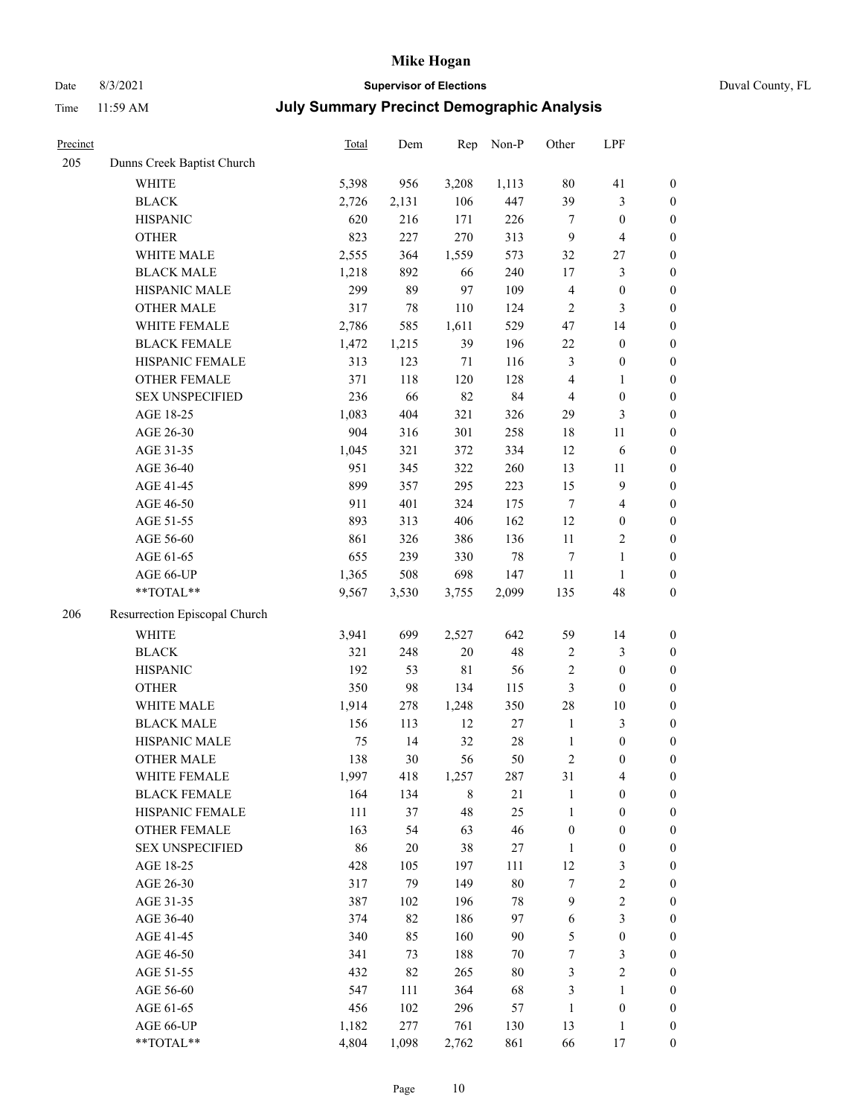# Date 8/3/2021 **Supervisor of Elections** Duval County, FL

| Precinct |                               | Total | Dem    | Rep         | Non-P  | Other            | LPF                     |                  |
|----------|-------------------------------|-------|--------|-------------|--------|------------------|-------------------------|------------------|
| 205      | Dunns Creek Baptist Church    |       |        |             |        |                  |                         |                  |
|          | <b>WHITE</b>                  | 5,398 | 956    | 3,208       | 1,113  | $80\,$           | 41                      | $\boldsymbol{0}$ |
|          | <b>BLACK</b>                  | 2,726 | 2,131  | 106         | 447    | 39               | $\mathfrak{Z}$          | $\boldsymbol{0}$ |
|          | <b>HISPANIC</b>               | 620   | 216    | 171         | 226    | 7                | $\boldsymbol{0}$        | $\boldsymbol{0}$ |
|          | <b>OTHER</b>                  | 823   | 227    | 270         | 313    | 9                | $\overline{\mathbf{4}}$ | $\boldsymbol{0}$ |
|          | WHITE MALE                    | 2,555 | 364    | 1,559       | 573    | 32               | $27\,$                  | $\boldsymbol{0}$ |
|          | <b>BLACK MALE</b>             | 1,218 | 892    | 66          | 240    | 17               | $\mathfrak{Z}$          | $\boldsymbol{0}$ |
|          | HISPANIC MALE                 | 299   | 89     | 97          | 109    | 4                | $\boldsymbol{0}$        | $\boldsymbol{0}$ |
|          | <b>OTHER MALE</b>             | 317   | 78     | 110         | 124    | $\overline{2}$   | 3                       | $\boldsymbol{0}$ |
|          | WHITE FEMALE                  | 2,786 | 585    | 1,611       | 529    | 47               | 14                      | $\boldsymbol{0}$ |
|          | <b>BLACK FEMALE</b>           | 1,472 | 1,215  | 39          | 196    | 22               | $\boldsymbol{0}$        | 0                |
|          | HISPANIC FEMALE               | 313   | 123    | $71\,$      | 116    | 3                | $\boldsymbol{0}$        | $\boldsymbol{0}$ |
|          | OTHER FEMALE                  | 371   | 118    | 120         | 128    | 4                | $\mathbf{1}$            | $\boldsymbol{0}$ |
|          | <b>SEX UNSPECIFIED</b>        | 236   | 66     | 82          | 84     | 4                | $\boldsymbol{0}$        | $\boldsymbol{0}$ |
|          | AGE 18-25                     | 1,083 | 404    | 321         | 326    | 29               | $\mathfrak{Z}$          | $\boldsymbol{0}$ |
|          | AGE 26-30                     | 904   | 316    | 301         | 258    | 18               | 11                      | $\boldsymbol{0}$ |
|          | AGE 31-35                     | 1,045 | 321    | 372         | 334    | 12               | 6                       | $\boldsymbol{0}$ |
|          | AGE 36-40                     | 951   | 345    | 322         | 260    | 13               | 11                      | $\boldsymbol{0}$ |
|          | AGE 41-45                     | 899   | 357    | 295         | 223    | 15               | $\mathbf{9}$            | $\boldsymbol{0}$ |
|          | AGE 46-50                     | 911   | 401    | 324         | 175    | $\tau$           | $\overline{4}$          | $\boldsymbol{0}$ |
|          | AGE 51-55                     | 893   | 313    | 406         | 162    | 12               | $\boldsymbol{0}$        | 0                |
|          | AGE 56-60                     | 861   | 326    | 386         | 136    | $11\,$           | $\sqrt{2}$              | $\boldsymbol{0}$ |
|          | AGE 61-65                     | 655   | 239    | 330         | $78\,$ | $\tau$           | $\mathbf{1}$            | $\boldsymbol{0}$ |
|          | AGE 66-UP                     | 1,365 | 508    | 698         | 147    | $11\,$           | $\mathbf{1}$            | $\boldsymbol{0}$ |
|          | **TOTAL**                     | 9,567 | 3,530  | 3,755       | 2,099  | 135              | 48                      | $\boldsymbol{0}$ |
| 206      | Resurrection Episcopal Church |       |        |             |        |                  |                         |                  |
|          | <b>WHITE</b>                  | 3,941 | 699    | 2,527       | 642    | 59               | 14                      | $\boldsymbol{0}$ |
|          | $\operatorname{BLACK}$        | 321   | 248    | 20          | 48     | $\sqrt{2}$       | $\mathfrak{Z}$          | $\boldsymbol{0}$ |
|          | <b>HISPANIC</b>               | 192   | 53     | $8\sqrt{1}$ | 56     | $\sqrt{2}$       | $\boldsymbol{0}$        | $\boldsymbol{0}$ |
|          | <b>OTHER</b>                  | 350   | 98     | 134         | 115    | 3                | $\boldsymbol{0}$        | $\boldsymbol{0}$ |
|          | WHITE MALE                    | 1,914 | 278    | 1,248       | 350    | 28               | $10\,$                  | $\boldsymbol{0}$ |
|          | <b>BLACK MALE</b>             | 156   | 113    | 12          | 27     | $\mathbf{1}$     | $\mathfrak{Z}$          | $\boldsymbol{0}$ |
|          | HISPANIC MALE                 | 75    | 14     | 32          | $28\,$ | $\mathbf{1}$     | $\boldsymbol{0}$        | 0                |
|          | <b>OTHER MALE</b>             | 138   | 30     | 56          | 50     | $\sqrt{2}$       | $\boldsymbol{0}$        | $\boldsymbol{0}$ |
|          | WHITE FEMALE                  | 1,997 | 418    | 1,257       | 287    | 31               | $\overline{\mathbf{4}}$ | $\overline{0}$   |
|          | <b>BLACK FEMALE</b>           | 164   | 134    | $\,$ 8 $\,$ | 21     | $\mathbf{1}$     | $\boldsymbol{0}$        | $\boldsymbol{0}$ |
|          | HISPANIC FEMALE               | 111   | 37     | 48          | 25     | $\mathbf{1}$     | $\boldsymbol{0}$        | $\overline{0}$   |
|          | OTHER FEMALE                  | 163   | 54     | 63          | 46     | $\boldsymbol{0}$ | $\boldsymbol{0}$        | 0                |
|          | <b>SEX UNSPECIFIED</b>        | 86    | $20\,$ | 38          | 27     | $\mathbf{1}$     | $\boldsymbol{0}$        | 0                |
|          | AGE 18-25                     | 428   | 105    | 197         | 111    | 12               | $\mathfrak{Z}$          | 0                |
|          | AGE 26-30                     | 317   | 79     | 149         | $80\,$ | 7                | $\boldsymbol{2}$        | 0                |
|          | AGE 31-35                     | 387   | 102    | 196         | $78\,$ | 9                | $\sqrt{2}$              | 0                |
|          | AGE 36-40                     | 374   | 82     | 186         | 97     | 6                | $\mathfrak{Z}$          | 0                |
|          | AGE 41-45                     | 340   | 85     | 160         | 90     | 5                | $\boldsymbol{0}$        | 0                |
|          | AGE 46-50                     | 341   | 73     | 188         | 70     | 7                | $\mathfrak{Z}$          | 0                |
|          | AGE 51-55                     | 432   | 82     | 265         | $80\,$ | 3                | $\sqrt{2}$              | $\boldsymbol{0}$ |
|          | AGE 56-60                     | 547   | 111    | 364         | 68     | 3                | $\mathbf{1}$            | $\boldsymbol{0}$ |
|          | AGE 61-65                     | 456   | 102    | 296         | 57     | $\mathbf{1}$     | $\boldsymbol{0}$        | 0                |
|          | AGE 66-UP                     | 1,182 | 277    | 761         | 130    | 13               | $\mathbf{1}$            | 0                |
|          | **TOTAL**                     | 4,804 | 1,098  | 2,762       | 861    | 66               | 17                      | $\boldsymbol{0}$ |
|          |                               |       |        |             |        |                  |                         |                  |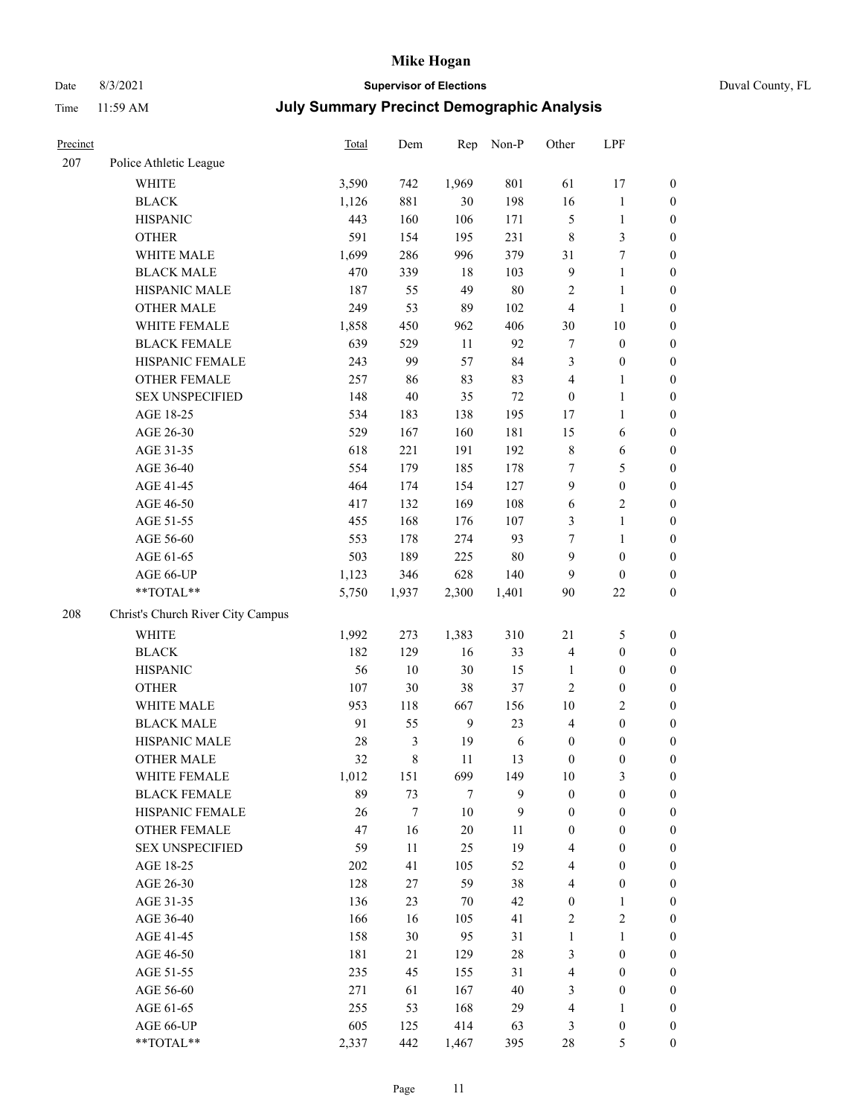# Date 8/3/2021 **Supervisor of Elections** Duval County, FL

| Precinct |                                   | Total | Dem    | Rep            | Non-P  | Other            | LPF              |                  |
|----------|-----------------------------------|-------|--------|----------------|--------|------------------|------------------|------------------|
| 207      | Police Athletic League            |       |        |                |        |                  |                  |                  |
|          | <b>WHITE</b>                      | 3,590 | 742    | 1,969          | 801    | 61               | 17               | $\boldsymbol{0}$ |
|          | <b>BLACK</b>                      | 1,126 | 881    | $30\,$         | 198    | 16               | $\mathbf{1}$     | $\boldsymbol{0}$ |
|          | <b>HISPANIC</b>                   | 443   | 160    | 106            | 171    | 5                | $\mathbf{1}$     | $\boldsymbol{0}$ |
|          | <b>OTHER</b>                      | 591   | 154    | 195            | 231    | 8                | $\mathfrak{Z}$   | $\boldsymbol{0}$ |
|          | WHITE MALE                        | 1,699 | 286    | 996            | 379    | 31               | $\boldsymbol{7}$ | $\boldsymbol{0}$ |
|          | <b>BLACK MALE</b>                 | 470   | 339    | 18             | 103    | $\overline{9}$   | $\mathbf{1}$     | $\boldsymbol{0}$ |
|          | HISPANIC MALE                     | 187   | 55     | 49             | $80\,$ | $\overline{c}$   | $\mathbf{1}$     | $\boldsymbol{0}$ |
|          | <b>OTHER MALE</b>                 | 249   | 53     | 89             | 102    | $\overline{4}$   | $\mathbf{1}$     | $\boldsymbol{0}$ |
|          | WHITE FEMALE                      | 1,858 | 450    | 962            | 406    | 30               | $10\,$           | 0                |
|          | <b>BLACK FEMALE</b>               | 639   | 529    | 11             | 92     | 7                | $\boldsymbol{0}$ | 0                |
|          | HISPANIC FEMALE                   | 243   | 99     | 57             | 84     | 3                | $\boldsymbol{0}$ | $\boldsymbol{0}$ |
|          | OTHER FEMALE                      | 257   | 86     | 83             | 83     | 4                | $\mathbf{1}$     | $\boldsymbol{0}$ |
|          | <b>SEX UNSPECIFIED</b>            | 148   | 40     | 35             | $72\,$ | $\boldsymbol{0}$ | $\mathbf{1}$     | $\boldsymbol{0}$ |
|          | AGE 18-25                         | 534   | 183    | 138            | 195    | 17               | $\mathbf{1}$     | $\boldsymbol{0}$ |
|          | AGE 26-30                         | 529   | 167    | 160            | 181    | 15               | 6                | $\boldsymbol{0}$ |
|          | AGE 31-35                         | 618   | 221    | 191            | 192    | $\,$ 8 $\,$      | $\sqrt{6}$       | $\boldsymbol{0}$ |
|          | AGE 36-40                         | 554   | 179    | 185            | 178    | 7                | 5                | $\boldsymbol{0}$ |
|          | AGE 41-45                         | 464   | 174    | 154            | 127    | $\boldsymbol{9}$ | $\boldsymbol{0}$ | $\boldsymbol{0}$ |
|          | AGE 46-50                         | 417   | 132    | 169            | 108    | 6                | $\sqrt{2}$       | $\boldsymbol{0}$ |
|          | AGE 51-55                         | 455   | 168    | 176            | 107    | 3                | $\mathbf{1}$     | 0                |
|          | AGE 56-60                         | 553   | 178    | 274            | 93     | 7                | $\mathbf{1}$     | $\boldsymbol{0}$ |
|          | AGE 61-65                         | 503   | 189    | 225            | 80     | 9                | $\boldsymbol{0}$ | $\boldsymbol{0}$ |
|          | AGE 66-UP                         | 1,123 | 346    | 628            | 140    | 9                | $\boldsymbol{0}$ | $\boldsymbol{0}$ |
|          | $**TOTAL**$                       | 5,750 | 1,937  | 2,300          | 1,401  | 90               | $22\,$           | $\boldsymbol{0}$ |
| 208      | Christ's Church River City Campus |       |        |                |        |                  |                  |                  |
|          | <b>WHITE</b>                      | 1,992 | 273    | 1,383          | 310    | $21\,$           | $\mathfrak{S}$   | $\boldsymbol{0}$ |
|          | <b>BLACK</b>                      | 182   | 129    | 16             | 33     | $\overline{4}$   | $\boldsymbol{0}$ | $\boldsymbol{0}$ |
|          | <b>HISPANIC</b>                   | 56    | $10\,$ | $30\,$         | 15     | $\mathbf{1}$     | $\boldsymbol{0}$ | $\boldsymbol{0}$ |
|          | <b>OTHER</b>                      | 107   | 30     | 38             | 37     | $\mathbf{2}$     | $\boldsymbol{0}$ | $\boldsymbol{0}$ |
|          | WHITE MALE                        | 953   | 118    | 667            | 156    | $10\,$           | $\sqrt{2}$       | $\boldsymbol{0}$ |
|          | <b>BLACK MALE</b>                 | 91    | 55     | 9              | 23     | $\overline{4}$   | $\boldsymbol{0}$ | $\boldsymbol{0}$ |
|          | HISPANIC MALE                     | 28    | 3      | 19             | 6      | $\boldsymbol{0}$ | $\boldsymbol{0}$ | 0                |
|          | <b>OTHER MALE</b>                 | 32    | 8      | 11             | 13     | $\boldsymbol{0}$ | $\boldsymbol{0}$ | $\boldsymbol{0}$ |
|          | WHITE FEMALE                      | 1,012 | 151    | 699            | 149    | $10\,$           | $\mathfrak{Z}$   | $\boldsymbol{0}$ |
|          | <b>BLACK FEMALE</b>               | 89    | 73     | $\overline{7}$ | 9      | $\boldsymbol{0}$ | $\boldsymbol{0}$ | $\overline{0}$   |
|          | HISPANIC FEMALE                   | 26    | 7      | $10\,$         | 9      | $\boldsymbol{0}$ | $\boldsymbol{0}$ | $\overline{0}$   |
|          | <b>OTHER FEMALE</b>               | 47    | 16     | $20\,$         | 11     | $\boldsymbol{0}$ | $\boldsymbol{0}$ | 0                |
|          | <b>SEX UNSPECIFIED</b>            | 59    | 11     | 25             | 19     | 4                | $\boldsymbol{0}$ | $\overline{0}$   |
|          | AGE 18-25                         | 202   | 41     | 105            | 52     | 4                | $\boldsymbol{0}$ | 0                |
|          | AGE 26-30                         | 128   | 27     | 59             | 38     | 4                | $\boldsymbol{0}$ | 0                |
|          | AGE 31-35                         | 136   | 23     | 70             | 42     | $\boldsymbol{0}$ | $\mathbf{1}$     | 0                |
|          | AGE 36-40                         | 166   | 16     | 105            | 41     | $\sqrt{2}$       | $\sqrt{2}$       | 0                |
|          | AGE 41-45                         | 158   | 30     | 95             | 31     | $\mathbf{1}$     | $\mathbf{1}$     | 0                |
|          | AGE 46-50                         | 181   | 21     | 129            | $28\,$ | 3                | $\boldsymbol{0}$ | 0                |
|          | AGE 51-55                         | 235   | 45     | 155            | 31     | 4                | $\boldsymbol{0}$ | $\boldsymbol{0}$ |
|          | AGE 56-60                         | 271   | 61     | 167            | 40     | 3                | $\boldsymbol{0}$ | $\overline{0}$   |
|          | AGE 61-65                         | 255   | 53     | 168            | 29     | $\overline{4}$   | $\mathbf{1}$     | 0                |
|          | AGE 66-UP                         | 605   | 125    | 414            | 63     | 3                | $\boldsymbol{0}$ | 0                |
|          | **TOTAL**                         | 2,337 | 442    | 1,467          | 395    | $28\,$           | 5                | $\boldsymbol{0}$ |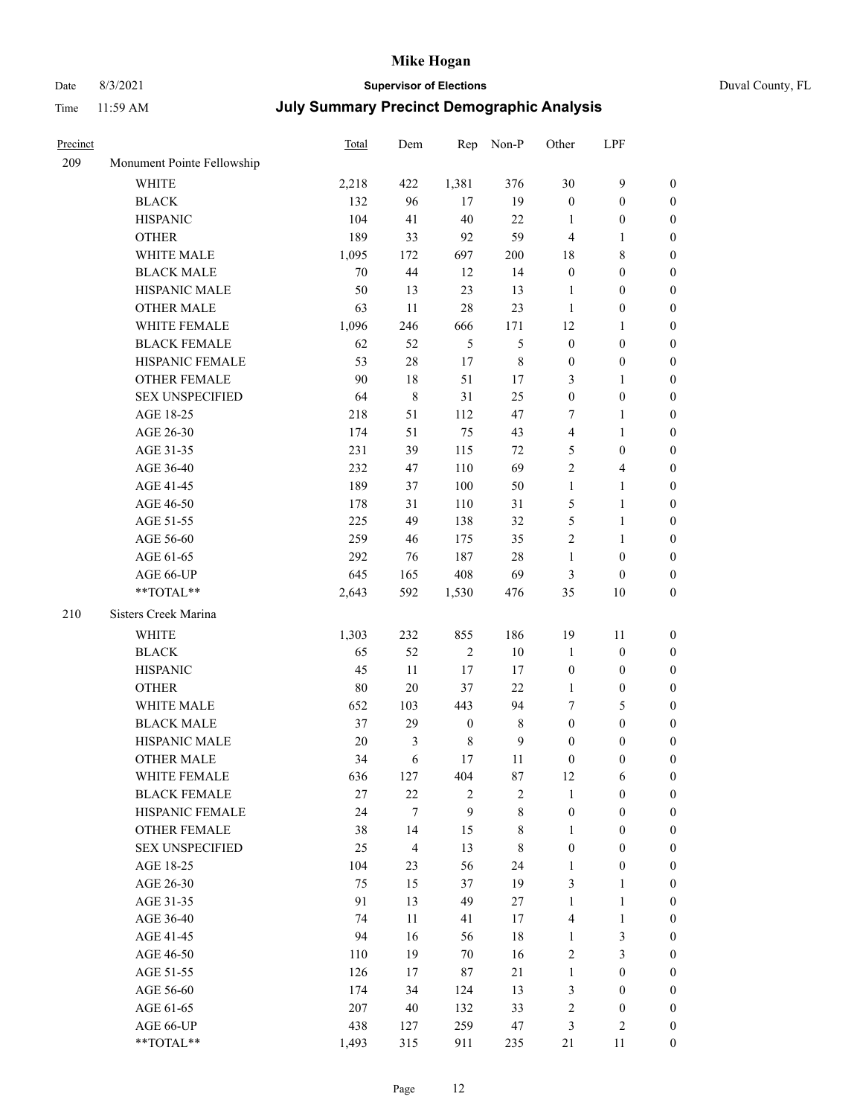# Date 8/3/2021 **Supervisor of Elections** Duval County, FL

| Precinct |                            | <b>Total</b> | Dem            | Rep              | Non-P          | Other                   | LPF                     |                  |
|----------|----------------------------|--------------|----------------|------------------|----------------|-------------------------|-------------------------|------------------|
| 209      | Monument Pointe Fellowship |              |                |                  |                |                         |                         |                  |
|          | <b>WHITE</b>               | 2,218        | 422            | 1,381            | 376            | 30                      | $\mathbf{9}$            | $\boldsymbol{0}$ |
|          | <b>BLACK</b>               | 132          | 96             | 17               | 19             | $\boldsymbol{0}$        | $\boldsymbol{0}$        | $\boldsymbol{0}$ |
|          | <b>HISPANIC</b>            | 104          | 41             | 40               | 22             | 1                       | $\boldsymbol{0}$        | $\boldsymbol{0}$ |
|          | <b>OTHER</b>               | 189          | 33             | 92               | 59             | 4                       | 1                       | $\boldsymbol{0}$ |
|          | WHITE MALE                 | 1,095        | 172            | 697              | 200            | 18                      | $\,8\,$                 | $\boldsymbol{0}$ |
|          | <b>BLACK MALE</b>          | 70           | 44             | 12               | 14             | $\boldsymbol{0}$        | $\boldsymbol{0}$        | $\boldsymbol{0}$ |
|          | HISPANIC MALE              | 50           | 13             | 23               | 13             | $\mathbf{1}$            | $\boldsymbol{0}$        | $\boldsymbol{0}$ |
|          | <b>OTHER MALE</b>          | 63           | 11             | 28               | 23             | $\mathbf{1}$            | $\boldsymbol{0}$        | $\boldsymbol{0}$ |
|          | WHITE FEMALE               | 1,096        | 246            | 666              | 171            | 12                      | 1                       | $\boldsymbol{0}$ |
|          | <b>BLACK FEMALE</b>        | 62           | 52             | $\mathfrak{H}$   | 5              | $\boldsymbol{0}$        | $\boldsymbol{0}$        | 0                |
|          | HISPANIC FEMALE            | 53           | $28\,$         | $17\,$           | $\,$ 8 $\,$    | $\boldsymbol{0}$        | $\boldsymbol{0}$        | $\boldsymbol{0}$ |
|          | OTHER FEMALE               | 90           | $18\,$         | 51               | 17             | 3                       | $\mathbf{1}$            | $\boldsymbol{0}$ |
|          | <b>SEX UNSPECIFIED</b>     | 64           | $\,$ 8 $\,$    | 31               | 25             | $\boldsymbol{0}$        | $\boldsymbol{0}$        | $\boldsymbol{0}$ |
|          | AGE 18-25                  | 218          | 51             | 112              | 47             | 7                       | $\mathbf{1}$            | $\boldsymbol{0}$ |
|          | AGE 26-30                  | 174          | 51             | 75               | 43             | $\overline{\mathbf{4}}$ | $\mathbf{1}$            | $\boldsymbol{0}$ |
|          | AGE 31-35                  | 231          | 39             | 115              | 72             | 5                       | $\boldsymbol{0}$        | $\boldsymbol{0}$ |
|          | AGE 36-40                  | 232          | 47             | 110              | 69             | $\overline{c}$          | $\overline{\mathbf{4}}$ | $\boldsymbol{0}$ |
|          | AGE 41-45                  | 189          | 37             | 100              | 50             | $\mathbf{1}$            | $\mathbf{1}$            | $\boldsymbol{0}$ |
|          | AGE 46-50                  | 178          | 31             | 110              | 31             | 5                       | $\mathbf{1}$            | $\boldsymbol{0}$ |
|          | AGE 51-55                  | 225          | 49             | 138              | 32             | 5                       | $\mathbf{1}$            | 0                |
|          | AGE 56-60                  | 259          | 46             | 175              | 35             | $\mathbf{2}$            | $\mathbf{1}$            | 0                |
|          | AGE 61-65                  | 292          | 76             | 187              | $28\,$         | $\mathbf{1}$            | $\boldsymbol{0}$        | $\boldsymbol{0}$ |
|          | AGE 66-UP                  | 645          | 165            | 408              | 69             | 3                       | $\boldsymbol{0}$        | $\boldsymbol{0}$ |
|          | **TOTAL**                  | 2,643        | 592            | 1,530            | 476            | 35                      | $10\,$                  | $\boldsymbol{0}$ |
| 210      | Sisters Creek Marina       |              |                |                  |                |                         |                         |                  |
|          | WHITE                      | 1,303        | 232            | 855              | 186            | 19                      | 11                      | $\boldsymbol{0}$ |
|          | <b>BLACK</b>               | 65           | 52             | $\sqrt{2}$       | $10\,$         | $\mathbf{1}$            | $\boldsymbol{0}$        | $\boldsymbol{0}$ |
|          | <b>HISPANIC</b>            | 45           | 11             | 17               | 17             | $\boldsymbol{0}$        | $\boldsymbol{0}$        | $\boldsymbol{0}$ |
|          | <b>OTHER</b>               | 80           | $20\,$         | 37               | $22\,$         | $\mathbf{1}$            | $\boldsymbol{0}$        | $\boldsymbol{0}$ |
|          | WHITE MALE                 | 652          | 103            | 443              | 94             | 7                       | $\mathfrak{S}$          | $\boldsymbol{0}$ |
|          | <b>BLACK MALE</b>          | 37           | 29             | $\boldsymbol{0}$ | $\,8\,$        | $\boldsymbol{0}$        | $\boldsymbol{0}$        | $\boldsymbol{0}$ |
|          | HISPANIC MALE              | 20           | 3              | $\,$ 8 $\,$      | $\overline{9}$ | $\boldsymbol{0}$        | $\boldsymbol{0}$        | 0                |
|          | <b>OTHER MALE</b>          | 34           | 6              | 17               | 11             | $\boldsymbol{0}$        | $\boldsymbol{0}$        | $\boldsymbol{0}$ |
|          | WHITE FEMALE               | 636          | 127            | 404              | $87\,$         | 12                      | 6                       | $\overline{0}$   |
|          | <b>BLACK FEMALE</b>        | $27\,$       | $22\,$         | $\mathbf{2}$     | $\sqrt{2}$     | $\mathbf{1}$            | $\boldsymbol{0}$        | $\overline{0}$   |
|          | HISPANIC FEMALE            | 24           | $\tau$         | 9                | $\,8\,$        | $\boldsymbol{0}$        | $\boldsymbol{0}$        | $\overline{0}$   |
|          | <b>OTHER FEMALE</b>        | 38           | 14             | 15               | $8\,$          | $\mathbf{1}$            | $\boldsymbol{0}$        | $\overline{0}$   |
|          | <b>SEX UNSPECIFIED</b>     | 25           | $\overline{4}$ | 13               | $\,8\,$        | $\boldsymbol{0}$        | $\boldsymbol{0}$        | 0                |
|          | AGE 18-25                  | 104          | 23             | 56               | 24             | $\mathbf{1}$            | $\boldsymbol{0}$        | 0                |
|          | AGE 26-30                  | 75           | 15             | 37               | 19             | 3                       | $\mathbf{1}$            | 0                |
|          | AGE 31-35                  | 91           | 13             | 49               | 27             | $\mathbf{1}$            | $\mathbf{1}$            | 0                |
|          | AGE 36-40                  | 74           | 11             | 41               | 17             | $\overline{4}$          | $\mathbf{1}$            | 0                |
|          | AGE 41-45                  | 94           | 16             | 56               | 18             | $\mathbf{1}$            | $\mathfrak{Z}$          | 0                |
|          | AGE 46-50                  | 110          | 19             | 70               | 16             | $\mathbf{2}$            | $\mathfrak{Z}$          | $\overline{0}$   |
|          | AGE 51-55                  | 126          | 17             | 87               | 21             | $\mathbf{1}$            | $\boldsymbol{0}$        | $\overline{0}$   |
|          | AGE 56-60                  | 174          | 34             | 124              | 13             | 3                       | $\boldsymbol{0}$        | $\boldsymbol{0}$ |
|          | AGE 61-65                  | 207          | $40\,$         | 132              | 33             | 2                       | $\boldsymbol{0}$        | 0                |
|          | AGE 66-UP                  | 438          | 127            | 259              | 47             | 3                       | $\sqrt{2}$              | 0                |
|          | **TOTAL**                  | 1,493        | 315            | 911              | 235            | 21                      | 11                      | $\boldsymbol{0}$ |
|          |                            |              |                |                  |                |                         |                         |                  |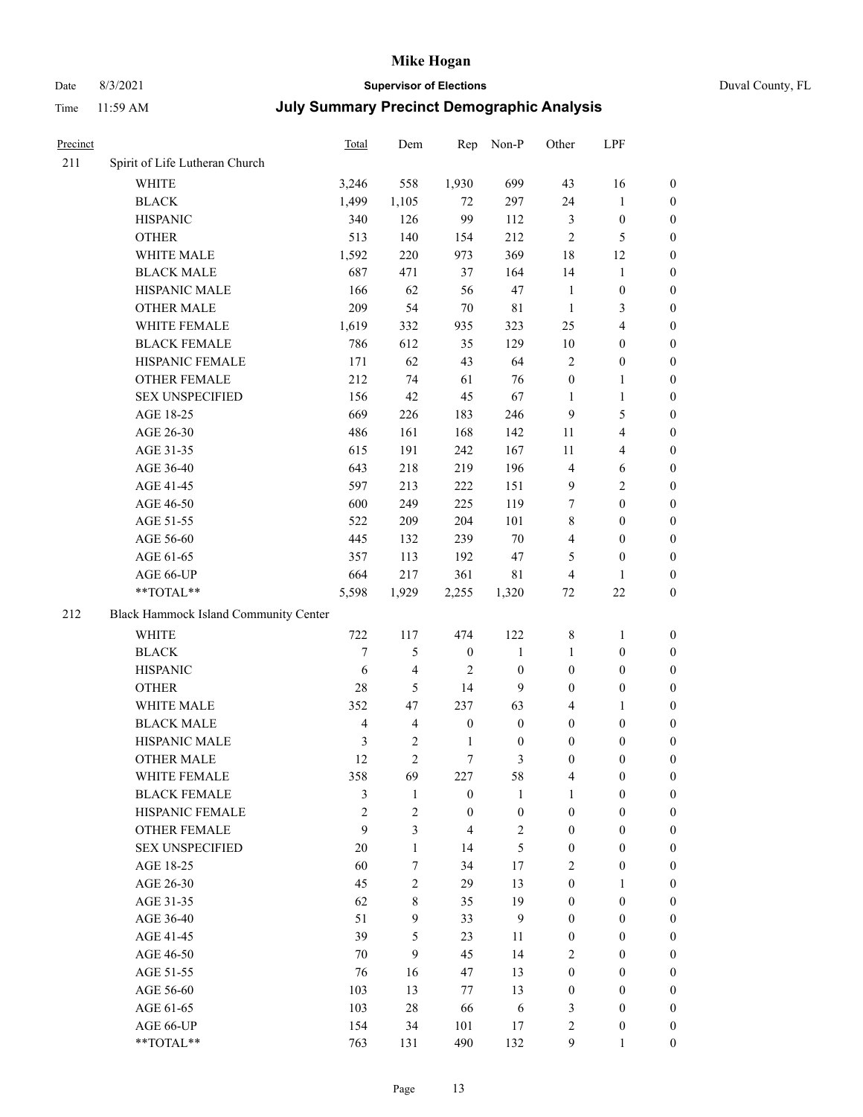# Date 8/3/2021 **Supervisor of Elections** Duval County, FL

| Precinct |                                       | <b>Total</b>   | Dem            | Rep              | Non-P            | Other            | LPF                     |                  |
|----------|---------------------------------------|----------------|----------------|------------------|------------------|------------------|-------------------------|------------------|
| 211      | Spirit of Life Lutheran Church        |                |                |                  |                  |                  |                         |                  |
|          | <b>WHITE</b>                          | 3,246          | 558            | 1,930            | 699              | 43               | 16                      | 0                |
|          | <b>BLACK</b>                          | 1,499          | 1,105          | 72               | 297              | 24               | $\mathbf{1}$            | $\boldsymbol{0}$ |
|          | <b>HISPANIC</b>                       | 340            | 126            | 99               | 112              | 3                | $\boldsymbol{0}$        | $\boldsymbol{0}$ |
|          | <b>OTHER</b>                          | 513            | 140            | 154              | 212              | $\mathbf{2}$     | $\mathfrak{S}$          | $\boldsymbol{0}$ |
|          | WHITE MALE                            | 1,592          | 220            | 973              | 369              | 18               | 12                      | $\boldsymbol{0}$ |
|          | <b>BLACK MALE</b>                     | 687            | 471            | 37               | 164              | 14               | $\mathbf{1}$            | $\boldsymbol{0}$ |
|          | HISPANIC MALE                         | 166            | 62             | 56               | 47               | $\mathbf{1}$     | $\boldsymbol{0}$        | $\boldsymbol{0}$ |
|          | <b>OTHER MALE</b>                     | 209            | 54             | $70\,$           | $8\sqrt{1}$      | $\mathbf{1}$     | $\mathfrak{Z}$          | $\boldsymbol{0}$ |
|          | WHITE FEMALE                          | 1,619          | 332            | 935              | 323              | 25               | $\overline{4}$          | $\boldsymbol{0}$ |
|          | <b>BLACK FEMALE</b>                   | 786            | 612            | 35               | 129              | $10\,$           | $\boldsymbol{0}$        | 0                |
|          | HISPANIC FEMALE                       | 171            | 62             | 43               | 64               | $\mathbf{2}$     | $\boldsymbol{0}$        | $\boldsymbol{0}$ |
|          | OTHER FEMALE                          | 212            | 74             | 61               | 76               | $\boldsymbol{0}$ | $\mathbf{1}$            | $\boldsymbol{0}$ |
|          | <b>SEX UNSPECIFIED</b>                | 156            | 42             | 45               | 67               | 1                | $\mathbf{1}$            | $\boldsymbol{0}$ |
|          | AGE 18-25                             | 669            | 226            | 183              | 246              | 9                | $\mathfrak s$           | $\boldsymbol{0}$ |
|          | AGE 26-30                             | 486            | 161            | 168              | 142              | 11               | $\overline{4}$          | $\boldsymbol{0}$ |
|          | AGE 31-35                             | 615            | 191            | 242              | 167              | 11               | $\overline{\mathbf{4}}$ | $\boldsymbol{0}$ |
|          | AGE 36-40                             | 643            | 218            | 219              | 196              | $\overline{4}$   | $\sqrt{6}$              | $\boldsymbol{0}$ |
|          | AGE 41-45                             | 597            | 213            | 222              | 151              | $\mathbf{9}$     | $\overline{2}$          | $\boldsymbol{0}$ |
|          | AGE 46-50                             | 600            | 249            | 225              | 119              | 7                | $\boldsymbol{0}$        | $\boldsymbol{0}$ |
|          | AGE 51-55                             | 522            | 209            | 204              | 101              | 8                | $\boldsymbol{0}$        | 0                |
|          | AGE 56-60                             | 445            | 132            | 239              | 70               | 4                | $\boldsymbol{0}$        | $\boldsymbol{0}$ |
|          | AGE 61-65                             | 357            | 113            | 192              | 47               | 5                | $\boldsymbol{0}$        | $\boldsymbol{0}$ |
|          | AGE 66-UP                             | 664            | 217            | 361              | 81               | 4                | $\mathbf{1}$            | $\boldsymbol{0}$ |
|          | **TOTAL**                             | 5,598          | 1,929          | 2,255            | 1,320            | 72               | $22\,$                  | $\boldsymbol{0}$ |
| 212      | Black Hammock Island Community Center |                |                |                  |                  |                  |                         |                  |
|          | <b>WHITE</b>                          | 722            | 117            | 474              | 122              | $\,$ 8 $\,$      | $\mathbf{1}$            | $\boldsymbol{0}$ |
|          | <b>BLACK</b>                          | $\overline{7}$ | 5              | $\boldsymbol{0}$ | $\mathbf{1}$     | $\mathbf{1}$     | $\boldsymbol{0}$        | $\boldsymbol{0}$ |
|          | <b>HISPANIC</b>                       | 6              | $\overline{4}$ | $\overline{2}$   | $\boldsymbol{0}$ | $\boldsymbol{0}$ | $\boldsymbol{0}$        | $\boldsymbol{0}$ |
|          | <b>OTHER</b>                          | 28             | 5              | 14               | 9                | $\boldsymbol{0}$ | $\boldsymbol{0}$        | $\boldsymbol{0}$ |
|          | WHITE MALE                            | 352            | 47             | 237              | 63               | 4                | 1                       | $\boldsymbol{0}$ |
|          | <b>BLACK MALE</b>                     | $\overline{4}$ | $\overline{4}$ | $\boldsymbol{0}$ | $\boldsymbol{0}$ | $\boldsymbol{0}$ | $\boldsymbol{0}$        | $\boldsymbol{0}$ |
|          | HISPANIC MALE                         | 3              | $\overline{c}$ | $\mathbf{1}$     | $\boldsymbol{0}$ | $\boldsymbol{0}$ | $\boldsymbol{0}$        | 0                |
|          | <b>OTHER MALE</b>                     | 12             | $\overline{c}$ | 7                | 3                | $\boldsymbol{0}$ | $\boldsymbol{0}$        | $\boldsymbol{0}$ |
|          | WHITE FEMALE                          | 358            | 69             | 227              | 58               | 4                | $\boldsymbol{0}$        | $\overline{0}$   |
|          | <b>BLACK FEMALE</b>                   | 3              | $\mathbf{1}$   | $\boldsymbol{0}$ | $\mathbf{1}$     | $\mathbf{1}$     | $\boldsymbol{0}$        | $\overline{0}$   |
|          | HISPANIC FEMALE                       | $\overline{c}$ | $\overline{c}$ | $\boldsymbol{0}$ | $\boldsymbol{0}$ | $\boldsymbol{0}$ | $\boldsymbol{0}$        | $\overline{0}$   |
|          | <b>OTHER FEMALE</b>                   | 9              | 3              | $\overline{4}$   | $\sqrt{2}$       | $\boldsymbol{0}$ | $\boldsymbol{0}$        | $\overline{0}$   |
|          | <b>SEX UNSPECIFIED</b>                | 20             | $\mathbf{1}$   | 14               | 5                | $\boldsymbol{0}$ | $\boldsymbol{0}$        | $\overline{0}$   |
|          | AGE 18-25                             | 60             | $\tau$         | 34               | 17               | 2                | $\boldsymbol{0}$        | $\theta$         |
|          | AGE 26-30                             | 45             | $\overline{c}$ | 29               | 13               | $\boldsymbol{0}$ | $\mathbf{1}$            | 0                |
|          | AGE 31-35                             | 62             | 8              | 35               | 19               | $\boldsymbol{0}$ | $\boldsymbol{0}$        | 0                |
|          | AGE 36-40                             | 51             | 9              | 33               | 9                | $\boldsymbol{0}$ | $\boldsymbol{0}$        | 0                |
|          | AGE 41-45                             | 39             | 5              | 23               | 11               | $\boldsymbol{0}$ | $\boldsymbol{0}$        | 0                |
|          | AGE 46-50                             | 70             | 9              | 45               | 14               | 2                | $\boldsymbol{0}$        | $\overline{0}$   |
|          | AGE 51-55                             | 76             | 16             | 47               | 13               | $\boldsymbol{0}$ | $\boldsymbol{0}$        | $\overline{0}$   |
|          | AGE 56-60                             | 103            | 13             | 77               | 13               | $\boldsymbol{0}$ | $\boldsymbol{0}$        | $\overline{0}$   |
|          | AGE 61-65                             | 103            | $28\,$         | 66               | $\sqrt{6}$       | 3                | $\boldsymbol{0}$        | 0                |
|          | AGE 66-UP                             | 154            | 34             | 101              | 17               | 2                | $\boldsymbol{0}$        | 0                |
|          | **TOTAL**                             | 763            | 131            | 490              | 132              | 9                | $\mathbf{1}$            | $\boldsymbol{0}$ |
|          |                                       |                |                |                  |                  |                  |                         |                  |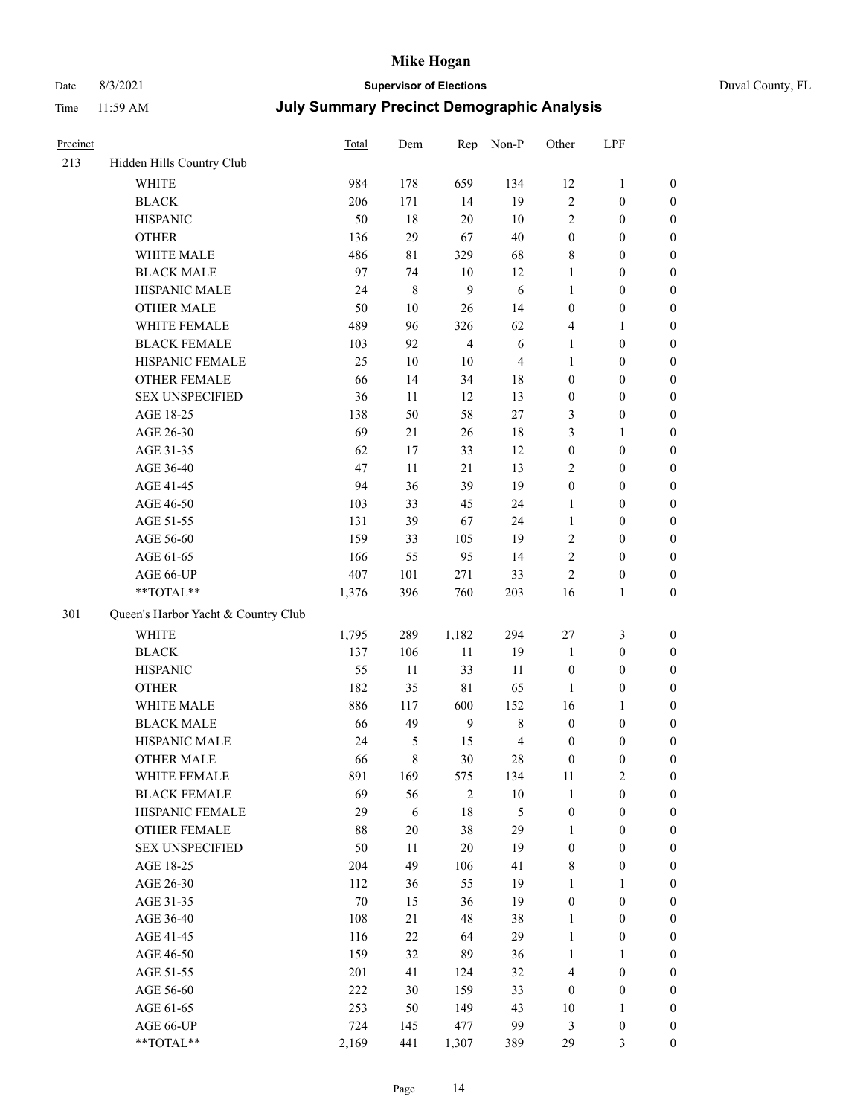# Date 8/3/2021 **Supervisor of Elections** Duval County, FL

| Precinct |                                     | Total | Dem       | Rep            | Non-P          | Other            | LPF              |                  |
|----------|-------------------------------------|-------|-----------|----------------|----------------|------------------|------------------|------------------|
| 213      | Hidden Hills Country Club           |       |           |                |                |                  |                  |                  |
|          | <b>WHITE</b>                        | 984   | 178       | 659            | 134            | 12               | $\mathbf{1}$     | 0                |
|          | <b>BLACK</b>                        | 206   | 171       | 14             | 19             | $\overline{c}$   | $\boldsymbol{0}$ | $\boldsymbol{0}$ |
|          | <b>HISPANIC</b>                     | 50    | $18\,$    | 20             | 10             | 2                | $\boldsymbol{0}$ | $\boldsymbol{0}$ |
|          | <b>OTHER</b>                        | 136   | 29        | 67             | 40             | $\boldsymbol{0}$ | $\boldsymbol{0}$ | $\boldsymbol{0}$ |
|          | WHITE MALE                          | 486   | 81        | 329            | 68             | 8                | $\boldsymbol{0}$ | $\boldsymbol{0}$ |
|          | <b>BLACK MALE</b>                   | 97    | 74        | 10             | 12             | $\mathbf{1}$     | $\boldsymbol{0}$ | $\boldsymbol{0}$ |
|          | HISPANIC MALE                       | 24    | $\,$ $\,$ | 9              | 6              | 1                | $\boldsymbol{0}$ | $\boldsymbol{0}$ |
|          | <b>OTHER MALE</b>                   | 50    | $10\,$    | 26             | 14             | $\boldsymbol{0}$ | $\boldsymbol{0}$ | $\boldsymbol{0}$ |
|          | WHITE FEMALE                        | 489   | 96        | 326            | 62             | 4                | 1                | $\boldsymbol{0}$ |
|          | <b>BLACK FEMALE</b>                 | 103   | 92        | $\overline{4}$ | $\sqrt{6}$     | $\mathbf{1}$     | $\boldsymbol{0}$ | $\boldsymbol{0}$ |
|          | HISPANIC FEMALE                     | 25    | 10        | 10             | $\overline{4}$ | $\mathbf{1}$     | $\boldsymbol{0}$ | 0                |
|          | <b>OTHER FEMALE</b>                 | 66    | 14        | 34             | 18             | $\boldsymbol{0}$ | $\boldsymbol{0}$ | $\boldsymbol{0}$ |
|          | <b>SEX UNSPECIFIED</b>              | 36    | 11        | 12             | 13             | $\boldsymbol{0}$ | $\boldsymbol{0}$ | $\boldsymbol{0}$ |
|          | AGE 18-25                           | 138   | 50        | 58             | $27\,$         | 3                | $\boldsymbol{0}$ | $\boldsymbol{0}$ |
|          | AGE 26-30                           | 69    | 21        | 26             | 18             | 3                | $\mathbf{1}$     | $\boldsymbol{0}$ |
|          | AGE 31-35                           | 62    | 17        | 33             | 12             | $\boldsymbol{0}$ | $\boldsymbol{0}$ | $\boldsymbol{0}$ |
|          | AGE 36-40                           | 47    | 11        | 21             | 13             | 2                | $\boldsymbol{0}$ | $\boldsymbol{0}$ |
|          | AGE 41-45                           | 94    | 36        | 39             | 19             | $\boldsymbol{0}$ | $\boldsymbol{0}$ | $\boldsymbol{0}$ |
|          | AGE 46-50                           | 103   | 33        | 45             | 24             | $\mathbf{1}$     | $\boldsymbol{0}$ | $\boldsymbol{0}$ |
|          | AGE 51-55                           | 131   | 39        | 67             | 24             | $\mathbf{1}$     | $\boldsymbol{0}$ | $\boldsymbol{0}$ |
|          | AGE 56-60                           | 159   | 33        | 105            | 19             | 2                | $\boldsymbol{0}$ | 0                |
|          | AGE 61-65                           | 166   | 55        | 95             | 14             | $\mathbf{2}$     | $\boldsymbol{0}$ | $\boldsymbol{0}$ |
|          | AGE 66-UP                           | 407   | 101       | 271            | 33             | $\overline{2}$   | $\boldsymbol{0}$ | $\boldsymbol{0}$ |
|          | **TOTAL**                           | 1,376 | 396       | 760            | 203            | 16               | $\mathbf{1}$     | $\boldsymbol{0}$ |
| 301      | Queen's Harbor Yacht & Country Club |       |           |                |                |                  |                  |                  |
|          | <b>WHITE</b>                        | 1,795 | 289       | 1,182          | 294            | 27               | $\mathfrak{Z}$   | $\boldsymbol{0}$ |
|          | <b>BLACK</b>                        | 137   | 106       | 11             | 19             | $\mathbf{1}$     | $\boldsymbol{0}$ | $\boldsymbol{0}$ |
|          | <b>HISPANIC</b>                     | 55    | 11        | 33             | 11             | $\boldsymbol{0}$ | $\boldsymbol{0}$ | $\boldsymbol{0}$ |
|          | <b>OTHER</b>                        | 182   | 35        | $8\sqrt{1}$    | 65             | $\mathbf{1}$     | $\boldsymbol{0}$ | $\boldsymbol{0}$ |
|          | WHITE MALE                          | 886   | 117       | 600            | 152            | 16               | $\mathbf{1}$     | $\boldsymbol{0}$ |
|          | <b>BLACK MALE</b>                   | 66    | 49        | $\overline{9}$ | $8\,$          | $\boldsymbol{0}$ | $\boldsymbol{0}$ | $\boldsymbol{0}$ |
|          | HISPANIC MALE                       | 24    | 5         | 15             | $\overline{4}$ | $\boldsymbol{0}$ | $\boldsymbol{0}$ | $\boldsymbol{0}$ |
|          | OTHER MALE                          | 66    | 8         | 30             | $28\,$         | $\boldsymbol{0}$ | $\boldsymbol{0}$ | $\boldsymbol{0}$ |
|          | WHITE FEMALE                        | 891   | 169       | 575            | 134            | 11               | 2                | 0                |
|          | <b>BLACK FEMALE</b>                 | 69    | 56        | 2              | $10\,$         | $\mathbf{1}$     | $\boldsymbol{0}$ | $\boldsymbol{0}$ |
|          | HISPANIC FEMALE                     | 29    | 6         | 18             | 5              | $\boldsymbol{0}$ | $\boldsymbol{0}$ | $\overline{0}$   |
|          | OTHER FEMALE                        | 88    | $20\,$    | 38             | 29             | $\mathbf{1}$     | $\boldsymbol{0}$ | $\overline{0}$   |
|          | <b>SEX UNSPECIFIED</b>              | 50    | 11        | 20             | 19             | $\boldsymbol{0}$ | $\boldsymbol{0}$ | 0                |
|          | AGE 18-25                           | 204   | 49        | 106            | 41             | 8                | $\boldsymbol{0}$ | $\theta$         |
|          | AGE 26-30                           | 112   | 36        | 55             | 19             | $\mathbf{1}$     | $\mathbf{1}$     | 0                |
|          | AGE 31-35                           | 70    | 15        | 36             | 19             | $\boldsymbol{0}$ | $\boldsymbol{0}$ | 0                |
|          | AGE 36-40                           | 108   | 21        | 48             | 38             | $\mathbf{1}$     | $\boldsymbol{0}$ | 0                |
|          | AGE 41-45                           | 116   | $22\,$    | 64             | 29             | $\mathbf{1}$     | $\boldsymbol{0}$ | 0                |
|          | AGE 46-50                           | 159   | 32        | 89             | 36             | $\mathbf{1}$     | 1                | 0                |
|          | AGE 51-55                           | 201   | 41        | 124            | 32             | 4                | $\boldsymbol{0}$ | 0                |
|          | AGE 56-60                           | 222   | 30        | 159            | 33             | $\boldsymbol{0}$ | $\boldsymbol{0}$ | $\overline{0}$   |
|          | AGE 61-65                           | 253   | 50        | 149            | 43             | 10               | 1                | $\boldsymbol{0}$ |
|          | AGE 66-UP                           | 724   | 145       | 477            | 99             | 3                | $\boldsymbol{0}$ | 0                |
|          | **TOTAL**                           | 2,169 | 441       | 1,307          | 389            | 29               | $\mathfrak{Z}$   | $\boldsymbol{0}$ |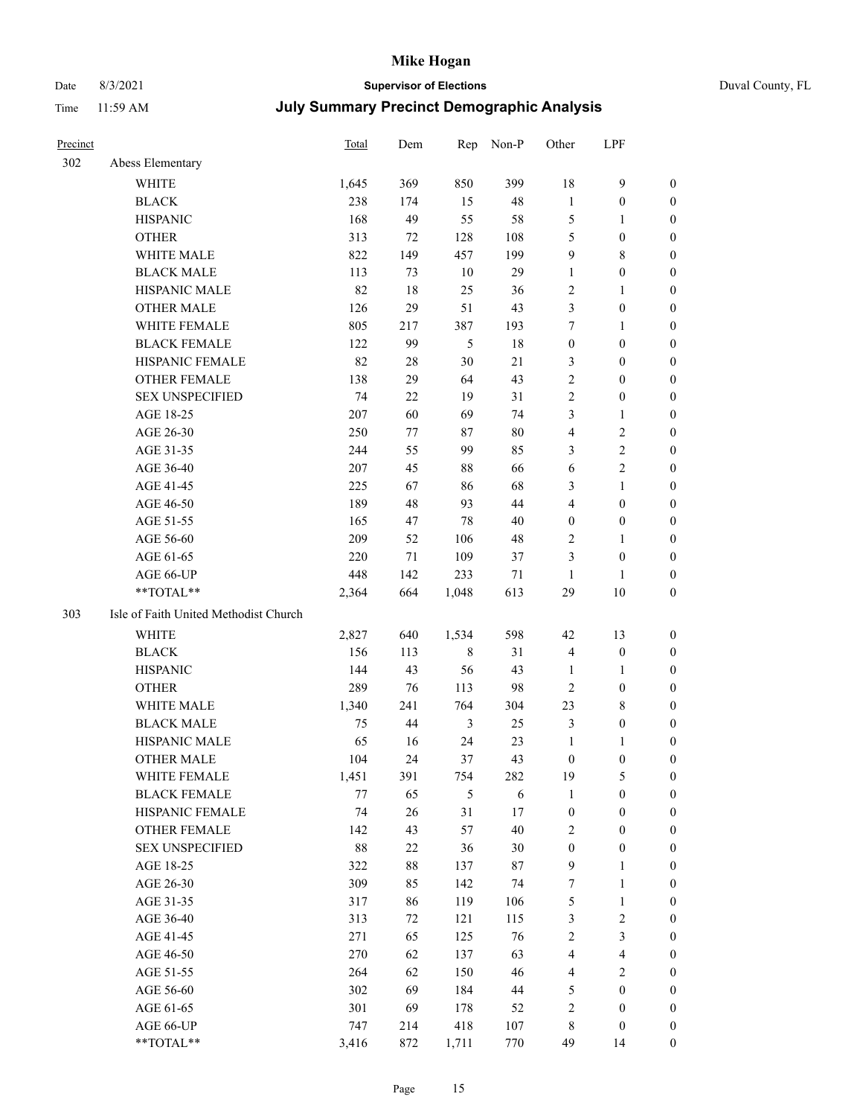# Date 8/3/2021 **Supervisor of Elections** Duval County, FL

| Precinct |                                       | <b>Total</b> | Dem    | Rep         | Non-P | Other            | LPF                     |                  |
|----------|---------------------------------------|--------------|--------|-------------|-------|------------------|-------------------------|------------------|
| 302      | Abess Elementary                      |              |        |             |       |                  |                         |                  |
|          | <b>WHITE</b>                          | 1,645        | 369    | 850         | 399   | 18               | $\mathbf{9}$            | 0                |
|          | <b>BLACK</b>                          | 238          | 174    | 15          | 48    | $\mathbf{1}$     | $\boldsymbol{0}$        | 0                |
|          | <b>HISPANIC</b>                       | 168          | 49     | 55          | 58    | 5                | $\mathbf{1}$            | 0                |
|          | <b>OTHER</b>                          | 313          | 72     | 128         | 108   | 5                | $\boldsymbol{0}$        | $\boldsymbol{0}$ |
|          | WHITE MALE                            | 822          | 149    | 457         | 199   | 9                | $8\,$                   | $\boldsymbol{0}$ |
|          | <b>BLACK MALE</b>                     | 113          | 73     | 10          | 29    | $\mathbf{1}$     | $\boldsymbol{0}$        | $\boldsymbol{0}$ |
|          | HISPANIC MALE                         | 82           | 18     | 25          | 36    | 2                | $\mathbf{1}$            | $\boldsymbol{0}$ |
|          | <b>OTHER MALE</b>                     | 126          | 29     | 51          | 43    | 3                | $\boldsymbol{0}$        | $\boldsymbol{0}$ |
|          | WHITE FEMALE                          | 805          | 217    | 387         | 193   | 7                | $\mathbf{1}$            | $\boldsymbol{0}$ |
|          | <b>BLACK FEMALE</b>                   | 122          | 99     | 5           | 18    | $\boldsymbol{0}$ | $\boldsymbol{0}$        | 0                |
|          | HISPANIC FEMALE                       | 82           | 28     | 30          | 21    | 3                | $\boldsymbol{0}$        | 0                |
|          | <b>OTHER FEMALE</b>                   | 138          | 29     | 64          | 43    | $\mathbf{2}$     | $\boldsymbol{0}$        | $\boldsymbol{0}$ |
|          | <b>SEX UNSPECIFIED</b>                | 74           | 22     | 19          | 31    | $\sqrt{2}$       | $\boldsymbol{0}$        | $\boldsymbol{0}$ |
|          | AGE 18-25                             | 207          | 60     | 69          | 74    | 3                | $\mathbf{1}$            | $\boldsymbol{0}$ |
|          | AGE 26-30                             | 250          | 77     | 87          | 80    | 4                | $\sqrt{2}$              | $\boldsymbol{0}$ |
|          | AGE 31-35                             | 244          | 55     | 99          | 85    | 3                | $\sqrt{2}$              | $\boldsymbol{0}$ |
|          | AGE 36-40                             | 207          | 45     | $88\,$      | 66    | 6                | $\sqrt{2}$              | $\boldsymbol{0}$ |
|          | AGE 41-45                             | 225          | 67     | 86          | 68    | 3                | $\mathbf{1}$            | $\boldsymbol{0}$ |
|          | AGE 46-50                             | 189          | 48     | 93          | 44    | 4                | $\boldsymbol{0}$        | $\boldsymbol{0}$ |
|          | AGE 51-55                             | 165          | 47     | 78          | 40    | $\boldsymbol{0}$ | $\boldsymbol{0}$        | 0                |
|          | AGE 56-60                             | 209          | 52     | 106         | 48    | 2                | $\mathbf{1}$            | 0                |
|          | AGE 61-65                             | 220          | 71     | 109         | 37    | 3                | $\boldsymbol{0}$        | 0                |
|          | AGE 66-UP                             | 448          | 142    | 233         | 71    | $\mathbf{1}$     | 1                       | $\boldsymbol{0}$ |
|          | $**TOTAL**$                           | 2,364        | 664    | 1,048       | 613   | 29               | $10\,$                  | $\boldsymbol{0}$ |
| 303      | Isle of Faith United Methodist Church |              |        |             |       |                  |                         |                  |
|          |                                       |              |        |             |       |                  |                         |                  |
|          | <b>WHITE</b>                          | 2,827        | 640    | 1,534       | 598   | 42               | 13                      | $\boldsymbol{0}$ |
|          | <b>BLACK</b>                          | 156          | 113    | $\,$ 8 $\,$ | 31    | $\overline{4}$   | $\boldsymbol{0}$        | $\boldsymbol{0}$ |
|          | <b>HISPANIC</b>                       | 144          | 43     | 56          | 43    | $\mathbf{1}$     | $\mathbf{1}$            | $\boldsymbol{0}$ |
|          | <b>OTHER</b>                          | 289          | 76     | 113         | 98    | $\overline{c}$   | $\boldsymbol{0}$        | $\boldsymbol{0}$ |
|          | WHITE MALE                            | 1,340        | 241    | 764         | 304   | 23               | $8\,$                   | $\boldsymbol{0}$ |
|          | <b>BLACK MALE</b>                     | 75           | 44     | 3           | 25    | 3                | $\boldsymbol{0}$        | $\boldsymbol{0}$ |
|          | HISPANIC MALE                         | 65           | 16     | 24          | 23    | $\mathbf{1}$     | 1                       | 0                |
|          | <b>OTHER MALE</b>                     | 104          | 24     | 37          | 43    | $\boldsymbol{0}$ | $\boldsymbol{0}$        | 0                |
|          | WHITE FEMALE                          | 1,451        | 391    | 754         | 282   | 19               | 5                       | 0                |
|          | <b>BLACK FEMALE</b>                   | 77           | 65     | 5           | 6     | $\mathbf{1}$     | $\boldsymbol{0}$        | $\boldsymbol{0}$ |
|          | HISPANIC FEMALE                       | 74           | 26     | 31          | 17    | $\boldsymbol{0}$ | $\boldsymbol{0}$        | $\overline{0}$   |
|          | <b>OTHER FEMALE</b>                   | 142          | 43     | 57          | 40    | 2                | $\boldsymbol{0}$        | $\overline{0}$   |
|          | <b>SEX UNSPECIFIED</b>                | 88           | $22\,$ | 36          | 30    | $\boldsymbol{0}$ | $\boldsymbol{0}$        | 0                |
|          | AGE 18-25                             | 322          | 88     | 137         | 87    | 9                | $\mathbf{1}$            | $\overline{0}$   |
|          | AGE 26-30                             | 309          | 85     | 142         | 74    | 7                | $\mathbf{1}$            | $\overline{0}$   |
|          | AGE 31-35                             | 317          | 86     | 119         | 106   | 5                | $\mathbf{1}$            | 0                |
|          | AGE 36-40                             | 313          | 72     | 121         | 115   | 3                | $\sqrt{2}$              | 0                |
|          | AGE 41-45                             | 271          | 65     | 125         | 76    | $\mathbf{2}$     | $\mathfrak{Z}$          | 0                |
|          | AGE 46-50                             | 270          | 62     | 137         | 63    | 4                | $\overline{\mathbf{4}}$ | 0                |
|          | AGE 51-55                             | 264          | 62     | 150         | 46    | 4                | $\overline{2}$          | $\overline{0}$   |
|          | AGE 56-60                             | 302          | 69     | 184         | 44    | 5                | $\boldsymbol{0}$        | $\overline{0}$   |
|          | AGE 61-65                             | 301          | 69     | 178         | 52    | $\overline{c}$   | $\boldsymbol{0}$        | $\overline{0}$   |
|          | AGE 66-UP                             | 747          | 214    | 418         | 107   | 8                | $\boldsymbol{0}$        | $\boldsymbol{0}$ |
|          | **TOTAL**                             | 3,416        | 872    | 1,711       | 770   | 49               | 14                      | $\boldsymbol{0}$ |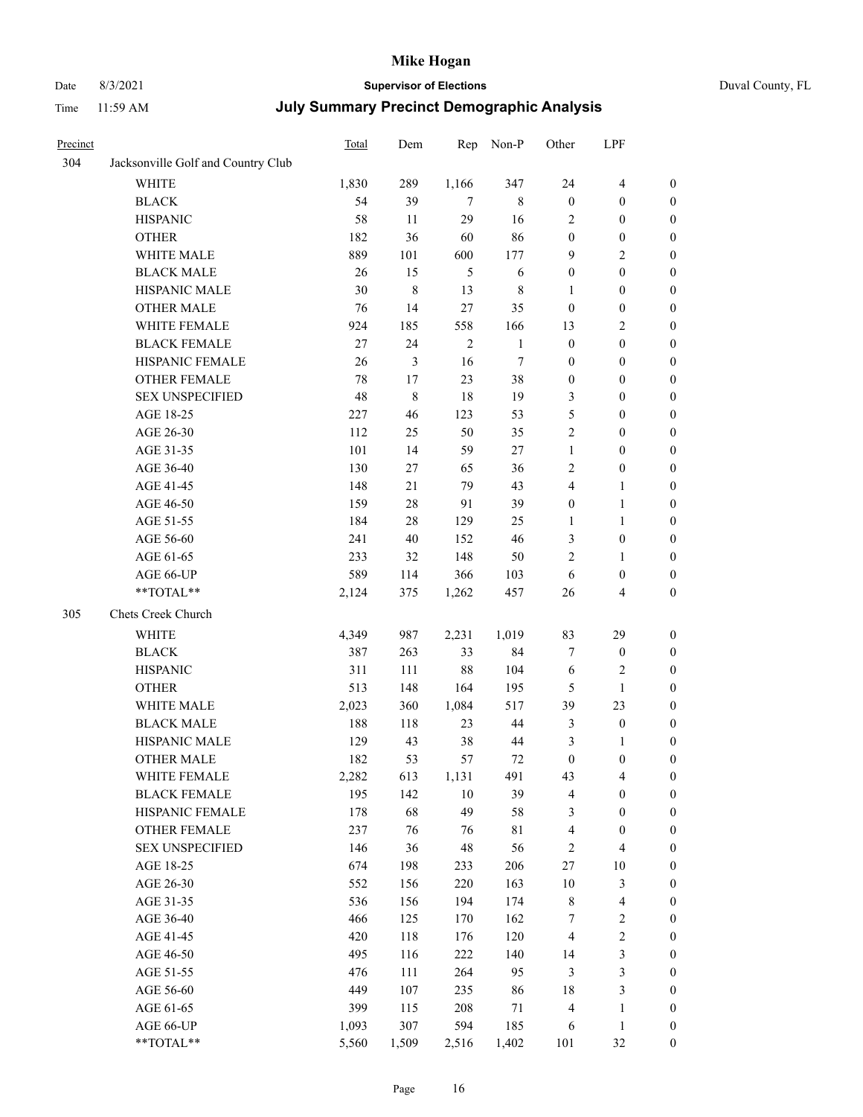# Date 8/3/2021 **Supervisor of Elections** Duval County, FL

| Precinct |                                    | Total | Dem         | Rep            | Non-P        | Other            | LPF                     |                  |
|----------|------------------------------------|-------|-------------|----------------|--------------|------------------|-------------------------|------------------|
| 304      | Jacksonville Golf and Country Club |       |             |                |              |                  |                         |                  |
|          | <b>WHITE</b>                       | 1,830 | 289         | 1,166          | 347          | 24               | $\overline{\mathbf{4}}$ | $\boldsymbol{0}$ |
|          | <b>BLACK</b>                       | 54    | 39          | 7              | $\,$ 8 $\,$  | $\boldsymbol{0}$ | $\boldsymbol{0}$        | $\boldsymbol{0}$ |
|          | <b>HISPANIC</b>                    | 58    | 11          | 29             | 16           | 2                | $\boldsymbol{0}$        | $\boldsymbol{0}$ |
|          | <b>OTHER</b>                       | 182   | 36          | 60             | 86           | $\boldsymbol{0}$ | $\boldsymbol{0}$        | $\boldsymbol{0}$ |
|          | WHITE MALE                         | 889   | 101         | 600            | 177          | 9                | $\sqrt{2}$              | $\boldsymbol{0}$ |
|          | <b>BLACK MALE</b>                  | 26    | 15          | $\mathfrak s$  | 6            | $\boldsymbol{0}$ | $\boldsymbol{0}$        | $\boldsymbol{0}$ |
|          | HISPANIC MALE                      | 30    | $\,$ 8 $\,$ | 13             | $\,$ 8 $\,$  | $\mathbf{1}$     | $\boldsymbol{0}$        | $\boldsymbol{0}$ |
|          | <b>OTHER MALE</b>                  | 76    | 14          | 27             | 35           | $\boldsymbol{0}$ | $\boldsymbol{0}$        | $\boldsymbol{0}$ |
|          | WHITE FEMALE                       | 924   | 185         | 558            | 166          | 13               | $\sqrt{2}$              | 0                |
|          | <b>BLACK FEMALE</b>                | 27    | 24          | $\overline{2}$ | $\mathbf{1}$ | $\boldsymbol{0}$ | $\boldsymbol{0}$        | 0                |
|          | HISPANIC FEMALE                    | 26    | 3           | 16             | $\tau$       | $\boldsymbol{0}$ | $\boldsymbol{0}$        | $\boldsymbol{0}$ |
|          | OTHER FEMALE                       | 78    | $17\,$      | 23             | 38           | $\boldsymbol{0}$ | $\boldsymbol{0}$        | $\boldsymbol{0}$ |
|          | <b>SEX UNSPECIFIED</b>             | 48    | $\,$ $\,$   | 18             | 19           | 3                | $\boldsymbol{0}$        | $\boldsymbol{0}$ |
|          | AGE 18-25                          | 227   | 46          | 123            | 53           | 5                | $\boldsymbol{0}$        | $\boldsymbol{0}$ |
|          | AGE 26-30                          | 112   | 25          | 50             | 35           | $\sqrt{2}$       | $\boldsymbol{0}$        | $\boldsymbol{0}$ |
|          | AGE 31-35                          | 101   | 14          | 59             | 27           | $\mathbf{1}$     | $\boldsymbol{0}$        | $\boldsymbol{0}$ |
|          | AGE 36-40                          | 130   | 27          | 65             | 36           | 2                | $\boldsymbol{0}$        | $\boldsymbol{0}$ |
|          | AGE 41-45                          | 148   | 21          | 79             | 43           | 4                | $\mathbf{1}$            | $\boldsymbol{0}$ |
|          | AGE 46-50                          | 159   | $28\,$      | 91             | 39           | $\boldsymbol{0}$ | $\mathbf{1}$            | 0                |
|          | AGE 51-55                          | 184   | 28          | 129            | 25           | 1                | $\mathbf{1}$            | 0                |
|          | AGE 56-60                          | 241   | $40\,$      | 152            | 46           | 3                | $\boldsymbol{0}$        | $\boldsymbol{0}$ |
|          | AGE 61-65                          | 233   | 32          | 148            | 50           | $\mathfrak{2}$   | $\mathbf{1}$            | $\boldsymbol{0}$ |
|          | AGE 66-UP                          | 589   | 114         | 366            | 103          | 6                | $\boldsymbol{0}$        | $\boldsymbol{0}$ |
|          | **TOTAL**                          | 2,124 | 375         | 1,262          | 457          | 26               | $\overline{\mathbf{4}}$ | $\boldsymbol{0}$ |
| 305      | Chets Creek Church                 |       |             |                |              |                  |                         |                  |
|          | WHITE                              | 4,349 | 987         | 2,231          | 1,019        | 83               | 29                      | $\boldsymbol{0}$ |
|          | <b>BLACK</b>                       | 387   | 263         | 33             | 84           | 7                | $\boldsymbol{0}$        | $\boldsymbol{0}$ |
|          | <b>HISPANIC</b>                    | 311   | 111         | 88             | 104          | 6                | $\sqrt{2}$              | $\boldsymbol{0}$ |
|          | <b>OTHER</b>                       | 513   | 148         | 164            | 195          | 5                | $\mathbf{1}$            | $\boldsymbol{0}$ |
|          | WHITE MALE                         | 2,023 | 360         | 1,084          | 517          | 39               | 23                      | $\boldsymbol{0}$ |
|          | <b>BLACK MALE</b>                  | 188   | 118         | 23             | 44           | 3                | $\boldsymbol{0}$        | $\boldsymbol{0}$ |
|          | HISPANIC MALE                      | 129   | 43          | 38             | 44           | 3                | 1                       | 0                |
|          | <b>OTHER MALE</b>                  | 182   | 53          | 57             | 72           | $\boldsymbol{0}$ | $\boldsymbol{0}$        | $\boldsymbol{0}$ |
|          | WHITE FEMALE                       | 2,282 | 613         | 1,131          | 491          | 43               | $\overline{\mathbf{4}}$ | $\boldsymbol{0}$ |
|          | <b>BLACK FEMALE</b>                | 195   | 142         | 10             | 39           | 4                | $\boldsymbol{0}$        | $\boldsymbol{0}$ |
|          | HISPANIC FEMALE                    | 178   | 68          | 49             | 58           | 3                | $\boldsymbol{0}$        | $\overline{0}$   |
|          | <b>OTHER FEMALE</b>                | 237   | 76          | 76             | 81           | 4                | $\boldsymbol{0}$        | $\overline{0}$   |
|          | <b>SEX UNSPECIFIED</b>             | 146   | 36          | 48             | 56           | 2                | $\overline{\mathbf{4}}$ | $\overline{0}$   |
|          | AGE 18-25                          | 674   | 198         | 233            | 206          | 27               | $10\,$                  | 0                |
|          | AGE 26-30                          | 552   | 156         | 220            | 163          | $10\,$           | $\mathfrak{Z}$          | 0                |
|          | AGE 31-35                          | 536   | 156         | 194            | 174          | $\,$ 8 $\,$      | $\overline{\mathbf{4}}$ | 0                |
|          | AGE 36-40                          | 466   | 125         | 170            | 162          | 7                | $\boldsymbol{2}$        | 0                |
|          | AGE 41-45                          | 420   | 118         | 176            | 120          | $\overline{4}$   | $\sqrt{2}$              | 0                |
|          | AGE 46-50                          | 495   | 116         | 222            | 140          | 14               | $\mathfrak{Z}$          | $\boldsymbol{0}$ |
|          | AGE 51-55                          | 476   | 111         | 264            | 95           | $\mathfrak{Z}$   | $\mathfrak{Z}$          | $\boldsymbol{0}$ |
|          | AGE 56-60                          | 449   | 107         | 235            | 86           | 18               | $\mathfrak{Z}$          | $\boldsymbol{0}$ |
|          | AGE 61-65                          | 399   | 115         | 208            | 71           | 4                | $\mathbf{1}$            | 0                |
|          | AGE 66-UP                          | 1,093 | 307         | 594            | 185          | 6                | $\mathbf{1}$            | $\boldsymbol{0}$ |
|          | **TOTAL**                          | 5,560 | 1,509       | 2,516          | 1,402        | 101              | 32                      | $\boldsymbol{0}$ |
|          |                                    |       |             |                |              |                  |                         |                  |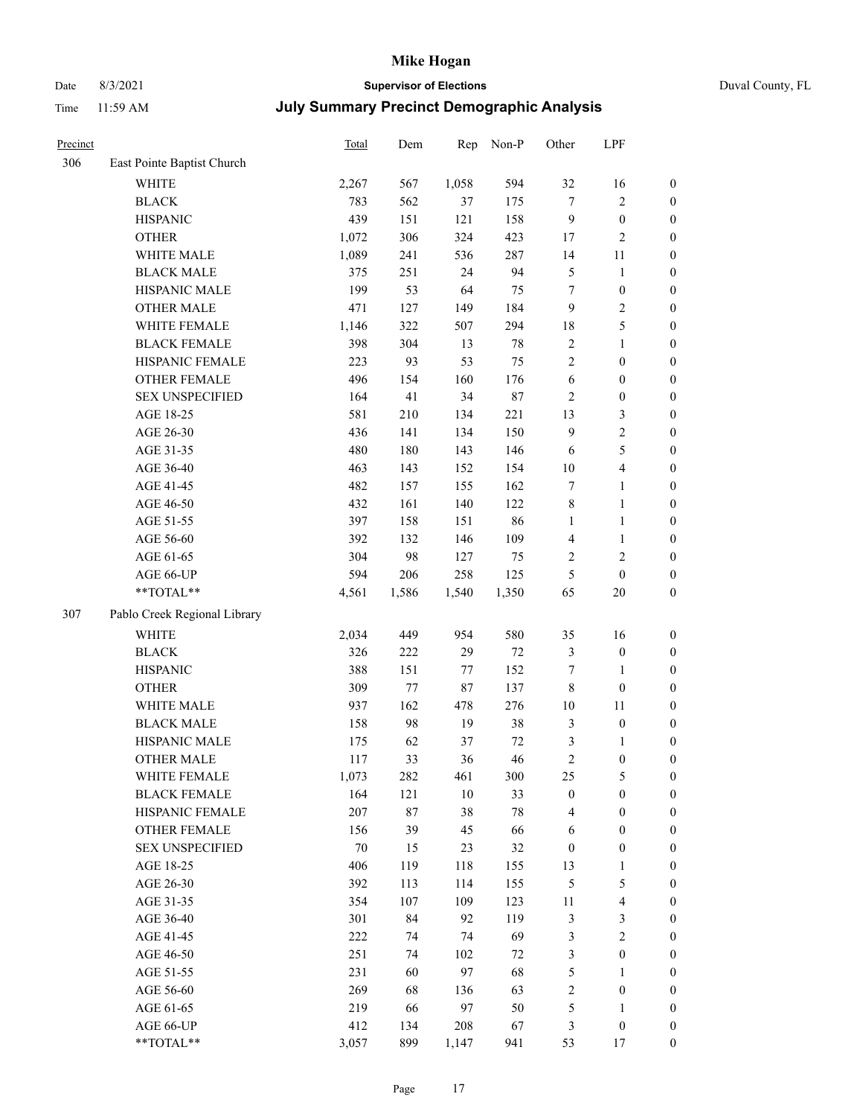# Date 8/3/2021 **Supervisor of Elections** Duval County, FL

| Precinct |                              | Total  | Dem   | Rep    | Non-P  | Other            | LPF                     |                  |
|----------|------------------------------|--------|-------|--------|--------|------------------|-------------------------|------------------|
| 306      | East Pointe Baptist Church   |        |       |        |        |                  |                         |                  |
|          | <b>WHITE</b>                 | 2,267  | 567   | 1,058  | 594    | 32               | 16                      | $\boldsymbol{0}$ |
|          | <b>BLACK</b>                 | 783    | 562   | 37     | 175    | 7                | $\sqrt{2}$              | $\boldsymbol{0}$ |
|          | <b>HISPANIC</b>              | 439    | 151   | 121    | 158    | $\overline{9}$   | $\boldsymbol{0}$        | $\boldsymbol{0}$ |
|          | <b>OTHER</b>                 | 1,072  | 306   | 324    | 423    | 17               | $\mathbf{2}$            | $\boldsymbol{0}$ |
|          | WHITE MALE                   | 1,089  | 241   | 536    | 287    | 14               | 11                      | $\boldsymbol{0}$ |
|          | <b>BLACK MALE</b>            | 375    | 251   | 24     | 94     | $\mathfrak{S}$   | $\mathbf{1}$            | $\boldsymbol{0}$ |
|          | HISPANIC MALE                | 199    | 53    | 64     | 75     | 7                | $\boldsymbol{0}$        | $\boldsymbol{0}$ |
|          | <b>OTHER MALE</b>            | 471    | 127   | 149    | 184    | $\overline{9}$   | $\sqrt{2}$              | 0                |
|          | WHITE FEMALE                 | 1,146  | 322   | 507    | 294    | 18               | $\mathfrak s$           | 0                |
|          | <b>BLACK FEMALE</b>          | 398    | 304   | 13     | $78\,$ | $\sqrt{2}$       | $\mathbf{1}$            | $\boldsymbol{0}$ |
|          | HISPANIC FEMALE              | 223    | 93    | 53     | 75     | $\sqrt{2}$       | $\boldsymbol{0}$        | $\boldsymbol{0}$ |
|          | OTHER FEMALE                 | 496    | 154   | 160    | 176    | 6                | $\boldsymbol{0}$        | $\boldsymbol{0}$ |
|          | <b>SEX UNSPECIFIED</b>       | 164    | 41    | 34     | 87     | 2                | $\boldsymbol{0}$        | $\boldsymbol{0}$ |
|          | AGE 18-25                    | 581    | 210   | 134    | 221    | 13               | $\mathfrak{Z}$          | $\boldsymbol{0}$ |
|          | AGE 26-30                    | 436    | 141   | 134    | 150    | $\mathbf{9}$     | $\sqrt{2}$              | $\boldsymbol{0}$ |
|          | AGE 31-35                    | 480    | 180   | 143    | 146    | 6                | $\mathfrak{S}$          | $\boldsymbol{0}$ |
|          | AGE 36-40                    | 463    | 143   | 152    | 154    | $10\,$           | $\overline{\mathbf{4}}$ | $\boldsymbol{0}$ |
|          | AGE 41-45                    | 482    | 157   | 155    | 162    | 7                | $\mathbf{1}$            | $\boldsymbol{0}$ |
|          | AGE 46-50                    | 432    | 161   | 140    | 122    | 8                | $\mathbf{1}$            | 0                |
|          | AGE 51-55                    | 397    | 158   | 151    | 86     | $\mathbf{1}$     | $\mathbf{1}$            | 0                |
|          | AGE 56-60                    | 392    | 132   | 146    | 109    | 4                | $\mathbf{1}$            | $\boldsymbol{0}$ |
|          | AGE 61-65                    | 304    | 98    | 127    | 75     | 2                | $\sqrt{2}$              | $\boldsymbol{0}$ |
|          | AGE 66-UP                    | 594    | 206   | 258    | 125    | 5                | $\boldsymbol{0}$        | $\boldsymbol{0}$ |
|          | $**TOTAL**$                  | 4,561  | 1,586 | 1,540  | 1,350  | 65               | $20\,$                  | $\boldsymbol{0}$ |
| 307      | Pablo Creek Regional Library |        |       |        |        |                  |                         |                  |
|          | <b>WHITE</b>                 | 2,034  | 449   | 954    | 580    | 35               | 16                      | $\boldsymbol{0}$ |
|          | <b>BLACK</b>                 | 326    | 222   | 29     | $72\,$ | $\mathfrak{Z}$   | $\boldsymbol{0}$        | $\boldsymbol{0}$ |
|          | <b>HISPANIC</b>              | 388    | 151   | 77     | 152    | 7                | $\mathbf{1}$            | $\boldsymbol{0}$ |
|          | <b>OTHER</b>                 | 309    | 77    | 87     | 137    | $\,$ 8 $\,$      | $\boldsymbol{0}$        | $\boldsymbol{0}$ |
|          | WHITE MALE                   | 937    | 162   | 478    | 276    | 10               | 11                      | $\boldsymbol{0}$ |
|          | <b>BLACK MALE</b>            | 158    | 98    | 19     | 38     | 3                | $\boldsymbol{0}$        | 0                |
|          | HISPANIC MALE                | 175    | 62    | 37     | $72\,$ | 3                | $\mathbf{1}$            | 0                |
|          | <b>OTHER MALE</b>            | 117    | 33    | 36     | 46     | $\sqrt{2}$       | $\boldsymbol{0}$        | $\boldsymbol{0}$ |
|          | WHITE FEMALE                 | 1,073  | 282   | 461    | 300    | 25               | $\mathfrak s$           | $\boldsymbol{0}$ |
|          | <b>BLACK FEMALE</b>          | 164    | 121   | $10\,$ | 33     | $\boldsymbol{0}$ | $\boldsymbol{0}$        | $\overline{0}$   |
|          | HISPANIC FEMALE              | 207    | 87    | 38     | 78     | 4                | $\boldsymbol{0}$        | $\overline{0}$   |
|          | <b>OTHER FEMALE</b>          | 156    | 39    | 45     | 66     | 6                | $\boldsymbol{0}$        | $\overline{0}$   |
|          | <b>SEX UNSPECIFIED</b>       | $70\,$ | 15    | 23     | 32     | $\boldsymbol{0}$ | $\boldsymbol{0}$        | $\overline{0}$   |
|          | AGE 18-25                    | 406    | 119   | 118    | 155    | 13               | $\mathbf{1}$            | 0                |
|          | AGE 26-30                    | 392    | 113   | 114    | 155    | 5                | $\mathfrak{S}$          | 0                |
|          | AGE 31-35                    | 354    | 107   | 109    | 123    | $11\,$           | $\overline{\mathbf{4}}$ | 0                |
|          | AGE 36-40                    | 301    | 84    | 92     | 119    | 3                | $\mathfrak{Z}$          | 0                |
|          | AGE 41-45                    | 222    | 74    | 74     | 69     | 3                | $\sqrt{2}$              | $\overline{0}$   |
|          | AGE 46-50                    | 251    | 74    | 102    | 72     | 3                | $\boldsymbol{0}$        | $\boldsymbol{0}$ |
|          | AGE 51-55                    | 231    | 60    | 97     | 68     | 5                | $\mathbf{1}$            | $\boldsymbol{0}$ |
|          | AGE 56-60                    | 269    | 68    | 136    | 63     | $\overline{c}$   | $\boldsymbol{0}$        | $\boldsymbol{0}$ |
|          | AGE 61-65                    | 219    | 66    | 97     | 50     | 5                | $\mathbf{1}$            | $\overline{0}$   |
|          | AGE 66-UP                    | 412    | 134   | 208    | 67     | 3                | $\boldsymbol{0}$        | $\overline{0}$   |
|          | **TOTAL**                    | 3,057  | 899   | 1,147  | 941    | 53               | 17                      | $\boldsymbol{0}$ |
|          |                              |        |       |        |        |                  |                         |                  |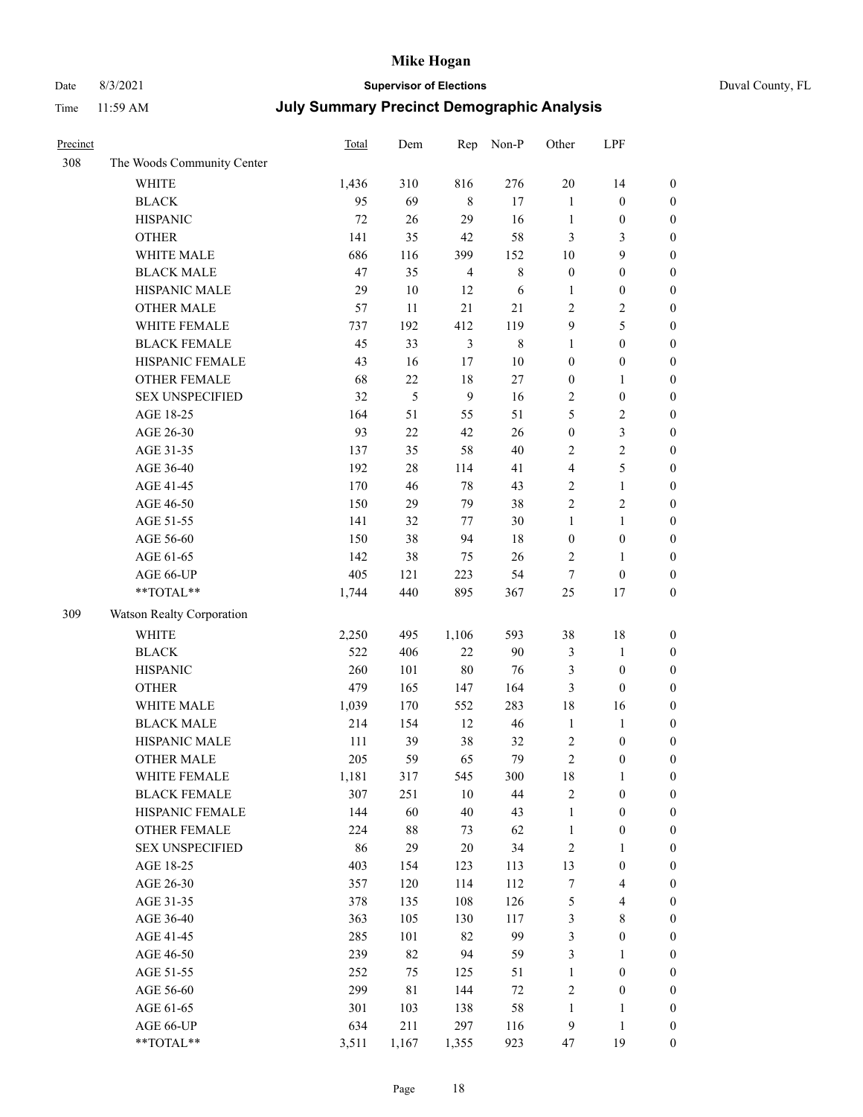# Date 8/3/2021 **Supervisor of Elections** Duval County, FL

| Precinct |                                     | Total        | Dem        | Rep            | Non-P       | Other                            | LPF                                  |                                      |
|----------|-------------------------------------|--------------|------------|----------------|-------------|----------------------------------|--------------------------------------|--------------------------------------|
| 308      | The Woods Community Center          |              |            |                |             |                                  |                                      |                                      |
|          | <b>WHITE</b>                        | 1,436        | 310        | 816            | 276         | 20                               | 14                                   | $\boldsymbol{0}$                     |
|          | <b>BLACK</b>                        | 95           | 69         | $\,8\,$        | 17          | $\mathbf{1}$                     | $\boldsymbol{0}$                     | $\boldsymbol{0}$                     |
|          | <b>HISPANIC</b>                     | 72           | 26         | 29             | 16          | $\mathbf{1}$                     | $\boldsymbol{0}$                     | $\boldsymbol{0}$                     |
|          | <b>OTHER</b>                        | 141          | 35         | $42\,$         | 58          | 3                                | 3                                    | $\boldsymbol{0}$                     |
|          | WHITE MALE                          | 686          | 116        | 399            | 152         | 10                               | 9                                    | $\boldsymbol{0}$                     |
|          | <b>BLACK MALE</b>                   | 47           | 35         | $\overline{4}$ | $\,$ 8 $\,$ | $\boldsymbol{0}$                 | $\boldsymbol{0}$                     | $\boldsymbol{0}$                     |
|          | HISPANIC MALE                       | 29           | $10\,$     | 12             | 6           | $\mathbf{1}$                     | $\boldsymbol{0}$                     | $\boldsymbol{0}$                     |
|          | <b>OTHER MALE</b>                   | 57           | 11         | 21             | 21          | $\mathbf{2}$                     | $\overline{2}$                       | $\boldsymbol{0}$                     |
|          | WHITE FEMALE                        | 737          | 192        | 412            | 119         | 9                                | 5                                    | $\boldsymbol{0}$                     |
|          | <b>BLACK FEMALE</b>                 | 45           | 33         | $\mathfrak{Z}$ | $\,$ 8 $\,$ | $\mathbf{1}$                     | $\boldsymbol{0}$                     | $\boldsymbol{0}$                     |
|          | HISPANIC FEMALE                     | 43           | 16         | 17             | $10\,$      | $\boldsymbol{0}$                 | $\boldsymbol{0}$                     | 0                                    |
|          | <b>OTHER FEMALE</b>                 | 68           | 22         | $18\,$         | 27          | $\boldsymbol{0}$                 | $\mathbf{1}$                         | $\boldsymbol{0}$                     |
|          | <b>SEX UNSPECIFIED</b>              | 32           | 5          | 9              | 16          | $\sqrt{2}$                       | $\boldsymbol{0}$                     | $\boldsymbol{0}$                     |
|          | AGE 18-25                           | 164          | 51         | 55             | 51          | 5                                | $\sqrt{2}$                           | $\boldsymbol{0}$                     |
|          | AGE 26-30                           | 93           | 22         | 42             | 26          | $\boldsymbol{0}$                 | $\mathfrak{Z}$                       | $\boldsymbol{0}$                     |
|          | AGE 31-35                           | 137          | 35         | 58             | 40          | $\sqrt{2}$                       | $\sqrt{2}$                           | $\boldsymbol{0}$                     |
|          | AGE 36-40                           | 192          | 28         | 114            | 41          | 4                                | $\mathfrak s$                        | $\boldsymbol{0}$                     |
|          | AGE 41-45                           | 170          | 46         | $78\,$         | 43          | $\mathfrak{2}$                   | $\mathbf{1}$                         | $\boldsymbol{0}$                     |
|          | AGE 46-50                           | 150          | 29         | 79             | 38          | $\overline{c}$                   | $\overline{c}$                       | $\boldsymbol{0}$                     |
|          | AGE 51-55                           | 141          | 32         | 77             | 30          | $\mathbf{1}$                     | $\mathbf{1}$                         | $\boldsymbol{0}$                     |
|          | AGE 56-60                           | 150          | 38         | 94             | 18          | $\boldsymbol{0}$                 | $\boldsymbol{0}$                     | 0                                    |
|          | AGE 61-65                           | 142          | 38         | 75             | 26          | $\overline{2}$                   | $\mathbf{1}$                         | 0                                    |
|          | AGE 66-UP                           | 405          | 121        | 223            | 54          | $\tau$                           | $\boldsymbol{0}$                     | $\boldsymbol{0}$                     |
|          | $**TOTAL**$                         | 1,744        | 440        | 895            | 367         | 25                               | 17                                   | $\boldsymbol{0}$                     |
| 309      | Watson Realty Corporation           |              |            |                |             |                                  |                                      |                                      |
|          | <b>WHITE</b>                        | 2,250        | 495        | 1,106          | 593         | 38                               | $18\,$                               | $\boldsymbol{0}$                     |
|          | <b>BLACK</b>                        | 522          | 406        | $22\,$         | 90          |                                  | $\mathbf{1}$                         | $\boldsymbol{0}$                     |
|          | <b>HISPANIC</b>                     | 260          | 101        | $80\,$         | 76          | 3<br>3                           | $\boldsymbol{0}$                     | $\boldsymbol{0}$                     |
|          | <b>OTHER</b>                        | 479          |            | 147            | 164         |                                  | $\boldsymbol{0}$                     |                                      |
|          | WHITE MALE                          |              | 165        |                | 283         | 3<br>18                          | 16                                   | $\boldsymbol{0}$                     |
|          | <b>BLACK MALE</b>                   | 1,039<br>214 | 170<br>154 | 552<br>12      | 46          | $\mathbf{1}$                     | $\mathbf{1}$                         | $\boldsymbol{0}$<br>$\boldsymbol{0}$ |
|          | HISPANIC MALE                       | 111          | 39         | 38             | 32          |                                  |                                      |                                      |
|          | <b>OTHER MALE</b>                   | 205          | 59         | 65             | 79          | $\overline{c}$<br>$\overline{c}$ | $\boldsymbol{0}$<br>$\boldsymbol{0}$ | $\boldsymbol{0}$<br>$\boldsymbol{0}$ |
|          |                                     |              | 317        |                |             |                                  | 1                                    | 0                                    |
|          | WHITE FEMALE<br><b>BLACK FEMALE</b> | 1,181<br>307 | 251        | 545<br>10      | 300<br>44   | 18<br>$\sqrt{2}$                 |                                      | $\boldsymbol{0}$                     |
|          | HISPANIC FEMALE                     | 144          | 60         | 40             | 43          | $\mathbf{1}$                     | $\boldsymbol{0}$<br>$\boldsymbol{0}$ | $\overline{0}$                       |
|          | <b>OTHER FEMALE</b>                 | 224          | 88         | 73             | 62          | $\mathbf{1}$                     | $\boldsymbol{0}$                     | $\overline{0}$                       |
|          | <b>SEX UNSPECIFIED</b>              | 86           | 29         | 20             | 34          | $\sqrt{2}$                       | $\mathbf{1}$                         | 0                                    |
|          | AGE 18-25                           | 403          | 154        | 123            | 113         | 13                               | $\boldsymbol{0}$                     | $\overline{0}$                       |
|          | AGE 26-30                           | 357          | 120        | 114            | 112         | 7                                | $\overline{\mathbf{4}}$              | 0                                    |
|          | AGE 31-35                           | 378          | 135        | 108            | 126         | 5                                | $\overline{\mathbf{4}}$              | 0                                    |
|          | AGE 36-40                           | 363          | 105        | 130            | 117         | 3                                | $8\,$                                | 0                                    |
|          | AGE 41-45                           | 285          | 101        | 82             | 99          | 3                                | $\boldsymbol{0}$                     | 0                                    |
|          | AGE 46-50                           | 239          | 82         | 94             | 59          | 3                                | $\mathbf{1}$                         | 0                                    |
|          | AGE 51-55                           | 252          | 75         | 125            | 51          | $\mathbf{1}$                     | $\boldsymbol{0}$                     | $\boldsymbol{0}$                     |
|          | AGE 56-60                           | 299          | 81         | 144            | $72\,$      | 2                                | $\boldsymbol{0}$                     | $\boldsymbol{0}$                     |
|          | AGE 61-65                           | 301          | 103        | 138            | 58          | $\mathbf{1}$                     | 1                                    | $\boldsymbol{0}$                     |
|          | AGE 66-UP                           | 634          | 211        | 297            | 116         | $\overline{9}$                   | $\mathbf{1}$                         | $\boldsymbol{0}$                     |
|          | **TOTAL**                           | 3,511        | 1,167      | 1,355          | 923         | 47                               | 19                                   | $\boldsymbol{0}$                     |
|          |                                     |              |            |                |             |                                  |                                      |                                      |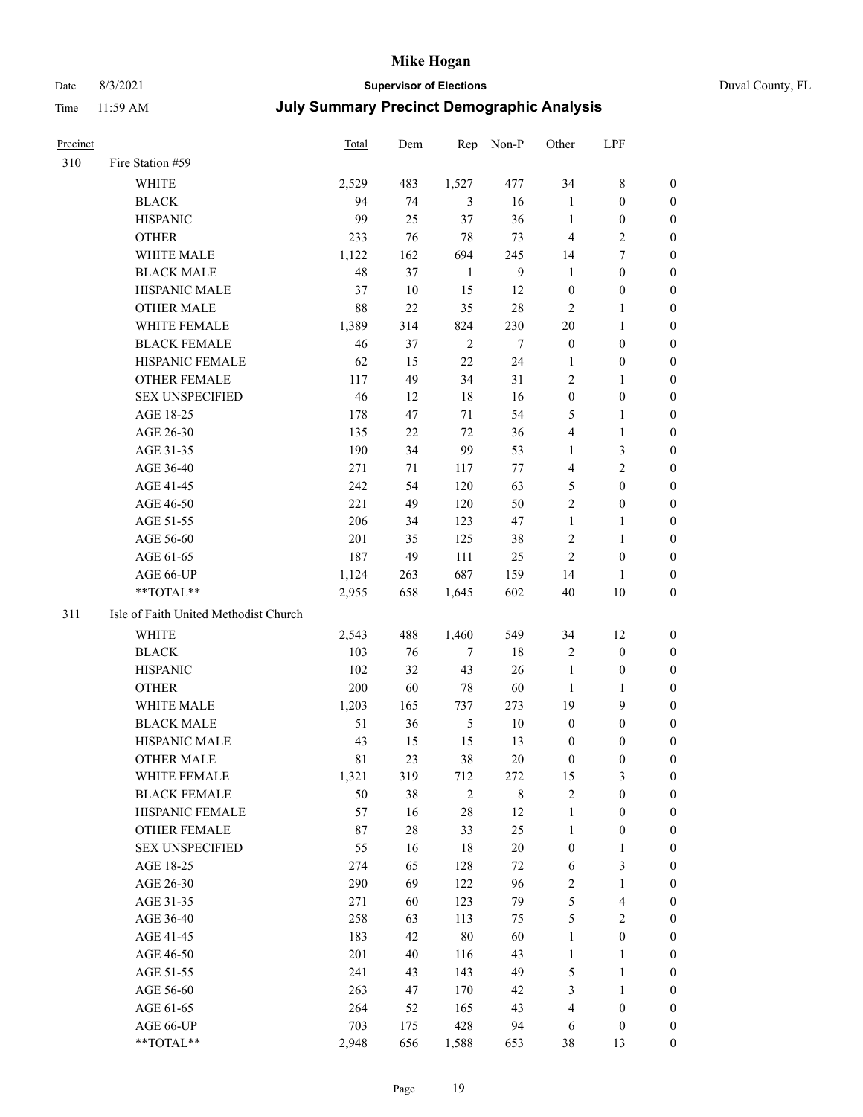# Date 8/3/2021 **Supervisor of Elections** Duval County, FL

| Precinct |                                       | Total       | Dem       | Rep                   | Non-P          | Other             | LPF                          |                  |
|----------|---------------------------------------|-------------|-----------|-----------------------|----------------|-------------------|------------------------------|------------------|
| 310      | Fire Station #59                      |             |           |                       |                |                   |                              |                  |
|          | WHITE                                 | 2,529       | 483       | 1,527                 | 477            | 34                | $8\,$                        | 0                |
|          | <b>BLACK</b>                          | 94          | 74        | 3                     | 16             | $\mathbf{1}$      | $\boldsymbol{0}$             | 0                |
|          | <b>HISPANIC</b>                       | 99          | 25        | 37                    | 36             | $\mathbf{1}$      | $\boldsymbol{0}$             | 0                |
|          | <b>OTHER</b>                          | 233         | 76        | 78                    | 73             | 4                 | $\sqrt{2}$                   | $\boldsymbol{0}$ |
|          | WHITE MALE                            | 1,122       | 162       | 694                   | 245            | 14                | $\tau$                       | $\boldsymbol{0}$ |
|          | <b>BLACK MALE</b>                     | 48          | 37        | $\mathbf{1}$          | $\overline{9}$ | $\mathbf{1}$      | $\boldsymbol{0}$             | 0                |
|          | HISPANIC MALE                         | 37          | 10        | 15                    | 12             | $\boldsymbol{0}$  | $\boldsymbol{0}$             | $\boldsymbol{0}$ |
|          | <b>OTHER MALE</b>                     | $88\,$      | 22        | 35                    | 28             | $\mathfrak{2}$    | $\mathbf{1}$                 | 0                |
|          | WHITE FEMALE                          | 1,389       | 314       | 824                   | 230            | $20\,$            | $\mathbf{1}$                 | 0                |
|          | <b>BLACK FEMALE</b>                   | 46          | 37        | $\overline{2}$        | $\tau$         | $\boldsymbol{0}$  | $\boldsymbol{0}$             | 0                |
|          | HISPANIC FEMALE                       | 62          | 15        | 22                    | 24             | 1                 | $\boldsymbol{0}$             | 0                |
|          | OTHER FEMALE                          | 117         | 49        | 34                    | 31             | $\mathfrak{2}$    | $\mathbf{1}$                 | 0                |
|          | <b>SEX UNSPECIFIED</b>                | 46          | 12        | 18                    | 16             | $\boldsymbol{0}$  | $\boldsymbol{0}$             | $\boldsymbol{0}$ |
|          | AGE 18-25                             | 178         | 47        | 71                    | 54             | 5                 | $\mathbf{1}$                 | $\boldsymbol{0}$ |
|          | AGE 26-30                             | 135         | $22\,$    | 72                    | 36             | 4                 | $\mathbf{1}$                 | $\boldsymbol{0}$ |
|          | AGE 31-35                             | 190         | 34        | 99                    | 53             | $\mathbf{1}$      | $\mathfrak{Z}$               | $\boldsymbol{0}$ |
|          | AGE 36-40                             | 271         | 71        | 117                   | 77             | 4                 | $\mathfrak{2}$               | $\boldsymbol{0}$ |
|          | AGE 41-45                             | 242         | 54        | 120                   | 63             | 5                 | $\boldsymbol{0}$             | $\boldsymbol{0}$ |
|          | AGE 46-50                             | 221         | 49        | 120                   | 50             | $\overline{c}$    | $\boldsymbol{0}$             | 0                |
|          | AGE 51-55                             | 206         | 34        | 123                   | 47             | $\mathbf{1}$      | $\mathbf{1}$                 | 0                |
|          | AGE 56-60                             | 201         | 35        | 125                   | 38             | $\sqrt{2}$        | $\mathbf{1}$                 | 0                |
|          | AGE 61-65                             | 187         | 49        | 111                   | 25             | $\mathfrak{2}$    | $\boldsymbol{0}$             | 0                |
|          | AGE 66-UP                             | 1,124       | 263       | 687                   | 159            | 14                | 1                            | 0                |
|          | **TOTAL**                             | 2,955       | 658       | 1,645                 | 602            | 40                | $10\,$                       | $\boldsymbol{0}$ |
| 311      | Isle of Faith United Methodist Church |             |           |                       |                |                   |                              |                  |
|          | <b>WHITE</b>                          | 2,543       | 488       | 1,460                 | 549            | 34                | 12                           | $\boldsymbol{0}$ |
|          | <b>BLACK</b>                          | 103         | 76        | $\tau$                | $18\,$         | $\sqrt{2}$        | $\boldsymbol{0}$             | $\boldsymbol{0}$ |
|          | <b>HISPANIC</b>                       | 102         | 32        | 43                    | 26             | $\mathbf{1}$      | $\boldsymbol{0}$             | $\boldsymbol{0}$ |
|          | <b>OTHER</b>                          | 200         | 60        | 78                    | 60             | $\mathbf{1}$      | $\mathbf{1}$                 | $\boldsymbol{0}$ |
|          | WHITE MALE                            | 1,203       | 165       | 737                   | 273            | 19                | 9                            | $\boldsymbol{0}$ |
|          | <b>BLACK MALE</b>                     | 51          | 36        | $\mathfrak s$         | $10\,$         | $\boldsymbol{0}$  | $\boldsymbol{0}$             | 0                |
|          | HISPANIC MALE                         | 43          | 15        | 15                    | 13             | $\boldsymbol{0}$  | $\boldsymbol{0}$             | 0                |
|          | <b>OTHER MALE</b>                     | 81          | 23        | 38                    | 20             | $\boldsymbol{0}$  | $\boldsymbol{0}$             | 0                |
|          |                                       |             |           |                       |                |                   | 3                            | 0                |
|          | WHITE FEMALE<br><b>BLACK FEMALE</b>   | 1,321<br>50 | 319<br>38 | 712<br>$\mathfrak{2}$ | 272<br>$8\,$   | 15<br>$\sqrt{2}$  | $\boldsymbol{0}$             | $\boldsymbol{0}$ |
|          | HISPANIC FEMALE                       | 57          | 16        | 28                    | 12             | $\mathbf{1}$      | $\boldsymbol{0}$             | $\overline{0}$   |
|          | OTHER FEMALE                          | 87          | $28\,$    | 33                    | 25             | $\mathbf{1}$      | $\boldsymbol{0}$             | $\overline{0}$   |
|          | <b>SEX UNSPECIFIED</b>                | 55          | 16        | 18                    | $20\,$         | $\boldsymbol{0}$  | $\mathbf{1}$                 | 0                |
|          | AGE 18-25                             | 274         | 65        | 128                   | 72             | 6                 | $\mathfrak{Z}$               | 0                |
|          | AGE 26-30                             | 290         | 69        | 122                   | 96             | 2                 | $\mathbf{1}$                 | 0                |
|          | AGE 31-35                             | 271         | 60        | 123                   | 79             | 5                 | $\overline{\mathbf{4}}$      | 0                |
|          | AGE 36-40                             | 258         |           | 113                   |                |                   | $\sqrt{2}$                   |                  |
|          | AGE 41-45                             | 183         | 63<br>42  | 80                    | 75<br>60       | 5<br>$\mathbf{1}$ | $\boldsymbol{0}$             | 0<br>0           |
|          |                                       | 201         |           |                       | 43             |                   |                              |                  |
|          | AGE 46-50                             |             | 40        | 116                   |                | $\mathbf{1}$      | $\mathbf{1}$                 | 0                |
|          | AGE 51-55                             | 241<br>263  | 43<br>47  | 143                   | 49<br>42       | 5                 | $\mathbf{1}$<br>$\mathbf{1}$ | 0<br>0           |
|          | AGE 56-60                             | 264         |           | 170<br>165            | 43             | 3<br>4            | $\boldsymbol{0}$             | $\overline{0}$   |
|          | AGE 61-65<br>AGE 66-UP                | 703         | 52<br>175 | 428                   | 94             | 6                 | $\boldsymbol{0}$             | 0                |
|          | **TOTAL**                             |             |           |                       |                |                   |                              | $\boldsymbol{0}$ |
|          |                                       | 2,948       | 656       | 1,588                 | 653            | 38                | 13                           |                  |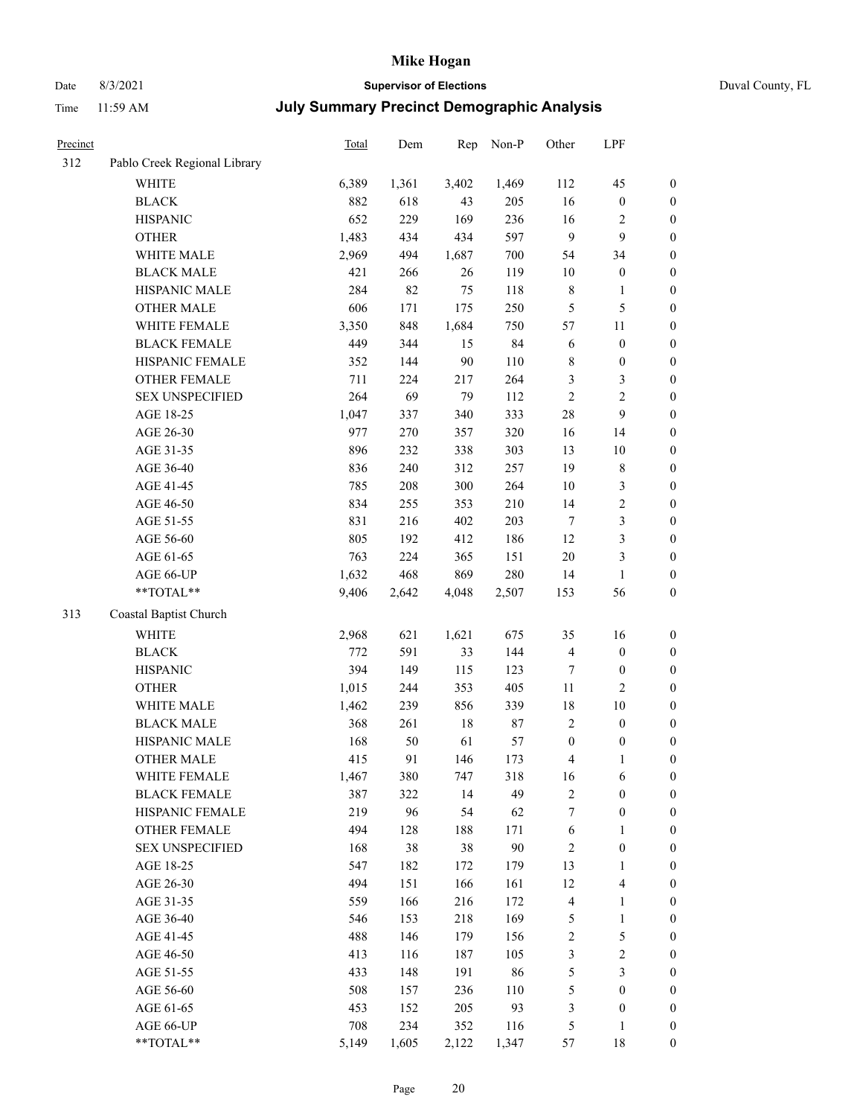# Date 8/3/2021 **Supervisor of Elections** Duval County, FL

| Precinct |                              | Total | Dem   | Rep   | Non-P  | Other                   | LPF                     |                  |
|----------|------------------------------|-------|-------|-------|--------|-------------------------|-------------------------|------------------|
| 312      | Pablo Creek Regional Library |       |       |       |        |                         |                         |                  |
|          | WHITE                        | 6,389 | 1,361 | 3,402 | 1,469  | 112                     | 45                      | 0                |
|          | <b>BLACK</b>                 | 882   | 618   | 43    | 205    | 16                      | $\boldsymbol{0}$        | $\boldsymbol{0}$ |
|          | <b>HISPANIC</b>              | 652   | 229   | 169   | 236    | 16                      | $\overline{c}$          | $\boldsymbol{0}$ |
|          | <b>OTHER</b>                 | 1,483 | 434   | 434   | 597    | 9                       | 9                       | $\boldsymbol{0}$ |
|          | WHITE MALE                   | 2,969 | 494   | 1,687 | 700    | 54                      | 34                      | $\boldsymbol{0}$ |
|          | <b>BLACK MALE</b>            | 421   | 266   | 26    | 119    | 10                      | $\boldsymbol{0}$        | $\boldsymbol{0}$ |
|          | HISPANIC MALE                | 284   | 82    | 75    | 118    | $\,$ 8 $\,$             | $\mathbf{1}$            | $\boldsymbol{0}$ |
|          | <b>OTHER MALE</b>            | 606   | 171   | 175   | 250    | 5                       | $\mathfrak{S}$          | $\boldsymbol{0}$ |
|          | WHITE FEMALE                 | 3,350 | 848   | 1,684 | 750    | 57                      | $11\,$                  | $\boldsymbol{0}$ |
|          | <b>BLACK FEMALE</b>          | 449   | 344   | 15    | 84     | 6                       | $\boldsymbol{0}$        | $\boldsymbol{0}$ |
|          | HISPANIC FEMALE              | 352   | 144   | 90    | 110    | 8                       | $\boldsymbol{0}$        | 0                |
|          | OTHER FEMALE                 | 711   | 224   | 217   | 264    | 3                       | $\mathfrak{Z}$          | $\boldsymbol{0}$ |
|          | <b>SEX UNSPECIFIED</b>       | 264   | 69    | 79    | 112    | $\sqrt{2}$              | $\sqrt{2}$              | $\boldsymbol{0}$ |
|          | AGE 18-25                    | 1,047 | 337   | 340   | 333    | 28                      | 9                       | $\boldsymbol{0}$ |
|          | AGE 26-30                    | 977   | 270   | 357   | 320    | 16                      | 14                      | $\boldsymbol{0}$ |
|          | AGE 31-35                    | 896   | 232   | 338   | 303    | 13                      | $10\,$                  | $\boldsymbol{0}$ |
|          | AGE 36-40                    | 836   | 240   | 312   | 257    | 19                      | $\,$ 8 $\,$             | $\boldsymbol{0}$ |
|          | AGE 41-45                    | 785   | 208   | 300   | 264    | $10\,$                  | $\mathfrak{Z}$          | $\boldsymbol{0}$ |
|          | AGE 46-50                    | 834   | 255   | 353   | 210    | 14                      | $\sqrt{2}$              | $\boldsymbol{0}$ |
|          | AGE 51-55                    | 831   | 216   | 402   | 203    | $\tau$                  | $\mathfrak{Z}$          | $\boldsymbol{0}$ |
|          | AGE 56-60                    | 805   | 192   | 412   | 186    | 12                      | $\mathfrak{Z}$          | 0                |
|          | AGE 61-65                    | 763   | 224   | 365   | 151    | $20\,$                  | $\mathfrak{Z}$          | $\boldsymbol{0}$ |
|          | AGE 66-UP                    | 1,632 | 468   | 869   | 280    | 14                      | $\mathbf{1}$            | $\boldsymbol{0}$ |
|          | **TOTAL**                    | 9,406 | 2,642 | 4,048 | 2,507  | 153                     | 56                      | $\boldsymbol{0}$ |
| 313      | Coastal Baptist Church       |       |       |       |        |                         |                         |                  |
|          | <b>WHITE</b>                 | 2,968 | 621   | 1,621 | 675    | 35                      | 16                      | $\boldsymbol{0}$ |
|          | <b>BLACK</b>                 | 772   | 591   | 33    | 144    | $\overline{\mathbf{4}}$ | $\boldsymbol{0}$        | $\boldsymbol{0}$ |
|          | <b>HISPANIC</b>              | 394   | 149   | 115   | 123    | 7                       | $\boldsymbol{0}$        | $\boldsymbol{0}$ |
|          | <b>OTHER</b>                 | 1,015 | 244   | 353   | 405    | 11                      | $\mathbf{2}$            | $\boldsymbol{0}$ |
|          | WHITE MALE                   | 1,462 | 239   | 856   | 339    | 18                      | $10\,$                  | $\boldsymbol{0}$ |
|          | <b>BLACK MALE</b>            | 368   | 261   | 18    | 87     | $\mathbf{2}$            | $\boldsymbol{0}$        | $\boldsymbol{0}$ |
|          | HISPANIC MALE                | 168   | 50    | 61    | 57     | $\boldsymbol{0}$        | $\boldsymbol{0}$        | 0                |
|          | <b>OTHER MALE</b>            | 415   | 91    | 146   | 173    | 4                       | $\mathbf{1}$            | $\boldsymbol{0}$ |
|          | WHITE FEMALE                 | 1,467 | 380   | 747   | 318    | 16                      | 6                       | 0                |
|          | <b>BLACK FEMALE</b>          | 387   | 322   | 14    | 49     | 2                       | $\boldsymbol{0}$        | $\boldsymbol{0}$ |
|          | HISPANIC FEMALE              | 219   | 96    | 54    | 62     | 7                       | $\boldsymbol{0}$        | $\boldsymbol{0}$ |
|          | OTHER FEMALE                 | 494   | 128   | 188   | 171    | 6                       | $\mathbf{1}$            | $\overline{0}$   |
|          | <b>SEX UNSPECIFIED</b>       | 168   | 38    | 38    | $90\,$ | $\overline{c}$          | $\boldsymbol{0}$        | 0                |
|          | AGE 18-25                    | 547   | 182   | 172   | 179    | 13                      | $\mathbf{1}$            | 0                |
|          | AGE 26-30                    | 494   | 151   | 166   | 161    | 12                      | $\overline{\mathbf{4}}$ | 0                |
|          | AGE 31-35                    | 559   | 166   | 216   | 172    | 4                       | $\mathbf{1}$            | 0                |
|          | AGE 36-40                    | 546   | 153   | 218   | 169    | 5                       | $\mathbf{1}$            | 0                |
|          | AGE 41-45                    | 488   | 146   | 179   | 156    | $\overline{\mathbf{c}}$ | $\mathfrak s$           | 0                |
|          | AGE 46-50                    | 413   | 116   | 187   | 105    | 3                       | $\sqrt{2}$              | 0                |
|          | AGE 51-55                    | 433   | 148   | 191   | 86     | 5                       | $\mathfrak{Z}$          | $\boldsymbol{0}$ |
|          | AGE 56-60                    | 508   | 157   | 236   | 110    | 5                       | $\boldsymbol{0}$        | $\boldsymbol{0}$ |
|          | AGE 61-65                    | 453   | 152   | 205   | 93     | 3                       | $\boldsymbol{0}$        | $\boldsymbol{0}$ |
|          | AGE 66-UP                    | 708   | 234   | 352   | 116    | 5                       | $\mathbf{1}$            | $\boldsymbol{0}$ |
|          | **TOTAL**                    | 5,149 | 1,605 | 2,122 | 1,347  | 57                      | 18                      | $\boldsymbol{0}$ |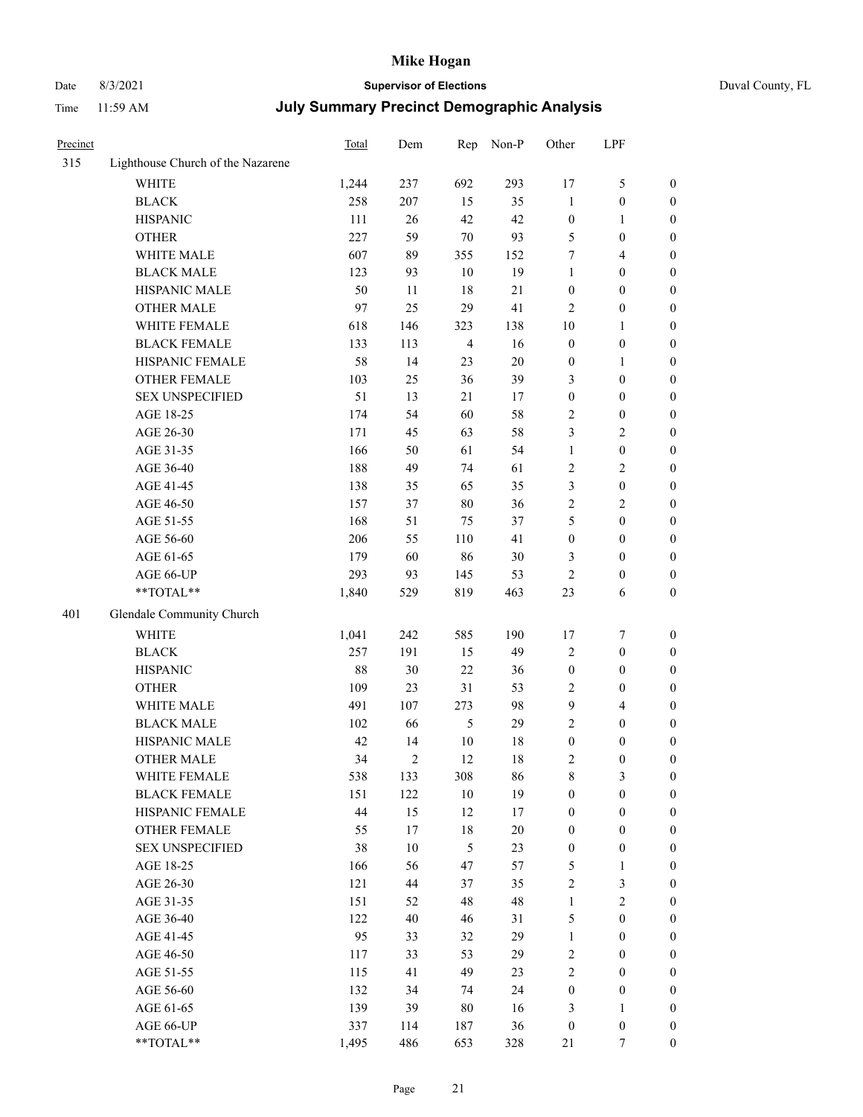# Date 8/3/2021 **Supervisor of Elections** Duval County, FL

| Precinct |                                   | <b>Total</b> | Dem            | Rep            | Non-P  | Other            | LPF              |                  |
|----------|-----------------------------------|--------------|----------------|----------------|--------|------------------|------------------|------------------|
| 315      | Lighthouse Church of the Nazarene |              |                |                |        |                  |                  |                  |
|          | <b>WHITE</b>                      | 1,244        | 237            | 692            | 293    | 17               | $\mathfrak s$    | 0                |
|          | <b>BLACK</b>                      | 258          | 207            | 15             | 35     | $\mathbf{1}$     | $\boldsymbol{0}$ | 0                |
|          | <b>HISPANIC</b>                   | 111          | 26             | 42             | 42     | $\boldsymbol{0}$ | 1                | $\boldsymbol{0}$ |
|          | <b>OTHER</b>                      | 227          | 59             | $70\,$         | 93     | 5                | $\boldsymbol{0}$ | $\boldsymbol{0}$ |
|          | WHITE MALE                        | 607          | 89             | 355            | 152    | 7                | $\overline{4}$   | $\boldsymbol{0}$ |
|          | <b>BLACK MALE</b>                 | 123          | 93             | 10             | 19     | $\mathbf{1}$     | $\boldsymbol{0}$ | $\boldsymbol{0}$ |
|          | HISPANIC MALE                     | 50           | 11             | 18             | 21     | $\boldsymbol{0}$ | $\boldsymbol{0}$ | $\boldsymbol{0}$ |
|          | <b>OTHER MALE</b>                 | 97           | 25             | 29             | 41     | 2                | $\boldsymbol{0}$ | $\boldsymbol{0}$ |
|          | WHITE FEMALE                      | 618          | 146            | 323            | 138    | $10\,$           | 1                | $\boldsymbol{0}$ |
|          | <b>BLACK FEMALE</b>               | 133          | 113            | $\overline{4}$ | 16     | $\boldsymbol{0}$ | $\boldsymbol{0}$ | 0                |
|          | HISPANIC FEMALE                   | 58           | 14             | 23             | 20     | $\boldsymbol{0}$ | 1                | 0                |
|          | <b>OTHER FEMALE</b>               | 103          | 25             | 36             | 39     | 3                | $\boldsymbol{0}$ | $\boldsymbol{0}$ |
|          | <b>SEX UNSPECIFIED</b>            | 51           | 13             | 21             | 17     | $\boldsymbol{0}$ | $\boldsymbol{0}$ | $\boldsymbol{0}$ |
|          | AGE 18-25                         | 174          | 54             | 60             | 58     | 2                | $\boldsymbol{0}$ | $\boldsymbol{0}$ |
|          | AGE 26-30                         | 171          | 45             | 63             | 58     | 3                | $\sqrt{2}$       | $\boldsymbol{0}$ |
|          | AGE 31-35                         | 166          | 50             | 61             | 54     | $\mathbf{1}$     | $\boldsymbol{0}$ | $\boldsymbol{0}$ |
|          | AGE 36-40                         | 188          | 49             | 74             | 61     | 2                | $\sqrt{2}$       | $\boldsymbol{0}$ |
|          | AGE 41-45                         | 138          | 35             | 65             | 35     | 3                | $\boldsymbol{0}$ | $\boldsymbol{0}$ |
|          | AGE 46-50                         | 157          | 37             | $80\,$         | 36     | $\overline{c}$   | $\mathfrak{2}$   | $\boldsymbol{0}$ |
|          | AGE 51-55                         | 168          | 51             | 75             | 37     | 5                | $\boldsymbol{0}$ | $\boldsymbol{0}$ |
|          | AGE 56-60                         | 206          | 55             | 110            | 41     | $\boldsymbol{0}$ | $\boldsymbol{0}$ | 0                |
|          | AGE 61-65                         | 179          | 60             | 86             | 30     | 3                | $\boldsymbol{0}$ | 0                |
|          | AGE 66-UP                         | 293          | 93             | 145            | 53     | $\mathfrak{2}$   | $\boldsymbol{0}$ | $\boldsymbol{0}$ |
|          | **TOTAL**                         | 1,840        | 529            | 819            | 463    | 23               | 6                | $\boldsymbol{0}$ |
| 401      | Glendale Community Church         |              |                |                |        |                  |                  |                  |
|          | <b>WHITE</b>                      | 1,041        | 242            | 585            | 190    | 17               | $\boldsymbol{7}$ | $\boldsymbol{0}$ |
|          | <b>BLACK</b>                      | 257          | 191            | 15             | 49     | 2                | $\boldsymbol{0}$ | $\boldsymbol{0}$ |
|          | <b>HISPANIC</b>                   | 88           | $30\,$         | 22             | 36     | $\boldsymbol{0}$ | $\boldsymbol{0}$ | $\boldsymbol{0}$ |
|          | <b>OTHER</b>                      | 109          | 23             | 31             | 53     | 2                | $\boldsymbol{0}$ | $\boldsymbol{0}$ |
|          | WHITE MALE                        | 491          | 107            | 273            | 98     | 9                | $\overline{4}$   | $\boldsymbol{0}$ |
|          | <b>BLACK MALE</b>                 | 102          | 66             | 5              | 29     | $\overline{2}$   | $\boldsymbol{0}$ | $\boldsymbol{0}$ |
|          | HISPANIC MALE                     | 42           | 14             | $10\,$         | 18     | $\boldsymbol{0}$ | $\boldsymbol{0}$ | 0                |
|          | <b>OTHER MALE</b>                 | 34           | $\mathfrak{2}$ | 12             | 18     | 2                | $\boldsymbol{0}$ | $\boldsymbol{0}$ |
|          | WHITE FEMALE                      | 538          | 133            | 308            | 86     | 8                | 3                | 0                |
|          | <b>BLACK FEMALE</b>               | 151          | 122            | $10\,$         | 19     | $\boldsymbol{0}$ | $\boldsymbol{0}$ | $\overline{0}$   |
|          | HISPANIC FEMALE                   | 44           | 15             | 12             | 17     | $\boldsymbol{0}$ | $\boldsymbol{0}$ | $\overline{0}$   |
|          | <b>OTHER FEMALE</b>               | 55           | 17             | $18\,$         | $20\,$ | $\boldsymbol{0}$ | $\boldsymbol{0}$ | $\overline{0}$   |
|          | <b>SEX UNSPECIFIED</b>            | 38           | 10             | $\mathfrak{S}$ | 23     | $\boldsymbol{0}$ | $\boldsymbol{0}$ | 0                |
|          | AGE 18-25                         | 166          | 56             | 47             | 57     | 5                | $\mathbf{1}$     | 0                |
|          | AGE 26-30                         | 121          | 44             | 37             | 35     | 2                | 3                | 0                |
|          | AGE 31-35                         | 151          | 52             | 48             | 48     | $\mathbf{1}$     | $\sqrt{2}$       | 0                |
|          | AGE 36-40                         | 122          | $40\,$         | 46             | 31     | 5                | $\boldsymbol{0}$ | 0                |
|          | AGE 41-45                         | 95           | 33             | 32             | 29     | $\mathbf{1}$     | $\boldsymbol{0}$ | 0                |
|          | AGE 46-50                         | 117          | 33             | 53             | 29     | 2                | $\boldsymbol{0}$ | 0                |
|          | AGE 51-55                         | 115          | 41             | 49             | 23     | $\overline{2}$   | $\boldsymbol{0}$ | 0                |
|          | AGE 56-60                         | 132          | 34             | 74             | 24     | $\boldsymbol{0}$ | $\boldsymbol{0}$ | $\overline{0}$   |
|          | AGE 61-65                         | 139          | 39             | $80\,$         | 16     | 3                | $\mathbf{1}$     | $\overline{0}$   |
|          | AGE 66-UP                         | 337          | 114            | 187            | 36     | $\boldsymbol{0}$ | $\boldsymbol{0}$ | 0                |
|          | **TOTAL**                         | 1,495        | 486            | 653            | 328    | 21               | 7                | $\boldsymbol{0}$ |
|          |                                   |              |                |                |        |                  |                  |                  |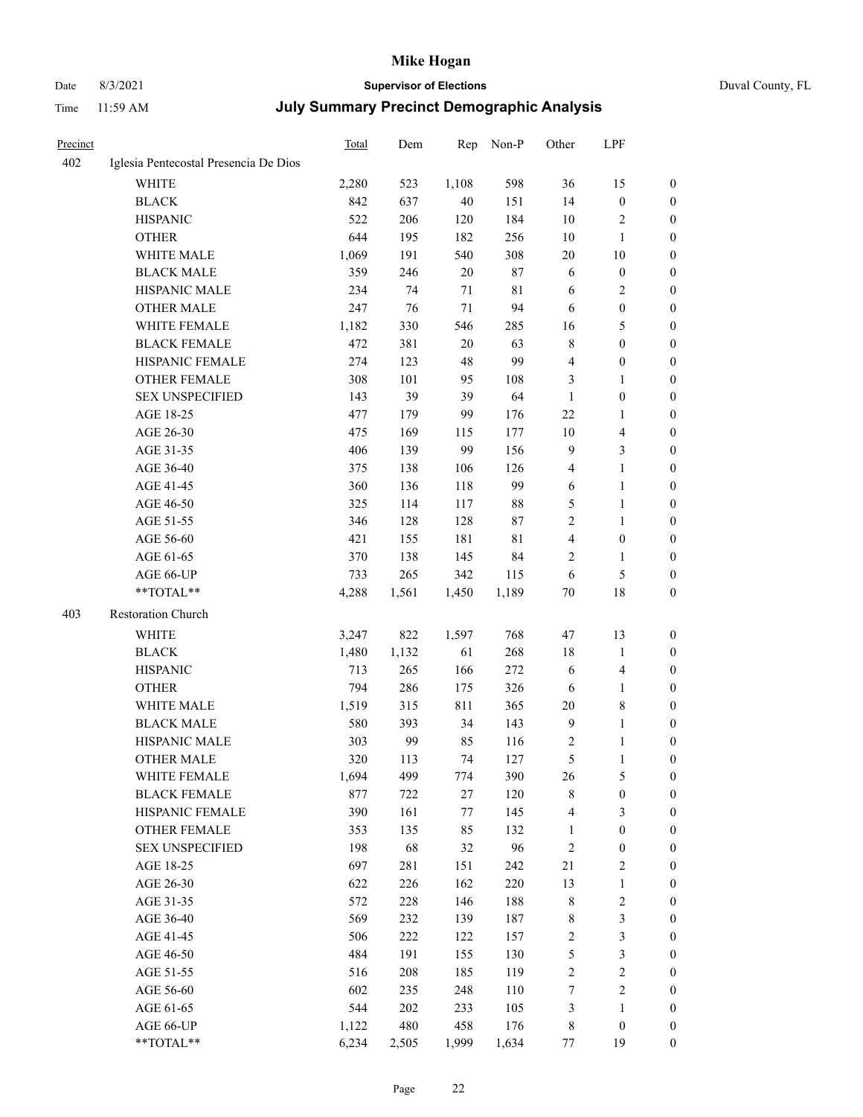# Date 8/3/2021 **Supervisor of Elections** Duval County, FL

| Precinct |                                       | Total | Dem   | Rep     | Non-P  | Other          | LPF                     |                  |
|----------|---------------------------------------|-------|-------|---------|--------|----------------|-------------------------|------------------|
| 402      | Iglesia Pentecostal Presencia De Dios |       |       |         |        |                |                         |                  |
|          | <b>WHITE</b>                          | 2,280 | 523   | 1,108   | 598    | 36             | 15                      | $\boldsymbol{0}$ |
|          | <b>BLACK</b>                          | 842   | 637   | 40      | 151    | 14             | $\boldsymbol{0}$        | $\boldsymbol{0}$ |
|          | <b>HISPANIC</b>                       | 522   | 206   | 120     | 184    | 10             | $\sqrt{2}$              | $\boldsymbol{0}$ |
|          | <b>OTHER</b>                          | 644   | 195   | 182     | 256    | 10             | $\mathbf{1}$            | $\boldsymbol{0}$ |
|          | WHITE MALE                            | 1,069 | 191   | 540     | 308    | 20             | 10                      | $\boldsymbol{0}$ |
|          | <b>BLACK MALE</b>                     | 359   | 246   | 20      | 87     | 6              | $\boldsymbol{0}$        | $\boldsymbol{0}$ |
|          | HISPANIC MALE                         | 234   | 74    | 71      | 81     | 6              | $\overline{2}$          | $\boldsymbol{0}$ |
|          | <b>OTHER MALE</b>                     | 247   | 76    | 71      | 94     | 6              | $\boldsymbol{0}$        | 0                |
|          | WHITE FEMALE                          | 1,182 | 330   | 546     | 285    | 16             | 5                       | 0                |
|          | <b>BLACK FEMALE</b>                   | 472   | 381   | 20      | 63     | 8              | $\boldsymbol{0}$        | 0                |
|          | HISPANIC FEMALE                       | 274   | 123   | 48      | 99     | 4              | $\boldsymbol{0}$        | $\boldsymbol{0}$ |
|          | OTHER FEMALE                          | 308   | 101   | 95      | 108    | 3              | $\mathbf{1}$            | $\boldsymbol{0}$ |
|          | <b>SEX UNSPECIFIED</b>                | 143   | 39    | 39      | 64     | $\mathbf{1}$   | $\boldsymbol{0}$        | $\boldsymbol{0}$ |
|          | AGE 18-25                             | 477   | 179   | 99      | 176    | 22             | $\mathbf{1}$            | $\boldsymbol{0}$ |
|          | AGE 26-30                             | 475   | 169   | 115     | 177    | 10             | $\overline{\mathbf{4}}$ | $\boldsymbol{0}$ |
|          | AGE 31-35                             | 406   | 139   | 99      | 156    | $\overline{9}$ | $\mathfrak{Z}$          | $\boldsymbol{0}$ |
|          | AGE 36-40                             | 375   | 138   | 106     | 126    | $\overline{4}$ | $\mathbf{1}$            | $\boldsymbol{0}$ |
|          | AGE 41-45                             | 360   | 136   | 118     | 99     | 6              | $\mathbf{1}$            | 0                |
|          | AGE 46-50                             | 325   | 114   | 117     | $88\,$ | 5              | $\mathbf{1}$            | 0                |
|          | AGE 51-55                             | 346   | 128   | 128     | 87     | $\sqrt{2}$     | $\mathbf{1}$            | 0                |
|          | AGE 56-60                             | 421   | 155   | 181     | 81     | 4              | $\boldsymbol{0}$        | 0                |
|          | AGE 61-65                             | 370   | 138   | 145     | 84     | 2              | $\mathbf{1}$            | 0                |
|          | AGE 66-UP                             | 733   | 265   | 342     | 115    | 6              | $\mathfrak{S}$          | $\boldsymbol{0}$ |
|          | **TOTAL**                             | 4,288 | 1,561 | 1,450   | 1,189  | $70\,$         | 18                      | $\boldsymbol{0}$ |
|          |                                       |       |       |         |        |                |                         |                  |
| 403      | Restoration Church                    |       |       |         |        |                |                         |                  |
|          | WHITE                                 | 3,247 | 822   | 1,597   | 768    | 47             | 13                      | $\boldsymbol{0}$ |
|          | <b>BLACK</b>                          | 1,480 | 1,132 | 61      | 268    | 18             | $\mathbf{1}$            | $\boldsymbol{0}$ |
|          | <b>HISPANIC</b>                       | 713   | 265   | 166     | 272    | 6              | $\overline{\mathbf{4}}$ | $\boldsymbol{0}$ |
|          | <b>OTHER</b>                          | 794   | 286   | 175     | 326    | 6              | $\mathbf{1}$            | $\boldsymbol{0}$ |
|          | WHITE MALE                            | 1,519 | 315   | 811     | 365    | 20             | $8\,$                   | 0                |
|          | <b>BLACK MALE</b>                     | 580   | 393   | 34      | 143    | $\overline{9}$ | $\mathbf{1}$            | 0                |
|          | HISPANIC MALE                         | 303   | 99    | 85      | 116    | 2              | $\mathbf{1}$            | 0                |
|          | <b>OTHER MALE</b>                     | 320   | 113   | 74      | 127    | 5              | $\mathbf{1}$            | $\boldsymbol{0}$ |
|          | WHITE FEMALE                          | 1,694 | 499   | 774     | 390    | 26             | $\mathfrak{S}$          | 0                |
|          | <b>BLACK FEMALE</b>                   | 877   | 722   | $27\,$  | 120    | $\,$ $\,$      | $\boldsymbol{0}$        | $\boldsymbol{0}$ |
|          | HISPANIC FEMALE                       | 390   | 161   | $77 \,$ | 145    | 4              | $\mathfrak{Z}$          | $\overline{0}$   |
|          | <b>OTHER FEMALE</b>                   | 353   | 135   | 85      | 132    | $\mathbf{1}$   | $\boldsymbol{0}$        | $\overline{0}$   |
|          | <b>SEX UNSPECIFIED</b>                | 198   | 68    | 32      | 96     | $\sqrt{2}$     | $\boldsymbol{0}$        | $\overline{0}$   |
|          | AGE 18-25                             | 697   | 281   | 151     | 242    | 21             | $\sqrt{2}$              | 0                |
|          | AGE 26-30                             | 622   | 226   | 162     | 220    | 13             | $\mathbf{1}$            | 0                |
|          | AGE 31-35                             | 572   | 228   | 146     | 188    | $\,$ 8 $\,$    | $\sqrt{2}$              | 0                |
|          | AGE 36-40                             | 569   | 232   | 139     | 187    | $\,$ 8 $\,$    | $\mathfrak{Z}$          | 0                |
|          | AGE 41-45                             | 506   | 222   | 122     | 157    | $\sqrt{2}$     | $\mathfrak{Z}$          | 0                |
|          | AGE 46-50                             | 484   | 191   | 155     | 130    | 5              | $\mathfrak{Z}$          | $\boldsymbol{0}$ |
|          | AGE 51-55                             | 516   | 208   | 185     | 119    | $\sqrt{2}$     | $\sqrt{2}$              | $\boldsymbol{0}$ |
|          | AGE 56-60                             | 602   | 235   | 248     | 110    | 7              | $\sqrt{2}$              | $\boldsymbol{0}$ |
|          | AGE 61-65                             | 544   | 202   | 233     | 105    | 3              | $\mathbf{1}$            | $\boldsymbol{0}$ |
|          | AGE 66-UP                             | 1,122 | 480   | 458     | 176    | $\,$ 8 $\,$    | $\boldsymbol{0}$        | 0                |
|          | **TOTAL**                             | 6,234 | 2,505 | 1,999   | 1,634  | 77             | 19                      | $\boldsymbol{0}$ |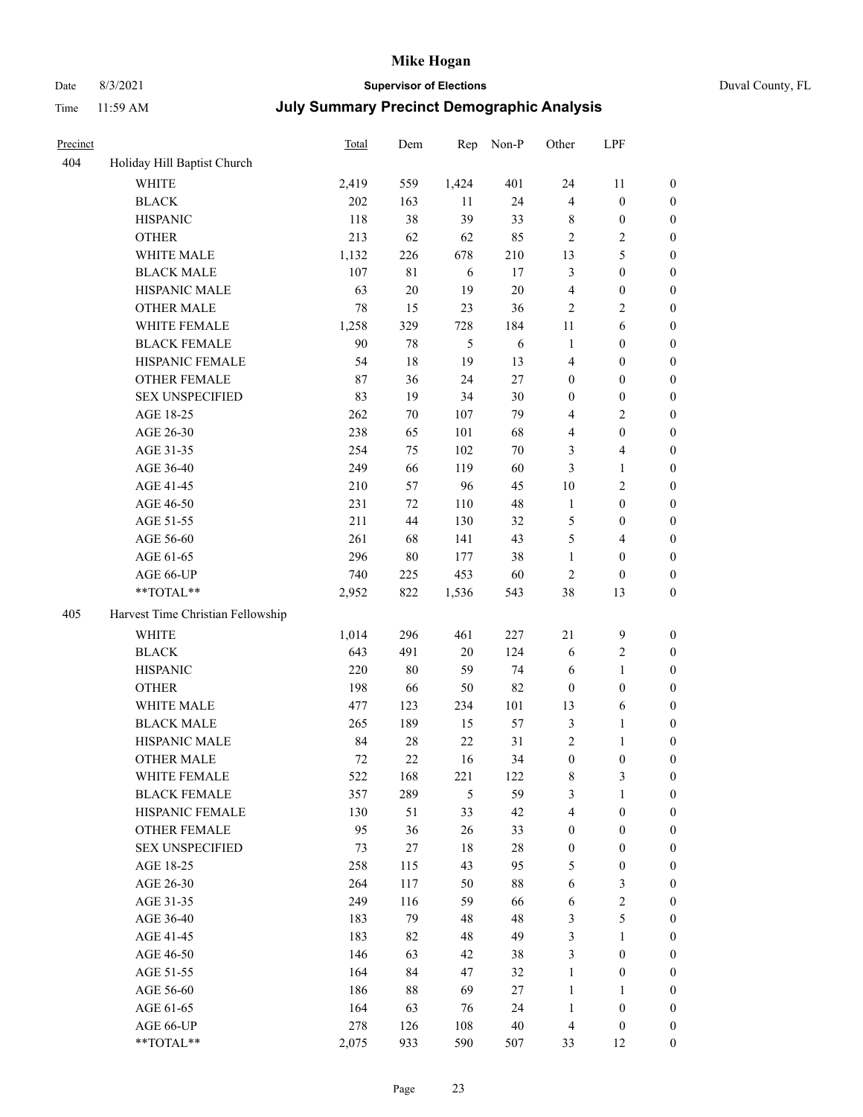# Date 8/3/2021 **Supervisor of Elections** Duval County, FL

| Precinct |                                   | Total | Dem    | Rep            | Non-P  | Other            | LPF                     |                  |
|----------|-----------------------------------|-------|--------|----------------|--------|------------------|-------------------------|------------------|
| 404      | Holiday Hill Baptist Church       |       |        |                |        |                  |                         |                  |
|          | <b>WHITE</b>                      | 2,419 | 559    | 1,424          | 401    | 24               | 11                      | $\boldsymbol{0}$ |
|          | <b>BLACK</b>                      | 202   | 163    | 11             | 24     | 4                | $\boldsymbol{0}$        | $\boldsymbol{0}$ |
|          | <b>HISPANIC</b>                   | 118   | 38     | 39             | 33     | 8                | $\boldsymbol{0}$        | $\boldsymbol{0}$ |
|          | <b>OTHER</b>                      | 213   | 62     | 62             | 85     | $\overline{c}$   | $\sqrt{2}$              | $\boldsymbol{0}$ |
|          | WHITE MALE                        | 1,132 | 226    | 678            | 210    | 13               | 5                       | $\boldsymbol{0}$ |
|          | <b>BLACK MALE</b>                 | 107   | 81     | 6              | 17     | $\mathfrak{Z}$   | $\boldsymbol{0}$        | $\boldsymbol{0}$ |
|          | HISPANIC MALE                     | 63    | $20\,$ | 19             | $20\,$ | 4                | $\boldsymbol{0}$        | $\boldsymbol{0}$ |
|          | <b>OTHER MALE</b>                 | 78    | 15     | 23             | 36     | $\overline{c}$   | $\mathfrak{2}$          | $\boldsymbol{0}$ |
|          | WHITE FEMALE                      | 1,258 | 329    | 728            | 184    | $11\,$           | $\sqrt{6}$              | $\boldsymbol{0}$ |
|          | <b>BLACK FEMALE</b>               | 90    | 78     | $\mathfrak{H}$ | 6      | $\mathbf{1}$     | $\boldsymbol{0}$        | 0                |
|          | HISPANIC FEMALE                   | 54    | 18     | 19             | 13     | 4                | $\boldsymbol{0}$        | $\boldsymbol{0}$ |
|          | OTHER FEMALE                      | 87    | 36     | 24             | $27\,$ | $\boldsymbol{0}$ | $\boldsymbol{0}$        | $\boldsymbol{0}$ |
|          | <b>SEX UNSPECIFIED</b>            | 83    | 19     | 34             | 30     | $\boldsymbol{0}$ | $\boldsymbol{0}$        | $\boldsymbol{0}$ |
|          | AGE 18-25                         | 262   | $70\,$ | 107            | 79     | 4                | $\sqrt{2}$              | $\boldsymbol{0}$ |
|          | AGE 26-30                         | 238   | 65     | 101            | 68     | 4                | $\boldsymbol{0}$        | $\boldsymbol{0}$ |
|          | AGE 31-35                         | 254   | 75     | 102            | $70\,$ | 3                | $\overline{\mathbf{4}}$ | $\boldsymbol{0}$ |
|          | AGE 36-40                         | 249   | 66     | 119            | 60     | 3                | $\mathbf{1}$            | $\boldsymbol{0}$ |
|          | AGE 41-45                         | 210   | 57     | 96             | 45     | $10\,$           | $\mathbf{2}$            | $\boldsymbol{0}$ |
|          | AGE 46-50                         | 231   | 72     | 110            | 48     | $\mathbf{1}$     | $\boldsymbol{0}$        | $\boldsymbol{0}$ |
|          | AGE 51-55                         | 211   | 44     | 130            | 32     | 5                | $\boldsymbol{0}$        | 0                |
|          | AGE 56-60                         | 261   | 68     | 141            | 43     | 5                | $\overline{4}$          | $\boldsymbol{0}$ |
|          | AGE 61-65                         | 296   | $80\,$ | 177            | 38     | $\mathbf{1}$     | $\boldsymbol{0}$        | $\boldsymbol{0}$ |
|          | AGE 66-UP                         | 740   | 225    | 453            | 60     | $\overline{2}$   | $\boldsymbol{0}$        | $\boldsymbol{0}$ |
|          | **TOTAL**                         | 2,952 | 822    | 1,536          | 543    | 38               | 13                      | $\boldsymbol{0}$ |
| 405      | Harvest Time Christian Fellowship |       |        |                |        |                  |                         |                  |
|          | <b>WHITE</b>                      | 1,014 | 296    | 461            | 227    | $21\,$           | $\mathbf{9}$            | $\boldsymbol{0}$ |
|          | <b>BLACK</b>                      | 643   | 491    | 20             | 124    | 6                | $\sqrt{2}$              | $\boldsymbol{0}$ |
|          | <b>HISPANIC</b>                   | 220   | 80     | 59             | 74     | 6                | $\mathbf{1}$            | $\boldsymbol{0}$ |
|          | <b>OTHER</b>                      | 198   | 66     | 50             | 82     | $\boldsymbol{0}$ | $\boldsymbol{0}$        | $\boldsymbol{0}$ |
|          | WHITE MALE                        | 477   | 123    | 234            | 101    | 13               | 6                       | $\boldsymbol{0}$ |
|          | <b>BLACK MALE</b>                 | 265   | 189    | 15             | 57     | $\mathfrak{Z}$   | $\mathbf{1}$            | $\boldsymbol{0}$ |
|          | HISPANIC MALE                     | 84    | 28     | 22             | 31     | 2                | $\mathbf{1}$            | 0                |
|          | <b>OTHER MALE</b>                 | 72    | 22     | 16             | 34     | $\boldsymbol{0}$ | $\boldsymbol{0}$        | $\boldsymbol{0}$ |
|          | WHITE FEMALE                      | 522   | 168    | 221            | 122    | 8                | 3                       | $\overline{0}$   |
|          | <b>BLACK FEMALE</b>               | 357   | 289    | 5              | 59     | 3                | $\mathbf{1}$            | $\boldsymbol{0}$ |
|          | HISPANIC FEMALE                   | 130   | 51     | 33             | 42     | 4                | $\boldsymbol{0}$        | $\overline{0}$   |
|          | <b>OTHER FEMALE</b>               | 95    | 36     | 26             | 33     | $\boldsymbol{0}$ | $\boldsymbol{0}$        | 0                |
|          | <b>SEX UNSPECIFIED</b>            | 73    | 27     | $18\,$         | $28\,$ | $\boldsymbol{0}$ | $\boldsymbol{0}$        | 0                |
|          | AGE 18-25                         | 258   | 115    | 43             | 95     | 5                | $\boldsymbol{0}$        | 0                |
|          | AGE 26-30                         | 264   | 117    | 50             | $88\,$ | 6                | $\mathfrak{Z}$          | 0                |
|          | AGE 31-35                         | 249   | 116    | 59             | 66     | 6                | $\sqrt{2}$              | 0                |
|          | AGE 36-40                         | 183   | 79     | 48             | 48     | 3                | $\mathfrak{S}$          | 0                |
|          | AGE 41-45                         | 183   | 82     | 48             | 49     | 3                | $\mathbf{1}$            | 0                |
|          | AGE 46-50                         | 146   | 63     | 42             | 38     | 3                | $\boldsymbol{0}$        | 0                |
|          | AGE 51-55                         | 164   | 84     | 47             | 32     | $\mathbf{1}$     | $\boldsymbol{0}$        | 0                |
|          | AGE 56-60                         | 186   | 88     | 69             | 27     | $\mathbf{1}$     | $\mathbf{1}$            | $\boldsymbol{0}$ |
|          | AGE 61-65                         | 164   | 63     | 76             | 24     | $\mathbf{1}$     | $\boldsymbol{0}$        | 0                |
|          | AGE 66-UP                         | 278   | 126    | 108            | $40\,$ | $\overline{4}$   | $\boldsymbol{0}$        | 0                |
|          | **TOTAL**                         | 2,075 | 933    | 590            | 507    | 33               | 12                      | $\boldsymbol{0}$ |
|          |                                   |       |        |                |        |                  |                         |                  |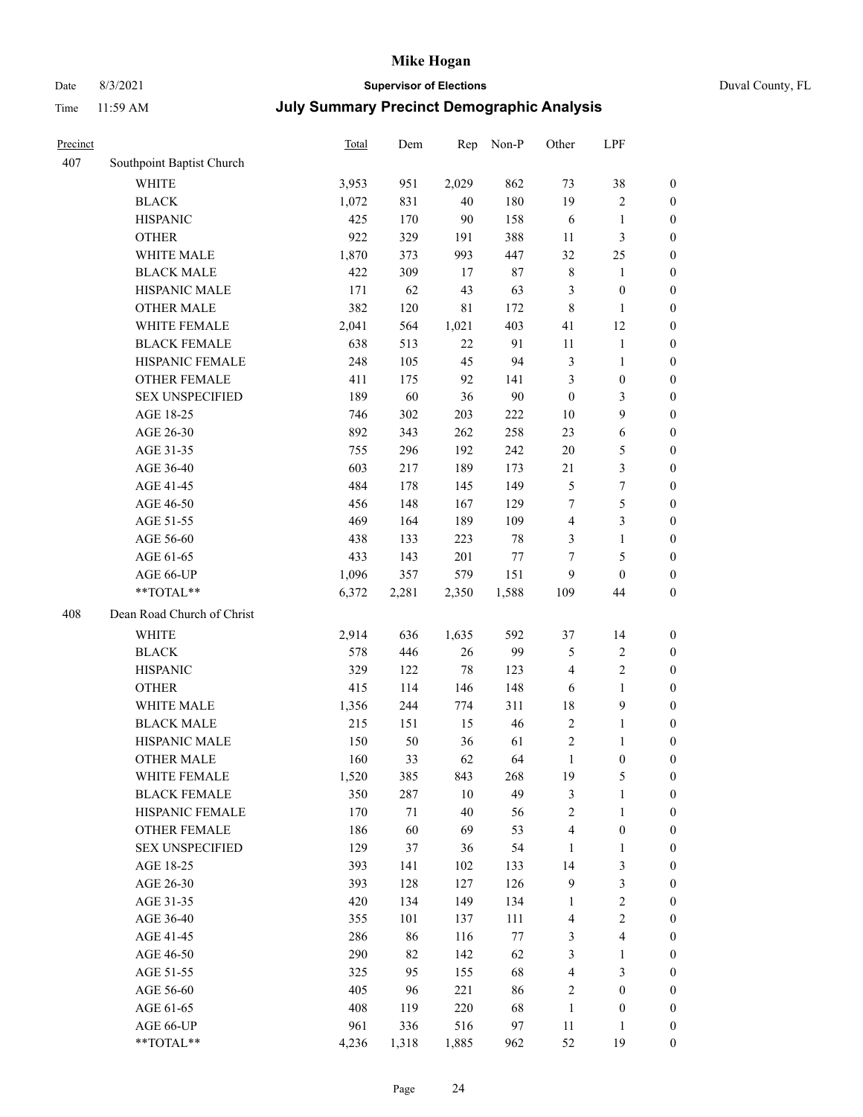# Date 8/3/2021 **Supervisor of Elections** Duval County, FL

| Precinct |                            | <b>Total</b> | Dem    | Rep   | Non-P  | Other            | LPF                     |                  |
|----------|----------------------------|--------------|--------|-------|--------|------------------|-------------------------|------------------|
| 407      | Southpoint Baptist Church  |              |        |       |        |                  |                         |                  |
|          | <b>WHITE</b>               | 3,953        | 951    | 2,029 | 862    | 73               | 38                      | 0                |
|          | <b>BLACK</b>               | 1,072        | 831    | 40    | 180    | 19               | $\sqrt{2}$              | 0                |
|          | <b>HISPANIC</b>            | 425          | 170    | 90    | 158    | 6                | $\mathbf{1}$            | $\boldsymbol{0}$ |
|          | <b>OTHER</b>               | 922          | 329    | 191   | 388    | 11               | $\mathfrak{Z}$          | $\boldsymbol{0}$ |
|          | WHITE MALE                 | 1,870        | 373    | 993   | 447    | 32               | 25                      | $\boldsymbol{0}$ |
|          | <b>BLACK MALE</b>          | 422          | 309    | 17    | $87\,$ | $\,$ $\,$        | 1                       | $\boldsymbol{0}$ |
|          | HISPANIC MALE              | 171          | 62     | 43    | 63     | 3                | $\boldsymbol{0}$        | $\boldsymbol{0}$ |
|          | <b>OTHER MALE</b>          | 382          | 120    | 81    | 172    | $\,$ 8 $\,$      | $\mathbf{1}$            | $\boldsymbol{0}$ |
|          | WHITE FEMALE               | 2,041        | 564    | 1,021 | 403    | 41               | 12                      | $\boldsymbol{0}$ |
|          | <b>BLACK FEMALE</b>        | 638          | 513    | 22    | 91     | 11               | $\mathbf{1}$            | 0                |
|          | HISPANIC FEMALE            | 248          | 105    | 45    | 94     | 3                | $\mathbf{1}$            | 0                |
|          | <b>OTHER FEMALE</b>        | 411          | 175    | 92    | 141    | 3                | $\boldsymbol{0}$        | $\boldsymbol{0}$ |
|          | <b>SEX UNSPECIFIED</b>     | 189          | 60     | 36    | $90\,$ | $\boldsymbol{0}$ | 3                       | $\boldsymbol{0}$ |
|          | AGE 18-25                  | 746          | 302    | 203   | 222    | $10\,$           | 9                       | $\boldsymbol{0}$ |
|          | AGE 26-30                  | 892          | 343    | 262   | 258    | 23               | 6                       | $\boldsymbol{0}$ |
|          | AGE 31-35                  | 755          | 296    | 192   | 242    | $20\,$           | $\mathfrak{S}$          | $\boldsymbol{0}$ |
|          | AGE 36-40                  | 603          | 217    | 189   | 173    | $21\,$           | $\mathfrak{Z}$          | $\boldsymbol{0}$ |
|          | AGE 41-45                  | 484          | 178    | 145   | 149    | $\mathfrak{S}$   | $\boldsymbol{7}$        | $\boldsymbol{0}$ |
|          | AGE 46-50                  | 456          | 148    | 167   | 129    | 7                | $\mathfrak s$           | $\boldsymbol{0}$ |
|          | AGE 51-55                  | 469          | 164    | 189   | 109    | 4                | $\mathfrak{Z}$          | $\boldsymbol{0}$ |
|          | AGE 56-60                  | 438          | 133    | 223   | $78\,$ | 3                | $\mathbf{1}$            | 0                |
|          | AGE 61-65                  | 433          | 143    | 201   | 77     | 7                | $\mathfrak{S}$          | $\boldsymbol{0}$ |
|          | AGE 66-UP                  | 1,096        | 357    | 579   | 151    | 9                | $\boldsymbol{0}$        | $\boldsymbol{0}$ |
|          | **TOTAL**                  | 6,372        | 2,281  | 2,350 | 1,588  | 109              | 44                      | $\boldsymbol{0}$ |
| 408      | Dean Road Church of Christ |              |        |       |        |                  |                         |                  |
|          | <b>WHITE</b>               | 2,914        | 636    | 1,635 | 592    | 37               | 14                      | $\boldsymbol{0}$ |
|          | <b>BLACK</b>               | 578          | 446    | 26    | 99     | 5                | $\sqrt{2}$              | $\boldsymbol{0}$ |
|          | <b>HISPANIC</b>            | 329          | 122    | 78    | 123    | 4                | $\mathbf{2}$            | $\boldsymbol{0}$ |
|          | <b>OTHER</b>               | 415          | 114    | 146   | 148    | 6                | $\mathbf{1}$            | $\boldsymbol{0}$ |
|          | WHITE MALE                 | 1,356        | 244    | 774   | 311    | 18               | $\mathbf{9}$            | $\boldsymbol{0}$ |
|          | <b>BLACK MALE</b>          | 215          | 151    | 15    | 46     | $\overline{2}$   | $\mathbf{1}$            | $\boldsymbol{0}$ |
|          | HISPANIC MALE              | 150          | 50     | 36    | 61     | $\overline{c}$   | 1                       | 0                |
|          | <b>OTHER MALE</b>          | 160          | 33     | 62    | 64     | $\mathbf{1}$     | $\boldsymbol{0}$        | $\boldsymbol{0}$ |
|          | WHITE FEMALE               | 1,520        | 385    | 843   | 268    | 19               | 5                       | 0                |
|          | <b>BLACK FEMALE</b>        | 350          | 287    | 10    | 49     | 3                | $\mathbf{1}$            | $\boldsymbol{0}$ |
|          | HISPANIC FEMALE            | 170          | $71\,$ | 40    | 56     | $\overline{c}$   | $\mathbf{1}$            | $\overline{0}$   |
|          | <b>OTHER FEMALE</b>        | 186          | 60     | 69    | 53     | 4                | $\boldsymbol{0}$        | $\overline{0}$   |
|          | <b>SEX UNSPECIFIED</b>     | 129          | 37     | 36    | 54     | $\mathbf{1}$     | $\mathbf{1}$            | 0                |
|          | AGE 18-25                  | 393          | 141    | 102   | 133    | 14               | $\mathfrak{Z}$          | 0                |
|          | AGE 26-30                  | 393          | 128    | 127   | 126    | 9                | $\mathfrak{Z}$          | 0                |
|          | AGE 31-35                  | 420          | 134    | 149   | 134    | $\mathbf{1}$     | $\sqrt{2}$              | 0                |
|          | AGE 36-40                  | 355          | 101    | 137   | 111    | 4                | $\sqrt{2}$              | 0                |
|          | AGE 41-45                  | 286          | 86     | 116   | $77\,$ | 3                | $\overline{\mathbf{4}}$ | 0                |
|          | AGE 46-50                  | 290          | 82     | 142   | 62     | 3                | 1                       | 0                |
|          | AGE 51-55                  | 325          | 95     | 155   | 68     | 4                | 3                       | 0                |
|          | AGE 56-60                  | 405          | 96     | 221   | 86     | 2                | $\boldsymbol{0}$        | 0                |
|          | AGE 61-65                  | 408          | 119    | 220   | 68     | $\mathbf{1}$     | $\boldsymbol{0}$        | 0                |
|          | AGE 66-UP                  | 961          | 336    | 516   | 97     | 11               | $\mathbf{1}$            | 0                |
|          | **TOTAL**                  | 4,236        | 1,318  | 1,885 | 962    | 52               | 19                      | $\boldsymbol{0}$ |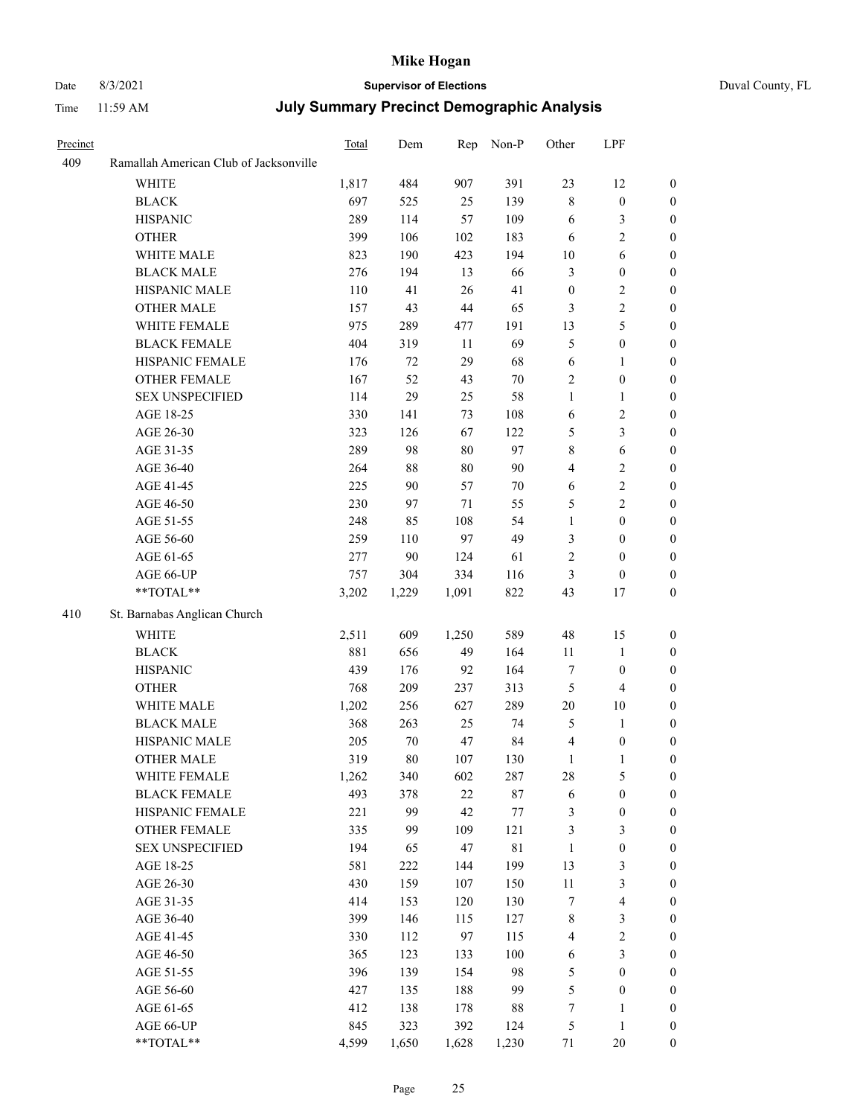# Date 8/3/2021 **Supervisor of Elections** Duval County, FL

| Precinct |                                        | Total | Dem    | Rep    | Non-P       | Other            | LPF                     |                  |
|----------|----------------------------------------|-------|--------|--------|-------------|------------------|-------------------------|------------------|
| 409      | Ramallah American Club of Jacksonville |       |        |        |             |                  |                         |                  |
|          | <b>WHITE</b>                           | 1,817 | 484    | 907    | 391         | 23               | 12                      | $\boldsymbol{0}$ |
|          | <b>BLACK</b>                           | 697   | 525    | 25     | 139         | $\,$ $\,$        | $\boldsymbol{0}$        | $\boldsymbol{0}$ |
|          | <b>HISPANIC</b>                        | 289   | 114    | 57     | 109         | 6                | $\mathfrak{Z}$          | $\boldsymbol{0}$ |
|          | <b>OTHER</b>                           | 399   | 106    | 102    | 183         | 6                | $\sqrt{2}$              | $\boldsymbol{0}$ |
|          | WHITE MALE                             | 823   | 190    | 423    | 194         | 10               | $\sqrt{6}$              | $\boldsymbol{0}$ |
|          | <b>BLACK MALE</b>                      | 276   | 194    | 13     | 66          | 3                | $\boldsymbol{0}$        | $\boldsymbol{0}$ |
|          | HISPANIC MALE                          | 110   | 41     | 26     | 41          | $\boldsymbol{0}$ | $\sqrt{2}$              | $\boldsymbol{0}$ |
|          | <b>OTHER MALE</b>                      | 157   | 43     | 44     | 65          | 3                | $\sqrt{2}$              | 0                |
|          | WHITE FEMALE                           | 975   | 289    | 477    | 191         | 13               | 5                       | 0                |
|          | <b>BLACK FEMALE</b>                    | 404   | 319    | 11     | 69          | 5                | $\boldsymbol{0}$        | $\boldsymbol{0}$ |
|          | HISPANIC FEMALE                        | 176   | $72\,$ | 29     | 68          | $\sqrt{6}$       | 1                       | $\boldsymbol{0}$ |
|          | OTHER FEMALE                           | 167   | 52     | 43     | $70\,$      | 2                | $\boldsymbol{0}$        | $\boldsymbol{0}$ |
|          | <b>SEX UNSPECIFIED</b>                 | 114   | 29     | 25     | 58          | $\mathbf{1}$     | $\mathbf{1}$            | $\boldsymbol{0}$ |
|          | AGE 18-25                              | 330   | 141    | 73     | 108         | 6                | $\sqrt{2}$              | $\boldsymbol{0}$ |
|          | AGE 26-30                              | 323   | 126    | 67     | 122         | 5                | $\mathfrak{Z}$          | $\boldsymbol{0}$ |
|          | AGE 31-35                              | 289   | 98     | $80\,$ | 97          | $\,$ $\,$        | $\sqrt{6}$              | $\boldsymbol{0}$ |
|          | AGE 36-40                              | 264   | $88\,$ | $80\,$ | $90\,$      | 4                | $\sqrt{2}$              | 0                |
|          | AGE 41-45                              | 225   | 90     | 57     | $70\,$      | 6                | $\sqrt{2}$              | 0                |
|          | AGE 46-50                              | 230   | 97     | 71     | 55          | 5                | $\sqrt{2}$              | 0                |
|          | AGE 51-55                              | 248   | 85     | 108    | 54          | $\mathbf{1}$     | $\boldsymbol{0}$        | $\boldsymbol{0}$ |
|          | AGE 56-60                              | 259   | 110    | 97     | 49          | 3                | $\boldsymbol{0}$        | $\boldsymbol{0}$ |
|          | AGE 61-65                              | 277   | $90\,$ | 124    | 61          | 2                | $\boldsymbol{0}$        | $\boldsymbol{0}$ |
|          | AGE 66-UP                              | 757   | 304    | 334    | 116         | 3                | $\boldsymbol{0}$        | 0                |
|          | **TOTAL**                              | 3,202 | 1,229  | 1,091  | 822         | 43               | 17                      | $\boldsymbol{0}$ |
| 410      | St. Barnabas Anglican Church           |       |        |        |             |                  |                         |                  |
|          | WHITE                                  | 2,511 | 609    | 1,250  | 589         | 48               | 15                      | $\boldsymbol{0}$ |
|          | <b>BLACK</b>                           | 881   | 656    | 49     | 164         | 11               | $\mathbf{1}$            | $\boldsymbol{0}$ |
|          | <b>HISPANIC</b>                        | 439   | 176    | 92     | 164         | $\boldsymbol{7}$ | $\boldsymbol{0}$        | $\overline{0}$   |
|          | <b>OTHER</b>                           | 768   | 209    | 237    | 313         | $\mathfrak{S}$   | $\overline{4}$          | $\boldsymbol{0}$ |
|          | WHITE MALE                             | 1,202 | 256    | 627    | 289         | $20\,$           | $10\,$                  | 0                |
|          | <b>BLACK MALE</b>                      | 368   | 263    | 25     | 74          | 5                | $\mathbf{1}$            | 0                |
|          | HISPANIC MALE                          | 205   | 70     | 47     | 84          | 4                | $\boldsymbol{0}$        | 0                |
|          | OTHER MALE                             | 319   | $80\,$ | 107    | 130         | $\mathbf{1}$     | $\mathbf{1}$            | $\boldsymbol{0}$ |
|          | WHITE FEMALE                           | 1,262 | 340    | 602    | 287         | $28\,$           | 5                       | $\boldsymbol{0}$ |
|          | <b>BLACK FEMALE</b>                    | 493   | 378    | 22     | $87\,$      | 6                | $\boldsymbol{0}$        | $\boldsymbol{0}$ |
|          | HISPANIC FEMALE                        | 221   | 99     | 42     | $77\,$      | 3                | $\boldsymbol{0}$        | $\overline{0}$   |
|          | <b>OTHER FEMALE</b>                    | 335   | 99     | 109    | 121         | 3                | $\mathfrak{Z}$          | $\overline{0}$   |
|          | <b>SEX UNSPECIFIED</b>                 | 194   | 65     | 47     | $8\sqrt{1}$ | $\mathbf{1}$     | $\boldsymbol{0}$        | $\overline{0}$   |
|          | AGE 18-25                              | 581   | 222    | 144    | 199         | 13               | $\mathfrak{Z}$          | 0                |
|          | AGE 26-30                              | 430   | 159    | 107    | 150         | 11               | $\mathfrak{Z}$          | 0                |
|          | AGE 31-35                              | 414   | 153    | 120    | 130         | 7                | $\overline{\mathbf{4}}$ | 0                |
|          | AGE 36-40                              | 399   | 146    | 115    | 127         | $\,$ 8 $\,$      | $\mathfrak{Z}$          | $\boldsymbol{0}$ |
|          | AGE 41-45                              | 330   | 112    | 97     | 115         | 4                | $\sqrt{2}$              | $\boldsymbol{0}$ |
|          | AGE 46-50                              | 365   | 123    | 133    | 100         | 6                | $\mathfrak{Z}$          | $\boldsymbol{0}$ |
|          | AGE 51-55                              | 396   | 139    | 154    | 98          | 5                | $\boldsymbol{0}$        | $\boldsymbol{0}$ |
|          | AGE 56-60                              | 427   | 135    | 188    | 99          | 5                | $\boldsymbol{0}$        | $\boldsymbol{0}$ |
|          | AGE 61-65                              | 412   | 138    | 178    | 88          | 7                | $\mathbf{1}$            | $\overline{0}$   |
|          | AGE 66-UP                              | 845   | 323    | 392    | 124         | 5                | $\mathbf{1}$            | $\overline{0}$   |
|          | **TOTAL**                              | 4,599 | 1,650  | 1,628  | 1,230       | 71               | 20                      | $\boldsymbol{0}$ |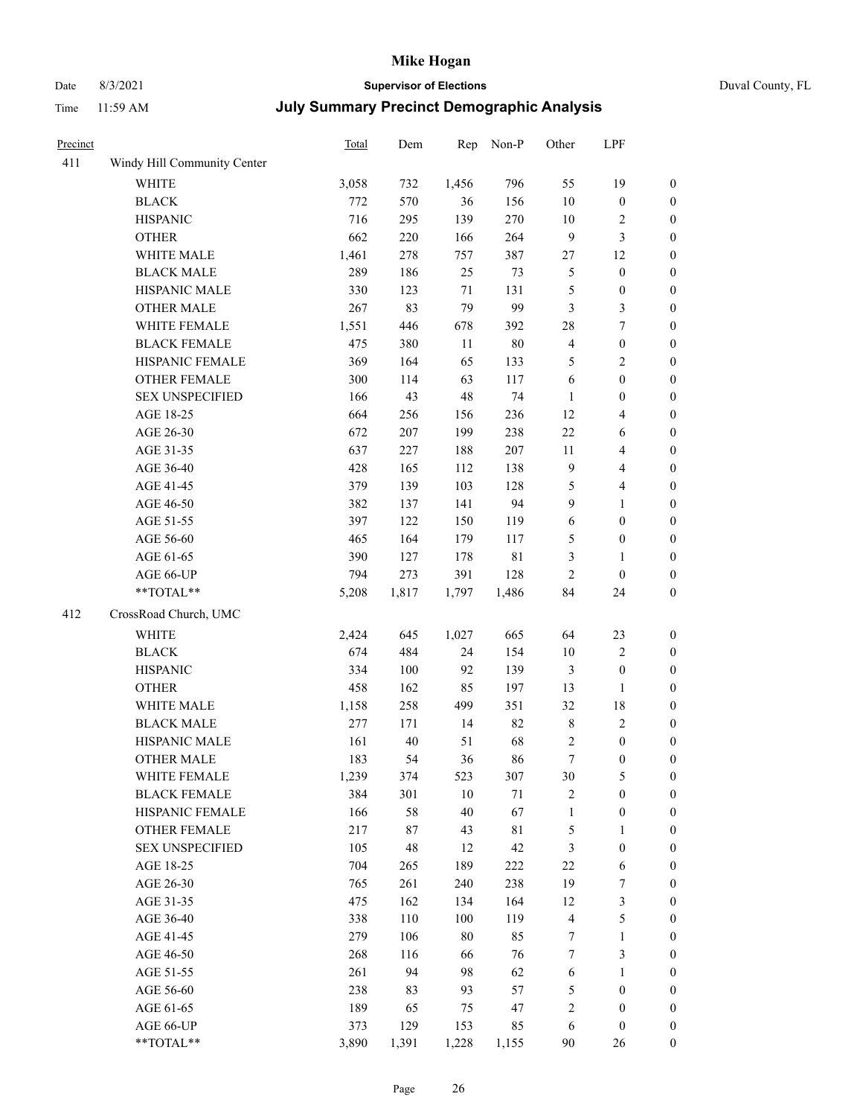# Date 8/3/2021 **Supervisor of Elections** Duval County, FL

| Precinct |                             | Total | Dem   | Rep    | Non-P       | Other                   | LPF                     |                  |
|----------|-----------------------------|-------|-------|--------|-------------|-------------------------|-------------------------|------------------|
| 411      | Windy Hill Community Center |       |       |        |             |                         |                         |                  |
|          | <b>WHITE</b>                | 3,058 | 732   | 1,456  | 796         | 55                      | 19                      | $\boldsymbol{0}$ |
|          | <b>BLACK</b>                | 772   | 570   | 36     | 156         | $10\,$                  | $\boldsymbol{0}$        | $\boldsymbol{0}$ |
|          | <b>HISPANIC</b>             | 716   | 295   | 139    | 270         | 10                      | $\sqrt{2}$              | $\boldsymbol{0}$ |
|          | <b>OTHER</b>                | 662   | 220   | 166    | 264         | 9                       | $\mathfrak{Z}$          | $\boldsymbol{0}$ |
|          | WHITE MALE                  | 1,461 | 278   | 757    | 387         | 27                      | 12                      | $\boldsymbol{0}$ |
|          | <b>BLACK MALE</b>           | 289   | 186   | 25     | 73          | 5                       | $\boldsymbol{0}$        | $\boldsymbol{0}$ |
|          | HISPANIC MALE               | 330   | 123   | 71     | 131         | 5                       | $\boldsymbol{0}$        | $\boldsymbol{0}$ |
|          | OTHER MALE                  | 267   | 83    | 79     | 99          | $\mathfrak{Z}$          | $\mathfrak{Z}$          | $\boldsymbol{0}$ |
|          | WHITE FEMALE                | 1,551 | 446   | 678    | 392         | $28\,$                  | $\boldsymbol{7}$        | $\boldsymbol{0}$ |
|          | <b>BLACK FEMALE</b>         | 475   | 380   | 11     | $80\,$      | $\overline{\mathbf{4}}$ | $\boldsymbol{0}$        | 0                |
|          | HISPANIC FEMALE             | 369   | 164   | 65     | 133         | 5                       | $\sqrt{2}$              | $\boldsymbol{0}$ |
|          | OTHER FEMALE                | 300   | 114   | 63     | 117         | 6                       | $\boldsymbol{0}$        | $\boldsymbol{0}$ |
|          | <b>SEX UNSPECIFIED</b>      | 166   | 43    | 48     | 74          | $\mathbf{1}$            | $\boldsymbol{0}$        | $\boldsymbol{0}$ |
|          | AGE 18-25                   | 664   | 256   | 156    | 236         | 12                      | $\overline{\mathbf{4}}$ | $\boldsymbol{0}$ |
|          | AGE 26-30                   | 672   | 207   | 199    | 238         | 22                      | 6                       | $\boldsymbol{0}$ |
|          | AGE 31-35                   | 637   | 227   | 188    | 207         | $11\,$                  | $\overline{\mathbf{4}}$ | $\boldsymbol{0}$ |
|          | AGE 36-40                   | 428   | 165   | 112    | 138         | 9                       | $\overline{\mathbf{4}}$ | $\boldsymbol{0}$ |
|          | AGE 41-45                   | 379   | 139   | 103    | 128         | 5                       | $\overline{\mathbf{4}}$ | $\boldsymbol{0}$ |
|          | AGE 46-50                   | 382   | 137   | 141    | 94          | $\boldsymbol{9}$        | $\mathbf{1}$            | $\boldsymbol{0}$ |
|          | AGE 51-55                   | 397   | 122   | 150    | 119         | 6                       | $\boldsymbol{0}$        | 0                |
|          | AGE 56-60                   | 465   | 164   | 179    | 117         | 5                       | $\boldsymbol{0}$        | $\boldsymbol{0}$ |
|          | AGE 61-65                   | 390   | 127   | 178    | $8\sqrt{1}$ | 3                       | 1                       | $\boldsymbol{0}$ |
|          | AGE 66-UP                   | 794   | 273   | 391    | 128         | $\mathfrak{2}$          | $\boldsymbol{0}$        | $\boldsymbol{0}$ |
|          | **TOTAL**                   | 5,208 | 1,817 | 1,797  | 1,486       | 84                      | 24                      | $\boldsymbol{0}$ |
| 412      | CrossRoad Church, UMC       |       |       |        |             |                         |                         |                  |
|          | <b>WHITE</b>                | 2,424 | 645   | 1,027  | 665         | 64                      | 23                      | $\boldsymbol{0}$ |
|          | <b>BLACK</b>                | 674   | 484   | 24     | 154         | $10\,$                  | $\sqrt{2}$              | $\boldsymbol{0}$ |
|          | <b>HISPANIC</b>             | 334   | 100   | 92     | 139         | 3                       | $\boldsymbol{0}$        | $\boldsymbol{0}$ |
|          | <b>OTHER</b>                | 458   | 162   | 85     | 197         | 13                      | $\mathbf{1}$            | $\boldsymbol{0}$ |
|          | WHITE MALE                  | 1,158 | 258   | 499    | 351         | 32                      | $18\,$                  | $\boldsymbol{0}$ |
|          | <b>BLACK MALE</b>           | 277   | 171   | 14     | 82          | $\,$ 8 $\,$             | $\sqrt{2}$              | $\boldsymbol{0}$ |
|          | HISPANIC MALE               | 161   | 40    | 51     | 68          | $\sqrt{2}$              | $\boldsymbol{0}$        | 0                |
|          | OTHER MALE                  | 183   | 54    | 36     | 86          | $\boldsymbol{7}$        | $\boldsymbol{0}$        | $\boldsymbol{0}$ |
|          | WHITE FEMALE                | 1,239 | 374   | 523    | 307         | $30\,$                  | $\mathfrak{S}$          | 0                |
|          | <b>BLACK FEMALE</b>         | 384   | 301   | 10     | $71\,$      | 2                       | $\boldsymbol{0}$        | $\overline{0}$   |
|          | HISPANIC FEMALE             | 166   | 58    | 40     | 67          | $\mathbf{1}$            | $\boldsymbol{0}$        | $\overline{0}$   |
|          | <b>OTHER FEMALE</b>         | 217   | 87    | 43     | $8\sqrt{1}$ | 5                       | $\mathbf{1}$            | 0                |
|          | <b>SEX UNSPECIFIED</b>      | 105   | 48    | 12     | 42          | 3                       | $\boldsymbol{0}$        | $\overline{0}$   |
|          | AGE 18-25                   | 704   | 265   | 189    | 222         | $22\,$                  | 6                       | 0                |
|          | AGE 26-30                   | 765   | 261   | 240    | 238         | 19                      | $\boldsymbol{7}$        | 0                |
|          | AGE 31-35                   | 475   | 162   | 134    | 164         | 12                      | $\mathfrak{Z}$          | 0                |
|          | AGE 36-40                   | 338   | 110   | 100    | 119         | $\overline{\mathbf{4}}$ | $\mathfrak{S}$          | 0                |
|          | AGE 41-45                   | 279   | 106   | $80\,$ | 85          | 7                       | $\mathbf{1}$            | 0                |
|          | AGE 46-50                   | 268   | 116   | 66     | 76          | 7                       | $\mathfrak{Z}$          | 0                |
|          | AGE 51-55                   | 261   | 94    | 98     | 62          | 6                       | $\mathbf{1}$            | $\boldsymbol{0}$ |
|          | AGE 56-60                   | 238   | 83    | 93     | 57          | 5                       | $\boldsymbol{0}$        | $\overline{0}$   |
|          | AGE 61-65                   | 189   | 65    | 75     | 47          | $\overline{c}$          | $\boldsymbol{0}$        | 0                |
|          | AGE 66-UP                   | 373   | 129   | 153    | 85          | 6                       | $\boldsymbol{0}$        | 0                |
|          | **TOTAL**                   | 3,890 | 1,391 | 1,228  | 1,155       | 90                      | 26                      | $\boldsymbol{0}$ |
|          |                             |       |       |        |             |                         |                         |                  |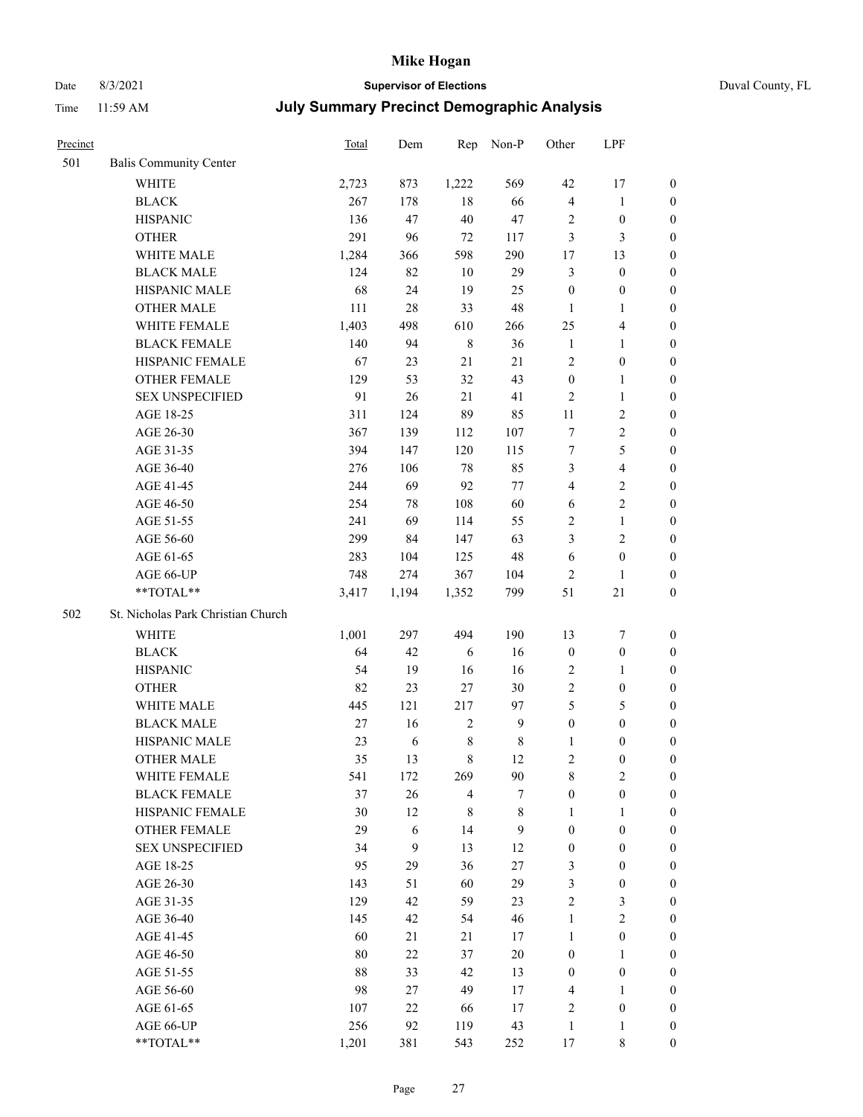# Date 8/3/2021 **Supervisor of Elections** Duval County, FL

| Precinct |                                    | <b>Total</b> | Dem    | Rep            | Non-P        | Other                   | LPF                     |                  |
|----------|------------------------------------|--------------|--------|----------------|--------------|-------------------------|-------------------------|------------------|
| 501      | <b>Balis Community Center</b>      |              |        |                |              |                         |                         |                  |
|          | <b>WHITE</b>                       | 2,723        | 873    | 1,222          | 569          | 42                      | 17                      | 0                |
|          | <b>BLACK</b>                       | 267          | 178    | 18             | 66           | $\overline{\mathbf{4}}$ | $\mathbf{1}$            | 0                |
|          | <b>HISPANIC</b>                    | 136          | 47     | 40             | $47\,$       | $\overline{c}$          | $\boldsymbol{0}$        | $\boldsymbol{0}$ |
|          | <b>OTHER</b>                       | 291          | 96     | 72             | 117          | 3                       | 3                       | $\boldsymbol{0}$ |
|          | WHITE MALE                         | 1,284        | 366    | 598            | 290          | 17                      | 13                      | $\boldsymbol{0}$ |
|          | <b>BLACK MALE</b>                  | 124          | 82     | 10             | 29           | 3                       | $\boldsymbol{0}$        | $\boldsymbol{0}$ |
|          | HISPANIC MALE                      | 68           | 24     | 19             | 25           | $\boldsymbol{0}$        | $\boldsymbol{0}$        | $\boldsymbol{0}$ |
|          | <b>OTHER MALE</b>                  | 111          | $28\,$ | 33             | 48           | $\mathbf{1}$            | $\mathbf{1}$            | $\boldsymbol{0}$ |
|          | WHITE FEMALE                       | 1,403        | 498    | 610            | 266          | 25                      | $\overline{\mathbf{4}}$ | $\boldsymbol{0}$ |
|          | <b>BLACK FEMALE</b>                | 140          | 94     | $\,$ 8 $\,$    | 36           | $\mathbf{1}$            | $\mathbf{1}$            | 0                |
|          | HISPANIC FEMALE                    | 67           | 23     | 21             | 21           | $\mathbf{2}$            | $\boldsymbol{0}$        | 0                |
|          | OTHER FEMALE                       | 129          | 53     | 32             | 43           | $\boldsymbol{0}$        | $\mathbf{1}$            | 0                |
|          | <b>SEX UNSPECIFIED</b>             | 91           | 26     | 21             | 41           | $\sqrt{2}$              | $\mathbf{1}$            | $\boldsymbol{0}$ |
|          | AGE 18-25                          | 311          | 124    | 89             | 85           | 11                      | $\sqrt{2}$              | $\boldsymbol{0}$ |
|          | AGE 26-30                          | 367          | 139    | 112            | 107          | 7                       | $\sqrt{2}$              | $\boldsymbol{0}$ |
|          | AGE 31-35                          | 394          | 147    | 120            | 115          | $\boldsymbol{7}$        | $\mathfrak s$           | $\boldsymbol{0}$ |
|          | AGE 36-40                          | 276          | 106    | 78             | 85           | 3                       | $\overline{\mathbf{4}}$ | $\boldsymbol{0}$ |
|          | AGE 41-45                          | 244          | 69     | 92             | 77           | $\overline{\mathbf{4}}$ | $\sqrt{2}$              | $\boldsymbol{0}$ |
|          | AGE 46-50                          | 254          | 78     | 108            | 60           | $\sqrt{6}$              | $\overline{2}$          | $\boldsymbol{0}$ |
|          | AGE 51-55                          | 241          | 69     | 114            | 55           | 2                       | $\mathbf{1}$            | $\boldsymbol{0}$ |
|          | AGE 56-60                          | 299          | 84     | 147            | 63           | 3                       | $\sqrt{2}$              | 0                |
|          | AGE 61-65                          | 283          | 104    | 125            | $48\,$       | 6                       | $\boldsymbol{0}$        | 0                |
|          | AGE 66-UP                          | 748          | 274    | 367            | 104          | $\mathfrak{2}$          | $\mathbf{1}$            | $\boldsymbol{0}$ |
|          | **TOTAL**                          | 3,417        | 1,194  | 1,352          | 799          | 51                      | $21\,$                  | $\boldsymbol{0}$ |
| 502      | St. Nicholas Park Christian Church |              |        |                |              |                         |                         |                  |
|          | <b>WHITE</b>                       | 1,001        | 297    | 494            | 190          | 13                      | $\boldsymbol{7}$        | $\boldsymbol{0}$ |
|          | <b>BLACK</b>                       | 64           | 42     | 6              | 16           | $\boldsymbol{0}$        | $\boldsymbol{0}$        | $\boldsymbol{0}$ |
|          | <b>HISPANIC</b>                    | 54           | 19     | 16             | 16           | 2                       | $\mathbf{1}$            | $\boldsymbol{0}$ |
|          | <b>OTHER</b>                       | 82           | 23     | 27             | $30\,$       | $\overline{c}$          | $\boldsymbol{0}$        | $\boldsymbol{0}$ |
|          | WHITE MALE                         | 445          | 121    | 217            | 97           | 5                       | $\mathfrak{S}$          | $\boldsymbol{0}$ |
|          | <b>BLACK MALE</b>                  | $27\,$       | 16     | $\sqrt{2}$     | $\mathbf{9}$ | $\boldsymbol{0}$        | $\boldsymbol{0}$        | $\boldsymbol{0}$ |
|          | HISPANIC MALE                      | 23           | 6      | $8\,$          | $\,$ 8 $\,$  | 1                       | $\boldsymbol{0}$        | 0                |
|          | OTHER MALE                         | 35           | 13     | 8              | 12           | 2                       | $\boldsymbol{0}$        | $\boldsymbol{0}$ |
|          | WHITE FEMALE                       | 541          | 172    | 269            | 90           | 8                       | 2                       | 0                |
|          | <b>BLACK FEMALE</b>                | 37           | 26     | $\overline{4}$ | 7            | $\boldsymbol{0}$        | $\boldsymbol{0}$        | $\overline{0}$   |
|          | HISPANIC FEMALE                    | 30           | 12     | $\,$ 8 $\,$    | $8\,$        | 1                       | 1                       | $\overline{0}$   |
|          | <b>OTHER FEMALE</b>                | 29           | 6      | 14             | 9            | $\boldsymbol{0}$        | $\boldsymbol{0}$        | $\overline{0}$   |
|          | <b>SEX UNSPECIFIED</b>             | 34           | 9      | 13             | 12           | $\boldsymbol{0}$        | $\boldsymbol{0}$        | 0                |
|          | AGE 18-25                          | 95           | 29     | 36             | $27\,$       | 3                       | $\boldsymbol{0}$        | $\theta$         |
|          | AGE 26-30                          | 143          | 51     | 60             | 29           | 3                       | $\boldsymbol{0}$        | 0                |
|          | AGE 31-35                          | 129          | 42     | 59             | 23           | $\overline{c}$          | $\mathfrak{Z}$          | 0                |
|          | AGE 36-40                          | 145          | 42     | 54             | 46           | $\mathbf{1}$            | $\sqrt{2}$              | 0                |
|          | AGE 41-45                          | 60           | 21     | 21             | 17           | $\mathbf{1}$            | $\boldsymbol{0}$        | 0                |
|          | AGE 46-50                          | 80           | 22     | 37             | $20\,$       | $\boldsymbol{0}$        | $\mathbf{1}$            | 0                |
|          | AGE 51-55                          | 88           | 33     | 42             | 13           | $\boldsymbol{0}$        | $\boldsymbol{0}$        | 0                |
|          | AGE 56-60                          | 98           | 27     | 49             | 17           | 4                       | 1                       | $\overline{0}$   |
|          | AGE 61-65                          | 107          | 22     | 66             | 17           | 2                       | $\boldsymbol{0}$        | $\overline{0}$   |
|          | AGE 66-UP                          | 256          | 92     | 119            | 43           | $\mathbf{1}$            | $\mathbf{1}$            | 0                |
|          | **TOTAL**                          | 1,201        | 381    | 543            | 252          | 17                      | 8                       | $\boldsymbol{0}$ |
|          |                                    |              |        |                |              |                         |                         |                  |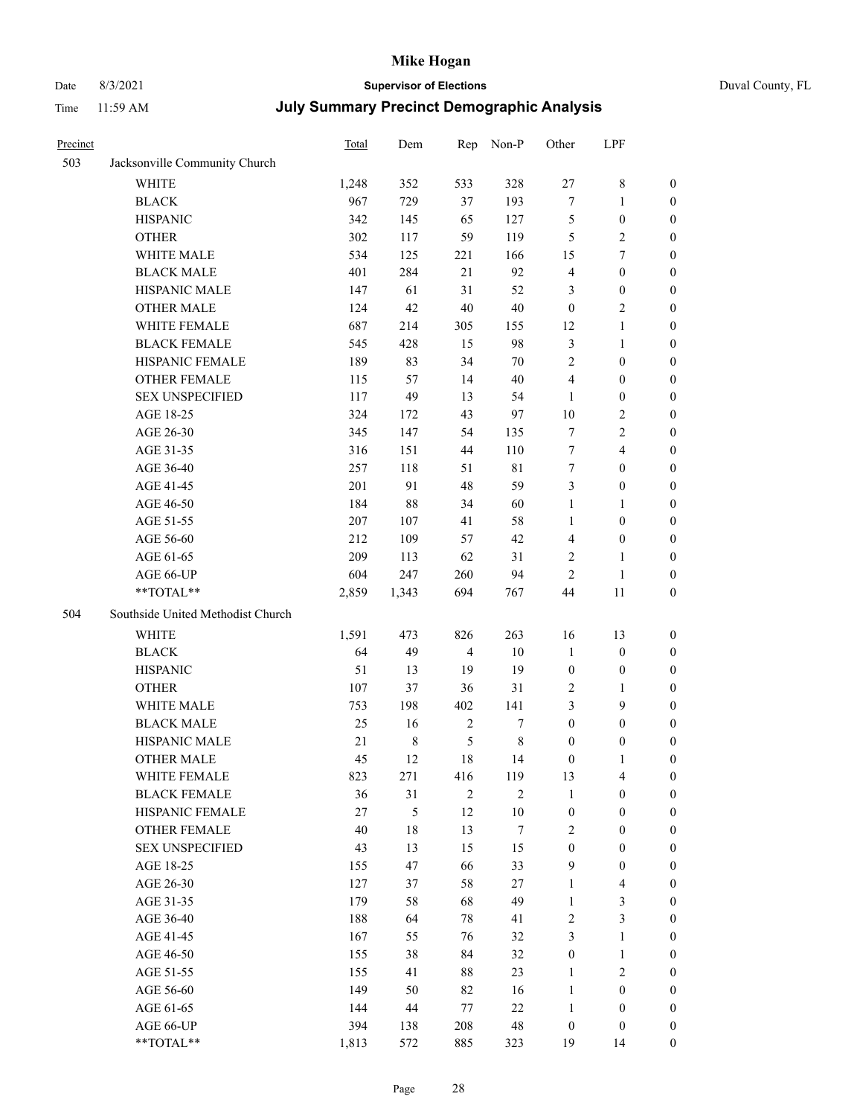# Date 8/3/2021 **Supervisor of Elections** Duval County, FL

| Precinct |                                   | Total | Dem         | Rep            | Non-P            | Other                   | LPF                     |                  |
|----------|-----------------------------------|-------|-------------|----------------|------------------|-------------------------|-------------------------|------------------|
| 503      | Jacksonville Community Church     |       |             |                |                  |                         |                         |                  |
|          | <b>WHITE</b>                      | 1,248 | 352         | 533            | 328              | $27\,$                  | $\,$ 8 $\,$             | 0                |
|          | <b>BLACK</b>                      | 967   | 729         | 37             | 193              | 7                       | $\mathbf{1}$            | 0                |
|          | <b>HISPANIC</b>                   | 342   | 145         | 65             | 127              | 5                       | $\boldsymbol{0}$        | $\boldsymbol{0}$ |
|          | <b>OTHER</b>                      | 302   | 117         | 59             | 119              | 5                       | $\sqrt{2}$              | $\boldsymbol{0}$ |
|          | WHITE MALE                        | 534   | 125         | 221            | 166              | 15                      | $\tau$                  | $\boldsymbol{0}$ |
|          | <b>BLACK MALE</b>                 | 401   | 284         | 21             | 92               | 4                       | $\boldsymbol{0}$        | $\boldsymbol{0}$ |
|          | HISPANIC MALE                     | 147   | 61          | 31             | 52               | 3                       | $\boldsymbol{0}$        | $\boldsymbol{0}$ |
|          | <b>OTHER MALE</b>                 | 124   | 42          | 40             | $40\,$           | $\boldsymbol{0}$        | $\overline{2}$          | $\boldsymbol{0}$ |
|          | WHITE FEMALE                      | 687   | 214         | 305            | 155              | 12                      | $\mathbf{1}$            | $\boldsymbol{0}$ |
|          | <b>BLACK FEMALE</b>               | 545   | 428         | 15             | 98               | 3                       | $\mathbf{1}$            | 0                |
|          | HISPANIC FEMALE                   | 189   | 83          | 34             | 70               | $\overline{c}$          | $\boldsymbol{0}$        | 0                |
|          | OTHER FEMALE                      | 115   | 57          | 14             | 40               | 4                       | $\boldsymbol{0}$        | 0                |
|          | <b>SEX UNSPECIFIED</b>            | 117   | 49          | 13             | 54               | $\mathbf{1}$            | $\boldsymbol{0}$        | $\boldsymbol{0}$ |
|          | AGE 18-25                         | 324   | 172         | 43             | 97               | $10\,$                  | $\sqrt{2}$              | $\boldsymbol{0}$ |
|          | AGE 26-30                         | 345   | 147         | 54             | 135              | 7                       | $\sqrt{2}$              | $\boldsymbol{0}$ |
|          | AGE 31-35                         | 316   | 151         | 44             | 110              | 7                       | $\overline{\mathbf{4}}$ | $\boldsymbol{0}$ |
|          | AGE 36-40                         | 257   | 118         | 51             | $8\sqrt{1}$      | $\boldsymbol{7}$        | $\boldsymbol{0}$        | $\boldsymbol{0}$ |
|          | AGE 41-45                         | 201   | 91          | 48             | 59               | 3                       | $\boldsymbol{0}$        | $\boldsymbol{0}$ |
|          | AGE 46-50                         | 184   | $88\,$      | 34             | 60               | $\mathbf{1}$            | $\mathbf{1}$            | $\boldsymbol{0}$ |
|          | AGE 51-55                         | 207   | 107         | 41             | 58               | $\mathbf{1}$            | $\boldsymbol{0}$        | 0                |
|          | AGE 56-60                         | 212   | 109         | 57             | 42               | $\overline{\mathbf{4}}$ | $\boldsymbol{0}$        | 0                |
|          | AGE 61-65                         | 209   | 113         | 62             | 31               | 2                       | $\mathbf{1}$            | 0                |
|          | AGE 66-UP                         | 604   | 247         | 260            | 94               | $\mathfrak{2}$          | $\mathbf{1}$            | $\boldsymbol{0}$ |
|          | **TOTAL**                         | 2,859 | 1,343       | 694            | 767              | 44                      | 11                      | $\boldsymbol{0}$ |
|          |                                   |       |             |                |                  |                         |                         |                  |
| 504      | Southside United Methodist Church |       |             |                |                  |                         |                         |                  |
|          | <b>WHITE</b>                      | 1,591 | 473         | 826            | 263              | 16                      | 13                      | $\boldsymbol{0}$ |
|          | <b>BLACK</b>                      | 64    | 49          | $\overline{4}$ | $10\,$           | $\mathbf{1}$            | $\boldsymbol{0}$        | $\boldsymbol{0}$ |
|          | <b>HISPANIC</b>                   | 51    | 13          | 19             | 19               | $\boldsymbol{0}$        | $\boldsymbol{0}$        | $\boldsymbol{0}$ |
|          | <b>OTHER</b>                      | 107   | 37          | 36             | 31               | $\sqrt{2}$              | $\mathbf{1}$            | $\boldsymbol{0}$ |
|          | WHITE MALE                        | 753   | 198         | 402            | 141              | 3                       | 9                       | $\boldsymbol{0}$ |
|          | <b>BLACK MALE</b>                 | 25    | 16          | $\sqrt{2}$     | $\boldsymbol{7}$ | $\boldsymbol{0}$        | $\boldsymbol{0}$        | $\boldsymbol{0}$ |
|          | HISPANIC MALE                     | 21    | $\,$ 8 $\,$ | $\mathfrak s$  | $8\,$            | $\boldsymbol{0}$        | $\boldsymbol{0}$        | 0                |
|          | <b>OTHER MALE</b>                 | 45    | 12          | 18             | 14               | $\boldsymbol{0}$        | $\mathbf{1}$            | 0                |
|          | WHITE FEMALE                      | 823   | 271         | 416            | 119              | 13                      | 4                       | 0                |
|          | <b>BLACK FEMALE</b>               | 36    | 31          | $\mathfrak{2}$ | $\mathbf{2}$     | $\mathbf{1}$            | $\boldsymbol{0}$        | $\overline{0}$   |
|          | HISPANIC FEMALE                   | 27    | 5           | 12             | $10\,$           | $\boldsymbol{0}$        | $\boldsymbol{0}$        | $\overline{0}$   |
|          | <b>OTHER FEMALE</b>               | 40    | 18          | 13             | 7                | 2                       | $\boldsymbol{0}$        | $\overline{0}$   |
|          | <b>SEX UNSPECIFIED</b>            | 43    | 13          | 15             | 15               | $\boldsymbol{0}$        | $\boldsymbol{0}$        | $\overline{0}$   |
|          | AGE 18-25                         | 155   | 47          | 66             | 33               | 9                       | $\boldsymbol{0}$        | $\theta$         |
|          | AGE 26-30                         | 127   | 37          | 58             | 27               | $\mathbf{1}$            | $\overline{\mathbf{4}}$ | 0                |
|          | AGE 31-35                         | 179   | 58          | 68             | 49               | $\mathbf{1}$            | $\mathfrak{Z}$          | 0                |
|          | AGE 36-40                         | 188   | 64          | 78             | 41               | 2                       | $\mathfrak{Z}$          | 0                |
|          | AGE 41-45                         | 167   | 55          | 76             | 32               | 3                       | $\mathbf{1}$            | 0                |
|          | AGE 46-50                         | 155   | 38          | 84             | 32               | $\boldsymbol{0}$        | $\mathbf{1}$            | 0                |
|          | AGE 51-55                         | 155   | 41          | 88             | 23               | $\mathbf{1}$            | $\mathbf{2}$            | 0                |
|          | AGE 56-60                         | 149   | 50          | 82             | 16               | $\mathbf{1}$            | $\boldsymbol{0}$        | $\overline{0}$   |
|          | AGE 61-65                         | 144   | 44          | 77             | $22\,$           | $\mathbf{1}$            | $\boldsymbol{0}$        | $\overline{0}$   |
|          | AGE 66-UP                         | 394   | 138         | 208            | 48               | $\boldsymbol{0}$        | $\boldsymbol{0}$        | $\boldsymbol{0}$ |
|          | **TOTAL**                         | 1,813 | 572         | 885            | 323              | 19                      | 14                      | $\boldsymbol{0}$ |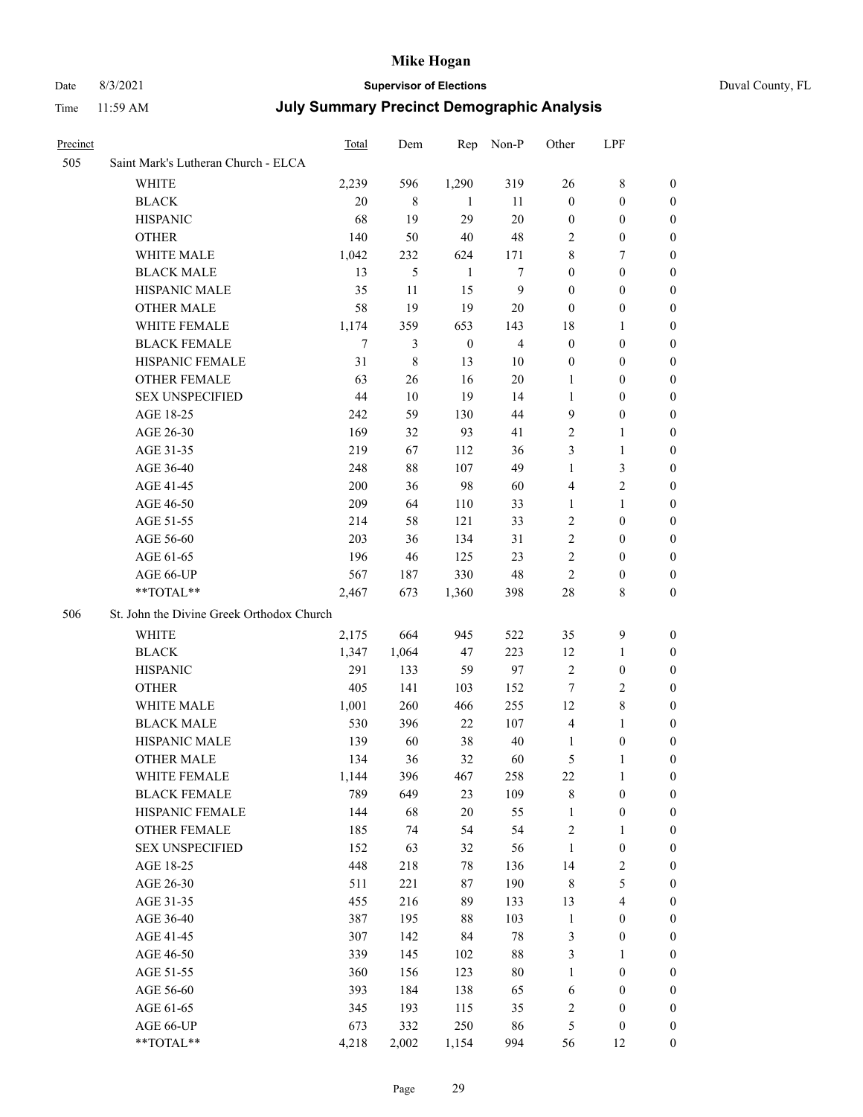#### Date 8/3/2021 **Supervisor of Elections** Duval County, FL

| Precinct |                                           | Total | Dem    | Rep              | Non-P          | Other            | LPF                     |                  |
|----------|-------------------------------------------|-------|--------|------------------|----------------|------------------|-------------------------|------------------|
| 505      | Saint Mark's Lutheran Church - ELCA       |       |        |                  |                |                  |                         |                  |
|          | WHITE                                     | 2,239 | 596    | 1,290            | 319            | 26               | $8\,$                   | $\boldsymbol{0}$ |
|          | <b>BLACK</b>                              | 20    | 8      | -1               | 11             | $\boldsymbol{0}$ | $\boldsymbol{0}$        | $\boldsymbol{0}$ |
|          | <b>HISPANIC</b>                           | 68    | 19     | 29               | 20             | $\boldsymbol{0}$ | $\boldsymbol{0}$        | 0                |
|          | <b>OTHER</b>                              | 140   | 50     | 40               | 48             | $\overline{c}$   | $\boldsymbol{0}$        | $\boldsymbol{0}$ |
|          | WHITE MALE                                | 1,042 | 232    | 624              | 171            | 8                | $\boldsymbol{7}$        | $\boldsymbol{0}$ |
|          | <b>BLACK MALE</b>                         | 13    | 5      | $\mathbf{1}$     | 7              | $\boldsymbol{0}$ | $\boldsymbol{0}$        | 0                |
|          | HISPANIC MALE                             | 35    | 11     | 15               | $\mathbf{9}$   | $\boldsymbol{0}$ | $\boldsymbol{0}$        | 0                |
|          | <b>OTHER MALE</b>                         | 58    | 19     | 19               | 20             | $\boldsymbol{0}$ | $\boldsymbol{0}$        | 0                |
|          | WHITE FEMALE                              | 1,174 | 359    | 653              | 143            | 18               | $\mathbf{1}$            | 0                |
|          | <b>BLACK FEMALE</b>                       | 7     | 3      | $\boldsymbol{0}$ | $\overline{4}$ | $\boldsymbol{0}$ | $\boldsymbol{0}$        | $\boldsymbol{0}$ |
|          | HISPANIC FEMALE                           | 31    | 8      | 13               | 10             | $\boldsymbol{0}$ | $\boldsymbol{0}$        | $\boldsymbol{0}$ |
|          | OTHER FEMALE                              | 63    | 26     | 16               | $20\,$         | $\mathbf{1}$     | $\boldsymbol{0}$        | 0                |
|          | <b>SEX UNSPECIFIED</b>                    | 44    | $10\,$ | 19               | 14             | $\mathbf{1}$     | $\boldsymbol{0}$        | $\boldsymbol{0}$ |
|          | AGE 18-25                                 | 242   | 59     | 130              | 44             | $\overline{9}$   | $\boldsymbol{0}$        | $\boldsymbol{0}$ |
|          | AGE 26-30                                 | 169   | 32     | 93               | 41             | $\overline{c}$   | $\mathbf{1}$            | $\boldsymbol{0}$ |
|          | AGE 31-35                                 | 219   | 67     | 112              | 36             | 3                | $\mathbf{1}$            | 0                |
|          | AGE 36-40                                 | 248   | 88     | 107              | 49             | $\mathbf{1}$     | $\mathfrak{Z}$          | 0                |
|          | AGE 41-45                                 | 200   | 36     | 98               | 60             | 4                | $\sqrt{2}$              | 0                |
|          | AGE 46-50                                 | 209   | 64     | 110              | 33             | 1                | $\mathbf{1}$            | 0                |
|          | AGE 51-55                                 | 214   | 58     | 121              | 33             | 2                | $\boldsymbol{0}$        | 0                |
|          | AGE 56-60                                 | 203   | 36     | 134              | 31             | $\overline{c}$   | $\boldsymbol{0}$        | $\boldsymbol{0}$ |
|          | AGE 61-65                                 | 196   | 46     | 125              | 23             | 2                | $\boldsymbol{0}$        | $\boldsymbol{0}$ |
|          | AGE 66-UP                                 | 567   | 187    | 330              | 48             | $\overline{c}$   | $\boldsymbol{0}$        | 0                |
|          | **TOTAL**                                 | 2,467 | 673    | 1,360            | 398            | 28               | $\,$ 8 $\,$             | $\boldsymbol{0}$ |
| 506      | St. John the Divine Greek Orthodox Church |       |        |                  |                |                  |                         |                  |
|          | WHITE                                     | 2,175 | 664    | 945              | 522            | 35               | $\mathbf{9}$            | $\boldsymbol{0}$ |
|          | <b>BLACK</b>                              | 1,347 | 1,064  | 47               | 223            | 12               | $\mathbf{1}$            | $\boldsymbol{0}$ |
|          | <b>HISPANIC</b>                           | 291   | 133    | 59               | 97             | $\overline{2}$   | $\boldsymbol{0}$        | 0                |
|          | <b>OTHER</b>                              | 405   | 141    | 103              | 152            | $\tau$           | $\mathfrak{2}$          | 0                |
|          | WHITE MALE                                | 1,001 | 260    | 466              | 255            | 12               | $\,$ 8 $\,$             | 0                |
|          | <b>BLACK MALE</b>                         | 530   | 396    | 22               | 107            | $\overline{4}$   | $\mathbf{1}$            | 0                |
|          | HISPANIC MALE                             | 139   | 60     | 38               | $40\,$         | 1                | $\boldsymbol{0}$        | 0                |
|          | <b>OTHER MALE</b>                         | 134   | 36     | 32               | 60             | 5                | $\mathbf{1}$            | $\boldsymbol{0}$ |
|          | WHITE FEMALE                              | 1,144 | 396    | 467              | 258            | $22\,$           | $\mathbf{1}$            | $\boldsymbol{0}$ |
|          | <b>BLACK FEMALE</b>                       | 789   | 649    | 23               | 109            | $\,$ $\,$        | $\boldsymbol{0}$        | $\overline{0}$   |
|          | HISPANIC FEMALE                           | 144   | 68     | $20\,$           | 55             | $\mathbf{1}$     | $\boldsymbol{0}$        | $\overline{0}$   |
|          | <b>OTHER FEMALE</b>                       | 185   | 74     | 54               | 54             | $\sqrt{2}$       | $\mathbf{1}$            | $\overline{0}$   |
|          | <b>SEX UNSPECIFIED</b>                    | 152   | 63     | 32               | 56             | $\mathbf{1}$     | $\boldsymbol{0}$        | 0                |
|          | AGE 18-25                                 | 448   | 218    | 78               | 136            | 14               | $\sqrt{2}$              | 0                |
|          | AGE 26-30                                 | 511   | 221    | $87\,$           | 190            | $\,$ 8 $\,$      | $\mathfrak s$           | 0                |
|          | AGE 31-35                                 | 455   | 216    | 89               | 133            | 13               | $\overline{\mathbf{4}}$ | $\boldsymbol{0}$ |
|          | AGE 36-40                                 | 387   | 195    | 88               | 103            | $\mathbf{1}$     | $\boldsymbol{0}$        | $\boldsymbol{0}$ |
|          | AGE 41-45                                 | 307   | 142    | 84               | $78\,$         | $\mathfrak{Z}$   | $\boldsymbol{0}$        | $\boldsymbol{0}$ |
|          | AGE 46-50                                 | 339   | 145    | 102              | $88\,$         | 3                | $\mathbf{1}$            | $\boldsymbol{0}$ |
|          | AGE 51-55                                 | 360   | 156    | 123              | $80\,$         | $\mathbf{1}$     | $\boldsymbol{0}$        | $\overline{0}$   |
|          | AGE 56-60                                 | 393   | 184    | 138              | 65             | 6                | $\boldsymbol{0}$        | $\overline{0}$   |
|          | AGE 61-65                                 | 345   | 193    | 115              | 35             | $\sqrt{2}$       | $\boldsymbol{0}$        | $\overline{0}$   |
|          | AGE 66-UP                                 | 673   | 332    | 250              | 86             | 5                | $\boldsymbol{0}$        | $\boldsymbol{0}$ |
|          | **TOTAL**                                 | 4,218 | 2,002  | 1,154            | 994            | 56               | 12                      | $\boldsymbol{0}$ |
|          |                                           |       |        |                  |                |                  |                         |                  |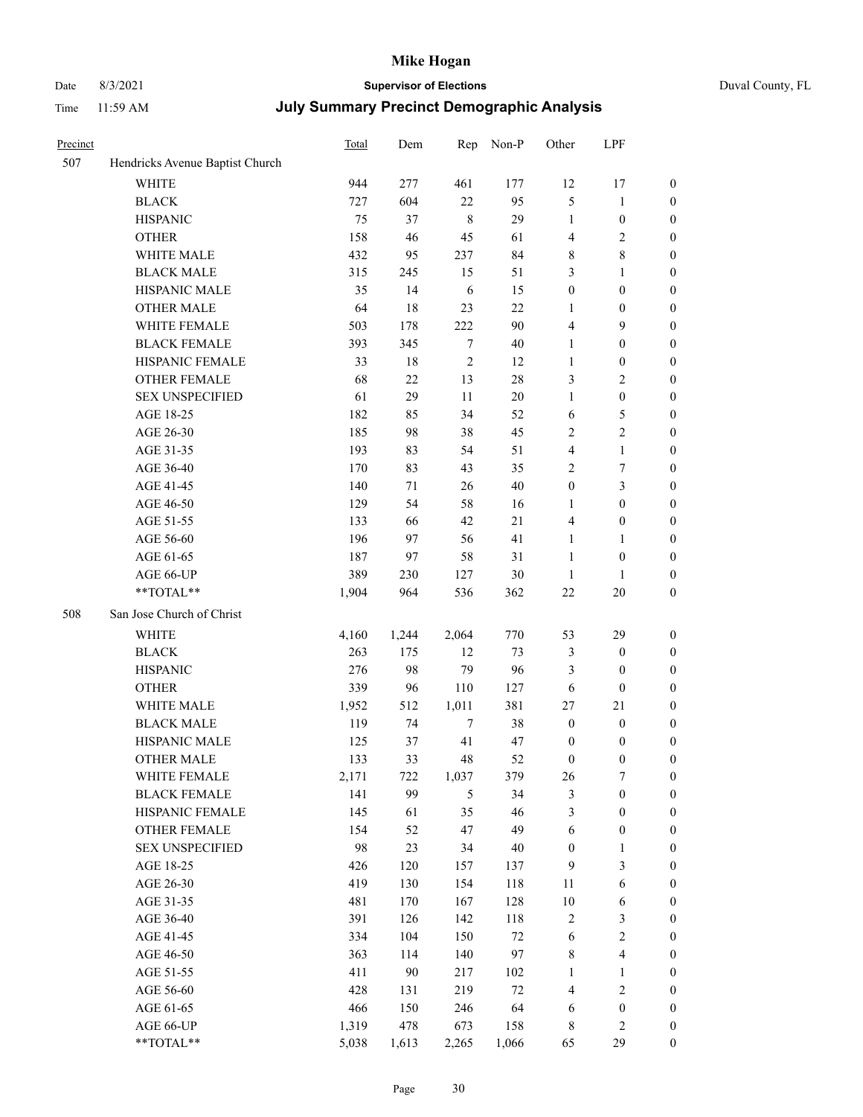# Date 8/3/2021 **Supervisor of Elections** Duval County, FL

| Precinct |                                 | Total | Dem    | Rep        | Non-P  | Other            | LPF                     |                  |
|----------|---------------------------------|-------|--------|------------|--------|------------------|-------------------------|------------------|
| 507      | Hendricks Avenue Baptist Church |       |        |            |        |                  |                         |                  |
|          | <b>WHITE</b>                    | 944   | 277    | 461        | 177    | 12               | 17                      | 0                |
|          | <b>BLACK</b>                    | 727   | 604    | 22         | 95     | 5                | $\mathbf{1}$            | 0                |
|          | <b>HISPANIC</b>                 | 75    | 37     | $\,8\,$    | 29     | $\mathbf{1}$     | $\boldsymbol{0}$        | $\boldsymbol{0}$ |
|          | <b>OTHER</b>                    | 158   | 46     | 45         | 61     | 4                | $\sqrt{2}$              | $\boldsymbol{0}$ |
|          | WHITE MALE                      | 432   | 95     | 237        | 84     | 8                | $8\,$                   | $\boldsymbol{0}$ |
|          | <b>BLACK MALE</b>               | 315   | 245    | 15         | 51     | 3                | 1                       | $\boldsymbol{0}$ |
|          | HISPANIC MALE                   | 35    | 14     | 6          | 15     | $\boldsymbol{0}$ | $\boldsymbol{0}$        | $\boldsymbol{0}$ |
|          | <b>OTHER MALE</b>               | 64    | 18     | 23         | 22     | $\mathbf{1}$     | $\boldsymbol{0}$        | $\boldsymbol{0}$ |
|          | WHITE FEMALE                    | 503   | 178    | 222        | $90\,$ | 4                | $\mathbf{9}$            | $\boldsymbol{0}$ |
|          | <b>BLACK FEMALE</b>             | 393   | 345    | $\tau$     | $40\,$ | $\mathbf{1}$     | $\boldsymbol{0}$        | $\boldsymbol{0}$ |
|          | HISPANIC FEMALE                 | 33    | $18\,$ | $\sqrt{2}$ | 12     | $\mathbf{1}$     | $\boldsymbol{0}$        | 0                |
|          | <b>OTHER FEMALE</b>             | 68    | 22     | 13         | $28\,$ | 3                | $\sqrt{2}$              | $\boldsymbol{0}$ |
|          | <b>SEX UNSPECIFIED</b>          | 61    | 29     | 11         | 20     | $\mathbf{1}$     | $\boldsymbol{0}$        | $\boldsymbol{0}$ |
|          | AGE 18-25                       | 182   | 85     | 34         | 52     | 6                | $\mathfrak{S}$          | $\boldsymbol{0}$ |
|          | AGE 26-30                       | 185   | 98     | 38         | 45     | 2                | $\sqrt{2}$              | $\boldsymbol{0}$ |
|          | AGE 31-35                       | 193   | 83     | 54         | 51     | 4                | $\mathbf{1}$            | $\boldsymbol{0}$ |
|          | AGE 36-40                       | 170   | 83     | 43         | 35     | 2                | 7                       | $\boldsymbol{0}$ |
|          | AGE 41-45                       | 140   | $71\,$ | 26         | $40\,$ | $\boldsymbol{0}$ | $\mathfrak{Z}$          | $\boldsymbol{0}$ |
|          | AGE 46-50                       | 129   | 54     | 58         | 16     | 1                | $\boldsymbol{0}$        | $\boldsymbol{0}$ |
|          | AGE 51-55                       | 133   | 66     | 42         | 21     | 4                | $\boldsymbol{0}$        | 0                |
|          | AGE 56-60                       | 196   | 97     | 56         | 41     | $\mathbf{1}$     | 1                       | 0                |
|          | AGE 61-65                       | 187   | 97     | 58         | 31     | $\mathbf{1}$     | $\boldsymbol{0}$        | 0                |
|          | AGE 66-UP                       | 389   | 230    | 127        | $30\,$ | $\mathbf{1}$     | 1                       | $\boldsymbol{0}$ |
|          | **TOTAL**                       | 1,904 | 964    | 536        | 362    | $22\,$           | $20\,$                  | $\boldsymbol{0}$ |
| 508      | San Jose Church of Christ       |       |        |            |        |                  |                         |                  |
|          | <b>WHITE</b>                    | 4,160 | 1,244  | 2,064      | 770    | 53               | 29                      | $\boldsymbol{0}$ |
|          | <b>BLACK</b>                    | 263   | 175    | 12         | 73     | 3                | $\boldsymbol{0}$        | $\boldsymbol{0}$ |
|          | <b>HISPANIC</b>                 | 276   | 98     | 79         | 96     | 3                | $\boldsymbol{0}$        | $\boldsymbol{0}$ |
|          | <b>OTHER</b>                    | 339   | 96     | 110        | 127    | 6                | $\boldsymbol{0}$        | $\boldsymbol{0}$ |
|          | WHITE MALE                      | 1,952 | 512    | 1,011      | 381    | 27               | 21                      | $\boldsymbol{0}$ |
|          | <b>BLACK MALE</b>               | 119   | 74     | $\tau$     | 38     | $\boldsymbol{0}$ | $\boldsymbol{0}$        | $\boldsymbol{0}$ |
|          | HISPANIC MALE                   | 125   | 37     | 41         | 47     | $\boldsymbol{0}$ | $\boldsymbol{0}$        | 0                |
|          | OTHER MALE                      | 133   | 33     | 48         | 52     | $\boldsymbol{0}$ | $\boldsymbol{0}$        | $\boldsymbol{0}$ |
|          | WHITE FEMALE                    | 2,171 | 722    | 1,037      | 379    | 26               | 7                       | 0                |
|          | <b>BLACK FEMALE</b>             | 141   | 99     | 5          | 34     | 3                | $\boldsymbol{0}$        | $\boldsymbol{0}$ |
|          | HISPANIC FEMALE                 | 145   | 61     | 35         | 46     | 3                | $\boldsymbol{0}$        | $\overline{0}$   |
|          | OTHER FEMALE                    | 154   | 52     | 47         | 49     | 6                | $\boldsymbol{0}$        | 0                |
|          | <b>SEX UNSPECIFIED</b>          | 98    | 23     | 34         | $40\,$ | $\boldsymbol{0}$ | $\mathbf{1}$            | 0                |
|          | AGE 18-25                       | 426   | 120    | 157        | 137    | 9                | $\mathfrak{Z}$          | 0                |
|          | AGE 26-30                       | 419   | 130    | 154        | 118    | 11               | $\sqrt{6}$              | 0                |
|          | AGE 31-35                       | 481   | 170    | 167        | 128    | $10\,$           | 6                       | 0                |
|          | AGE 36-40                       | 391   | 126    | 142        | 118    | $\sqrt{2}$       | $\mathfrak{Z}$          | 0                |
|          | AGE 41-45                       | 334   | 104    | 150        | $72\,$ | 6                | $\sqrt{2}$              | 0                |
|          | AGE 46-50                       | 363   | 114    | 140        | 97     | $\,$ 8 $\,$      | $\overline{\mathbf{4}}$ | 0                |
|          | AGE 51-55                       | 411   | 90     | 217        | 102    | $\mathbf{1}$     | $\mathbf{1}$            | 0                |
|          | AGE 56-60                       | 428   | 131    | 219        | $72\,$ | 4                | $\sqrt{2}$              | 0                |
|          | AGE 61-65                       | 466   | 150    | 246        | 64     | 6                | $\boldsymbol{0}$        | 0                |
|          | AGE 66-UP                       | 1,319 | 478    | 673        | 158    | 8                | $\sqrt{2}$              | 0                |
|          | **TOTAL**                       | 5,038 | 1,613  | 2,265      | 1,066  | 65               | 29                      | $\boldsymbol{0}$ |
|          |                                 |       |        |            |        |                  |                         |                  |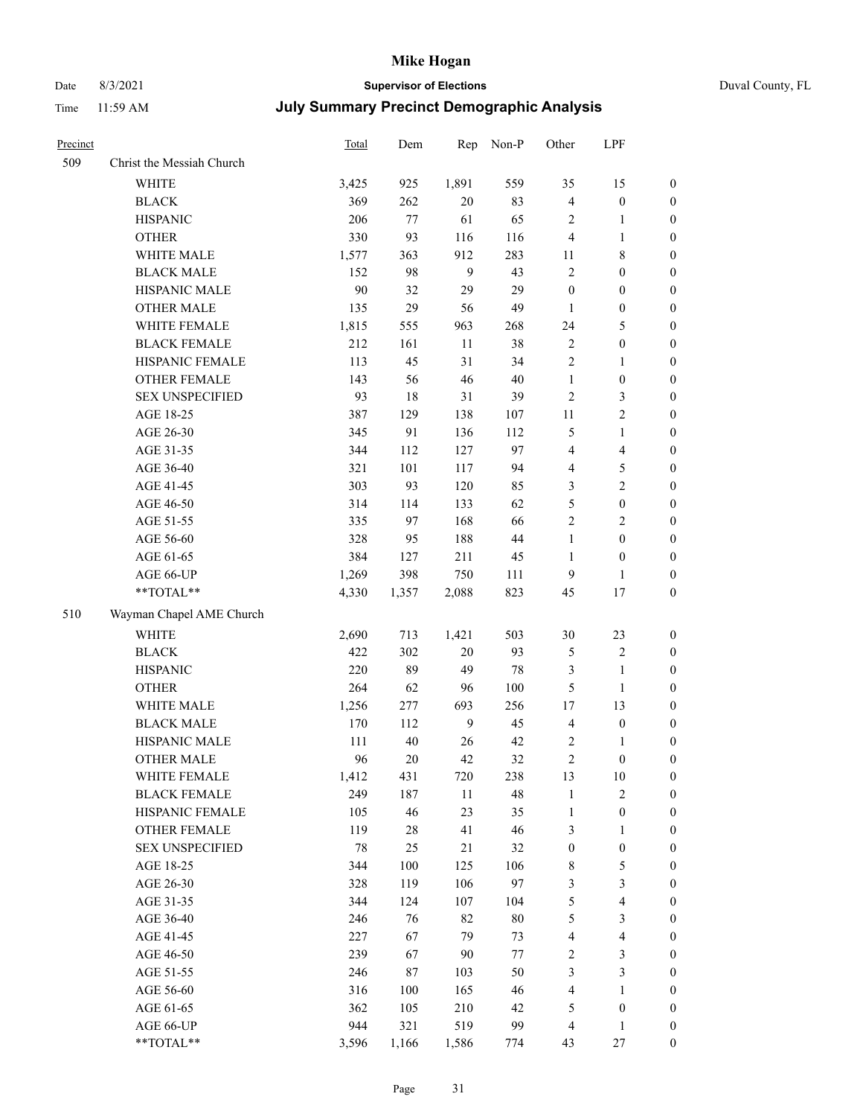# Date 8/3/2021 **Supervisor of Elections** Duval County, FL

| Precinct |                           | Total | Dem   | Rep            | Non-P   | Other            | LPF              |                  |
|----------|---------------------------|-------|-------|----------------|---------|------------------|------------------|------------------|
| 509      | Christ the Messiah Church |       |       |                |         |                  |                  |                  |
|          | <b>WHITE</b>              | 3,425 | 925   | 1,891          | 559     | 35               | 15               | 0                |
|          | <b>BLACK</b>              | 369   | 262   | 20             | 83      | 4                | $\boldsymbol{0}$ | 0                |
|          | <b>HISPANIC</b>           | 206   | 77    | 61             | 65      | 2                | $\mathbf{1}$     | $\boldsymbol{0}$ |
|          | <b>OTHER</b>              | 330   | 93    | 116            | 116     | 4                | $\mathbf{1}$     | $\boldsymbol{0}$ |
|          | WHITE MALE                | 1,577 | 363   | 912            | 283     | 11               | $\,$ 8 $\,$      | $\boldsymbol{0}$ |
|          | <b>BLACK MALE</b>         | 152   | 98    | 9              | 43      | $\overline{c}$   | $\boldsymbol{0}$ | $\boldsymbol{0}$ |
|          | HISPANIC MALE             | 90    | 32    | 29             | 29      | $\boldsymbol{0}$ | $\boldsymbol{0}$ | $\boldsymbol{0}$ |
|          | <b>OTHER MALE</b>         | 135   | 29    | 56             | 49      | $\mathbf{1}$     | $\boldsymbol{0}$ | $\boldsymbol{0}$ |
|          | WHITE FEMALE              | 1,815 | 555   | 963            | 268     | 24               | $\mathfrak s$    | $\boldsymbol{0}$ |
|          | <b>BLACK FEMALE</b>       | 212   | 161   | 11             | 38      | $\mathbf{2}$     | $\boldsymbol{0}$ | 0                |
|          | HISPANIC FEMALE           | 113   | 45    | 31             | 34      | $\mathbf{2}$     | $\mathbf{1}$     | 0                |
|          | OTHER FEMALE              | 143   | 56    | 46             | 40      | $\mathbf{1}$     | $\boldsymbol{0}$ | $\boldsymbol{0}$ |
|          | <b>SEX UNSPECIFIED</b>    | 93    | 18    | 31             | 39      | $\mathbf{2}$     | $\mathfrak{Z}$   | $\boldsymbol{0}$ |
|          | AGE 18-25                 | 387   | 129   | 138            | 107     | $11\,$           | $\sqrt{2}$       | $\boldsymbol{0}$ |
|          | AGE 26-30                 | 345   | 91    | 136            | 112     | 5                | $\mathbf{1}$     | $\boldsymbol{0}$ |
|          | AGE 31-35                 | 344   | 112   | 127            | 97      | 4                | $\overline{4}$   | $\boldsymbol{0}$ |
|          | AGE 36-40                 | 321   | 101   | 117            | 94      | 4                | $\mathfrak{S}$   | $\boldsymbol{0}$ |
|          | AGE 41-45                 | 303   | 93    | 120            | 85      | 3                | $\overline{c}$   | $\boldsymbol{0}$ |
|          | AGE 46-50                 | 314   | 114   | 133            | 62      | 5                | $\boldsymbol{0}$ | $\boldsymbol{0}$ |
|          | AGE 51-55                 | 335   | 97    | 168            | 66      | $\mathbf{2}$     | $\sqrt{2}$       | $\boldsymbol{0}$ |
|          | AGE 56-60                 | 328   | 95    | 188            | 44      | $\mathbf{1}$     | $\boldsymbol{0}$ | 0                |
|          | AGE 61-65                 | 384   | 127   | 211            | 45      | $\mathbf{1}$     | $\boldsymbol{0}$ | $\boldsymbol{0}$ |
|          | AGE 66-UP                 | 1,269 | 398   | 750            | 111     | 9                | $\mathbf{1}$     | $\boldsymbol{0}$ |
|          | $**TOTAL**$               | 4,330 | 1,357 | 2,088          | 823     | 45               | 17               | $\boldsymbol{0}$ |
| 510      | Wayman Chapel AME Church  |       |       |                |         |                  |                  |                  |
|          | <b>WHITE</b>              | 2,690 | 713   | 1,421          | 503     | $30\,$           | 23               | $\boldsymbol{0}$ |
|          | <b>BLACK</b>              | 422   | 302   | $20\,$         | 93      | 5                | $\sqrt{2}$       | $\boldsymbol{0}$ |
|          | <b>HISPANIC</b>           | 220   | 89    | 49             | 78      | 3                | $\mathbf{1}$     | $\boldsymbol{0}$ |
|          | <b>OTHER</b>              | 264   | 62    | 96             | 100     | 5                | $\mathbf{1}$     | $\boldsymbol{0}$ |
|          | WHITE MALE                | 1,256 | 277   | 693            | 256     | 17               | 13               | $\boldsymbol{0}$ |
|          | <b>BLACK MALE</b>         | 170   | 112   | $\overline{9}$ | 45      | $\overline{4}$   | $\boldsymbol{0}$ | $\boldsymbol{0}$ |
|          | HISPANIC MALE             | 111   | 40    | 26             | 42      | 2                | 1                | 0                |
|          | <b>OTHER MALE</b>         | 96    | 20    | 42             | 32      | $\overline{c}$   | $\boldsymbol{0}$ | $\boldsymbol{0}$ |
|          | WHITE FEMALE              | 1,412 | 431   | 720            | 238     | 13               | 10               | 0                |
|          | <b>BLACK FEMALE</b>       | 249   | 187   | 11             | 48      | 1                | $\sqrt{2}$       | 0                |
|          | HISPANIC FEMALE           | 105   | 46    | 23             | 35      | $\mathbf{1}$     | $\boldsymbol{0}$ | $\overline{0}$   |
|          | OTHER FEMALE              | 119   | 28    | 41             | 46      | 3                | $\mathbf{1}$     | $\overline{0}$   |
|          | <b>SEX UNSPECIFIED</b>    | 78    | 25    | 21             | 32      | $\boldsymbol{0}$ | $\boldsymbol{0}$ | 0                |
|          | AGE 18-25                 | 344   | 100   | 125            | 106     | 8                | $\mathfrak s$    | 0                |
|          | AGE 26-30                 | 328   | 119   | 106            | 97      | 3                | 3                | 0                |
|          | AGE 31-35                 | 344   | 124   | 107            | 104     | 5                | $\overline{4}$   | 0                |
|          | AGE 36-40                 | 246   | 76    | 82             | 80      | 5                | $\mathfrak{Z}$   | 0                |
|          | AGE 41-45                 | 227   | 67    | 79             | 73      | 4                | $\overline{4}$   | 0                |
|          | AGE 46-50                 | 239   | 67    | 90             | $77 \,$ | 2                | $\mathfrak{Z}$   | 0                |
|          | AGE 51-55                 | 246   | 87    | 103            | 50      | 3                | 3                | 0                |
|          | AGE 56-60                 | 316   | 100   | 165            | 46      | 4                | 1                | 0                |
|          | AGE 61-65                 | 362   | 105   | 210            | 42      | 5                | $\boldsymbol{0}$ | 0                |
|          | AGE 66-UP                 | 944   | 321   | 519            | 99      | 4                | $\mathbf{1}$     | 0                |
|          | **TOTAL**                 | 3,596 | 1,166 | 1,586          | 774     | 43               | 27               | $\boldsymbol{0}$ |
|          |                           |       |       |                |         |                  |                  |                  |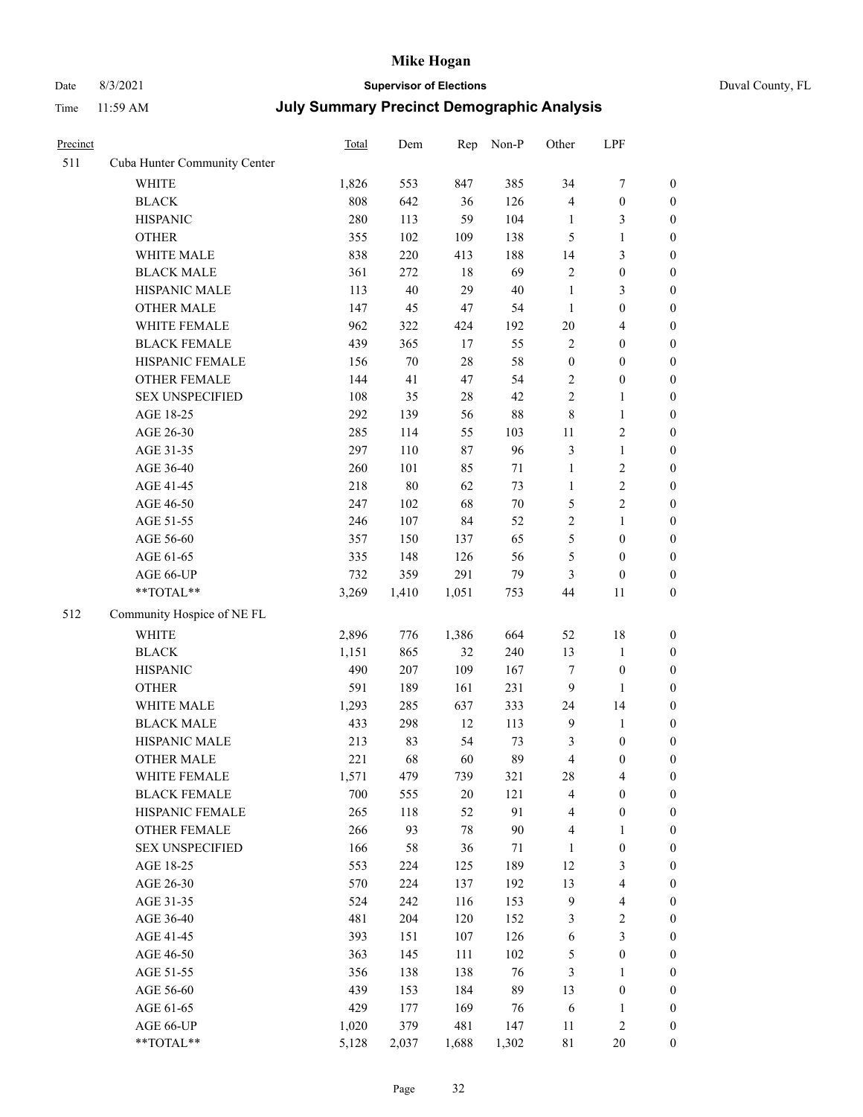# Date 8/3/2021 **Supervisor of Elections** Duval County, FL

| Precinct |                              | Total | Dem    | Rep    | Non-P  | Other            | LPF              |                  |
|----------|------------------------------|-------|--------|--------|--------|------------------|------------------|------------------|
| 511      | Cuba Hunter Community Center |       |        |        |        |                  |                  |                  |
|          | <b>WHITE</b>                 | 1,826 | 553    | 847    | 385    | 34               | $\boldsymbol{7}$ | 0                |
|          | <b>BLACK</b>                 | 808   | 642    | 36     | 126    | 4                | $\boldsymbol{0}$ | $\boldsymbol{0}$ |
|          | <b>HISPANIC</b>              | 280   | 113    | 59     | 104    | $\mathbf{1}$     | 3                | $\boldsymbol{0}$ |
|          | <b>OTHER</b>                 | 355   | 102    | 109    | 138    | 5                | $\mathbf{1}$     | $\boldsymbol{0}$ |
|          | WHITE MALE                   | 838   | 220    | 413    | 188    | 14               | $\mathfrak{Z}$   | $\boldsymbol{0}$ |
|          | <b>BLACK MALE</b>            | 361   | 272    | 18     | 69     | $\overline{c}$   | $\boldsymbol{0}$ | $\boldsymbol{0}$ |
|          | HISPANIC MALE                | 113   | $40\,$ | 29     | $40\,$ | $\mathbf{1}$     | 3                | $\boldsymbol{0}$ |
|          | <b>OTHER MALE</b>            | 147   | 45     | 47     | 54     | $\mathbf{1}$     | $\boldsymbol{0}$ | $\boldsymbol{0}$ |
|          | WHITE FEMALE                 | 962   | 322    | 424    | 192    | $20\,$           | $\overline{4}$   | $\boldsymbol{0}$ |
|          | <b>BLACK FEMALE</b>          | 439   | 365    | 17     | 55     | $\overline{c}$   | $\boldsymbol{0}$ | $\boldsymbol{0}$ |
|          | HISPANIC FEMALE              | 156   | $70\,$ | 28     | 58     | $\boldsymbol{0}$ | $\boldsymbol{0}$ | $\boldsymbol{0}$ |
|          | <b>OTHER FEMALE</b>          | 144   | 41     | 47     | 54     | 2                | $\boldsymbol{0}$ | $\boldsymbol{0}$ |
|          | <b>SEX UNSPECIFIED</b>       | 108   | 35     | $28\,$ | 42     | $\overline{c}$   | $\mathbf{1}$     | $\boldsymbol{0}$ |
|          | AGE 18-25                    | 292   | 139    | 56     | $88\,$ | $\,$ $\,$        | $\mathbf{1}$     | $\boldsymbol{0}$ |
|          | AGE 26-30                    | 285   | 114    | 55     | 103    | $11\,$           | $\sqrt{2}$       | $\boldsymbol{0}$ |
|          | AGE 31-35                    | 297   | 110    | 87     | 96     | 3                | $\mathbf{1}$     | $\boldsymbol{0}$ |
|          | AGE 36-40                    | 260   | 101    | 85     | 71     | $\mathbf{1}$     | $\sqrt{2}$       | $\boldsymbol{0}$ |
|          | AGE 41-45                    | 218   | $80\,$ | 62     | 73     | $\mathbf{1}$     | $\sqrt{2}$       | $\boldsymbol{0}$ |
|          | AGE 46-50                    | 247   | 102    | 68     | $70\,$ | 5                | $\overline{c}$   | $\boldsymbol{0}$ |
|          | AGE 51-55                    | 246   | 107    | 84     | 52     | $\overline{c}$   | $\mathbf{1}$     | $\boldsymbol{0}$ |
|          | AGE 56-60                    | 357   | 150    | 137    | 65     | 5                | $\boldsymbol{0}$ | 0                |
|          | AGE 61-65                    | 335   | 148    | 126    | 56     | 5                | $\boldsymbol{0}$ | $\boldsymbol{0}$ |
|          | AGE 66-UP                    | 732   | 359    | 291    | 79     | 3                | $\boldsymbol{0}$ | $\boldsymbol{0}$ |
|          | **TOTAL**                    | 3,269 | 1,410  | 1,051  | 753    | 44               | 11               | $\boldsymbol{0}$ |
| 512      | Community Hospice of NE FL   |       |        |        |        |                  |                  |                  |
|          | <b>WHITE</b>                 | 2,896 | 776    | 1,386  | 664    | 52               | 18               | $\boldsymbol{0}$ |
|          | <b>BLACK</b>                 | 1,151 | 865    | 32     | 240    | 13               | $\mathbf{1}$     | $\boldsymbol{0}$ |
|          | <b>HISPANIC</b>              | 490   | 207    | 109    | 167    | 7                | $\boldsymbol{0}$ | $\boldsymbol{0}$ |
|          | <b>OTHER</b>                 | 591   | 189    | 161    | 231    | 9                | $\mathbf{1}$     | $\boldsymbol{0}$ |
|          | WHITE MALE                   | 1,293 | 285    | 637    | 333    | 24               | 14               | $\boldsymbol{0}$ |
|          | <b>BLACK MALE</b>            | 433   | 298    | 12     | 113    | $\mathbf{9}$     | $\mathbf{1}$     | $\boldsymbol{0}$ |
|          | HISPANIC MALE                | 213   | 83     | 54     | 73     | 3                | $\boldsymbol{0}$ | 0                |
|          | <b>OTHER MALE</b>            | 221   | 68     | 60     | 89     | 4                | $\boldsymbol{0}$ | $\boldsymbol{0}$ |
|          | WHITE FEMALE                 | 1,571 | 479    | 739    | 321    | 28               | 4                | 0                |
|          | <b>BLACK FEMALE</b>          | 700   | 555    | 20     | 121    | 4                | $\boldsymbol{0}$ | $\boldsymbol{0}$ |
|          | HISPANIC FEMALE              | 265   | 118    | 52     | 91     | 4                | $\boldsymbol{0}$ | $\overline{0}$   |
|          | <b>OTHER FEMALE</b>          | 266   | 93     | 78     | $90\,$ | 4                | $\mathbf{1}$     | $\overline{0}$   |
|          | <b>SEX UNSPECIFIED</b>       | 166   | 58     | 36     | 71     | $\mathbf{1}$     | $\boldsymbol{0}$ | 0                |
|          | AGE 18-25                    | 553   | 224    | 125    | 189    | 12               | $\mathfrak{Z}$   | 0                |
|          | AGE 26-30                    | 570   | 224    | 137    | 192    | 13               | $\overline{4}$   | 0                |
|          | AGE 31-35                    | 524   | 242    | 116    | 153    | 9                | $\overline{4}$   | 0                |
|          | AGE 36-40                    | 481   | 204    | 120    | 152    | 3                | $\sqrt{2}$       | 0                |
|          | AGE 41-45                    | 393   | 151    | 107    | 126    | 6                | $\mathfrak{Z}$   | 0                |
|          | AGE 46-50                    | 363   | 145    | 111    | 102    | 5                | $\boldsymbol{0}$ | 0                |
|          | AGE 51-55                    | 356   | 138    | 138    | 76     | 3                | 1                | 0                |
|          | AGE 56-60                    | 439   | 153    | 184    | 89     | 13               | $\boldsymbol{0}$ | 0                |
|          | AGE 61-65                    | 429   | 177    | 169    | 76     | 6                | 1                | 0                |
|          | AGE 66-UP                    | 1,020 | 379    | 481    | 147    | 11               | $\sqrt{2}$       | 0                |
|          | **TOTAL**                    | 5,128 | 2,037  | 1,688  | 1,302  | 81               | 20               | $\boldsymbol{0}$ |
|          |                              |       |        |        |        |                  |                  |                  |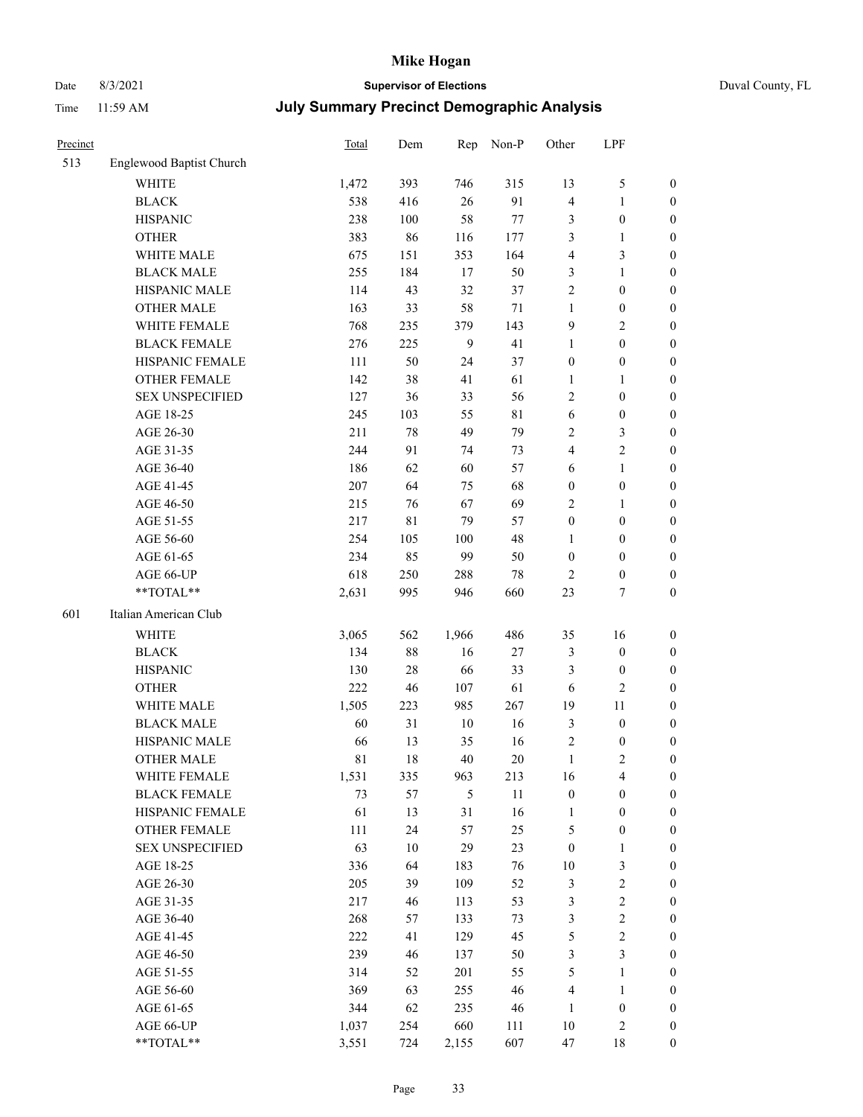# Date 8/3/2021 **Supervisor of Elections** Duval County, FL

| Precinct |                                     | <b>Total</b> | Dem       | Rep            | Non-P        | Other                            | LPF                              |                                    |
|----------|-------------------------------------|--------------|-----------|----------------|--------------|----------------------------------|----------------------------------|------------------------------------|
| 513      | Englewood Baptist Church            |              |           |                |              |                                  |                                  |                                    |
|          | <b>WHITE</b>                        | 1,472        | 393       | 746            | 315          | 13                               | $\mathfrak{S}$                   | 0                                  |
|          | <b>BLACK</b>                        | 538          | 416       | 26             | 91           | 4                                | $\mathbf{1}$                     | 0                                  |
|          | <b>HISPANIC</b>                     | 238          | 100       | 58             | $77\,$       | 3                                | $\boldsymbol{0}$                 | $\boldsymbol{0}$                   |
|          | <b>OTHER</b>                        | 383          | 86        | 116            | 177          | 3                                | 1                                | $\boldsymbol{0}$                   |
|          | WHITE MALE                          | 675          | 151       | 353            | 164          | 4                                | $\mathfrak{Z}$                   | $\boldsymbol{0}$                   |
|          | <b>BLACK MALE</b>                   | 255          | 184       | 17             | 50           | 3                                | $\mathbf{1}$                     | $\boldsymbol{0}$                   |
|          | HISPANIC MALE                       | 114          | 43        | 32             | 37           | 2                                | $\boldsymbol{0}$                 | $\boldsymbol{0}$                   |
|          | <b>OTHER MALE</b>                   | 163          | 33        | 58             | $71\,$       | $\mathbf{1}$                     | $\boldsymbol{0}$                 | $\boldsymbol{0}$                   |
|          | WHITE FEMALE                        | 768          | 235       | 379            | 143          | 9                                | $\overline{2}$                   | $\boldsymbol{0}$                   |
|          | <b>BLACK FEMALE</b>                 | 276          | 225       | $\overline{9}$ | 41           | $\mathbf{1}$                     | $\boldsymbol{0}$                 | $\boldsymbol{0}$                   |
|          | HISPANIC FEMALE                     | 111          | 50        | 24             | 37           | $\boldsymbol{0}$                 | $\boldsymbol{0}$                 | 0                                  |
|          | <b>OTHER FEMALE</b>                 | 142          | 38        | 41             | 61           | $\mathbf{1}$                     | $\mathbf{1}$                     | $\boldsymbol{0}$                   |
|          | <b>SEX UNSPECIFIED</b>              | 127          | 36        | 33             | 56           | $\overline{2}$                   | $\boldsymbol{0}$                 | $\boldsymbol{0}$                   |
|          | AGE 18-25                           | 245          | 103       | 55             | $8\sqrt{1}$  | 6                                | $\boldsymbol{0}$                 | $\boldsymbol{0}$                   |
|          | AGE 26-30                           | 211          | 78        | 49             | 79           | 2                                | $\mathfrak{Z}$                   | $\boldsymbol{0}$                   |
|          | AGE 31-35                           | 244          | 91        | 74             | 73           | 4                                | $\sqrt{2}$                       | $\boldsymbol{0}$                   |
|          | AGE 36-40                           | 186          | 62        | 60             | 57           | 6                                | $\mathbf{1}$                     | $\boldsymbol{0}$                   |
|          | AGE 41-45                           | 207          | 64        | 75             | 68           | $\boldsymbol{0}$                 | $\boldsymbol{0}$                 | $\boldsymbol{0}$                   |
|          | AGE 46-50                           | 215          | 76        | 67             | 69           | 2                                | 1                                | $\boldsymbol{0}$                   |
|          | AGE 51-55                           | 217          | 81        | 79             | 57           | $\boldsymbol{0}$                 | $\boldsymbol{0}$                 | 0                                  |
|          | AGE 56-60                           | 254          | 105       | 100            | 48           | 1                                | $\boldsymbol{0}$                 | 0                                  |
|          | AGE 61-65                           | 234          | 85        | 99             | 50           | $\boldsymbol{0}$                 | $\boldsymbol{0}$                 | 0                                  |
|          | AGE 66-UP                           | 618          | 250       | 288            | $78\,$       | $\overline{2}$                   | $\boldsymbol{0}$                 | $\boldsymbol{0}$                   |
|          | **TOTAL**                           | 2,631        | 995       | 946            | 660          | 23                               | $\tau$                           | $\boldsymbol{0}$                   |
| 601      | Italian American Club               |              |           |                |              |                                  |                                  |                                    |
|          | <b>WHITE</b>                        |              |           |                | 486          |                                  |                                  |                                    |
|          |                                     | 3,065        | 562<br>88 | 1,966          |              | 35                               | 16                               | $\boldsymbol{0}$                   |
|          | <b>BLACK</b>                        | 134          |           | 16             | $27\,$       | 3                                | $\boldsymbol{0}$                 | $\boldsymbol{0}$                   |
|          | <b>HISPANIC</b>                     | 130          | 28        | 66             | 33           | 3                                | $\boldsymbol{0}$                 | $\boldsymbol{0}$                   |
|          | <b>OTHER</b><br>WHITE MALE          | 222          | 46        | 107            | 61           | 6                                | $\mathfrak{2}$                   | $\boldsymbol{0}$                   |
|          |                                     | 1,505        | 223       | 985            | 267          | 19                               | 11                               | $\boldsymbol{0}$                   |
|          | <b>BLACK MALE</b><br>HISPANIC MALE  | 60           | 31        | $10\,$         | 16           | 3                                | $\boldsymbol{0}$                 | $\boldsymbol{0}$                   |
|          | <b>OTHER MALE</b>                   | 66<br>81     | 13<br>18  | 35<br>40       | 16<br>$20\,$ | $\overline{c}$<br>$\mathbf{1}$   | $\boldsymbol{0}$<br>$\mathbf{2}$ | 0                                  |
|          |                                     |              |           |                |              |                                  |                                  | $\boldsymbol{0}$                   |
|          | WHITE FEMALE<br><b>BLACK FEMALE</b> | 1,531        | 335       | 963            | 213          | 16                               | 4<br>$\boldsymbol{0}$            | 0                                  |
|          | HISPANIC FEMALE                     | 73<br>61     | 57<br>13  | 5<br>31        | 11<br>16     | $\boldsymbol{0}$<br>$\mathbf{1}$ | $\boldsymbol{0}$                 | $\boldsymbol{0}$<br>$\overline{0}$ |
|          | OTHER FEMALE                        |              | 24        | 57             | 25           |                                  | $\boldsymbol{0}$                 | $\overline{0}$                     |
|          | <b>SEX UNSPECIFIED</b>              | 111<br>63    | 10        | 29             | 23           | 5<br>$\boldsymbol{0}$            | $\mathbf{1}$                     | 0                                  |
|          | AGE 18-25                           | 336          | 64        | 183            | 76           | $10\,$                           | $\mathfrak{Z}$                   | 0                                  |
|          | AGE 26-30                           | 205          | 39        | 109            | 52           | 3                                | $\sqrt{2}$                       | 0                                  |
|          | AGE 31-35                           | 217          | 46        | 113            | 53           | 3                                | $\sqrt{2}$                       | 0                                  |
|          | AGE 36-40                           | 268          | 57        | 133            | 73           | 3                                | $\sqrt{2}$                       | 0                                  |
|          | AGE 41-45                           | 222          | 41        | 129            | 45           | 5                                | $\sqrt{2}$                       | 0                                  |
|          | AGE 46-50                           | 239          | 46        | 137            | 50           | 3                                | $\mathfrak{Z}$                   | 0                                  |
|          |                                     |              |           |                |              |                                  |                                  |                                    |
|          | AGE 51-55<br>AGE 56-60              | 314<br>369   | 52<br>63  | 201<br>255     | 55<br>46     | 5<br>4                           | $\mathbf{1}$<br>$\mathbf{1}$     | $\boldsymbol{0}$<br>0              |
|          |                                     | 344          |           |                |              |                                  |                                  | 0                                  |
|          | AGE 61-65<br>AGE 66-UP              | 1,037        | 62<br>254 | 235<br>660     | 46<br>111    | 1<br>$10\,$                      | $\boldsymbol{0}$<br>$\mathbf{2}$ | 0                                  |
|          | **TOTAL**                           | 3,551        | 724       | 2,155          | 607          | 47                               | 18                               | $\boldsymbol{0}$                   |
|          |                                     |              |           |                |              |                                  |                                  |                                    |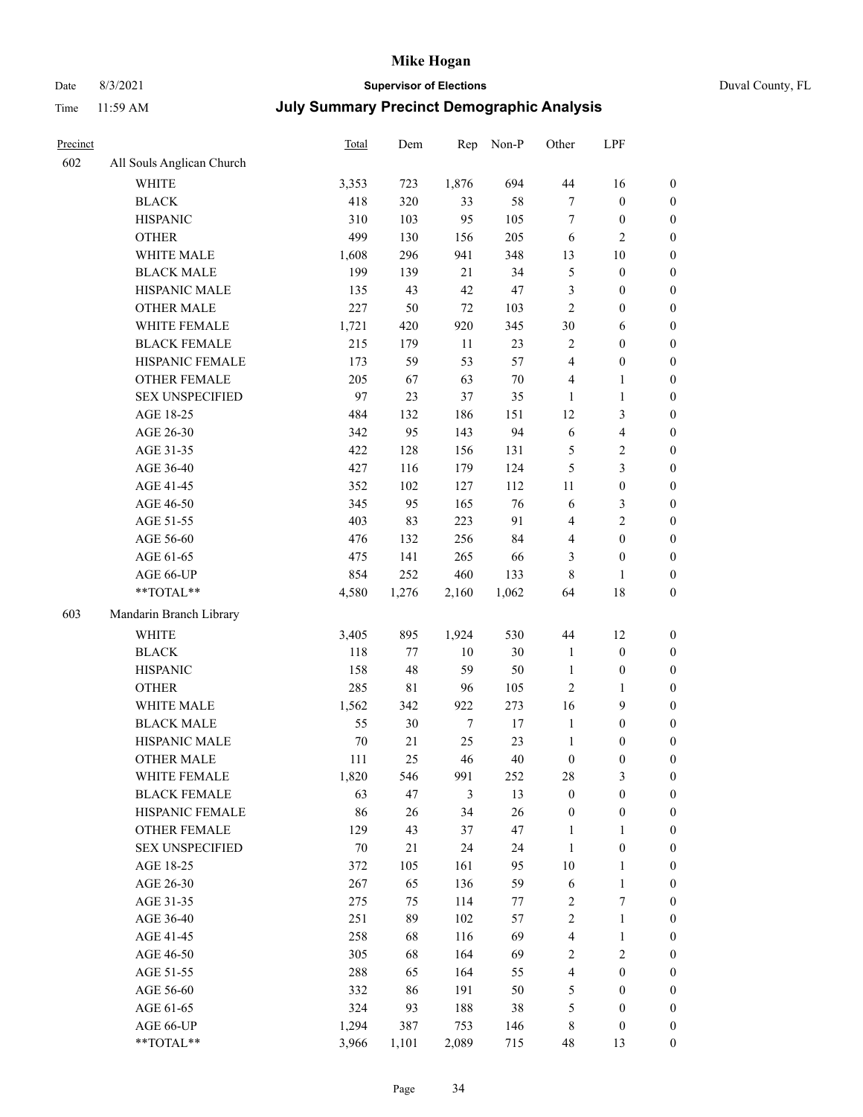# Date 8/3/2021 **Supervisor of Elections** Duval County, FL

| Precinct |                           | Total | Dem         | Rep    | Non-P  | Other            | LPF                     |                  |
|----------|---------------------------|-------|-------------|--------|--------|------------------|-------------------------|------------------|
| 602      | All Souls Anglican Church |       |             |        |        |                  |                         |                  |
|          | <b>WHITE</b>              | 3,353 | 723         | 1,876  | 694    | $44\,$           | 16                      | 0                |
|          | <b>BLACK</b>              | 418   | 320         | 33     | 58     | $\tau$           | $\boldsymbol{0}$        | 0                |
|          | <b>HISPANIC</b>           | 310   | 103         | 95     | 105    | $\tau$           | $\boldsymbol{0}$        | $\boldsymbol{0}$ |
|          | <b>OTHER</b>              | 499   | 130         | 156    | 205    | 6                | $\mathbf{2}$            | $\boldsymbol{0}$ |
|          | WHITE MALE                | 1,608 | 296         | 941    | 348    | 13               | $10\,$                  | $\boldsymbol{0}$ |
|          | <b>BLACK MALE</b>         | 199   | 139         | 21     | 34     | 5                | $\boldsymbol{0}$        | $\boldsymbol{0}$ |
|          | HISPANIC MALE             | 135   | 43          | 42     | 47     | 3                | $\boldsymbol{0}$        | $\boldsymbol{0}$ |
|          | <b>OTHER MALE</b>         | 227   | 50          | 72     | 103    | $\mathbf{2}$     | $\boldsymbol{0}$        | $\boldsymbol{0}$ |
|          | WHITE FEMALE              | 1,721 | 420         | 920    | 345    | 30               | 6                       | $\boldsymbol{0}$ |
|          | <b>BLACK FEMALE</b>       | 215   | 179         | 11     | 23     | $\sqrt{2}$       | $\boldsymbol{0}$        | 0                |
|          | HISPANIC FEMALE           | 173   | 59          | 53     | 57     | $\overline{4}$   | $\boldsymbol{0}$        | 0                |
|          | <b>OTHER FEMALE</b>       | 205   | 67          | 63     | $70\,$ | 4                | $\mathbf{1}$            | $\boldsymbol{0}$ |
|          | <b>SEX UNSPECIFIED</b>    | 97    | 23          | 37     | 35     | $\mathbf{1}$     | $\mathbf{1}$            | $\boldsymbol{0}$ |
|          | AGE 18-25                 | 484   | 132         | 186    | 151    | 12               | $\mathfrak{Z}$          | $\boldsymbol{0}$ |
|          | AGE 26-30                 | 342   | 95          | 143    | 94     | 6                | $\overline{\mathbf{4}}$ | $\boldsymbol{0}$ |
|          | AGE 31-35                 | 422   | 128         | 156    | 131    | 5                | $\sqrt{2}$              | $\boldsymbol{0}$ |
|          | AGE 36-40                 | 427   | 116         | 179    | 124    | 5                | $\mathfrak{Z}$          | $\boldsymbol{0}$ |
|          | AGE 41-45                 | 352   | 102         | 127    | 112    | $11\,$           | $\boldsymbol{0}$        | $\boldsymbol{0}$ |
|          | AGE 46-50                 | 345   | 95          | 165    | 76     | 6                | $\mathfrak{Z}$          | $\boldsymbol{0}$ |
|          | AGE 51-55                 | 403   | 83          | 223    | 91     | 4                | $\sqrt{2}$              | $\boldsymbol{0}$ |
|          | AGE 56-60                 | 476   | 132         | 256    | 84     | 4                | $\boldsymbol{0}$        | 0                |
|          | AGE 61-65                 | 475   | 141         | 265    | 66     | 3                | $\boldsymbol{0}$        | $\boldsymbol{0}$ |
|          | AGE 66-UP                 | 854   | 252         | 460    | 133    | 8                | $\mathbf{1}$            | $\boldsymbol{0}$ |
|          | $**TOTAL**$               | 4,580 | 1,276       | 2,160  | 1,062  | 64               | $18\,$                  | $\boldsymbol{0}$ |
| 603      | Mandarin Branch Library   |       |             |        |        |                  |                         |                  |
|          | WHITE                     | 3,405 | 895         | 1,924  | 530    | 44               | 12                      | $\boldsymbol{0}$ |
|          | <b>BLACK</b>              | 118   | $77 \,$     | $10\,$ | 30     | $\mathbf{1}$     | $\boldsymbol{0}$        | $\boldsymbol{0}$ |
|          | <b>HISPANIC</b>           | 158   | 48          | 59     | 50     | $\mathbf{1}$     | $\boldsymbol{0}$        | $\boldsymbol{0}$ |
|          | <b>OTHER</b>              | 285   | $8\sqrt{1}$ | 96     | 105    | $\mathfrak{2}$   | $\mathbf{1}$            | $\boldsymbol{0}$ |
|          | WHITE MALE                | 1,562 | 342         | 922    | 273    | 16               | 9                       | $\boldsymbol{0}$ |
|          | <b>BLACK MALE</b>         | 55    | 30          | $\tau$ | $17\,$ | $\mathbf{1}$     | $\boldsymbol{0}$        | $\boldsymbol{0}$ |
|          | HISPANIC MALE             | 70    | 21          | 25     | 23     | $\mathbf{1}$     | $\boldsymbol{0}$        | $\boldsymbol{0}$ |
|          | <b>OTHER MALE</b>         | 111   | 25          | 46     | 40     | $\boldsymbol{0}$ | $\boldsymbol{0}$        | $\boldsymbol{0}$ |
|          | WHITE FEMALE              | 1,820 | 546         | 991    | 252    | 28               | 3                       | 0                |
|          | <b>BLACK FEMALE</b>       | 63    | 47          | 3      | 13     | $\boldsymbol{0}$ | $\boldsymbol{0}$        | $\boldsymbol{0}$ |
|          | HISPANIC FEMALE           | 86    | 26          | 34     | 26     | $\boldsymbol{0}$ | $\boldsymbol{0}$        | $\overline{0}$   |
|          | <b>OTHER FEMALE</b>       | 129   | 43          | 37     | 47     | $\mathbf{1}$     | $\mathbf{1}$            | $\overline{0}$   |
|          | <b>SEX UNSPECIFIED</b>    | 70    | 21          | 24     | 24     | $\mathbf{1}$     | $\boldsymbol{0}$        | 0                |
|          | AGE 18-25                 | 372   | 105         | 161    | 95     | 10               | $\mathbf{1}$            | 0                |
|          | AGE 26-30                 | 267   | 65          | 136    | 59     | 6                | $\mathbf{1}$            | 0                |
|          | AGE 31-35                 | 275   | 75          | 114    | 77     | 2                | $\boldsymbol{7}$        | 0                |
|          | AGE 36-40                 | 251   | 89          | 102    | 57     | $\sqrt{2}$       | $\mathbf{1}$            | 0                |
|          | AGE 41-45                 | 258   | 68          | 116    | 69     | $\overline{4}$   | $\mathbf{1}$            | 0                |
|          | AGE 46-50                 | 305   | 68          | 164    | 69     | 2                | $\sqrt{2}$              | 0                |
|          | AGE 51-55                 | 288   | 65          | 164    | 55     | 4                | $\boldsymbol{0}$        | $\overline{0}$   |
|          | AGE 56-60                 | 332   | 86          | 191    | 50     | 5                | $\boldsymbol{0}$        | $\boldsymbol{0}$ |
|          | AGE 61-65                 | 324   | 93          | 188    | 38     | 5                | $\boldsymbol{0}$        | $\overline{0}$   |
|          | AGE 66-UP                 | 1,294 | 387         | 753    | 146    | 8                | $\boldsymbol{0}$        | 0                |
|          | **TOTAL**                 | 3,966 | 1,101       | 2,089  | 715    | 48               | 13                      | $\boldsymbol{0}$ |
|          |                           |       |             |        |        |                  |                         |                  |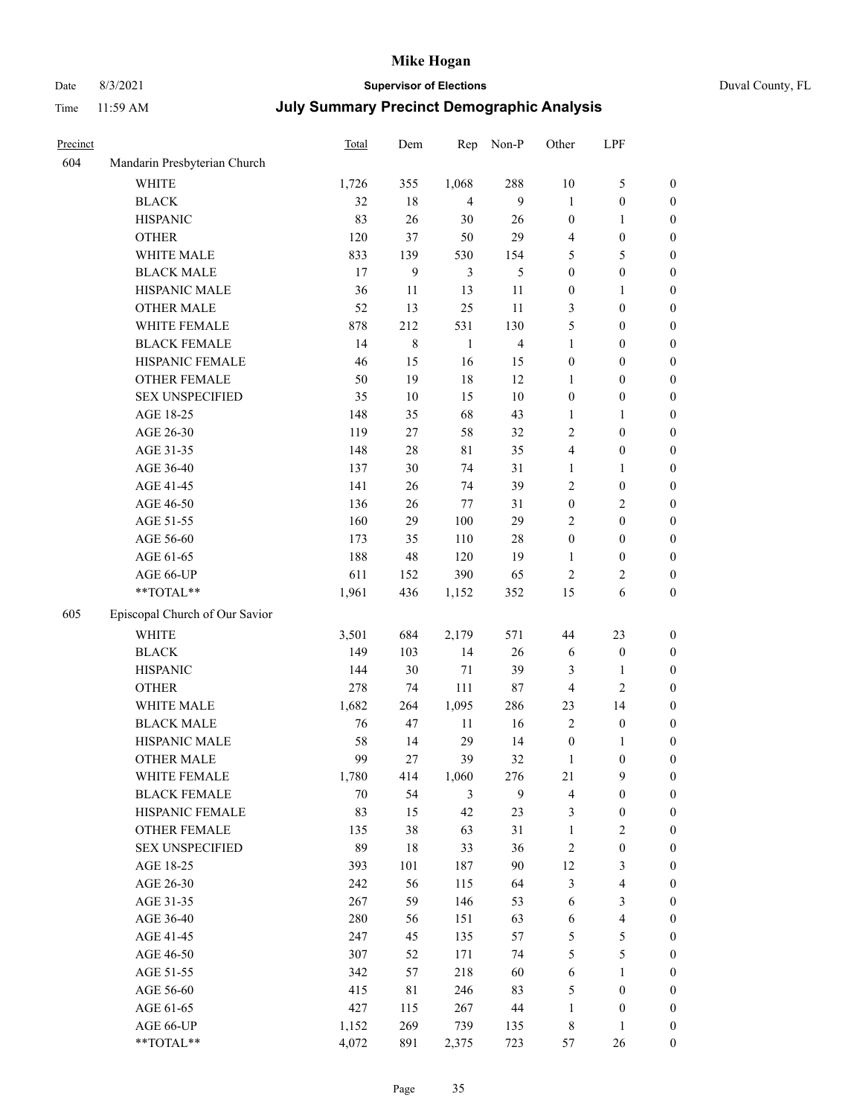# Date 8/3/2021 **Supervisor of Elections** Duval County, FL

| Precinct |                                | <b>Total</b> | Dem              | Rep            | Non-P                   | Other            | LPF                     |                  |
|----------|--------------------------------|--------------|------------------|----------------|-------------------------|------------------|-------------------------|------------------|
| 604      | Mandarin Presbyterian Church   |              |                  |                |                         |                  |                         |                  |
|          | <b>WHITE</b>                   | 1,726        | 355              | 1,068          | 288                     | $10\,$           | $\mathfrak{S}$          | 0                |
|          | <b>BLACK</b>                   | 32           | 18               | $\overline{4}$ | 9                       | 1                | $\boldsymbol{0}$        | 0                |
|          | <b>HISPANIC</b>                | 83           | 26               | 30             | 26                      | $\boldsymbol{0}$ | $\mathbf{1}$            | $\boldsymbol{0}$ |
|          | <b>OTHER</b>                   | 120          | 37               | 50             | 29                      | 4                | $\boldsymbol{0}$        | $\boldsymbol{0}$ |
|          | WHITE MALE                     | 833          | 139              | 530            | 154                     | 5                | 5                       | $\boldsymbol{0}$ |
|          | <b>BLACK MALE</b>              | 17           | $\boldsymbol{9}$ | 3              | 5                       | $\boldsymbol{0}$ | $\boldsymbol{0}$        | $\boldsymbol{0}$ |
|          | HISPANIC MALE                  | 36           | 11               | 13             | 11                      | $\boldsymbol{0}$ | 1                       | $\boldsymbol{0}$ |
|          | <b>OTHER MALE</b>              | 52           | 13               | 25             | 11                      | 3                | $\boldsymbol{0}$        | $\boldsymbol{0}$ |
|          | WHITE FEMALE                   | 878          | 212              | 531            | 130                     | 5                | $\boldsymbol{0}$        | $\boldsymbol{0}$ |
|          | <b>BLACK FEMALE</b>            | 14           | $\,$ 8 $\,$      | $\mathbf{1}$   | $\overline{\mathbf{4}}$ | $\mathbf{1}$     | $\boldsymbol{0}$        | 0                |
|          | HISPANIC FEMALE                | 46           | 15               | 16             | 15                      | $\boldsymbol{0}$ | $\boldsymbol{0}$        | 0                |
|          | OTHER FEMALE                   | 50           | 19               | 18             | 12                      | $\mathbf{1}$     | $\boldsymbol{0}$        | $\boldsymbol{0}$ |
|          | <b>SEX UNSPECIFIED</b>         | 35           | $10\,$           | 15             | $10\,$                  | $\boldsymbol{0}$ | $\boldsymbol{0}$        | $\boldsymbol{0}$ |
|          | AGE 18-25                      | 148          | 35               | 68             | 43                      | 1                | 1                       | $\boldsymbol{0}$ |
|          | AGE 26-30                      | 119          | 27               | 58             | 32                      | 2                | $\boldsymbol{0}$        | $\boldsymbol{0}$ |
|          | AGE 31-35                      | 148          | $28\,$           | $8\sqrt{1}$    | 35                      | 4                | $\boldsymbol{0}$        | $\boldsymbol{0}$ |
|          | AGE 36-40                      | 137          | 30               | 74             | 31                      | $\mathbf{1}$     | $\mathbf{1}$            | $\boldsymbol{0}$ |
|          | AGE 41-45                      | 141          | 26               | 74             | 39                      | 2                | $\boldsymbol{0}$        | $\boldsymbol{0}$ |
|          | AGE 46-50                      | 136          | 26               | 77             | 31                      | $\boldsymbol{0}$ | $\sqrt{2}$              | $\boldsymbol{0}$ |
|          | AGE 51-55                      | 160          | 29               | 100            | 29                      | 2                | $\boldsymbol{0}$        | $\boldsymbol{0}$ |
|          | AGE 56-60                      | 173          | 35               | 110            | $28\,$                  | $\boldsymbol{0}$ | $\boldsymbol{0}$        | 0                |
|          | AGE 61-65                      | 188          | 48               | 120            | 19                      | $\mathbf{1}$     | $\boldsymbol{0}$        | 0                |
|          | AGE 66-UP                      | 611          | 152              | 390            | 65                      | $\overline{c}$   | $\overline{c}$          | $\boldsymbol{0}$ |
|          | **TOTAL**                      | 1,961        | 436              | 1,152          | 352                     | 15               | 6                       | $\boldsymbol{0}$ |
| 605      | Episcopal Church of Our Savior |              |                  |                |                         |                  |                         |                  |
|          | <b>WHITE</b>                   | 3,501        | 684              | 2,179          | 571                     | 44               | 23                      | $\boldsymbol{0}$ |
|          | <b>BLACK</b>                   | 149          | 103              | 14             | 26                      | 6                | $\boldsymbol{0}$        | $\boldsymbol{0}$ |
|          | <b>HISPANIC</b>                | 144          | 30               | $71\,$         | 39                      | 3                | $\mathbf{1}$            | $\boldsymbol{0}$ |
|          | <b>OTHER</b>                   | 278          | 74               | 111            | 87                      | 4                | $\overline{c}$          | $\boldsymbol{0}$ |
|          | WHITE MALE                     | 1,682        | 264              | 1,095          | 286                     | 23               | 14                      | $\boldsymbol{0}$ |
|          | <b>BLACK MALE</b>              | 76           | 47               | $11\,$         | 16                      | $\overline{2}$   | $\boldsymbol{0}$        | $\boldsymbol{0}$ |
|          | HISPANIC MALE                  | 58           | 14               | 29             | 14                      | $\boldsymbol{0}$ | 1                       | 0                |
|          | OTHER MALE                     | 99           | 27               | 39             | 32                      | $\mathbf{1}$     | $\boldsymbol{0}$        | $\boldsymbol{0}$ |
|          | WHITE FEMALE                   | 1,780        | 414              | 1,060          | 276                     | 21               | 9                       | 0                |
|          | <b>BLACK FEMALE</b>            | 70           | 54               | 3              | 9                       | 4                | $\boldsymbol{0}$        | $\boldsymbol{0}$ |
|          | HISPANIC FEMALE                | 83           | 15               | 42             | 23                      | 3                | $\boldsymbol{0}$        | $\overline{0}$   |
|          | OTHER FEMALE                   | 135          | 38               | 63             | 31                      | $\mathbf{1}$     | $\sqrt{2}$              | 0                |
|          | <b>SEX UNSPECIFIED</b>         | 89           | $18\,$           | 33             | 36                      | 2                | $\boldsymbol{0}$        | 0                |
|          | AGE 18-25                      | 393          | 101              | 187            | 90                      | 12               | $\mathfrak{Z}$          | 0                |
|          | AGE 26-30                      | 242          | 56               | 115            | 64                      | 3                | $\overline{\mathbf{4}}$ | 0                |
|          | AGE 31-35                      | 267          | 59               | 146            | 53                      | 6                | $\mathfrak{Z}$          | 0                |
|          | AGE 36-40                      | 280          | 56               | 151            | 63                      | 6                | $\overline{\mathbf{4}}$ | 0                |
|          | AGE 41-45                      | 247          | 45               | 135            | 57                      | 5                | 5                       | 0                |
|          | AGE 46-50                      | 307          | 52               | 171            | 74                      | 5                | $\mathfrak{S}$          | 0                |
|          | AGE 51-55                      | 342          | 57               | 218            | 60                      | 6                | $\mathbf{1}$            | 0                |
|          | AGE 56-60                      | 415          | 81               | 246            | 83                      | 5                | $\boldsymbol{0}$        | 0                |
|          | AGE 61-65                      | 427          | 115              | 267            | $44\,$                  | $\mathbf{1}$     | $\boldsymbol{0}$        | 0                |
|          | AGE 66-UP                      | 1,152        | 269              | 739            | 135                     | $\,$ 8 $\,$      | $\mathbf{1}$            | 0                |
|          | **TOTAL**                      | 4,072        | 891              | 2,375          | 723                     | 57               | 26                      | $\boldsymbol{0}$ |
|          |                                |              |                  |                |                         |                  |                         |                  |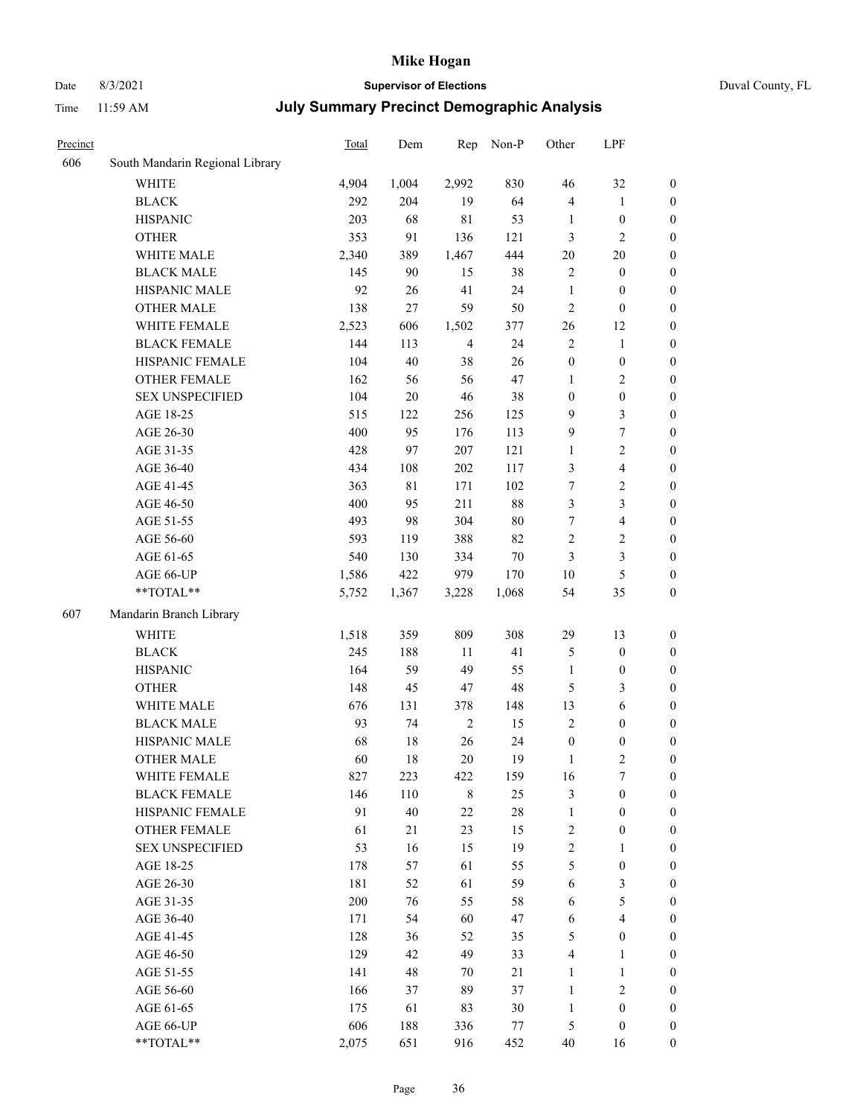# Date 8/3/2021 **Supervisor of Elections** Duval County, FL

| Precinct |                                 | <b>Total</b> | Dem    | Rep            | Non-P  | Other            | LPF                     |                  |
|----------|---------------------------------|--------------|--------|----------------|--------|------------------|-------------------------|------------------|
| 606      | South Mandarin Regional Library |              |        |                |        |                  |                         |                  |
|          | <b>WHITE</b>                    | 4,904        | 1,004  | 2,992          | 830    | 46               | 32                      | $\boldsymbol{0}$ |
|          | <b>BLACK</b>                    | 292          | 204    | 19             | 64     | 4                | $\mathbf{1}$            | $\boldsymbol{0}$ |
|          | <b>HISPANIC</b>                 | 203          | 68     | $8\sqrt{1}$    | 53     | $\mathbf{1}$     | $\boldsymbol{0}$        | $\boldsymbol{0}$ |
|          | <b>OTHER</b>                    | 353          | 91     | 136            | 121    | 3                | $\mathbf{2}$            | $\boldsymbol{0}$ |
|          | WHITE MALE                      | 2,340        | 389    | 1,467          | 444    | 20               | $20\,$                  | $\boldsymbol{0}$ |
|          | <b>BLACK MALE</b>               | 145          | 90     | 15             | 38     | $\overline{c}$   | $\boldsymbol{0}$        | $\boldsymbol{0}$ |
|          | HISPANIC MALE                   | 92           | 26     | 41             | 24     | $\mathbf{1}$     | $\boldsymbol{0}$        | $\boldsymbol{0}$ |
|          | <b>OTHER MALE</b>               | 138          | 27     | 59             | 50     | $\overline{c}$   | $\boldsymbol{0}$        | 0                |
|          | WHITE FEMALE                    | 2,523        | 606    | 1,502          | 377    | 26               | 12                      | 0                |
|          | <b>BLACK FEMALE</b>             | 144          | 113    | $\overline{4}$ | 24     | $\overline{c}$   | $\mathbf{1}$            | $\boldsymbol{0}$ |
|          | HISPANIC FEMALE                 | 104          | 40     | 38             | 26     | $\boldsymbol{0}$ | $\boldsymbol{0}$        | $\boldsymbol{0}$ |
|          | OTHER FEMALE                    | 162          | 56     | 56             | 47     | $\mathbf{1}$     | $\sqrt{2}$              | $\boldsymbol{0}$ |
|          | <b>SEX UNSPECIFIED</b>          | 104          | $20\,$ | 46             | 38     | $\boldsymbol{0}$ | $\boldsymbol{0}$        | $\boldsymbol{0}$ |
|          | AGE 18-25                       | 515          | 122    | 256            | 125    | 9                | $\mathfrak{Z}$          | $\boldsymbol{0}$ |
|          | AGE 26-30                       | 400          | 95     | 176            | 113    | $\overline{9}$   | $\boldsymbol{7}$        | $\boldsymbol{0}$ |
|          | AGE 31-35                       | 428          | 97     | 207            | 121    | $\mathbf{1}$     | $\sqrt{2}$              | $\boldsymbol{0}$ |
|          | AGE 36-40                       | 434          | 108    | 202            | 117    | 3                | $\overline{4}$          | $\boldsymbol{0}$ |
|          | AGE 41-45                       | 363          | 81     | 171            | 102    | 7                | $\sqrt{2}$              | 0                |
|          | AGE 46-50                       | 400          | 95     | 211            | $88\,$ | 3                | $\mathfrak{Z}$          | 0                |
|          | AGE 51-55                       | 493          | 98     | 304            | $80\,$ | 7                | $\overline{\mathbf{4}}$ | $\boldsymbol{0}$ |
|          | AGE 56-60                       | 593          | 119    | 388            | 82     | $\overline{c}$   | $\sqrt{2}$              | $\boldsymbol{0}$ |
|          | AGE 61-65                       | 540          | 130    | 334            | $70\,$ | 3                | $\mathfrak{Z}$          | $\boldsymbol{0}$ |
|          | AGE 66-UP                       | 1,586        | 422    | 979            | 170    | 10               | 5                       | $\boldsymbol{0}$ |
|          | $**TOTAL**$                     | 5,752        | 1,367  | 3,228          | 1,068  | 54               | 35                      | $\boldsymbol{0}$ |
| 607      | Mandarin Branch Library         |              |        |                |        |                  |                         |                  |
|          |                                 |              |        |                |        |                  |                         |                  |
|          | <b>WHITE</b>                    | 1,518        | 359    | 809            | 308    | 29               | 13                      | $\boldsymbol{0}$ |
|          | <b>BLACK</b>                    | 245          | 188    | 11             | 41     | 5                | $\boldsymbol{0}$        | $\boldsymbol{0}$ |
|          | <b>HISPANIC</b>                 | 164          | 59     | 49             | 55     | $\mathbf{1}$     | $\boldsymbol{0}$        | $\boldsymbol{0}$ |
|          | <b>OTHER</b>                    | 148          | 45     | 47             | 48     | 5                | $\mathfrak{Z}$          | $\boldsymbol{0}$ |
|          | WHITE MALE                      | 676          | 131    | 378            | 148    | 13               | $\sqrt{6}$              | 0                |
|          | <b>BLACK MALE</b>               | 93           | 74     | $\overline{2}$ | 15     | $\overline{c}$   | $\boldsymbol{0}$        | 0                |
|          | HISPANIC MALE                   | 68           | 18     | 26             | 24     | $\boldsymbol{0}$ | $\boldsymbol{0}$        | $\boldsymbol{0}$ |
|          | <b>OTHER MALE</b>               | 60           | 18     | $20\,$         | 19     | $\mathbf{1}$     | $\mathfrak{2}$          | $\boldsymbol{0}$ |
|          | WHITE FEMALE                    | 827          | 223    | 422            | 159    | 16               | 7                       | $\boldsymbol{0}$ |
|          | <b>BLACK FEMALE</b>             | 146          | 110    | $\,8\,$        | 25     | 3                | $\boldsymbol{0}$        | $\overline{0}$   |
|          | HISPANIC FEMALE                 | 91           | 40     | $22\,$         | $28\,$ | $\mathbf{1}$     | $\boldsymbol{0}$        | $\overline{0}$   |
|          | <b>OTHER FEMALE</b>             | 61           | 21     | 23             | 15     | $\sqrt{2}$       | $\boldsymbol{0}$        | $\theta$         |
|          | <b>SEX UNSPECIFIED</b>          | 53           | 16     | 15             | 19     | $\overline{2}$   | $\mathbf{1}$            | $\overline{0}$   |
|          | AGE 18-25                       | 178          | 57     | 61             | 55     | 5                | $\boldsymbol{0}$        | 0                |
|          | AGE 26-30                       | 181          | 52     | 61             | 59     | 6                | 3                       | 0                |
|          | AGE 31-35                       | 200          | 76     | 55             | 58     | 6                | $\mathfrak{S}$          | 0                |
|          | AGE 36-40                       | 171          | 54     | 60             | 47     | 6                | $\overline{\mathbf{4}}$ | 0                |
|          | AGE 41-45                       | 128          | 36     | 52             | 35     | 5                | $\boldsymbol{0}$        | $\overline{0}$   |
|          | AGE 46-50                       | 129          | 42     | 49             | 33     | 4                | $\mathbf{1}$            | $\boldsymbol{0}$ |
|          | AGE 51-55                       | 141          | 48     | 70             | 21     | $\mathbf{1}$     | $\mathbf{1}$            | $\overline{0}$   |
|          | AGE 56-60                       | 166          | 37     | 89             | 37     | $\mathbf{1}$     | $\sqrt{2}$              | 0                |
|          | AGE 61-65                       | 175          | 61     | 83             | 30     | $\mathbf{1}$     | $\boldsymbol{0}$        | $\overline{0}$   |
|          | AGE 66-UP                       | 606          | 188    | 336            | 77     | $\mathfrak{S}$   | $\boldsymbol{0}$        | $\overline{0}$   |
|          | **TOTAL**                       | 2,075        | 651    | 916            | 452    | 40               | 16                      | $\boldsymbol{0}$ |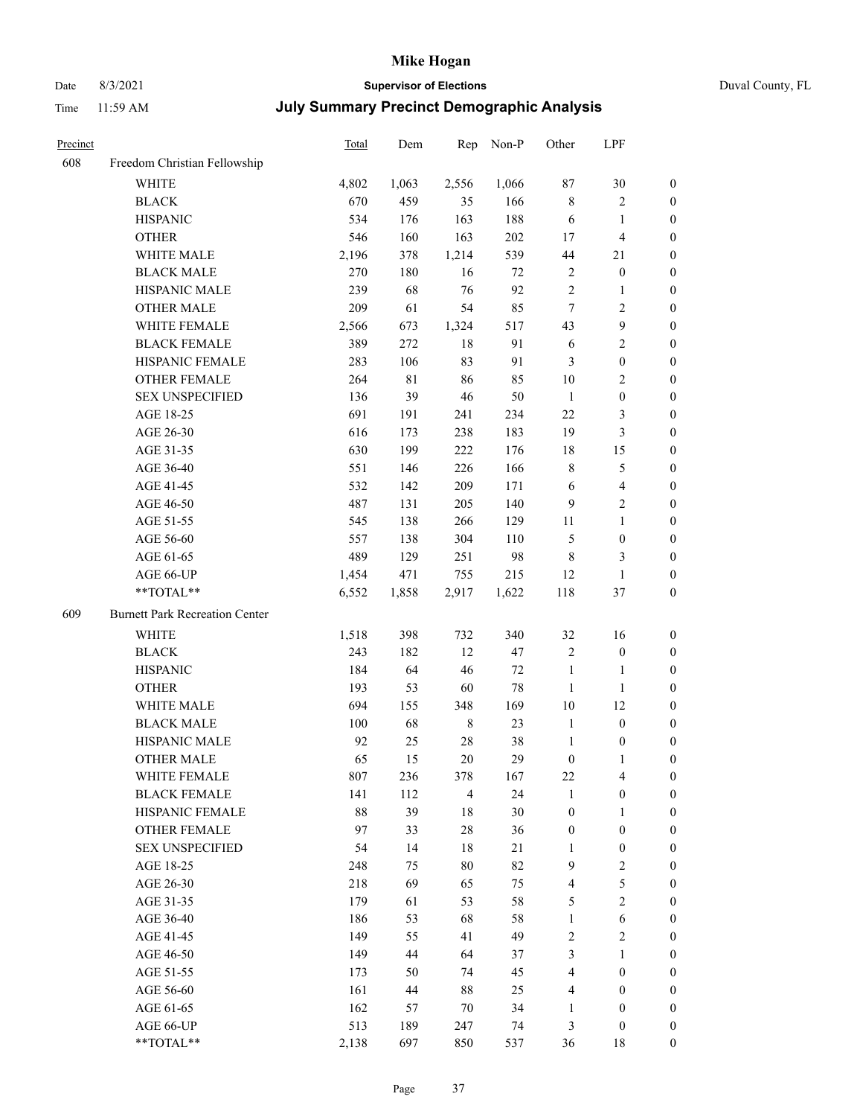### Date 8/3/2021 **Supervisor of Elections** Duval County, FL

| Precinct |                                       | <b>Total</b> | Dem        | Rep            | Non-P | Other                   | LPF                     |                                      |
|----------|---------------------------------------|--------------|------------|----------------|-------|-------------------------|-------------------------|--------------------------------------|
| 608      | Freedom Christian Fellowship          |              |            |                |       |                         |                         |                                      |
|          | <b>WHITE</b>                          | 4,802        | 1,063      | 2,556          | 1,066 | 87                      | $30\,$                  | 0                                    |
|          | <b>BLACK</b>                          | 670          | 459        | 35             | 166   | $\,$ 8 $\,$             | $\sqrt{2}$              | 0                                    |
|          | <b>HISPANIC</b>                       | 534          | 176        | 163            | 188   | 6                       | $\mathbf{1}$            | $\boldsymbol{0}$                     |
|          | <b>OTHER</b>                          | 546          | 160        | 163            | 202   | 17                      | $\overline{\mathbf{4}}$ | $\boldsymbol{0}$                     |
|          | WHITE MALE                            | 2,196        | 378        | 1,214          | 539   | 44                      | 21                      | $\boldsymbol{0}$                     |
|          | <b>BLACK MALE</b>                     | 270          | 180        | 16             | 72    | 2                       | $\boldsymbol{0}$        | $\boldsymbol{0}$                     |
|          | HISPANIC MALE                         | 239          | 68         | 76             | 92    | $\mathfrak{2}$          | $\mathbf{1}$            | $\boldsymbol{0}$                     |
|          | <b>OTHER MALE</b>                     | 209          | 61         | 54             | 85    | $\tau$                  | $\overline{2}$          | $\boldsymbol{0}$                     |
|          | WHITE FEMALE                          | 2,566        | 673        | 1,324          | 517   | 43                      | $\boldsymbol{9}$        | $\boldsymbol{0}$                     |
|          | <b>BLACK FEMALE</b>                   | 389          | 272        | 18             | 91    | 6                       | $\sqrt{2}$              | 0                                    |
|          | HISPANIC FEMALE                       | 283          | 106        | 83             | 91    | 3                       | $\boldsymbol{0}$        | 0                                    |
|          | OTHER FEMALE                          | 264          | 81         | 86             | 85    | 10                      | $\sqrt{2}$              | 0                                    |
|          | <b>SEX UNSPECIFIED</b>                | 136          | 39         | 46             | 50    | $\mathbf{1}$            | $\boldsymbol{0}$        | $\boldsymbol{0}$                     |
|          | AGE 18-25                             | 691          | 191        | 241            | 234   | 22                      | $\mathfrak{Z}$          | $\boldsymbol{0}$                     |
|          | AGE 26-30                             | 616          | 173        | 238            | 183   | 19                      | $\mathfrak{Z}$          | $\boldsymbol{0}$                     |
|          | AGE 31-35                             | 630          | 199        | 222            | 176   | 18                      | 15                      | $\boldsymbol{0}$                     |
|          | AGE 36-40                             | 551          | 146        | 226            | 166   | 8                       | $\mathfrak s$           | $\boldsymbol{0}$                     |
|          | AGE 41-45                             | 532          | 142        | 209            | 171   | 6                       | $\overline{4}$          | $\boldsymbol{0}$                     |
|          | AGE 46-50                             | 487          | 131        | 205            | 140   | $\overline{9}$          | $\overline{2}$          | $\boldsymbol{0}$                     |
|          | AGE 51-55                             | 545          | 138        | 266            | 129   | 11                      | $\mathbf{1}$            | $\boldsymbol{0}$                     |
|          | AGE 56-60                             | 557          |            | 304            | 110   |                         |                         |                                      |
|          |                                       | 489          | 138<br>129 | 251            | 98    | 5<br>$\,$ 8 $\,$        | $\boldsymbol{0}$        | 0                                    |
|          | AGE 61-65                             |              |            |                |       |                         | 3                       | 0                                    |
|          | AGE 66-UP<br>**TOTAL**                | 1,454        | 471        | 755            | 215   | 12<br>118               | $\mathbf{1}$<br>$37\,$  | $\boldsymbol{0}$<br>$\boldsymbol{0}$ |
|          |                                       | 6,552        | 1,858      | 2,917          | 1,622 |                         |                         |                                      |
| 609      | <b>Burnett Park Recreation Center</b> |              |            |                |       |                         |                         |                                      |
|          | <b>WHITE</b>                          | 1,518        | 398        | 732            | 340   | 32                      | 16                      | $\boldsymbol{0}$                     |
|          | <b>BLACK</b>                          | 243          | 182        | 12             | 47    | 2                       | $\boldsymbol{0}$        | $\boldsymbol{0}$                     |
|          | <b>HISPANIC</b>                       | 184          | 64         | 46             | 72    | $\mathbf{1}$            | $\mathbf{1}$            | $\boldsymbol{0}$                     |
|          | <b>OTHER</b>                          | 193          | 53         | 60             | 78    | $\mathbf{1}$            | $\mathbf{1}$            | $\boldsymbol{0}$                     |
|          | WHITE MALE                            | 694          | 155        | 348            | 169   | 10                      | 12                      | $\boldsymbol{0}$                     |
|          | <b>BLACK MALE</b>                     | 100          | 68         | $\,$ 8 $\,$    | 23    | $\mathbf{1}$            | $\boldsymbol{0}$        | $\boldsymbol{0}$                     |
|          | HISPANIC MALE                         | 92           | 25         | $28\,$         | 38    | $\mathbf{1}$            | $\boldsymbol{0}$        | 0                                    |
|          | <b>OTHER MALE</b>                     | 65           | 15         | 20             | 29    | $\boldsymbol{0}$        | $\mathbf{1}$            | 0                                    |
|          | WHITE FEMALE                          | 807          | 236        | 378            | 167   | 22                      | 4                       | 0                                    |
|          | <b>BLACK FEMALE</b>                   | 141          | 112        | $\overline{4}$ | 24    | $\mathbf{1}$            | $\boldsymbol{0}$        | $\boldsymbol{0}$                     |
|          | HISPANIC FEMALE                       | 88           | 39         | $18\,$         | 30    | $\boldsymbol{0}$        | $\mathbf{1}$            | $\overline{0}$                       |
|          | OTHER FEMALE                          | 97           | 33         | $28\,$         | 36    | $\boldsymbol{0}$        | $\boldsymbol{0}$        | $\overline{0}$                       |
|          | <b>SEX UNSPECIFIED</b>                | 54           | 14         | $18\,$         | 21    | $\mathbf{1}$            | $\boldsymbol{0}$        | 0                                    |
|          | AGE 18-25                             | 248          | 75         | 80             | 82    | 9                       | $\sqrt{2}$              | 0                                    |
|          | AGE 26-30                             | 218          | 69         | 65             | 75    | $\overline{\mathbf{4}}$ | $\mathfrak{S}$          | 0                                    |
|          | AGE 31-35                             | 179          | 61         | 53             | 58    | 5                       | $\overline{2}$          | 0                                    |
|          | AGE 36-40                             | 186          | 53         | 68             | 58    | $\mathbf{1}$            | $\sqrt{6}$              | 0                                    |
|          | AGE 41-45                             | 149          | 55         | 41             | 49    | $\sqrt{2}$              | $\mathbf{2}$            | 0                                    |
|          | AGE 46-50                             | 149          | 44         | 64             | 37    | 3                       | $\mathbf{1}$            | 0                                    |
|          | AGE 51-55                             | 173          | 50         | 74             | 45    | 4                       | $\boldsymbol{0}$        | 0                                    |
|          | AGE 56-60                             | 161          | 44         | 88             | 25    | 4                       | $\boldsymbol{0}$        | 0                                    |
|          | AGE 61-65                             | 162          | 57         | 70             | 34    | 1                       | $\boldsymbol{0}$        | $\overline{0}$                       |
|          | AGE 66-UP                             | 513          | 189        | 247            | 74    | 3                       | $\boldsymbol{0}$        | 0                                    |
|          | **TOTAL**                             | 2,138        | 697        | 850            | 537   | 36                      | 18                      | $\boldsymbol{0}$                     |
|          |                                       |              |            |                |       |                         |                         |                                      |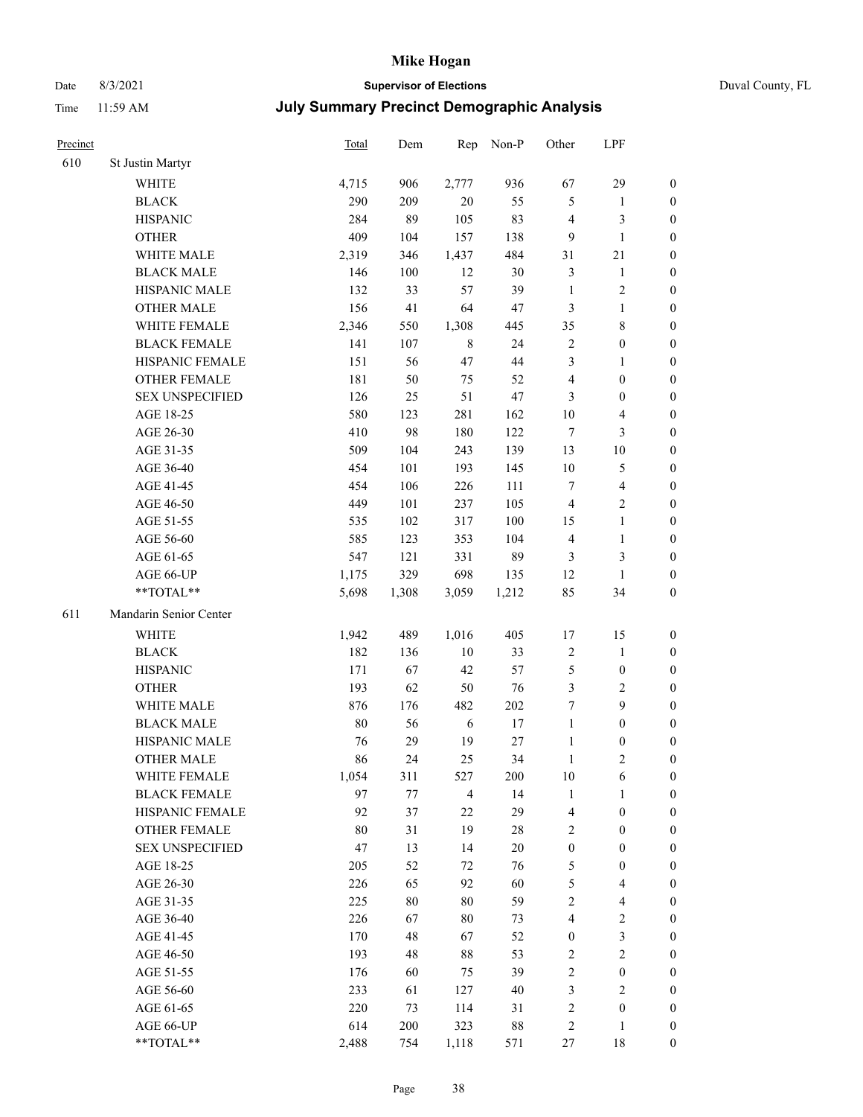### Date 8/3/2021 **Supervisor of Elections** Duval County, FL

| Precinct |                        | Total | Dem    | Rep            | Non-P  | Other            | LPF                     |                  |
|----------|------------------------|-------|--------|----------------|--------|------------------|-------------------------|------------------|
| 610      | St Justin Martyr       |       |        |                |        |                  |                         |                  |
|          | <b>WHITE</b>           | 4,715 | 906    | 2,777          | 936    | 67               | 29                      | $\boldsymbol{0}$ |
|          | <b>BLACK</b>           | 290   | 209    | $20\,$         | 55     | 5                | $\mathbf{1}$            | 0                |
|          | <b>HISPANIC</b>        | 284   | 89     | 105            | 83     | $\overline{4}$   | 3                       | $\boldsymbol{0}$ |
|          | <b>OTHER</b>           | 409   | 104    | 157            | 138    | 9                | $\mathbf{1}$            | $\boldsymbol{0}$ |
|          | WHITE MALE             | 2,319 | 346    | 1,437          | 484    | 31               | $21\,$                  | $\boldsymbol{0}$ |
|          | <b>BLACK MALE</b>      | 146   | 100    | 12             | 30     | 3                | $\mathbf{1}$            | $\boldsymbol{0}$ |
|          | HISPANIC MALE          | 132   | 33     | 57             | 39     | $\mathbf{1}$     | $\sqrt{2}$              | $\boldsymbol{0}$ |
|          | <b>OTHER MALE</b>      | 156   | 41     | 64             | 47     | 3                | $\mathbf{1}$            | $\boldsymbol{0}$ |
|          | WHITE FEMALE           | 2,346 | 550    | 1,308          | 445    | 35               | $8\,$                   | $\boldsymbol{0}$ |
|          | <b>BLACK FEMALE</b>    | 141   | 107    | $\,$ 8 $\,$    | 24     | 2                | $\boldsymbol{0}$        | 0                |
|          | HISPANIC FEMALE        | 151   | 56     | 47             | 44     | 3                | $\mathbf{1}$            | 0                |
|          | <b>OTHER FEMALE</b>    | 181   | 50     | 75             | 52     | 4                | $\boldsymbol{0}$        | $\boldsymbol{0}$ |
|          | <b>SEX UNSPECIFIED</b> | 126   | 25     | 51             | 47     | 3                | $\boldsymbol{0}$        | $\boldsymbol{0}$ |
|          | AGE 18-25              | 580   | 123    | 281            | 162    | $10\,$           | $\overline{\mathbf{4}}$ | $\boldsymbol{0}$ |
|          | AGE 26-30              | 410   | 98     | 180            | 122    | 7                | $\mathfrak{Z}$          | $\boldsymbol{0}$ |
|          | AGE 31-35              | 509   | 104    | 243            | 139    | 13               | $10\,$                  | $\boldsymbol{0}$ |
|          | AGE 36-40              | 454   | 101    | 193            | 145    | 10               | $\mathfrak s$           | $\boldsymbol{0}$ |
|          | AGE 41-45              | 454   | 106    | 226            | 111    | $\tau$           | $\overline{\mathbf{4}}$ | $\boldsymbol{0}$ |
|          | AGE 46-50              | 449   | 101    | 237            | 105    | $\overline{4}$   | $\overline{2}$          | $\boldsymbol{0}$ |
|          | AGE 51-55              | 535   | 102    | 317            | 100    | 15               | $\mathbf{1}$            | $\boldsymbol{0}$ |
|          | AGE 56-60              | 585   | 123    | 353            | 104    | $\overline{4}$   | $\mathbf{1}$            | 0                |
|          | AGE 61-65              | 547   | 121    | 331            | 89     | 3                | 3                       | 0                |
|          | AGE 66-UP              | 1,175 | 329    | 698            | 135    | 12               | $\mathbf{1}$            | $\boldsymbol{0}$ |
|          | **TOTAL**              | 5,698 | 1,308  | 3,059          | 1,212  | 85               | 34                      | $\boldsymbol{0}$ |
| 611      | Mandarin Senior Center |       |        |                |        |                  |                         |                  |
|          | <b>WHITE</b>           | 1,942 | 489    | 1,016          | 405    | 17               | 15                      | $\boldsymbol{0}$ |
|          | <b>BLACK</b>           | 182   | 136    | $10\,$         | 33     | $\boldsymbol{2}$ | $\mathbf{1}$            | $\boldsymbol{0}$ |
|          | <b>HISPANIC</b>        | 171   | 67     | 42             | 57     | 5                | $\boldsymbol{0}$        | $\boldsymbol{0}$ |
|          | <b>OTHER</b>           | 193   | 62     | 50             | 76     | 3                | $\sqrt{2}$              | $\boldsymbol{0}$ |
|          | WHITE MALE             | 876   | 176    | 482            | 202    | 7                | 9                       | $\boldsymbol{0}$ |
|          | <b>BLACK MALE</b>      | 80    | 56     | 6              | $17\,$ | $\mathbf{1}$     | $\boldsymbol{0}$        | $\boldsymbol{0}$ |
|          | HISPANIC MALE          | 76    | 29     | 19             | $27\,$ | $\mathbf{1}$     | $\boldsymbol{0}$        | 0                |
|          | <b>OTHER MALE</b>      | 86    | 24     | 25             | 34     | $\mathbf{1}$     | $\mathbf{2}$            | $\boldsymbol{0}$ |
|          | WHITE FEMALE           | 1,054 | 311    | 527            | 200    | 10               | 6                       | 0                |
|          | <b>BLACK FEMALE</b>    | 97    | 77     | $\overline{4}$ | 14     | $\mathbf{1}$     | $\mathbf{1}$            | $\boldsymbol{0}$ |
|          | HISPANIC FEMALE        | 92    | 37     | 22             | 29     | 4                | $\boldsymbol{0}$        | $\overline{0}$   |
|          | <b>OTHER FEMALE</b>    | 80    | 31     | 19             | $28\,$ | $\overline{c}$   | $\boldsymbol{0}$        | $\overline{0}$   |
|          | <b>SEX UNSPECIFIED</b> | 47    | 13     | 14             | $20\,$ | $\boldsymbol{0}$ | $\boldsymbol{0}$        | 0                |
|          | AGE 18-25              | 205   | 52     | 72             | 76     | 5                | $\boldsymbol{0}$        | $\overline{0}$   |
|          | AGE 26-30              | 226   | 65     | 92             | 60     | 5                | $\overline{\mathbf{4}}$ | 0                |
|          | AGE 31-35              | 225   | $80\,$ | $80\,$         | 59     | $\overline{c}$   | $\overline{\mathbf{4}}$ | 0                |
|          | AGE 36-40              | 226   | 67     | 80             | 73     | 4                | $\sqrt{2}$              | 0                |
|          | AGE 41-45              | 170   | 48     | 67             | 52     | $\boldsymbol{0}$ | $\mathfrak{Z}$          | 0                |
|          | AGE 46-50              | 193   | 48     | $88\,$         | 53     | $\overline{c}$   | $\sqrt{2}$              | 0                |
|          | AGE 51-55              | 176   | 60     | 75             | 39     | $\sqrt{2}$       | $\boldsymbol{0}$        | $\overline{0}$   |
|          | AGE 56-60              | 233   | 61     | 127            | 40     | 3                | $\mathbf{2}$            | $\overline{0}$   |
|          | AGE 61-65              | 220   | 73     | 114            | 31     | $\overline{c}$   | $\boldsymbol{0}$        | $\overline{0}$   |
|          | AGE 66-UP              | 614   | 200    | 323            | 88     | $\overline{c}$   | $\mathbf{1}$            | $\boldsymbol{0}$ |
|          | **TOTAL**              | 2,488 | 754    | 1,118          | 571    | 27               | 18                      | $\boldsymbol{0}$ |
|          |                        |       |        |                |        |                  |                         |                  |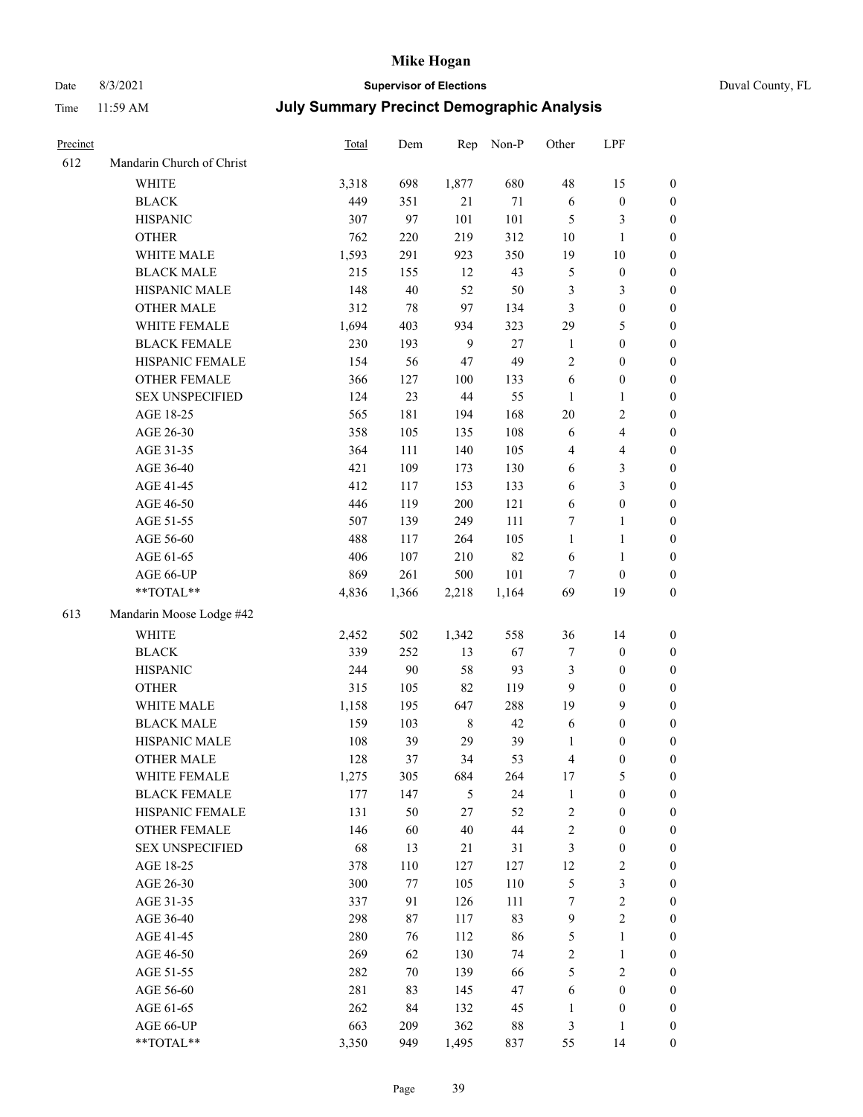### Date 8/3/2021 **Supervisor of Elections** Duval County, FL

| Precinct |                                     | Total      | Dem       | Rep         | Non-P    | Other                      | LPF                                |                                    |
|----------|-------------------------------------|------------|-----------|-------------|----------|----------------------------|------------------------------------|------------------------------------|
| 612      | Mandarin Church of Christ           |            |           |             |          |                            |                                    |                                    |
|          | <b>WHITE</b>                        | 3,318      | 698       | 1,877       | 680      | 48                         | 15                                 | 0                                  |
|          | <b>BLACK</b>                        | 449        | 351       | 21          | $71\,$   | 6                          | $\boldsymbol{0}$                   | 0                                  |
|          | <b>HISPANIC</b>                     | 307        | 97        | 101         | 101      | $\mathfrak{S}$             | 3                                  | $\boldsymbol{0}$                   |
|          | <b>OTHER</b>                        | 762        | 220       | 219         | 312      | 10                         | $\mathbf{1}$                       | $\boldsymbol{0}$                   |
|          | WHITE MALE                          | 1,593      | 291       | 923         | 350      | 19                         | $10\,$                             | $\boldsymbol{0}$                   |
|          | <b>BLACK MALE</b>                   | 215        | 155       | 12          | 43       | 5                          | $\boldsymbol{0}$                   | $\boldsymbol{0}$                   |
|          | HISPANIC MALE                       | 148        | 40        | 52          | 50       | 3                          | $\mathfrak{Z}$                     | $\boldsymbol{0}$                   |
|          | <b>OTHER MALE</b>                   | 312        | 78        | 97          | 134      | 3                          | $\boldsymbol{0}$                   | $\boldsymbol{0}$                   |
|          | WHITE FEMALE                        | 1,694      | 403       | 934         | 323      | 29                         | 5                                  | $\boldsymbol{0}$                   |
|          | <b>BLACK FEMALE</b>                 | 230        | 193       | 9           | $27\,$   | $\mathbf{1}$               | $\boldsymbol{0}$                   | 0                                  |
|          | HISPANIC FEMALE                     | 154        | 56        | 47          | 49       | $\overline{c}$             | $\boldsymbol{0}$                   | 0                                  |
|          | OTHER FEMALE                        | 366        | 127       | 100         | 133      | 6                          | $\boldsymbol{0}$                   | 0                                  |
|          | <b>SEX UNSPECIFIED</b>              | 124        | 23        | 44          | 55       | $\mathbf{1}$               | $\mathbf{1}$                       | $\boldsymbol{0}$                   |
|          | AGE 18-25                           | 565        | 181       | 194         | 168      | $20\,$                     | $\sqrt{2}$                         | $\boldsymbol{0}$                   |
|          | AGE 26-30                           | 358        | 105       | 135         | 108      | 6                          | $\overline{\mathbf{4}}$            | $\boldsymbol{0}$                   |
|          | AGE 31-35                           | 364        | 111       | 140         | 105      | 4                          | $\overline{\mathbf{4}}$            | $\boldsymbol{0}$                   |
|          | AGE 36-40                           | 421        | 109       | 173         | 130      | $\sqrt{6}$                 | $\mathfrak{Z}$                     | $\boldsymbol{0}$                   |
|          | AGE 41-45                           | 412        | 117       | 153         | 133      | 6                          | $\mathfrak{Z}$                     | $\boldsymbol{0}$                   |
|          | AGE 46-50                           | 446        | 119       | $200\,$     | 121      | 6                          | $\boldsymbol{0}$                   | $\boldsymbol{0}$                   |
|          | AGE 51-55                           | 507        | 139       | 249         | 111      | 7                          | $\mathbf{1}$                       | 0                                  |
|          | AGE 56-60                           | 488        | 117       | 264         | 105      | $\mathbf{1}$               | $\mathbf{1}$                       | 0                                  |
|          | AGE 61-65                           | 406        | 107       | 210         | 82       | 6                          | $\mathbf{1}$                       | 0                                  |
|          | AGE 66-UP                           | 869        | 261       | 500         | 101      | 7                          | $\boldsymbol{0}$                   | $\boldsymbol{0}$                   |
|          | $**TOTAL**$                         | 4,836      | 1,366     | 2,218       | 1,164    | 69                         | 19                                 | $\boldsymbol{0}$                   |
| 613      | Mandarin Moose Lodge #42            |            |           |             |          |                            |                                    |                                    |
|          | <b>WHITE</b>                        |            |           |             | 558      |                            |                                    |                                    |
|          |                                     | 2,452      | 502       | 1,342       | 67       | 36                         | 14                                 | $\boldsymbol{0}$                   |
|          | <b>BLACK</b>                        | 339        | 252       | 13          |          | 7                          | $\boldsymbol{0}$                   | $\boldsymbol{0}$                   |
|          | <b>HISPANIC</b>                     | 244        | 90        | 58          | 93       | 3                          | $\boldsymbol{0}$                   | $\boldsymbol{0}$                   |
|          | <b>OTHER</b>                        | 315        | 105       | 82          | 119      | 9                          | $\boldsymbol{0}$                   | $\boldsymbol{0}$                   |
|          | WHITE MALE                          | 1,158      | 195       | 647         | 288      | 19                         | 9                                  | $\boldsymbol{0}$                   |
|          | <b>BLACK MALE</b><br>HISPANIC MALE  | 159        | 103       | $\,$ 8 $\,$ | 42       | 6                          | $\boldsymbol{0}$                   | $\boldsymbol{0}$                   |
|          |                                     | 108        | 39        | 29<br>34    | 39       | 1<br>4                     | $\boldsymbol{0}$                   | $\boldsymbol{0}$                   |
|          | <b>OTHER MALE</b>                   | 128        | 37        |             | 53       |                            | $\boldsymbol{0}$                   | $\boldsymbol{0}$                   |
|          | WHITE FEMALE<br><b>BLACK FEMALE</b> | 1,275      | 305       | 684<br>5    | 264      | 17                         | 5<br>$\boldsymbol{0}$              | 0                                  |
|          | HISPANIC FEMALE                     | 177<br>131 | 147<br>50 | $27\,$      | 24<br>52 | $\mathbf{1}$<br>$\sqrt{2}$ | $\boldsymbol{0}$                   | $\boldsymbol{0}$<br>$\overline{0}$ |
|          | <b>OTHER FEMALE</b>                 | 146        | 60        | 40          | 44       | $\sqrt{2}$                 | $\boldsymbol{0}$                   | $\overline{0}$                     |
|          | <b>SEX UNSPECIFIED</b>              | 68         | 13        | 21          | 31       | 3                          | $\boldsymbol{0}$                   | 0                                  |
|          | AGE 18-25                           | 378        | 110       | 127         | 127      | 12                         | $\sqrt{2}$                         | 0                                  |
|          | AGE 26-30                           | 300        | 77        | 105         | 110      | 5                          | $\mathfrak{Z}$                     | 0                                  |
|          | AGE 31-35                           | 337        | 91        | 126         | 111      | 7                          | $\sqrt{2}$                         | 0                                  |
|          | AGE 36-40                           | 298        | 87        | 117         | 83       | $\overline{9}$             | $\sqrt{2}$                         | 0                                  |
|          | AGE 41-45                           | 280        | 76        | 112         | 86       | 5                          | $\mathbf{1}$                       | 0                                  |
|          | AGE 46-50                           | 269        | 62        | 130         | 74       | $\sqrt{2}$                 | $\mathbf{1}$                       | 0                                  |
|          |                                     |            |           |             |          |                            |                                    |                                    |
|          | AGE 51-55<br>AGE 56-60              | 282<br>281 | 70<br>83  | 139<br>145  | 66<br>47 | 5<br>6                     | $\mathfrak{2}$<br>$\boldsymbol{0}$ | 0<br>$\overline{0}$                |
|          | AGE 61-65                           | 262        | 84        | 132         | 45       | $\mathbf{1}$               | $\boldsymbol{0}$                   | $\overline{0}$                     |
|          | AGE 66-UP                           | 663        | 209       | 362         | $88\,$   | 3                          | $\mathbf{1}$                       | 0                                  |
|          | **TOTAL**                           | 3,350      | 949       | 1,495       | 837      | 55                         | 14                                 | $\boldsymbol{0}$                   |
|          |                                     |            |           |             |          |                            |                                    |                                    |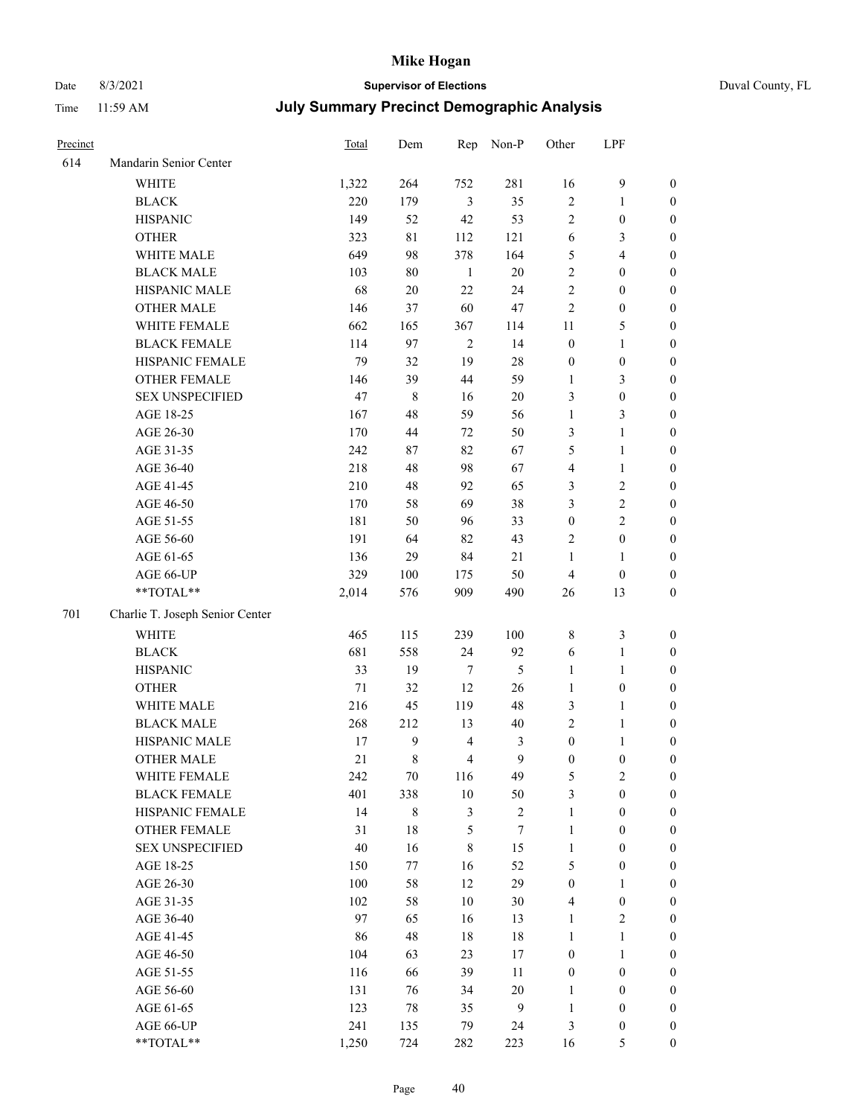# Date 8/3/2021 **Supervisor of Elections** Duval County, FL

| Precinct |                                 | Total  | Dem         | Rep            | Non-P        | Other            | LPF              |                  |
|----------|---------------------------------|--------|-------------|----------------|--------------|------------------|------------------|------------------|
| 614      | Mandarin Senior Center          |        |             |                |              |                  |                  |                  |
|          | <b>WHITE</b>                    | 1,322  | 264         | 752            | 281          | 16               | $\mathbf{9}$     | 0                |
|          | <b>BLACK</b>                    | 220    | 179         | $\mathfrak{Z}$ | 35           | $\sqrt{2}$       | $\mathbf{1}$     | 0                |
|          | <b>HISPANIC</b>                 | 149    | 52          | 42             | 53           | $\overline{2}$   | $\boldsymbol{0}$ | $\boldsymbol{0}$ |
|          | <b>OTHER</b>                    | 323    | 81          | 112            | 121          | 6                | 3                | $\boldsymbol{0}$ |
|          | WHITE MALE                      | 649    | 98          | 378            | 164          | 5                | $\overline{4}$   | $\boldsymbol{0}$ |
|          | <b>BLACK MALE</b>               | 103    | 80          | $\mathbf{1}$   | 20           | $\overline{c}$   | $\boldsymbol{0}$ | $\boldsymbol{0}$ |
|          | HISPANIC MALE                   | 68     | 20          | 22             | 24           | $\overline{c}$   | $\boldsymbol{0}$ | $\boldsymbol{0}$ |
|          | <b>OTHER MALE</b>               | 146    | 37          | 60             | $47\,$       | $\mathfrak{2}$   | $\boldsymbol{0}$ | $\boldsymbol{0}$ |
|          | WHITE FEMALE                    | 662    | 165         | 367            | 114          | 11               | $\mathfrak{S}$   | $\boldsymbol{0}$ |
|          | <b>BLACK FEMALE</b>             | 114    | 97          | $\sqrt{2}$     | 14           | $\boldsymbol{0}$ | $\mathbf{1}$     | 0                |
|          | HISPANIC FEMALE                 | 79     | 32          | 19             | $28\,$       | $\boldsymbol{0}$ | $\boldsymbol{0}$ | 0                |
|          | OTHER FEMALE                    | 146    | 39          | 44             | 59           | $\mathbf{1}$     | 3                | $\boldsymbol{0}$ |
|          | <b>SEX UNSPECIFIED</b>          | 47     | $\,$ 8 $\,$ | 16             | $20\,$       | 3                | $\boldsymbol{0}$ | $\boldsymbol{0}$ |
|          | AGE 18-25                       | 167    | 48          | 59             | 56           | $\mathbf{1}$     | $\mathfrak{Z}$   | $\boldsymbol{0}$ |
|          | AGE 26-30                       | 170    | 44          | 72             | 50           | 3                | $\mathbf{1}$     | $\boldsymbol{0}$ |
|          | AGE 31-35                       | 242    | 87          | 82             | 67           | 5                | $\mathbf{1}$     | $\boldsymbol{0}$ |
|          | AGE 36-40                       | 218    | 48          | 98             | 67           | 4                | $\mathbf{1}$     | $\boldsymbol{0}$ |
|          | AGE 41-45                       | 210    | 48          | 92             | 65           | 3                | $\sqrt{2}$       | $\boldsymbol{0}$ |
|          | AGE 46-50                       | 170    | 58          | 69             | 38           | 3                | $\sqrt{2}$       | $\boldsymbol{0}$ |
|          | AGE 51-55                       | 181    | 50          | 96             | 33           | $\boldsymbol{0}$ | $\sqrt{2}$       | $\boldsymbol{0}$ |
|          | AGE 56-60                       | 191    | 64          | 82             | 43           | $\mathbf{2}$     | $\boldsymbol{0}$ | 0                |
|          | AGE 61-65                       | 136    | 29          | 84             | 21           | $\mathbf{1}$     | $\mathbf{1}$     | 0                |
|          | AGE 66-UP                       | 329    | 100         | 175            | 50           | $\overline{4}$   | $\boldsymbol{0}$ | $\boldsymbol{0}$ |
|          | **TOTAL**                       | 2,014  | 576         | 909            | 490          | 26               | 13               | $\boldsymbol{0}$ |
| 701      | Charlie T. Joseph Senior Center |        |             |                |              |                  |                  |                  |
|          | <b>WHITE</b>                    | 465    | 115         | 239            | 100          | 8                | $\mathfrak{Z}$   | $\boldsymbol{0}$ |
|          | <b>BLACK</b>                    | 681    | 558         | 24             | 92           | 6                | $\mathbf{1}$     | $\boldsymbol{0}$ |
|          | <b>HISPANIC</b>                 | 33     | 19          | $\tau$         | 5            | $\mathbf{1}$     | $\mathbf{1}$     | $\boldsymbol{0}$ |
|          | <b>OTHER</b>                    | $71\,$ | 32          | 12             | 26           | $\mathbf{1}$     | $\boldsymbol{0}$ | $\boldsymbol{0}$ |
|          | WHITE MALE                      | 216    | 45          | 119            | 48           | 3                | $\mathbf{1}$     | $\boldsymbol{0}$ |
|          | <b>BLACK MALE</b>               | 268    | 212         | 13             | $40\,$       | $\overline{2}$   | $\mathbf{1}$     | $\boldsymbol{0}$ |
|          | HISPANIC MALE                   | 17     | 9           | $\overline{4}$ | 3            | $\boldsymbol{0}$ | 1                | 0                |
|          | OTHER MALE                      | 21     | 8           | $\overline{4}$ | 9            | $\boldsymbol{0}$ | $\boldsymbol{0}$ | 0                |
|          | WHITE FEMALE                    | 242    | 70          | 116            | 49           | 5                | 2                | 0                |
|          | <b>BLACK FEMALE</b>             | 401    | 338         | 10             | 50           | 3                | $\boldsymbol{0}$ | $\overline{0}$   |
|          | HISPANIC FEMALE                 | 14     | $\,$ 8 $\,$ | 3              | $\sqrt{2}$   | $\mathbf{1}$     | $\boldsymbol{0}$ | $\overline{0}$   |
|          | OTHER FEMALE                    | 31     | $18\,$      | 5              | $\tau$       | $\mathbf{1}$     | $\boldsymbol{0}$ | $\overline{0}$   |
|          | <b>SEX UNSPECIFIED</b>          | 40     | 16          | 8              | 15           | $\mathbf{1}$     | $\boldsymbol{0}$ | 0                |
|          | AGE 18-25                       | 150    | 77          | 16             | 52           | 5                | $\boldsymbol{0}$ | $\theta$         |
|          | AGE 26-30                       | 100    | 58          | 12             | 29           | $\boldsymbol{0}$ | $\mathbf{1}$     | 0                |
|          | AGE 31-35                       | 102    | 58          | $10\,$         | $30\,$       | 4                | $\boldsymbol{0}$ | 0                |
|          | AGE 36-40                       | 97     | 65          | 16             | 13           | $\mathbf{1}$     | $\sqrt{2}$       | 0                |
|          | AGE 41-45                       | 86     | 48          | 18             | 18           | $\mathbf{1}$     | $\mathbf{1}$     | 0                |
|          | AGE 46-50                       | 104    | 63          | 23             | 17           | $\boldsymbol{0}$ | $\mathbf{1}$     | 0                |
|          | AGE 51-55                       | 116    | 66          | 39             | 11           | $\boldsymbol{0}$ | $\boldsymbol{0}$ | 0                |
|          | AGE 56-60                       | 131    | 76          | 34             | $20\,$       | 1                | $\boldsymbol{0}$ | $\overline{0}$   |
|          | AGE 61-65                       | 123    | 78          | 35             | $\mathbf{9}$ | $\mathbf{1}$     | $\boldsymbol{0}$ | $\overline{0}$   |
|          | AGE 66-UP                       | 241    | 135         | 79             | 24           | 3                | $\boldsymbol{0}$ | 0                |
|          | **TOTAL**                       | 1,250  | 724         | 282            | 223          | 16               | 5                | $\boldsymbol{0}$ |
|          |                                 |        |             |                |              |                  |                  |                  |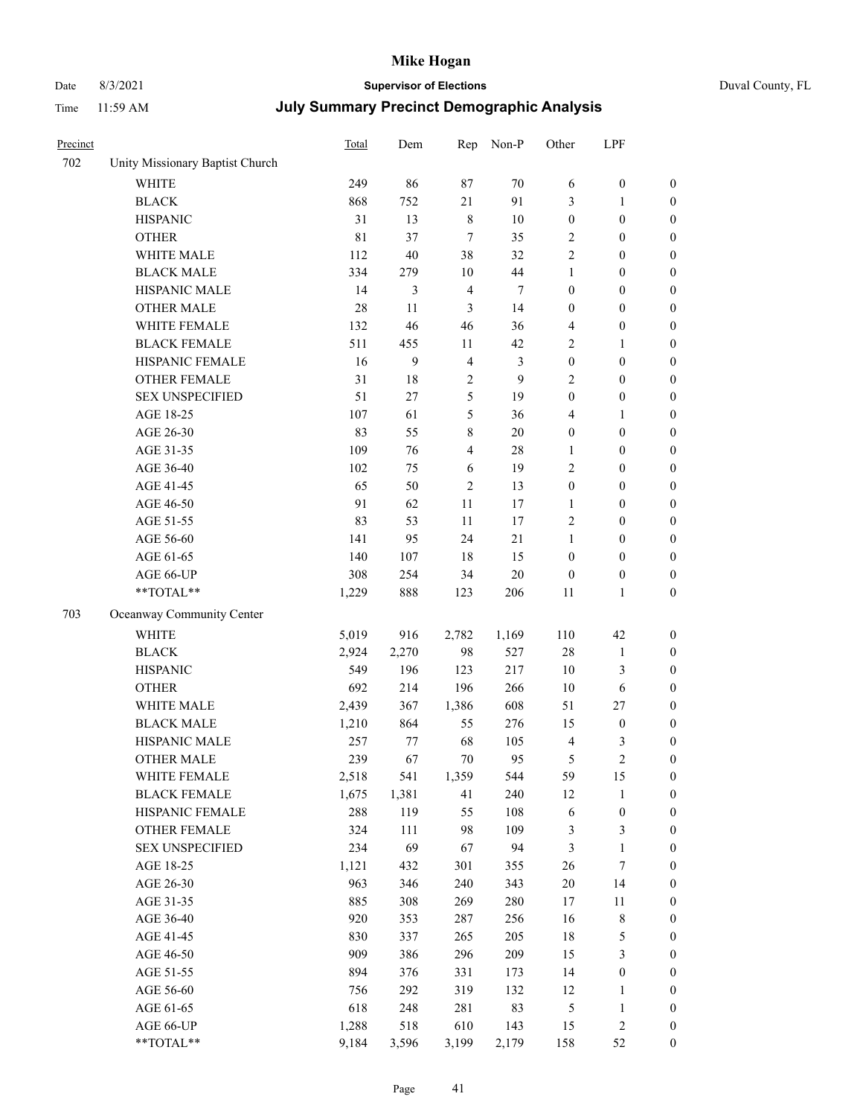# Date 8/3/2021 **Supervisor of Elections** Duval County, FL

| Precinct |                                 | <b>Total</b> | Dem    | Rep            | Non-P          | Other                   | LPF              |                  |
|----------|---------------------------------|--------------|--------|----------------|----------------|-------------------------|------------------|------------------|
| 702      | Unity Missionary Baptist Church |              |        |                |                |                         |                  |                  |
|          | <b>WHITE</b>                    | 249          | 86     | 87             | 70             | 6                       | $\boldsymbol{0}$ | 0                |
|          | <b>BLACK</b>                    | 868          | 752    | 21             | 91             | 3                       | $\mathbf{1}$     | $\boldsymbol{0}$ |
|          | <b>HISPANIC</b>                 | 31           | 13     | $\,$ 8 $\,$    | $10\,$         | $\boldsymbol{0}$        | $\boldsymbol{0}$ | $\boldsymbol{0}$ |
|          | <b>OTHER</b>                    | 81           | 37     | $\overline{7}$ | 35             | 2                       | $\boldsymbol{0}$ | $\boldsymbol{0}$ |
|          | WHITE MALE                      | 112          | 40     | 38             | 32             | 2                       | $\boldsymbol{0}$ | $\boldsymbol{0}$ |
|          | <b>BLACK MALE</b>               | 334          | 279    | 10             | 44             | $\mathbf{1}$            | $\boldsymbol{0}$ | $\boldsymbol{0}$ |
|          | HISPANIC MALE                   | 14           | 3      | $\overline{4}$ | $\tau$         | $\boldsymbol{0}$        | $\boldsymbol{0}$ | $\boldsymbol{0}$ |
|          | <b>OTHER MALE</b>               | 28           | 11     | $\mathfrak{Z}$ | 14             | $\boldsymbol{0}$        | $\boldsymbol{0}$ | $\boldsymbol{0}$ |
|          | WHITE FEMALE                    | 132          | 46     | 46             | 36             | 4                       | $\boldsymbol{0}$ | $\boldsymbol{0}$ |
|          | <b>BLACK FEMALE</b>             | 511          | 455    | 11             | 42             | 2                       | $\mathbf{1}$     | $\boldsymbol{0}$ |
|          | HISPANIC FEMALE                 | 16           | 9      | $\overline{4}$ | $\mathfrak{Z}$ | $\boldsymbol{0}$        | $\boldsymbol{0}$ | $\boldsymbol{0}$ |
|          | <b>OTHER FEMALE</b>             | 31           | $18\,$ | 2              | 9              | 2                       | $\boldsymbol{0}$ | $\boldsymbol{0}$ |
|          | <b>SEX UNSPECIFIED</b>          | 51           | 27     | 5              | 19             | $\boldsymbol{0}$        | $\boldsymbol{0}$ | $\boldsymbol{0}$ |
|          | AGE 18-25                       | 107          | 61     | 5              | 36             | 4                       | 1                | $\boldsymbol{0}$ |
|          | AGE 26-30                       | 83           | 55     | 8              | $20\,$         | $\boldsymbol{0}$        | $\boldsymbol{0}$ | $\boldsymbol{0}$ |
|          | AGE 31-35                       | 109          | 76     | $\overline{4}$ | 28             | $\mathbf{1}$            | $\boldsymbol{0}$ | $\boldsymbol{0}$ |
|          | AGE 36-40                       | 102          | 75     | 6              | 19             | 2                       | $\boldsymbol{0}$ | $\boldsymbol{0}$ |
|          | AGE 41-45                       | 65           | 50     | $\overline{2}$ | 13             | $\boldsymbol{0}$        | $\boldsymbol{0}$ | $\boldsymbol{0}$ |
|          | AGE 46-50                       | 91           | 62     | 11             | 17             | $\mathbf{1}$            | $\boldsymbol{0}$ | $\boldsymbol{0}$ |
|          | AGE 51-55                       | 83           | 53     | 11             | 17             | 2                       | $\boldsymbol{0}$ | $\boldsymbol{0}$ |
|          | AGE 56-60                       | 141          | 95     | 24             | 21             | $\mathbf{1}$            | $\boldsymbol{0}$ | 0                |
|          | AGE 61-65                       | 140          | 107    | 18             | 15             | $\boldsymbol{0}$        | $\boldsymbol{0}$ | $\boldsymbol{0}$ |
|          | AGE 66-UP                       | 308          | 254    | 34             | $20\,$         | $\boldsymbol{0}$        | $\boldsymbol{0}$ | $\boldsymbol{0}$ |
|          | **TOTAL**                       | 1,229        | 888    | 123            | 206            | 11                      | $\mathbf{1}$     | $\boldsymbol{0}$ |
| 703      | Oceanway Community Center       |              |        |                |                |                         |                  |                  |
|          | WHITE                           | 5,019        | 916    | 2,782          | 1,169          | 110                     | 42               | $\boldsymbol{0}$ |
|          | <b>BLACK</b>                    | 2,924        | 2,270  | 98             | 527            | 28                      | $\mathbf{1}$     | $\boldsymbol{0}$ |
|          | <b>HISPANIC</b>                 | 549          | 196    | 123            | 217            | 10                      | 3                | $\boldsymbol{0}$ |
|          | <b>OTHER</b>                    | 692          | 214    | 196            | 266            | $10\,$                  | 6                | $\boldsymbol{0}$ |
|          | WHITE MALE                      | 2,439        | 367    | 1,386          | 608            | 51                      | $27\,$           | $\boldsymbol{0}$ |
|          | <b>BLACK MALE</b>               | 1,210        | 864    | 55             | 276            | 15                      | $\boldsymbol{0}$ | $\boldsymbol{0}$ |
|          | HISPANIC MALE                   | 257          | 77     | 68             | 105            | $\overline{\mathbf{4}}$ | 3                | $\boldsymbol{0}$ |
|          | <b>OTHER MALE</b>               | 239          | 67     | 70             | 95             | 5                       | $\overline{c}$   | $\boldsymbol{0}$ |
|          | WHITE FEMALE                    | 2,518        | 541    | 1,359          | 544            | 59                      | 15               | 0                |
|          | <b>BLACK FEMALE</b>             | 1,675        | 1,381  | 41             | 240            | 12                      | $\mathbf{1}$     | 0                |
|          | HISPANIC FEMALE                 | 288          | 119    | 55             | 108            | 6                       | $\boldsymbol{0}$ | $\boldsymbol{0}$ |
|          | <b>OTHER FEMALE</b>             | 324          | 111    | 98             | 109            | 3                       | $\mathfrak{Z}$   | $\overline{0}$   |
|          | <b>SEX UNSPECIFIED</b>          | 234          | 69     | 67             | 94             | 3                       | $\mathbf{1}$     | 0                |
|          | AGE 18-25                       | 1,121        | 432    | 301            | 355            | 26                      | 7                | 0                |
|          | AGE 26-30                       | 963          | 346    | 240            | 343            | $20\,$                  | 14               | 0                |
|          | AGE 31-35                       | 885          | 308    | 269            | 280            | 17                      | 11               | 0                |
|          | AGE 36-40                       | 920          | 353    | 287            | 256            | 16                      | $\,$ 8 $\,$      | 0                |
|          | AGE 41-45                       | 830          | 337    | 265            | 205            | 18                      | $\mathfrak s$    | 0                |
|          | AGE 46-50                       | 909          | 386    | 296            | 209            | 15                      | $\mathfrak{Z}$   | 0                |
|          | AGE 51-55                       | 894          | 376    | 331            | 173            | 14                      | $\boldsymbol{0}$ | 0                |
|          | AGE 56-60                       | 756          | 292    | 319            | 132            | 12                      | 1                | 0                |
|          | AGE 61-65                       | 618          | 248    | 281            | 83             | 5                       | $\mathbf{1}$     | 0                |
|          | AGE 66-UP                       | 1,288        | 518    | 610            | 143            | 15                      | $\sqrt{2}$       | 0                |
|          | **TOTAL**                       | 9,184        | 3,596  | 3,199          | 2,179          | 158                     | 52               | $\boldsymbol{0}$ |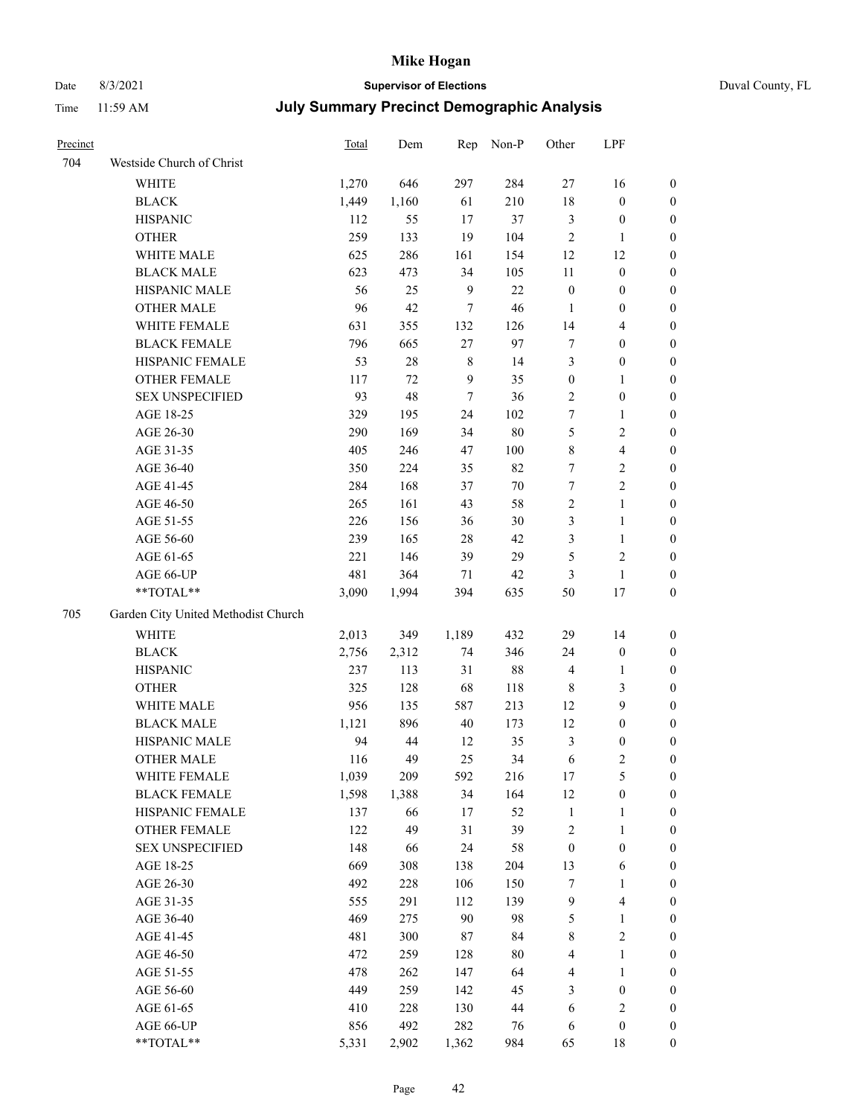## Date 8/3/2021 **Supervisor of Elections** Duval County, FL

| Precinct |                                     | <b>Total</b> | Dem    | Rep         | Non-P  | Other            | LPF                     |                  |
|----------|-------------------------------------|--------------|--------|-------------|--------|------------------|-------------------------|------------------|
| 704      | Westside Church of Christ           |              |        |             |        |                  |                         |                  |
|          | <b>WHITE</b>                        | 1,270        | 646    | 297         | 284    | $27\,$           | 16                      | 0                |
|          | <b>BLACK</b>                        | 1,449        | 1,160  | 61          | 210    | 18               | $\boldsymbol{0}$        | 0                |
|          | <b>HISPANIC</b>                     | 112          | 55     | 17          | 37     | 3                | $\boldsymbol{0}$        | $\boldsymbol{0}$ |
|          | <b>OTHER</b>                        | 259          | 133    | 19          | 104    | $\sqrt{2}$       | $\mathbf{1}$            | $\boldsymbol{0}$ |
|          | WHITE MALE                          | 625          | 286    | 161         | 154    | 12               | 12                      | $\boldsymbol{0}$ |
|          | <b>BLACK MALE</b>                   | 623          | 473    | 34          | 105    | 11               | $\boldsymbol{0}$        | $\boldsymbol{0}$ |
|          | HISPANIC MALE                       | 56           | 25     | 9           | 22     | $\boldsymbol{0}$ | $\boldsymbol{0}$        | $\boldsymbol{0}$ |
|          | <b>OTHER MALE</b>                   | 96           | 42     | $\tau$      | 46     | $\mathbf{1}$     | $\boldsymbol{0}$        | $\boldsymbol{0}$ |
|          | WHITE FEMALE                        | 631          | 355    | 132         | 126    | 14               | $\overline{\mathbf{4}}$ | $\boldsymbol{0}$ |
|          | <b>BLACK FEMALE</b>                 | 796          | 665    | 27          | 97     | 7                | $\boldsymbol{0}$        | 0                |
|          | HISPANIC FEMALE                     | 53           | $28\,$ | $\,$ 8 $\,$ | 14     | 3                | $\boldsymbol{0}$        | 0                |
|          | OTHER FEMALE                        | 117          | 72     | 9           | 35     | $\boldsymbol{0}$ | $\mathbf{1}$            | 0                |
|          | <b>SEX UNSPECIFIED</b>              | 93           | 48     | $\tau$      | 36     | $\overline{c}$   | $\boldsymbol{0}$        | $\boldsymbol{0}$ |
|          | AGE 18-25                           | 329          | 195    | 24          | 102    | 7                | $\mathbf{1}$            | $\boldsymbol{0}$ |
|          | AGE 26-30                           | 290          | 169    | 34          | $80\,$ | 5                | $\sqrt{2}$              | $\boldsymbol{0}$ |
|          | AGE 31-35                           | 405          | 246    | 47          | 100    | $\,$ $\,$        | $\overline{\mathbf{4}}$ | $\boldsymbol{0}$ |
|          | AGE 36-40                           | 350          | 224    | 35          | 82     | $\boldsymbol{7}$ | $\sqrt{2}$              | $\boldsymbol{0}$ |
|          | AGE 41-45                           | 284          | 168    | 37          | $70\,$ | $\boldsymbol{7}$ | $\overline{2}$          | $\overline{0}$   |
|          | AGE 46-50                           | 265          | 161    | 43          | 58     | $\overline{c}$   | $\mathbf{1}$            | $\boldsymbol{0}$ |
|          | AGE 51-55                           | 226          | 156    | 36          | $30\,$ | 3                | $\mathbf{1}$            | 0                |
|          | AGE 56-60                           | 239          | 165    | $28\,$      | 42     | 3                | $\mathbf{1}$            | 0                |
|          | AGE 61-65                           | 221          | 146    | 39          | 29     | 5                | $\sqrt{2}$              | 0                |
|          | AGE 66-UP                           | 481          | 364    | 71          | 42     | 3                | $\mathbf{1}$            | 0                |
|          | **TOTAL**                           | 3,090        | 1,994  | 394         | 635    | 50               | $17\,$                  | $\boldsymbol{0}$ |
| 705      | Garden City United Methodist Church |              |        |             |        |                  |                         |                  |
|          | <b>WHITE</b>                        | 2,013        | 349    | 1,189       | 432    | 29               | 14                      | $\boldsymbol{0}$ |
|          | <b>BLACK</b>                        | 2,756        | 2,312  | 74          | 346    | 24               | $\boldsymbol{0}$        | $\boldsymbol{0}$ |
|          | <b>HISPANIC</b>                     | 237          | 113    | 31          | $88\,$ | 4                | $\mathbf{1}$            | $\boldsymbol{0}$ |
|          | <b>OTHER</b>                        | 325          | 128    | 68          | 118    | $\,$ 8 $\,$      | $\mathfrak{Z}$          | $\boldsymbol{0}$ |
|          | WHITE MALE                          | 956          | 135    | 587         | 213    | 12               | 9                       | $\boldsymbol{0}$ |
|          | <b>BLACK MALE</b>                   | 1,121        | 896    | $40\,$      | 173    | 12               | $\boldsymbol{0}$        | $\boldsymbol{0}$ |
|          | HISPANIC MALE                       | 94           | 44     | 12          | 35     | 3                | $\boldsymbol{0}$        | 0                |
|          | <b>OTHER MALE</b>                   | 116          | 49     | 25          | 34     | 6                | $\mathbf{2}$            | 0                |
|          | WHITE FEMALE                        | 1,039        | 209    | 592         | 216    | 17               | 5                       | 0                |
|          | <b>BLACK FEMALE</b>                 | 1,598        | 1,388  | 34          | 164    | 12               | $\boldsymbol{0}$        | $\boldsymbol{0}$ |
|          | HISPANIC FEMALE                     | 137          | 66     | $17$        | 52     | $\mathbf{1}$     | $\mathbf{1}$            | $\boldsymbol{0}$ |
|          | OTHER FEMALE                        | 122          | 49     | 31          | 39     | 2                | $\mathbf{1}$            | $\overline{0}$   |
|          | <b>SEX UNSPECIFIED</b>              | 148          | 66     | 24          | 58     | $\boldsymbol{0}$ | $\boldsymbol{0}$        | 0                |
|          | AGE 18-25                           | 669          | 308    | 138         | 204    | 13               | 6                       | 0                |
|          | AGE 26-30                           | 492          | 228    | 106         | 150    | 7                | $\mathbf{1}$            | 0                |
|          | AGE 31-35                           | 555          | 291    | 112         | 139    | 9                | $\overline{\mathbf{4}}$ | 0                |
|          | AGE 36-40                           | 469          | 275    | 90          | 98     | 5                | $\mathbf{1}$            | 0                |
|          | AGE 41-45                           | 481          | 300    | 87          | 84     | 8                | $\sqrt{2}$              | 0                |
|          | AGE 46-50                           | 472          | 259    | 128         | $80\,$ | 4                | $\mathbf{1}$            | 0                |
|          | AGE 51-55                           | 478          | 262    | 147         | 64     | 4                | $\mathbf{1}$            | 0                |
|          | AGE 56-60                           | 449          | 259    | 142         | 45     | 3                | $\boldsymbol{0}$        | $\overline{0}$   |
|          | AGE 61-65                           | 410          | 228    | 130         | 44     | 6                | $\sqrt{2}$              | $\boldsymbol{0}$ |
|          | AGE 66-UP                           | 856          | 492    | 282         | 76     | 6                | $\boldsymbol{0}$        | $\boldsymbol{0}$ |
|          | **TOTAL**                           | 5,331        | 2,902  | 1,362       | 984    | 65               | 18                      | $\boldsymbol{0}$ |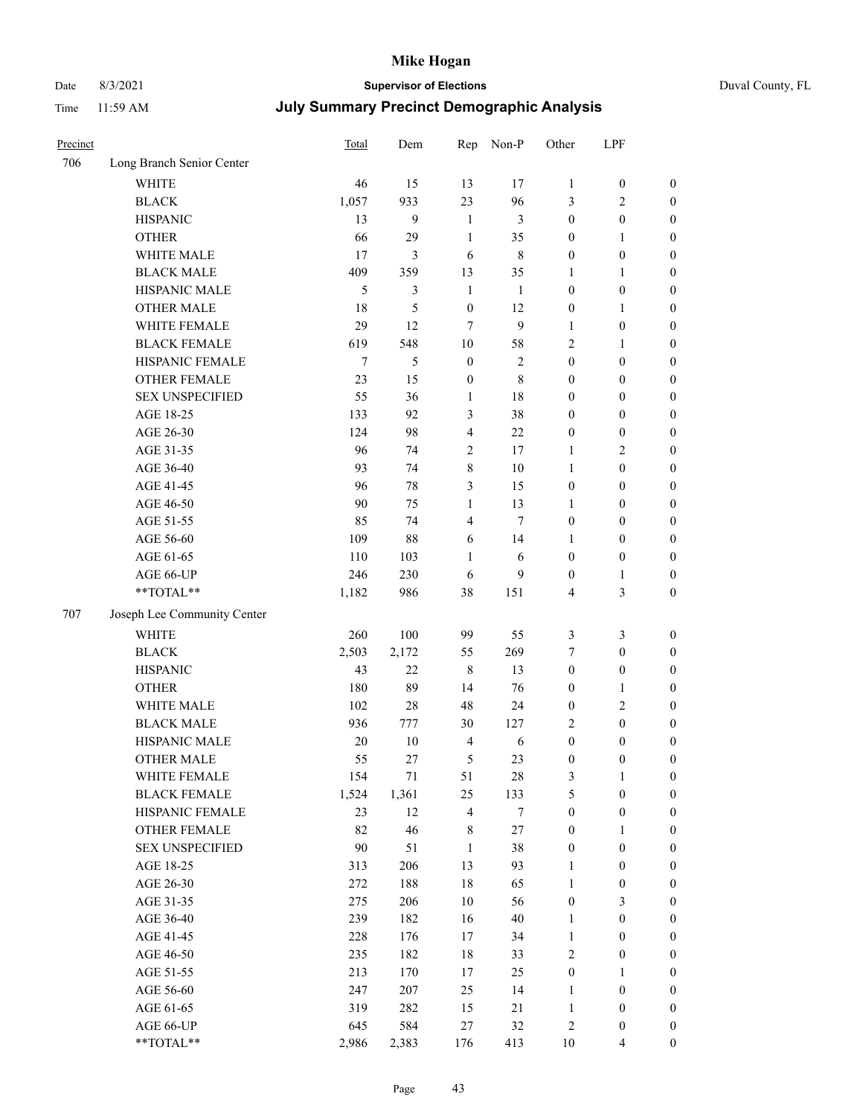## Date 8/3/2021 **Supervisor of Elections** Duval County, FL

| Precinct |                             | <b>Total</b> | Dem    | Rep                     | Non-P        | Other            | LPF              |                  |
|----------|-----------------------------|--------------|--------|-------------------------|--------------|------------------|------------------|------------------|
| 706      | Long Branch Senior Center   |              |        |                         |              |                  |                  |                  |
|          | <b>WHITE</b>                | 46           | 15     | 13                      | 17           | $\mathbf{1}$     | $\boldsymbol{0}$ | $\boldsymbol{0}$ |
|          | <b>BLACK</b>                | 1,057        | 933    | 23                      | 96           | 3                | $\overline{c}$   | $\boldsymbol{0}$ |
|          | <b>HISPANIC</b>             | 13           | 9      | $\mathbf{1}$            | 3            | $\boldsymbol{0}$ | $\boldsymbol{0}$ | $\boldsymbol{0}$ |
|          | <b>OTHER</b>                | 66           | 29     | $\mathbf{1}$            | 35           | $\boldsymbol{0}$ | $\mathbf{1}$     | $\boldsymbol{0}$ |
|          | WHITE MALE                  | 17           | 3      | 6                       | $\,$ 8 $\,$  | $\boldsymbol{0}$ | $\boldsymbol{0}$ | $\boldsymbol{0}$ |
|          | <b>BLACK MALE</b>           | 409          | 359    | 13                      | 35           | 1                | $\mathbf{1}$     | $\boldsymbol{0}$ |
|          | HISPANIC MALE               | 5            | 3      | $\mathbf{1}$            | 1            | $\boldsymbol{0}$ | $\boldsymbol{0}$ | $\boldsymbol{0}$ |
|          | <b>OTHER MALE</b>           | 18           | 5      | $\boldsymbol{0}$        | 12           | $\boldsymbol{0}$ | $\mathbf{1}$     | $\boldsymbol{0}$ |
|          | WHITE FEMALE                | 29           | 12     | 7                       | $\mathbf{9}$ | $\mathbf{1}$     | $\boldsymbol{0}$ | $\boldsymbol{0}$ |
|          | <b>BLACK FEMALE</b>         | 619          | 548    | $10\,$                  | 58           | 2                | $\mathbf{1}$     | $\boldsymbol{0}$ |
|          | HISPANIC FEMALE             | $\tau$       | 5      | $\boldsymbol{0}$        | $\sqrt{2}$   | $\boldsymbol{0}$ | $\boldsymbol{0}$ | 0                |
|          | <b>OTHER FEMALE</b>         | 23           | 15     | $\boldsymbol{0}$        | $\,$ 8 $\,$  | $\boldsymbol{0}$ | $\boldsymbol{0}$ | $\boldsymbol{0}$ |
|          | <b>SEX UNSPECIFIED</b>      | 55           | 36     | $\mathbf{1}$            | $18\,$       | $\boldsymbol{0}$ | $\boldsymbol{0}$ | $\boldsymbol{0}$ |
|          | AGE 18-25                   | 133          | 92     | $\mathfrak{Z}$          | 38           | $\boldsymbol{0}$ | $\boldsymbol{0}$ | $\boldsymbol{0}$ |
|          | AGE 26-30                   | 124          | 98     | $\overline{4}$          | 22           | $\boldsymbol{0}$ | $\boldsymbol{0}$ | $\boldsymbol{0}$ |
|          | AGE 31-35                   | 96           | 74     | $\sqrt{2}$              | 17           | $\mathbf{1}$     | $\sqrt{2}$       | $\boldsymbol{0}$ |
|          | AGE 36-40                   | 93           | 74     | $\,8\,$                 | 10           | $\mathbf{1}$     | $\boldsymbol{0}$ | $\boldsymbol{0}$ |
|          | AGE 41-45                   | 96           | 78     | $\mathfrak{Z}$          | 15           | $\boldsymbol{0}$ | $\boldsymbol{0}$ | $\boldsymbol{0}$ |
|          | AGE 46-50                   | 90           | 75     | $\mathbf{1}$            | 13           | $\mathbf{1}$     | $\boldsymbol{0}$ | $\boldsymbol{0}$ |
|          | AGE 51-55                   | 85           | 74     | $\overline{\mathbf{4}}$ | $\tau$       | $\boldsymbol{0}$ | $\boldsymbol{0}$ | $\boldsymbol{0}$ |
|          | AGE 56-60                   | 109          | 88     | 6                       | 14           | 1                | $\boldsymbol{0}$ | 0                |
|          | AGE 61-65                   | 110          | 103    | 1                       | 6            | $\boldsymbol{0}$ | $\boldsymbol{0}$ | 0                |
|          | AGE 66-UP                   | 246          | 230    | 6                       | 9            | $\boldsymbol{0}$ | $\mathbf{1}$     | $\boldsymbol{0}$ |
|          | $**TOTAL**$                 | 1,182        | 986    | 38                      | 151          | 4                | $\mathfrak{Z}$   | $\boldsymbol{0}$ |
| 707      | Joseph Lee Community Center |              |        |                         |              |                  |                  |                  |
|          | <b>WHITE</b>                | 260          | 100    | 99                      | 55           | 3                | $\mathfrak{Z}$   | $\boldsymbol{0}$ |
|          | <b>BLACK</b>                | 2,503        | 2,172  | 55                      | 269          | 7                | $\boldsymbol{0}$ | $\boldsymbol{0}$ |
|          | <b>HISPANIC</b>             | 43           | 22     | $\,8\,$                 | 13           | $\boldsymbol{0}$ | $\boldsymbol{0}$ | $\boldsymbol{0}$ |
|          | <b>OTHER</b>                | 180          | 89     | 14                      | 76           | $\boldsymbol{0}$ | $\mathbf{1}$     | $\boldsymbol{0}$ |
|          | WHITE MALE                  | 102          | 28     | 48                      | 24           | $\boldsymbol{0}$ | $\mathbf{2}$     | $\boldsymbol{0}$ |
|          | <b>BLACK MALE</b>           | 936          | 777    | $30\,$                  | 127          | $\overline{c}$   | $\boldsymbol{0}$ | $\boldsymbol{0}$ |
|          | HISPANIC MALE               | 20           | $10\,$ | $\overline{4}$          | 6            | $\boldsymbol{0}$ | $\boldsymbol{0}$ | $\boldsymbol{0}$ |
|          | <b>OTHER MALE</b>           | 55           | 27     | 5                       | 23           | $\boldsymbol{0}$ | $\boldsymbol{0}$ | $\boldsymbol{0}$ |
|          | WHITE FEMALE                | 154          | 71     | 51                      | 28           | 3                | 1                | 0                |
|          | <b>BLACK FEMALE</b>         | 1,524        | 1,361  | 25                      | 133          | 5                | $\boldsymbol{0}$ | $\boldsymbol{0}$ |
|          | HISPANIC FEMALE             | 23           | 12     | $\overline{4}$          | $\tau$       | $\boldsymbol{0}$ | $\boldsymbol{0}$ | $\overline{0}$   |
|          | OTHER FEMALE                | 82           | 46     | 8                       | 27           | $\boldsymbol{0}$ | $\mathbf{1}$     | $\overline{0}$   |
|          | <b>SEX UNSPECIFIED</b>      | 90           | 51     | $\mathbf{1}$            | 38           | $\boldsymbol{0}$ | $\boldsymbol{0}$ | 0                |
|          | AGE 18-25                   | 313          | 206    | 13                      | 93           | $\mathbf{1}$     | $\boldsymbol{0}$ | $\overline{0}$   |
|          | AGE 26-30                   | 272          | 188    | $18\,$                  | 65           | $\mathbf{1}$     | $\boldsymbol{0}$ | 0                |
|          | AGE 31-35                   | 275          | 206    | $10\,$                  | 56           | $\boldsymbol{0}$ | $\mathfrak{Z}$   | 0                |
|          | AGE 36-40                   | 239          | 182    | 16                      | 40           | $\mathbf{1}$     | $\boldsymbol{0}$ | 0                |
|          | AGE 41-45                   | 228          | 176    | 17                      | 34           | $\mathbf{1}$     | $\boldsymbol{0}$ | 0                |
|          | AGE 46-50                   | 235          | 182    | 18                      | 33           | $\sqrt{2}$       | $\boldsymbol{0}$ | 0                |
|          | AGE 51-55                   | 213          | 170    | 17                      | 25           | $\boldsymbol{0}$ | $\mathbf{1}$     | $\boldsymbol{0}$ |
|          | AGE 56-60                   | 247          | 207    | 25                      | 14           | 1                | $\boldsymbol{0}$ | $\boldsymbol{0}$ |
|          | AGE 61-65                   | 319          | 282    | 15                      | 21           | $\mathbf{1}$     | $\boldsymbol{0}$ | $\overline{0}$   |
|          | AGE 66-UP                   | 645          | 584    | 27                      | 32           | 2                | $\boldsymbol{0}$ | 0                |
|          | **TOTAL**                   | 2,986        | 2,383  | 176                     | 413          | 10               | $\overline{4}$   | $\boldsymbol{0}$ |
|          |                             |              |        |                         |              |                  |                  |                  |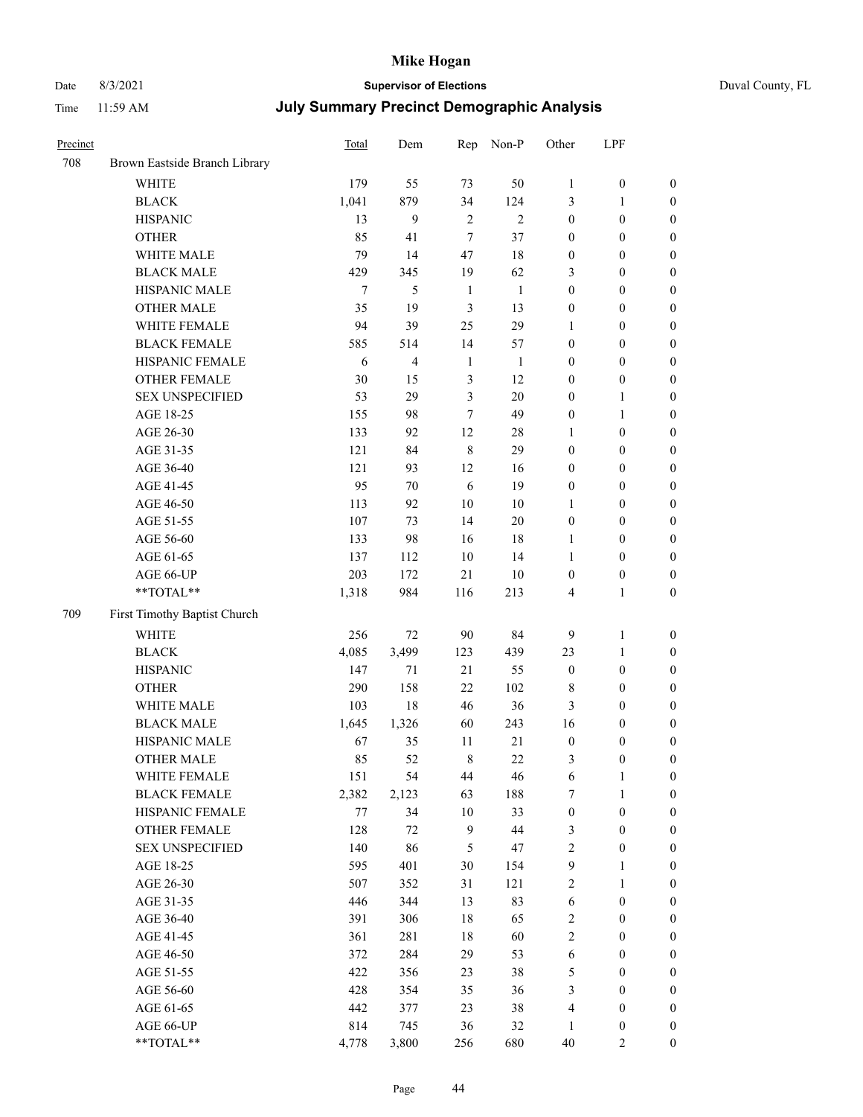# Date 8/3/2021 **Supervisor of Elections** Duval County, FL

| Precinct |                               | Total  | Dem            | Rep            | Non-P          | Other            | LPF              |                  |
|----------|-------------------------------|--------|----------------|----------------|----------------|------------------|------------------|------------------|
| 708      | Brown Eastside Branch Library |        |                |                |                |                  |                  |                  |
|          | <b>WHITE</b>                  | 179    | 55             | 73             | 50             | 1                | $\boldsymbol{0}$ | $\boldsymbol{0}$ |
|          | <b>BLACK</b>                  | 1,041  | 879            | 34             | 124            | 3                | $\mathbf{1}$     | $\boldsymbol{0}$ |
|          | <b>HISPANIC</b>               | 13     | 9              | $\overline{2}$ | $\mathfrak{2}$ | $\boldsymbol{0}$ | $\boldsymbol{0}$ | $\boldsymbol{0}$ |
|          | <b>OTHER</b>                  | 85     | 41             | $\overline{7}$ | 37             | $\boldsymbol{0}$ | $\boldsymbol{0}$ | $\boldsymbol{0}$ |
|          | WHITE MALE                    | 79     | 14             | 47             | 18             | $\boldsymbol{0}$ | $\boldsymbol{0}$ | $\boldsymbol{0}$ |
|          | <b>BLACK MALE</b>             | 429    | 345            | 19             | 62             | 3                | $\boldsymbol{0}$ | $\boldsymbol{0}$ |
|          | HISPANIC MALE                 | $\tau$ | 5              | $\mathbf{1}$   | $\mathbf{1}$   | $\boldsymbol{0}$ | $\boldsymbol{0}$ | $\boldsymbol{0}$ |
|          | OTHER MALE                    | 35     | 19             | $\mathfrak{Z}$ | 13             | $\boldsymbol{0}$ | $\boldsymbol{0}$ | $\boldsymbol{0}$ |
|          | WHITE FEMALE                  | 94     | 39             | 25             | 29             | $\mathbf{1}$     | $\boldsymbol{0}$ | $\boldsymbol{0}$ |
|          | <b>BLACK FEMALE</b>           | 585    | 514            | 14             | 57             | $\boldsymbol{0}$ | $\boldsymbol{0}$ | 0                |
|          | HISPANIC FEMALE               | 6      | $\overline{4}$ | $\mathbf{1}$   | $\mathbf{1}$   | $\boldsymbol{0}$ | $\boldsymbol{0}$ | $\boldsymbol{0}$ |
|          | OTHER FEMALE                  | 30     | 15             | $\mathfrak{Z}$ | 12             | $\boldsymbol{0}$ | $\boldsymbol{0}$ | $\boldsymbol{0}$ |
|          | <b>SEX UNSPECIFIED</b>        | 53     | 29             | 3              | 20             | $\boldsymbol{0}$ | 1                | $\boldsymbol{0}$ |
|          | AGE 18-25                     | 155    | 98             | 7              | 49             | $\boldsymbol{0}$ | $\mathbf{1}$     | $\boldsymbol{0}$ |
|          | AGE 26-30                     | 133    | 92             | 12             | 28             | $\mathbf{1}$     | $\boldsymbol{0}$ | $\boldsymbol{0}$ |
|          | AGE 31-35                     | 121    | 84             | $\,$ 8 $\,$    | 29             | $\boldsymbol{0}$ | $\boldsymbol{0}$ | $\boldsymbol{0}$ |
|          | AGE 36-40                     | 121    | 93             | 12             | 16             | $\boldsymbol{0}$ | $\boldsymbol{0}$ | $\boldsymbol{0}$ |
|          | AGE 41-45                     | 95     | 70             | 6              | 19             | $\boldsymbol{0}$ | $\boldsymbol{0}$ | $\boldsymbol{0}$ |
|          | AGE 46-50                     | 113    | 92             | $10\,$         | $10\,$         | 1                | $\boldsymbol{0}$ | $\boldsymbol{0}$ |
|          | AGE 51-55                     | 107    | 73             | 14             | 20             | $\boldsymbol{0}$ | $\boldsymbol{0}$ | 0                |
|          | AGE 56-60                     | 133    | 98             | 16             | 18             | 1                | $\boldsymbol{0}$ | $\boldsymbol{0}$ |
|          | AGE 61-65                     | 137    | 112            | 10             | 14             | $\mathbf{1}$     | $\boldsymbol{0}$ | $\boldsymbol{0}$ |
|          | AGE 66-UP                     | 203    | 172            | 21             | $10\,$         | $\boldsymbol{0}$ | $\boldsymbol{0}$ | $\boldsymbol{0}$ |
|          | **TOTAL**                     | 1,318  | 984            | 116            | 213            | 4                | $\mathbf{1}$     | $\boldsymbol{0}$ |
| 709      | First Timothy Baptist Church  |        |                |                |                |                  |                  |                  |
|          | <b>WHITE</b>                  | 256    | 72             | 90             | 84             | 9                | $\mathbf{1}$     | $\boldsymbol{0}$ |
|          | <b>BLACK</b>                  | 4,085  | 3,499          | 123            | 439            | 23               | $\mathbf{1}$     | $\boldsymbol{0}$ |
|          | <b>HISPANIC</b>               | 147    | 71             | 21             | 55             | $\boldsymbol{0}$ | $\boldsymbol{0}$ | $\boldsymbol{0}$ |
|          | <b>OTHER</b>                  | 290    | 158            | 22             | 102            | 8                | $\boldsymbol{0}$ | $\boldsymbol{0}$ |
|          | WHITE MALE                    | 103    | $18\,$         | 46             | 36             | 3                | $\boldsymbol{0}$ | $\boldsymbol{0}$ |
|          | <b>BLACK MALE</b>             | 1,645  | 1,326          | 60             | 243            | 16               | $\boldsymbol{0}$ | $\boldsymbol{0}$ |
|          | HISPANIC MALE                 | 67     | 35             | 11             | 21             | $\boldsymbol{0}$ | $\boldsymbol{0}$ | 0                |
|          | <b>OTHER MALE</b>             | 85     | 52             | $\,$ 8 $\,$    | 22             | 3                | $\boldsymbol{0}$ | $\boldsymbol{0}$ |
|          | WHITE FEMALE                  | 151    | 54             | 44             | 46             | 6                | $\mathbf{1}$     | $\boldsymbol{0}$ |
|          | <b>BLACK FEMALE</b>           | 2,382  | 2,123          | 63             | 188            | 7                | 1                | $\boldsymbol{0}$ |
|          | HISPANIC FEMALE               | 77     | 34             | 10             | 33             | $\boldsymbol{0}$ | $\boldsymbol{0}$ | $\overline{0}$   |
|          | OTHER FEMALE                  | 128    | 72             | $\overline{9}$ | 44             | 3                | $\boldsymbol{0}$ | $\overline{0}$   |
|          | <b>SEX UNSPECIFIED</b>        | 140    | 86             | 5              | 47             | $\overline{c}$   | $\boldsymbol{0}$ | 0                |
|          | AGE 18-25                     | 595    | 401            | 30             | 154            | 9                | $\mathbf{1}$     | $\overline{0}$   |
|          | AGE 26-30                     | 507    | 352            | 31             | 121            | $\overline{c}$   | $\mathbf{1}$     | 0                |
|          | AGE 31-35                     | 446    | 344            | 13             | 83             | 6                | $\boldsymbol{0}$ | 0                |
|          | AGE 36-40                     | 391    | 306            | 18             | 65             | 2                | $\boldsymbol{0}$ | 0                |
|          | AGE 41-45                     | 361    | 281            | 18             | 60             | $\overline{c}$   | $\boldsymbol{0}$ | 0                |
|          | AGE 46-50                     | 372    | 284            | 29             | 53             | $\sqrt{6}$       | $\boldsymbol{0}$ | $\overline{0}$   |
|          | AGE 51-55                     | 422    | 356            | 23             | 38             | 5                | $\boldsymbol{0}$ | $\boldsymbol{0}$ |
|          | AGE 56-60                     | 428    | 354            | 35             | 36             | 3                | $\boldsymbol{0}$ | $\boldsymbol{0}$ |
|          | AGE 61-65                     | 442    | 377            | 23             | 38             | 4                | $\boldsymbol{0}$ | $\boldsymbol{0}$ |
|          | AGE 66-UP                     | 814    | 745            | 36             | 32             | 1                | $\boldsymbol{0}$ | 0                |
|          | **TOTAL**                     | 4,778  | 3,800          | 256            | 680            | $40\,$           | $\mathbf{2}$     | $\overline{0}$   |
|          |                               |        |                |                |                |                  |                  |                  |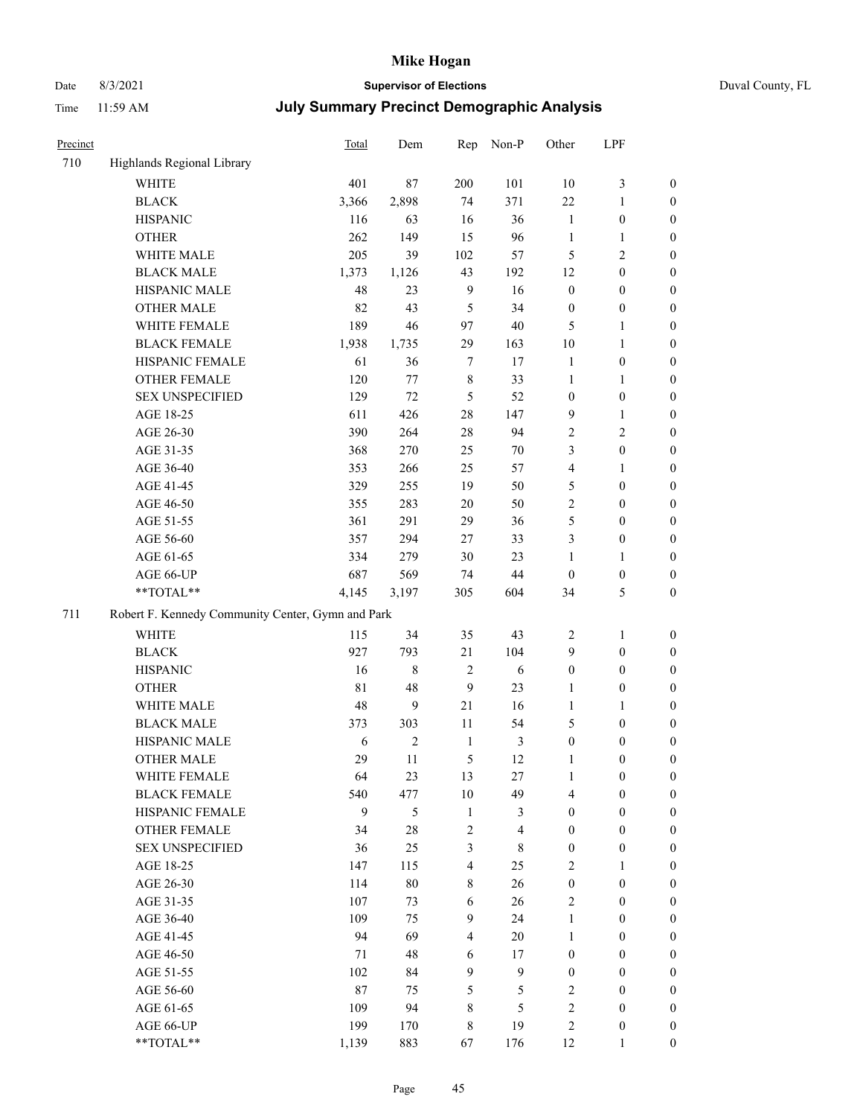# Date 8/3/2021 **Supervisor of Elections** Duval County, FL

| Precinct |                                                   | Total      | Dem            | Rep                     | Non-P                   | Other            | LPF                                  |                  |
|----------|---------------------------------------------------|------------|----------------|-------------------------|-------------------------|------------------|--------------------------------------|------------------|
| 710      | Highlands Regional Library                        |            |                |                         |                         |                  |                                      |                  |
|          | <b>WHITE</b>                                      | 401        | 87             | 200                     | 101                     | 10               | $\mathfrak{Z}$                       | 0                |
|          | <b>BLACK</b>                                      | 3,366      | 2,898          | 74                      | 371                     | 22               | $\mathbf{1}$                         | 0                |
|          | <b>HISPANIC</b>                                   | 116        | 63             | 16                      | 36                      | $\mathbf{1}$     | $\boldsymbol{0}$                     | $\boldsymbol{0}$ |
|          | <b>OTHER</b>                                      | 262        | 149            | 15                      | 96                      | $\mathbf{1}$     | $\mathbf{1}$                         | $\boldsymbol{0}$ |
|          | WHITE MALE                                        | 205        | 39             | 102                     | 57                      | 5                | $\sqrt{2}$                           | $\boldsymbol{0}$ |
|          | <b>BLACK MALE</b>                                 | 1,373      | 1,126          | 43                      | 192                     | 12               | $\boldsymbol{0}$                     | $\boldsymbol{0}$ |
|          | HISPANIC MALE                                     | 48         | 23             | $\mathbf{9}$            | 16                      | $\boldsymbol{0}$ | $\boldsymbol{0}$                     | $\boldsymbol{0}$ |
|          | <b>OTHER MALE</b>                                 | 82         | 43             | 5                       | 34                      | $\boldsymbol{0}$ | $\boldsymbol{0}$                     | $\boldsymbol{0}$ |
|          | WHITE FEMALE                                      | 189        | 46             | 97                      | $40\,$                  | 5                | $\mathbf{1}$                         | $\boldsymbol{0}$ |
|          | <b>BLACK FEMALE</b>                               | 1,938      | 1,735          | 29                      | 163                     | 10               | $\mathbf{1}$                         | 0                |
|          | HISPANIC FEMALE                                   | 61         | 36             | $\tau$                  | 17                      | $\mathbf{1}$     | $\boldsymbol{0}$                     | 0                |
|          | OTHER FEMALE                                      | 120        | 77             | $\,$ 8 $\,$             | 33                      | $\mathbf{1}$     | $\mathbf{1}$                         | 0                |
|          | <b>SEX UNSPECIFIED</b>                            | 129        | 72             | 5                       | 52                      | $\boldsymbol{0}$ | $\boldsymbol{0}$                     | $\boldsymbol{0}$ |
|          | AGE 18-25                                         | 611        | 426            | 28                      | 147                     | 9                | $\mathbf{1}$                         | $\boldsymbol{0}$ |
|          | AGE 26-30                                         | 390        | 264            | 28                      | 94                      | 2                | $\sqrt{2}$                           | $\boldsymbol{0}$ |
|          | AGE 31-35                                         | 368        | 270            | 25                      | 70                      | 3                | $\boldsymbol{0}$                     | $\boldsymbol{0}$ |
|          | AGE 36-40                                         | 353        | 266            | 25                      | 57                      | 4                | $\mathbf{1}$                         | $\boldsymbol{0}$ |
|          | AGE 41-45                                         | 329        | 255            | 19                      | 50                      | 5                | $\boldsymbol{0}$                     | $\boldsymbol{0}$ |
|          | AGE 46-50                                         | 355        | 283            | 20                      | 50                      | $\overline{c}$   | $\boldsymbol{0}$                     | $\boldsymbol{0}$ |
|          | AGE 51-55                                         | 361        | 291            | 29                      | 36                      | 5                | $\boldsymbol{0}$                     | $\boldsymbol{0}$ |
|          | AGE 56-60                                         | 357        | 294            | 27                      | 33                      | 3                | $\boldsymbol{0}$                     | 0                |
|          | AGE 61-65                                         | 334        | 279            | 30                      | 23                      | 1                | $\mathbf{1}$                         | 0                |
|          | AGE 66-UP                                         | 687        | 569            | 74                      | 44                      | $\boldsymbol{0}$ | $\boldsymbol{0}$                     | $\boldsymbol{0}$ |
|          | **TOTAL**                                         | 4,145      | 3,197          | 305                     | 604                     | 34               | $\mathfrak{S}$                       | $\boldsymbol{0}$ |
| 711      | Robert F. Kennedy Community Center, Gymn and Park |            |                |                         |                         |                  |                                      |                  |
|          | WHITE                                             | 115        | 34             | 35                      | 43                      |                  |                                      |                  |
|          |                                                   |            |                |                         |                         | $\overline{c}$   | $\mathbf{1}$                         | $\boldsymbol{0}$ |
|          | <b>BLACK</b><br><b>HISPANIC</b>                   | 927<br>16  | 793<br>8       | 21<br>$\sqrt{2}$        | 104<br>6                | 9                | $\boldsymbol{0}$<br>$\boldsymbol{0}$ | $\boldsymbol{0}$ |
|          |                                                   |            |                |                         |                         | $\boldsymbol{0}$ |                                      | $\boldsymbol{0}$ |
|          | <b>OTHER</b>                                      | 81         | 48             | 9                       | 23                      | 1                | $\boldsymbol{0}$                     | $\boldsymbol{0}$ |
|          | WHITE MALE                                        | 48         | 9              | 21                      | 16                      | $\mathbf{1}$     | $\mathbf{1}$                         | $\boldsymbol{0}$ |
|          | <b>BLACK MALE</b>                                 | 373        | 303            | 11                      | 54                      | 5                | $\boldsymbol{0}$                     | $\boldsymbol{0}$ |
|          | HISPANIC MALE                                     | $\sqrt{6}$ | $\mathfrak{2}$ | $\mathbf{1}$            | 3                       | $\boldsymbol{0}$ | $\boldsymbol{0}$                     | $\boldsymbol{0}$ |
|          | <b>OTHER MALE</b>                                 | 29         | 11             | 5                       | 12                      | $\mathbf{1}$     | $\boldsymbol{0}$                     | $\boldsymbol{0}$ |
|          | WHITE FEMALE                                      | 64         | 23             | 13                      | 27                      | 1                | $\boldsymbol{0}$                     | 0                |
|          | <b>BLACK FEMALE</b>                               | 540        | 477            | 10                      | 49                      | 4                | $\boldsymbol{0}$                     | $\boldsymbol{0}$ |
|          | HISPANIC FEMALE                                   | 9          | 5              | $\mathbf{1}$            | 3                       | $\boldsymbol{0}$ | $\boldsymbol{0}$                     | $\overline{0}$   |
|          | <b>OTHER FEMALE</b>                               | 34         | $28\,$         | $\sqrt{2}$              | $\overline{\mathbf{4}}$ | $\boldsymbol{0}$ | $\boldsymbol{0}$                     | $\overline{0}$   |
|          | <b>SEX UNSPECIFIED</b>                            | 36         | 25             | 3                       | 8                       | $\boldsymbol{0}$ | $\boldsymbol{0}$                     | $\overline{0}$   |
|          | AGE 18-25                                         | 147        | 115            | $\overline{4}$          | 25                      | 2                | $\mathbf{1}$                         | $\overline{0}$   |
|          | AGE 26-30                                         | 114        | $80\,$         | $\,$ 8 $\,$             | 26                      | $\boldsymbol{0}$ | $\boldsymbol{0}$                     | $\overline{0}$   |
|          | AGE 31-35                                         | 107        | 73             | 6                       | 26                      | 2                | $\boldsymbol{0}$                     | 0                |
|          | AGE 36-40                                         | 109        | 75             | 9                       | 24                      | $\mathbf{1}$     | $\boldsymbol{0}$                     | 0                |
|          | AGE 41-45                                         | 94         | 69             | $\overline{\mathbf{4}}$ | 20                      | $\mathbf{1}$     | $\boldsymbol{0}$                     | 0                |
|          | AGE 46-50                                         | 71         | 48             | 6                       | 17                      | $\boldsymbol{0}$ | $\boldsymbol{0}$                     | $\boldsymbol{0}$ |
|          | AGE 51-55                                         | 102        | 84             | 9                       | $\mathbf{9}$            | $\boldsymbol{0}$ | $\boldsymbol{0}$                     | $\boldsymbol{0}$ |
|          | AGE 56-60                                         | 87         | 75             | 5                       | 5                       | $\mathfrak{2}$   | $\boldsymbol{0}$                     | $\overline{0}$   |
|          | AGE 61-65                                         | 109        | 94             | 8                       | 5                       | 2                | $\boldsymbol{0}$                     | $\boldsymbol{0}$ |
|          | AGE 66-UP                                         | 199        | 170            | $\,$ 8 $\,$             | 19                      | 2                | $\boldsymbol{0}$                     | $\boldsymbol{0}$ |
|          | **TOTAL**                                         | 1,139      | 883            | 67                      | 176                     | 12               | $\mathbf{1}$                         | $\boldsymbol{0}$ |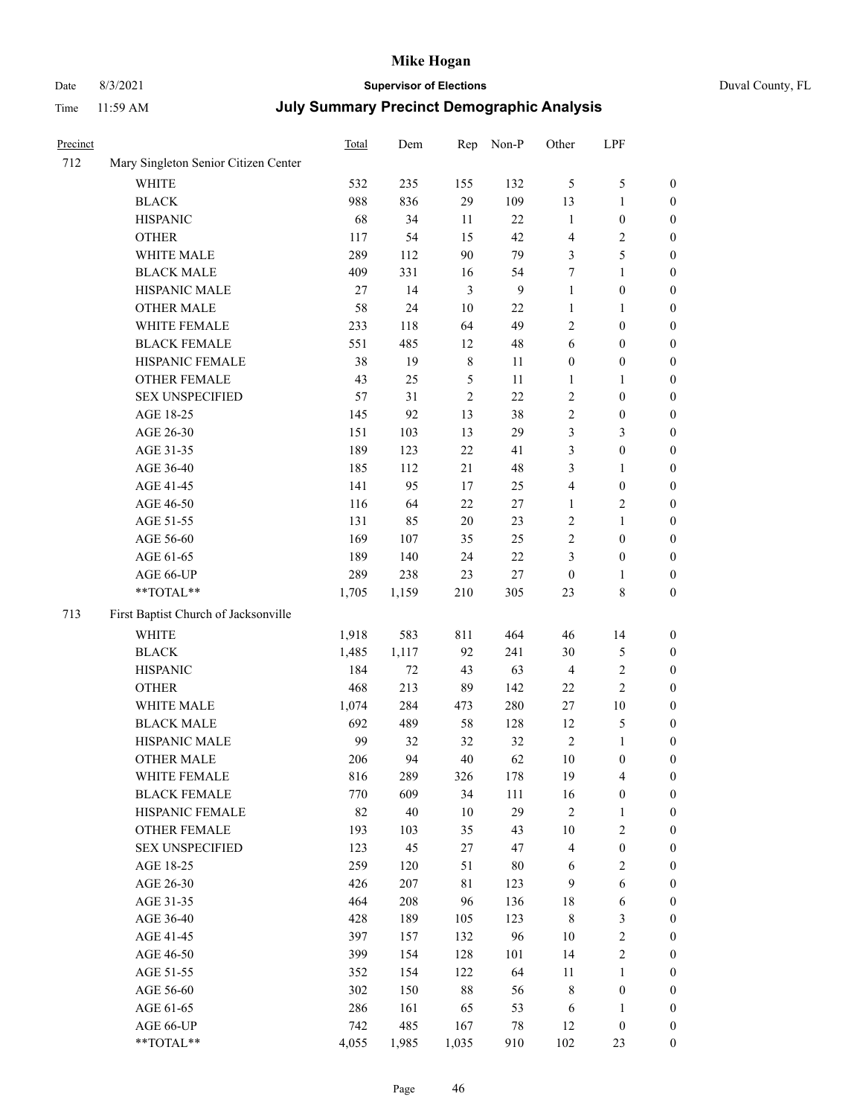# Date 8/3/2021 **Supervisor of Elections** Duval County, FL

| Precinct |                                      | Total | Dem    | Rep            | Non-P          | Other                   | LPF              |                  |
|----------|--------------------------------------|-------|--------|----------------|----------------|-------------------------|------------------|------------------|
| 712      | Mary Singleton Senior Citizen Center |       |        |                |                |                         |                  |                  |
|          | <b>WHITE</b>                         | 532   | 235    | 155            | 132            | 5                       | $\mathfrak{S}$   | 0                |
|          | <b>BLACK</b>                         | 988   | 836    | 29             | 109            | 13                      | $\mathbf{1}$     | 0                |
|          | <b>HISPANIC</b>                      | 68    | 34     | 11             | 22             | $\mathbf{1}$            | $\boldsymbol{0}$ | $\boldsymbol{0}$ |
|          | <b>OTHER</b>                         | 117   | 54     | 15             | 42             | 4                       | $\sqrt{2}$       | $\boldsymbol{0}$ |
|          | WHITE MALE                           | 289   | 112    | 90             | 79             | 3                       | 5                | $\boldsymbol{0}$ |
|          | <b>BLACK MALE</b>                    | 409   | 331    | 16             | 54             | 7                       | $\mathbf{1}$     | $\boldsymbol{0}$ |
|          | HISPANIC MALE                        | 27    | 14     | $\mathfrak{Z}$ | $\overline{9}$ | $\mathbf{1}$            | $\boldsymbol{0}$ | $\boldsymbol{0}$ |
|          | <b>OTHER MALE</b>                    | 58    | 24     | $10\,$         | 22             | $\mathbf{1}$            | $\mathbf{1}$     | $\boldsymbol{0}$ |
|          | WHITE FEMALE                         | 233   | 118    | 64             | 49             | 2                       | $\boldsymbol{0}$ | $\boldsymbol{0}$ |
|          | <b>BLACK FEMALE</b>                  | 551   | 485    | 12             | $\sqrt{48}$    | 6                       | $\boldsymbol{0}$ | 0                |
|          | HISPANIC FEMALE                      | 38    | 19     | $\,$ 8 $\,$    | 11             | $\boldsymbol{0}$        | $\boldsymbol{0}$ | 0                |
|          | OTHER FEMALE                         | 43    | 25     | $\mathfrak s$  | 11             | 1                       | $\mathbf{1}$     | 0                |
|          | <b>SEX UNSPECIFIED</b>               | 57    | 31     | $\sqrt{2}$     | 22             | $\overline{c}$          | $\boldsymbol{0}$ | $\boldsymbol{0}$ |
|          | AGE 18-25                            | 145   | 92     | 13             | 38             | 2                       | $\boldsymbol{0}$ | $\boldsymbol{0}$ |
|          | AGE 26-30                            | 151   | 103    | 13             | 29             | 3                       | $\mathfrak{Z}$   | $\boldsymbol{0}$ |
|          | AGE 31-35                            | 189   | 123    | 22             | 41             | 3                       | $\boldsymbol{0}$ | $\boldsymbol{0}$ |
|          | AGE 36-40                            | 185   | 112    | 21             | 48             | 3                       | $\mathbf{1}$     | $\boldsymbol{0}$ |
|          | AGE 41-45                            | 141   | 95     | 17             | 25             | $\overline{\mathbf{4}}$ | $\boldsymbol{0}$ | $\boldsymbol{0}$ |
|          | AGE 46-50                            | 116   | 64     | 22             | $27\,$         | $\mathbf{1}$            | $\sqrt{2}$       | $\boldsymbol{0}$ |
|          | AGE 51-55                            | 131   | 85     | $20\,$         | 23             | 2                       | $\mathbf{1}$     | 0                |
|          | AGE 56-60                            | 169   | 107    | 35             | 25             | $\overline{c}$          | $\boldsymbol{0}$ | 0                |
|          | AGE 61-65                            | 189   | 140    | 24             | $22\,$         | 3                       | $\boldsymbol{0}$ | 0                |
|          | AGE 66-UP                            | 289   | 238    | 23             | $27\,$         | $\boldsymbol{0}$        | 1                | 0                |
|          | **TOTAL**                            | 1,705 | 1,159  | 210            | 305            | 23                      | $\,$ 8 $\,$      | $\boldsymbol{0}$ |
| 713      | First Baptist Church of Jacksonville |       |        |                |                |                         |                  |                  |
|          | <b>WHITE</b>                         | 1,918 | 583    | 811            | 464            | 46                      | 14               | $\boldsymbol{0}$ |
|          | <b>BLACK</b>                         | 1,485 | 1,117  | 92             | 241            | 30                      | $\mathfrak{S}$   | $\boldsymbol{0}$ |
|          | <b>HISPANIC</b>                      | 184   | $72\,$ | 43             | 63             | 4                       | $\sqrt{2}$       | $\boldsymbol{0}$ |
|          | <b>OTHER</b>                         | 468   | 213    | 89             | 142            | $22\,$                  | $\overline{c}$   | $\boldsymbol{0}$ |
|          | WHITE MALE                           | 1,074 | 284    | 473            | 280            | 27                      | $10\,$           | $\boldsymbol{0}$ |
|          | <b>BLACK MALE</b>                    | 692   | 489    | 58             | 128            | 12                      | $\mathfrak{S}$   | $\boldsymbol{0}$ |
|          | HISPANIC MALE                        | 99    | 32     | 32             | 32             | $\sqrt{2}$              | 1                | 0                |
|          | <b>OTHER MALE</b>                    | 206   | 94     | 40             | 62             | 10                      | $\boldsymbol{0}$ | 0                |
|          | WHITE FEMALE                         | 816   | 289    | 326            | 178            | 19                      | 4                | 0                |
|          | <b>BLACK FEMALE</b>                  | 770   | 609    | 34             | 111            | 16                      | $\boldsymbol{0}$ | $\boldsymbol{0}$ |
|          | HISPANIC FEMALE                      | 82    | 40     | $10\,$         | 29             | 2                       | $\mathbf{1}$     | $\overline{0}$   |
|          | OTHER FEMALE                         | 193   | 103    | 35             | 43             | 10                      | $\sqrt{2}$       | $\overline{0}$   |
|          | <b>SEX UNSPECIFIED</b>               | 123   | 45     | 27             | 47             | 4                       | $\boldsymbol{0}$ | 0                |
|          | AGE 18-25                            | 259   | 120    | 51             | $80\,$         | 6                       | $\sqrt{2}$       | $\theta$         |
|          | AGE 26-30                            | 426   | 207    | 81             | 123            | 9                       | $\sqrt{6}$       | 0                |
|          | AGE 31-35                            | 464   | 208    | 96             | 136            | 18                      | 6                | 0                |
|          | AGE 36-40                            | 428   | 189    | 105            | 123            | $\,$ 8 $\,$             | $\mathfrak{Z}$   | 0                |
|          | AGE 41-45                            | 397   | 157    | 132            | 96             | 10                      | $\sqrt{2}$       | 0                |
|          | AGE 46-50                            | 399   | 154    | 128            | 101            | 14                      | $\sqrt{2}$       | 0                |
|          | AGE 51-55                            | 352   | 154    | 122            | 64             | 11                      | $\mathbf{1}$     | 0                |
|          | AGE 56-60                            | 302   | 150    | $88\,$         | 56             | 8                       | $\boldsymbol{0}$ | $\overline{0}$   |
|          | AGE 61-65                            | 286   | 161    | 65             | 53             | 6                       | 1                | $\overline{0}$   |
|          | AGE 66-UP                            | 742   | 485    | 167            | 78             | 12                      | $\boldsymbol{0}$ | 0                |
|          | $**TOTAL**$                          | 4,055 | 1,985  | 1,035          | 910            | 102                     | 23               | $\boldsymbol{0}$ |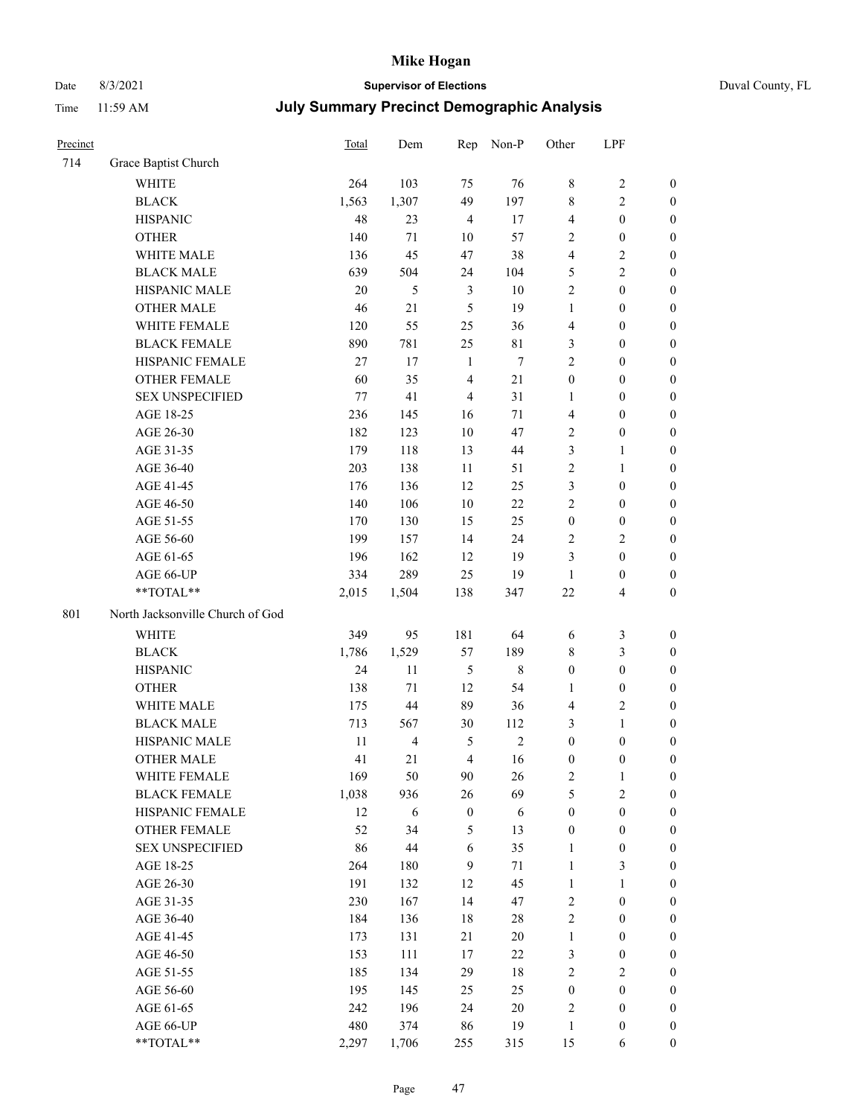# Date 8/3/2021 **Supervisor of Elections** Duval County, FL

| Precinct |                                  | <b>Total</b> | Dem            | Rep              | Non-P       | Other            | LPF                     |                  |
|----------|----------------------------------|--------------|----------------|------------------|-------------|------------------|-------------------------|------------------|
| 714      | Grace Baptist Church             |              |                |                  |             |                  |                         |                  |
|          | <b>WHITE</b>                     | 264          | 103            | 75               | 76          | 8                | $\sqrt{2}$              | 0                |
|          | <b>BLACK</b>                     | 1,563        | 1,307          | 49               | 197         | 8                | $\mathbf{2}$            | $\boldsymbol{0}$ |
|          | <b>HISPANIC</b>                  | 48           | 23             | $\overline{4}$   | 17          | $\overline{4}$   | $\boldsymbol{0}$        | $\boldsymbol{0}$ |
|          | <b>OTHER</b>                     | 140          | 71             | 10               | 57          | 2                | $\boldsymbol{0}$        | $\boldsymbol{0}$ |
|          | WHITE MALE                       | 136          | 45             | 47               | 38          | 4                | $\sqrt{2}$              | $\boldsymbol{0}$ |
|          | <b>BLACK MALE</b>                | 639          | 504            | 24               | 104         | 5                | $\sqrt{2}$              | $\boldsymbol{0}$ |
|          | HISPANIC MALE                    | 20           | 5              | $\mathfrak{Z}$   | $10\,$      | 2                | $\boldsymbol{0}$        | $\boldsymbol{0}$ |
|          | <b>OTHER MALE</b>                | 46           | 21             | 5                | 19          | $\mathbf{1}$     | $\boldsymbol{0}$        | $\boldsymbol{0}$ |
|          | WHITE FEMALE                     | 120          | 55             | 25               | 36          | 4                | $\boldsymbol{0}$        | $\boldsymbol{0}$ |
|          | <b>BLACK FEMALE</b>              | 890          | 781            | 25               | $8\sqrt{1}$ | 3                | $\boldsymbol{0}$        | $\boldsymbol{0}$ |
|          | HISPANIC FEMALE                  | 27           | 17             | $\mathbf{1}$     | $\tau$      | $\overline{c}$   | $\boldsymbol{0}$        | 0                |
|          | OTHER FEMALE                     | 60           | 35             | $\overline{4}$   | 21          | $\boldsymbol{0}$ | $\boldsymbol{0}$        | $\boldsymbol{0}$ |
|          | <b>SEX UNSPECIFIED</b>           | 77           | 41             | $\overline{4}$   | 31          | $\mathbf{1}$     | $\boldsymbol{0}$        | $\boldsymbol{0}$ |
|          | AGE 18-25                        | 236          | 145            | 16               | 71          | 4                | $\boldsymbol{0}$        | $\boldsymbol{0}$ |
|          | AGE 26-30                        | 182          | 123            | 10               | 47          | $\sqrt{2}$       | $\boldsymbol{0}$        | $\boldsymbol{0}$ |
|          | AGE 31-35                        | 179          | 118            | 13               | 44          | 3                | $\mathbf{1}$            | $\boldsymbol{0}$ |
|          | AGE 36-40                        | 203          | 138            | 11               | 51          | $\overline{c}$   | $\mathbf{1}$            | $\boldsymbol{0}$ |
|          | AGE 41-45                        | 176          | 136            | 12               | 25          | 3                | $\boldsymbol{0}$        | $\boldsymbol{0}$ |
|          | AGE 46-50                        | 140          | 106            | $10\,$           | $22\,$      | $\overline{c}$   | $\boldsymbol{0}$        | $\boldsymbol{0}$ |
|          | AGE 51-55                        | 170          | 130            | 15               | 25          | $\boldsymbol{0}$ | $\boldsymbol{0}$        | $\boldsymbol{0}$ |
|          | AGE 56-60                        | 199          | 157            | 14               | 24          | $\sqrt{2}$       | $\sqrt{2}$              | 0                |
|          | AGE 61-65                        | 196          | 162            | 12               | 19          | 3                | $\boldsymbol{0}$        | 0                |
|          | AGE 66-UP                        | 334          | 289            | 25               | 19          | $\mathbf{1}$     | $\boldsymbol{0}$        | $\boldsymbol{0}$ |
|          | **TOTAL**                        | 2,015        | 1,504          | 138              | 347         | $22\,$           | $\overline{\mathbf{4}}$ | $\boldsymbol{0}$ |
| 801      | North Jacksonville Church of God |              |                |                  |             |                  |                         |                  |
|          |                                  |              |                |                  |             |                  |                         |                  |
|          | <b>WHITE</b>                     | 349          | 95             | 181              | 64          | 6                | $\mathfrak{Z}$          | $\boldsymbol{0}$ |
|          | <b>BLACK</b>                     | 1,786        | 1,529          | 57               | 189         | 8                | $\mathfrak{Z}$          | $\boldsymbol{0}$ |
|          | <b>HISPANIC</b>                  | 24           | 11             | 5                | $\,8\,$     | $\boldsymbol{0}$ | $\boldsymbol{0}$        | $\boldsymbol{0}$ |
|          | <b>OTHER</b>                     | 138          | 71             | 12               | 54          | 1                | $\boldsymbol{0}$        | $\boldsymbol{0}$ |
|          | WHITE MALE                       | 175          | 44             | 89               | 36          | $\overline{4}$   | $\overline{2}$          | $\boldsymbol{0}$ |
|          | <b>BLACK MALE</b>                | 713          | 567            | 30               | 112         | 3                | $\mathbf{1}$            | $\boldsymbol{0}$ |
|          | HISPANIC MALE                    | 11           | $\overline{4}$ | 5                | $\sqrt{2}$  | $\boldsymbol{0}$ | $\boldsymbol{0}$        | 0                |
|          | OTHER MALE                       | 41           | 21             | $\overline{4}$   | 16          | $\boldsymbol{0}$ | $\boldsymbol{0}$        | $\boldsymbol{0}$ |
|          | WHITE FEMALE                     | 169          | 50             | 90               | 26          | 2                | 1                       | 0                |
|          | <b>BLACK FEMALE</b>              | 1,038        | 936            | 26               | 69          | 5                | $\sqrt{2}$              | $\boldsymbol{0}$ |
|          | HISPANIC FEMALE                  | 12           | 6              | $\boldsymbol{0}$ | 6           | $\boldsymbol{0}$ | $\boldsymbol{0}$        | $\overline{0}$   |
|          | OTHER FEMALE                     | 52           | 34             | 5                | 13          | $\boldsymbol{0}$ | $\boldsymbol{0}$        | $\overline{0}$   |
|          | <b>SEX UNSPECIFIED</b>           | 86           | 44             | 6                | 35          | $\mathbf{1}$     | $\boldsymbol{0}$        | 0                |
|          | AGE 18-25                        | 264          | 180            | 9                | 71          | $\mathbf{1}$     | $\mathfrak{Z}$          | $\theta$         |
|          | AGE 26-30                        | 191          | 132            | 12               | 45          | $\mathbf{1}$     | $\mathbf{1}$            | 0                |
|          | AGE 31-35                        | 230          | 167            | 14               | 47          | $\overline{c}$   | $\boldsymbol{0}$        | 0                |
|          | AGE 36-40                        | 184          | 136            | 18               | $28\,$      | 2                | $\boldsymbol{0}$        | 0                |
|          | AGE 41-45                        | 173          | 131            | 21               | $20\,$      | $\mathbf{1}$     | $\boldsymbol{0}$        | 0                |
|          | AGE 46-50                        | 153          | 111            | 17               | 22          | 3                | $\boldsymbol{0}$        | 0                |
|          | AGE 51-55                        | 185          | 134            | 29               | 18          | 2                | $\sqrt{2}$              | 0                |
|          | AGE 56-60                        | 195          | 145            | 25               | 25          | $\boldsymbol{0}$ | $\boldsymbol{0}$        | $\overline{0}$   |
|          | AGE 61-65                        | 242          | 196            | 24               | $20\,$      | 2                | $\boldsymbol{0}$        | $\overline{0}$   |
|          | AGE 66-UP                        | 480          | 374            | 86               | 19          | $\mathbf{1}$     | $\boldsymbol{0}$        | 0                |
|          | **TOTAL**                        | 2,297        | 1,706          | 255              | 315         | 15               | 6                       | $\boldsymbol{0}$ |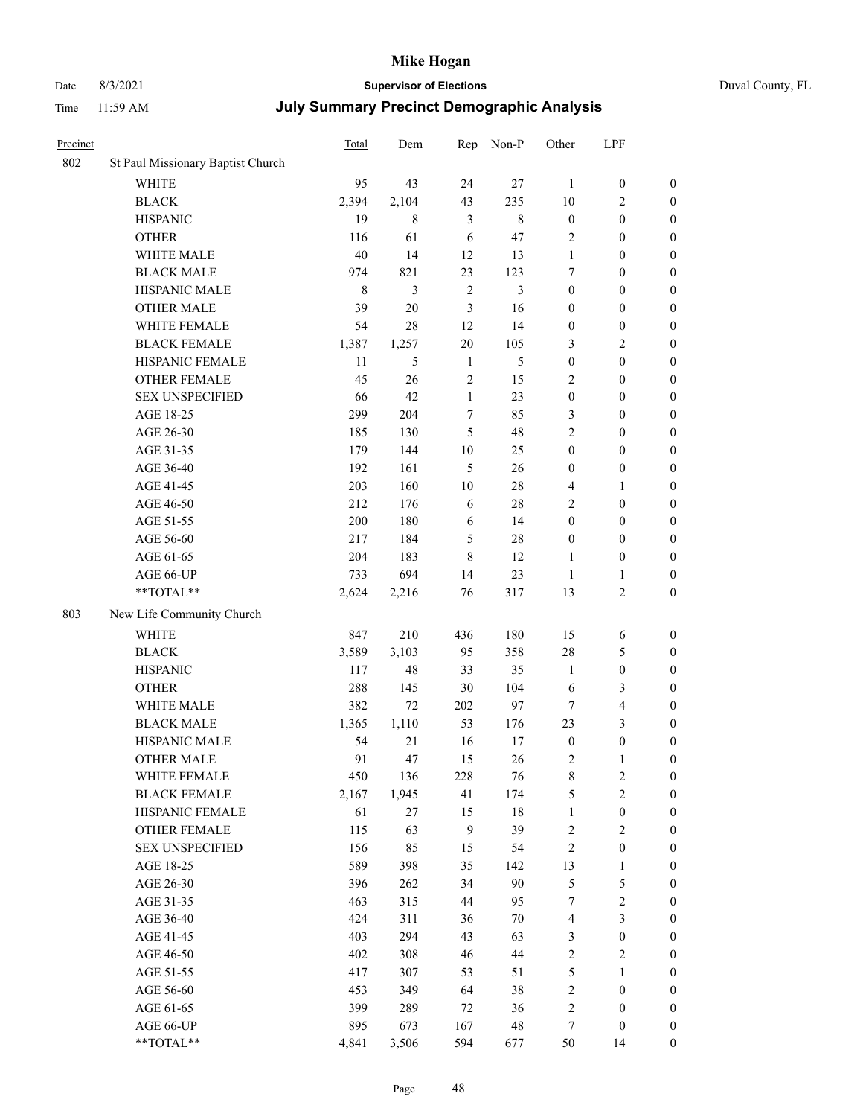## Date 8/3/2021 **Supervisor of Elections** Duval County, FL

|                                   | Total                                                                                                                                                                                                                                                                                                                                                                                                                                                                                                                                                                                                 | Dem                                                                                                                                                                                                                                      | Rep                                                                                                                                                                                                                                            | Non-P                                                                                                                                                                                                                      | Other                                                                                                                                                                                    | LPF                                                                                                                                                                                                                                         |                                                                                                                                                                                                                                                                                                                                                                                                                                                                    |
|-----------------------------------|-------------------------------------------------------------------------------------------------------------------------------------------------------------------------------------------------------------------------------------------------------------------------------------------------------------------------------------------------------------------------------------------------------------------------------------------------------------------------------------------------------------------------------------------------------------------------------------------------------|------------------------------------------------------------------------------------------------------------------------------------------------------------------------------------------------------------------------------------------|------------------------------------------------------------------------------------------------------------------------------------------------------------------------------------------------------------------------------------------------|----------------------------------------------------------------------------------------------------------------------------------------------------------------------------------------------------------------------------|------------------------------------------------------------------------------------------------------------------------------------------------------------------------------------------|---------------------------------------------------------------------------------------------------------------------------------------------------------------------------------------------------------------------------------------------|--------------------------------------------------------------------------------------------------------------------------------------------------------------------------------------------------------------------------------------------------------------------------------------------------------------------------------------------------------------------------------------------------------------------------------------------------------------------|
| St Paul Missionary Baptist Church |                                                                                                                                                                                                                                                                                                                                                                                                                                                                                                                                                                                                       |                                                                                                                                                                                                                                          |                                                                                                                                                                                                                                                |                                                                                                                                                                                                                            |                                                                                                                                                                                          |                                                                                                                                                                                                                                             |                                                                                                                                                                                                                                                                                                                                                                                                                                                                    |
|                                   | 95                                                                                                                                                                                                                                                                                                                                                                                                                                                                                                                                                                                                    | 43                                                                                                                                                                                                                                       | 24                                                                                                                                                                                                                                             |                                                                                                                                                                                                                            | $\mathbf{1}$                                                                                                                                                                             |                                                                                                                                                                                                                                             | $\boldsymbol{0}$                                                                                                                                                                                                                                                                                                                                                                                                                                                   |
| <b>BLACK</b>                      | 2,394                                                                                                                                                                                                                                                                                                                                                                                                                                                                                                                                                                                                 | 2,104                                                                                                                                                                                                                                    | 43                                                                                                                                                                                                                                             | 235                                                                                                                                                                                                                        | 10                                                                                                                                                                                       | $\sqrt{2}$                                                                                                                                                                                                                                  | $\boldsymbol{0}$                                                                                                                                                                                                                                                                                                                                                                                                                                                   |
| <b>HISPANIC</b>                   | 19                                                                                                                                                                                                                                                                                                                                                                                                                                                                                                                                                                                                    | $\,$ 8 $\,$                                                                                                                                                                                                                              | 3                                                                                                                                                                                                                                              | $\,8\,$                                                                                                                                                                                                                    | $\boldsymbol{0}$                                                                                                                                                                         | $\boldsymbol{0}$                                                                                                                                                                                                                            | $\boldsymbol{0}$                                                                                                                                                                                                                                                                                                                                                                                                                                                   |
| <b>OTHER</b>                      | 116                                                                                                                                                                                                                                                                                                                                                                                                                                                                                                                                                                                                   | 61                                                                                                                                                                                                                                       | 6                                                                                                                                                                                                                                              | 47                                                                                                                                                                                                                         | 2                                                                                                                                                                                        | $\boldsymbol{0}$                                                                                                                                                                                                                            | $\boldsymbol{0}$                                                                                                                                                                                                                                                                                                                                                                                                                                                   |
| WHITE MALE                        | 40                                                                                                                                                                                                                                                                                                                                                                                                                                                                                                                                                                                                    | 14                                                                                                                                                                                                                                       | 12                                                                                                                                                                                                                                             | 13                                                                                                                                                                                                                         | $\mathbf{1}$                                                                                                                                                                             | $\boldsymbol{0}$                                                                                                                                                                                                                            | $\boldsymbol{0}$                                                                                                                                                                                                                                                                                                                                                                                                                                                   |
|                                   |                                                                                                                                                                                                                                                                                                                                                                                                                                                                                                                                                                                                       |                                                                                                                                                                                                                                          |                                                                                                                                                                                                                                                |                                                                                                                                                                                                                            | 7                                                                                                                                                                                        |                                                                                                                                                                                                                                             | $\boldsymbol{0}$                                                                                                                                                                                                                                                                                                                                                                                                                                                   |
|                                   | $\,$ 8 $\,$                                                                                                                                                                                                                                                                                                                                                                                                                                                                                                                                                                                           | 3                                                                                                                                                                                                                                        |                                                                                                                                                                                                                                                | 3                                                                                                                                                                                                                          | $\boldsymbol{0}$                                                                                                                                                                         |                                                                                                                                                                                                                                             | $\boldsymbol{0}$                                                                                                                                                                                                                                                                                                                                                                                                                                                   |
|                                   |                                                                                                                                                                                                                                                                                                                                                                                                                                                                                                                                                                                                       |                                                                                                                                                                                                                                          |                                                                                                                                                                                                                                                |                                                                                                                                                                                                                            | $\boldsymbol{0}$                                                                                                                                                                         | $\boldsymbol{0}$                                                                                                                                                                                                                            | 0                                                                                                                                                                                                                                                                                                                                                                                                                                                                  |
|                                   | 54                                                                                                                                                                                                                                                                                                                                                                                                                                                                                                                                                                                                    |                                                                                                                                                                                                                                          | 12                                                                                                                                                                                                                                             | 14                                                                                                                                                                                                                         | $\boldsymbol{0}$                                                                                                                                                                         | $\boldsymbol{0}$                                                                                                                                                                                                                            | 0                                                                                                                                                                                                                                                                                                                                                                                                                                                                  |
| <b>BLACK FEMALE</b>               |                                                                                                                                                                                                                                                                                                                                                                                                                                                                                                                                                                                                       |                                                                                                                                                                                                                                          |                                                                                                                                                                                                                                                |                                                                                                                                                                                                                            | 3                                                                                                                                                                                        |                                                                                                                                                                                                                                             | $\boldsymbol{0}$                                                                                                                                                                                                                                                                                                                                                                                                                                                   |
|                                   |                                                                                                                                                                                                                                                                                                                                                                                                                                                                                                                                                                                                       | 5                                                                                                                                                                                                                                        | $\mathbf{1}$                                                                                                                                                                                                                                   | 5                                                                                                                                                                                                                          |                                                                                                                                                                                          | $\boldsymbol{0}$                                                                                                                                                                                                                            | $\boldsymbol{0}$                                                                                                                                                                                                                                                                                                                                                                                                                                                   |
|                                   | 45                                                                                                                                                                                                                                                                                                                                                                                                                                                                                                                                                                                                    |                                                                                                                                                                                                                                          |                                                                                                                                                                                                                                                |                                                                                                                                                                                                                            | 2                                                                                                                                                                                        | $\boldsymbol{0}$                                                                                                                                                                                                                            | $\boldsymbol{0}$                                                                                                                                                                                                                                                                                                                                                                                                                                                   |
| <b>SEX UNSPECIFIED</b>            | 66                                                                                                                                                                                                                                                                                                                                                                                                                                                                                                                                                                                                    | 42                                                                                                                                                                                                                                       | $\mathbf{1}$                                                                                                                                                                                                                                   | 23                                                                                                                                                                                                                         |                                                                                                                                                                                          | $\boldsymbol{0}$                                                                                                                                                                                                                            | $\boldsymbol{0}$                                                                                                                                                                                                                                                                                                                                                                                                                                                   |
| AGE 18-25                         | 299                                                                                                                                                                                                                                                                                                                                                                                                                                                                                                                                                                                                   | 204                                                                                                                                                                                                                                      | 7                                                                                                                                                                                                                                              | 85                                                                                                                                                                                                                         | 3                                                                                                                                                                                        | $\boldsymbol{0}$                                                                                                                                                                                                                            | $\boldsymbol{0}$                                                                                                                                                                                                                                                                                                                                                                                                                                                   |
| AGE 26-30                         | 185                                                                                                                                                                                                                                                                                                                                                                                                                                                                                                                                                                                                   | 130                                                                                                                                                                                                                                      | 5                                                                                                                                                                                                                                              | 48                                                                                                                                                                                                                         | 2                                                                                                                                                                                        | $\boldsymbol{0}$                                                                                                                                                                                                                            | $\boldsymbol{0}$                                                                                                                                                                                                                                                                                                                                                                                                                                                   |
|                                   |                                                                                                                                                                                                                                                                                                                                                                                                                                                                                                                                                                                                       |                                                                                                                                                                                                                                          |                                                                                                                                                                                                                                                | 25                                                                                                                                                                                                                         | $\boldsymbol{0}$                                                                                                                                                                         |                                                                                                                                                                                                                                             | $\boldsymbol{0}$                                                                                                                                                                                                                                                                                                                                                                                                                                                   |
| AGE 36-40                         |                                                                                                                                                                                                                                                                                                                                                                                                                                                                                                                                                                                                       |                                                                                                                                                                                                                                          | $\mathfrak{H}$                                                                                                                                                                                                                                 |                                                                                                                                                                                                                            |                                                                                                                                                                                          |                                                                                                                                                                                                                                             | $\boldsymbol{0}$                                                                                                                                                                                                                                                                                                                                                                                                                                                   |
|                                   |                                                                                                                                                                                                                                                                                                                                                                                                                                                                                                                                                                                                       |                                                                                                                                                                                                                                          | 10                                                                                                                                                                                                                                             | 28                                                                                                                                                                                                                         | $\overline{4}$                                                                                                                                                                           | 1                                                                                                                                                                                                                                           | 0                                                                                                                                                                                                                                                                                                                                                                                                                                                                  |
|                                   |                                                                                                                                                                                                                                                                                                                                                                                                                                                                                                                                                                                                       |                                                                                                                                                                                                                                          | 6                                                                                                                                                                                                                                              | 28                                                                                                                                                                                                                         | 2                                                                                                                                                                                        | $\boldsymbol{0}$                                                                                                                                                                                                                            | 0                                                                                                                                                                                                                                                                                                                                                                                                                                                                  |
|                                   |                                                                                                                                                                                                                                                                                                                                                                                                                                                                                                                                                                                                       |                                                                                                                                                                                                                                          |                                                                                                                                                                                                                                                | 14                                                                                                                                                                                                                         |                                                                                                                                                                                          | $\boldsymbol{0}$                                                                                                                                                                                                                            | $\boldsymbol{0}$                                                                                                                                                                                                                                                                                                                                                                                                                                                   |
|                                   |                                                                                                                                                                                                                                                                                                                                                                                                                                                                                                                                                                                                       |                                                                                                                                                                                                                                          | 5                                                                                                                                                                                                                                              |                                                                                                                                                                                                                            | $\boldsymbol{0}$                                                                                                                                                                         | $\boldsymbol{0}$                                                                                                                                                                                                                            | $\boldsymbol{0}$                                                                                                                                                                                                                                                                                                                                                                                                                                                   |
|                                   |                                                                                                                                                                                                                                                                                                                                                                                                                                                                                                                                                                                                       |                                                                                                                                                                                                                                          | $\,8\,$                                                                                                                                                                                                                                        | 12                                                                                                                                                                                                                         | 1                                                                                                                                                                                        |                                                                                                                                                                                                                                             | $\boldsymbol{0}$                                                                                                                                                                                                                                                                                                                                                                                                                                                   |
|                                   |                                                                                                                                                                                                                                                                                                                                                                                                                                                                                                                                                                                                       |                                                                                                                                                                                                                                          | 14                                                                                                                                                                                                                                             |                                                                                                                                                                                                                            | $\mathbf{1}$                                                                                                                                                                             | $\mathbf{1}$                                                                                                                                                                                                                                | $\boldsymbol{0}$                                                                                                                                                                                                                                                                                                                                                                                                                                                   |
|                                   |                                                                                                                                                                                                                                                                                                                                                                                                                                                                                                                                                                                                       |                                                                                                                                                                                                                                          |                                                                                                                                                                                                                                                | 317                                                                                                                                                                                                                        | 13                                                                                                                                                                                       | $\sqrt{2}$                                                                                                                                                                                                                                  | $\boldsymbol{0}$                                                                                                                                                                                                                                                                                                                                                                                                                                                   |
|                                   |                                                                                                                                                                                                                                                                                                                                                                                                                                                                                                                                                                                                       |                                                                                                                                                                                                                                          |                                                                                                                                                                                                                                                |                                                                                                                                                                                                                            |                                                                                                                                                                                          |                                                                                                                                                                                                                                             |                                                                                                                                                                                                                                                                                                                                                                                                                                                                    |
|                                   |                                                                                                                                                                                                                                                                                                                                                                                                                                                                                                                                                                                                       |                                                                                                                                                                                                                                          |                                                                                                                                                                                                                                                |                                                                                                                                                                                                                            |                                                                                                                                                                                          |                                                                                                                                                                                                                                             | $\boldsymbol{0}$                                                                                                                                                                                                                                                                                                                                                                                                                                                   |
|                                   |                                                                                                                                                                                                                                                                                                                                                                                                                                                                                                                                                                                                       |                                                                                                                                                                                                                                          |                                                                                                                                                                                                                                                |                                                                                                                                                                                                                            |                                                                                                                                                                                          |                                                                                                                                                                                                                                             | $\boldsymbol{0}$                                                                                                                                                                                                                                                                                                                                                                                                                                                   |
|                                   |                                                                                                                                                                                                                                                                                                                                                                                                                                                                                                                                                                                                       |                                                                                                                                                                                                                                          |                                                                                                                                                                                                                                                |                                                                                                                                                                                                                            |                                                                                                                                                                                          |                                                                                                                                                                                                                                             | $\boldsymbol{0}$                                                                                                                                                                                                                                                                                                                                                                                                                                                   |
|                                   |                                                                                                                                                                                                                                                                                                                                                                                                                                                                                                                                                                                                       |                                                                                                                                                                                                                                          |                                                                                                                                                                                                                                                |                                                                                                                                                                                                                            |                                                                                                                                                                                          |                                                                                                                                                                                                                                             | $\boldsymbol{0}$                                                                                                                                                                                                                                                                                                                                                                                                                                                   |
|                                   |                                                                                                                                                                                                                                                                                                                                                                                                                                                                                                                                                                                                       |                                                                                                                                                                                                                                          |                                                                                                                                                                                                                                                |                                                                                                                                                                                                                            |                                                                                                                                                                                          |                                                                                                                                                                                                                                             | 0                                                                                                                                                                                                                                                                                                                                                                                                                                                                  |
|                                   |                                                                                                                                                                                                                                                                                                                                                                                                                                                                                                                                                                                                       |                                                                                                                                                                                                                                          |                                                                                                                                                                                                                                                |                                                                                                                                                                                                                            |                                                                                                                                                                                          |                                                                                                                                                                                                                                             | 0                                                                                                                                                                                                                                                                                                                                                                                                                                                                  |
|                                   |                                                                                                                                                                                                                                                                                                                                                                                                                                                                                                                                                                                                       |                                                                                                                                                                                                                                          |                                                                                                                                                                                                                                                |                                                                                                                                                                                                                            |                                                                                                                                                                                          |                                                                                                                                                                                                                                             | $\boldsymbol{0}$                                                                                                                                                                                                                                                                                                                                                                                                                                                   |
|                                   |                                                                                                                                                                                                                                                                                                                                                                                                                                                                                                                                                                                                       |                                                                                                                                                                                                                                          |                                                                                                                                                                                                                                                |                                                                                                                                                                                                                            |                                                                                                                                                                                          |                                                                                                                                                                                                                                             | $\boldsymbol{0}$                                                                                                                                                                                                                                                                                                                                                                                                                                                   |
|                                   |                                                                                                                                                                                                                                                                                                                                                                                                                                                                                                                                                                                                       |                                                                                                                                                                                                                                          |                                                                                                                                                                                                                                                |                                                                                                                                                                                                                            |                                                                                                                                                                                          |                                                                                                                                                                                                                                             | $\boldsymbol{0}$                                                                                                                                                                                                                                                                                                                                                                                                                                                   |
|                                   |                                                                                                                                                                                                                                                                                                                                                                                                                                                                                                                                                                                                       |                                                                                                                                                                                                                                          |                                                                                                                                                                                                                                                |                                                                                                                                                                                                                            |                                                                                                                                                                                          |                                                                                                                                                                                                                                             | $\boldsymbol{0}$                                                                                                                                                                                                                                                                                                                                                                                                                                                   |
|                                   |                                                                                                                                                                                                                                                                                                                                                                                                                                                                                                                                                                                                       |                                                                                                                                                                                                                                          |                                                                                                                                                                                                                                                |                                                                                                                                                                                                                            |                                                                                                                                                                                          |                                                                                                                                                                                                                                             | $\overline{0}$                                                                                                                                                                                                                                                                                                                                                                                                                                                     |
|                                   |                                                                                                                                                                                                                                                                                                                                                                                                                                                                                                                                                                                                       |                                                                                                                                                                                                                                          |                                                                                                                                                                                                                                                |                                                                                                                                                                                                                            |                                                                                                                                                                                          |                                                                                                                                                                                                                                             | $\theta$                                                                                                                                                                                                                                                                                                                                                                                                                                                           |
|                                   |                                                                                                                                                                                                                                                                                                                                                                                                                                                                                                                                                                                                       |                                                                                                                                                                                                                                          |                                                                                                                                                                                                                                                |                                                                                                                                                                                                                            |                                                                                                                                                                                          |                                                                                                                                                                                                                                             | $\overline{0}$                                                                                                                                                                                                                                                                                                                                                                                                                                                     |
|                                   |                                                                                                                                                                                                                                                                                                                                                                                                                                                                                                                                                                                                       |                                                                                                                                                                                                                                          |                                                                                                                                                                                                                                                |                                                                                                                                                                                                                            |                                                                                                                                                                                          |                                                                                                                                                                                                                                             | 0                                                                                                                                                                                                                                                                                                                                                                                                                                                                  |
|                                   |                                                                                                                                                                                                                                                                                                                                                                                                                                                                                                                                                                                                       |                                                                                                                                                                                                                                          |                                                                                                                                                                                                                                                |                                                                                                                                                                                                                            |                                                                                                                                                                                          |                                                                                                                                                                                                                                             | 0                                                                                                                                                                                                                                                                                                                                                                                                                                                                  |
|                                   |                                                                                                                                                                                                                                                                                                                                                                                                                                                                                                                                                                                                       |                                                                                                                                                                                                                                          |                                                                                                                                                                                                                                                |                                                                                                                                                                                                                            |                                                                                                                                                                                          |                                                                                                                                                                                                                                             | 0                                                                                                                                                                                                                                                                                                                                                                                                                                                                  |
|                                   |                                                                                                                                                                                                                                                                                                                                                                                                                                                                                                                                                                                                       |                                                                                                                                                                                                                                          |                                                                                                                                                                                                                                                |                                                                                                                                                                                                                            |                                                                                                                                                                                          |                                                                                                                                                                                                                                             | $\boldsymbol{0}$                                                                                                                                                                                                                                                                                                                                                                                                                                                   |
|                                   |                                                                                                                                                                                                                                                                                                                                                                                                                                                                                                                                                                                                       |                                                                                                                                                                                                                                          |                                                                                                                                                                                                                                                |                                                                                                                                                                                                                            |                                                                                                                                                                                          |                                                                                                                                                                                                                                             | $\boldsymbol{0}$                                                                                                                                                                                                                                                                                                                                                                                                                                                   |
|                                   |                                                                                                                                                                                                                                                                                                                                                                                                                                                                                                                                                                                                       |                                                                                                                                                                                                                                          |                                                                                                                                                                                                                                                |                                                                                                                                                                                                                            |                                                                                                                                                                                          |                                                                                                                                                                                                                                             | $\boldsymbol{0}$                                                                                                                                                                                                                                                                                                                                                                                                                                                   |
|                                   |                                                                                                                                                                                                                                                                                                                                                                                                                                                                                                                                                                                                       |                                                                                                                                                                                                                                          |                                                                                                                                                                                                                                                |                                                                                                                                                                                                                            |                                                                                                                                                                                          | $\mathbf{1}$                                                                                                                                                                                                                                | $\boldsymbol{0}$                                                                                                                                                                                                                                                                                                                                                                                                                                                   |
| AGE 56-60                         | 453                                                                                                                                                                                                                                                                                                                                                                                                                                                                                                                                                                                                   | 349                                                                                                                                                                                                                                      | 64                                                                                                                                                                                                                                             | 38                                                                                                                                                                                                                         | $\overline{c}$                                                                                                                                                                           | $\boldsymbol{0}$                                                                                                                                                                                                                            | $\overline{0}$                                                                                                                                                                                                                                                                                                                                                                                                                                                     |
| AGE 61-65                         | 399                                                                                                                                                                                                                                                                                                                                                                                                                                                                                                                                                                                                   | 289                                                                                                                                                                                                                                      | 72                                                                                                                                                                                                                                             | 36                                                                                                                                                                                                                         | 2                                                                                                                                                                                        | $\boldsymbol{0}$                                                                                                                                                                                                                            | $\overline{0}$                                                                                                                                                                                                                                                                                                                                                                                                                                                     |
| AGE 66-UP                         | 895                                                                                                                                                                                                                                                                                                                                                                                                                                                                                                                                                                                                   | 673                                                                                                                                                                                                                                      | 167                                                                                                                                                                                                                                            | 48                                                                                                                                                                                                                         | 7                                                                                                                                                                                        | $\boldsymbol{0}$                                                                                                                                                                                                                            | $\overline{0}$                                                                                                                                                                                                                                                                                                                                                                                                                                                     |
| **TOTAL**                         | 4,841                                                                                                                                                                                                                                                                                                                                                                                                                                                                                                                                                                                                 | 3,506                                                                                                                                                                                                                                    | 594                                                                                                                                                                                                                                            | 677                                                                                                                                                                                                                        | 50                                                                                                                                                                                       | 14                                                                                                                                                                                                                                          | $\boldsymbol{0}$                                                                                                                                                                                                                                                                                                                                                                                                                                                   |
|                                   | <b>WHITE</b><br><b>BLACK MALE</b><br>HISPANIC MALE<br><b>OTHER MALE</b><br>WHITE FEMALE<br>HISPANIC FEMALE<br>OTHER FEMALE<br>AGE 31-35<br>AGE 41-45<br>AGE 46-50<br>AGE 51-55<br>AGE 56-60<br>AGE 61-65<br>AGE 66-UP<br>$**TOTAL**$<br>New Life Community Church<br>WHITE<br><b>BLACK</b><br><b>HISPANIC</b><br><b>OTHER</b><br>WHITE MALE<br><b>BLACK MALE</b><br>HISPANIC MALE<br>OTHER MALE<br>WHITE FEMALE<br><b>BLACK FEMALE</b><br>HISPANIC FEMALE<br><b>OTHER FEMALE</b><br><b>SEX UNSPECIFIED</b><br>AGE 18-25<br>AGE 26-30<br>AGE 31-35<br>AGE 36-40<br>AGE 41-45<br>AGE 46-50<br>AGE 51-55 | 974<br>39<br>1,387<br>11<br>179<br>192<br>203<br>212<br>200<br>217<br>204<br>733<br>2,624<br>847<br>3,589<br>117<br>288<br>382<br>1,365<br>54<br>91<br>450<br>2,167<br>61<br>115<br>156<br>589<br>396<br>463<br>424<br>403<br>402<br>417 | 821<br>20<br>$28\,$<br>1,257<br>26<br>144<br>161<br>160<br>176<br>180<br>184<br>183<br>694<br>2,216<br>210<br>3,103<br>48<br>145<br>72<br>1,110<br>21<br>47<br>136<br>1,945<br>27<br>63<br>85<br>398<br>262<br>315<br>311<br>294<br>308<br>307 | 23<br>$\sqrt{2}$<br>$\mathfrak{Z}$<br>$20\,$<br>$\sqrt{2}$<br>$10\,$<br>6<br>$76\,$<br>436<br>95<br>33<br>30<br>202<br>53<br>16<br>15<br>228<br>41<br>15<br>$\overline{9}$<br>15<br>35<br>34<br>44<br>36<br>43<br>46<br>53 | $27\,$<br>123<br>16<br>105<br>15<br>26<br>$28\,$<br>23<br>180<br>358<br>35<br>104<br>97<br>176<br>17<br>26<br>76<br>174<br>18<br>39<br>54<br>142<br>90<br>95<br>$70\,$<br>63<br>44<br>51 | $\boldsymbol{0}$<br>$\boldsymbol{0}$<br>$\boldsymbol{0}$<br>$\boldsymbol{0}$<br>15<br>28<br>$\mathbf{1}$<br>6<br>7<br>23<br>$\boldsymbol{0}$<br>2<br>8<br>5<br>$\mathbf{1}$<br>$\sqrt{2}$<br>$\sqrt{2}$<br>13<br>5<br>7<br>4<br>3<br>2<br>5 | $\boldsymbol{0}$<br>$\boldsymbol{0}$<br>$\boldsymbol{0}$<br>$\sqrt{2}$<br>$\boldsymbol{0}$<br>$\boldsymbol{0}$<br>$\boldsymbol{0}$<br>6<br>$\mathfrak{S}$<br>$\boldsymbol{0}$<br>$\mathfrak{Z}$<br>$\overline{4}$<br>$\mathfrak{Z}$<br>$\boldsymbol{0}$<br>$\mathbf{1}$<br>$\sqrt{2}$<br>$\sqrt{2}$<br>$\boldsymbol{0}$<br>$\sqrt{2}$<br>$\boldsymbol{0}$<br>$\mathbf{1}$<br>$\mathfrak s$<br>$\boldsymbol{2}$<br>$\mathfrak{Z}$<br>$\boldsymbol{0}$<br>$\sqrt{2}$ |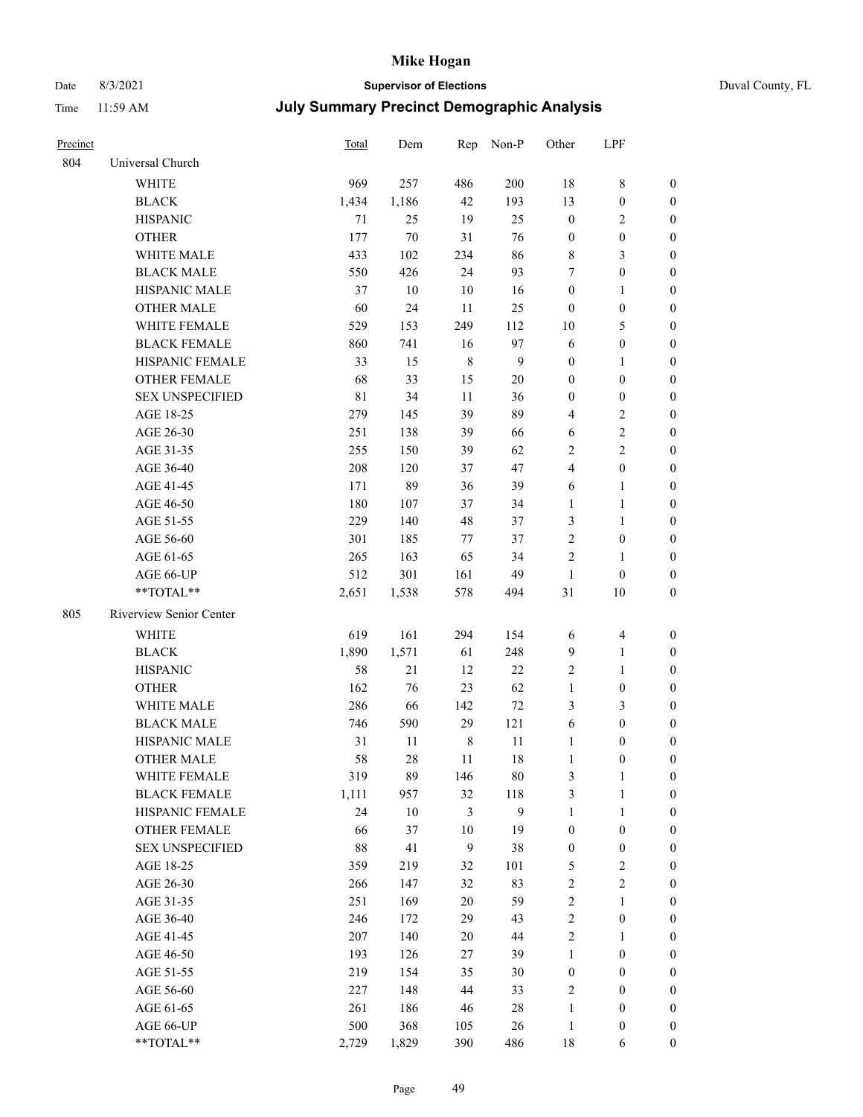## Date 8/3/2021 **Supervisor of Elections** Duval County, FL

| Precinct |                         | Total       | Dem    |                | Rep Non-P      | Other                   | LPF                     |                  |
|----------|-------------------------|-------------|--------|----------------|----------------|-------------------------|-------------------------|------------------|
| 804      | Universal Church        |             |        |                |                |                         |                         |                  |
|          | <b>WHITE</b>            | 969         | 257    | 486            | 200            | 18                      | $8\,$                   | $\boldsymbol{0}$ |
|          | <b>BLACK</b>            | 1,434       | 1,186  | 42             | 193            | 13                      | $\boldsymbol{0}$        | $\boldsymbol{0}$ |
|          | <b>HISPANIC</b>         | 71          | 25     | 19             | 25             | $\boldsymbol{0}$        | $\sqrt{2}$              | $\boldsymbol{0}$ |
|          | <b>OTHER</b>            | 177         | $70\,$ | 31             | 76             | $\boldsymbol{0}$        | $\boldsymbol{0}$        | $\boldsymbol{0}$ |
|          | WHITE MALE              | 433         | 102    | 234            | 86             | 8                       | 3                       | $\boldsymbol{0}$ |
|          | <b>BLACK MALE</b>       | 550         | 426    | 24             | 93             | 7                       | $\boldsymbol{0}$        | $\boldsymbol{0}$ |
|          | HISPANIC MALE           | 37          | 10     | 10             | 16             | $\boldsymbol{0}$        | $\mathbf{1}$            | $\boldsymbol{0}$ |
|          | <b>OTHER MALE</b>       | 60          | 24     | 11             | 25             | $\boldsymbol{0}$        | $\boldsymbol{0}$        | $\boldsymbol{0}$ |
|          | WHITE FEMALE            | 529         | 153    | 249            | 112            | $10\,$                  | $\mathfrak{S}$          | 0                |
|          | <b>BLACK FEMALE</b>     | 860         | 741    | 16             | 97             | 6                       | $\boldsymbol{0}$        | 0                |
|          | HISPANIC FEMALE         | 33          | 15     | $\,$ 8 $\,$    | $\overline{9}$ | $\boldsymbol{0}$        | $\mathbf{1}$            | 0                |
|          | OTHER FEMALE            | 68          | 33     | 15             | $20\,$         | $\boldsymbol{0}$        | $\boldsymbol{0}$        | $\boldsymbol{0}$ |
|          | <b>SEX UNSPECIFIED</b>  | $8\sqrt{1}$ | 34     | $11\,$         | 36             | $\boldsymbol{0}$        | $\boldsymbol{0}$        | $\boldsymbol{0}$ |
|          | AGE 18-25               | 279         | 145    | 39             | 89             | 4                       | $\sqrt{2}$              | $\boldsymbol{0}$ |
|          | AGE 26-30               | 251         | 138    | 39             | 66             | 6                       | $\sqrt{2}$              | $\boldsymbol{0}$ |
|          | AGE 31-35               | 255         | 150    | 39             | 62             | 2                       | $\sqrt{2}$              | $\boldsymbol{0}$ |
|          | AGE 36-40               | 208         | 120    | 37             | 47             | $\overline{\mathbf{4}}$ | $\boldsymbol{0}$        | $\boldsymbol{0}$ |
|          | AGE 41-45               | 171         | 89     | 36             | 39             | 6                       | $\mathbf{1}$            | $\boldsymbol{0}$ |
|          | AGE 46-50               | 180         | 107    | 37             | 34             | $\mathbf{1}$            | $\mathbf{1}$            | 0                |
|          | AGE 51-55               | 229         | 140    | 48             | 37             | 3                       | $\mathbf{1}$            | 0                |
|          | AGE 56-60               | 301         | 185    | 77             | 37             | $\mathfrak{2}$          | $\boldsymbol{0}$        | 0                |
|          | AGE 61-65               | 265         | 163    | 65             | 34             | $\overline{c}$          | $\mathbf{1}$            | 0                |
|          | AGE 66-UP               | 512         | 301    | 161            | 49             | $\mathbf{1}$            | $\boldsymbol{0}$        | $\boldsymbol{0}$ |
|          | **TOTAL**               | 2,651       | 1,538  | 578            | 494            | 31                      | 10                      | $\boldsymbol{0}$ |
| 805      | Riverview Senior Center |             |        |                |                |                         |                         |                  |
|          | WHITE                   | 619         | 161    | 294            | 154            | 6                       | $\overline{\mathbf{4}}$ | $\boldsymbol{0}$ |
|          | $\operatorname{BLACK}$  | 1,890       | 1,571  | 61             | 248            | 9                       | $\mathbf{1}$            | $\boldsymbol{0}$ |
|          | <b>HISPANIC</b>         | 58          | $21\,$ | 12             | $22\,$         | $\sqrt{2}$              | $\mathbf{1}$            | $\boldsymbol{0}$ |
|          | <b>OTHER</b>            | 162         | 76     | 23             | 62             | $\mathbf{1}$            | $\boldsymbol{0}$        | $\boldsymbol{0}$ |
|          | WHITE MALE              | 286         | 66     | 142            | $72\,$         | 3                       | $\mathfrak{Z}$          | $\boldsymbol{0}$ |
|          | <b>BLACK MALE</b>       | 746         | 590    | 29             | 121            | 6                       | $\boldsymbol{0}$        | $\boldsymbol{0}$ |
|          | HISPANIC MALE           | 31          | 11     | $\,$ 8 $\,$    | 11             | $\mathbf{1}$            | $\boldsymbol{0}$        | 0                |
|          | <b>OTHER MALE</b>       | 58          | 28     | 11             | 18             | $\mathbf{1}$            | $\boldsymbol{0}$        | $\boldsymbol{0}$ |
|          | WHITE FEMALE            | 319         | 89     | 146            | 80             | 3                       | $\mathbf{1}$            | $\overline{0}$   |
|          | <b>BLACK FEMALE</b>     | 1,111       | 957    | 32             | 118            | 3                       | $\mathbf{1}$            | $\boldsymbol{0}$ |
|          | HISPANIC FEMALE         | 24          | $10\,$ | $\mathfrak{Z}$ | 9              | $\mathbf{1}$            | $\mathbf{1}$            | $\overline{0}$   |
|          | <b>OTHER FEMALE</b>     | 66          | 37     | 10             | 19             | $\boldsymbol{0}$        | $\boldsymbol{0}$        | 0                |
|          | <b>SEX UNSPECIFIED</b>  | $88\,$      | 41     | $\mathbf{9}$   | 38             | $\boldsymbol{0}$        | $\boldsymbol{0}$        | 0                |
|          | AGE 18-25               | 359         | 219    | 32             | 101            | 5                       | $\sqrt{2}$              | 0                |
|          | AGE 26-30               | 266         | 147    | 32             | 83             | $\overline{c}$          | $\sqrt{2}$              | 0                |
|          | AGE 31-35               | 251         | 169    | 20             | 59             | $\sqrt{2}$              | $\mathbf{1}$            | 0                |
|          | AGE 36-40               | 246         | 172    | 29             | 43             | 2                       | $\boldsymbol{0}$        | 0                |
|          | AGE 41-45               | 207         | 140    | 20             | 44             | $\sqrt{2}$              | $\mathbf{1}$            | 0                |
|          | AGE 46-50               | 193         | 126    | $27\,$         | 39             | $\mathbf{1}$            | $\boldsymbol{0}$        | 0                |
|          | AGE 51-55               | 219         | 154    | 35             | 30             | $\boldsymbol{0}$        | $\boldsymbol{0}$        | $\boldsymbol{0}$ |
|          | AGE 56-60               | 227         | 148    | 44             | 33             | $\sqrt{2}$              | $\boldsymbol{0}$        | $\boldsymbol{0}$ |
|          | AGE 61-65               | 261         | 186    | 46             | 28             | $\mathbf{1}$            | $\boldsymbol{0}$        | 0                |
|          | AGE 66-UP               | 500         | 368    | 105            | $26\,$         | $\mathbf{1}$            | $\boldsymbol{0}$        | 0                |
|          | **TOTAL**               | 2,729       | 1,829  | 390            | 486            | $18\,$                  | 6                       | $\boldsymbol{0}$ |
|          |                         |             |        |                |                |                         |                         |                  |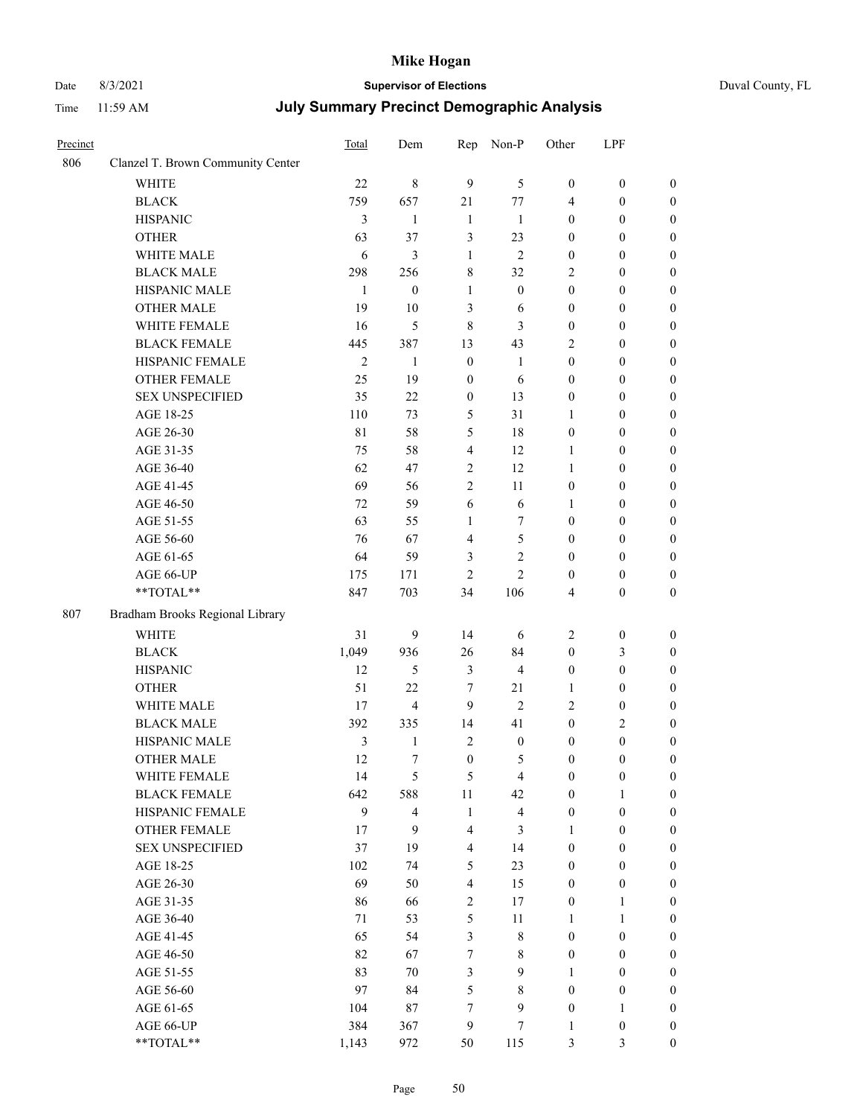# Date 8/3/2021 **Supervisor of Elections** Duval County, FL

| Precinct |                                   | Total          | Dem                     | Rep              | Non-P                   | Other            | LPF              |                  |
|----------|-----------------------------------|----------------|-------------------------|------------------|-------------------------|------------------|------------------|------------------|
| 806      | Clanzel T. Brown Community Center |                |                         |                  |                         |                  |                  |                  |
|          | <b>WHITE</b>                      | 22             | $\,$ 8 $\,$             | 9                | 5                       | $\boldsymbol{0}$ | $\boldsymbol{0}$ | $\boldsymbol{0}$ |
|          | <b>BLACK</b>                      | 759            | 657                     | 21               | 77                      | 4                | $\boldsymbol{0}$ | $\boldsymbol{0}$ |
|          | <b>HISPANIC</b>                   | 3              | 1                       | $\mathbf{1}$     | 1                       | $\boldsymbol{0}$ | $\boldsymbol{0}$ | $\boldsymbol{0}$ |
|          | <b>OTHER</b>                      | 63             | 37                      | 3                | 23                      | $\boldsymbol{0}$ | $\boldsymbol{0}$ | $\boldsymbol{0}$ |
|          | WHITE MALE                        | 6              | 3                       | $\mathbf{1}$     | $\overline{2}$          | $\boldsymbol{0}$ | $\boldsymbol{0}$ | $\boldsymbol{0}$ |
|          | <b>BLACK MALE</b>                 | 298            | 256                     | 8                | 32                      | 2                | $\boldsymbol{0}$ | $\boldsymbol{0}$ |
|          | HISPANIC MALE                     | $\mathbf{1}$   | $\boldsymbol{0}$        | $\mathbf{1}$     | $\boldsymbol{0}$        | $\boldsymbol{0}$ | $\boldsymbol{0}$ | 0                |
|          | <b>OTHER MALE</b>                 | 19             | 10                      | 3                | 6                       | $\boldsymbol{0}$ | $\boldsymbol{0}$ | $\boldsymbol{0}$ |
|          | WHITE FEMALE                      | 16             | 5                       | $\,8\,$          | 3                       | $\boldsymbol{0}$ | $\boldsymbol{0}$ | $\boldsymbol{0}$ |
|          | <b>BLACK FEMALE</b>               | 445            | 387                     | 13               | 43                      | 2                | $\boldsymbol{0}$ | $\boldsymbol{0}$ |
|          | HISPANIC FEMALE                   | $\mathfrak{2}$ | $\mathbf{1}$            | $\boldsymbol{0}$ | $\mathbf{1}$            | $\boldsymbol{0}$ | $\boldsymbol{0}$ | $\boldsymbol{0}$ |
|          | OTHER FEMALE                      | 25             | 19                      | $\boldsymbol{0}$ | 6                       | $\boldsymbol{0}$ | $\boldsymbol{0}$ | $\boldsymbol{0}$ |
|          | <b>SEX UNSPECIFIED</b>            | 35             | 22                      | $\boldsymbol{0}$ | 13                      | $\boldsymbol{0}$ | $\boldsymbol{0}$ | $\boldsymbol{0}$ |
|          | AGE 18-25                         | 110            | 73                      | 5                | 31                      | $\mathbf{1}$     | $\boldsymbol{0}$ | $\boldsymbol{0}$ |
|          | AGE 26-30                         | 81             | 58                      | 5                | 18                      | $\boldsymbol{0}$ | $\boldsymbol{0}$ | $\boldsymbol{0}$ |
|          | AGE 31-35                         | 75             | 58                      | $\overline{4}$   | 12                      | 1                | $\boldsymbol{0}$ | $\boldsymbol{0}$ |
|          | AGE 36-40                         | 62             | 47                      | $\overline{2}$   | 12                      | 1                | $\boldsymbol{0}$ | 0                |
|          | AGE 41-45                         | 69             | 56                      | $\overline{2}$   | 11                      | $\boldsymbol{0}$ | $\boldsymbol{0}$ | $\boldsymbol{0}$ |
|          | AGE 46-50                         | 72             | 59                      | 6                | 6                       | 1                | $\boldsymbol{0}$ | $\boldsymbol{0}$ |
|          | AGE 51-55                         | 63             | 55                      | 1                | $\tau$                  | $\boldsymbol{0}$ | $\boldsymbol{0}$ | $\boldsymbol{0}$ |
|          | AGE 56-60                         | 76             | 67                      | 4                | $\mathfrak{S}$          | $\boldsymbol{0}$ | $\boldsymbol{0}$ | $\boldsymbol{0}$ |
|          | AGE 61-65                         | 64             | 59                      | 3                | $\mathbf{2}$            | $\boldsymbol{0}$ | $\boldsymbol{0}$ | $\boldsymbol{0}$ |
|          | AGE 66-UP                         | 175            | 171                     | $\overline{c}$   | $\overline{c}$          | $\boldsymbol{0}$ | $\boldsymbol{0}$ | $\boldsymbol{0}$ |
|          | **TOTAL**                         | 847            | 703                     | 34               | 106                     | 4                | $\boldsymbol{0}$ | $\boldsymbol{0}$ |
| 807      | Bradham Brooks Regional Library   |                |                         |                  |                         |                  |                  |                  |
|          | <b>WHITE</b>                      | 31             | 9                       | 14               | 6                       | $\overline{2}$   | $\boldsymbol{0}$ | $\boldsymbol{0}$ |
|          | <b>BLACK</b>                      | 1,049          | 936                     | 26               | 84                      | $\boldsymbol{0}$ | $\mathfrak{Z}$   | $\boldsymbol{0}$ |
|          | <b>HISPANIC</b>                   | 12             | 5                       | 3                | $\overline{4}$          | $\boldsymbol{0}$ | $\boldsymbol{0}$ | $\boldsymbol{0}$ |
|          | <b>OTHER</b>                      | 51             | 22                      | $\tau$           | 21                      | 1                | $\boldsymbol{0}$ | 0                |
|          | WHITE MALE                        | 17             | $\overline{4}$          | 9                | $\mathbf{2}$            | 2                | $\boldsymbol{0}$ | 0                |
|          | <b>BLACK MALE</b>                 | 392            | 335                     | 14               | 41                      | $\boldsymbol{0}$ | $\overline{c}$   | $\boldsymbol{0}$ |
|          | HISPANIC MALE                     | 3              | 1                       | $\sqrt{2}$       | $\boldsymbol{0}$        | $\boldsymbol{0}$ | $\boldsymbol{0}$ | $\boldsymbol{0}$ |
|          | <b>OTHER MALE</b>                 | 12             | 7                       | $\boldsymbol{0}$ | 5                       | $\boldsymbol{0}$ | $\boldsymbol{0}$ | $\boldsymbol{0}$ |
|          | WHITE FEMALE                      | 14             | 5                       | $\mathfrak{S}$   | $\overline{4}$          | $\boldsymbol{0}$ | $\boldsymbol{0}$ | $\boldsymbol{0}$ |
|          | <b>BLACK FEMALE</b>               | 642            | 588                     | 11               | 42                      | $\boldsymbol{0}$ | $\mathbf{1}$     | $\overline{0}$   |
|          | HISPANIC FEMALE                   | 9              | $\overline{\mathbf{4}}$ | $\mathbf{1}$     | $\overline{\mathbf{4}}$ | $\boldsymbol{0}$ | $\boldsymbol{0}$ | $\theta$         |
|          | <b>OTHER FEMALE</b>               | 17             | 9                       | $\overline{4}$   | 3                       | $\mathbf{1}$     | $\boldsymbol{0}$ | $\overline{0}$   |
|          | <b>SEX UNSPECIFIED</b>            | 37             | 19                      | $\overline{4}$   | 14                      | $\boldsymbol{0}$ | $\boldsymbol{0}$ | $\overline{0}$   |
|          | AGE 18-25                         | 102            | 74                      | 5                | 23                      | $\boldsymbol{0}$ | $\boldsymbol{0}$ | 0                |
|          | AGE 26-30                         | 69             | 50                      | $\overline{4}$   | 15                      | $\boldsymbol{0}$ | $\boldsymbol{0}$ | $\boldsymbol{0}$ |
|          | AGE 31-35                         | 86             | 66                      | $\sqrt{2}$       | 17                      | $\boldsymbol{0}$ | $\mathbf{1}$     | $\overline{0}$   |
|          | AGE 36-40                         | 71             | 53                      | 5                | $11\,$                  | 1                | $\mathbf{1}$     | $\boldsymbol{0}$ |
|          | AGE 41-45                         | 65             | 54                      | 3                | $8\,$                   | $\boldsymbol{0}$ | $\boldsymbol{0}$ | $\boldsymbol{0}$ |
|          | AGE 46-50                         | 82             | 67                      | 7                | 8                       | $\boldsymbol{0}$ | $\boldsymbol{0}$ | $\overline{0}$   |
|          | AGE 51-55                         | 83             | 70                      | 3                | $\mathbf{9}$            | 1                | $\boldsymbol{0}$ | $\overline{0}$   |
|          | AGE 56-60                         | 97             | 84                      | 5                | $8\,$                   | $\boldsymbol{0}$ | $\boldsymbol{0}$ | $\overline{0}$   |
|          | AGE 61-65                         | 104            | $87\,$                  | 7                | $\mathbf{9}$            | $\boldsymbol{0}$ | $\mathbf{1}$     | $\overline{0}$   |
|          | AGE 66-UP                         | 384            | 367                     | $\boldsymbol{9}$ | $\boldsymbol{7}$        | $\mathbf{1}$     | $\boldsymbol{0}$ | $\boldsymbol{0}$ |
|          | **TOTAL**                         | 1,143          | 972                     | 50               | 115                     | 3                | $\mathfrak{Z}$   | $\boldsymbol{0}$ |
|          |                                   |                |                         |                  |                         |                  |                  |                  |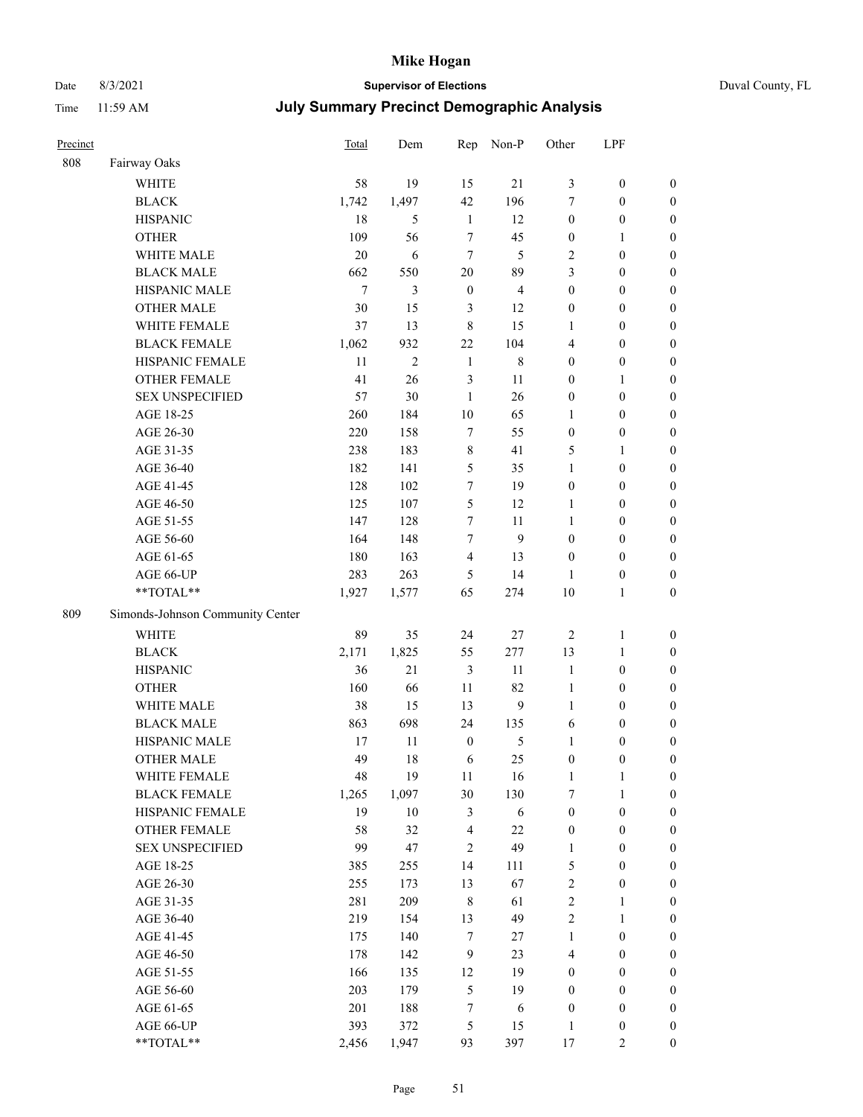## Date 8/3/2021 **Supervisor of Elections** Duval County, FL

| Precinct |                                                             | Total  | Dem            | Rep                     | Non-P          | Other            | LPF              |                  |
|----------|-------------------------------------------------------------|--------|----------------|-------------------------|----------------|------------------|------------------|------------------|
| 808      | Fairway Oaks                                                |        |                |                         |                |                  |                  |                  |
|          | <b>WHITE</b>                                                | 58     | 19             | 15                      | 21             | 3                | $\boldsymbol{0}$ | $\boldsymbol{0}$ |
|          | <b>BLACK</b>                                                | 1,742  | 1,497          | 42                      | 196            | 7                | $\boldsymbol{0}$ | $\boldsymbol{0}$ |
|          | <b>HISPANIC</b>                                             | 18     | 5              | $\mathbf{1}$            | 12             | $\boldsymbol{0}$ | $\boldsymbol{0}$ | $\boldsymbol{0}$ |
|          | <b>OTHER</b>                                                | 109    | 56             | $\tau$                  | 45             | $\boldsymbol{0}$ | 1                | $\boldsymbol{0}$ |
|          | WHITE MALE                                                  | 20     | 6              | $\tau$                  | 5              | $\overline{c}$   | $\boldsymbol{0}$ | $\boldsymbol{0}$ |
|          | <b>BLACK MALE</b>                                           | 662    | 550            | 20                      | 89             | 3                | $\boldsymbol{0}$ | $\boldsymbol{0}$ |
|          | HISPANIC MALE                                               | $\tau$ | 3              | $\boldsymbol{0}$        | $\overline{4}$ | $\boldsymbol{0}$ | $\boldsymbol{0}$ | $\boldsymbol{0}$ |
|          | <b>OTHER MALE</b>                                           | 30     | 15             | 3                       | 12             | $\boldsymbol{0}$ | $\boldsymbol{0}$ | $\boldsymbol{0}$ |
|          | WHITE FEMALE                                                | 37     | 13             | $\,8\,$                 | 15             | 1                | $\boldsymbol{0}$ | $\boldsymbol{0}$ |
|          | <b>BLACK FEMALE</b>                                         | 1,062  | 932            | 22                      | 104            | $\overline{4}$   | $\boldsymbol{0}$ | 0                |
|          | HISPANIC FEMALE                                             | 11     | $\overline{c}$ | $\mathbf{1}$            | $\,$ 8 $\,$    | $\boldsymbol{0}$ | $\boldsymbol{0}$ | $\boldsymbol{0}$ |
|          | OTHER FEMALE                                                | 41     | 26             | $\mathfrak{Z}$          | 11             | $\boldsymbol{0}$ | $\mathbf{1}$     | $\boldsymbol{0}$ |
|          | <b>SEX UNSPECIFIED</b>                                      | 57     | 30             | $\mathbf{1}$            | 26             | $\boldsymbol{0}$ | $\boldsymbol{0}$ | $\boldsymbol{0}$ |
|          | AGE 18-25                                                   | 260    | 184            | $10\,$                  | 65             | $\mathbf{1}$     | $\boldsymbol{0}$ | $\boldsymbol{0}$ |
|          | AGE 26-30                                                   | 220    | 158            | $\tau$                  | 55             | $\boldsymbol{0}$ | $\boldsymbol{0}$ | $\boldsymbol{0}$ |
|          | AGE 31-35                                                   | 238    | 183            | $\,$ 8 $\,$             | 41             | 5                | $\mathbf{1}$     | $\boldsymbol{0}$ |
|          | AGE 36-40                                                   | 182    | 141            | $\mathfrak{S}$          | 35             | $\mathbf{1}$     | $\boldsymbol{0}$ | $\boldsymbol{0}$ |
|          | AGE 41-45                                                   | 128    | 102            | $\tau$                  | 19             | $\boldsymbol{0}$ | $\boldsymbol{0}$ | $\boldsymbol{0}$ |
|          | AGE 46-50                                                   | 125    | 107            | 5                       | 12             | $\mathbf{1}$     | $\boldsymbol{0}$ | $\boldsymbol{0}$ |
|          | AGE 51-55                                                   | 147    | 128            | $\tau$                  | 11             | $\mathbf{1}$     | $\boldsymbol{0}$ | 0                |
|          | AGE 56-60                                                   | 164    | 148            | $\tau$                  | 9              | $\boldsymbol{0}$ | $\boldsymbol{0}$ | $\boldsymbol{0}$ |
|          | AGE 61-65                                                   | 180    | 163            | $\overline{4}$          | 13             | $\boldsymbol{0}$ | $\boldsymbol{0}$ | $\boldsymbol{0}$ |
|          | AGE 66-UP                                                   | 283    | 263            | 5                       | 14             | 1                | $\boldsymbol{0}$ | $\boldsymbol{0}$ |
|          | **TOTAL**                                                   | 1,927  | 1,577          | 65                      | 274            | 10               | $\mathbf{1}$     | $\boldsymbol{0}$ |
| 809      | Simonds-Johnson Community Center                            |        |                |                         |                |                  |                  |                  |
|          | <b>WHITE</b>                                                | 89     | 35             | 24                      | $27\,$         | $\sqrt{2}$       | $\mathbf{1}$     | $\boldsymbol{0}$ |
|          | <b>BLACK</b>                                                | 2,171  | 1,825          | 55                      | 277            | 13               | $\mathbf{1}$     | $\boldsymbol{0}$ |
|          | <b>HISPANIC</b>                                             | 36     | 21             | $\mathfrak{Z}$          | 11             | $\mathbf{1}$     | $\boldsymbol{0}$ | $\boldsymbol{0}$ |
|          | <b>OTHER</b>                                                | 160    | 66             | 11                      | 82             | $\mathbf{1}$     | $\boldsymbol{0}$ | $\boldsymbol{0}$ |
|          | WHITE MALE                                                  | 38     | 15             | 13                      | $\mathbf{9}$   | $\mathbf{1}$     | $\boldsymbol{0}$ | $\boldsymbol{0}$ |
|          | <b>BLACK MALE</b>                                           | 863    | 698            | 24                      | 135            | 6                | $\boldsymbol{0}$ | $\boldsymbol{0}$ |
|          | HISPANIC MALE                                               | 17     | 11             | $\boldsymbol{0}$        | 5              | 1                | $\boldsymbol{0}$ | 0                |
|          | <b>OTHER MALE</b>                                           | 49     | 18             | 6                       | 25             | $\boldsymbol{0}$ | $\boldsymbol{0}$ | $\boldsymbol{0}$ |
|          | WHITE FEMALE                                                | 48     | 19             | 11                      | 16             | $\mathbf{1}$     | $\mathbf{1}$     | $\boldsymbol{0}$ |
|          | <b>BLACK FEMALE</b>                                         | 1,265  | 1,097          | 30                      | 130            | 7                | $\mathbf{1}$     | $\boldsymbol{0}$ |
|          | HISPANIC FEMALE                                             | 19     | $10\,$         | $\mathfrak{Z}$          | 6              | $\boldsymbol{0}$ | $\boldsymbol{0}$ | $\overline{0}$   |
|          | <b>OTHER FEMALE</b>                                         | 58     | 32             | $\overline{\mathbf{4}}$ | 22             | $\boldsymbol{0}$ | $\boldsymbol{0}$ | $\overline{0}$   |
|          | <b>SEX UNSPECIFIED</b>                                      | 99     | 47             | $\sqrt{2}$              | 49             | $\mathbf{1}$     | $\boldsymbol{0}$ | $\overline{0}$   |
|          | AGE 18-25                                                   | 385    | 255            | 14                      | 111            | 5                | $\boldsymbol{0}$ | $\overline{0}$   |
|          | AGE 26-30                                                   | 255    | 173            | 13                      | 67             | $\sqrt{2}$       | $\boldsymbol{0}$ | 0                |
|          | AGE 31-35                                                   | 281    | 209            | $\,8\,$                 | 61             | $\sqrt{2}$       | $\mathbf{1}$     | 0                |
|          | AGE 36-40                                                   | 219    | 154            | 13                      | 49             | $\mathbf{2}$     | $\mathbf{1}$     | 0                |
|          | AGE 41-45                                                   | 175    | 140            | $\tau$                  | 27             | $\mathbf{1}$     | $\boldsymbol{0}$ | 0                |
|          | AGE 46-50                                                   | 178    | 142            | 9                       | 23             | 4                | $\boldsymbol{0}$ | $\boldsymbol{0}$ |
|          | AGE 51-55                                                   | 166    | 135            | 12                      | 19             | $\boldsymbol{0}$ | $\boldsymbol{0}$ | $\boldsymbol{0}$ |
|          | AGE 56-60                                                   | 203    | 179            | $\mathfrak s$           | 19             | $\boldsymbol{0}$ | $\boldsymbol{0}$ | $\boldsymbol{0}$ |
|          | AGE 61-65                                                   | 201    | 188            | 7                       | 6              | $\boldsymbol{0}$ | $\boldsymbol{0}$ | $\boldsymbol{0}$ |
|          | AGE 66-UP                                                   | 393    | 372            | $\mathfrak{S}$          | 15             | $\mathbf{1}$     | $\boldsymbol{0}$ | $\boldsymbol{0}$ |
|          | $\mathrm{*}\mathrm{*} \mathrm{TOTAL} \mathrm{*} \mathrm{*}$ | 2,456  | 1,947          | 93                      | 397            | 17               | $\overline{2}$   | $\boldsymbol{0}$ |
|          |                                                             |        |                |                         |                |                  |                  |                  |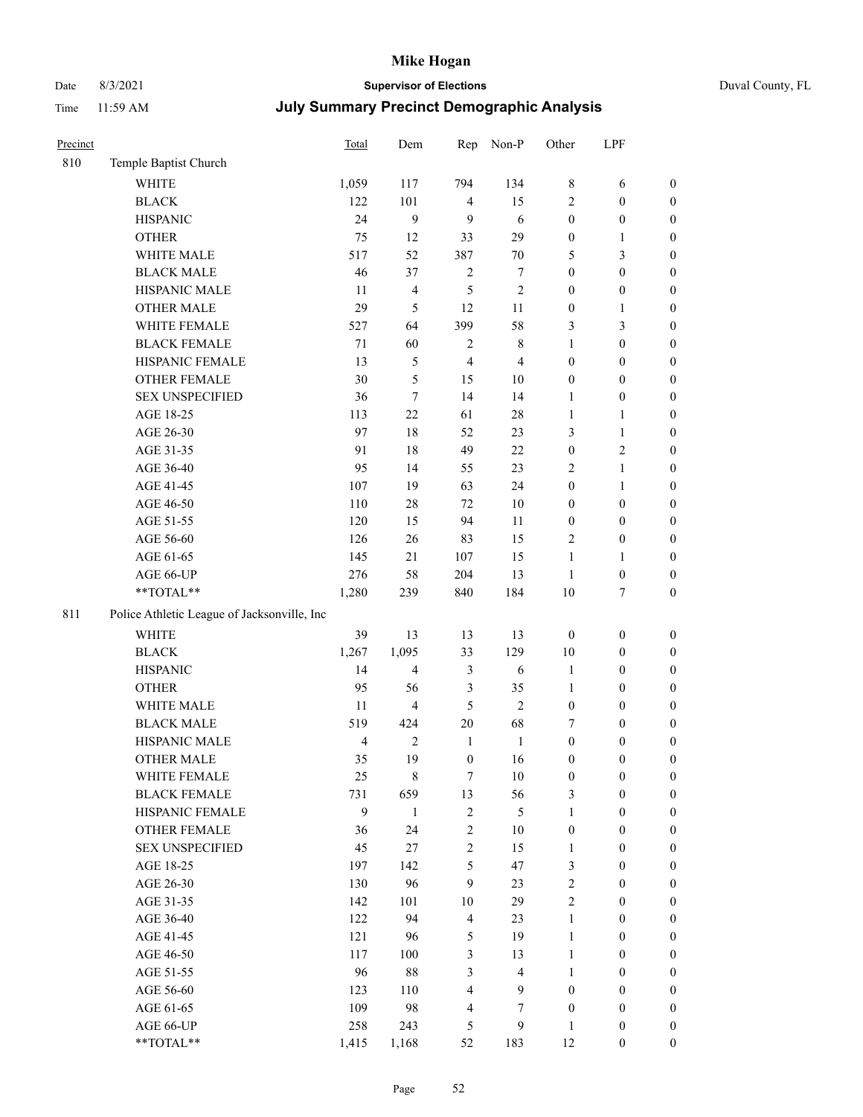# Date 8/3/2021 **Supervisor of Elections** Duval County, FL

| Precinct |                                             | <b>Total</b>   | Dem                     | Rep                     | Non-P                   | Other            | LPF              |                  |
|----------|---------------------------------------------|----------------|-------------------------|-------------------------|-------------------------|------------------|------------------|------------------|
| 810      | Temple Baptist Church                       |                |                         |                         |                         |                  |                  |                  |
|          | <b>WHITE</b>                                | 1,059          | 117                     | 794                     | 134                     | 8                | 6                | 0                |
|          | <b>BLACK</b>                                | 122            | 101                     | $\overline{4}$          | 15                      | $\overline{c}$   | $\boldsymbol{0}$ | $\boldsymbol{0}$ |
|          | <b>HISPANIC</b>                             | 24             | 9                       | 9                       | 6                       | $\boldsymbol{0}$ | $\boldsymbol{0}$ | $\boldsymbol{0}$ |
|          | <b>OTHER</b>                                | 75             | 12                      | 33                      | 29                      | $\boldsymbol{0}$ | 1                | $\boldsymbol{0}$ |
|          | WHITE MALE                                  | 517            | 52                      | 387                     | $70\,$                  | 5                | $\mathfrak{Z}$   | $\boldsymbol{0}$ |
|          | <b>BLACK MALE</b>                           | 46             | 37                      | $\sqrt{2}$              | $\boldsymbol{7}$        | $\boldsymbol{0}$ | $\boldsymbol{0}$ | $\boldsymbol{0}$ |
|          | HISPANIC MALE                               | 11             | $\overline{4}$          | 5                       | $\sqrt{2}$              | $\boldsymbol{0}$ | $\boldsymbol{0}$ | $\boldsymbol{0}$ |
|          | <b>OTHER MALE</b>                           | 29             | 5                       | 12                      | 11                      | $\boldsymbol{0}$ | $\mathbf{1}$     | $\boldsymbol{0}$ |
|          | WHITE FEMALE                                | 527            | 64                      | 399                     | 58                      | 3                | $\mathfrak{Z}$   | $\boldsymbol{0}$ |
|          | <b>BLACK FEMALE</b>                         | 71             | 60                      | $\overline{c}$          | $8\,$                   | $\mathbf{1}$     | $\boldsymbol{0}$ | $\boldsymbol{0}$ |
|          | HISPANIC FEMALE                             | 13             | $\mathfrak{S}$          | $\overline{4}$          | $\overline{4}$          | $\boldsymbol{0}$ | $\boldsymbol{0}$ | $\boldsymbol{0}$ |
|          | <b>OTHER FEMALE</b>                         | 30             | $\mathfrak s$           | 15                      | $10\,$                  | $\boldsymbol{0}$ | $\boldsymbol{0}$ | $\boldsymbol{0}$ |
|          | <b>SEX UNSPECIFIED</b>                      | 36             | $\tau$                  | 14                      | 14                      | $\mathbf{1}$     | $\boldsymbol{0}$ | $\boldsymbol{0}$ |
|          | AGE 18-25                                   | 113            | 22                      | 61                      | $28\,$                  | $\mathbf{1}$     | $\mathbf{1}$     | $\boldsymbol{0}$ |
|          | AGE 26-30                                   | 97             | 18                      | 52                      | 23                      | 3                | $\mathbf{1}$     | $\boldsymbol{0}$ |
|          | AGE 31-35                                   | 91             | 18                      | 49                      | 22                      | $\boldsymbol{0}$ | $\sqrt{2}$       | $\boldsymbol{0}$ |
|          | AGE 36-40                                   | 95             | 14                      | 55                      | 23                      | 2                | $\mathbf{1}$     | $\boldsymbol{0}$ |
|          | AGE 41-45                                   | 107            | 19                      | 63                      | 24                      | $\boldsymbol{0}$ | $\mathbf{1}$     | $\boldsymbol{0}$ |
|          | AGE 46-50                                   | 110            | $28\,$                  | 72                      | $10\,$                  | $\boldsymbol{0}$ | $\boldsymbol{0}$ | $\boldsymbol{0}$ |
|          | AGE 51-55                                   | 120            | 15                      | 94                      | 11                      | $\boldsymbol{0}$ | $\boldsymbol{0}$ | $\boldsymbol{0}$ |
|          | AGE 56-60                                   | 126            | 26                      | 83                      | 15                      | 2                | $\boldsymbol{0}$ | 0                |
|          | AGE 61-65                                   | 145            | 21                      | 107                     | 15                      | $\mathbf{1}$     | $\mathbf{1}$     | 0                |
|          | AGE 66-UP                                   | 276            | 58                      | 204                     | 13                      | $\mathbf{1}$     | $\boldsymbol{0}$ | $\boldsymbol{0}$ |
|          | **TOTAL**                                   | 1,280          | 239                     | 840                     | 184                     | $10\,$           | $\boldsymbol{7}$ | $\boldsymbol{0}$ |
| 811      | Police Athletic League of Jacksonville, Inc |                |                         |                         |                         |                  |                  |                  |
|          | <b>WHITE</b>                                | 39             | 13                      | 13                      | 13                      | $\boldsymbol{0}$ | $\boldsymbol{0}$ | $\boldsymbol{0}$ |
|          | <b>BLACK</b>                                | 1,267          | 1,095                   | 33                      | 129                     | $10\,$           | $\boldsymbol{0}$ | $\boldsymbol{0}$ |
|          | <b>HISPANIC</b>                             | 14             | $\overline{\mathbf{4}}$ | 3                       | 6                       | $\mathbf{1}$     | $\boldsymbol{0}$ | $\boldsymbol{0}$ |
|          | <b>OTHER</b>                                | 95             | 56                      | 3                       | 35                      | $\mathbf{1}$     | $\boldsymbol{0}$ | $\boldsymbol{0}$ |
|          | WHITE MALE                                  | 11             | $\overline{4}$          | 5                       | $\overline{2}$          | $\boldsymbol{0}$ | $\boldsymbol{0}$ | $\boldsymbol{0}$ |
|          | <b>BLACK MALE</b>                           | 519            | 424                     | $20\,$                  | 68                      | 7                | $\boldsymbol{0}$ | $\boldsymbol{0}$ |
|          | HISPANIC MALE                               | $\overline{4}$ | $\sqrt{2}$              | $\mathbf{1}$            | $\mathbf{1}$            | $\boldsymbol{0}$ | $\boldsymbol{0}$ | $\boldsymbol{0}$ |
|          | <b>OTHER MALE</b>                           | 35             | 19                      | $\boldsymbol{0}$        | 16                      | $\boldsymbol{0}$ | $\boldsymbol{0}$ | $\boldsymbol{0}$ |
|          | WHITE FEMALE                                | 25             | 8                       | 7                       | 10                      | 0                | 0                | 0                |
|          | <b>BLACK FEMALE</b>                         | 731            | 659                     | 13                      | 56                      | 3                | $\boldsymbol{0}$ | $\overline{0}$   |
|          | HISPANIC FEMALE                             | 9              | $\mathbf{1}$            | $\sqrt{2}$              | 5                       | $\mathbf{1}$     | $\boldsymbol{0}$ | $\overline{0}$   |
|          | <b>OTHER FEMALE</b>                         | 36             | 24                      | $\overline{\mathbf{c}}$ | $10\,$                  | $\boldsymbol{0}$ | $\boldsymbol{0}$ | $\overline{0}$   |
|          | <b>SEX UNSPECIFIED</b>                      | 45             | $27\,$                  | 2                       | 15                      | $\mathbf{1}$     | $\boldsymbol{0}$ | $\overline{0}$   |
|          | AGE 18-25                                   | 197            | 142                     | 5                       | 47                      | 3                | $\boldsymbol{0}$ | $\overline{0}$   |
|          | AGE 26-30                                   | 130            | 96                      | 9                       | 23                      | 2                | $\boldsymbol{0}$ | $\overline{0}$   |
|          | AGE 31-35                                   | 142            | 101                     | $10\,$                  | 29                      | $\overline{c}$   | $\boldsymbol{0}$ | 0                |
|          | AGE 36-40                                   | 122            | 94                      | $\overline{\mathbf{4}}$ | 23                      | $\mathbf{1}$     | $\boldsymbol{0}$ | 0                |
|          | AGE 41-45                                   | 121            | 96                      | 5                       | 19                      | $\mathbf{1}$     | $\boldsymbol{0}$ | 0                |
|          | AGE 46-50                                   | 117            | 100                     | 3                       | 13                      | $\mathbf{1}$     | $\boldsymbol{0}$ | $\boldsymbol{0}$ |
|          | AGE 51-55                                   | 96             | $88\,$                  | 3                       | $\overline{\mathbf{4}}$ | $\mathbf{1}$     | $\boldsymbol{0}$ | $\boldsymbol{0}$ |
|          | AGE 56-60                                   | 123            | 110                     | $\overline{\mathbf{4}}$ | 9                       | $\boldsymbol{0}$ | $\boldsymbol{0}$ | $\boldsymbol{0}$ |
|          | AGE 61-65                                   | 109            | 98                      | 4                       | 7                       | $\boldsymbol{0}$ | $\boldsymbol{0}$ | $\boldsymbol{0}$ |
|          | AGE 66-UP                                   | 258            | 243                     | 5                       | 9                       | $\mathbf{1}$     | $\boldsymbol{0}$ | $\boldsymbol{0}$ |
|          | **TOTAL**                                   | 1,415          | 1,168                   | 52                      | 183                     | 12               | $\boldsymbol{0}$ | $\boldsymbol{0}$ |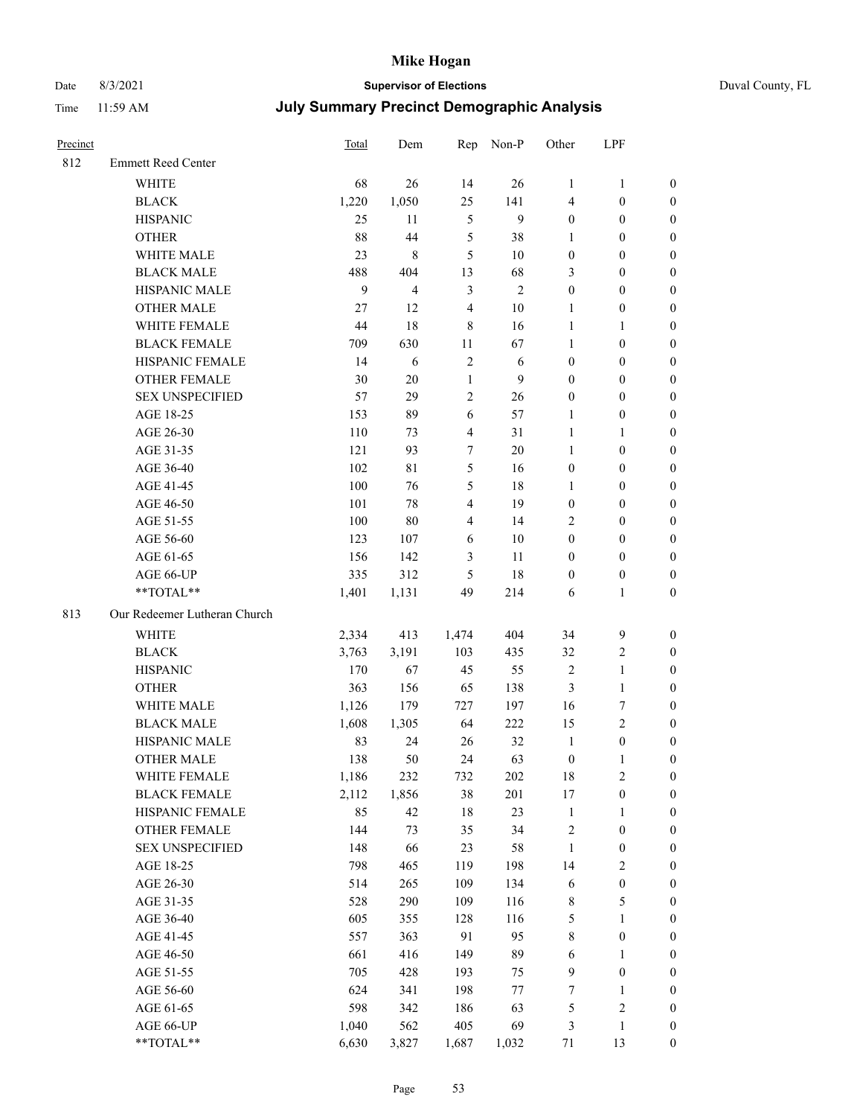## Date 8/3/2021 **Supervisor of Elections** Duval County, FL

| Precinct |                              | Total | Dem            |                         | Rep Non-P      | Other                   | LPF              |                  |
|----------|------------------------------|-------|----------------|-------------------------|----------------|-------------------------|------------------|------------------|
| 812      | <b>Emmett Reed Center</b>    |       |                |                         |                |                         |                  |                  |
|          | <b>WHITE</b>                 | 68    | 26             | 14                      | 26             | $\mathbf{1}$            | $\mathbf{1}$     | 0                |
|          | <b>BLACK</b>                 | 1,220 | 1,050          | 25                      | 141            | 4                       | $\boldsymbol{0}$ | 0                |
|          | <b>HISPANIC</b>              | 25    | 11             | $\mathfrak s$           | 9              | $\boldsymbol{0}$        | $\boldsymbol{0}$ | $\boldsymbol{0}$ |
|          | <b>OTHER</b>                 | 88    | 44             | 5                       | 38             | 1                       | $\boldsymbol{0}$ | $\boldsymbol{0}$ |
|          | WHITE MALE                   | 23    | $\,8\,$        | 5                       | $10\,$         | $\boldsymbol{0}$        | $\boldsymbol{0}$ | $\boldsymbol{0}$ |
|          | <b>BLACK MALE</b>            | 488   | 404            | 13                      | 68             | 3                       | $\boldsymbol{0}$ | $\boldsymbol{0}$ |
|          | HISPANIC MALE                | 9     | $\overline{4}$ | 3                       | $\mathfrak{2}$ | $\boldsymbol{0}$        | $\boldsymbol{0}$ | $\boldsymbol{0}$ |
|          | <b>OTHER MALE</b>            | 27    | 12             | $\overline{4}$          | $10\,$         | $\mathbf{1}$            | $\boldsymbol{0}$ | $\boldsymbol{0}$ |
|          | WHITE FEMALE                 | 44    | 18             | $\,$ $\,$               | 16             | $\mathbf{1}$            | 1                | $\boldsymbol{0}$ |
|          | <b>BLACK FEMALE</b>          | 709   | 630            | 11                      | 67             | $\mathbf{1}$            | $\boldsymbol{0}$ | 0                |
|          | HISPANIC FEMALE              | 14    | 6              | $\sqrt{2}$              | 6              | $\boldsymbol{0}$        | $\boldsymbol{0}$ | 0                |
|          | <b>OTHER FEMALE</b>          | 30    | $20\,$         | $\mathbf{1}$            | 9              | $\boldsymbol{0}$        | $\boldsymbol{0}$ | $\boldsymbol{0}$ |
|          | <b>SEX UNSPECIFIED</b>       | 57    | 29             | $\sqrt{2}$              | 26             | $\boldsymbol{0}$        | $\boldsymbol{0}$ | $\boldsymbol{0}$ |
|          | AGE 18-25                    | 153   | 89             | 6                       | 57             | 1                       | $\boldsymbol{0}$ | $\boldsymbol{0}$ |
|          | AGE 26-30                    | 110   | 73             | $\overline{\mathbf{4}}$ | 31             | $\mathbf{1}$            | $\mathbf{1}$     | $\boldsymbol{0}$ |
|          | AGE 31-35                    | 121   | 93             | 7                       | 20             | $\mathbf{1}$            | $\boldsymbol{0}$ | $\boldsymbol{0}$ |
|          | AGE 36-40                    | 102   | $8\sqrt{1}$    | 5                       | 16             | $\boldsymbol{0}$        | $\boldsymbol{0}$ | $\boldsymbol{0}$ |
|          | AGE 41-45                    | 100   | 76             | 5                       | 18             | $\mathbf{1}$            | $\boldsymbol{0}$ | $\boldsymbol{0}$ |
|          | AGE 46-50                    | 101   | 78             | $\overline{4}$          | 19             | $\boldsymbol{0}$        | $\boldsymbol{0}$ | $\boldsymbol{0}$ |
|          | AGE 51-55                    | 100   | $80\,$         | $\overline{\mathbf{4}}$ | 14             | 2                       | $\boldsymbol{0}$ | $\boldsymbol{0}$ |
|          | AGE 56-60                    | 123   | 107            | 6                       | 10             | $\boldsymbol{0}$        | $\boldsymbol{0}$ | 0                |
|          | AGE 61-65                    | 156   | 142            | 3                       | 11             | $\boldsymbol{0}$        | $\boldsymbol{0}$ | 0                |
|          | AGE 66-UP                    | 335   | 312            | 5                       | 18             | $\boldsymbol{0}$        | $\boldsymbol{0}$ | $\boldsymbol{0}$ |
|          | **TOTAL**                    | 1,401 | 1,131          | 49                      | 214            | 6                       | $\mathbf{1}$     | $\boldsymbol{0}$ |
| 813      | Our Redeemer Lutheran Church |       |                |                         |                |                         |                  |                  |
|          | <b>WHITE</b>                 | 2,334 | 413            | 1,474                   | 404            | 34                      | $\boldsymbol{9}$ | $\boldsymbol{0}$ |
|          | <b>BLACK</b>                 | 3,763 | 3,191          | 103                     | 435            | 32                      | $\sqrt{2}$       | $\boldsymbol{0}$ |
|          | <b>HISPANIC</b>              | 170   | 67             | 45                      | 55             | 2                       | $\mathbf{1}$     | $\boldsymbol{0}$ |
|          | <b>OTHER</b>                 | 363   | 156            | 65                      | 138            | 3                       | $\mathbf{1}$     | $\boldsymbol{0}$ |
|          | WHITE MALE                   | 1,126 | 179            | 727                     | 197            | 16                      | $\boldsymbol{7}$ | $\overline{0}$   |
|          | <b>BLACK MALE</b>            | 1,608 | 1,305          | 64                      | 222            | 15                      | $\overline{c}$   | $\boldsymbol{0}$ |
|          | HISPANIC MALE                | 83    | 24             | 26                      | 32             | $\mathbf{1}$            | $\boldsymbol{0}$ | 0                |
|          | <b>OTHER MALE</b>            | 138   | 50             | 24                      | 63             | $\boldsymbol{0}$        | $\mathbf{1}$     | 0                |
|          | WHITE FEMALE                 | 1,186 | 232            | 732                     | 202            | 18                      | $\overline{c}$   | 0                |
|          | <b>BLACK FEMALE</b>          | 2,112 | 1,856          | 38                      | 201            | 17                      | $\boldsymbol{0}$ | 0                |
|          | HISPANIC FEMALE              | 85    | 42             | 18                      | 23             | $\mathbf{1}$            | 1                | 0                |
|          | OTHER FEMALE                 | 144   | 73             | 35                      | 34             | $\overline{\mathbf{c}}$ | $\boldsymbol{0}$ | 0                |
|          | <b>SEX UNSPECIFIED</b>       | 148   | 66             | 23                      | 58             | $\mathbf{1}$            | $\boldsymbol{0}$ | 0                |
|          | AGE 18-25                    | 798   | 465            | 119                     | 198            | 14                      | $\sqrt{2}$       | 0                |
|          | AGE 26-30                    | 514   | 265            | 109                     | 134            | 6                       | $\boldsymbol{0}$ | 0                |
|          | AGE 31-35                    | 528   | 290            | 109                     | 116            | 8                       | $\mathfrak s$    | 0                |
|          | AGE 36-40                    | 605   | 355            | 128                     | 116            | 5                       | $\mathbf{1}$     | 0                |
|          | AGE 41-45                    | 557   | 363            | 91                      | 95             | 8                       | $\boldsymbol{0}$ | 0                |
|          | AGE 46-50                    | 661   | 416            | 149                     | 89             | 6                       | 1                | 0                |
|          | AGE 51-55                    | 705   | 428            | 193                     | 75             | 9                       | $\boldsymbol{0}$ | 0                |
|          | AGE 56-60                    | 624   | 341            | 198                     | $77\,$         | 7                       | 1                | 0                |
|          | AGE 61-65                    | 598   | 342            | 186                     | 63             | 5                       | $\sqrt{2}$       | 0                |
|          | AGE 66-UP                    | 1,040 | 562            | 405                     | 69             | 3                       | $\mathbf{1}$     | $\boldsymbol{0}$ |
|          | **TOTAL**                    | 6,630 | 3,827          | 1,687                   | 1,032          | 71                      | 13               | $\boldsymbol{0}$ |
|          |                              |       |                |                         |                |                         |                  |                  |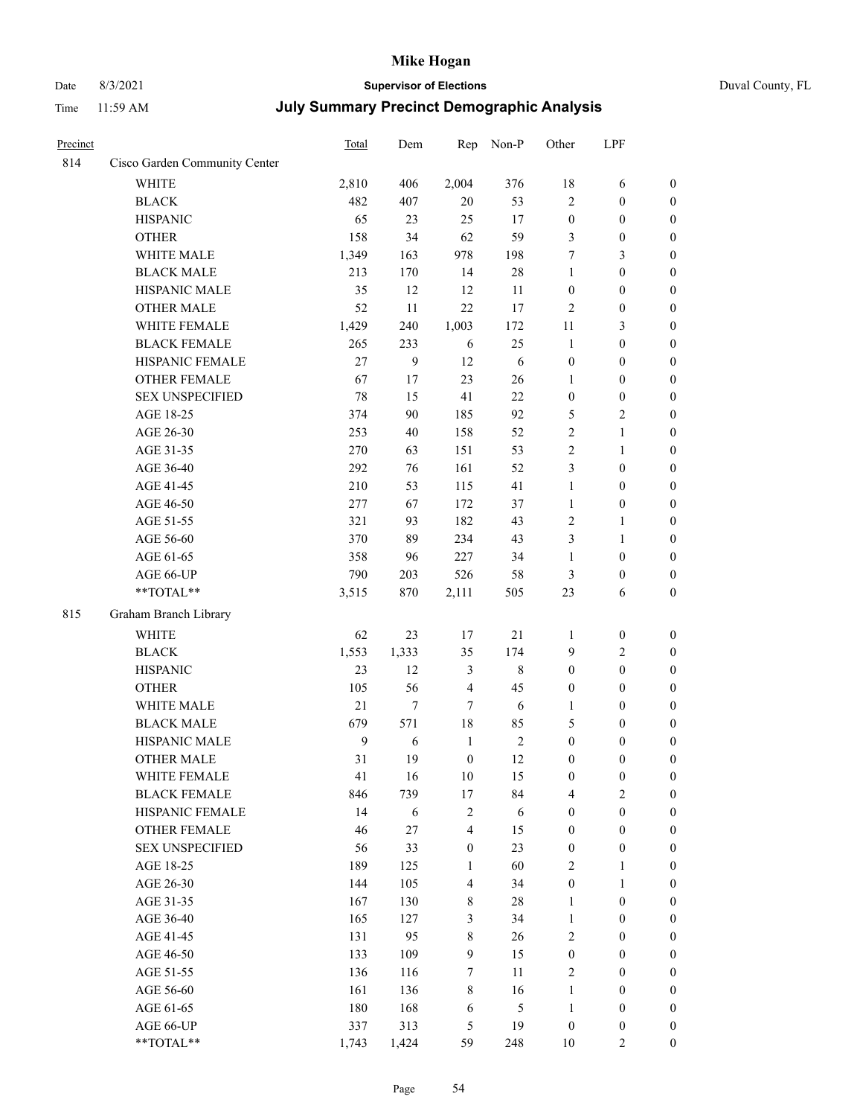# Date 8/3/2021 **Supervisor of Elections** Duval County, FL

| Precinct |                               | Total          | Dem   | Rep              | Non-P       | Other            | LPF              |                  |
|----------|-------------------------------|----------------|-------|------------------|-------------|------------------|------------------|------------------|
| 814      | Cisco Garden Community Center |                |       |                  |             |                  |                  |                  |
|          | <b>WHITE</b>                  | 2,810          | 406   | 2,004            | 376         | $18\,$           | 6                | $\boldsymbol{0}$ |
|          | <b>BLACK</b>                  | 482            | 407   | 20               | 53          | $\overline{2}$   | $\boldsymbol{0}$ | $\boldsymbol{0}$ |
|          | <b>HISPANIC</b>               | 65             | 23    | 25               | 17          | $\boldsymbol{0}$ | $\boldsymbol{0}$ | $\boldsymbol{0}$ |
|          | <b>OTHER</b>                  | 158            | 34    | 62               | 59          | 3                | $\boldsymbol{0}$ | $\boldsymbol{0}$ |
|          | WHITE MALE                    | 1,349          | 163   | 978              | 198         | 7                | $\mathfrak{Z}$   | $\boldsymbol{0}$ |
|          | <b>BLACK MALE</b>             | 213            | 170   | 14               | $28\,$      | $\mathbf{1}$     | $\boldsymbol{0}$ | $\boldsymbol{0}$ |
|          | HISPANIC MALE                 | 35             | 12    | 12               | 11          | $\boldsymbol{0}$ | $\boldsymbol{0}$ | $\boldsymbol{0}$ |
|          | <b>OTHER MALE</b>             | 52             | 11    | 22               | 17          | $\mathfrak{2}$   | $\boldsymbol{0}$ | $\boldsymbol{0}$ |
|          | WHITE FEMALE                  | 1,429          | 240   | 1,003            | 172         | 11               | $\mathfrak{Z}$   | $\boldsymbol{0}$ |
|          | <b>BLACK FEMALE</b>           | 265            | 233   | 6                | 25          | $\mathbf{1}$     | $\boldsymbol{0}$ | 0                |
|          | HISPANIC FEMALE               | 27             | 9     | 12               | 6           | $\boldsymbol{0}$ | $\boldsymbol{0}$ | $\boldsymbol{0}$ |
|          | OTHER FEMALE                  | 67             | 17    | 23               | 26          | $\mathbf{1}$     | $\boldsymbol{0}$ | $\boldsymbol{0}$ |
|          | <b>SEX UNSPECIFIED</b>        | 78             | 15    | 41               | 22          | $\boldsymbol{0}$ | $\boldsymbol{0}$ | $\boldsymbol{0}$ |
|          | AGE 18-25                     | 374            | 90    | 185              | 92          | 5                | $\sqrt{2}$       | $\boldsymbol{0}$ |
|          | AGE 26-30                     | 253            | 40    | 158              | 52          | $\overline{c}$   | $\mathbf{1}$     | $\boldsymbol{0}$ |
|          | AGE 31-35                     | 270            | 63    | 151              | 53          | $\sqrt{2}$       | $\mathbf{1}$     | $\boldsymbol{0}$ |
|          | AGE 36-40                     | 292            | 76    | 161              | 52          | 3                | $\boldsymbol{0}$ | $\boldsymbol{0}$ |
|          | AGE 41-45                     | 210            | 53    | 115              | 41          | $\mathbf{1}$     | $\boldsymbol{0}$ | $\boldsymbol{0}$ |
|          | AGE 46-50                     | 277            | 67    | 172              | 37          | $\mathbf{1}$     | $\boldsymbol{0}$ | $\boldsymbol{0}$ |
|          | AGE 51-55                     | 321            | 93    | 182              | 43          | $\mathfrak{2}$   | $\mathbf{1}$     | 0                |
|          | AGE 56-60                     | 370            | 89    | 234              | 43          | 3                | $\mathbf{1}$     | $\boldsymbol{0}$ |
|          | AGE 61-65                     | 358            | 96    | 227              | 34          | $\mathbf{1}$     | $\boldsymbol{0}$ | $\boldsymbol{0}$ |
|          | AGE 66-UP                     | 790            | 203   | 526              | 58          | 3                | $\boldsymbol{0}$ | $\boldsymbol{0}$ |
|          | **TOTAL**                     | 3,515          | 870   | 2,111            | 505         | 23               | 6                | $\boldsymbol{0}$ |
| 815      | Graham Branch Library         |                |       |                  |             |                  |                  |                  |
|          | <b>WHITE</b>                  | 62             | 23    | 17               | $21\,$      | $\mathbf{1}$     | $\boldsymbol{0}$ | $\boldsymbol{0}$ |
|          | <b>BLACK</b>                  | 1,553          | 1,333 | 35               | 174         | 9                | $\sqrt{2}$       | $\boldsymbol{0}$ |
|          | <b>HISPANIC</b>               | 23             | 12    | $\mathfrak{Z}$   | $\,$ 8 $\,$ | $\boldsymbol{0}$ | $\boldsymbol{0}$ | $\boldsymbol{0}$ |
|          | <b>OTHER</b>                  | 105            | 56    | $\overline{4}$   | 45          | $\boldsymbol{0}$ | $\boldsymbol{0}$ | $\boldsymbol{0}$ |
|          | WHITE MALE                    | $21\,$         | 7     | $\tau$           | $\sqrt{6}$  | $\mathbf{1}$     | $\boldsymbol{0}$ | $\boldsymbol{0}$ |
|          | <b>BLACK MALE</b>             | 679            | 571   | $18\,$           | 85          | 5                | $\boldsymbol{0}$ | $\boldsymbol{0}$ |
|          | HISPANIC MALE                 | $\overline{9}$ | 6     | $\mathbf{1}$     | $\sqrt{2}$  | $\boldsymbol{0}$ | $\boldsymbol{0}$ | 0                |
|          | OTHER MALE                    | 31             | 19    | $\boldsymbol{0}$ | 12          | $\boldsymbol{0}$ | $\boldsymbol{0}$ | $\boldsymbol{0}$ |
|          | WHITE FEMALE                  | 41             | 16    | 10               | 15          | $\boldsymbol{0}$ | $\boldsymbol{0}$ | $\boldsymbol{0}$ |
|          | <b>BLACK FEMALE</b>           | 846            | 739   | 17               | 84          | 4                | $\sqrt{2}$       | $\overline{0}$   |
|          | HISPANIC FEMALE               | 14             | 6     | $\boldsymbol{2}$ | $\sqrt{6}$  | $\boldsymbol{0}$ | $\boldsymbol{0}$ | $\overline{0}$   |
|          | <b>OTHER FEMALE</b>           | 46             | 27    | $\overline{4}$   | 15          | $\boldsymbol{0}$ | $\boldsymbol{0}$ | $\overline{0}$   |
|          | <b>SEX UNSPECIFIED</b>        | 56             | 33    | $\boldsymbol{0}$ | 23          | $\boldsymbol{0}$ | $\boldsymbol{0}$ | $\overline{0}$   |
|          | AGE 18-25                     | 189            | 125   | $\mathbf{1}$     | 60          | 2                | $\mathbf{1}$     | $\overline{0}$   |
|          | AGE 26-30                     | 144            | 105   | $\overline{4}$   | 34          | $\boldsymbol{0}$ | $\mathbf{1}$     | 0                |
|          | AGE 31-35                     | 167            | 130   | $8\,$            | $28\,$      | $\mathbf{1}$     | $\boldsymbol{0}$ | 0                |
|          | AGE 36-40                     | 165            | 127   | 3                | 34          | $\mathbf{1}$     | $\boldsymbol{0}$ | 0                |
|          | AGE 41-45                     | 131            | 95    | $\,$ 8 $\,$      | 26          | 2                | $\boldsymbol{0}$ | 0                |
|          | AGE 46-50                     | 133            | 109   | 9                | 15          | $\boldsymbol{0}$ | $\boldsymbol{0}$ | $\boldsymbol{0}$ |
|          | AGE 51-55                     | 136            | 116   | 7                | 11          | 2                | $\boldsymbol{0}$ | $\boldsymbol{0}$ |
|          | AGE 56-60                     | 161            | 136   | 8                | 16          | $\mathbf{1}$     | $\boldsymbol{0}$ | $\boldsymbol{0}$ |
|          | AGE 61-65                     | 180            | 168   | 6                | 5           | $\mathbf{1}$     | $\boldsymbol{0}$ | $\boldsymbol{0}$ |
|          | AGE 66-UP                     | 337            | 313   | 5                | 19          | $\boldsymbol{0}$ | $\boldsymbol{0}$ | $\boldsymbol{0}$ |
|          | **TOTAL**                     | 1,743          | 1,424 | 59               | 248         | $10\,$           | $\overline{2}$   | $\boldsymbol{0}$ |
|          |                               |                |       |                  |             |                  |                  |                  |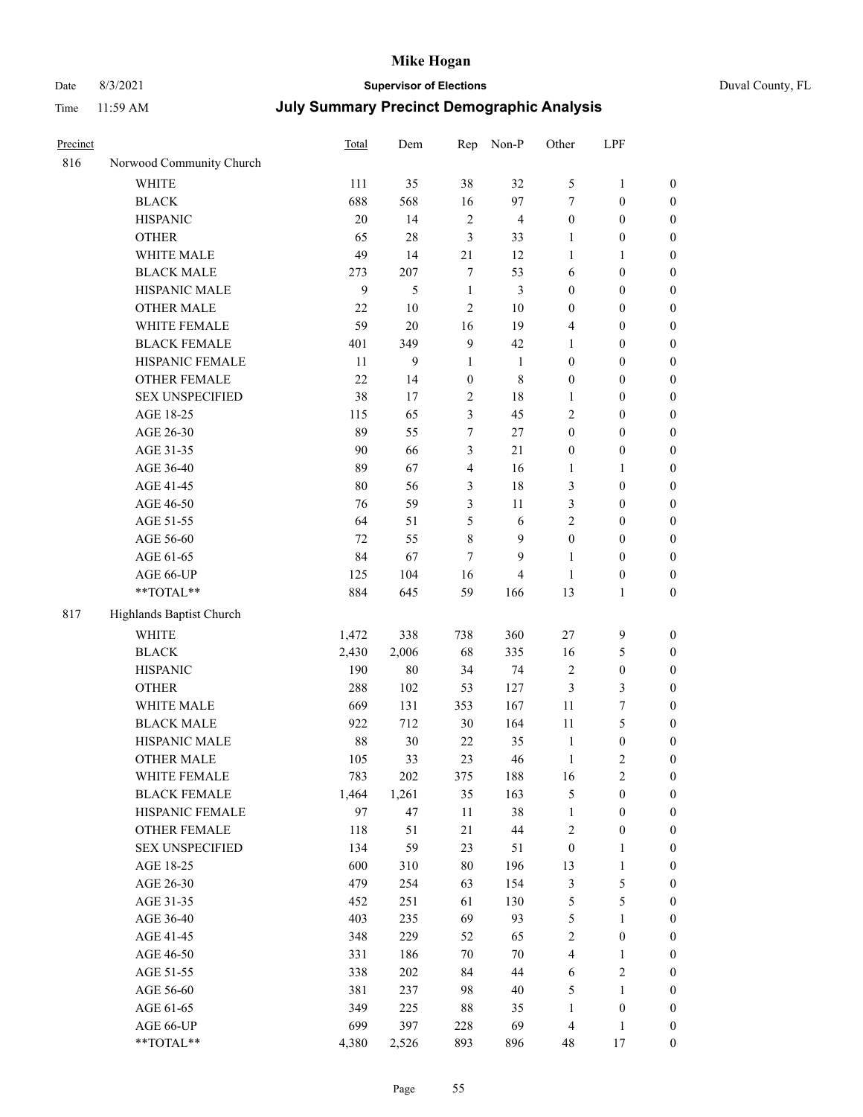# Date 8/3/2021 **Supervisor of Elections** Duval County, FL

| Precinct |                                 | Total      | Dem        | Rep              | Non-P          | Other            | LPF                              |                                      |
|----------|---------------------------------|------------|------------|------------------|----------------|------------------|----------------------------------|--------------------------------------|
| 816      | Norwood Community Church        |            |            |                  |                |                  |                                  |                                      |
|          | <b>WHITE</b>                    | 111        | 35         | 38               | 32             | 5                | $\mathbf{1}$                     | $\boldsymbol{0}$                     |
|          | <b>BLACK</b>                    | 688        | 568        | 16               | 97             | 7                | $\boldsymbol{0}$                 | $\boldsymbol{0}$                     |
|          | <b>HISPANIC</b>                 | 20         | 14         | $\sqrt{2}$       | $\overline{4}$ | $\boldsymbol{0}$ | $\boldsymbol{0}$                 | $\boldsymbol{0}$                     |
|          | <b>OTHER</b>                    | 65         | $28\,$     | 3                | 33             | 1                | $\boldsymbol{0}$                 | $\boldsymbol{0}$                     |
|          | WHITE MALE                      | 49         | 14         | 21               | 12             | $\mathbf{1}$     | 1                                | $\boldsymbol{0}$                     |
|          | <b>BLACK MALE</b>               | 273        | 207        | $\tau$           | 53             | 6                | $\boldsymbol{0}$                 | $\boldsymbol{0}$                     |
|          | HISPANIC MALE                   | 9          | 5          | $\mathbf{1}$     | $\mathfrak{Z}$ | $\boldsymbol{0}$ | $\boldsymbol{0}$                 | $\boldsymbol{0}$                     |
|          | OTHER MALE                      | 22         | $10\,$     | $\overline{2}$   | $10\,$         | $\boldsymbol{0}$ | $\boldsymbol{0}$                 | $\boldsymbol{0}$                     |
|          | WHITE FEMALE                    | 59         | $20\,$     | 16               | 19             | 4                | $\boldsymbol{0}$                 | $\boldsymbol{0}$                     |
|          | <b>BLACK FEMALE</b>             | 401        | 349        | $\overline{9}$   | 42             | $\mathbf{1}$     | $\boldsymbol{0}$                 | 0                                    |
|          | HISPANIC FEMALE                 | 11         | 9          | $\mathbf{1}$     | $\mathbf{1}$   | $\boldsymbol{0}$ | $\boldsymbol{0}$                 | $\boldsymbol{0}$                     |
|          | OTHER FEMALE                    | 22         | 14         | $\boldsymbol{0}$ | $\,$ 8 $\,$    | $\boldsymbol{0}$ | $\boldsymbol{0}$                 | $\boldsymbol{0}$                     |
|          | <b>SEX UNSPECIFIED</b>          | 38         | 17         | $\sqrt{2}$       | $18\,$         | $\mathbf{1}$     | $\boldsymbol{0}$                 | $\boldsymbol{0}$                     |
|          | AGE 18-25                       | 115        | 65         | 3                | 45             | 2                | $\boldsymbol{0}$                 | $\boldsymbol{0}$                     |
|          | AGE 26-30                       | 89         | 55         | 7                | $27\,$         | $\boldsymbol{0}$ | $\boldsymbol{0}$                 | $\boldsymbol{0}$                     |
|          | AGE 31-35                       | 90         | 66         | 3                | $21\,$         | $\boldsymbol{0}$ | $\boldsymbol{0}$                 | $\boldsymbol{0}$                     |
|          | AGE 36-40                       | 89         | 67         | $\overline{4}$   | 16             | $\mathbf{1}$     | $\mathbf{1}$                     | $\boldsymbol{0}$                     |
|          | AGE 41-45                       | 80         | 56         | 3                | 18             | 3                | $\boldsymbol{0}$                 | $\boldsymbol{0}$                     |
|          | AGE 46-50                       | 76         | 59         | $\mathfrak{Z}$   | $11\,$         | 3                | $\boldsymbol{0}$                 | $\boldsymbol{0}$                     |
|          | AGE 51-55                       | 64         | 51         | 5                | 6              | $\overline{c}$   | $\boldsymbol{0}$                 | 0                                    |
|          | AGE 56-60                       | 72         | 55         | 8                | 9              | $\boldsymbol{0}$ | $\boldsymbol{0}$                 | $\boldsymbol{0}$                     |
|          | AGE 61-65                       | 84         | 67         | $\tau$           | 9              | $\mathbf{1}$     | $\boldsymbol{0}$                 | $\boldsymbol{0}$                     |
|          | AGE 66-UP                       | 125        | 104        | 16               | $\overline{4}$ | $\mathbf{1}$     | $\boldsymbol{0}$                 | $\boldsymbol{0}$                     |
|          | **TOTAL**                       | 884        | 645        | 59               | 166            | 13               | $\mathbf{1}$                     | $\boldsymbol{0}$                     |
| 817      | Highlands Baptist Church        |            |            |                  |                |                  |                                  |                                      |
|          | <b>WHITE</b>                    | 1,472      | 338        | 738              | 360            | $27\,$           | $\mathbf{9}$                     | $\boldsymbol{0}$                     |
|          |                                 | 2,430      | 2,006      | 68               | 335            |                  | $\mathfrak{S}$                   |                                      |
|          | <b>BLACK</b>                    | 190        | $80\,$     |                  | 74             | 16               | $\boldsymbol{0}$                 | $\boldsymbol{0}$<br>$\boldsymbol{0}$ |
|          | <b>HISPANIC</b><br><b>OTHER</b> | 288        |            | 34               | 127            | $\overline{c}$   | $\mathfrak{Z}$                   |                                      |
|          | WHITE MALE                      |            | 102        | 53<br>353        | 167            | 3<br>$11\,$      | $\boldsymbol{7}$                 | $\boldsymbol{0}$                     |
|          | <b>BLACK MALE</b>               | 669<br>922 | 131<br>712 | 30               | 164            | $11\,$           | 5                                | $\boldsymbol{0}$                     |
|          | HISPANIC MALE                   | 88         | 30         | 22               | 35             | $\mathbf{1}$     |                                  | $\boldsymbol{0}$                     |
|          | OTHER MALE                      | 105        | 33         | 23               | 46             | $\mathbf{1}$     | $\boldsymbol{0}$<br>$\mathbf{2}$ | 0<br>$\boldsymbol{0}$                |
|          | WHITE FEMALE                    | 783        | 202        | 375              | 188            | 16               | $\sqrt{2}$                       | $\boldsymbol{0}$                     |
|          | <b>BLACK FEMALE</b>             | 1,464      | 1,261      | 35               | 163            | 5                | $\boldsymbol{0}$                 | $\overline{0}$                       |
|          | HISPANIC FEMALE                 | 97         | 47         | $11\,$           | 38             | $\mathbf{1}$     | $\boldsymbol{0}$                 | $\overline{0}$                       |
|          | <b>OTHER FEMALE</b>             | 118        | 51         | 21               | $44\,$         | $\sqrt{2}$       | $\boldsymbol{0}$                 | $\overline{0}$                       |
|          | <b>SEX UNSPECIFIED</b>          | 134        | 59         | 23               | 51             | $\boldsymbol{0}$ | $\mathbf{1}$                     | $\overline{0}$                       |
|          | AGE 18-25                       | 600        | 310        | $80\,$           | 196            | 13               | $\mathbf{1}$                     | 0                                    |
|          | AGE 26-30                       | 479        | 254        | 63               | 154            | 3                | $\mathfrak s$                    | 0                                    |
|          | AGE 31-35                       | 452        | 251        | 61               | 130            | 5                | $\mathfrak{S}$                   | 0                                    |
|          | AGE 36-40                       | 403        | 235        | 69               | 93             | 5                | $\mathbf{1}$                     | 0                                    |
|          | AGE 41-45                       | 348        | 229        | 52               | 65             | 2                | $\boldsymbol{0}$                 | 0                                    |
|          | AGE 46-50                       | 331        | 186        | 70               | $70\,$         | $\overline{4}$   | $\mathbf{1}$                     | $\overline{0}$                       |
|          | AGE 51-55                       | 338        | 202        | 84               | 44             | 6                | $\sqrt{2}$                       | $\boldsymbol{0}$                     |
|          | AGE 56-60                       | 381        | 237        | 98               | $40\,$         | 5                | $\mathbf{1}$                     | $\overline{0}$                       |
|          | AGE 61-65                       | 349        | 225        | 88               | 35             | $\mathbf{1}$     | $\boldsymbol{0}$                 | 0                                    |
|          | AGE 66-UP                       | 699        | 397        | 228              | 69             | 4                | $\mathbf{1}$                     | 0                                    |
|          | **TOTAL**                       | 4,380      | 2,526      | 893              | 896            | 48               | 17                               | $\boldsymbol{0}$                     |
|          |                                 |            |            |                  |                |                  |                                  |                                      |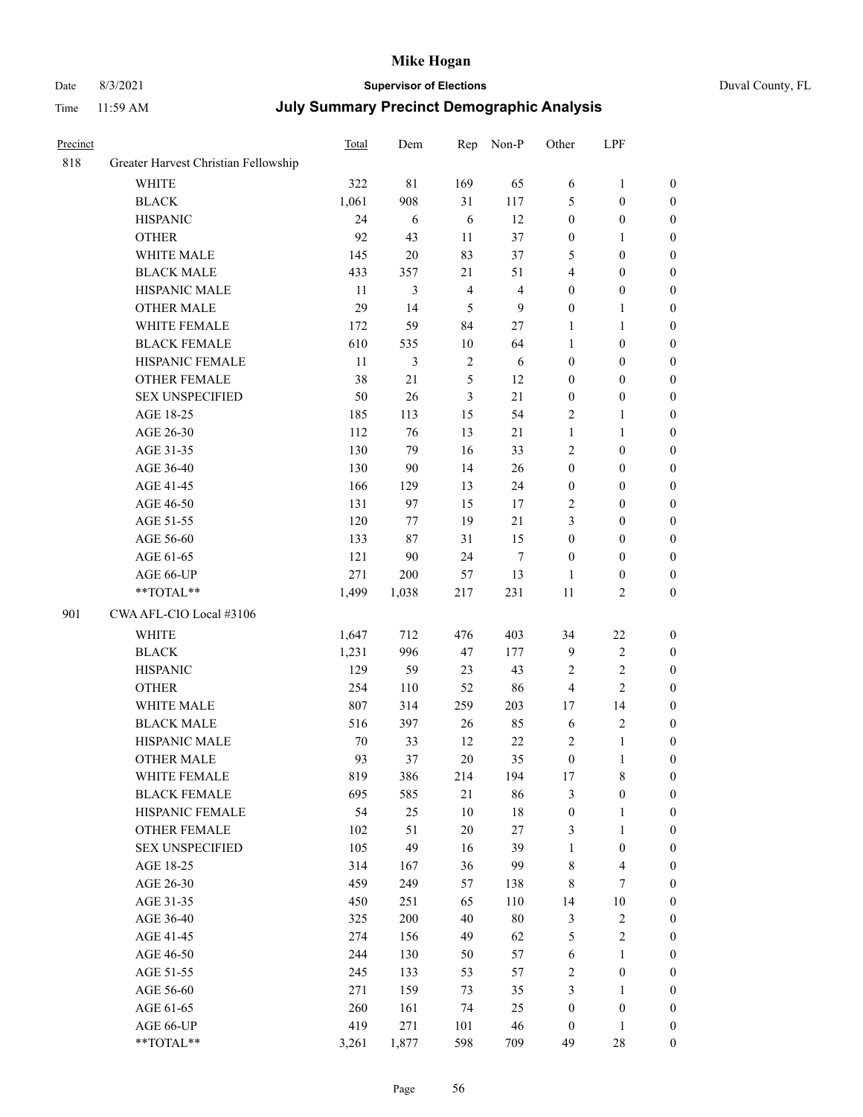## Date 8/3/2021 **Supervisor of Elections** Duval County, FL

| Precinct |                                      | Total  | Dem         | Rep            | Non-P                   | Other                   | LPF                     |                  |
|----------|--------------------------------------|--------|-------------|----------------|-------------------------|-------------------------|-------------------------|------------------|
| 818      | Greater Harvest Christian Fellowship |        |             |                |                         |                         |                         |                  |
|          | <b>WHITE</b>                         | 322    | $8\sqrt{1}$ | 169            | 65                      | 6                       | $\mathbf{1}$            | $\boldsymbol{0}$ |
|          | <b>BLACK</b>                         | 1,061  | 908         | 31             | 117                     | 5                       | $\boldsymbol{0}$        | $\boldsymbol{0}$ |
|          | <b>HISPANIC</b>                      | 24     | 6           | 6              | 12                      | $\boldsymbol{0}$        | $\boldsymbol{0}$        | $\boldsymbol{0}$ |
|          | <b>OTHER</b>                         | 92     | 43          | 11             | 37                      | $\boldsymbol{0}$        | $\mathbf{1}$            | $\boldsymbol{0}$ |
|          | WHITE MALE                           | 145    | 20          | 83             | 37                      | 5                       | $\boldsymbol{0}$        | $\boldsymbol{0}$ |
|          | <b>BLACK MALE</b>                    | 433    | 357         | 21             | 51                      | $\overline{4}$          | $\boldsymbol{0}$        | $\boldsymbol{0}$ |
|          | HISPANIC MALE                        | 11     | 3           | $\overline{4}$ | $\overline{\mathbf{4}}$ | $\boldsymbol{0}$        | $\boldsymbol{0}$        | $\boldsymbol{0}$ |
|          | OTHER MALE                           | 29     | 14          | 5              | $\mathbf{9}$            | $\boldsymbol{0}$        | $\mathbf{1}$            | 0                |
|          | WHITE FEMALE                         | 172    | 59          | 84             | 27                      | $\mathbf{1}$            | $\mathbf{1}$            | 0                |
|          | <b>BLACK FEMALE</b>                  | 610    | 535         | 10             | 64                      | $\mathbf{1}$            | $\boldsymbol{0}$        | $\boldsymbol{0}$ |
|          | HISPANIC FEMALE                      | 11     | 3           | $\sqrt{2}$     | 6                       | $\boldsymbol{0}$        | $\boldsymbol{0}$        | $\boldsymbol{0}$ |
|          | OTHER FEMALE                         | 38     | 21          | 5              | 12                      | $\boldsymbol{0}$        | $\boldsymbol{0}$        | $\boldsymbol{0}$ |
|          | <b>SEX UNSPECIFIED</b>               | 50     | 26          | $\mathfrak{Z}$ | 21                      | $\boldsymbol{0}$        | $\boldsymbol{0}$        | $\boldsymbol{0}$ |
|          | AGE 18-25                            | 185    | 113         | 15             | 54                      | 2                       | $\mathbf{1}$            | $\boldsymbol{0}$ |
|          | AGE 26-30                            | 112    | 76          | 13             | $21\,$                  | $\mathbf{1}$            | $\mathbf{1}$            | $\boldsymbol{0}$ |
|          | AGE 31-35                            | 130    | 79          | 16             | 33                      | 2                       | $\boldsymbol{0}$        | $\boldsymbol{0}$ |
|          | AGE 36-40                            | 130    | 90          | 14             | $26\,$                  | $\boldsymbol{0}$        | $\boldsymbol{0}$        | $\boldsymbol{0}$ |
|          | AGE 41-45                            | 166    | 129         | 13             | 24                      | $\boldsymbol{0}$        | $\boldsymbol{0}$        | $\boldsymbol{0}$ |
|          | AGE 46-50                            | 131    | 97          | 15             | 17                      | 2                       | $\boldsymbol{0}$        | 0                |
|          | AGE 51-55                            | 120    | 77          | 19             | 21                      | 3                       | $\boldsymbol{0}$        | $\boldsymbol{0}$ |
|          | AGE 56-60                            | 133    | 87          | 31             | 15                      | $\boldsymbol{0}$        | $\boldsymbol{0}$        | $\boldsymbol{0}$ |
|          | AGE 61-65                            | 121    | 90          | 24             | $\tau$                  | $\boldsymbol{0}$        | $\boldsymbol{0}$        | $\boldsymbol{0}$ |
|          | AGE 66-UP                            | 271    | 200         | 57             | 13                      | 1                       | $\boldsymbol{0}$        | $\boldsymbol{0}$ |
|          | **TOTAL**                            | 1,499  | 1,038       | 217            | 231                     | 11                      | $\mathfrak{2}$          | $\boldsymbol{0}$ |
| 901      | CWA AFL-CIO Local #3106              |        |             |                |                         |                         |                         |                  |
|          | <b>WHITE</b>                         | 1,647  | 712         | 476            | 403                     | 34                      | $22\,$                  | $\boldsymbol{0}$ |
|          | <b>BLACK</b>                         | 1,231  | 996         | 47             | 177                     | 9                       | $\sqrt{2}$              | $\boldsymbol{0}$ |
|          | <b>HISPANIC</b>                      | 129    | 59          | 23             | 43                      | $\sqrt{2}$              | $\sqrt{2}$              | $\overline{0}$   |
|          | <b>OTHER</b>                         | 254    | 110         | 52             | 86                      | $\overline{\mathbf{4}}$ | $\overline{2}$          | $\boldsymbol{0}$ |
|          | WHITE MALE                           | 807    | 314         | 259            | 203                     | 17                      | 14                      | $\boldsymbol{0}$ |
|          | <b>BLACK MALE</b>                    | 516    | 397         | 26             | 85                      | $\sqrt{6}$              | $\sqrt{2}$              | 0                |
|          | HISPANIC MALE                        | $70\,$ | 33          | 12             | $22\,$                  | $\overline{c}$          | $\mathbf{1}$            | 0                |
|          | <b>OTHER MALE</b>                    | 93     | 37          | 20             | 35                      | $\boldsymbol{0}$        | $\mathbf{1}$            | $\boldsymbol{0}$ |
|          | WHITE FEMALE                         | 819    | 386         | 214            | 194                     | $17\,$                  | $\,8\,$                 | $\boldsymbol{0}$ |
|          | <b>BLACK FEMALE</b>                  | 695    | 585         | 21             | 86                      | 3                       | $\boldsymbol{0}$        | $\overline{0}$   |
|          | HISPANIC FEMALE                      | 54     | 25          | 10             | 18                      | $\boldsymbol{0}$        | $\mathbf{1}$            | $\overline{0}$   |
|          | <b>OTHER FEMALE</b>                  | 102    | 51          | $20\,$         | 27                      | 3                       | $\mathbf{1}$            | $\overline{0}$   |
|          | <b>SEX UNSPECIFIED</b>               | 105    | 49          | 16             | 39                      | $\mathbf{1}$            | $\boldsymbol{0}$        | $\theta$         |
|          | AGE 18-25                            | 314    | 167         | 36             | 99                      | 8                       | $\overline{\mathbf{4}}$ | 0                |
|          | AGE 26-30                            | 459    | 249         | 57             | 138                     | 8                       | $\tau$                  | 0                |
|          | AGE 31-35                            | 450    | 251         | 65             | 110                     | 14                      | $10\,$                  | 0                |
|          | AGE 36-40                            | 325    | 200         | 40             | $80\,$                  | 3                       | $\sqrt{2}$              | 0                |
|          | AGE 41-45                            | 274    | 156         | 49             | 62                      | 5                       | $\sqrt{2}$              | $\overline{0}$   |
|          | AGE 46-50                            | 244    | 130         | 50             | 57                      | 6                       | $\mathbf{1}$            | $\boldsymbol{0}$ |
|          | AGE 51-55                            | 245    | 133         | 53             | 57                      | $\overline{c}$          | $\boldsymbol{0}$        | $\boldsymbol{0}$ |
|          | AGE 56-60                            | 271    | 159         | 73             | 35                      | 3                       | $\mathbf{1}$            | $\overline{0}$   |
|          | AGE 61-65                            | 260    | 161         | 74             | 25                      | $\boldsymbol{0}$        | $\boldsymbol{0}$        | $\overline{0}$   |
|          | AGE 66-UP                            | 419    | 271         | 101            | 46                      | $\boldsymbol{0}$        | $\mathbf{1}$            | $\boldsymbol{0}$ |
|          | **TOTAL**                            | 3,261  | 1,877       | 598            | 709                     | 49                      | $28\,$                  | $\boldsymbol{0}$ |
|          |                                      |        |             |                |                         |                         |                         |                  |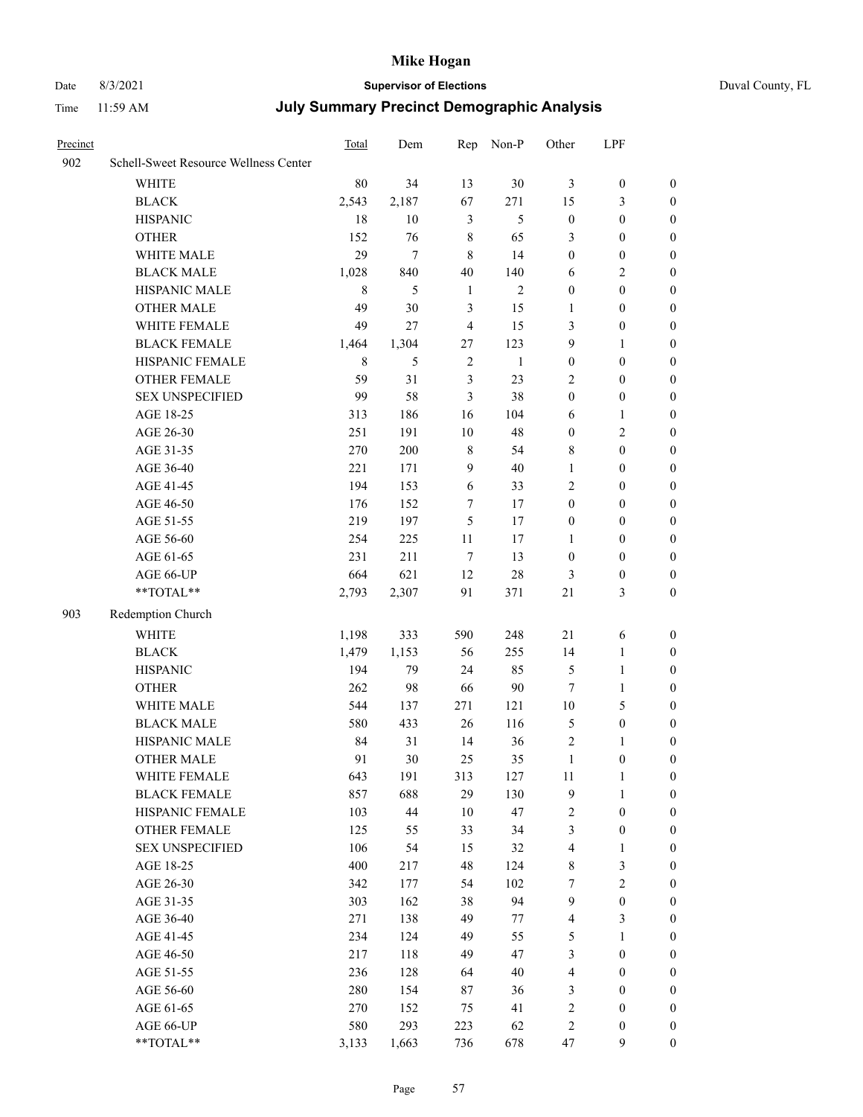## Date 8/3/2021 **Supervisor of Elections** Duval County, FL

| Precinct |                                       | <b>Total</b> | Dem    | Rep            | Non-P          | Other                   | LPF              |                  |
|----------|---------------------------------------|--------------|--------|----------------|----------------|-------------------------|------------------|------------------|
| 902      | Schell-Sweet Resource Wellness Center |              |        |                |                |                         |                  |                  |
|          | <b>WHITE</b>                          | 80           | 34     | 13             | 30             | 3                       | $\boldsymbol{0}$ | $\boldsymbol{0}$ |
|          | <b>BLACK</b>                          | 2,543        | 2,187  | 67             | 271            | 15                      | $\mathfrak{Z}$   | $\boldsymbol{0}$ |
|          | <b>HISPANIC</b>                       | 18           | 10     | $\mathfrak{Z}$ | 5              | $\boldsymbol{0}$        | $\boldsymbol{0}$ | $\boldsymbol{0}$ |
|          | <b>OTHER</b>                          | 152          | 76     | $\,$ 8 $\,$    | 65             | 3                       | $\boldsymbol{0}$ | $\boldsymbol{0}$ |
|          | WHITE MALE                            | 29           | $\tau$ | 8              | 14             | $\boldsymbol{0}$        | $\boldsymbol{0}$ | 0                |
|          | <b>BLACK MALE</b>                     | 1,028        | 840    | 40             | 140            | 6                       | $\mathfrak{2}$   | 0                |
|          | HISPANIC MALE                         | 8            | 5      | $\mathbf{1}$   | $\mathfrak{2}$ | $\boldsymbol{0}$        | $\boldsymbol{0}$ | $\boldsymbol{0}$ |
|          | <b>OTHER MALE</b>                     | 49           | 30     | $\mathfrak{Z}$ | 15             | $\mathbf{1}$            | $\boldsymbol{0}$ | $\boldsymbol{0}$ |
|          | WHITE FEMALE                          | 49           | 27     | $\overline{4}$ | 15             | 3                       | $\boldsymbol{0}$ | $\boldsymbol{0}$ |
|          | <b>BLACK FEMALE</b>                   | 1,464        | 1,304  | 27             | 123            | 9                       | $\mathbf{1}$     | $\boldsymbol{0}$ |
|          | HISPANIC FEMALE                       | $\,8\,$      | 5      | $\sqrt{2}$     | $\mathbf{1}$   | $\boldsymbol{0}$        | $\boldsymbol{0}$ | $\boldsymbol{0}$ |
|          | OTHER FEMALE                          | 59           | 31     | $\mathfrak{Z}$ | 23             | 2                       | $\boldsymbol{0}$ | $\boldsymbol{0}$ |
|          | <b>SEX UNSPECIFIED</b>                | 99           | 58     | $\mathfrak{Z}$ | 38             | $\boldsymbol{0}$        | $\boldsymbol{0}$ | $\boldsymbol{0}$ |
|          | AGE 18-25                             | 313          | 186    | 16             | 104            | 6                       | 1                | $\boldsymbol{0}$ |
|          | AGE 26-30                             | 251          | 191    | 10             | 48             | $\boldsymbol{0}$        | $\sqrt{2}$       | 0                |
|          | AGE 31-35                             | 270          | 200    | $\,$ 8 $\,$    | 54             | 8                       | $\boldsymbol{0}$ | 0                |
|          | AGE 36-40                             | 221          | 171    | 9              | 40             | $\mathbf{1}$            | $\boldsymbol{0}$ | $\boldsymbol{0}$ |
|          | AGE 41-45                             | 194          | 153    | 6              | 33             | 2                       | $\boldsymbol{0}$ | $\boldsymbol{0}$ |
|          | AGE 46-50                             | 176          | 152    | 7              | 17             | $\boldsymbol{0}$        | $\boldsymbol{0}$ | $\boldsymbol{0}$ |
|          | AGE 51-55                             | 219          | 197    | 5              | 17             | $\boldsymbol{0}$        | $\boldsymbol{0}$ | $\boldsymbol{0}$ |
|          | AGE 56-60                             | 254          | 225    | 11             | 17             | $\mathbf{1}$            | $\boldsymbol{0}$ | $\boldsymbol{0}$ |
|          | AGE 61-65                             | 231          | 211    | $\tau$         | 13             | $\boldsymbol{0}$        | $\boldsymbol{0}$ | $\boldsymbol{0}$ |
|          | AGE 66-UP                             | 664          | 621    | 12             | $28\,$         | 3                       | $\boldsymbol{0}$ | $\boldsymbol{0}$ |
|          | **TOTAL**                             | 2,793        | 2,307  | 91             | 371            | 21                      | 3                | $\boldsymbol{0}$ |
| 903      | Redemption Church                     |              |        |                |                |                         |                  |                  |
|          | <b>WHITE</b>                          | 1,198        | 333    | 590            | 248            | 21                      | 6                | $\boldsymbol{0}$ |
|          | <b>BLACK</b>                          | 1,479        | 1,153  | 56             | 255            | 14                      | $\mathbf{1}$     | $\boldsymbol{0}$ |
|          | <b>HISPANIC</b>                       | 194          | 79     | 24             | 85             | $\mathfrak{S}$          | $\mathbf{1}$     | 0                |
|          | <b>OTHER</b>                          | 262          | 98     | 66             | $90\,$         | $\tau$                  | $\mathbf{1}$     | 0                |
|          | WHITE MALE                            | 544          | 137    | 271            | 121            | $10\,$                  | $\mathfrak{S}$   | $\boldsymbol{0}$ |
|          | <b>BLACK MALE</b>                     | 580          | 433    | 26             | 116            | 5                       | $\boldsymbol{0}$ | $\boldsymbol{0}$ |
|          | HISPANIC MALE                         | 84           | 31     | 14             | 36             | 2                       | 1                | $\boldsymbol{0}$ |
|          | <b>OTHER MALE</b>                     | 91           | 30     | 25             | 35             | $\mathbf{1}$            | $\boldsymbol{0}$ | $\boldsymbol{0}$ |
|          | WHITE FEMALE                          | 643          | 191    | 313            | 127            | 11                      | $\mathbf{1}$     | $\overline{0}$   |
|          | <b>BLACK FEMALE</b>                   | 857          | 688    | 29             | 130            | 9                       | $\mathbf{1}$     | $\overline{0}$   |
|          | HISPANIC FEMALE                       | 103          | 44     | 10             | 47             | $\overline{c}$          | $\boldsymbol{0}$ | 0                |
|          | <b>OTHER FEMALE</b>                   | 125          | 55     | 33             | 34             | 3                       | $\boldsymbol{0}$ | 0                |
|          | <b>SEX UNSPECIFIED</b>                | 106          | 54     | 15             | 32             | $\overline{\mathbf{4}}$ | $\mathbf{1}$     | 0                |
|          | AGE 18-25                             | 400          | 217    | 48             | 124            | 8                       | $\mathfrak{Z}$   | 0                |
|          | AGE 26-30                             | 342          | 177    | 54             | 102            | 7                       | $\sqrt{2}$       | 0                |
|          | AGE 31-35                             | 303          | 162    | 38             | 94             | 9                       | $\boldsymbol{0}$ | $\overline{0}$   |
|          | AGE 36-40                             | 271          | 138    | 49             | 77             | 4                       | $\mathfrak{Z}$   | $\overline{0}$   |
|          | AGE 41-45                             | 234          | 124    | 49             | 55             | 5                       | $\mathbf{1}$     | $\overline{0}$   |
|          | AGE 46-50                             | 217          | 118    | 49             | 47             | 3                       | $\boldsymbol{0}$ | $\overline{0}$   |
|          | AGE 51-55                             | 236          | 128    | 64             | $40\,$         | $\overline{\mathbf{4}}$ | $\boldsymbol{0}$ | $\overline{0}$   |
|          | AGE 56-60                             | 280          | 154    | 87             | 36             | 3                       | $\boldsymbol{0}$ | $\overline{0}$   |
|          | AGE 61-65                             | 270          | 152    | 75             | 41             | 2                       | $\boldsymbol{0}$ | 0                |
|          | AGE 66-UP                             | 580          | 293    | 223            | 62             | $\overline{c}$          | $\boldsymbol{0}$ | 0                |
|          | **TOTAL**                             | 3,133        | 1,663  | 736            | 678            | 47                      | 9                | $\boldsymbol{0}$ |
|          |                                       |              |        |                |                |                         |                  |                  |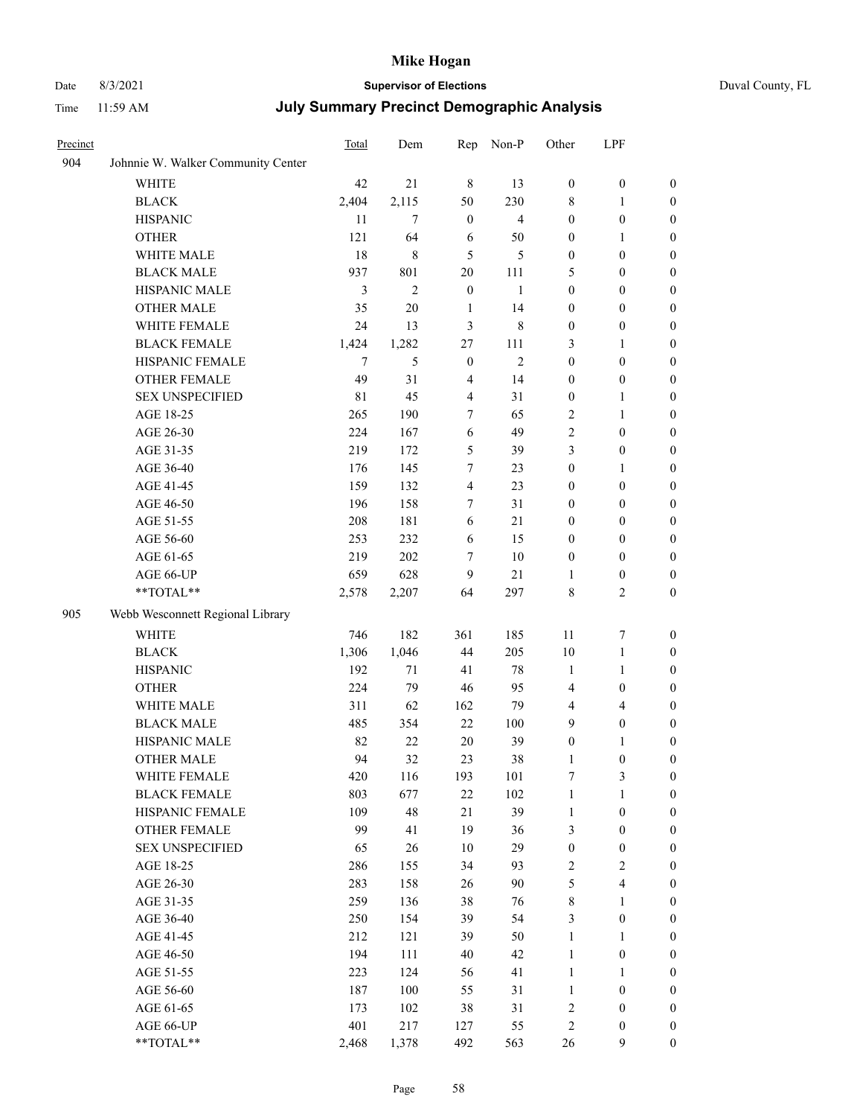## Date 8/3/2021 **Supervisor of Elections** Duval County, FL

| Precinct |                                    | Total | Dem            | Rep              | Non-P          | Other            | LPF                     |                  |
|----------|------------------------------------|-------|----------------|------------------|----------------|------------------|-------------------------|------------------|
| 904      | Johnnie W. Walker Community Center |       |                |                  |                |                  |                         |                  |
|          | <b>WHITE</b>                       | 42    | 21             | $\,$ 8 $\,$      | 13             | $\boldsymbol{0}$ | $\boldsymbol{0}$        | $\boldsymbol{0}$ |
|          | <b>BLACK</b>                       | 2,404 | 2,115          | 50               | 230            | 8                | $\mathbf{1}$            | $\boldsymbol{0}$ |
|          | <b>HISPANIC</b>                    | 11    | $\overline{7}$ | $\boldsymbol{0}$ | $\overline{4}$ | $\boldsymbol{0}$ | $\boldsymbol{0}$        | $\boldsymbol{0}$ |
|          | <b>OTHER</b>                       | 121   | 64             | 6                | 50             | $\boldsymbol{0}$ | $\mathbf{1}$            | $\boldsymbol{0}$ |
|          | WHITE MALE                         | 18    | 8              | 5                | 5              | $\boldsymbol{0}$ | $\boldsymbol{0}$        | $\boldsymbol{0}$ |
|          | <b>BLACK MALE</b>                  | 937   | 801            | 20               | 111            | 5                | $\boldsymbol{0}$        | $\boldsymbol{0}$ |
|          | HISPANIC MALE                      | 3     | $\mathfrak{2}$ | $\boldsymbol{0}$ | $\mathbf{1}$   | $\boldsymbol{0}$ | $\boldsymbol{0}$        | $\boldsymbol{0}$ |
|          | <b>OTHER MALE</b>                  | 35    | 20             | $\mathbf{1}$     | 14             | $\boldsymbol{0}$ | $\boldsymbol{0}$        | 0                |
|          | WHITE FEMALE                       | 24    | 13             | 3                | 8              | $\boldsymbol{0}$ | $\boldsymbol{0}$        | 0                |
|          | <b>BLACK FEMALE</b>                | 1,424 | 1,282          | $27\,$           | 111            | 3                | $\mathbf{1}$            | $\boldsymbol{0}$ |
|          | HISPANIC FEMALE                    | 7     | 5              | $\boldsymbol{0}$ | $\overline{c}$ | $\boldsymbol{0}$ | $\boldsymbol{0}$        | $\boldsymbol{0}$ |
|          | OTHER FEMALE                       | 49    | 31             | $\overline{4}$   | 14             | $\boldsymbol{0}$ | $\boldsymbol{0}$        | $\boldsymbol{0}$ |
|          | <b>SEX UNSPECIFIED</b>             | 81    | 45             | $\overline{4}$   | 31             | $\boldsymbol{0}$ | $\mathbf{1}$            | $\boldsymbol{0}$ |
|          | AGE 18-25                          | 265   | 190            | 7                | 65             | $\overline{c}$   | $\mathbf{1}$            | $\boldsymbol{0}$ |
|          | AGE 26-30                          | 224   | 167            | 6                | 49             | $\mathfrak{2}$   | $\boldsymbol{0}$        | $\boldsymbol{0}$ |
|          | AGE 31-35                          | 219   | 172            | 5                | 39             | 3                | $\boldsymbol{0}$        | $\boldsymbol{0}$ |
|          | AGE 36-40                          | 176   | 145            | 7                | 23             | $\boldsymbol{0}$ | $\mathbf{1}$            | $\boldsymbol{0}$ |
|          | AGE 41-45                          | 159   | 132            | $\overline{4}$   | 23             | 0                | $\boldsymbol{0}$        | 0                |
|          | AGE 46-50                          | 196   | 158            | 7                | 31             | $\boldsymbol{0}$ | $\boldsymbol{0}$        | 0                |
|          | AGE 51-55                          | 208   | 181            | 6                | 21             | $\boldsymbol{0}$ | $\boldsymbol{0}$        | $\boldsymbol{0}$ |
|          | AGE 56-60                          | 253   | 232            | 6                | 15             | $\boldsymbol{0}$ | $\boldsymbol{0}$        | $\boldsymbol{0}$ |
|          | AGE 61-65                          | 219   | 202            | 7                | 10             | $\boldsymbol{0}$ | $\boldsymbol{0}$        | $\boldsymbol{0}$ |
|          | AGE 66-UP                          | 659   | 628            | 9                | 21             | 1                | $\boldsymbol{0}$        | $\boldsymbol{0}$ |
|          | **TOTAL**                          | 2,578 | 2,207          | 64               | 297            | 8                | $\mathbf{2}$            | $\boldsymbol{0}$ |
| 905      | Webb Wesconnett Regional Library   |       |                |                  |                |                  |                         |                  |
|          |                                    | 746   | 182            | 361              | 185            | 11               | $\boldsymbol{7}$        | $\boldsymbol{0}$ |
|          | WHITE                              | 1,306 | 1,046          | 44               | 205            | 10               | $\mathbf{1}$            | $\boldsymbol{0}$ |
|          | <b>BLACK</b>                       | 192   | $71\,$         | 41               | $78\,$         | $\mathbf{1}$     | $\mathbf{1}$            | $\boldsymbol{0}$ |
|          | <b>HISPANIC</b>                    |       |                |                  |                |                  |                         |                  |
|          | <b>OTHER</b>                       | 224   | 79             | 46               | 95             | 4                | $\boldsymbol{0}$        | $\boldsymbol{0}$ |
|          | WHITE MALE                         | 311   | 62             | 162              | 79             | 4                | $\overline{4}$          | 0                |
|          | <b>BLACK MALE</b>                  | 485   | 354            | 22               | 100            | 9                | $\boldsymbol{0}$        | 0                |
|          | HISPANIC MALE                      | 82    | 22             | 20               | 39             | $\boldsymbol{0}$ | 1                       | $\boldsymbol{0}$ |
|          | <b>OTHER MALE</b>                  | 94    | 32             | 23               | 38             | 1                | $\boldsymbol{0}$        | $\boldsymbol{0}$ |
|          | WHITE FEMALE                       | 420   | 116            | 193              | 101            | 7                | $\mathfrak{Z}$          | $\boldsymbol{0}$ |
|          | <b>BLACK FEMALE</b>                | 803   | 677            | $22\,$           | 102            | $\mathbf{1}$     | $\mathbf{1}$            | $\overline{0}$   |
|          | HISPANIC FEMALE                    | 109   | 48             | 21               | 39             | $\mathbf{1}$     | $\boldsymbol{0}$        | $\theta$         |
|          | <b>OTHER FEMALE</b>                | 99    | 41             | 19               | 36             | 3                | $\boldsymbol{0}$        | $\overline{0}$   |
|          | <b>SEX UNSPECIFIED</b>             | 65    | $26\,$         | 10               | 29             | $\boldsymbol{0}$ | $\boldsymbol{0}$        | $\overline{0}$   |
|          | AGE 18-25                          | 286   | 155            | 34               | 93             | $\sqrt{2}$       | $\sqrt{2}$              | 0                |
|          | AGE 26-30                          | 283   | 158            | 26               | 90             | 5                | $\overline{\mathbf{4}}$ | 0                |
|          | AGE 31-35                          | 259   | 136            | 38               | 76             | $\,$ 8 $\,$      | $\mathbf{1}$            | 0                |
|          | AGE 36-40                          | 250   | 154            | 39               | 54             | 3                | $\boldsymbol{0}$        | $\boldsymbol{0}$ |
|          | AGE 41-45                          | 212   | 121            | 39               | 50             | $\mathbf{1}$     | $\mathbf{1}$            | $\boldsymbol{0}$ |
|          | AGE 46-50                          | 194   | 111            | 40               | 42             | $\mathbf{1}$     | $\boldsymbol{0}$        | $\boldsymbol{0}$ |
|          | AGE 51-55                          | 223   | 124            | 56               | 41             | $\mathbf{1}$     | $\mathbf{1}$            | $\boldsymbol{0}$ |
|          | AGE 56-60                          | 187   | 100            | 55               | 31             | $\mathbf{1}$     | $\boldsymbol{0}$        | $\overline{0}$   |
|          | AGE 61-65                          | 173   | 102            | 38               | 31             | $\sqrt{2}$       | $\boldsymbol{0}$        | $\overline{0}$   |
|          | AGE 66-UP                          | 401   | 217            | 127              | 55             | $\sqrt{2}$       | $\boldsymbol{0}$        | $\overline{0}$   |
|          | **TOTAL**                          | 2,468 | 1,378          | 492              | 563            | 26               | 9                       | $\boldsymbol{0}$ |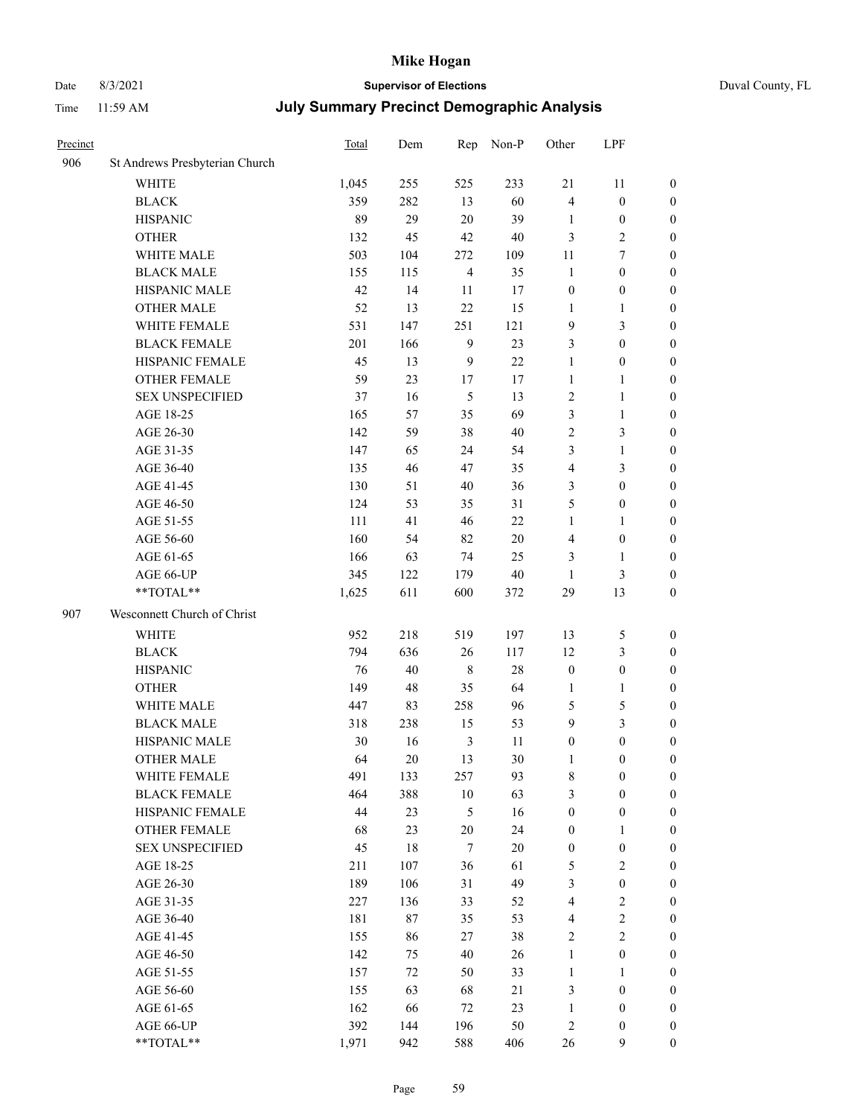## Date 8/3/2021 **Supervisor of Elections** Duval County, FL

| Precinct |                                | Total | Dem    |                | Rep Non-P | Other            | LPF              |                  |
|----------|--------------------------------|-------|--------|----------------|-----------|------------------|------------------|------------------|
| 906      | St Andrews Presbyterian Church |       |        |                |           |                  |                  |                  |
|          | <b>WHITE</b>                   | 1,045 | 255    | 525            | 233       | 21               | 11               | $\boldsymbol{0}$ |
|          | <b>BLACK</b>                   | 359   | 282    | 13             | 60        | 4                | $\boldsymbol{0}$ | $\boldsymbol{0}$ |
|          | <b>HISPANIC</b>                | 89    | 29     | 20             | 39        | 1                | $\boldsymbol{0}$ | $\boldsymbol{0}$ |
|          | <b>OTHER</b>                   | 132   | 45     | 42             | $40\,$    | 3                | $\sqrt{2}$       | $\boldsymbol{0}$ |
|          | WHITE MALE                     | 503   | 104    | 272            | 109       | 11               | $\tau$           | $\boldsymbol{0}$ |
|          | <b>BLACK MALE</b>              | 155   | 115    | $\overline{4}$ | 35        | $\mathbf{1}$     | $\boldsymbol{0}$ | $\boldsymbol{0}$ |
|          | HISPANIC MALE                  | 42    | 14     | $11\,$         | 17        | $\boldsymbol{0}$ | $\boldsymbol{0}$ | $\boldsymbol{0}$ |
|          | <b>OTHER MALE</b>              | 52    | 13     | 22             | 15        | 1                | $\mathbf{1}$     | $\boldsymbol{0}$ |
|          | WHITE FEMALE                   | 531   | 147    | 251            | 121       | 9                | $\mathfrak{Z}$   | $\boldsymbol{0}$ |
|          | <b>BLACK FEMALE</b>            | 201   | 166    | $\overline{9}$ | 23        | 3                | $\boldsymbol{0}$ | 0                |
|          | HISPANIC FEMALE                | 45    | 13     | 9              | 22        | $\mathbf{1}$     | $\boldsymbol{0}$ | $\boldsymbol{0}$ |
|          | OTHER FEMALE                   | 59    | 23     | 17             | 17        | $\mathbf{1}$     | $\mathbf{1}$     | $\boldsymbol{0}$ |
|          | <b>SEX UNSPECIFIED</b>         | 37    | 16     | $\mathfrak{S}$ | 13        | $\sqrt{2}$       | $\mathbf{1}$     | $\boldsymbol{0}$ |
|          | AGE 18-25                      | 165   | 57     | 35             | 69        | 3                | $\mathbf{1}$     | $\boldsymbol{0}$ |
|          | AGE 26-30                      | 142   | 59     | 38             | $40\,$    | 2                | $\mathfrak{Z}$   | $\boldsymbol{0}$ |
|          | AGE 31-35                      | 147   | 65     | 24             | 54        | 3                | $\mathbf{1}$     | $\boldsymbol{0}$ |
|          | AGE 36-40                      | 135   | 46     | 47             | 35        | 4                | 3                | $\boldsymbol{0}$ |
|          | AGE 41-45                      | 130   | 51     | 40             | 36        | 3                | $\boldsymbol{0}$ | $\boldsymbol{0}$ |
|          | AGE 46-50                      | 124   | 53     | 35             | 31        | 5                | $\boldsymbol{0}$ | $\boldsymbol{0}$ |
|          | AGE 51-55                      | 111   | 41     | 46             | 22        | $\mathbf{1}$     | 1                | 0                |
|          | AGE 56-60                      | 160   | 54     | 82             | 20        | 4                | $\boldsymbol{0}$ | $\boldsymbol{0}$ |
|          | AGE 61-65                      | 166   | 63     | 74             | 25        | 3                | $\mathbf{1}$     | $\boldsymbol{0}$ |
|          | AGE 66-UP                      | 345   | 122    | 179            | $40\,$    | 1                | $\mathfrak{Z}$   | $\boldsymbol{0}$ |
|          | **TOTAL**                      | 1,625 | 611    | 600            | 372       | 29               | 13               | $\boldsymbol{0}$ |
| 907      | Wesconnett Church of Christ    |       |        |                |           |                  |                  |                  |
|          | WHITE                          | 952   | 218    | 519            | 197       | 13               | $\mathfrak s$    | $\boldsymbol{0}$ |
|          | <b>BLACK</b>                   | 794   | 636    | 26             | 117       | 12               | $\mathfrak{Z}$   | $\boldsymbol{0}$ |
|          | <b>HISPANIC</b>                | 76    | 40     | $\,8\,$        | 28        | $\boldsymbol{0}$ | $\boldsymbol{0}$ | $\boldsymbol{0}$ |
|          | <b>OTHER</b>                   | 149   | 48     | 35             | 64        | $\mathbf{1}$     | $\mathbf{1}$     | $\boldsymbol{0}$ |
|          | WHITE MALE                     | 447   | 83     | 258            | 96        | 5                | $\mathfrak{S}$   | $\boldsymbol{0}$ |
|          | <b>BLACK MALE</b>              | 318   | 238    | 15             | 53        | 9                | $\mathfrak{Z}$   | $\boldsymbol{0}$ |
|          | HISPANIC MALE                  | 30    | 16     | $\mathfrak{Z}$ | 11        | $\boldsymbol{0}$ | $\boldsymbol{0}$ | 0                |
|          | <b>OTHER MALE</b>              | 64    | 20     | 13             | 30        | 1                | $\boldsymbol{0}$ | $\boldsymbol{0}$ |
|          | WHITE FEMALE                   | 491   | 133    | 257            | 93        | 8                | $\boldsymbol{0}$ | $\boldsymbol{0}$ |
|          | <b>BLACK FEMALE</b>            | 464   | 388    | $10\,$         | 63        | 3                | $\boldsymbol{0}$ | $\overline{0}$   |
|          | HISPANIC FEMALE                | 44    | 23     | 5              | 16        | $\boldsymbol{0}$ | $\boldsymbol{0}$ | $\overline{0}$   |
|          | OTHER FEMALE                   | 68    | 23     | $20\,$         | 24        | $\boldsymbol{0}$ | $\mathbf{1}$     | 0                |
|          | <b>SEX UNSPECIFIED</b>         | 45    | $18\,$ | $\tau$         | $20\,$    | $\boldsymbol{0}$ | $\boldsymbol{0}$ | 0                |
|          | AGE 18-25                      | 211   | 107    | 36             | 61        | 5                | $\sqrt{2}$       | 0                |
|          | AGE 26-30                      | 189   | 106    | 31             | 49        | 3                | $\boldsymbol{0}$ | 0                |
|          | AGE 31-35                      | 227   | 136    | 33             | 52        | $\overline{4}$   | $\sqrt{2}$       | 0                |
|          | AGE 36-40                      | 181   | 87     | 35             | 53        | $\overline{4}$   | $\sqrt{2}$       | 0                |
|          | AGE 41-45                      | 155   | 86     | 27             | 38        | $\overline{c}$   | $\sqrt{2}$       | 0                |
|          | AGE 46-50                      | 142   | 75     | 40             | 26        | $\mathbf{1}$     | $\boldsymbol{0}$ | 0                |
|          | AGE 51-55                      | 157   | 72     | 50             | 33        | $\mathbf{1}$     | 1                | $\boldsymbol{0}$ |
|          | AGE 56-60                      | 155   | 63     | 68             | 21        | 3                | $\boldsymbol{0}$ | $\boldsymbol{0}$ |
|          | AGE 61-65                      | 162   | 66     | 72             | 23        | $\mathbf{1}$     | $\boldsymbol{0}$ | 0                |
|          | AGE 66-UP                      | 392   | 144    | 196            | 50        | $\sqrt{2}$       | $\boldsymbol{0}$ | 0                |
|          | **TOTAL**                      | 1,971 | 942    | 588            | 406       | 26               | 9                | $\overline{0}$   |
|          |                                |       |        |                |           |                  |                  |                  |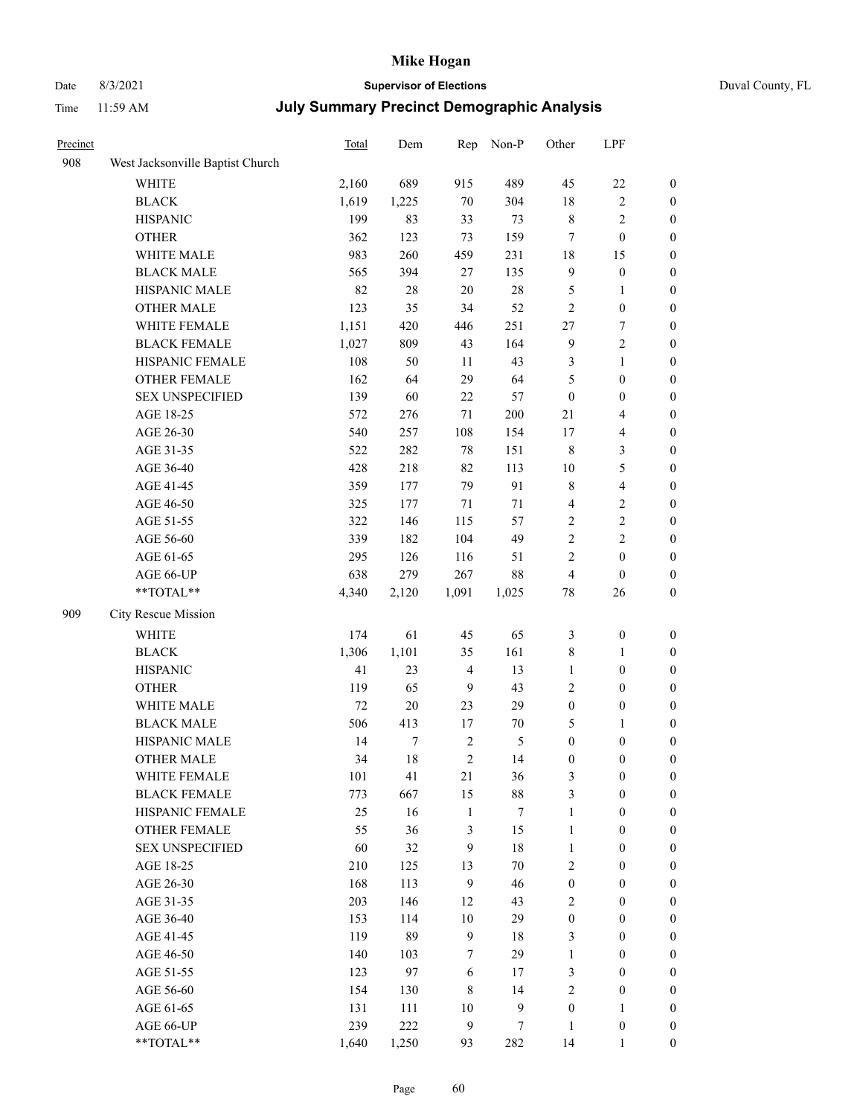# Date 8/3/2021 **Supervisor of Elections**

| Duval County, FL |  |  |  |
|------------------|--|--|--|
|------------------|--|--|--|

| Precinct |                                  | Total  | Dem    | Rep            | Non-P        | Other            | LPF                     |                  |
|----------|----------------------------------|--------|--------|----------------|--------------|------------------|-------------------------|------------------|
| 908      | West Jacksonville Baptist Church |        |        |                |              |                  |                         |                  |
|          | <b>WHITE</b>                     | 2,160  | 689    | 915            | 489          | 45               | $22\,$                  | $\boldsymbol{0}$ |
|          | <b>BLACK</b>                     | 1,619  | 1,225  | $70\,$         | 304          | 18               | $\sqrt{2}$              | $\boldsymbol{0}$ |
|          | <b>HISPANIC</b>                  | 199    | 83     | 33             | 73           | 8                | $\sqrt{2}$              | $\boldsymbol{0}$ |
|          | <b>OTHER</b>                     | 362    | 123    | 73             | 159          | 7                | $\boldsymbol{0}$        | $\boldsymbol{0}$ |
|          | WHITE MALE                       | 983    | 260    | 459            | 231          | 18               | 15                      | $\boldsymbol{0}$ |
|          | <b>BLACK MALE</b>                | 565    | 394    | 27             | 135          | 9                | $\boldsymbol{0}$        | $\boldsymbol{0}$ |
|          | HISPANIC MALE                    | 82     | $28\,$ | 20             | $28\,$       | 5                | $\mathbf{1}$            | $\boldsymbol{0}$ |
|          | <b>OTHER MALE</b>                | 123    | 35     | 34             | 52           | $\overline{c}$   | $\boldsymbol{0}$        | $\boldsymbol{0}$ |
|          | WHITE FEMALE                     | 1,151  | 420    | 446            | 251          | 27               | 7                       | $\boldsymbol{0}$ |
|          | <b>BLACK FEMALE</b>              | 1,027  | 809    | 43             | 164          | $\overline{9}$   | $\sqrt{2}$              | 0                |
|          | HISPANIC FEMALE                  | 108    | 50     | 11             | 43           | 3                | $\mathbf{1}$            | $\boldsymbol{0}$ |
|          | OTHER FEMALE                     | 162    | 64     | 29             | 64           | 5                | $\boldsymbol{0}$        | $\boldsymbol{0}$ |
|          | <b>SEX UNSPECIFIED</b>           | 139    | 60     | 22             | 57           | $\boldsymbol{0}$ | $\boldsymbol{0}$        | $\boldsymbol{0}$ |
|          | AGE 18-25                        | 572    | 276    | $71\,$         | 200          | 21               | $\overline{4}$          | $\boldsymbol{0}$ |
|          | AGE 26-30                        | 540    | 257    | 108            | 154          | 17               | $\overline{4}$          | $\boldsymbol{0}$ |
|          | AGE 31-35                        | 522    | 282    | 78             | 151          | $\,$ 8 $\,$      | $\mathfrak{Z}$          | $\boldsymbol{0}$ |
|          | AGE 36-40                        | 428    | 218    | 82             | 113          | 10               | $\mathfrak{S}$          | $\boldsymbol{0}$ |
|          | AGE 41-45                        | 359    | 177    | 79             | 91           | 8                | $\overline{\mathbf{4}}$ | $\boldsymbol{0}$ |
|          | AGE 46-50                        | 325    | 177    | 71             | $71\,$       | 4                | $\sqrt{2}$              | $\boldsymbol{0}$ |
|          | AGE 51-55                        | 322    | 146    | 115            | 57           | $\sqrt{2}$       | $\sqrt{2}$              | 0                |
|          | AGE 56-60                        | 339    | 182    | 104            | 49           | $\sqrt{2}$       | $\sqrt{2}$              | 0                |
|          | AGE 61-65                        | 295    | 126    | 116            | 51           | $\mathbf{2}$     | $\boldsymbol{0}$        | $\boldsymbol{0}$ |
|          | AGE 66-UP                        | 638    | 279    | 267            | $88\,$       | 4                | $\boldsymbol{0}$        | $\boldsymbol{0}$ |
|          | **TOTAL**                        | 4,340  | 2,120  | 1,091          | 1,025        | $78\,$           | 26                      | $\boldsymbol{0}$ |
| 909      | City Rescue Mission              |        |        |                |              |                  |                         |                  |
|          | <b>WHITE</b>                     | 174    | 61     | 45             | 65           | $\mathfrak{Z}$   | $\boldsymbol{0}$        | $\boldsymbol{0}$ |
|          | <b>BLACK</b>                     | 1,306  | 1,101  | 35             | 161          | 8                | $\mathbf{1}$            | $\boldsymbol{0}$ |
|          | <b>HISPANIC</b>                  | 41     | 23     | $\overline{4}$ | 13           | $\mathbf{1}$     | $\boldsymbol{0}$        | $\boldsymbol{0}$ |
|          | <b>OTHER</b>                     | 119    | 65     | $\overline{9}$ | 43           | $\sqrt{2}$       | $\boldsymbol{0}$        | $\boldsymbol{0}$ |
|          | WHITE MALE                       | $72\,$ | $20\,$ | 23             | 29           | $\boldsymbol{0}$ | $\boldsymbol{0}$        | $\boldsymbol{0}$ |
|          | <b>BLACK MALE</b>                | 506    | 413    | 17             | 70           | 5                | $\mathbf{1}$            | $\boldsymbol{0}$ |
|          | HISPANIC MALE                    | 14     | $\tau$ | $\sqrt{2}$     | 5            | $\boldsymbol{0}$ | $\boldsymbol{0}$        | 0                |
|          | <b>OTHER MALE</b>                | 34     | 18     | $\sqrt{2}$     | 14           | $\boldsymbol{0}$ | $\boldsymbol{0}$        | $\boldsymbol{0}$ |
|          | WHITE FEMALE                     | 101    | 41     | 21             | 36           | 3                | $\boldsymbol{0}$        | $\boldsymbol{0}$ |
|          | <b>BLACK FEMALE</b>              | 773    | 667    | 15             | $88\,$       | 3                | $\boldsymbol{0}$        | $\overline{0}$   |
|          | HISPANIC FEMALE                  | 25     | 16     | $\mathbf{1}$   | $\tau$       | $\mathbf{1}$     | $\boldsymbol{0}$        | $\overline{0}$   |
|          | <b>OTHER FEMALE</b>              | 55     | 36     | 3              | 15           | $\mathbf{1}$     | $\boldsymbol{0}$        | $\overline{0}$   |
|          | <b>SEX UNSPECIFIED</b>           | 60     | 32     | $\mathbf{9}$   | $18\,$       | $\mathbf{1}$     | $\boldsymbol{0}$        | $\overline{0}$   |
|          | AGE 18-25                        | 210    | 125    | 13             | $70\,$       | $\sqrt{2}$       | $\boldsymbol{0}$        | $\overline{0}$   |
|          | AGE 26-30                        | 168    | 113    | $\overline{9}$ | 46           | $\boldsymbol{0}$ | $\boldsymbol{0}$        | 0                |
|          | AGE 31-35                        | 203    | 146    | 12             | 43           | 2                | $\boldsymbol{0}$        | 0                |
|          | AGE 36-40                        | 153    | 114    | 10             | 29           | $\boldsymbol{0}$ | $\boldsymbol{0}$        | 0                |
|          | AGE 41-45                        | 119    | 89     | $\overline{9}$ | $18\,$       | 3                | $\boldsymbol{0}$        | 0                |
|          | AGE 46-50                        | 140    | 103    | 7              | 29           | $\mathbf{1}$     | $\boldsymbol{0}$        | $\overline{0}$   |
|          | AGE 51-55                        | 123    | 97     | 6              | 17           | 3                | $\boldsymbol{0}$        | $\boldsymbol{0}$ |
|          | AGE 56-60                        | 154    | 130    | $\,$ 8 $\,$    | 14           | 2                | $\boldsymbol{0}$        | $\boldsymbol{0}$ |
|          | AGE 61-65                        | 131    | 111    | 10             | $\mathbf{9}$ | $\boldsymbol{0}$ | $\mathbf{1}$            | $\overline{0}$   |
|          | AGE 66-UP                        | 239    | 222    | $\mathbf{9}$   | $\tau$       | $\mathbf{1}$     | $\boldsymbol{0}$        | $\boldsymbol{0}$ |
|          | **TOTAL**                        | 1,640  | 1,250  | 93             | 282          | 14               | $\mathbf{1}$            | $\boldsymbol{0}$ |
|          |                                  |        |        |                |              |                  |                         |                  |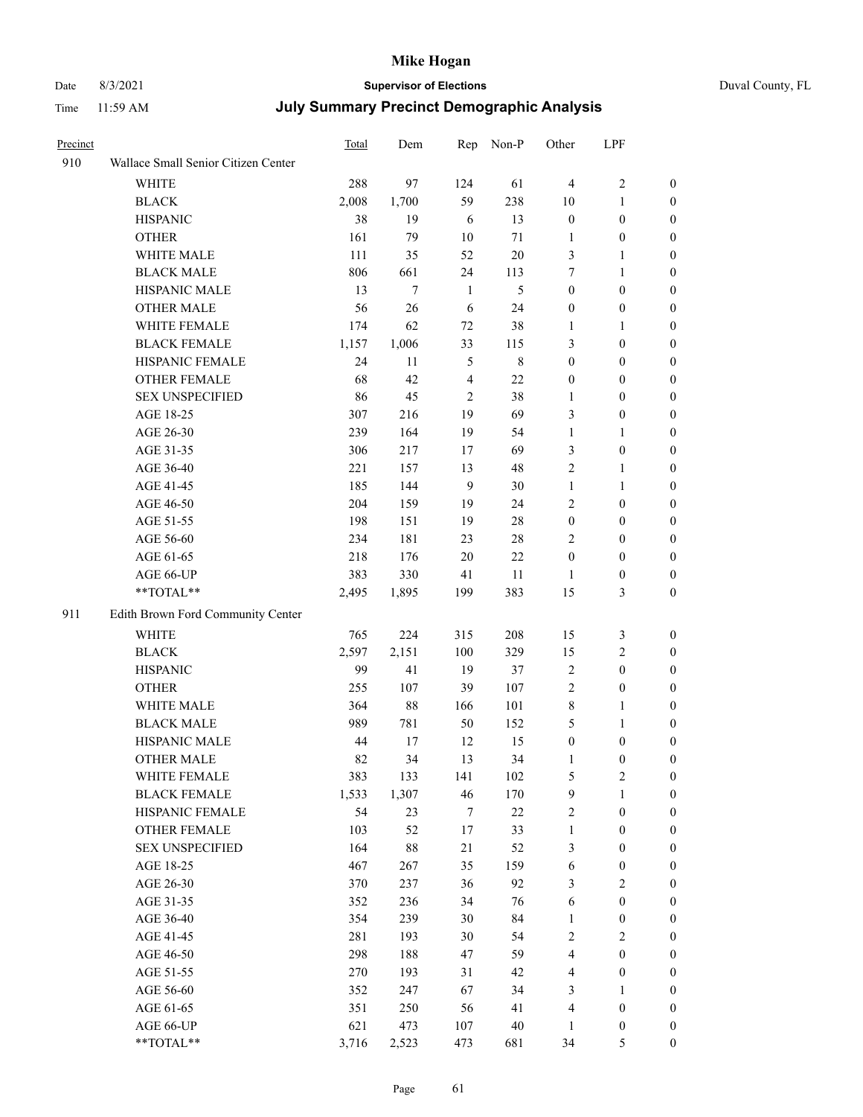## Date 8/3/2021 **Supervisor of Elections** Duval County, FL

| Precinct |                                     | Total | Dem    | Rep            | Non-P          | Other            | LPF              |                  |
|----------|-------------------------------------|-------|--------|----------------|----------------|------------------|------------------|------------------|
| 910      | Wallace Small Senior Citizen Center |       |        |                |                |                  |                  |                  |
|          | <b>WHITE</b>                        | 288   | 97     | 124            | 61             | $\overline{4}$   | $\sqrt{2}$       | 0                |
|          | <b>BLACK</b>                        | 2,008 | 1,700  | 59             | 238            | 10               | $\mathbf{1}$     | $\boldsymbol{0}$ |
|          | <b>HISPANIC</b>                     | 38    | 19     | 6              | 13             | $\boldsymbol{0}$ | $\boldsymbol{0}$ | $\boldsymbol{0}$ |
|          | <b>OTHER</b>                        | 161   | 79     | 10             | 71             | 1                | $\boldsymbol{0}$ | $\boldsymbol{0}$ |
|          | WHITE MALE                          | 111   | 35     | 52             | 20             | 3                | $\mathbf{1}$     | $\boldsymbol{0}$ |
|          | <b>BLACK MALE</b>                   | 806   | 661    | 24             | 113            | 7                | $\mathbf{1}$     | $\boldsymbol{0}$ |
|          | HISPANIC MALE                       | 13    | $\tau$ | $\mathbf{1}$   | $\mathfrak{S}$ | $\boldsymbol{0}$ | $\boldsymbol{0}$ | $\boldsymbol{0}$ |
|          | <b>OTHER MALE</b>                   | 56    | 26     | 6              | 24             | $\boldsymbol{0}$ | $\boldsymbol{0}$ | $\boldsymbol{0}$ |
|          | WHITE FEMALE                        | 174   | 62     | 72             | 38             | 1                | $\mathbf{1}$     | $\boldsymbol{0}$ |
|          | <b>BLACK FEMALE</b>                 | 1,157 | 1,006  | 33             | 115            | 3                | $\boldsymbol{0}$ | 0                |
|          | HISPANIC FEMALE                     | 24    | 11     | $\mathfrak{S}$ | $\,$ 8 $\,$    | $\boldsymbol{0}$ | $\boldsymbol{0}$ | $\boldsymbol{0}$ |
|          | OTHER FEMALE                        | 68    | 42     | $\overline{4}$ | 22             | $\boldsymbol{0}$ | $\boldsymbol{0}$ | $\boldsymbol{0}$ |
|          | <b>SEX UNSPECIFIED</b>              | 86    | 45     | $\overline{2}$ | 38             | 1                | $\boldsymbol{0}$ | $\boldsymbol{0}$ |
|          | AGE 18-25                           | 307   | 216    | 19             | 69             | 3                | $\boldsymbol{0}$ | $\boldsymbol{0}$ |
|          | AGE 26-30                           | 239   | 164    | 19             | 54             | $\mathbf{1}$     | $\mathbf{1}$     | $\boldsymbol{0}$ |
|          | AGE 31-35                           | 306   | 217    | 17             | 69             | 3                | $\boldsymbol{0}$ | $\boldsymbol{0}$ |
|          | AGE 36-40                           | 221   | 157    | 13             | 48             | $\overline{c}$   | $\mathbf{1}$     | $\boldsymbol{0}$ |
|          | AGE 41-45                           | 185   | 144    | $\overline{9}$ | $30\,$         | $\mathbf{1}$     | 1                | $\boldsymbol{0}$ |
|          | AGE 46-50                           | 204   | 159    | 19             | 24             | 2                | $\boldsymbol{0}$ | $\boldsymbol{0}$ |
|          | AGE 51-55                           | 198   | 151    | 19             | 28             | $\boldsymbol{0}$ | $\boldsymbol{0}$ | 0                |
|          | AGE 56-60                           | 234   | 181    | 23             | $28\,$         | 2                | $\boldsymbol{0}$ | 0                |
|          | AGE 61-65                           | 218   | 176    | $20\,$         | 22             | $\boldsymbol{0}$ | $\boldsymbol{0}$ | $\boldsymbol{0}$ |
|          | AGE 66-UP                           | 383   | 330    | 41             | 11             | 1                | $\boldsymbol{0}$ | $\boldsymbol{0}$ |
|          | **TOTAL**                           | 2,495 | 1,895  | 199            | 383            | 15               | $\mathfrak{Z}$   | $\boldsymbol{0}$ |
| 911      | Edith Brown Ford Community Center   |       |        |                |                |                  |                  |                  |
|          | WHITE                               | 765   | 224    | 315            | 208            | 15               | $\mathfrak{Z}$   | $\boldsymbol{0}$ |
|          | <b>BLACK</b>                        | 2,597 | 2,151  | 100            | 329            | 15               | $\mathbf{2}$     | $\boldsymbol{0}$ |
|          | <b>HISPANIC</b>                     | 99    | 41     | 19             | 37             | $\sqrt{2}$       | $\boldsymbol{0}$ | $\boldsymbol{0}$ |
|          | <b>OTHER</b>                        | 255   | 107    | 39             | 107            | $\mathbf{2}$     | $\boldsymbol{0}$ | $\boldsymbol{0}$ |
|          | WHITE MALE                          | 364   | $88\,$ | 166            | 101            | 8                | 1                | $\boldsymbol{0}$ |
|          | <b>BLACK MALE</b>                   | 989   | 781    | 50             | 152            | 5                | $\mathbf{1}$     | 0                |
|          | HISPANIC MALE                       | 44    | 17     | 12             | 15             | $\boldsymbol{0}$ | $\boldsymbol{0}$ | 0                |
|          | <b>OTHER MALE</b>                   | 82    | 34     | 13             | 34             | 1                | $\boldsymbol{0}$ | $\boldsymbol{0}$ |
|          | WHITE FEMALE                        | 383   | 133    | 141            | 102            | 5                | $\overline{c}$   | $\overline{0}$   |
|          | <b>BLACK FEMALE</b>                 | 1,533 | 1,307  | 46             | 170            | 9                | $\mathbf{1}$     | $\boldsymbol{0}$ |
|          | HISPANIC FEMALE                     | 54    | 23     | 7              | $22\,$         | 2                | $\boldsymbol{0}$ | $\overline{0}$   |
|          | <b>OTHER FEMALE</b>                 | 103   | 52     | 17             | 33             | $\mathbf{1}$     | $\boldsymbol{0}$ | $\overline{0}$   |
|          | <b>SEX UNSPECIFIED</b>              | 164   | $88\,$ | 21             | 52             | 3                | $\boldsymbol{0}$ | 0                |
|          | AGE 18-25                           | 467   | 267    | 35             | 159            | $\sqrt{6}$       | $\boldsymbol{0}$ | 0                |
|          | AGE 26-30                           | 370   | 237    | 36             | 92             | 3                | $\sqrt{2}$       | 0                |
|          | AGE 31-35                           | 352   | 236    | 34             | 76             | 6                | $\boldsymbol{0}$ | 0                |
|          | AGE 36-40                           | 354   | 239    | 30             | 84             | $\mathbf{1}$     | $\boldsymbol{0}$ | 0                |
|          | AGE 41-45                           | 281   | 193    | 30             | 54             | 2                | $\overline{c}$   | 0                |
|          | AGE 46-50                           | 298   | 188    | 47             | 59             | 4                | $\boldsymbol{0}$ | 0                |
|          | AGE 51-55                           | 270   | 193    | 31             | 42             | 4                | $\boldsymbol{0}$ | $\boldsymbol{0}$ |
|          | AGE 56-60                           | 352   | 247    | 67             | 34             | 3                | 1                | $\boldsymbol{0}$ |
|          | AGE 61-65                           | 351   | 250    | 56             | 41             | 4                | $\boldsymbol{0}$ | 0                |
|          | AGE 66-UP                           | 621   | 473    | 107            | 40             | 1                | $\boldsymbol{0}$ | 0                |
|          | **TOTAL**                           | 3,716 | 2,523  | 473            | 681            | 34               | 5                | $\boldsymbol{0}$ |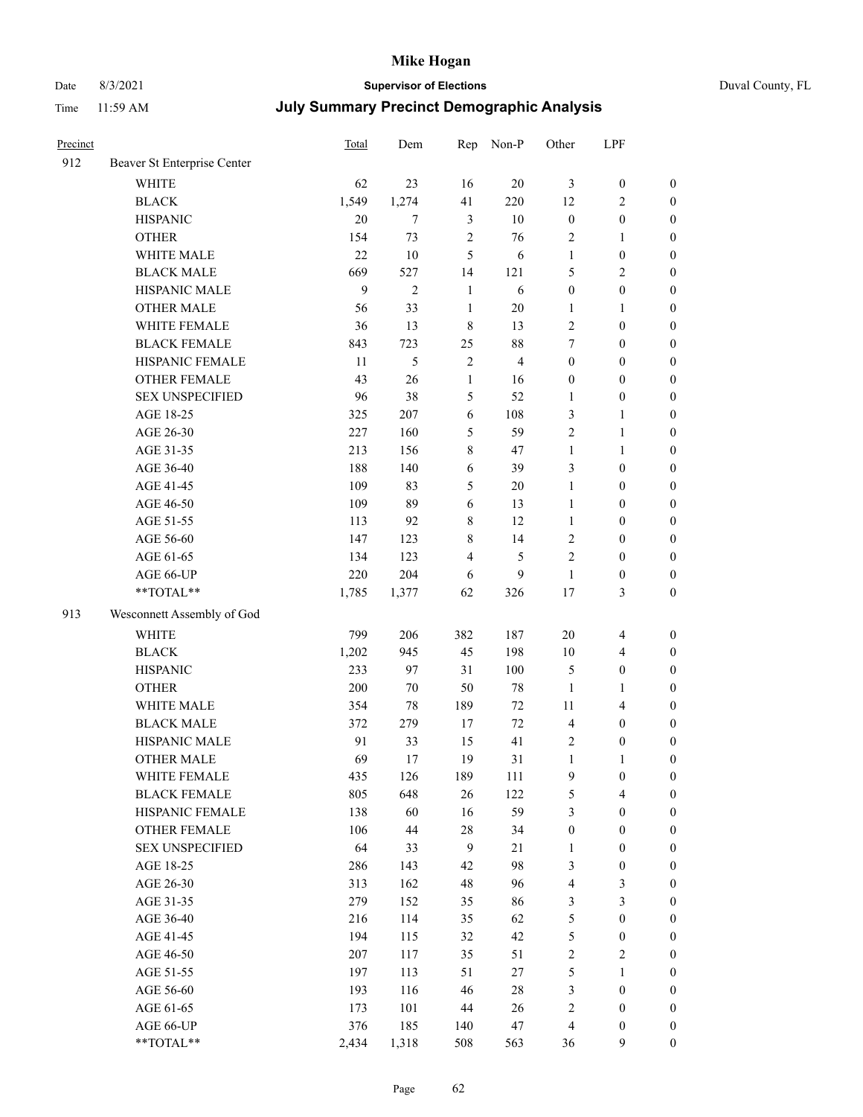# Date 8/3/2021 **Supervisor of Elections** Duval County, FL

| Precinct |                             | Total        | Dem            | Rep            | Non-P          | Other            | LPF              |                  |
|----------|-----------------------------|--------------|----------------|----------------|----------------|------------------|------------------|------------------|
| 912      | Beaver St Enterprise Center |              |                |                |                |                  |                  |                  |
|          | <b>WHITE</b>                | 62           | 23             | 16             | 20             | 3                | $\boldsymbol{0}$ | $\boldsymbol{0}$ |
|          | <b>BLACK</b>                | 1,549        | 1,274          | 41             | 220            | 12               | $\sqrt{2}$       | $\boldsymbol{0}$ |
|          | <b>HISPANIC</b>             | 20           | $\tau$         | $\mathfrak{Z}$ | $10\,$         | $\boldsymbol{0}$ | $\boldsymbol{0}$ | $\boldsymbol{0}$ |
|          | <b>OTHER</b>                | 154          | 73             | $\sqrt{2}$     | 76             | 2                | $\mathbf{1}$     | $\boldsymbol{0}$ |
|          | WHITE MALE                  | 22           | 10             | 5              | 6              | $\mathbf{1}$     | $\boldsymbol{0}$ | $\boldsymbol{0}$ |
|          | <b>BLACK MALE</b>           | 669          | 527            | 14             | 121            | 5                | $\sqrt{2}$       | $\boldsymbol{0}$ |
|          | HISPANIC MALE               | $\mathbf{9}$ | $\overline{c}$ | $\mathbf{1}$   | 6              | $\boldsymbol{0}$ | $\boldsymbol{0}$ | $\boldsymbol{0}$ |
|          | <b>OTHER MALE</b>           | 56           | 33             | $\mathbf{1}$   | $20\,$         | $\mathbf{1}$     | 1                | $\boldsymbol{0}$ |
|          | WHITE FEMALE                | 36           | 13             | $\,$ 8 $\,$    | 13             | 2                | $\boldsymbol{0}$ | $\boldsymbol{0}$ |
|          | <b>BLACK FEMALE</b>         | 843          | 723            | 25             | $88\,$         | $\tau$           | $\boldsymbol{0}$ | 0                |
|          | HISPANIC FEMALE             | 11           | 5              | $\sqrt{2}$     | $\overline{4}$ | $\boldsymbol{0}$ | $\boldsymbol{0}$ | $\boldsymbol{0}$ |
|          | <b>OTHER FEMALE</b>         | 43           | 26             | $\mathbf{1}$   | 16             | $\boldsymbol{0}$ | $\boldsymbol{0}$ | $\boldsymbol{0}$ |
|          | <b>SEX UNSPECIFIED</b>      | 96           | 38             | 5              | 52             | 1                | $\boldsymbol{0}$ | $\boldsymbol{0}$ |
|          | AGE 18-25                   | 325          | 207            | 6              | 108            | 3                | $\mathbf{1}$     | $\boldsymbol{0}$ |
|          | AGE 26-30                   | 227          | 160            | 5              | 59             | 2                | $\mathbf{1}$     | $\boldsymbol{0}$ |
|          | AGE 31-35                   | 213          | 156            | $\,$ $\,$      | 47             | $\mathbf{1}$     | $\mathbf{1}$     | $\boldsymbol{0}$ |
|          | AGE 36-40                   | 188          | 140            | 6              | 39             | 3                | $\boldsymbol{0}$ | $\boldsymbol{0}$ |
|          | AGE 41-45                   | 109          | 83             | 5              | $20\,$         | $\mathbf{1}$     | $\boldsymbol{0}$ | $\boldsymbol{0}$ |
|          | AGE 46-50                   | 109          | 89             | 6              | 13             | $\mathbf{1}$     | $\boldsymbol{0}$ | $\boldsymbol{0}$ |
|          | AGE 51-55                   | 113          | 92             | $\,$ 8 $\,$    | 12             | $\mathbf{1}$     | $\boldsymbol{0}$ | $\boldsymbol{0}$ |
|          | AGE 56-60                   | 147          | 123            | $\,$ 8 $\,$    | 14             | 2                | $\boldsymbol{0}$ | $\boldsymbol{0}$ |
|          | AGE 61-65                   | 134          | 123            | $\overline{4}$ | 5              | $\mathbf{2}$     | $\boldsymbol{0}$ | $\boldsymbol{0}$ |
|          | AGE 66-UP                   | 220          | 204            | 6              | 9              | $\mathbf{1}$     | $\boldsymbol{0}$ | $\boldsymbol{0}$ |
|          | **TOTAL**                   | 1,785        | 1,377          | 62             | 326            | 17               | $\mathfrak{Z}$   | $\boldsymbol{0}$ |
| 913      | Wesconnett Assembly of God  |              |                |                |                |                  |                  |                  |
|          | <b>WHITE</b>                | 799          | 206            | 382            | 187            | $20\,$           | $\overline{4}$   | $\boldsymbol{0}$ |
|          | <b>BLACK</b>                | 1,202        | 945            | 45             | 198            | $10\,$           | $\overline{4}$   | $\boldsymbol{0}$ |
|          | <b>HISPANIC</b>             | 233          | 97             | 31             | 100            | 5                | $\boldsymbol{0}$ | $\boldsymbol{0}$ |
|          | <b>OTHER</b>                | 200          | $70\,$         | 50             | $78\,$         | $\mathbf{1}$     | $\mathbf{1}$     | $\boldsymbol{0}$ |
|          | WHITE MALE                  | 354          | 78             | 189            | $72\,$         | $11\,$           | $\overline{4}$   | $\boldsymbol{0}$ |
|          | <b>BLACK MALE</b>           | 372          | 279            | 17             | 72             | 4                | $\boldsymbol{0}$ | $\boldsymbol{0}$ |
|          | HISPANIC MALE               | 91           | 33             | 15             | 41             | 2                | $\boldsymbol{0}$ | 0                |
|          | <b>OTHER MALE</b>           | 69           | 17             | 19             | 31             | $\mathbf{1}$     | 1                | $\boldsymbol{0}$ |
|          | WHITE FEMALE                | 435          | 126            | 189            | 111            | 9                | $\boldsymbol{0}$ | $\boldsymbol{0}$ |
|          | <b>BLACK FEMALE</b>         | 805          | 648            | 26             | 122            | 5                | $\overline{4}$   | $\boldsymbol{0}$ |
|          | HISPANIC FEMALE             | 138          | 60             | 16             | 59             | 3                | $\boldsymbol{0}$ | $\overline{0}$   |
|          | <b>OTHER FEMALE</b>         | 106          | $44\,$         | $28\,$         | 34             | $\boldsymbol{0}$ | $\boldsymbol{0}$ | $\overline{0}$   |
|          | <b>SEX UNSPECIFIED</b>      | 64           | 33             | $\overline{9}$ | $21\,$         | $\mathbf{1}$     | $\boldsymbol{0}$ | 0                |
|          | AGE 18-25                   | 286          | 143            | 42             | 98             | 3                | $\boldsymbol{0}$ | $\theta$         |
|          | AGE 26-30                   | 313          | 162            | 48             | 96             | 4                | $\sqrt{3}$       | 0                |
|          | AGE 31-35                   | 279          | 152            | 35             | 86             | $\mathfrak{Z}$   | $\mathfrak{Z}$   | 0                |
|          | AGE 36-40                   | 216          | 114            | 35             | 62             | 5                | $\boldsymbol{0}$ | 0                |
|          | AGE 41-45                   | 194          | 115            | 32             | 42             | 5                | $\boldsymbol{0}$ | 0                |
|          | AGE 46-50                   | 207          | 117            | 35             | 51             | 2                | $\sqrt{2}$       | 0                |
|          | AGE 51-55                   | 197          | 113            | 51             | $27\,$         | 5                | $\mathbf{1}$     | $\boldsymbol{0}$ |
|          | AGE 56-60                   | 193          | 116            | 46             | $28\,$         | 3                | $\boldsymbol{0}$ | $\boldsymbol{0}$ |
|          | AGE 61-65                   | 173          | 101            | 44             | 26             | 2                | $\boldsymbol{0}$ | 0                |
|          | AGE 66-UP                   | 376          | 185            | 140            | 47             | 4                | $\boldsymbol{0}$ | 0                |
|          | **TOTAL**                   | 2,434        | 1,318          | 508            | 563            | 36               | 9                | $\boldsymbol{0}$ |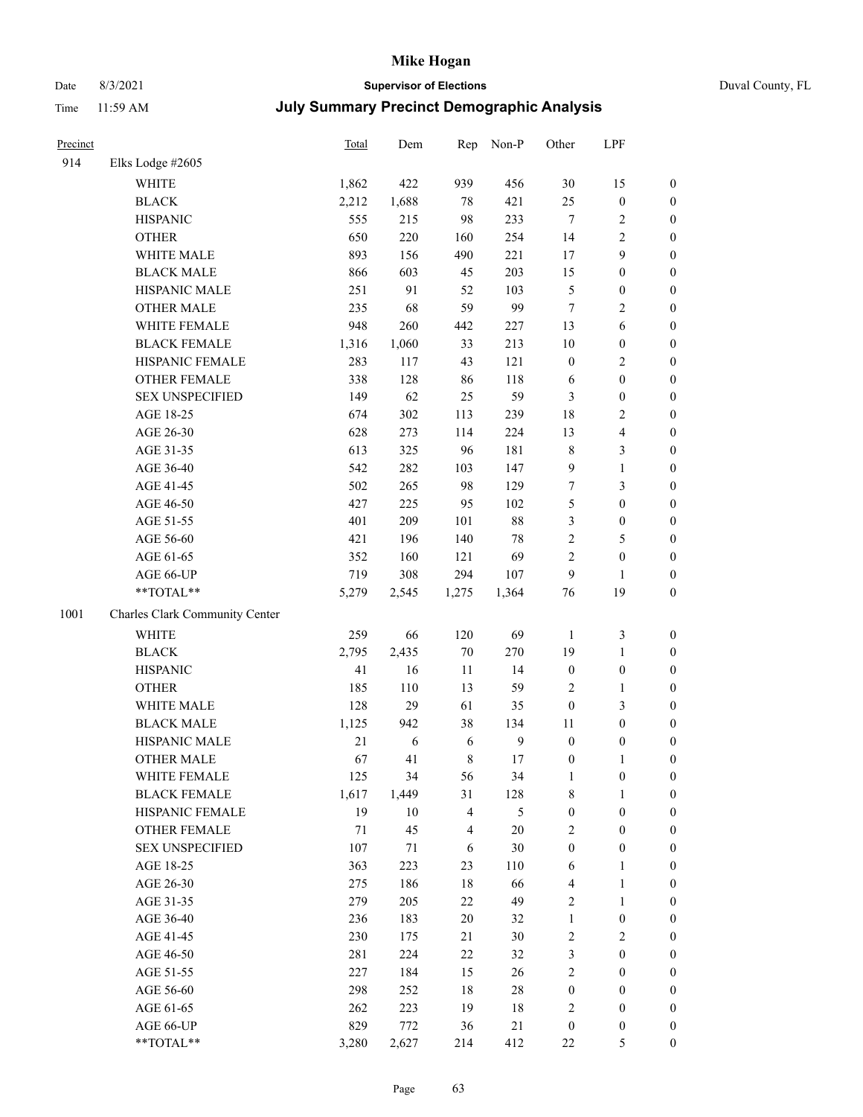# Date 8/3/2021 **Supervisor of Elections** Duval County, FL

| Precinct |                                | <b>Total</b> | Dem        | Rep            | Non-P            | Other            | LPF              |                  |
|----------|--------------------------------|--------------|------------|----------------|------------------|------------------|------------------|------------------|
| 914      | Elks Lodge #2605               |              |            |                |                  |                  |                  |                  |
|          | <b>WHITE</b>                   | 1,862        | 422        | 939            | 456              | 30               | 15               | 0                |
|          | <b>BLACK</b>                   | 2,212        | 1,688      | $78\,$         | 421              | 25               | $\boldsymbol{0}$ | 0                |
|          | <b>HISPANIC</b>                | 555          | 215        | 98             | 233              | $\tau$           | $\sqrt{2}$       | $\boldsymbol{0}$ |
|          | <b>OTHER</b>                   | 650          | 220        | 160            | 254              | 14               | $\sqrt{2}$       | $\boldsymbol{0}$ |
|          | WHITE MALE                     | 893          | 156        | 490            | 221              | 17               | 9                | $\boldsymbol{0}$ |
|          | <b>BLACK MALE</b>              | 866          | 603        | 45             | 203              | 15               | $\boldsymbol{0}$ | $\boldsymbol{0}$ |
|          | HISPANIC MALE                  | 251          | 91         | 52             | 103              | 5                | $\boldsymbol{0}$ | $\boldsymbol{0}$ |
|          | <b>OTHER MALE</b>              | 235          | 68         | 59             | 99               | $\tau$           | $\mathbf{2}$     | $\boldsymbol{0}$ |
|          | WHITE FEMALE                   | 948          | 260        | 442            | 227              | 13               | 6                | $\boldsymbol{0}$ |
|          | <b>BLACK FEMALE</b>            | 1,316        | 1,060      | 33             | 213              | $10\,$           | $\boldsymbol{0}$ | $\boldsymbol{0}$ |
|          | HISPANIC FEMALE                | 283          | 117        | 43             | 121              | $\boldsymbol{0}$ | $\sqrt{2}$       | $\boldsymbol{0}$ |
|          | <b>OTHER FEMALE</b>            | 338          | 128        | 86             | 118              | 6                | $\boldsymbol{0}$ | $\boldsymbol{0}$ |
|          | <b>SEX UNSPECIFIED</b>         | 149          | 62         | 25             | 59               | 3                | $\boldsymbol{0}$ | $\boldsymbol{0}$ |
|          | AGE 18-25                      | 674          | 302        | 113            | 239              | 18               | $\sqrt{2}$       | $\boldsymbol{0}$ |
|          | AGE 26-30                      | 628          | 273        | 114            | 224              | 13               | $\overline{4}$   | $\boldsymbol{0}$ |
|          | AGE 31-35                      | 613          | 325        | 96             | 181              | 8                | $\mathfrak{Z}$   | $\boldsymbol{0}$ |
|          | AGE 36-40                      | 542          | 282        | 103            | 147              | 9                | $\mathbf{1}$     | $\boldsymbol{0}$ |
|          | AGE 41-45                      | 502          | 265        | 98             | 129              | $\boldsymbol{7}$ | 3                | $\boldsymbol{0}$ |
|          | AGE 46-50                      | 427          | 225        | 95             | 102              | 5                | $\boldsymbol{0}$ | $\boldsymbol{0}$ |
|          | AGE 51-55                      | 401          | 209        | 101            | $88\,$           | 3                | $\boldsymbol{0}$ | $\boldsymbol{0}$ |
|          | AGE 56-60                      | 421          | 196        | 140            | $78\,$           | $\overline{c}$   | 5                | $\boldsymbol{0}$ |
|          | AGE 61-65                      | 352          | 160        | 121            | 69               | $\overline{c}$   | $\boldsymbol{0}$ | $\boldsymbol{0}$ |
|          | AGE 66-UP                      | 719          | 308        | 294            | 107              | 9                | $\mathbf{1}$     | $\boldsymbol{0}$ |
|          | $**TOTAL**$                    | 5,279        | 2,545      | 1,275          | 1,364            | 76               | 19               | $\boldsymbol{0}$ |
| 1001     | Charles Clark Community Center |              |            |                |                  |                  |                  |                  |
|          | <b>WHITE</b>                   | 259          | 66         | 120            | 69               | $\mathbf{1}$     | $\mathfrak z$    | $\boldsymbol{0}$ |
|          | <b>BLACK</b>                   | 2,795        | 2,435      | $70\,$         | 270              | 19               | $\mathbf{1}$     | $\boldsymbol{0}$ |
|          | <b>HISPANIC</b>                | 41           | 16         | 11             | 14               | $\boldsymbol{0}$ | $\boldsymbol{0}$ | $\boldsymbol{0}$ |
|          | <b>OTHER</b>                   | 185          | 110        | 13             | 59               | 2                | $\mathbf{1}$     | $\boldsymbol{0}$ |
|          | WHITE MALE                     | 128          | 29         | 61             | 35               | $\boldsymbol{0}$ | 3                | $\boldsymbol{0}$ |
|          | <b>BLACK MALE</b>              | 1,125        | 942        | 38             | 134              | $11\,$           | $\boldsymbol{0}$ | $\boldsymbol{0}$ |
|          | HISPANIC MALE                  | 21           | $\sqrt{6}$ | 6              | $\boldsymbol{9}$ | $\boldsymbol{0}$ | $\boldsymbol{0}$ | 0                |
|          | <b>OTHER MALE</b>              | 67           | 41         | 8              | 17               | $\boldsymbol{0}$ | $\mathbf{1}$     | $\boldsymbol{0}$ |
|          | WHITE FEMALE                   | 125          | 34         | 56             | 34               | 1                | 0                | 0                |
|          | <b>BLACK FEMALE</b>            | 1,617        | 1,449      | 31             | 128              | 8                | $\mathbf{1}$     | $\boldsymbol{0}$ |
|          | HISPANIC FEMALE                | 19           | $10\,$     | 4              | 5                | $\boldsymbol{0}$ | $\boldsymbol{0}$ | $\overline{0}$   |
|          | OTHER FEMALE                   | 71           | 45         | $\overline{4}$ | 20               | 2                | $\boldsymbol{0}$ | $\theta$         |
|          | <b>SEX UNSPECIFIED</b>         | 107          | 71         | 6              | 30               | $\boldsymbol{0}$ | $\boldsymbol{0}$ | 0                |
|          | AGE 18-25                      | 363          | 223        | 23             | 110              | 6                | $\mathbf{1}$     | 0                |
|          | AGE 26-30                      | 275          | 186        | 18             | 66               | 4                | $\mathbf{1}$     | 0                |
|          | AGE 31-35                      | 279          | 205        | 22             | 49               | 2                | $\mathbf{1}$     | 0                |
|          | AGE 36-40                      | 236          | 183        | $20\,$         | 32               | 1                | $\boldsymbol{0}$ | 0                |
|          | AGE 41-45                      | 230          | 175        | 21             | 30               | $\mathbf{2}$     | $\mathfrak{2}$   | 0                |
|          | AGE 46-50                      | 281          | 224        | 22             | 32               | 3                | $\boldsymbol{0}$ | 0                |
|          | AGE 51-55                      | 227          | 184        | 15             | 26               | $\overline{c}$   | $\boldsymbol{0}$ | 0                |
|          | AGE 56-60                      | 298          | 252        | 18             | $28\,$           | 0                | $\boldsymbol{0}$ | $\overline{0}$   |
|          | AGE 61-65                      | 262          | 223        | 19             | 18               | 2                | $\boldsymbol{0}$ | $\overline{0}$   |
|          | AGE 66-UP                      | 829          | 772        | 36             | 21               | $\boldsymbol{0}$ | $\boldsymbol{0}$ | 0                |
|          | **TOTAL**                      | 3,280        | 2,627      | 214            | 412              | 22               | $\mathfrak s$    | $\boldsymbol{0}$ |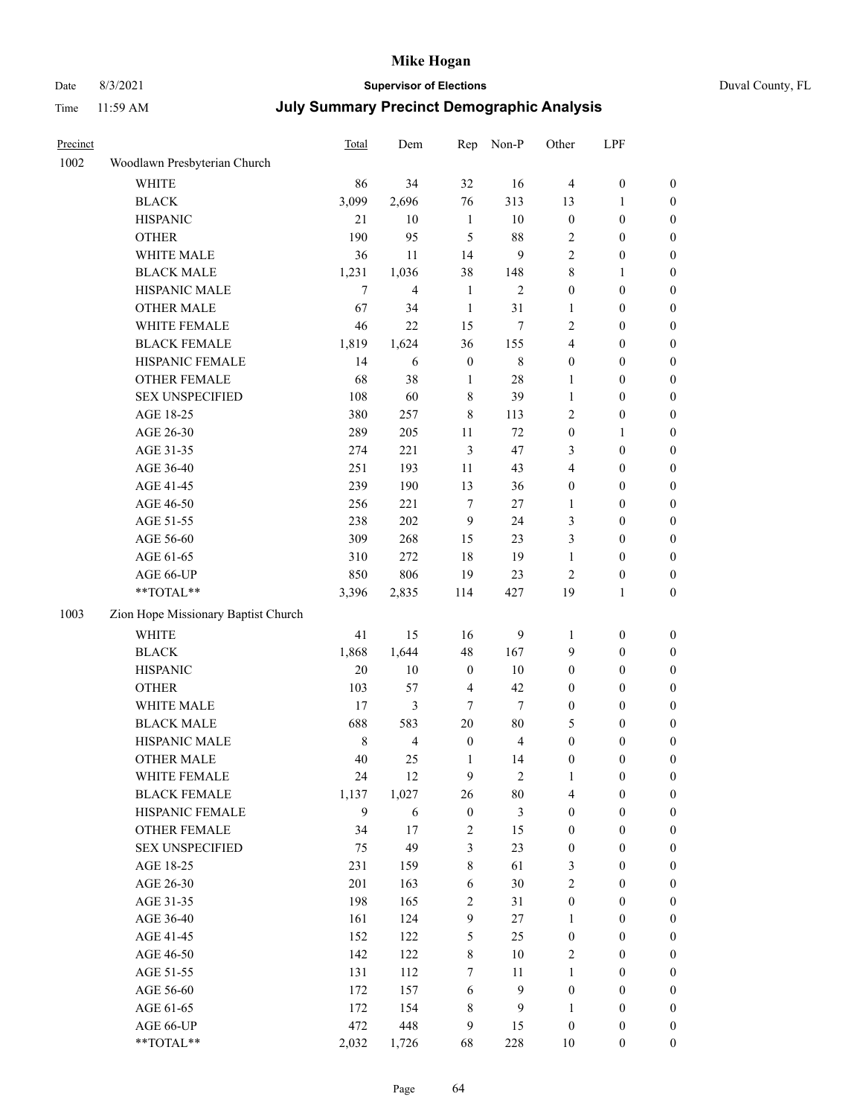## Date 8/3/2021 **Supervisor of Elections** Duval County, FL

| Precinct |                                                             | Total  | Dem            | Rep                     | Non-P            | Other                   | LPF              |                  |
|----------|-------------------------------------------------------------|--------|----------------|-------------------------|------------------|-------------------------|------------------|------------------|
| 1002     | Woodlawn Presbyterian Church                                |        |                |                         |                  |                         |                  |                  |
|          | <b>WHITE</b>                                                | 86     | 34             | 32                      | 16               | $\overline{4}$          | $\boldsymbol{0}$ | $\boldsymbol{0}$ |
|          | <b>BLACK</b>                                                | 3,099  | 2,696          | 76                      | 313              | 13                      | 1                | $\boldsymbol{0}$ |
|          | <b>HISPANIC</b>                                             | 21     | 10             | $\mathbf{1}$            | 10               | $\boldsymbol{0}$        | $\boldsymbol{0}$ | $\boldsymbol{0}$ |
|          | <b>OTHER</b>                                                | 190    | 95             | 5                       | 88               | 2                       | $\boldsymbol{0}$ | $\boldsymbol{0}$ |
|          | WHITE MALE                                                  | 36     | 11             | 14                      | $\boldsymbol{9}$ | $\overline{c}$          | $\boldsymbol{0}$ | $\boldsymbol{0}$ |
|          | <b>BLACK MALE</b>                                           | 1,231  | 1,036          | 38                      | 148              | 8                       | $\mathbf{1}$     | $\boldsymbol{0}$ |
|          | HISPANIC MALE                                               | 7      | $\overline{4}$ | $\mathbf{1}$            | $\mathbf{2}$     | $\boldsymbol{0}$        | $\boldsymbol{0}$ | $\boldsymbol{0}$ |
|          | <b>OTHER MALE</b>                                           | 67     | 34             | $\mathbf{1}$            | 31               | 1                       | $\boldsymbol{0}$ | $\boldsymbol{0}$ |
|          | WHITE FEMALE                                                | 46     | 22             | 15                      | 7                | $\overline{c}$          | $\boldsymbol{0}$ | 0                |
|          | <b>BLACK FEMALE</b>                                         | 1,819  | 1,624          | 36                      | 155              | 4                       | $\boldsymbol{0}$ | $\boldsymbol{0}$ |
|          | HISPANIC FEMALE                                             | 14     | 6              | $\boldsymbol{0}$        | $\,$ 8 $\,$      | $\boldsymbol{0}$        | $\boldsymbol{0}$ | $\boldsymbol{0}$ |
|          | <b>OTHER FEMALE</b>                                         | 68     | 38             | $\mathbf{1}$            | 28               | 1                       | $\boldsymbol{0}$ | $\boldsymbol{0}$ |
|          | <b>SEX UNSPECIFIED</b>                                      | 108    | 60             | 8                       | 39               | 1                       | $\boldsymbol{0}$ | $\boldsymbol{0}$ |
|          | AGE 18-25                                                   | 380    | 257            | $\,$ $\,$               | 113              | 2                       | $\boldsymbol{0}$ | $\boldsymbol{0}$ |
|          | AGE 26-30                                                   | 289    | 205            | $11\,$                  | 72               | $\boldsymbol{0}$        | $\mathbf{1}$     | $\boldsymbol{0}$ |
|          | AGE 31-35                                                   | 274    | 221            | 3                       | 47               | 3                       | $\boldsymbol{0}$ | $\boldsymbol{0}$ |
|          | AGE 36-40                                                   | 251    | 193            | $11\,$                  | 43               | 4                       | $\boldsymbol{0}$ | $\boldsymbol{0}$ |
|          | AGE 41-45                                                   | 239    | 190            | 13                      | 36               | $\boldsymbol{0}$        | $\boldsymbol{0}$ | $\boldsymbol{0}$ |
|          | AGE 46-50                                                   | 256    | 221            | $\tau$                  | 27               | 1                       | $\boldsymbol{0}$ | 0                |
|          | AGE 51-55                                                   | 238    | 202            | 9                       | 24               | 3                       | $\boldsymbol{0}$ | $\boldsymbol{0}$ |
|          | AGE 56-60                                                   | 309    | 268            | 15                      | 23               | 3                       | $\boldsymbol{0}$ | $\boldsymbol{0}$ |
|          | AGE 61-65                                                   | 310    | 272            | 18                      | 19               | 1                       | $\boldsymbol{0}$ | $\boldsymbol{0}$ |
|          | AGE 66-UP                                                   | 850    | 806            | 19                      | 23               | $\overline{\mathbf{c}}$ | $\boldsymbol{0}$ | $\boldsymbol{0}$ |
|          | $\mathrm{*}\mathrm{*} \mathrm{TOTAL} \mathrm{*} \mathrm{*}$ | 3,396  | 2,835          | 114                     | 427              | 19                      | $\mathbf{1}$     | $\boldsymbol{0}$ |
| 1003     | Zion Hope Missionary Baptist Church                         |        |                |                         |                  |                         |                  |                  |
|          | <b>WHITE</b>                                                | 41     | 15             | 16                      | 9                | $\mathbf{1}$            | $\boldsymbol{0}$ | $\boldsymbol{0}$ |
|          | <b>BLACK</b>                                                | 1,868  | 1,644          | 48                      | 167              | 9                       | $\boldsymbol{0}$ | $\boldsymbol{0}$ |
|          | <b>HISPANIC</b>                                             | $20\,$ | 10             | $\boldsymbol{0}$        | 10               | $\boldsymbol{0}$        | $\boldsymbol{0}$ | $\boldsymbol{0}$ |
|          | <b>OTHER</b>                                                | 103    | 57             | $\overline{\mathbf{4}}$ | 42               | $\boldsymbol{0}$        | $\boldsymbol{0}$ | $\boldsymbol{0}$ |
|          | WHITE MALE                                                  | 17     | $\mathfrak{Z}$ | 7                       | $\tau$           | $\boldsymbol{0}$        | $\boldsymbol{0}$ | $\boldsymbol{0}$ |
|          | <b>BLACK MALE</b>                                           | 688    | 583            | $20\,$                  | 80               | 5                       | $\boldsymbol{0}$ | 0                |
|          | HISPANIC MALE                                               | 8      | $\overline{4}$ | $\boldsymbol{0}$        | $\overline{4}$   | 0                       | $\boldsymbol{0}$ | 0                |
|          | <b>OTHER MALE</b>                                           | 40     | 25             | 1                       | 14               | 0                       | $\boldsymbol{0}$ | $\boldsymbol{0}$ |
|          | WHITE FEMALE                                                | 24     | $12\,$         | 9                       | $\overline{c}$   | 1                       | $\boldsymbol{0}$ | $\boldsymbol{0}$ |
|          | <b>BLACK FEMALE</b>                                         | 1,137  | 1,027          | 26                      | 80               | 4                       | $\boldsymbol{0}$ | $\overline{0}$   |
|          | HISPANIC FEMALE                                             | 9      | 6              | $\boldsymbol{0}$        | 3                | $\boldsymbol{0}$        | $\boldsymbol{0}$ | $\overline{0}$   |
|          | <b>OTHER FEMALE</b>                                         | 34     | 17             | $\overline{\mathbf{c}}$ | 15               | 0                       | $\boldsymbol{0}$ | $\overline{0}$   |
|          | <b>SEX UNSPECIFIED</b>                                      | 75     | 49             | 3                       | 23               | $\boldsymbol{0}$        | $\boldsymbol{0}$ | $\overline{0}$   |
|          | AGE 18-25                                                   | 231    | 159            | $\,8\,$                 | 61               | 3                       | $\boldsymbol{0}$ | $\overline{0}$   |
|          | AGE 26-30                                                   | 201    | 163            | 6                       | 30               | $\overline{c}$          | $\boldsymbol{0}$ | 0                |
|          | AGE 31-35                                                   | 198    | 165            | 2                       | 31               | $\boldsymbol{0}$        | $\boldsymbol{0}$ | 0                |
|          | AGE 36-40                                                   | 161    | 124            | 9                       | $27\,$           | $\mathbf{1}$            | $\boldsymbol{0}$ | $\boldsymbol{0}$ |
|          | AGE 41-45                                                   | 152    | 122            | 5                       | 25               | $\boldsymbol{0}$        | $\boldsymbol{0}$ | $\boldsymbol{0}$ |
|          | AGE 46-50                                                   | 142    | 122            | 8                       | 10               | 2                       | $\boldsymbol{0}$ | $\boldsymbol{0}$ |
|          | AGE 51-55                                                   | 131    | 112            | 7                       | 11               | $\mathbf{1}$            | $\boldsymbol{0}$ | $\boldsymbol{0}$ |
|          | AGE 56-60                                                   | 172    | 157            | 6                       | $\boldsymbol{9}$ | $\boldsymbol{0}$        | $\boldsymbol{0}$ | $\boldsymbol{0}$ |
|          | AGE 61-65                                                   | 172    | 154            | 8                       | $\boldsymbol{9}$ | $\mathbf{1}$            | $\boldsymbol{0}$ | $\overline{0}$   |
|          | AGE 66-UP                                                   | 472    | 448            | 9                       | 15               | $\boldsymbol{0}$        | $\boldsymbol{0}$ | $\overline{0}$   |
|          | $\mathrm{*}\mathrm{*} \mathrm{TOTAL} \mathrm{*} \mathrm{*}$ | 2,032  | 1,726          | 68                      | 228              | $10\,$                  | $\boldsymbol{0}$ | $\boldsymbol{0}$ |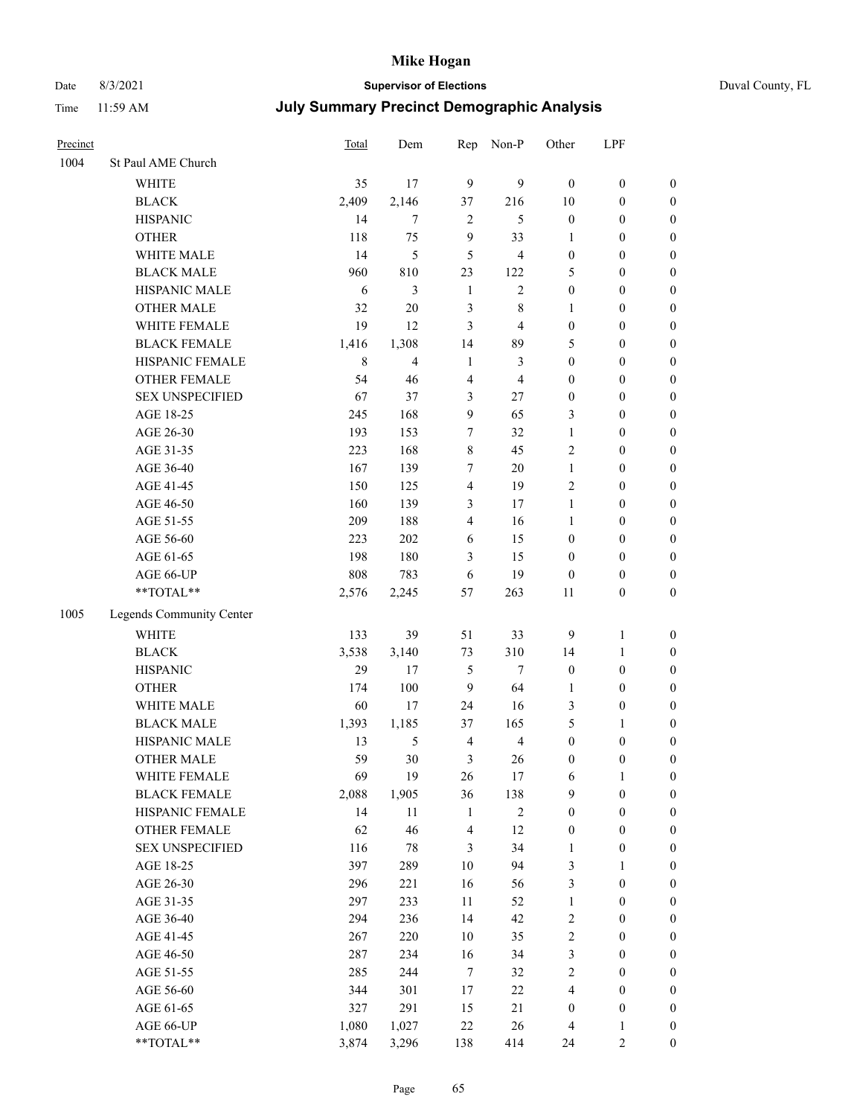# Date 8/3/2021 **Supervisor of Elections** Duval County, FL

| Precinct |                          | Total       | Dem            | Rep                     | Non-P          | Other            | LPF              |                  |
|----------|--------------------------|-------------|----------------|-------------------------|----------------|------------------|------------------|------------------|
| 1004     | St Paul AME Church       |             |                |                         |                |                  |                  |                  |
|          | <b>WHITE</b>             | 35          | 17             | 9                       | 9              | $\boldsymbol{0}$ | $\boldsymbol{0}$ | $\boldsymbol{0}$ |
|          | <b>BLACK</b>             | 2,409       | 2,146          | 37                      | 216            | $10\,$           | $\boldsymbol{0}$ | $\boldsymbol{0}$ |
|          | <b>HISPANIC</b>          | 14          | $\tau$         | $\sqrt{2}$              | 5              | $\boldsymbol{0}$ | $\boldsymbol{0}$ | $\boldsymbol{0}$ |
|          | <b>OTHER</b>             | 118         | 75             | 9                       | 33             | 1                | $\boldsymbol{0}$ | $\boldsymbol{0}$ |
|          | WHITE MALE               | 14          | 5              | 5                       | 4              | $\boldsymbol{0}$ | $\boldsymbol{0}$ | $\boldsymbol{0}$ |
|          | <b>BLACK MALE</b>        | 960         | 810            | 23                      | 122            | 5                | $\boldsymbol{0}$ | $\boldsymbol{0}$ |
|          | HISPANIC MALE            | 6           | 3              | $\mathbf{1}$            | $\sqrt{2}$     | $\boldsymbol{0}$ | $\boldsymbol{0}$ | $\boldsymbol{0}$ |
|          | <b>OTHER MALE</b>        | 32          | $20\,$         | $\mathfrak{Z}$          | $\,$ 8 $\,$    | $\mathbf{1}$     | $\boldsymbol{0}$ | $\boldsymbol{0}$ |
|          | WHITE FEMALE             | 19          | 12             | 3                       | $\overline{4}$ | $\boldsymbol{0}$ | $\boldsymbol{0}$ | $\boldsymbol{0}$ |
|          | <b>BLACK FEMALE</b>      | 1,416       | 1,308          | 14                      | 89             | 5                | $\boldsymbol{0}$ | 0                |
|          | HISPANIC FEMALE          | $\,$ 8 $\,$ | $\overline{4}$ | $\mathbf{1}$            | 3              | $\boldsymbol{0}$ | $\boldsymbol{0}$ | $\boldsymbol{0}$ |
|          | OTHER FEMALE             | 54          | 46             | $\overline{4}$          | $\overline{4}$ | $\boldsymbol{0}$ | $\boldsymbol{0}$ | $\boldsymbol{0}$ |
|          | <b>SEX UNSPECIFIED</b>   | 67          | 37             | 3                       | $27\,$         | $\boldsymbol{0}$ | $\boldsymbol{0}$ | $\boldsymbol{0}$ |
|          | AGE 18-25                | 245         | 168            | 9                       | 65             | 3                | $\boldsymbol{0}$ | $\boldsymbol{0}$ |
|          | AGE 26-30                | 193         | 153            | $\boldsymbol{7}$        | 32             | $\mathbf{1}$     | $\boldsymbol{0}$ | $\boldsymbol{0}$ |
|          | AGE 31-35                | 223         | 168            | $\,8\,$                 | 45             | $\overline{c}$   | $\boldsymbol{0}$ | $\boldsymbol{0}$ |
|          | AGE 36-40                | 167         | 139            | 7                       | $20\,$         | $\mathbf{1}$     | $\boldsymbol{0}$ | $\boldsymbol{0}$ |
|          | AGE 41-45                | 150         | 125            | $\overline{4}$          | 19             | $\mathfrak{2}$   | $\boldsymbol{0}$ | $\boldsymbol{0}$ |
|          | AGE 46-50                | 160         | 139            | 3                       | 17             | $\mathbf{1}$     | $\boldsymbol{0}$ | $\boldsymbol{0}$ |
|          | AGE 51-55                | 209         | 188            | $\overline{4}$          | 16             | $\mathbf{1}$     | $\boldsymbol{0}$ | 0                |
|          | AGE 56-60                | 223         | 202            | 6                       | 15             | $\boldsymbol{0}$ | $\boldsymbol{0}$ | $\boldsymbol{0}$ |
|          | AGE 61-65                | 198         | 180            | 3                       | 15             | $\boldsymbol{0}$ | $\boldsymbol{0}$ | $\boldsymbol{0}$ |
|          | AGE 66-UP                | 808         | 783            | 6                       | 19             | $\boldsymbol{0}$ | $\boldsymbol{0}$ | $\boldsymbol{0}$ |
|          | **TOTAL**                | 2,576       | 2,245          | 57                      | 263            | $11\,$           | $\boldsymbol{0}$ | $\boldsymbol{0}$ |
| 1005     | Legends Community Center |             |                |                         |                |                  |                  |                  |
|          | <b>WHITE</b>             | 133         | 39             | 51                      | 33             | 9                | $\mathbf{1}$     | $\boldsymbol{0}$ |
|          | <b>BLACK</b>             | 3,538       | 3,140          | 73                      | 310            | 14               | $\mathbf{1}$     | $\boldsymbol{0}$ |
|          | <b>HISPANIC</b>          | 29          | 17             | 5                       | $\tau$         | $\boldsymbol{0}$ | $\boldsymbol{0}$ | $\boldsymbol{0}$ |
|          | <b>OTHER</b>             | 174         | 100            | $\mathbf{9}$            | 64             | $\mathbf{1}$     | $\boldsymbol{0}$ | $\boldsymbol{0}$ |
|          | WHITE MALE               | 60          | 17             | 24                      | 16             | 3                | $\boldsymbol{0}$ | $\boldsymbol{0}$ |
|          | <b>BLACK MALE</b>        | 1,393       | 1,185          | 37                      | 165            | 5                | $\mathbf{1}$     | $\boldsymbol{0}$ |
|          | HISPANIC MALE            | 13          | 5              | $\overline{4}$          | $\overline{4}$ | $\boldsymbol{0}$ | $\boldsymbol{0}$ | 0                |
|          | <b>OTHER MALE</b>        | 59          | 30             | 3                       | 26             | $\boldsymbol{0}$ | $\boldsymbol{0}$ | $\boldsymbol{0}$ |
|          | WHITE FEMALE             | 69          | 19             | 26                      | 17             | 6                | $\mathbf{1}$     | $\boldsymbol{0}$ |
|          | <b>BLACK FEMALE</b>      | 2,088       | 1,905          | 36                      | 138            | 9                | $\boldsymbol{0}$ | $\boldsymbol{0}$ |
|          | HISPANIC FEMALE          | 14          | 11             | $\mathbf{1}$            | $\sqrt{2}$     | $\boldsymbol{0}$ | $\boldsymbol{0}$ | $\overline{0}$   |
|          | <b>OTHER FEMALE</b>      | 62          | 46             | $\overline{\mathbf{4}}$ | 12             | $\boldsymbol{0}$ | $\boldsymbol{0}$ | $\overline{0}$   |
|          | <b>SEX UNSPECIFIED</b>   | 116         | $78\,$         | 3                       | 34             | $\mathbf{1}$     | $\boldsymbol{0}$ | 0                |
|          | AGE 18-25                | 397         | 289            | $10\,$                  | 94             | 3                | $\mathbf{1}$     | $\overline{0}$   |
|          | AGE 26-30                | 296         | 221            | 16                      | 56             | 3                | $\boldsymbol{0}$ | 0                |
|          | AGE 31-35                | 297         | 233            | 11                      | 52             | $\mathbf{1}$     | $\boldsymbol{0}$ | 0                |
|          | AGE 36-40                | 294         | 236            | 14                      | 42             | $\sqrt{2}$       | $\boldsymbol{0}$ | 0                |
|          | AGE 41-45                | 267         | 220            | $10\,$                  | 35             | $\sqrt{2}$       | $\boldsymbol{0}$ | 0                |
|          | AGE 46-50                | 287         | 234            | 16                      | 34             | 3                | $\boldsymbol{0}$ | 0                |
|          | AGE 51-55                | 285         | 244            | $\tau$                  | 32             | $\sqrt{2}$       | $\boldsymbol{0}$ | $\boldsymbol{0}$ |
|          | AGE 56-60                | 344         | 301            | 17                      | 22             | 4                | $\boldsymbol{0}$ | $\boldsymbol{0}$ |
|          | AGE 61-65                | 327         | 291            | 15                      | $21\,$         | $\boldsymbol{0}$ | $\boldsymbol{0}$ | 0                |
|          | AGE 66-UP                | 1,080       | 1,027          | $22\,$                  | 26             | 4                | 1                | 0                |
|          | **TOTAL**                | 3,874       | 3,296          | 138                     | 414            | 24               | 2                | $\boldsymbol{0}$ |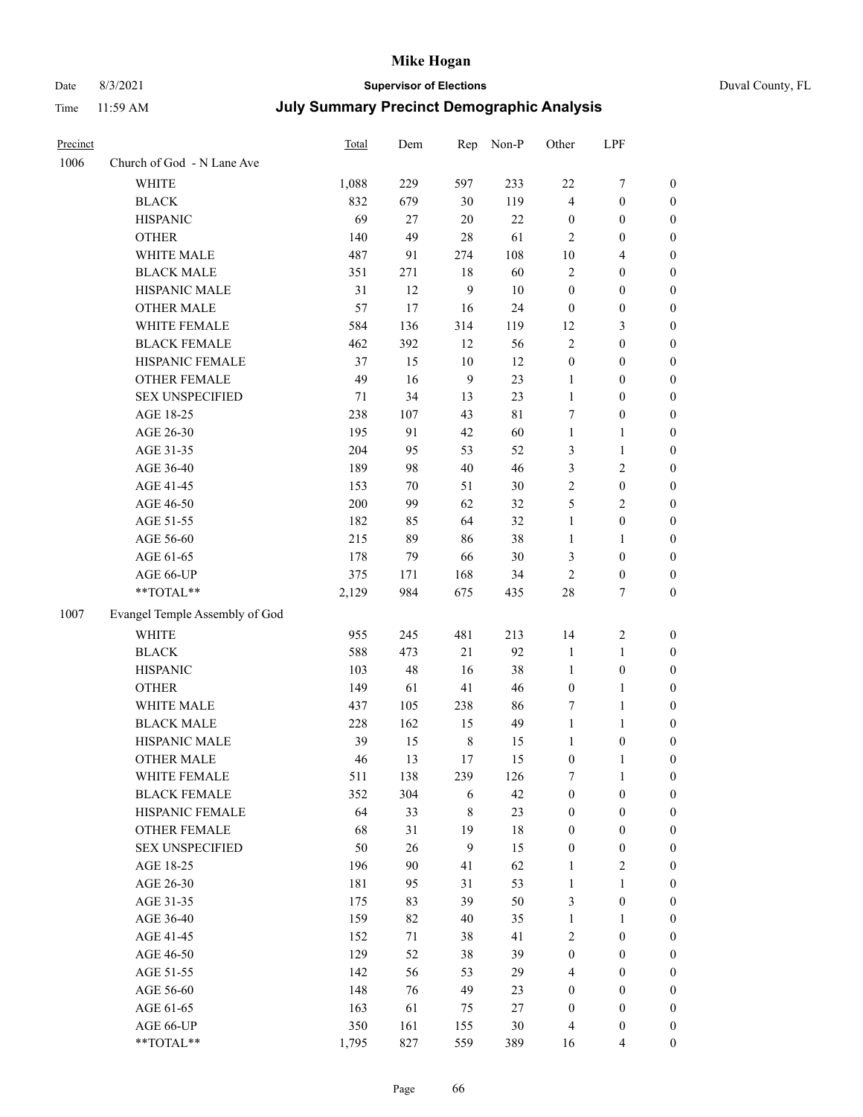# Date 8/3/2021 **Supervisor of Elections** Duval County, FL

| Precinct |                                | Total   | Dem    | Rep              | Non-P       | Other            | LPF              |                  |
|----------|--------------------------------|---------|--------|------------------|-------------|------------------|------------------|------------------|
| 1006     | Church of God - N Lane Ave     |         |        |                  |             |                  |                  |                  |
|          | <b>WHITE</b>                   | 1,088   | 229    | 597              | 233         | 22               | $\boldsymbol{7}$ | 0                |
|          | <b>BLACK</b>                   | 832     | 679    | 30               | 119         | $\overline{4}$   | $\boldsymbol{0}$ | $\boldsymbol{0}$ |
|          | <b>HISPANIC</b>                | 69      | 27     | 20               | 22          | $\boldsymbol{0}$ | $\boldsymbol{0}$ | $\boldsymbol{0}$ |
|          | <b>OTHER</b>                   | 140     | 49     | 28               | 61          | 2                | $\boldsymbol{0}$ | $\boldsymbol{0}$ |
|          | WHITE MALE                     | 487     | 91     | 274              | 108         | 10               | $\overline{4}$   | $\boldsymbol{0}$ |
|          | <b>BLACK MALE</b>              | 351     | 271    | 18               | 60          | $\overline{c}$   | $\boldsymbol{0}$ | $\boldsymbol{0}$ |
|          | HISPANIC MALE                  | 31      | 12     | $\mathbf{9}$     | 10          | $\boldsymbol{0}$ | $\boldsymbol{0}$ | $\boldsymbol{0}$ |
|          | <b>OTHER MALE</b>              | 57      | 17     | 16               | 24          | $\boldsymbol{0}$ | $\boldsymbol{0}$ | $\boldsymbol{0}$ |
|          | WHITE FEMALE                   | 584     | 136    | 314              | 119         | 12               | $\mathfrak{Z}$   | $\boldsymbol{0}$ |
|          | <b>BLACK FEMALE</b>            | 462     | 392    | 12               | 56          | 2                | $\boldsymbol{0}$ | 0                |
|          | HISPANIC FEMALE                | 37      | 15     | $10\,$           | 12          | $\boldsymbol{0}$ | $\boldsymbol{0}$ | 0                |
|          | OTHER FEMALE                   | 49      | 16     | 9                | 23          | $\mathbf{1}$     | $\boldsymbol{0}$ | $\boldsymbol{0}$ |
|          | <b>SEX UNSPECIFIED</b>         | 71      | 34     | 13               | 23          | $\mathbf{1}$     | $\boldsymbol{0}$ | $\boldsymbol{0}$ |
|          | AGE 18-25                      | 238     | 107    | 43               | $8\sqrt{1}$ | 7                | $\boldsymbol{0}$ | $\boldsymbol{0}$ |
|          | AGE 26-30                      | 195     | 91     | 42               | 60          | $\mathbf{1}$     | $\mathbf{1}$     | $\boldsymbol{0}$ |
|          | AGE 31-35                      | 204     | 95     | 53               | 52          | 3                | $\mathbf{1}$     | $\boldsymbol{0}$ |
|          | AGE 36-40                      | 189     | 98     | $40\,$           | 46          | 3                | $\sqrt{2}$       | $\boldsymbol{0}$ |
|          | AGE 41-45                      | 153     | $70\,$ | 51               | $30\,$      | $\overline{c}$   | $\boldsymbol{0}$ | $\boldsymbol{0}$ |
|          | AGE 46-50                      | $200\,$ | 99     | 62               | 32          | 5                | $\mathbf{2}$     | $\boldsymbol{0}$ |
|          | AGE 51-55                      | 182     | 85     | 64               | 32          | $\mathbf{1}$     | $\boldsymbol{0}$ | $\boldsymbol{0}$ |
|          | AGE 56-60                      | 215     | 89     | 86               | 38          | 1                | 1                | 0                |
|          | AGE 61-65                      | 178     | 79     | 66               | $30\,$      | 3                | $\boldsymbol{0}$ | 0                |
|          | AGE 66-UP                      | 375     | 171    | 168              | 34          | $\mathfrak{2}$   | $\boldsymbol{0}$ | $\boldsymbol{0}$ |
|          | $**TOTAL**$                    | 2,129   | 984    | 675              | 435         | 28               | $\tau$           | $\boldsymbol{0}$ |
| 1007     | Evangel Temple Assembly of God |         |        |                  |             |                  |                  |                  |
|          |                                |         |        |                  |             |                  |                  |                  |
|          | <b>WHITE</b>                   | 955     | 245    | 481              | 213         | 14               | $\sqrt{2}$       | $\boldsymbol{0}$ |
|          | <b>BLACK</b>                   | 588     | 473    | 21               | 92          | $\mathbf{1}$     | $\mathbf{1}$     | $\boldsymbol{0}$ |
|          | <b>HISPANIC</b>                | 103     | 48     | 16               | 38          | $\mathbf{1}$     | $\boldsymbol{0}$ | $\boldsymbol{0}$ |
|          | <b>OTHER</b>                   | 149     | 61     | 41               | 46          | $\boldsymbol{0}$ | $\mathbf{1}$     | $\boldsymbol{0}$ |
|          | WHITE MALE                     | 437     | 105    | 238              | 86          | 7                | $\mathbf{1}$     | $\boldsymbol{0}$ |
|          | <b>BLACK MALE</b>              | 228     | 162    | 15               | 49          | $\mathbf{1}$     | $\mathbf{1}$     | $\boldsymbol{0}$ |
|          | HISPANIC MALE                  | 39      | 15     | $\,$ 8 $\,$      | 15          | 1                | $\boldsymbol{0}$ | 0                |
|          | <b>OTHER MALE</b>              | 46      | 13     | 17               | 15          | $\boldsymbol{0}$ | $\mathbf{1}$     | 0                |
|          | WHITE FEMALE                   | 511     | 138    | 239              | 126         | 7                | 1                | 0                |
|          | <b>BLACK FEMALE</b>            | 352     | 304    | 6                | 42          | $\boldsymbol{0}$ | $\boldsymbol{0}$ | $\overline{0}$   |
|          | HISPANIC FEMALE                | 64      | 33     | 8                | 23          | $\boldsymbol{0}$ | $\boldsymbol{0}$ | $\overline{0}$   |
|          | OTHER FEMALE                   | 68      | 31     | 19               | 18          | 0                | $\boldsymbol{0}$ | $\overline{0}$   |
|          | <b>SEX UNSPECIFIED</b>         | 50      | 26     | $\boldsymbol{9}$ | 15          | 0                | $\boldsymbol{0}$ | 0                |
|          | AGE 18-25                      | 196     | $90\,$ | 41               | 62          | 1                | $\sqrt{2}$       | 0                |
|          | AGE 26-30                      | 181     | 95     | 31               | 53          | $\mathbf{1}$     | $\mathbf{1}$     | 0                |
|          | AGE 31-35                      | 175     | 83     | 39               | 50          | 3                | $\boldsymbol{0}$ | 0                |
|          | AGE 36-40                      | 159     | 82     | 40               | 35          | 1                | $\mathbf{1}$     | 0                |
|          | AGE 41-45                      | 152     | 71     | 38               | 41          | 2                | $\boldsymbol{0}$ | 0                |
|          | AGE 46-50                      | 129     | 52     | 38               | 39          | $\boldsymbol{0}$ | $\boldsymbol{0}$ | 0                |
|          | AGE 51-55                      | 142     | 56     | 53               | 29          | 4                | $\boldsymbol{0}$ | $\overline{0}$   |
|          | AGE 56-60                      | 148     | 76     | 49               | 23          | 0                | $\boldsymbol{0}$ | $\overline{0}$   |
|          | AGE 61-65                      | 163     | 61     | 75               | 27          | $\boldsymbol{0}$ | $\boldsymbol{0}$ | $\overline{0}$   |
|          | AGE 66-UP                      | 350     | 161    | 155              | 30          | 4                | $\boldsymbol{0}$ | 0                |
|          | **TOTAL**                      | 1,795   | 827    | 559              | 389         | 16               | $\overline{4}$   | $\boldsymbol{0}$ |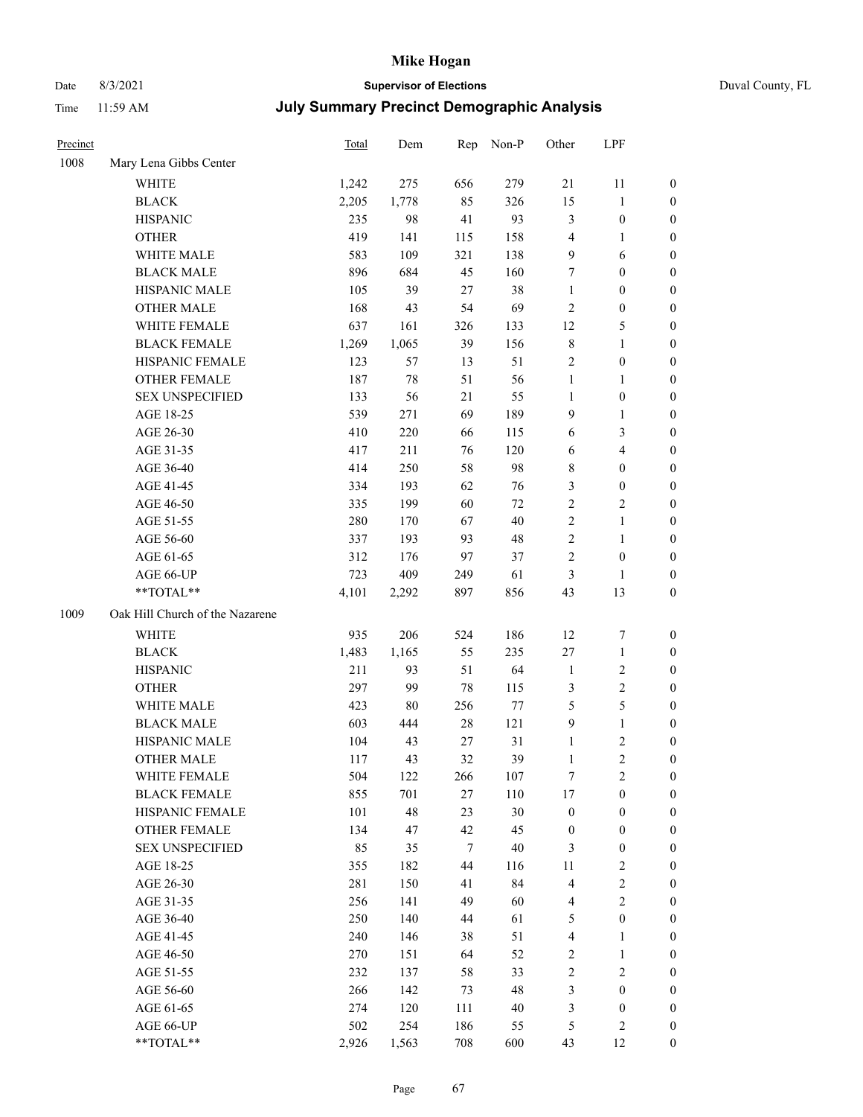# Date 8/3/2021 **Supervisor of Elections** Duval County, FL

| Precinct |                                 | <b>Total</b> | Dem    | Rep    | Non-P  | Other                   | LPF              |                  |
|----------|---------------------------------|--------------|--------|--------|--------|-------------------------|------------------|------------------|
| 1008     | Mary Lena Gibbs Center          |              |        |        |        |                         |                  |                  |
|          | <b>WHITE</b>                    | 1,242        | 275    | 656    | 279    | 21                      | 11               | 0                |
|          | <b>BLACK</b>                    | 2,205        | 1,778  | 85     | 326    | 15                      | $\mathbf{1}$     | 0                |
|          | <b>HISPANIC</b>                 | 235          | 98     | 41     | 93     | 3                       | $\boldsymbol{0}$ | 0                |
|          | <b>OTHER</b>                    | 419          | 141    | 115    | 158    | 4                       | 1                | $\boldsymbol{0}$ |
|          | WHITE MALE                      | 583          | 109    | 321    | 138    | 9                       | 6                | $\boldsymbol{0}$ |
|          | <b>BLACK MALE</b>               | 896          | 684    | 45     | 160    | 7                       | $\boldsymbol{0}$ | $\boldsymbol{0}$ |
|          | HISPANIC MALE                   | 105          | 39     | 27     | 38     | $\mathbf{1}$            | $\boldsymbol{0}$ | $\boldsymbol{0}$ |
|          | <b>OTHER MALE</b>               | 168          | 43     | 54     | 69     | 2                       | $\boldsymbol{0}$ | $\boldsymbol{0}$ |
|          | WHITE FEMALE                    | 637          | 161    | 326    | 133    | 12                      | $\mathfrak s$    | $\boldsymbol{0}$ |
|          | <b>BLACK FEMALE</b>             | 1,269        | 1,065  | 39     | 156    | 8                       | $\mathbf{1}$     | 0                |
|          | HISPANIC FEMALE                 | 123          | 57     | 13     | 51     | 2                       | $\boldsymbol{0}$ | 0                |
|          | <b>OTHER FEMALE</b>             | 187          | $78\,$ | 51     | 56     | $\mathbf{1}$            | $\mathbf{1}$     | 0                |
|          | <b>SEX UNSPECIFIED</b>          | 133          | 56     | 21     | 55     | $\mathbf{1}$            | $\boldsymbol{0}$ | $\boldsymbol{0}$ |
|          | AGE 18-25                       | 539          | 271    | 69     | 189    | 9                       | $\mathbf{1}$     | $\boldsymbol{0}$ |
|          | AGE 26-30                       | 410          | 220    | 66     | 115    | 6                       | $\mathfrak{Z}$   | $\boldsymbol{0}$ |
|          | AGE 31-35                       | 417          | 211    | 76     | 120    | 6                       | $\overline{4}$   | $\boldsymbol{0}$ |
|          | AGE 36-40                       | 414          | 250    | 58     | 98     | 8                       | $\boldsymbol{0}$ | $\boldsymbol{0}$ |
|          | AGE 41-45                       | 334          | 193    | 62     | 76     | 3                       | $\boldsymbol{0}$ | $\boldsymbol{0}$ |
|          | AGE 46-50                       | 335          | 199    | 60     | $72\,$ | $\overline{c}$          | $\mathbf{2}$     | $\boldsymbol{0}$ |
|          | AGE 51-55                       | 280          | 170    | 67     | 40     | $\overline{c}$          | $\mathbf{1}$     | 0                |
|          | AGE 56-60                       | 337          | 193    | 93     | 48     | $\overline{c}$          | $\mathbf{1}$     | 0                |
|          | AGE 61-65                       | 312          | 176    | 97     | 37     | $\overline{c}$          | $\boldsymbol{0}$ | 0                |
|          | AGE 66-UP                       | 723          | 409    | 249    | 61     | 3                       | 1                | $\boldsymbol{0}$ |
|          | **TOTAL**                       | 4,101        | 2,292  | 897    | 856    | 43                      | 13               | $\boldsymbol{0}$ |
| 1009     | Oak Hill Church of the Nazarene |              |        |        |        |                         |                  |                  |
|          | <b>WHITE</b>                    | 935          | 206    | 524    | 186    | 12                      | $\boldsymbol{7}$ | $\boldsymbol{0}$ |
|          | <b>BLACK</b>                    | 1,483        | 1,165  | 55     | 235    | $27\,$                  | $\mathbf{1}$     | $\boldsymbol{0}$ |
|          | <b>HISPANIC</b>                 | 211          | 93     | 51     | 64     | $\mathbf{1}$            | $\sqrt{2}$       | $\boldsymbol{0}$ |
|          | <b>OTHER</b>                    | 297          | 99     | 78     | 115    | 3                       | $\sqrt{2}$       | $\boldsymbol{0}$ |
|          | WHITE MALE                      | 423          | $80\,$ | 256    | 77     | 5                       | 5                | $\boldsymbol{0}$ |
|          | <b>BLACK MALE</b>               | 603          | 444    | $28\,$ | 121    | $\boldsymbol{9}$        | $\mathbf{1}$     | $\boldsymbol{0}$ |
|          | HISPANIC MALE                   | 104          | 43     | 27     | 31     | $\mathbf{1}$            | $\sqrt{2}$       | 0                |
|          | <b>OTHER MALE</b>               | 117          | 43     | 32     | 39     | $\mathbf{1}$            | $\overline{2}$   | 0                |
|          | WHITE FEMALE                    | 504          | 122    | 266    | 107    | 7                       | $\overline{c}$   | 0                |
|          | <b>BLACK FEMALE</b>             | 855          | 701    | $27\,$ | 110    | 17                      | $\boldsymbol{0}$ | $\overline{0}$   |
|          | HISPANIC FEMALE                 | 101          | 48     | 23     | 30     | $\boldsymbol{0}$        | $\boldsymbol{0}$ | $\overline{0}$   |
|          | <b>OTHER FEMALE</b>             | 134          | 47     | 42     | 45     | $\boldsymbol{0}$        | $\boldsymbol{0}$ | $\overline{0}$   |
|          | <b>SEX UNSPECIFIED</b>          | 85           | 35     | 7      | $40\,$ | 3                       | $\boldsymbol{0}$ | 0                |
|          | AGE 18-25                       | 355          | 182    | 44     | 116    | 11                      | $\sqrt{2}$       | 0                |
|          | AGE 26-30                       | 281          | 150    | 41     | 84     | 4                       | $\sqrt{2}$       | 0                |
|          | AGE 31-35                       | 256          | 141    | 49     | 60     | 4                       | $\sqrt{2}$       | 0                |
|          | AGE 36-40                       | 250          | 140    | 44     | 61     | 5                       | $\boldsymbol{0}$ | 0                |
|          | AGE 41-45                       | 240          | 146    | 38     | 51     | $\overline{\mathbf{4}}$ | $\mathbf{1}$     | 0                |
|          | AGE 46-50                       | 270          | 151    | 64     | 52     | 2                       | $\mathbf{1}$     | 0                |
|          | AGE 51-55                       | 232          | 137    | 58     | 33     | $\overline{c}$          | $\sqrt{2}$       | 0                |
|          | AGE 56-60                       | 266          | 142    | 73     | 48     | 3                       | $\boldsymbol{0}$ | 0                |
|          | AGE 61-65                       | 274          | 120    | 111    | $40\,$ | 3                       | $\boldsymbol{0}$ | 0                |
|          | AGE 66-UP                       | 502          | 254    | 186    | 55     | 5                       | $\sqrt{2}$       | 0                |
|          | **TOTAL**                       | 2,926        | 1,563  | 708    | 600    | 43                      | 12               | $\boldsymbol{0}$ |
|          |                                 |              |        |        |        |                         |                  |                  |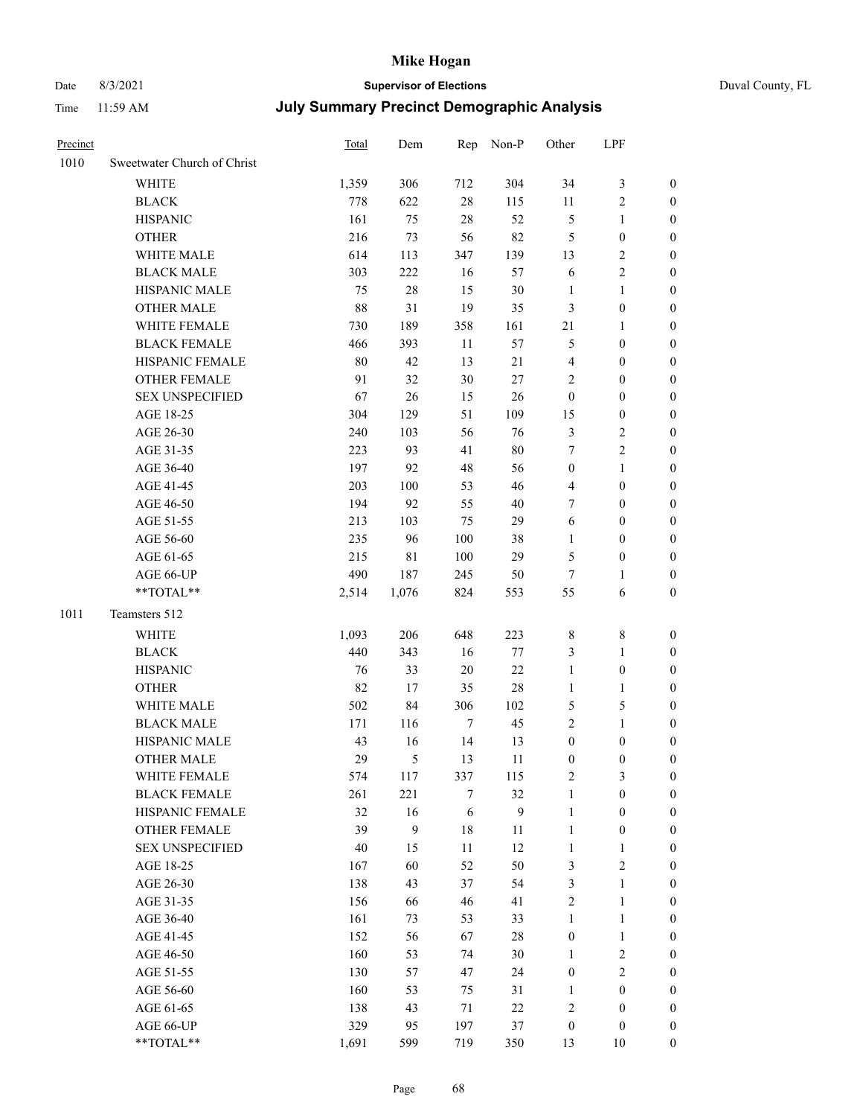# Date 8/3/2021 **Supervisor of Elections** Duval County, FL

| Precinct |                             | Total  | Dem              |        | Rep Non-P        | Other            | LPF              |                  |
|----------|-----------------------------|--------|------------------|--------|------------------|------------------|------------------|------------------|
| 1010     | Sweetwater Church of Christ |        |                  |        |                  |                  |                  |                  |
|          | <b>WHITE</b>                | 1,359  | 306              | 712    | 304              | 34               | $\mathfrak{Z}$   | $\boldsymbol{0}$ |
|          | <b>BLACK</b>                | 778    | 622              | $28\,$ | 115              | 11               | $\sqrt{2}$       | $\boldsymbol{0}$ |
|          | <b>HISPANIC</b>             | 161    | 75               | 28     | 52               | 5                | $\mathbf{1}$     | $\boldsymbol{0}$ |
|          | <b>OTHER</b>                | 216    | 73               | 56     | 82               | 5                | $\boldsymbol{0}$ | $\boldsymbol{0}$ |
|          | WHITE MALE                  | 614    | 113              | 347    | 139              | 13               | $\mathfrak{2}$   | $\boldsymbol{0}$ |
|          | <b>BLACK MALE</b>           | 303    | 222              | 16     | 57               | 6                | $\sqrt{2}$       | $\boldsymbol{0}$ |
|          | HISPANIC MALE               | 75     | $28\,$           | 15     | $30\,$           | $\mathbf{1}$     | $\mathbf{1}$     | $\boldsymbol{0}$ |
|          | <b>OTHER MALE</b>           | 88     | 31               | 19     | 35               | 3                | $\boldsymbol{0}$ | $\boldsymbol{0}$ |
|          | WHITE FEMALE                | 730    | 189              | 358    | 161              | 21               | $\mathbf{1}$     | $\boldsymbol{0}$ |
|          | <b>BLACK FEMALE</b>         | 466    | 393              | 11     | 57               | 5                | $\boldsymbol{0}$ | 0                |
|          | HISPANIC FEMALE             | $80\,$ | 42               | 13     | 21               | 4                | $\boldsymbol{0}$ | $\boldsymbol{0}$ |
|          | OTHER FEMALE                | 91     | 32               | 30     | $27\,$           | $\overline{c}$   | $\boldsymbol{0}$ | $\boldsymbol{0}$ |
|          | <b>SEX UNSPECIFIED</b>      | 67     | $26\,$           | 15     | 26               | $\boldsymbol{0}$ | $\boldsymbol{0}$ | $\boldsymbol{0}$ |
|          | AGE 18-25                   | 304    | 129              | 51     | 109              | 15               | $\boldsymbol{0}$ | $\boldsymbol{0}$ |
|          | AGE 26-30                   | 240    | 103              | 56     | 76               | 3                | $\sqrt{2}$       | $\boldsymbol{0}$ |
|          | AGE 31-35                   | 223    | 93               | 41     | $80\,$           | 7                | $\sqrt{2}$       | $\boldsymbol{0}$ |
|          | AGE 36-40                   | 197    | 92               | 48     | 56               | $\boldsymbol{0}$ | $\mathbf{1}$     | $\boldsymbol{0}$ |
|          | AGE 41-45                   | 203    | 100              | 53     | 46               | 4                | $\boldsymbol{0}$ | $\boldsymbol{0}$ |
|          | AGE 46-50                   | 194    | 92               | 55     | $40\,$           | 7                | $\boldsymbol{0}$ | $\boldsymbol{0}$ |
|          | AGE 51-55                   | 213    | 103              | 75     | 29               | 6                | $\boldsymbol{0}$ | 0                |
|          | AGE 56-60                   | 235    | 96               | 100    | 38               | $\mathbf{1}$     | $\boldsymbol{0}$ | $\boldsymbol{0}$ |
|          | AGE 61-65                   | 215    | 81               | 100    | 29               | 5                | $\boldsymbol{0}$ | $\boldsymbol{0}$ |
|          | AGE 66-UP                   | 490    | 187              | 245    | 50               | 7                | 1                | $\boldsymbol{0}$ |
|          | **TOTAL**                   | 2,514  | 1,076            | 824    | 553              | 55               | 6                | $\boldsymbol{0}$ |
| 1011     | Teamsters 512               |        |                  |        |                  |                  |                  |                  |
|          | WHITE                       | 1,093  | 206              | 648    | 223              | 8                | $\,$ 8 $\,$      | $\boldsymbol{0}$ |
|          | <b>BLACK</b>                | 440    | 343              | 16     | 77               | 3                | $\mathbf{1}$     | $\boldsymbol{0}$ |
|          | <b>HISPANIC</b>             | 76     | 33               | $20\,$ | $22\,$           | $\mathbf{1}$     | $\boldsymbol{0}$ | $\boldsymbol{0}$ |
|          | <b>OTHER</b>                | 82     | 17               | 35     | $28\,$           | $\mathbf{1}$     | $\mathbf{1}$     | $\boldsymbol{0}$ |
|          | WHITE MALE                  | 502    | 84               | 306    | 102              | 5                | 5                | $\boldsymbol{0}$ |
|          | <b>BLACK MALE</b>           | 171    | 116              | $\tau$ | 45               | $\overline{c}$   | $\mathbf{1}$     | 0                |
|          | HISPANIC MALE               | 43     | 16               | 14     | 13               | $\boldsymbol{0}$ | $\boldsymbol{0}$ | 0                |
|          | <b>OTHER MALE</b>           | 29     | 5                | 13     | 11               | $\boldsymbol{0}$ | $\boldsymbol{0}$ | $\boldsymbol{0}$ |
|          | WHITE FEMALE                | 574    | 117              | 337    | 115              | 2                | 3                | $\overline{0}$   |
|          | <b>BLACK FEMALE</b>         | 261    | 221              | 7      | 32               | $\mathbf{1}$     | $\boldsymbol{0}$ | $\overline{0}$   |
|          | HISPANIC FEMALE             | 32     | 16               | 6      | $\boldsymbol{9}$ | $\mathbf{1}$     | $\boldsymbol{0}$ | $\overline{0}$   |
|          | OTHER FEMALE                | 39     | $\boldsymbol{9}$ | $18\,$ | 11               | $\mathbf{1}$     | $\boldsymbol{0}$ | 0                |
|          | <b>SEX UNSPECIFIED</b>      | 40     | 15               | $11\,$ | 12               | $\mathbf{1}$     | $\mathbf{1}$     | 0                |
|          | AGE 18-25                   | 167    | 60               | 52     | 50               | 3                | $\sqrt{2}$       | 0                |
|          | AGE 26-30                   | 138    | 43               | 37     | 54               | 3                | $\mathbf{1}$     | 0                |
|          | AGE 31-35                   | 156    | 66               | 46     | 41               | $\overline{c}$   | $\mathbf{1}$     | 0                |
|          | AGE 36-40                   | 161    | 73               | 53     | 33               | $\mathbf{1}$     | $\mathbf{1}$     | 0                |
|          | AGE 41-45                   | 152    | 56               | 67     | $28\,$           | $\boldsymbol{0}$ | $\mathbf{1}$     | 0                |
|          | AGE 46-50                   | 160    | 53               | 74     | $30\,$           | $\mathbf{1}$     | $\sqrt{2}$       | 0                |
|          | AGE 51-55                   | 130    | 57               | 47     | 24               | $\boldsymbol{0}$ | $\sqrt{2}$       | 0                |
|          | AGE 56-60                   | 160    | 53               | 75     | 31               | 1                | $\boldsymbol{0}$ | $\boldsymbol{0}$ |
|          | AGE 61-65                   | 138    | 43               | 71     | $22\,$           | 2                | $\boldsymbol{0}$ | 0                |
|          | AGE 66-UP                   | 329    | 95               | 197    | 37               | $\boldsymbol{0}$ | $\boldsymbol{0}$ | 0                |
|          | **TOTAL**                   | 1,691  | 599              | 719    | 350              | 13               | 10               | $\boldsymbol{0}$ |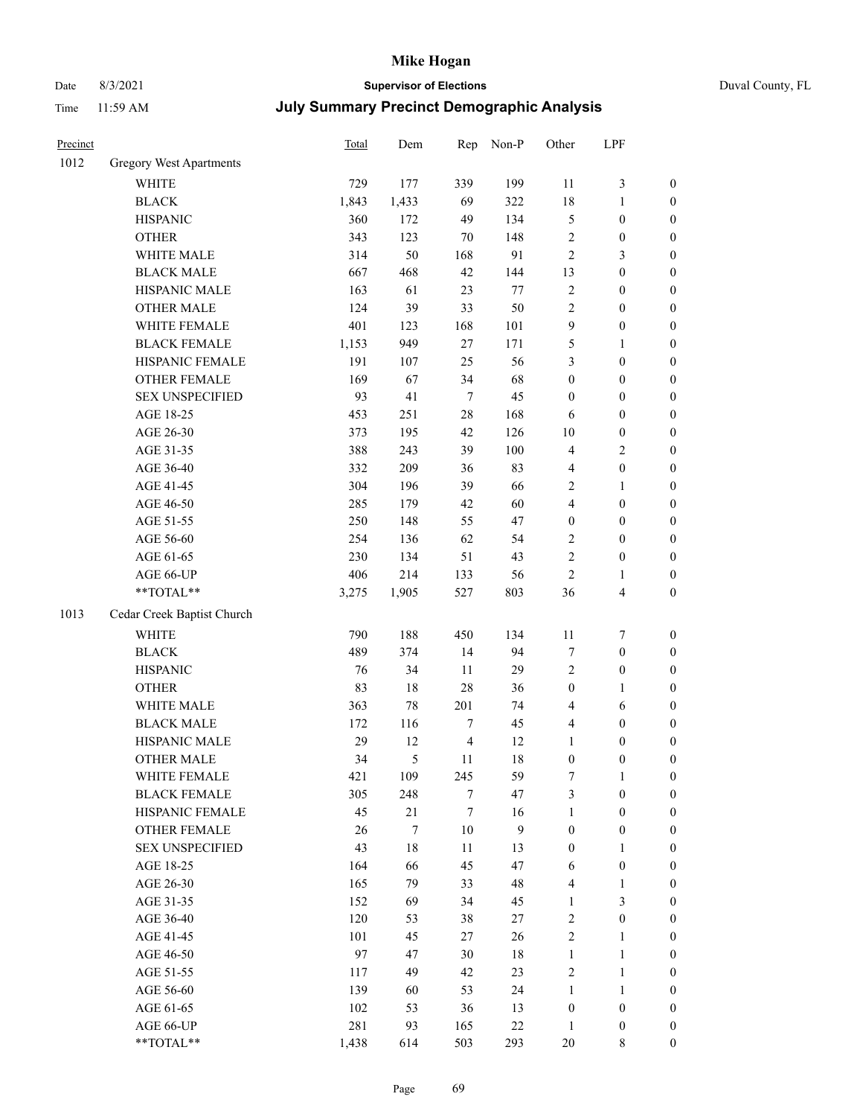# Date 8/3/2021 **Supervisor of Elections** Duval County, FL

| Precinct |                                | <b>Total</b> | Dem    | Rep            | Non-P            | Other            | LPF              |                  |
|----------|--------------------------------|--------------|--------|----------------|------------------|------------------|------------------|------------------|
| 1012     | <b>Gregory West Apartments</b> |              |        |                |                  |                  |                  |                  |
|          | WHITE                          | 729          | 177    | 339            | 199              | 11               | $\mathfrak{Z}$   | 0                |
|          | <b>BLACK</b>                   | 1,843        | 1,433  | 69             | 322              | 18               | $\mathbf{1}$     | $\boldsymbol{0}$ |
|          | <b>HISPANIC</b>                | 360          | 172    | 49             | 134              | 5                | $\boldsymbol{0}$ | $\boldsymbol{0}$ |
|          | <b>OTHER</b>                   | 343          | 123    | 70             | 148              | 2                | $\boldsymbol{0}$ | $\boldsymbol{0}$ |
|          | WHITE MALE                     | 314          | 50     | 168            | 91               | 2                | $\mathfrak{Z}$   | $\boldsymbol{0}$ |
|          | <b>BLACK MALE</b>              | 667          | 468    | 42             | 144              | 13               | $\boldsymbol{0}$ | $\boldsymbol{0}$ |
|          | HISPANIC MALE                  | 163          | 61     | 23             | 77               | $\overline{c}$   | $\boldsymbol{0}$ | $\boldsymbol{0}$ |
|          | <b>OTHER MALE</b>              | 124          | 39     | 33             | 50               | 2                | $\boldsymbol{0}$ | $\boldsymbol{0}$ |
|          | WHITE FEMALE                   | 401          | 123    | 168            | 101              | 9                | $\boldsymbol{0}$ | $\boldsymbol{0}$ |
|          | <b>BLACK FEMALE</b>            | 1,153        | 949    | $27\,$         | 171              | 5                | 1                | $\boldsymbol{0}$ |
|          | HISPANIC FEMALE                | 191          | 107    | 25             | 56               | 3                | $\boldsymbol{0}$ | $\boldsymbol{0}$ |
|          | <b>OTHER FEMALE</b>            | 169          | 67     | 34             | 68               | $\boldsymbol{0}$ | $\boldsymbol{0}$ | $\boldsymbol{0}$ |
|          | <b>SEX UNSPECIFIED</b>         | 93           | 41     | $\tau$         | 45               | $\boldsymbol{0}$ | $\boldsymbol{0}$ | $\boldsymbol{0}$ |
|          | AGE 18-25                      | 453          | 251    | 28             | 168              | 6                | $\boldsymbol{0}$ | $\boldsymbol{0}$ |
|          | AGE 26-30                      | 373          | 195    | 42             | 126              | 10               | $\boldsymbol{0}$ | $\boldsymbol{0}$ |
|          | AGE 31-35                      | 388          | 243    | 39             | 100              | 4                | $\sqrt{2}$       | $\boldsymbol{0}$ |
|          | AGE 36-40                      | 332          | 209    | 36             | 83               | 4                | $\boldsymbol{0}$ | $\boldsymbol{0}$ |
|          | AGE 41-45                      | 304          | 196    | 39             | 66               | 2                | $\mathbf{1}$     | $\boldsymbol{0}$ |
|          | AGE 46-50                      | 285          | 179    | 42             | 60               | 4                | $\boldsymbol{0}$ | $\boldsymbol{0}$ |
|          | AGE 51-55                      | 250          | 148    | 55             | 47               | $\boldsymbol{0}$ | $\boldsymbol{0}$ | $\boldsymbol{0}$ |
|          | AGE 56-60                      | 254          | 136    | 62             | 54               | $\overline{c}$   | $\boldsymbol{0}$ | $\boldsymbol{0}$ |
|          | AGE 61-65                      | 230          | 134    | 51             | 43               | $\overline{c}$   | $\boldsymbol{0}$ | $\boldsymbol{0}$ |
|          | AGE 66-UP                      | 406          | 214    | 133            | 56               | $\sqrt{2}$       | 1                | $\boldsymbol{0}$ |
|          | **TOTAL**                      | 3,275        | 1,905  | 527            | 803              | 36               | $\overline{4}$   | $\boldsymbol{0}$ |
| 1013     | Cedar Creek Baptist Church     |              |        |                |                  |                  |                  |                  |
|          | <b>WHITE</b>                   | 790          | 188    | 450            | 134              | $11\,$           | $\boldsymbol{7}$ | $\boldsymbol{0}$ |
|          | <b>BLACK</b>                   | 489          | 374    | 14             | 94               | 7                | $\boldsymbol{0}$ | $\boldsymbol{0}$ |
|          | <b>HISPANIC</b>                | 76           | 34     | 11             | 29               | 2                | $\boldsymbol{0}$ | $\boldsymbol{0}$ |
|          | <b>OTHER</b>                   | 83           | 18     | 28             | 36               | $\boldsymbol{0}$ | $\mathbf{1}$     | $\boldsymbol{0}$ |
|          | WHITE MALE                     | 363          | 78     | 201            | 74               | 4                | 6                | $\boldsymbol{0}$ |
|          | <b>BLACK MALE</b>              | 172          | 116    | 7              | 45               | 4                | $\boldsymbol{0}$ | $\boldsymbol{0}$ |
|          | HISPANIC MALE                  | 29           | 12     | $\overline{4}$ | 12               | $\mathbf{1}$     | $\boldsymbol{0}$ | $\boldsymbol{0}$ |
|          | <b>OTHER MALE</b>              | 34           | 5      | 11             | 18               | $\boldsymbol{0}$ | $\boldsymbol{0}$ | $\boldsymbol{0}$ |
|          | WHITE FEMALE                   | 421          | 109    | 245            | 59               | 7                | 1                | 0                |
|          | <b>BLACK FEMALE</b>            | 305          | 248    | 7              | 47               | 3                | $\boldsymbol{0}$ | $\overline{0}$   |
|          | HISPANIC FEMALE                | 45           | 21     | 7              | 16               | $\mathbf{1}$     | $\boldsymbol{0}$ | $\overline{0}$   |
|          | <b>OTHER FEMALE</b>            | 26           | 7      | $10\,$         | $\boldsymbol{9}$ | $\boldsymbol{0}$ | $\boldsymbol{0}$ | $\overline{0}$   |
|          | <b>SEX UNSPECIFIED</b>         | 43           | $18\,$ | 11             | 13               | $\boldsymbol{0}$ | $\mathbf{1}$     | 0                |
|          | AGE 18-25                      | 164          | 66     | 45             | 47               | 6                | $\boldsymbol{0}$ | 0                |
|          | AGE 26-30                      | 165          | 79     | 33             | 48               | 4                | $\mathbf{1}$     | 0                |
|          | AGE 31-35                      | 152          | 69     | 34             | 45               | $\mathbf{1}$     | $\mathfrak{Z}$   | 0                |
|          | AGE 36-40                      | 120          | 53     | 38             | $27\,$           | 2                | $\boldsymbol{0}$ | 0                |
|          | AGE 41-45                      | 101          | 45     | 27             | 26               | 2                | $\mathbf{1}$     | 0                |
|          | AGE 46-50                      | 97           | 47     | 30             | 18               | $\mathbf{1}$     | $\mathbf{1}$     | 0                |
|          | AGE 51-55                      | 117          | 49     | 42             | 23               | 2                | $\mathbf{1}$     | 0                |
|          | AGE 56-60                      | 139          | 60     | 53             | 24               | $\mathbf{1}$     | $\mathbf{1}$     | 0                |
|          | AGE 61-65                      | 102          | 53     | 36             | 13               | $\boldsymbol{0}$ | $\boldsymbol{0}$ | 0                |
|          | AGE 66-UP                      | 281          | 93     | 165            | $22\,$           | $\mathbf{1}$     | $\boldsymbol{0}$ | 0                |
|          | **TOTAL**                      | 1,438        | 614    | 503            | 293              | $20\,$           | 8                | $\boldsymbol{0}$ |
|          |                                |              |        |                |                  |                  |                  |                  |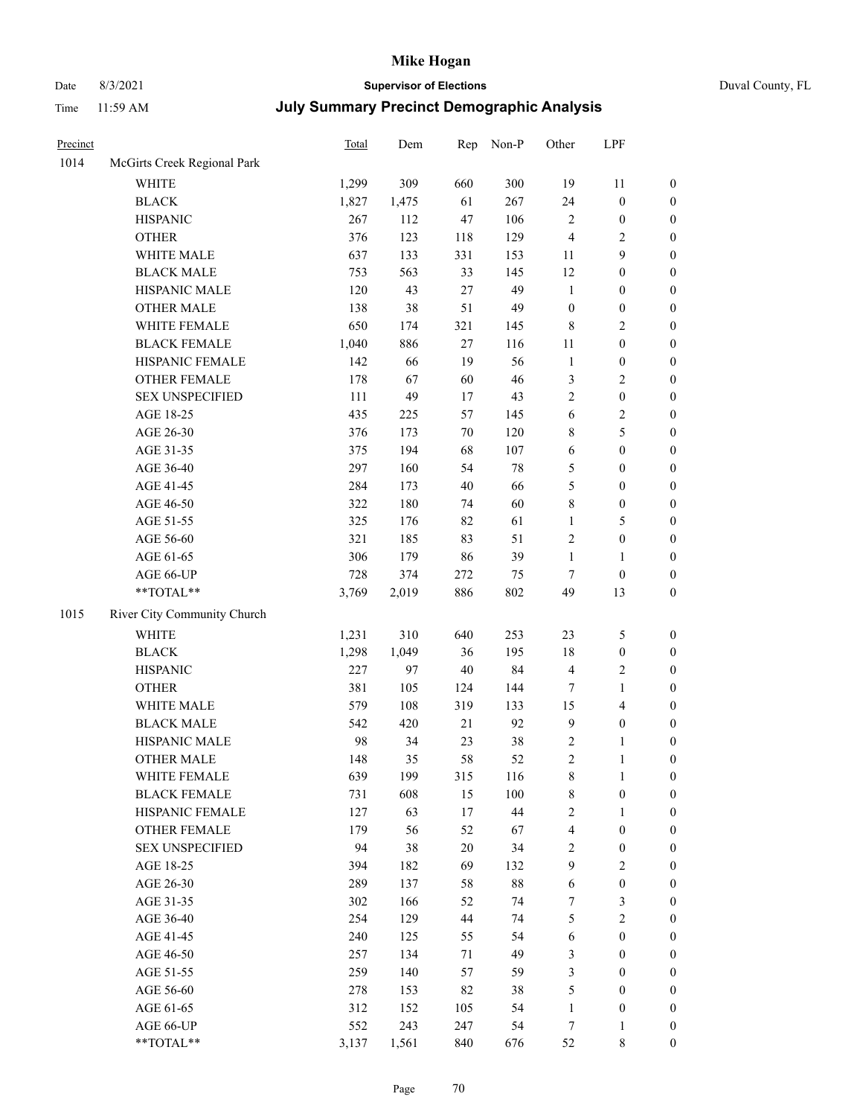# Date 8/3/2021 **Supervisor of Elections** Duval County, FL

| Precinct |                             | Total | Dem   | Rep    | Non-P | Other            | LPF              |                  |
|----------|-----------------------------|-------|-------|--------|-------|------------------|------------------|------------------|
| 1014     | McGirts Creek Regional Park |       |       |        |       |                  |                  |                  |
|          | <b>WHITE</b>                | 1,299 | 309   | 660    | 300   | 19               | 11               | $\boldsymbol{0}$ |
|          | <b>BLACK</b>                | 1,827 | 1,475 | 61     | 267   | 24               | $\boldsymbol{0}$ | $\boldsymbol{0}$ |
|          | <b>HISPANIC</b>             | 267   | 112   | 47     | 106   | 2                | $\boldsymbol{0}$ | $\boldsymbol{0}$ |
|          | <b>OTHER</b>                | 376   | 123   | 118    | 129   | 4                | $\sqrt{2}$       | $\boldsymbol{0}$ |
|          | WHITE MALE                  | 637   | 133   | 331    | 153   | 11               | $\boldsymbol{9}$ | $\boldsymbol{0}$ |
|          | <b>BLACK MALE</b>           | 753   | 563   | 33     | 145   | 12               | $\boldsymbol{0}$ | $\boldsymbol{0}$ |
|          | HISPANIC MALE               | 120   | 43    | 27     | 49    | $\mathbf{1}$     | $\boldsymbol{0}$ | $\boldsymbol{0}$ |
|          | <b>OTHER MALE</b>           | 138   | 38    | 51     | 49    | $\boldsymbol{0}$ | $\boldsymbol{0}$ | $\boldsymbol{0}$ |
|          | WHITE FEMALE                | 650   | 174   | 321    | 145   | 8                | $\sqrt{2}$       | $\boldsymbol{0}$ |
|          | <b>BLACK FEMALE</b>         | 1,040 | 886   | 27     | 116   | 11               | $\boldsymbol{0}$ | 0                |
|          | HISPANIC FEMALE             | 142   | 66    | 19     | 56    | $\mathbf{1}$     | $\boldsymbol{0}$ | $\boldsymbol{0}$ |
|          | OTHER FEMALE                | 178   | 67    | 60     | 46    | 3                | $\sqrt{2}$       | $\boldsymbol{0}$ |
|          | <b>SEX UNSPECIFIED</b>      | 111   | 49    | 17     | 43    | $\overline{c}$   | $\boldsymbol{0}$ | $\boldsymbol{0}$ |
|          | AGE 18-25                   | 435   | 225   | 57     | 145   | 6                | $\sqrt{2}$       | $\boldsymbol{0}$ |
|          | AGE 26-30                   | 376   | 173   | 70     | 120   | 8                | 5                | $\boldsymbol{0}$ |
|          | AGE 31-35                   | 375   | 194   | 68     | 107   | 6                | $\boldsymbol{0}$ | $\boldsymbol{0}$ |
|          | AGE 36-40                   | 297   | 160   | 54     | 78    | 5                | $\boldsymbol{0}$ | $\boldsymbol{0}$ |
|          | AGE 41-45                   | 284   | 173   | 40     | 66    | 5                | $\boldsymbol{0}$ | $\boldsymbol{0}$ |
|          | AGE 46-50                   | 322   | 180   | 74     | 60    | 8                | $\boldsymbol{0}$ | $\boldsymbol{0}$ |
|          | AGE 51-55                   | 325   | 176   | 82     | 61    | $\mathbf{1}$     | $\mathfrak{S}$   | 0                |
|          | AGE 56-60                   | 321   | 185   | 83     | 51    | 2                | $\boldsymbol{0}$ | $\boldsymbol{0}$ |
|          | AGE 61-65                   | 306   | 179   | 86     | 39    | $\mathbf{1}$     | 1                | $\boldsymbol{0}$ |
|          | AGE 66-UP                   | 728   | 374   | 272    | 75    | 7                | $\boldsymbol{0}$ | $\boldsymbol{0}$ |
|          | $**TOTAL**$                 | 3,769 | 2,019 | 886    | 802   | 49               | 13               | $\boldsymbol{0}$ |
| 1015     | River City Community Church |       |       |        |       |                  |                  |                  |
|          | <b>WHITE</b>                | 1,231 | 310   | 640    | 253   | 23               | $\mathfrak{S}$   | $\boldsymbol{0}$ |
|          | <b>BLACK</b>                | 1,298 | 1,049 | 36     | 195   | 18               | $\boldsymbol{0}$ | $\boldsymbol{0}$ |
|          | <b>HISPANIC</b>             | 227   | 97    | 40     | 84    | 4                | $\sqrt{2}$       | $\boldsymbol{0}$ |
|          | <b>OTHER</b>                | 381   | 105   | 124    | 144   | 7                | $\mathbf{1}$     | $\boldsymbol{0}$ |
|          | WHITE MALE                  | 579   | 108   | 319    | 133   | 15               | $\overline{4}$   | $\boldsymbol{0}$ |
|          | <b>BLACK MALE</b>           | 542   | 420   | 21     | 92    | $\mathbf{9}$     | $\boldsymbol{0}$ | $\boldsymbol{0}$ |
|          | HISPANIC MALE               | 98    | 34    | 23     | 38    | 2                | 1                | 0                |
|          | <b>OTHER MALE</b>           | 148   | 35    | 58     | 52    | $\overline{c}$   | $\mathbf{1}$     | $\boldsymbol{0}$ |
|          | WHITE FEMALE                | 639   | 199   | 315    | 116   | 8                | 1                | $\overline{0}$   |
|          | <b>BLACK FEMALE</b>         | 731   | 608   | 15     | 100   | 8                | $\boldsymbol{0}$ | $\overline{0}$   |
|          | HISPANIC FEMALE             | 127   | 63    | 17     | 44    | $\overline{c}$   | $\mathbf{1}$     | $\overline{0}$   |
|          | OTHER FEMALE                | 179   | 56    | 52     | 67    | 4                | $\boldsymbol{0}$ | $\overline{0}$   |
|          | <b>SEX UNSPECIFIED</b>      | 94    | 38    | $20\,$ | 34    | $\overline{c}$   | $\boldsymbol{0}$ | 0                |
|          | AGE 18-25                   | 394   | 182   | 69     | 132   | 9                | $\sqrt{2}$       | 0                |
|          | AGE 26-30                   | 289   | 137   | 58     | 88    | 6                | $\boldsymbol{0}$ | 0                |
|          | AGE 31-35                   | 302   | 166   | 52     | 74    | 7                | $\mathfrak{Z}$   | 0                |
|          | AGE 36-40                   | 254   | 129   | 44     | 74    | 5                | $\overline{c}$   | 0                |
|          | AGE 41-45                   | 240   | 125   | 55     | 54    | 6                | $\boldsymbol{0}$ | 0                |
|          | AGE 46-50                   | 257   | 134   | 71     | 49    | 3                | $\boldsymbol{0}$ | 0                |
|          | AGE 51-55                   | 259   | 140   | 57     | 59    | 3                | $\boldsymbol{0}$ | $\overline{0}$   |
|          | AGE 56-60                   | 278   | 153   | 82     | 38    | 5                | $\boldsymbol{0}$ | $\overline{0}$   |
|          | AGE 61-65                   | 312   | 152   | 105    | 54    | 1                | $\boldsymbol{0}$ | 0                |
|          | AGE 66-UP                   | 552   | 243   | 247    | 54    | 7                | 1                | 0                |
|          | **TOTAL**                   | 3,137 | 1,561 | 840    | 676   | 52               | 8                | $\boldsymbol{0}$ |
|          |                             |       |       |        |       |                  |                  |                  |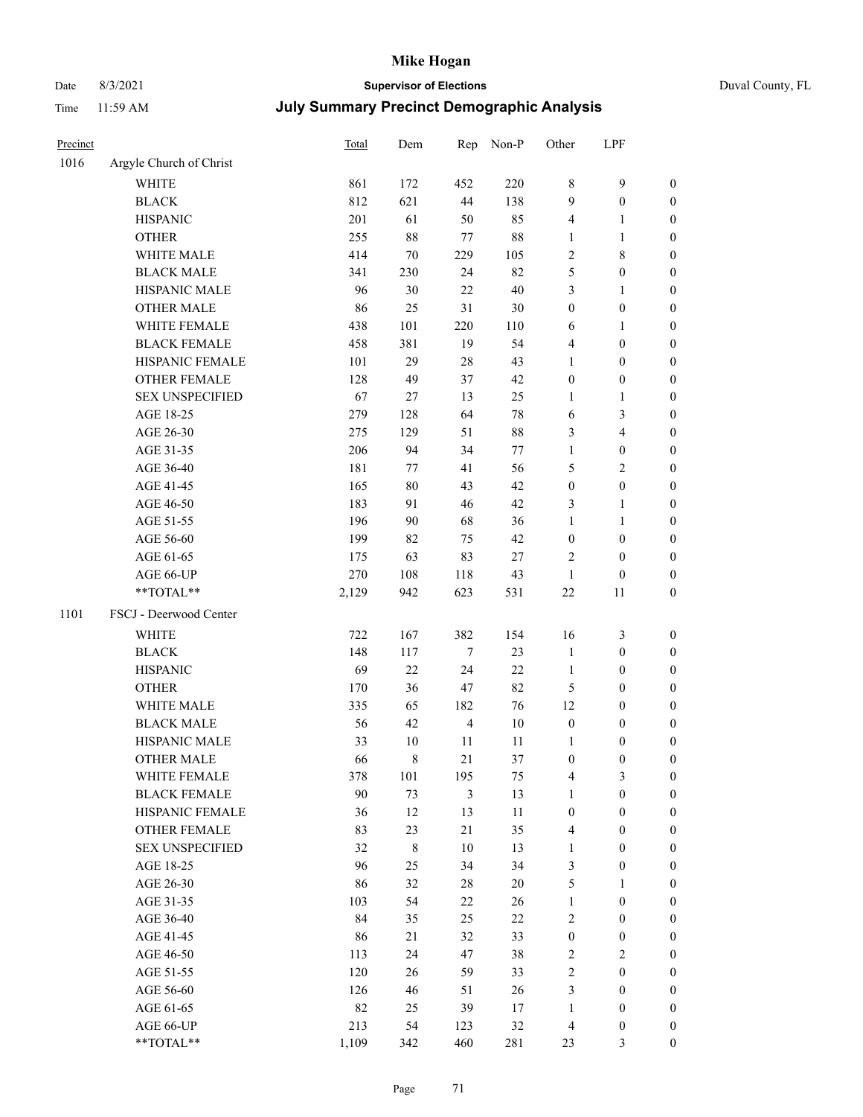# Date 8/3/2021 **Supervisor of Elections** Duval County, FL

| Precinct |                         | Total | Dem         | Rep            | Non-P  | Other                    | LPF                     |                  |
|----------|-------------------------|-------|-------------|----------------|--------|--------------------------|-------------------------|------------------|
| 1016     | Argyle Church of Christ |       |             |                |        |                          |                         |                  |
|          | <b>WHITE</b>            | 861   | 172         | 452            | 220    | 8                        | 9                       | $\boldsymbol{0}$ |
|          | <b>BLACK</b>            | 812   | 621         | 44             | 138    | 9                        | $\boldsymbol{0}$        | $\boldsymbol{0}$ |
|          | <b>HISPANIC</b>         | 201   | 61          | 50             | 85     | 4                        | 1                       | $\boldsymbol{0}$ |
|          | <b>OTHER</b>            | 255   | $88\,$      | 77             | $88\,$ | $\mathbf{1}$             | $\mathbf{1}$            | $\boldsymbol{0}$ |
|          | WHITE MALE              | 414   | 70          | 229            | 105    | 2                        | $\,$ 8 $\,$             | $\boldsymbol{0}$ |
|          | <b>BLACK MALE</b>       | 341   | 230         | 24             | 82     | 5                        | $\boldsymbol{0}$        | $\boldsymbol{0}$ |
|          | HISPANIC MALE           | 96    | 30          | 22             | $40\,$ | 3                        | $\mathbf{1}$            | $\boldsymbol{0}$ |
|          | OTHER MALE              | 86    | 25          | 31             | $30\,$ | $\boldsymbol{0}$         | $\boldsymbol{0}$        | 0                |
|          | WHITE FEMALE            | 438   | 101         | 220            | 110    | 6                        | $\mathbf{1}$            | 0                |
|          | <b>BLACK FEMALE</b>     | 458   | 381         | 19             | 54     | 4                        | $\boldsymbol{0}$        | $\boldsymbol{0}$ |
|          | HISPANIC FEMALE         | 101   | 29          | 28             | 43     | $\mathbf{1}$             | $\boldsymbol{0}$        | $\boldsymbol{0}$ |
|          | OTHER FEMALE            | 128   | 49          | 37             | 42     | $\boldsymbol{0}$         | $\boldsymbol{0}$        | $\boldsymbol{0}$ |
|          | <b>SEX UNSPECIFIED</b>  | 67    | $27\,$      | 13             | 25     | $\mathbf{1}$             | $\mathbf{1}$            | $\boldsymbol{0}$ |
|          | AGE 18-25               | 279   | 128         | 64             | $78\,$ | 6                        | $\mathfrak{Z}$          | $\boldsymbol{0}$ |
|          | AGE 26-30               | 275   | 129         | 51             | $88\,$ | 3                        | $\overline{\mathbf{4}}$ | $\boldsymbol{0}$ |
|          | AGE 31-35               | 206   | 94          | 34             | 77     | $\mathbf{1}$             | $\boldsymbol{0}$        | $\boldsymbol{0}$ |
|          | AGE 36-40               | 181   | 77          | 41             | 56     | 5                        | $\overline{2}$          | $\boldsymbol{0}$ |
|          | AGE 41-45               | 165   | $80\,$      | 43             | 42     | $\boldsymbol{0}$         | $\boldsymbol{0}$        | $\boldsymbol{0}$ |
|          | AGE 46-50               | 183   | 91          | 46             | 42     | 3                        | $\mathbf{1}$            | 0                |
|          | AGE 51-55               | 196   | 90          | 68             | 36     | 1                        | $\mathbf{1}$            | 0                |
|          | AGE 56-60               | 199   | 82          | 75             | 42     | $\boldsymbol{0}$         | $\boldsymbol{0}$        | $\boldsymbol{0}$ |
|          | AGE 61-65               | 175   | 63          | 83             | $27\,$ | $\overline{2}$           | $\boldsymbol{0}$        | $\boldsymbol{0}$ |
|          | AGE 66-UP               | 270   | 108         | 118            | 43     | $\mathbf{1}$             | $\boldsymbol{0}$        | $\boldsymbol{0}$ |
|          | **TOTAL**               | 2,129 | 942         | 623            | 531    | $22\,$                   | $11\,$                  | $\boldsymbol{0}$ |
| 1101     | FSCJ - Deerwood Center  |       |             |                |        |                          |                         |                  |
|          | WHITE                   | 722   | 167         | 382            | 154    | 16                       | $\mathfrak{Z}$          | $\boldsymbol{0}$ |
|          | <b>BLACK</b>            | 148   | 117         | $\tau$         | 23     | $\mathbf{1}$             | $\boldsymbol{0}$        | $\boldsymbol{0}$ |
|          | <b>HISPANIC</b>         | 69    | 22          | 24             | $22\,$ | $\mathbf{1}$             | $\boldsymbol{0}$        | $\boldsymbol{0}$ |
|          | <b>OTHER</b>            | 170   | 36          | 47             | 82     | 5                        | $\boldsymbol{0}$        | $\boldsymbol{0}$ |
|          | WHITE MALE              | 335   | 65          | 182            | 76     | 12                       | $\boldsymbol{0}$        | $\boldsymbol{0}$ |
|          | <b>BLACK MALE</b>       | 56    | 42          | $\overline{4}$ | $10\,$ | $\boldsymbol{0}$         | $\boldsymbol{0}$        | 0                |
|          | HISPANIC MALE           | 33    | 10          | 11             | 11     | 1                        | $\boldsymbol{0}$        | 0                |
|          | <b>OTHER MALE</b>       | 66    | 8           | 21             | 37     | $\boldsymbol{0}$         | $\boldsymbol{0}$        | $\boldsymbol{0}$ |
|          | WHITE FEMALE            | 378   | 101         | 195            | 75     | $\overline{\mathcal{L}}$ | $\mathfrak{Z}$          | $\boldsymbol{0}$ |
|          | <b>BLACK FEMALE</b>     | 90    | 73          | 3              | 13     | $\mathbf{1}$             | $\boldsymbol{0}$        | $\overline{0}$   |
|          | HISPANIC FEMALE         | 36    | 12          | 13             | 11     | $\boldsymbol{0}$         | $\boldsymbol{0}$        | $\overline{0}$   |
|          | <b>OTHER FEMALE</b>     | 83    | 23          | 21             | 35     | 4                        | $\boldsymbol{0}$        | $\overline{0}$   |
|          | <b>SEX UNSPECIFIED</b>  | 32    | $\,$ 8 $\,$ | $10\,$         | 13     | $\mathbf{1}$             | $\boldsymbol{0}$        | $\theta$         |
|          | AGE 18-25               | 96    | 25          | 34             | 34     | 3                        | $\boldsymbol{0}$        | 0                |
|          | AGE 26-30               | 86    | 32          | 28             | $20\,$ | 5                        | $\mathbf{1}$            | 0                |
|          | AGE 31-35               | 103   | 54          | 22             | 26     | $\mathbf{1}$             | $\boldsymbol{0}$        | 0                |
|          | AGE 36-40               | 84    | 35          | 25             | 22     | 2                        | $\boldsymbol{0}$        | 0                |
|          | AGE 41-45               | 86    | 21          | 32             | 33     | $\boldsymbol{0}$         | $\boldsymbol{0}$        | $\boldsymbol{0}$ |
|          | AGE 46-50               | 113   | 24          | 47             | 38     | 2                        | $\sqrt{2}$              | $\boldsymbol{0}$ |
|          | AGE 51-55               | 120   | 26          | 59             | 33     | 2                        | $\boldsymbol{0}$        | $\boldsymbol{0}$ |
|          | AGE 56-60               | 126   | 46          | 51             | 26     | 3                        | $\boldsymbol{0}$        | $\boldsymbol{0}$ |
|          | AGE 61-65               | 82    | 25          | 39             | 17     | $\mathbf{1}$             | $\boldsymbol{0}$        | $\overline{0}$   |
|          | AGE 66-UP               | 213   | 54          | 123            | 32     | 4                        | $\boldsymbol{0}$        | $\boldsymbol{0}$ |
|          | **TOTAL**               | 1,109 | 342         | 460            | 281    | 23                       | 3                       | $\overline{0}$   |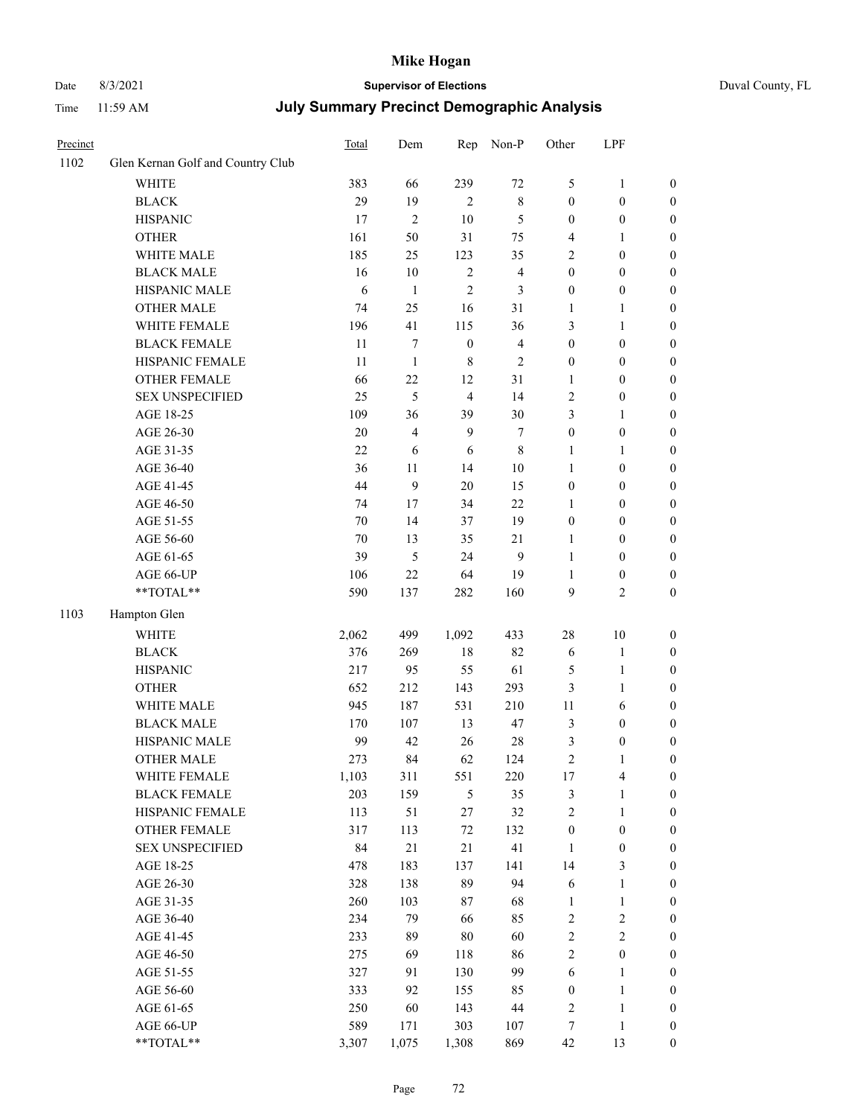# Date 8/3/2021 **Supervisor of Elections** Duval County, FL

| Precinct |                                     | <b>Total</b> | Dem            | Rep                     | Non-P          | Other                            | LPF                              |                                      |
|----------|-------------------------------------|--------------|----------------|-------------------------|----------------|----------------------------------|----------------------------------|--------------------------------------|
| 1102     | Glen Kernan Golf and Country Club   |              |                |                         |                |                                  |                                  |                                      |
|          | <b>WHITE</b>                        | 383          | 66             | 239                     | $72\,$         | 5                                | $\mathbf{1}$                     | 0                                    |
|          | <b>BLACK</b>                        | 29           | 19             | $\overline{2}$          | $\,$ 8 $\,$    | $\boldsymbol{0}$                 | $\boldsymbol{0}$                 | 0                                    |
|          | <b>HISPANIC</b>                     | 17           | $\overline{2}$ | 10                      | $\mathfrak{S}$ | $\boldsymbol{0}$                 | $\boldsymbol{0}$                 | $\boldsymbol{0}$                     |
|          | <b>OTHER</b>                        | 161          | 50             | 31                      | 75             | 4                                | 1                                | $\boldsymbol{0}$                     |
|          | WHITE MALE                          | 185          | 25             | 123                     | 35             | 2                                | $\boldsymbol{0}$                 | $\boldsymbol{0}$                     |
|          | <b>BLACK MALE</b>                   | 16           | 10             | $\sqrt{2}$              | $\overline{4}$ | $\boldsymbol{0}$                 | $\boldsymbol{0}$                 | $\boldsymbol{0}$                     |
|          | HISPANIC MALE                       | 6            | $\mathbf{1}$   | $\mathfrak{2}$          | 3              | 0                                | $\boldsymbol{0}$                 | $\boldsymbol{0}$                     |
|          | <b>OTHER MALE</b>                   | 74           | 25             | 16                      | 31             | 1                                | $\mathbf{1}$                     | $\boldsymbol{0}$                     |
|          | WHITE FEMALE                        | 196          | 41             | 115                     | 36             | 3                                | $\mathbf{1}$                     | $\boldsymbol{0}$                     |
|          | <b>BLACK FEMALE</b>                 | 11           | $\tau$         | $\boldsymbol{0}$        | $\overline{4}$ | $\boldsymbol{0}$                 | $\boldsymbol{0}$                 | $\boldsymbol{0}$                     |
|          | HISPANIC FEMALE                     | 11           | $\mathbf{1}$   | 8                       | $\sqrt{2}$     | 0                                | $\boldsymbol{0}$                 | $\boldsymbol{0}$                     |
|          | <b>OTHER FEMALE</b>                 | 66           | 22             | 12                      | 31             | 1                                | $\boldsymbol{0}$                 | $\boldsymbol{0}$                     |
|          | <b>SEX UNSPECIFIED</b>              | 25           | 5              | $\overline{\mathbf{4}}$ | 14             | $\mathbf{2}$                     | $\boldsymbol{0}$                 | $\boldsymbol{0}$                     |
|          | AGE 18-25                           | 109          | 36             | 39                      | 30             | 3                                | $\mathbf{1}$                     | $\boldsymbol{0}$                     |
|          | AGE 26-30                           | $20\,$       | 4              | 9                       | 7              | $\boldsymbol{0}$                 | $\boldsymbol{0}$                 | $\boldsymbol{0}$                     |
|          | AGE 31-35                           | 22           | 6              | 6                       | $\,8\,$        | 1                                | $\mathbf{1}$                     | $\boldsymbol{0}$                     |
|          | AGE 36-40                           | 36           | 11             | 14                      | 10             | $\mathbf{1}$                     | $\boldsymbol{0}$                 | $\boldsymbol{0}$                     |
|          | AGE 41-45                           | 44           | $\overline{9}$ | $20\,$                  | 15             | $\boldsymbol{0}$                 | $\boldsymbol{0}$                 | $\boldsymbol{0}$                     |
|          | AGE 46-50                           | 74           | 17             | 34                      | $22\,$         | 1                                | $\boldsymbol{0}$                 | $\boldsymbol{0}$                     |
|          | AGE 51-55                           | 70           | 14             | 37                      | 19             | $\boldsymbol{0}$                 | $\boldsymbol{0}$                 | $\boldsymbol{0}$                     |
|          | AGE 56-60                           | 70           | 13             | 35                      | 21             | 1                                | $\boldsymbol{0}$                 | $\boldsymbol{0}$                     |
|          | AGE 61-65                           | 39           | 5              | 24                      | 9              | $\mathbf{1}$                     | $\boldsymbol{0}$                 | $\boldsymbol{0}$                     |
|          | AGE 66-UP                           | 106          | 22             | 64                      | 19             | $\mathbf{1}$                     | $\boldsymbol{0}$                 | $\boldsymbol{0}$                     |
|          | $**TOTAL**$                         | 590          | 137            | 282                     | 160            | 9                                | $\overline{c}$                   | $\boldsymbol{0}$                     |
| 1103     | Hampton Glen                        |              |                |                         |                |                                  |                                  |                                      |
|          | <b>WHITE</b>                        | 2,062        |                | 1,092                   | 433            | 28                               | 10                               |                                      |
|          | <b>BLACK</b>                        | 376          | 499<br>269     | $18\,$                  | 82             |                                  |                                  | $\boldsymbol{0}$                     |
|          | <b>HISPANIC</b>                     | 217          | 95             | 55                      | 61             | 6                                | $\mathbf{1}$<br>$\mathbf{1}$     | $\boldsymbol{0}$                     |
|          |                                     |              |                |                         |                | 5                                |                                  | $\boldsymbol{0}$                     |
|          | <b>OTHER</b>                        | 652          | 212            | 143                     | 293            | 3                                | $\mathbf{1}$                     | $\boldsymbol{0}$                     |
|          | WHITE MALE<br><b>BLACK MALE</b>     | 945<br>170   | 187<br>107     | 531<br>13               | 210<br>47      | $11\,$                           | 6                                | $\boldsymbol{0}$                     |
|          | HISPANIC MALE                       | 99           | 42             | 26                      |                | 3                                | $\boldsymbol{0}$                 | $\boldsymbol{0}$                     |
|          | <b>OTHER MALE</b>                   | 273          | 84             | 62                      | $28\,$<br>124  | 3<br>$\overline{c}$              | $\boldsymbol{0}$<br>$\mathbf{1}$ | $\boldsymbol{0}$<br>$\boldsymbol{0}$ |
|          |                                     |              |                |                         |                |                                  |                                  | 0                                    |
|          | WHITE FEMALE<br><b>BLACK FEMALE</b> | 1,103<br>203 | 311            | 551<br>$\mathfrak{S}$   | 220            | 17                               | 4                                |                                      |
|          | HISPANIC FEMALE                     | 113          | 159<br>51      | 27                      | 35<br>32       | 3<br>$\overline{c}$              | $\mathbf{1}$<br>$\mathbf{1}$     | $\boldsymbol{0}$<br>$\boldsymbol{0}$ |
|          | OTHER FEMALE                        | 317          | 113            | $72\,$                  | 132            |                                  | $\boldsymbol{0}$                 | $\overline{0}$                       |
|          | <b>SEX UNSPECIFIED</b>              | 84           | 21             | 21                      | 41             | $\boldsymbol{0}$<br>$\mathbf{1}$ | $\boldsymbol{0}$                 | 0                                    |
|          | AGE 18-25                           | 478          | 183            | 137                     | 141            | 14                               | 3                                | 0                                    |
|          | AGE 26-30                           | 328          | 138            | 89                      | 94             | 6                                | $\mathbf{1}$                     | 0                                    |
|          | AGE 31-35                           | 260          | 103            | 87                      | 68             | 1                                | $\mathbf{1}$                     | 0                                    |
|          | AGE 36-40                           | 234          | 79             | 66                      | 85             | $\overline{\mathbf{c}}$          | $\sqrt{2}$                       | 0                                    |
|          | AGE 41-45                           | 233          | 89             | $80\,$                  | 60             | $\mathbf{2}$                     | $\mathbf{2}$                     | 0                                    |
|          | AGE 46-50                           | 275          |                |                         | 86             | $\overline{c}$                   | $\boldsymbol{0}$                 |                                      |
|          |                                     | 327          | 69<br>91       | 118<br>130              | 99             |                                  | $\mathbf{1}$                     | 0                                    |
|          | AGE 51-55<br>AGE 56-60              | 333          | 92             | 155                     | 85             | 6<br>0                           | $\mathbf{1}$                     | 0<br>$\boldsymbol{0}$                |
|          | AGE 61-65                           | 250          | 60             | 143                     | 44             | 2                                | $\mathbf{1}$                     | $\boldsymbol{0}$                     |
|          | AGE 66-UP                           | 589          | 171            | 303                     | 107            | $\boldsymbol{7}$                 | $\mathbf{1}$                     | 0                                    |
|          | **TOTAL**                           | 3,307        |                |                         |                | 42                               | 13                               | $\boldsymbol{0}$                     |
|          |                                     |              | 1,075          | 1,308                   | 869            |                                  |                                  |                                      |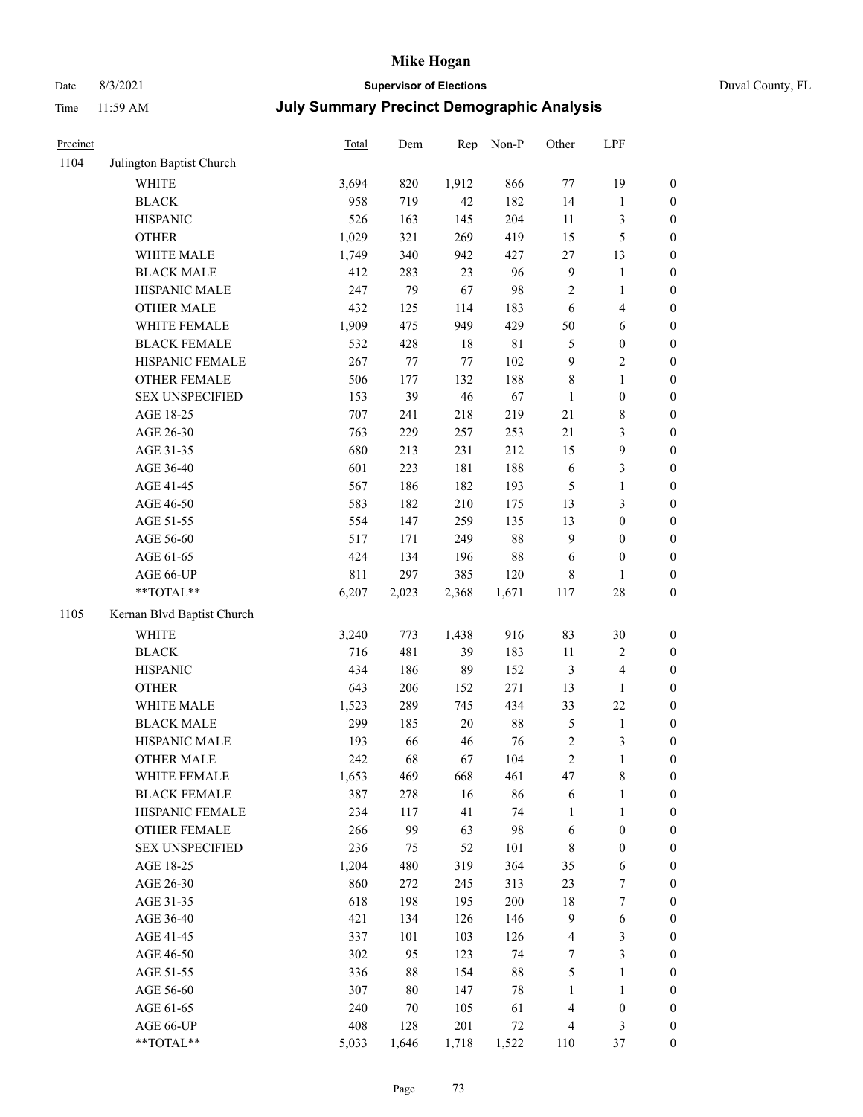## Date 8/3/2021 **Supervisor of Elections** Duval County, FL

| Precinct |                            | Total | Dem   | Rep     | Non-P  | Other                   | LPF                     |                  |
|----------|----------------------------|-------|-------|---------|--------|-------------------------|-------------------------|------------------|
| 1104     | Julington Baptist Church   |       |       |         |        |                         |                         |                  |
|          | WHITE                      | 3,694 | 820   | 1,912   | 866    | 77                      | 19                      | 0                |
|          | <b>BLACK</b>               | 958   | 719   | 42      | 182    | 14                      | $\mathbf{1}$            | $\boldsymbol{0}$ |
|          | <b>HISPANIC</b>            | 526   | 163   | 145     | 204    | 11                      | $\mathfrak{Z}$          | $\boldsymbol{0}$ |
|          | <b>OTHER</b>               | 1,029 | 321   | 269     | 419    | 15                      | $\mathfrak{S}$          | $\boldsymbol{0}$ |
|          | WHITE MALE                 | 1,749 | 340   | 942     | 427    | 27                      | 13                      | $\boldsymbol{0}$ |
|          | <b>BLACK MALE</b>          | 412   | 283   | 23      | 96     | $\overline{9}$          | $\mathbf{1}$            | $\boldsymbol{0}$ |
|          | HISPANIC MALE              | 247   | 79    | 67      | 98     | 2                       | $\mathbf{1}$            | $\boldsymbol{0}$ |
|          | <b>OTHER MALE</b>          | 432   | 125   | 114     | 183    | 6                       | $\overline{\mathbf{4}}$ | $\boldsymbol{0}$ |
|          | WHITE FEMALE               | 1,909 | 475   | 949     | 429    | 50                      | 6                       | $\boldsymbol{0}$ |
|          | <b>BLACK FEMALE</b>        | 532   | 428   | 18      | 81     | $\mathfrak{S}$          | $\boldsymbol{0}$        | 0                |
|          | HISPANIC FEMALE            | 267   | 77    | $77 \,$ | 102    | 9                       | $\sqrt{2}$              | 0                |
|          | OTHER FEMALE               | 506   | 177   | 132     | 188    | 8                       | $\mathbf{1}$            | $\boldsymbol{0}$ |
|          | <b>SEX UNSPECIFIED</b>     | 153   | 39    | 46      | 67     | $\mathbf{1}$            | $\boldsymbol{0}$        | $\boldsymbol{0}$ |
|          | AGE 18-25                  | 707   | 241   | 218     | 219    | 21                      | $\,$ 8 $\,$             | $\boldsymbol{0}$ |
|          | AGE 26-30                  | 763   | 229   | 257     | 253    | 21                      | $\mathfrak{Z}$          | $\boldsymbol{0}$ |
|          | AGE 31-35                  | 680   | 213   | 231     | 212    | 15                      | $\boldsymbol{9}$        | $\boldsymbol{0}$ |
|          | AGE 36-40                  | 601   | 223   | 181     | 188    | 6                       | $\mathfrak{Z}$          | $\boldsymbol{0}$ |
|          | AGE 41-45                  | 567   | 186   | 182     | 193    | 5                       | $\mathbf{1}$            | $\boldsymbol{0}$ |
|          | AGE 46-50                  | 583   | 182   | 210     | 175    | 13                      | $\mathfrak{Z}$          | $\boldsymbol{0}$ |
|          | AGE 51-55                  | 554   | 147   | 259     | 135    | 13                      | $\boldsymbol{0}$        | $\boldsymbol{0}$ |
|          | AGE 56-60                  | 517   | 171   | 249     | $88\,$ | $\overline{9}$          | $\boldsymbol{0}$        | 0                |
|          | AGE 61-65                  | 424   | 134   | 196     | $88\,$ | 6                       | $\boldsymbol{0}$        | $\boldsymbol{0}$ |
|          | AGE 66-UP                  | 811   | 297   | 385     | 120    | 8                       | $\mathbf{1}$            | $\boldsymbol{0}$ |
|          | **TOTAL**                  | 6,207 | 2,023 | 2,368   | 1,671  | 117                     | $28\,$                  | $\boldsymbol{0}$ |
| 1105     | Kernan Blvd Baptist Church |       |       |         |        |                         |                         |                  |
|          | <b>WHITE</b>               | 3,240 | 773   | 1,438   | 916    | 83                      | $30\,$                  | $\boldsymbol{0}$ |
|          | <b>BLACK</b>               | 716   | 481   | 39      | 183    | $11\,$                  | $\sqrt{2}$              | $\boldsymbol{0}$ |
|          | <b>HISPANIC</b>            | 434   | 186   | 89      | 152    | 3                       | $\overline{\mathbf{4}}$ | $\boldsymbol{0}$ |
|          | <b>OTHER</b>               | 643   | 206   | 152     | 271    | 13                      | $\mathbf{1}$            | $\boldsymbol{0}$ |
|          | WHITE MALE                 | 1,523 | 289   | 745     | 434    | 33                      | 22                      | $\boldsymbol{0}$ |
|          | <b>BLACK MALE</b>          | 299   | 185   | $20\,$  | $88\,$ | $\mathfrak s$           | $\mathbf{1}$            | $\boldsymbol{0}$ |
|          | HISPANIC MALE              | 193   | 66    | 46      | 76     | $\sqrt{2}$              | $\mathfrak{Z}$          | 0                |
|          | <b>OTHER MALE</b>          | 242   | 68    | 67      | 104    | $\overline{c}$          | $\mathbf{1}$            | $\boldsymbol{0}$ |
|          | WHITE FEMALE               | 1,653 | 469   | 668     | 461    | 47                      | 8                       | 0                |
|          | <b>BLACK FEMALE</b>        | 387   | 278   | 16      | 86     | 6                       | $\mathbf{1}$            | $\boldsymbol{0}$ |
|          | HISPANIC FEMALE            | 234   | 117   | 41      | 74     | $\mathbf{1}$            | $\mathbf{1}$            | $\overline{0}$   |
|          | <b>OTHER FEMALE</b>        | 266   | 99    | 63      | 98     | 6                       | $\boldsymbol{0}$        | $\overline{0}$   |
|          | <b>SEX UNSPECIFIED</b>     | 236   | 75    | 52      | 101    | 8                       | $\boldsymbol{0}$        | 0                |
|          | AGE 18-25                  | 1,204 | 480   | 319     | 364    | 35                      | 6                       | 0                |
|          | AGE 26-30                  | 860   | 272   | 245     | 313    | 23                      | $\boldsymbol{7}$        | 0                |
|          | AGE 31-35                  | 618   | 198   | 195     | 200    | 18                      | $\boldsymbol{7}$        | 0                |
|          | AGE 36-40                  | 421   | 134   | 126     | 146    | $\overline{9}$          | 6                       | 0                |
|          | AGE 41-45                  | 337   | 101   | 103     | 126    | $\overline{\mathbf{4}}$ | $\mathfrak{Z}$          | 0                |
|          | AGE 46-50                  | 302   | 95    | 123     | 74     | 7                       | $\mathfrak{Z}$          | 0                |
|          | AGE 51-55                  | 336   | 88    | 154     | $88\,$ | 5                       | $\mathbf{1}$            | 0                |
|          | AGE 56-60                  | 307   | 80    | 147     | 78     | 1                       | $\mathbf{1}$            | 0                |
|          | AGE 61-65                  | 240   | 70    | 105     | 61     | 4                       | $\boldsymbol{0}$        | $\overline{0}$   |
|          | AGE 66-UP                  | 408   | 128   | 201     | 72     | 4                       | $\mathfrak{Z}$          | 0                |
|          | **TOTAL**                  | 5,033 | 1,646 | 1,718   | 1,522  | 110                     | 37                      | $\boldsymbol{0}$ |
|          |                            |       |       |         |        |                         |                         |                  |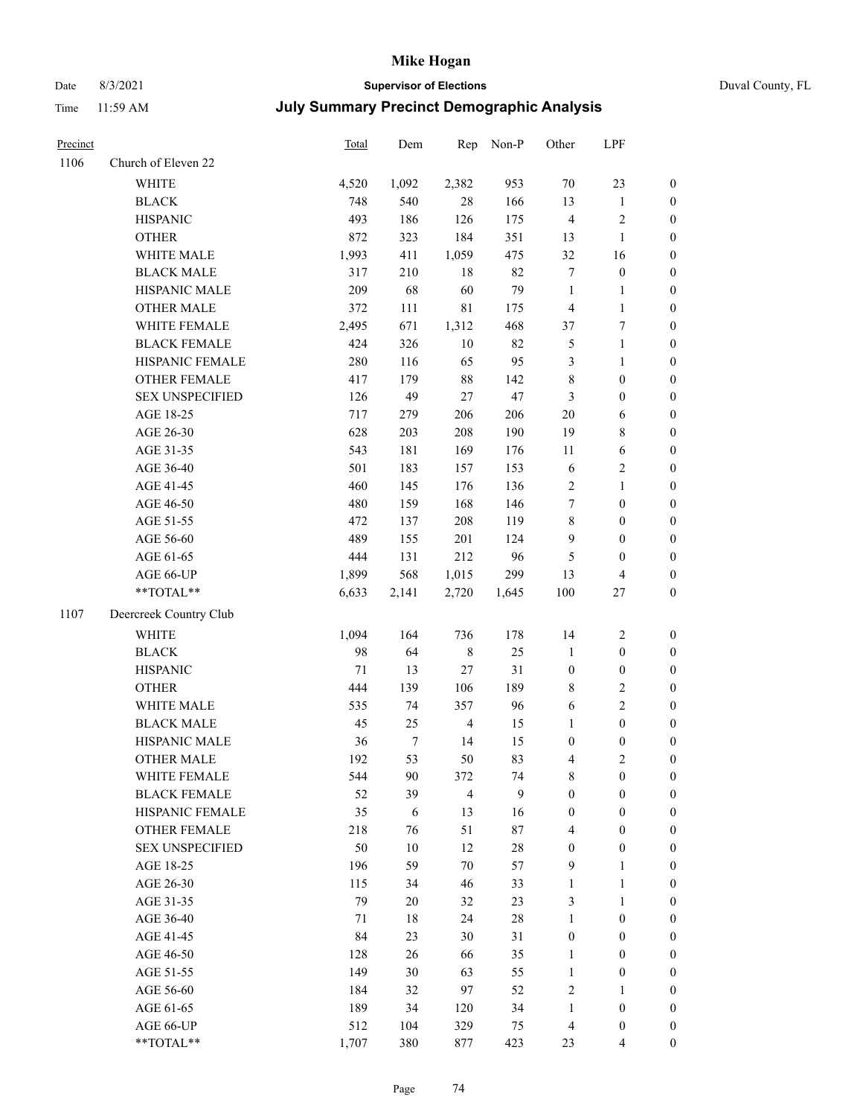## Date 8/3/2021 **Supervisor of Elections** Duval County, FL

| Precinct |                        | Total | Dem              | Rep            | Non-P | Other            | LPF              |                  |
|----------|------------------------|-------|------------------|----------------|-------|------------------|------------------|------------------|
| 1106     | Church of Eleven 22    |       |                  |                |       |                  |                  |                  |
|          | <b>WHITE</b>           | 4,520 | 1,092            | 2,382          | 953   | 70               | 23               | 0                |
|          | <b>BLACK</b>           | 748   | 540              | 28             | 166   | 13               | $\mathbf{1}$     | $\boldsymbol{0}$ |
|          | <b>HISPANIC</b>        | 493   | 186              | 126            | 175   | $\overline{4}$   | $\sqrt{2}$       | $\boldsymbol{0}$ |
|          | <b>OTHER</b>           | 872   | 323              | 184            | 351   | 13               | $\mathbf{1}$     | $\boldsymbol{0}$ |
|          | WHITE MALE             | 1,993 | 411              | 1,059          | 475   | 32               | 16               | $\boldsymbol{0}$ |
|          | <b>BLACK MALE</b>      | 317   | 210              | 18             | 82    | 7                | $\boldsymbol{0}$ | $\boldsymbol{0}$ |
|          | HISPANIC MALE          | 209   | 68               | 60             | 79    | $\mathbf{1}$     | $\mathbf{1}$     | $\boldsymbol{0}$ |
|          | <b>OTHER MALE</b>      | 372   | 111              | $8\sqrt{1}$    | 175   | 4                | $\mathbf{1}$     | $\boldsymbol{0}$ |
|          | WHITE FEMALE           | 2,495 | 671              | 1,312          | 468   | 37               | $\boldsymbol{7}$ | $\boldsymbol{0}$ |
|          | <b>BLACK FEMALE</b>    | 424   | 326              | $10\,$         | 82    | 5                | $\mathbf{1}$     | 0                |
|          | HISPANIC FEMALE        | 280   | 116              | 65             | 95    | 3                | $\mathbf{1}$     | 0                |
|          | OTHER FEMALE           | 417   | 179              | 88             | 142   | 8                | $\boldsymbol{0}$ | $\boldsymbol{0}$ |
|          | <b>SEX UNSPECIFIED</b> | 126   | 49               | $27\,$         | 47    | 3                | $\boldsymbol{0}$ | $\boldsymbol{0}$ |
|          | AGE 18-25              | 717   | 279              | 206            | 206   | $20\,$           | 6                | $\boldsymbol{0}$ |
|          | AGE 26-30              | 628   | 203              | 208            | 190   | 19               | $\,$ 8 $\,$      | $\boldsymbol{0}$ |
|          | AGE 31-35              | 543   | 181              | 169            | 176   | 11               | 6                | $\boldsymbol{0}$ |
|          | AGE 36-40              | 501   | 183              | 157            | 153   | 6                | $\sqrt{2}$       | $\boldsymbol{0}$ |
|          | AGE 41-45              | 460   | 145              | 176            | 136   | $\mathbf{2}$     | $\mathbf{1}$     | $\boldsymbol{0}$ |
|          | AGE 46-50              | 480   | 159              | 168            | 146   | 7                | $\boldsymbol{0}$ | $\boldsymbol{0}$ |
|          | AGE 51-55              | 472   | 137              | 208            | 119   | 8                | $\boldsymbol{0}$ | $\boldsymbol{0}$ |
|          | AGE 56-60              | 489   | 155              | 201            | 124   | 9                | $\boldsymbol{0}$ | 0                |
|          | AGE 61-65              | 444   | 131              | 212            | 96    | 5                | $\boldsymbol{0}$ | $\boldsymbol{0}$ |
|          | AGE 66-UP              | 1,899 | 568              | 1,015          | 299   | 13               | $\overline{4}$   | $\boldsymbol{0}$ |
|          | $**TOTAL**$            | 6,633 | 2,141            | 2,720          | 1,645 | 100              | $27\,$           | $\boldsymbol{0}$ |
| 1107     |                        |       |                  |                |       |                  |                  |                  |
|          | Deercreek Country Club |       |                  |                |       |                  |                  |                  |
|          | <b>WHITE</b>           | 1,094 | 164              | 736            | 178   | 14               | $\sqrt{2}$       | $\boldsymbol{0}$ |
|          | <b>BLACK</b>           | 98    | 64               | $\,$ 8 $\,$    | 25    | $\mathbf{1}$     | $\boldsymbol{0}$ | $\boldsymbol{0}$ |
|          | <b>HISPANIC</b>        | 71    | 13               | 27             | 31    | $\boldsymbol{0}$ | $\boldsymbol{0}$ | $\boldsymbol{0}$ |
|          | <b>OTHER</b>           | 444   | 139              | 106            | 189   | 8                | $\sqrt{2}$       | $\boldsymbol{0}$ |
|          | WHITE MALE             | 535   | 74               | 357            | 96    | 6                | $\mathbf{2}$     | $\boldsymbol{0}$ |
|          | <b>BLACK MALE</b>      | 45    | 25               | $\overline{4}$ | 15    | $\mathbf{1}$     | $\boldsymbol{0}$ | $\boldsymbol{0}$ |
|          | HISPANIC MALE          | 36    | $\boldsymbol{7}$ | 14             | 15    | $\boldsymbol{0}$ | $\boldsymbol{0}$ | $\boldsymbol{0}$ |
|          | <b>OTHER MALE</b>      | 192   | 53               | 50             | 83    | 4                | $\mathfrak{2}$   | $\boldsymbol{0}$ |
|          | WHITE FEMALE           | 544   | 90               | 372            | 74    | 8                | 0                | 0                |
|          | <b>BLACK FEMALE</b>    | 52    | 39               | $\overline{4}$ | 9     | 0                | $\boldsymbol{0}$ | $\overline{0}$   |
|          | HISPANIC FEMALE        | 35    | 6                | 13             | 16    | 0                | $\boldsymbol{0}$ | $\overline{0}$   |
|          | <b>OTHER FEMALE</b>    | 218   | 76               | 51             | 87    | 4                | $\boldsymbol{0}$ | $\overline{0}$   |
|          | <b>SEX UNSPECIFIED</b> | 50    | 10               | 12             | 28    | $\boldsymbol{0}$ | $\boldsymbol{0}$ | 0                |
|          | AGE 18-25              | 196   | 59               | $70\,$         | 57    | 9                | $\mathbf{1}$     | 0                |
|          | AGE 26-30              | 115   | 34               | 46             | 33    | $\mathbf{1}$     | $\mathbf{1}$     | 0                |
|          | AGE 31-35              | 79    | 20               | 32             | 23    | 3                | $\mathbf{1}$     | 0                |
|          | AGE 36-40              | 71    | 18               | 24             | 28    | 1                | $\boldsymbol{0}$ | 0                |
|          | AGE 41-45              | 84    | 23               | 30             | 31    | $\boldsymbol{0}$ | $\boldsymbol{0}$ | 0                |
|          | AGE 46-50              | 128   | 26               | 66             | 35    | 1                | $\boldsymbol{0}$ | 0                |
|          | AGE 51-55              | 149   | 30               | 63             | 55    | $\mathbf{1}$     | $\boldsymbol{0}$ | 0                |
|          | AGE 56-60              | 184   | 32               | 97             | 52    | 2                | 1                | $\overline{0}$   |
|          | AGE 61-65              | 189   | 34               | 120            | 34    | 1                | $\boldsymbol{0}$ | 0                |
|          | AGE 66-UP              | 512   | 104              | 329            | 75    | 4                | $\boldsymbol{0}$ | 0                |
|          | **TOTAL**              | 1,707 | 380              | 877            | 423   | 23               | $\overline{4}$   | $\boldsymbol{0}$ |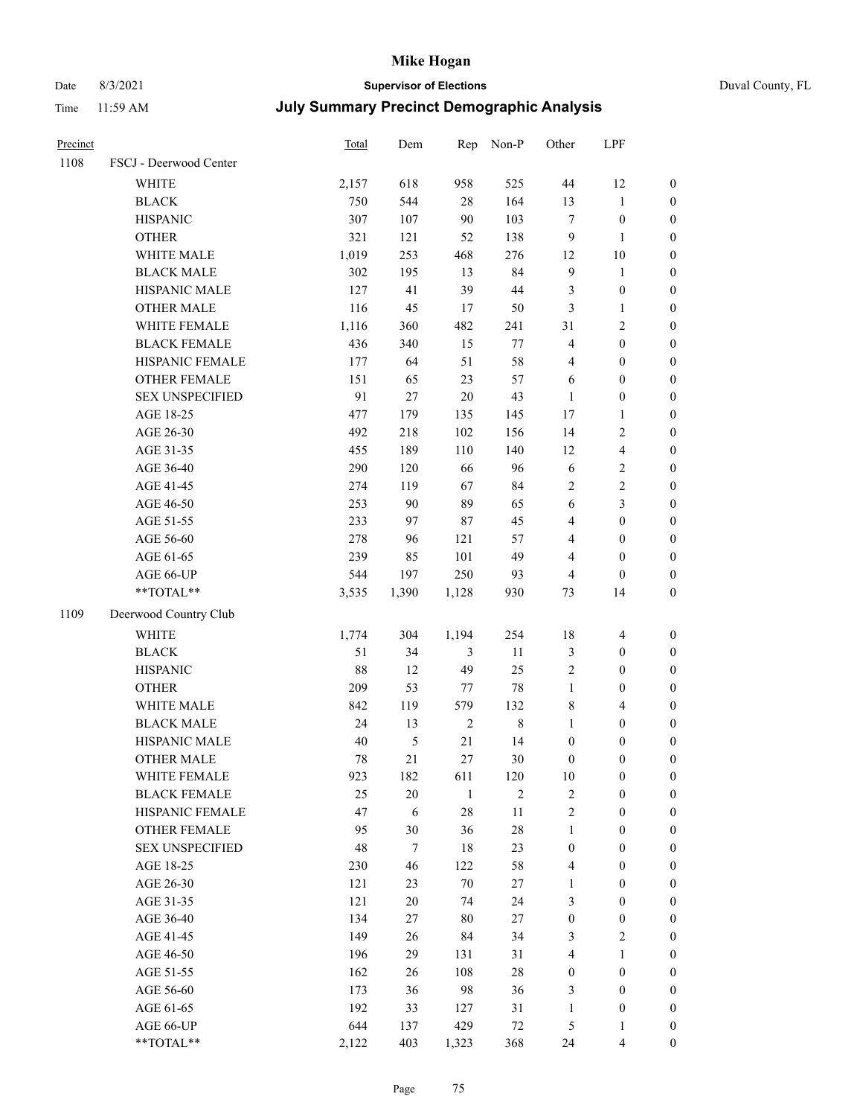Time 11:59 AM

# Date 8/3/2021 **Supervisor of Elections** Duval County, FL

| <b>July Summary Precinct Demographic Analysis</b> |  |
|---------------------------------------------------|--|
|---------------------------------------------------|--|

| Precinct |                        | <b>Total</b> | Dem    | Rep            | Non-P          | Other            | LPF                     |                  |
|----------|------------------------|--------------|--------|----------------|----------------|------------------|-------------------------|------------------|
| 1108     | FSCJ - Deerwood Center |              |        |                |                |                  |                         |                  |
|          | <b>WHITE</b>           | 2,157        | 618    | 958            | 525            | $44\,$           | 12                      | $\boldsymbol{0}$ |
|          | <b>BLACK</b>           | 750          | 544    | $28\,$         | 164            | 13               | $\mathbf{1}$            | $\boldsymbol{0}$ |
|          | <b>HISPANIC</b>        | 307          | 107    | 90             | 103            | $\tau$           | $\boldsymbol{0}$        | $\boldsymbol{0}$ |
|          | <b>OTHER</b>           | 321          | 121    | 52             | 138            | 9                | 1                       | $\boldsymbol{0}$ |
|          | WHITE MALE             | 1,019        | 253    | 468            | 276            | 12               | $10\,$                  | $\boldsymbol{0}$ |
|          | <b>BLACK MALE</b>      | 302          | 195    | 13             | 84             | $\mathbf{9}$     | $\mathbf{1}$            | $\boldsymbol{0}$ |
|          | HISPANIC MALE          | 127          | 41     | 39             | 44             | 3                | $\boldsymbol{0}$        | $\boldsymbol{0}$ |
|          | <b>OTHER MALE</b>      | 116          | 45     | 17             | 50             | 3                | $\mathbf{1}$            | $\boldsymbol{0}$ |
|          | WHITE FEMALE           | 1,116        | 360    | 482            | 241            | 31               | $\sqrt{2}$              | $\boldsymbol{0}$ |
|          | <b>BLACK FEMALE</b>    | 436          | 340    | 15             | 77             | 4                | $\boldsymbol{0}$        | $\boldsymbol{0}$ |
|          | HISPANIC FEMALE        | 177          | 64     | 51             | 58             | 4                | $\boldsymbol{0}$        | 0                |
|          | <b>OTHER FEMALE</b>    | 151          | 65     | 23             | 57             | 6                | $\boldsymbol{0}$        | $\boldsymbol{0}$ |
|          | <b>SEX UNSPECIFIED</b> | 91           | 27     | 20             | 43             | $\mathbf{1}$     | $\boldsymbol{0}$        | $\boldsymbol{0}$ |
|          | AGE 18-25              | 477          | 179    | 135            | 145            | 17               | $\mathbf{1}$            | $\boldsymbol{0}$ |
|          | AGE 26-30              | 492          | 218    | 102            | 156            | 14               | $\sqrt{2}$              | $\boldsymbol{0}$ |
|          | AGE 31-35              | 455          | 189    | 110            | 140            | 12               | $\overline{\mathbf{4}}$ | $\boldsymbol{0}$ |
|          | AGE 36-40              | 290          | 120    | 66             | 96             | $\sqrt{6}$       | $\sqrt{2}$              | $\boldsymbol{0}$ |
|          | AGE 41-45              | 274          | 119    | 67             | 84             | $\overline{c}$   | $\sqrt{2}$              | $\boldsymbol{0}$ |
|          | AGE 46-50              | 253          | 90     | 89             | 65             | $\sqrt{6}$       | $\mathfrak{Z}$          | $\boldsymbol{0}$ |
|          | AGE 51-55              | 233          | 97     | 87             | 45             | 4                | $\boldsymbol{0}$        | $\boldsymbol{0}$ |
|          | AGE 56-60              | 278          | 96     | 121            | 57             | 4                | $\boldsymbol{0}$        | 0                |
|          | AGE 61-65              | 239          | 85     | 101            | 49             | 4                | $\boldsymbol{0}$        | $\boldsymbol{0}$ |
|          | AGE 66-UP              | 544          | 197    | 250            | 93             | 4                | $\boldsymbol{0}$        | $\boldsymbol{0}$ |
|          | **TOTAL**              | 3,535        | 1,390  | 1,128          | 930            | 73               | 14                      | $\boldsymbol{0}$ |
| 1109     | Deerwood Country Club  |              |        |                |                |                  |                         |                  |
|          | <b>WHITE</b>           | 1,774        | 304    | 1,194          | 254            | 18               | $\overline{\mathbf{4}}$ | $\boldsymbol{0}$ |
|          | <b>BLACK</b>           | 51           | 34     | $\mathfrak{Z}$ | 11             | 3                | $\boldsymbol{0}$        | $\boldsymbol{0}$ |
|          | <b>HISPANIC</b>        | 88           | 12     | 49             | 25             | 2                | $\boldsymbol{0}$        | $\boldsymbol{0}$ |
|          | <b>OTHER</b>           | 209          | 53     | 77             | $78\,$         | $\mathbf{1}$     | $\boldsymbol{0}$        | $\boldsymbol{0}$ |
|          | WHITE MALE             | 842          | 119    | 579            | 132            | 8                | $\overline{4}$          | $\boldsymbol{0}$ |
|          | <b>BLACK MALE</b>      | 24           | 13     | $\sqrt{2}$     | $\,$ 8 $\,$    | $\mathbf{1}$     | $\boldsymbol{0}$        | $\boldsymbol{0}$ |
|          | HISPANIC MALE          | 40           | 5      | 21             | 14             | $\boldsymbol{0}$ | $\boldsymbol{0}$        | $\boldsymbol{0}$ |
|          | OTHER MALE             | 78           | 21     | 27             | $30\,$         | $\boldsymbol{0}$ | $\boldsymbol{0}$        | $\boldsymbol{0}$ |
|          | WHITE FEMALE           | 923          | 182    | 611            | 120            | 10               | $\boldsymbol{0}$        | 0                |
|          | <b>BLACK FEMALE</b>    | 25           | $20\,$ | $\mathbf{1}$   | $\overline{2}$ | 2                | $\boldsymbol{0}$        | $\boldsymbol{0}$ |
|          | HISPANIC FEMALE        | 47           | 6      | 28             | $11\,$         | $\overline{c}$   | $\boldsymbol{0}$        | $\overline{0}$   |
|          | <b>OTHER FEMALE</b>    | 95           | 30     | 36             | $28\,$         | $\mathbf{1}$     | $\boldsymbol{0}$        | $\overline{0}$   |
|          | <b>SEX UNSPECIFIED</b> | 48           | $\tau$ | 18             | 23             | $\boldsymbol{0}$ | $\boldsymbol{0}$        | $\overline{0}$   |
|          | AGE 18-25              | 230          | 46     | 122            | 58             | 4                | $\boldsymbol{0}$        | $\theta$         |
|          | AGE 26-30              | 121          | 23     | 70             | $27\,$         | $\mathbf{1}$     | $\boldsymbol{0}$        | 0                |
|          | AGE 31-35              | 121          | $20\,$ | 74             | 24             | 3                | $\boldsymbol{0}$        | 0                |
|          | AGE 36-40              | 134          | 27     | 80             | 27             | $\boldsymbol{0}$ | $\boldsymbol{0}$        | 0                |
|          | AGE 41-45              | 149          | 26     | 84             | 34             | 3                | $\mathbf{2}$            | 0                |
|          | AGE 46-50              | 196          | 29     | 131            | 31             | 4                | $\mathbf{1}$            | 0                |
|          | AGE 51-55              | 162          | 26     | 108            | $28\,$         | $\boldsymbol{0}$ | $\boldsymbol{0}$        | $\overline{0}$   |
|          | AGE 56-60              | 173          | 36     | 98             | 36             | 3                | $\boldsymbol{0}$        | $\overline{0}$   |
|          | AGE 61-65              | 192          | 33     | 127            | 31             | $\mathbf{1}$     | $\boldsymbol{0}$        | $\overline{0}$   |
|          | AGE 66-UP              | 644          | 137    | 429            | $72\,$         | 5                | $\mathbf{1}$            | $\boldsymbol{0}$ |
|          | **TOTAL**              | 2,122        | 403    | 1,323          | 368            | 24               | $\overline{4}$          | $\boldsymbol{0}$ |
|          |                        |              |        |                |                |                  |                         |                  |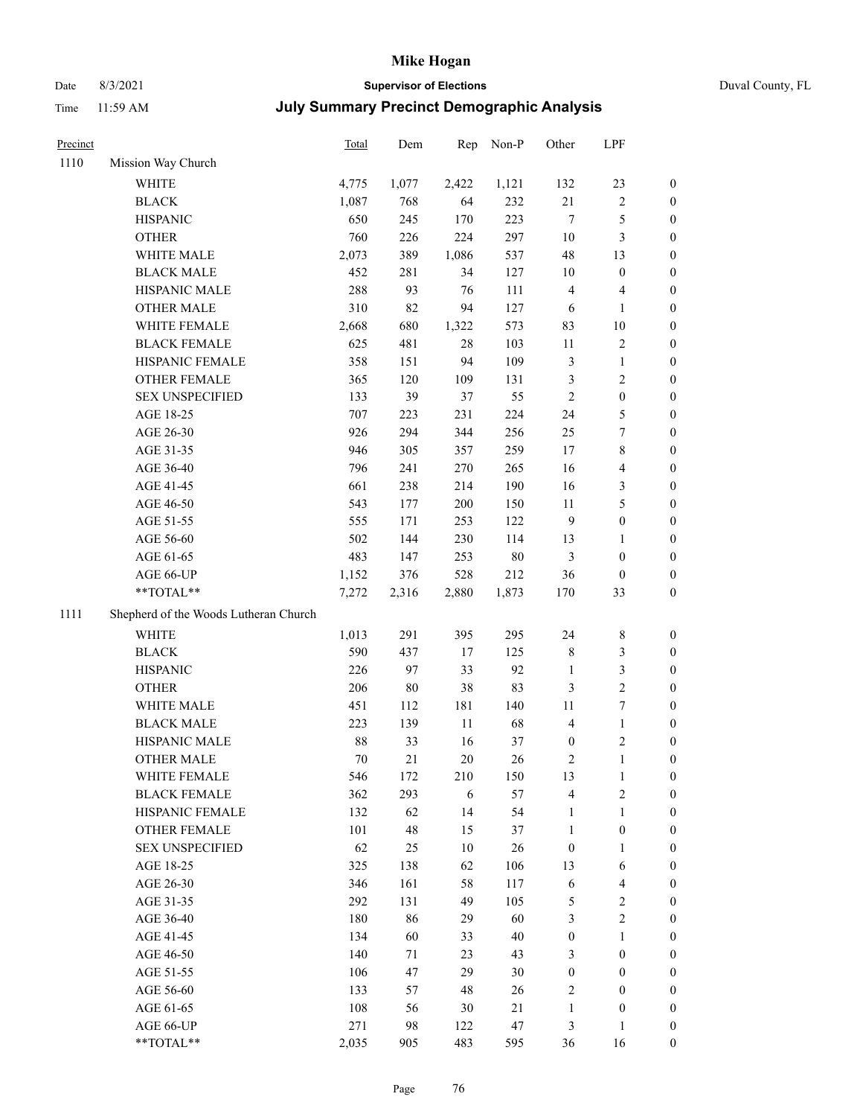Date 8/3/2021 **Supervisor of Elections** Duval County, FL

| Precinct |                                       | Total | Dem   | Rep    | Non-P | Other            | LPF              |                  |
|----------|---------------------------------------|-------|-------|--------|-------|------------------|------------------|------------------|
| 1110     | Mission Way Church                    |       |       |        |       |                  |                  |                  |
|          | WHITE                                 | 4,775 | 1,077 | 2,422  | 1,121 | 132              | 23               | 0                |
|          | <b>BLACK</b>                          | 1,087 | 768   | 64     | 232   | $21\,$           | $\sqrt{2}$       | 0                |
|          | <b>HISPANIC</b>                       | 650   | 245   | 170    | 223   | $\tau$           | $\mathfrak s$    | $\boldsymbol{0}$ |
|          | <b>OTHER</b>                          | 760   | 226   | 224    | 297   | $10\,$           | $\mathfrak{Z}$   | $\boldsymbol{0}$ |
|          | WHITE MALE                            | 2,073 | 389   | 1,086  | 537   | 48               | 13               | $\boldsymbol{0}$ |
|          | <b>BLACK MALE</b>                     | 452   | 281   | 34     | 127   | 10               | $\boldsymbol{0}$ | $\boldsymbol{0}$ |
|          | HISPANIC MALE                         | 288   | 93    | 76     | 111   | 4                | $\overline{4}$   | $\boldsymbol{0}$ |
|          | <b>OTHER MALE</b>                     | 310   | 82    | 94     | 127   | 6                | $\mathbf{1}$     | $\boldsymbol{0}$ |
|          | WHITE FEMALE                          | 2,668 | 680   | 1,322  | 573   | 83               | $10\,$           | $\boldsymbol{0}$ |
|          | <b>BLACK FEMALE</b>                   | 625   | 481   | 28     | 103   | 11               | $\sqrt{2}$       | 0                |
|          | HISPANIC FEMALE                       | 358   | 151   | 94     | 109   | 3                | $\mathbf{1}$     | 0                |
|          | OTHER FEMALE                          | 365   | 120   | 109    | 131   | 3                | $\sqrt{2}$       | 0                |
|          | <b>SEX UNSPECIFIED</b>                | 133   | 39    | 37     | 55    | $\sqrt{2}$       | $\boldsymbol{0}$ | $\boldsymbol{0}$ |
|          | AGE 18-25                             | 707   | 223   | 231    | 224   | 24               | $\mathfrak s$    | $\boldsymbol{0}$ |
|          | AGE 26-30                             | 926   | 294   | 344    | 256   | 25               | $\boldsymbol{7}$ | $\boldsymbol{0}$ |
|          | AGE 31-35                             | 946   | 305   | 357    | 259   | 17               | $\,$ $\,$        | $\boldsymbol{0}$ |
|          | AGE 36-40                             | 796   | 241   | 270    | 265   | 16               | $\overline{4}$   | $\boldsymbol{0}$ |
|          | AGE 41-45                             | 661   | 238   | 214    | 190   | 16               | $\mathfrak{Z}$   | $\boldsymbol{0}$ |
|          | AGE 46-50                             | 543   | 177   | 200    | 150   | 11               | 5                | $\boldsymbol{0}$ |
|          | AGE 51-55                             | 555   | 171   | 253    | 122   | $\mathbf{9}$     | $\boldsymbol{0}$ | 0                |
|          | AGE 56-60                             | 502   | 144   | 230    | 114   | 13               | 1                | 0                |
|          | AGE 61-65                             | 483   | 147   | 253    | 80    | 3                | $\boldsymbol{0}$ | 0                |
|          | AGE 66-UP                             | 1,152 | 376   | 528    | 212   | 36               | $\boldsymbol{0}$ | $\boldsymbol{0}$ |
|          | $**TOTAL**$                           | 7,272 | 2,316 | 2,880  | 1,873 | 170              | 33               | $\boldsymbol{0}$ |
| 1111     | Shepherd of the Woods Lutheran Church |       |       |        |       |                  |                  |                  |
|          | <b>WHITE</b>                          | 1,013 | 291   | 395    | 295   | 24               | $\,$ $\,$        | $\boldsymbol{0}$ |
|          | <b>BLACK</b>                          | 590   | 437   | 17     | 125   | 8                | $\mathfrak{Z}$   | $\boldsymbol{0}$ |
|          | <b>HISPANIC</b>                       | 226   | 97    | 33     | 92    | $\mathbf{1}$     | $\mathfrak{Z}$   | $\boldsymbol{0}$ |
|          | <b>OTHER</b>                          | 206   | 80    | 38     | 83    | 3                | $\overline{2}$   | $\boldsymbol{0}$ |
|          | WHITE MALE                            | 451   | 112   | 181    | 140   | $11\,$           | $\boldsymbol{7}$ | $\boldsymbol{0}$ |
|          | <b>BLACK MALE</b>                     | 223   | 139   | $11\,$ | 68    | $\overline{4}$   | $\mathbf{1}$     | $\boldsymbol{0}$ |
|          | HISPANIC MALE                         | 88    | 33    | 16     | 37    | $\boldsymbol{0}$ | $\sqrt{2}$       | 0                |
|          | <b>OTHER MALE</b>                     | 70    | 21    | 20     | 26    | 2                | $\mathbf{1}$     | 0                |
|          | WHITE FEMALE                          | 546   | 172   | 210    | 150   | 13               | 1                | 0                |
|          | <b>BLACK FEMALE</b>                   | 362   | 293   | 6      | 57    | 4                | $\sqrt{2}$       | $\overline{0}$   |
|          | HISPANIC FEMALE                       | 132   | 62    | 14     | 54    | $\mathbf{1}$     | $\mathbf{1}$     | $\overline{0}$   |
|          | <b>OTHER FEMALE</b>                   | 101   | 48    | 15     | 37    | $\mathbf{1}$     | $\boldsymbol{0}$ | $\overline{0}$   |
|          | <b>SEX UNSPECIFIED</b>                | 62    | 25    | $10\,$ | 26    | $\boldsymbol{0}$ | $\mathbf{1}$     | 0                |
|          | AGE 18-25                             | 325   | 138   | 62     | 106   | 13               | 6                | 0                |
|          | AGE 26-30                             | 346   | 161   | 58     | 117   | 6                | $\overline{4}$   | 0                |
|          | AGE 31-35                             | 292   | 131   | 49     | 105   | 5                | $\sqrt{2}$       | 0                |
|          | AGE 36-40                             | 180   | 86    | 29     | 60    | 3                | $\sqrt{2}$       | 0                |
|          | AGE 41-45                             | 134   | 60    | 33     | 40    | $\boldsymbol{0}$ | $\mathbf{1}$     | 0                |
|          | AGE 46-50                             | 140   | 71    | 23     | 43    | 3                | $\boldsymbol{0}$ | 0                |
|          | AGE 51-55                             | 106   | 47    | 29     | 30    | 0                | $\boldsymbol{0}$ | 0                |
|          | AGE 56-60                             | 133   | 57    | 48     | 26    | 2                | $\boldsymbol{0}$ | 0                |
|          | AGE 61-65                             | 108   | 56    | 30     | 21    | 1                | $\boldsymbol{0}$ | 0                |
|          | AGE 66-UP                             | 271   | 98    | 122    | 47    | 3                | $\mathbf{1}$     | 0                |
|          | **TOTAL**                             | 2,035 | 905   | 483    | 595   | 36               | 16               | $\boldsymbol{0}$ |
|          |                                       |       |       |        |       |                  |                  |                  |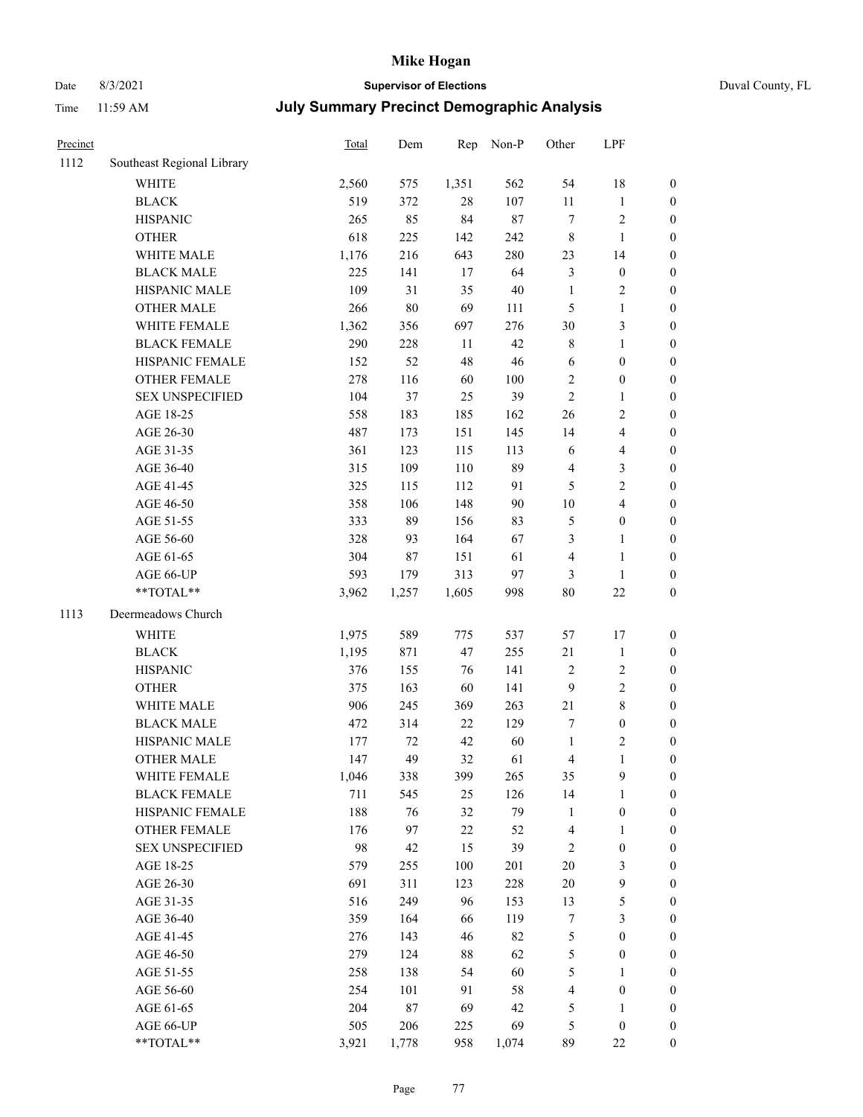## Date 8/3/2021 **Supervisor of Elections** Duval County, FL

| Precinct |                            | Total | Dem    | Rep   | Non-P   | Other            | LPF                     |                  |
|----------|----------------------------|-------|--------|-------|---------|------------------|-------------------------|------------------|
| 1112     | Southeast Regional Library |       |        |       |         |                  |                         |                  |
|          | <b>WHITE</b>               | 2,560 | 575    | 1,351 | 562     | 54               | 18                      | $\boldsymbol{0}$ |
|          | <b>BLACK</b>               | 519   | 372    | 28    | 107     | $11\,$           | $\mathbf{1}$            | $\boldsymbol{0}$ |
|          | <b>HISPANIC</b>            | 265   | 85     | 84    | 87      | 7                | $\sqrt{2}$              | $\boldsymbol{0}$ |
|          | <b>OTHER</b>               | 618   | 225    | 142   | 242     | 8                | $\mathbf{1}$            | $\boldsymbol{0}$ |
|          | WHITE MALE                 | 1,176 | 216    | 643   | 280     | 23               | 14                      | $\boldsymbol{0}$ |
|          | <b>BLACK MALE</b>          | 225   | 141    | 17    | 64      | 3                | $\boldsymbol{0}$        | $\boldsymbol{0}$ |
|          | HISPANIC MALE              | 109   | 31     | 35    | $40\,$  | $\mathbf{1}$     | $\sqrt{2}$              | $\boldsymbol{0}$ |
|          | <b>OTHER MALE</b>          | 266   | $80\,$ | 69    | 111     | 5                | $\mathbf{1}$            | $\boldsymbol{0}$ |
|          | WHITE FEMALE               | 1,362 | 356    | 697   | 276     | 30               | $\mathfrak{Z}$          | 0                |
|          | <b>BLACK FEMALE</b>        | 290   | 228    | 11    | 42      | 8                | $\mathbf{1}$            | $\boldsymbol{0}$ |
|          | HISPANIC FEMALE            | 152   | 52     | 48    | 46      | 6                | $\boldsymbol{0}$        | $\boldsymbol{0}$ |
|          | OTHER FEMALE               | 278   | 116    | 60    | $100\,$ | $\sqrt{2}$       | $\boldsymbol{0}$        | $\boldsymbol{0}$ |
|          | <b>SEX UNSPECIFIED</b>     | 104   | 37     | 25    | 39      | $\sqrt{2}$       | $\mathbf{1}$            | $\boldsymbol{0}$ |
|          | AGE 18-25                  | 558   | 183    | 185   | 162     | 26               | $\sqrt{2}$              | $\boldsymbol{0}$ |
|          | AGE 26-30                  | 487   | 173    | 151   | 145     | 14               | $\overline{\mathbf{4}}$ | $\boldsymbol{0}$ |
|          | AGE 31-35                  | 361   | 123    | 115   | 113     | 6                | $\overline{\mathbf{4}}$ | $\boldsymbol{0}$ |
|          | AGE 36-40                  | 315   | 109    | 110   | 89      | 4                | $\mathfrak{Z}$          | $\boldsymbol{0}$ |
|          | AGE 41-45                  | 325   | 115    | 112   | 91      | $\mathfrak{S}$   | $\sqrt{2}$              | $\boldsymbol{0}$ |
|          | AGE 46-50                  | 358   | 106    | 148   | $90\,$  | $10\,$           | $\overline{\mathbf{4}}$ | 0                |
|          | AGE 51-55                  | 333   | 89     | 156   | 83      | 5                | $\boldsymbol{0}$        | $\boldsymbol{0}$ |
|          | AGE 56-60                  | 328   | 93     | 164   | 67      | 3                | $\mathbf{1}$            | $\boldsymbol{0}$ |
|          | AGE 61-65                  | 304   | $87\,$ | 151   | 61      | 4                | $\mathbf{1}$            | $\boldsymbol{0}$ |
|          | AGE 66-UP                  | 593   | 179    | 313   | 97      | 3                | $\mathbf{1}$            | $\boldsymbol{0}$ |
|          | **TOTAL**                  | 3,962 | 1,257  | 1,605 | 998     | 80               | $22\,$                  | $\boldsymbol{0}$ |
| 1113     | Deermeadows Church         |       |        |       |         |                  |                         |                  |
|          | WHITE                      | 1,975 | 589    | 775   | 537     | 57               | 17                      | $\boldsymbol{0}$ |
|          | <b>BLACK</b>               | 1,195 | 871    | 47    | 255     | 21               | $\mathbf{1}$            | $\boldsymbol{0}$ |
|          | <b>HISPANIC</b>            | 376   | 155    | 76    | 141     | $\sqrt{2}$       | $\sqrt{2}$              | $\boldsymbol{0}$ |
|          | <b>OTHER</b>               | 375   | 163    | 60    | 141     | $\overline{9}$   | $\sqrt{2}$              | $\boldsymbol{0}$ |
|          | WHITE MALE                 | 906   | 245    | 369   | 263     | 21               | $\,8\,$                 | $\boldsymbol{0}$ |
|          | <b>BLACK MALE</b>          | 472   | 314    | 22    | 129     | 7                | $\boldsymbol{0}$        | 0                |
|          | HISPANIC MALE              | 177   | 72     | 42    | 60      | $\mathbf{1}$     | $\overline{c}$          | 0                |
|          | <b>OTHER MALE</b>          | 147   | 49     | 32    | 61      | 4                | $\mathbf{1}$            | $\boldsymbol{0}$ |
|          | WHITE FEMALE               | 1,046 | 338    | 399   | 265     | 35               | 9                       | $\boldsymbol{0}$ |
|          | <b>BLACK FEMALE</b>        | 711   | 545    | 25    | 126     | 14               | $\mathbf{1}$            | $\boldsymbol{0}$ |
|          | HISPANIC FEMALE            | 188   | 76     | 32    | 79      | $\mathbf{1}$     | $\boldsymbol{0}$        | $\overline{0}$   |
|          | <b>OTHER FEMALE</b>        | 176   | 97     | 22    | 52      | 4                | $\mathbf{1}$            | $\overline{0}$   |
|          | <b>SEX UNSPECIFIED</b>     | 98    | 42     | 15    | 39      | $\sqrt{2}$       | $\boldsymbol{0}$        | $\overline{0}$   |
|          | AGE 18-25                  | 579   | 255    | 100   | 201     | $20\,$           | $\mathfrak{Z}$          | 0                |
|          | AGE 26-30                  | 691   | 311    | 123   | 228     | $20\,$           | $\boldsymbol{9}$        | 0                |
|          | AGE 31-35                  | 516   | 249    | 96    | 153     | 13               | $\mathfrak s$           | 0                |
|          | AGE 36-40                  | 359   | 164    | 66    | 119     | $\boldsymbol{7}$ | $\mathfrak{Z}$          | 0                |
|          | AGE 41-45                  | 276   | 143    | 46    | 82      | 5                | $\boldsymbol{0}$        | $\boldsymbol{0}$ |
|          | AGE 46-50                  | 279   | 124    | 88    | 62      | 5                | $\boldsymbol{0}$        | $\boldsymbol{0}$ |
|          | AGE 51-55                  | 258   | 138    | 54    | 60      | 5                | $\mathbf{1}$            | $\boldsymbol{0}$ |
|          | AGE 56-60                  | 254   | 101    | 91    | 58      | 4                | $\boldsymbol{0}$        | $\boldsymbol{0}$ |
|          | AGE 61-65                  | 204   | 87     | 69    | 42      | 5                | $\mathbf{1}$            | $\boldsymbol{0}$ |
|          | AGE 66-UP                  | 505   | 206    | 225   | 69      | 5                | $\boldsymbol{0}$        | $\boldsymbol{0}$ |
|          | **TOTAL**                  | 3,921 | 1,778  | 958   | 1,074   | 89               | 22                      | $\overline{0}$   |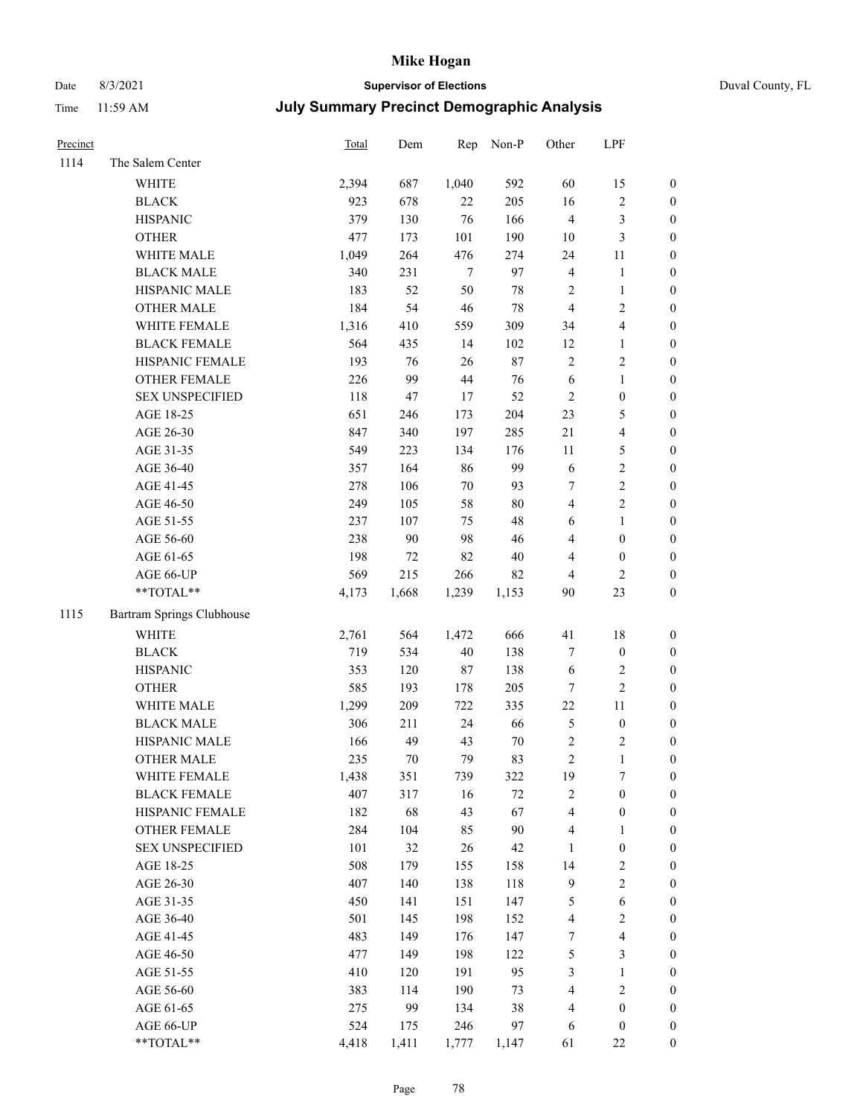## Date 8/3/2021 **Supervisor of Elections** Duval County, FL

| Precinct |                           | Total | Dem   | Rep    | Non-P  | Other                   | LPF              |                  |
|----------|---------------------------|-------|-------|--------|--------|-------------------------|------------------|------------------|
| 1114     | The Salem Center          |       |       |        |        |                         |                  |                  |
|          | <b>WHITE</b>              | 2,394 | 687   | 1,040  | 592    | 60                      | 15               | 0                |
|          | <b>BLACK</b>              | 923   | 678   | 22     | 205    | 16                      | $\sqrt{2}$       | 0                |
|          | <b>HISPANIC</b>           | 379   | 130   | 76     | 166    | $\overline{4}$          | 3                | $\boldsymbol{0}$ |
|          | <b>OTHER</b>              | 477   | 173   | 101    | 190    | $10\,$                  | $\mathfrak{Z}$   | $\boldsymbol{0}$ |
|          | WHITE MALE                | 1,049 | 264   | 476    | 274    | 24                      | 11               | $\boldsymbol{0}$ |
|          | <b>BLACK MALE</b>         | 340   | 231   | $\tau$ | 97     | 4                       | $\mathbf{1}$     | $\boldsymbol{0}$ |
|          | HISPANIC MALE             | 183   | 52    | 50     | 78     | $\mathbf{2}$            | $\mathbf{1}$     | $\boldsymbol{0}$ |
|          | <b>OTHER MALE</b>         | 184   | 54    | 46     | 78     | $\overline{4}$          | $\mathbf{2}$     | $\boldsymbol{0}$ |
|          | WHITE FEMALE              | 1,316 | 410   | 559    | 309    | 34                      | $\overline{4}$   | $\boldsymbol{0}$ |
|          | <b>BLACK FEMALE</b>       | 564   | 435   | 14     | 102    | 12                      | $\mathbf{1}$     | 0                |
|          | HISPANIC FEMALE           | 193   | 76    | 26     | $87\,$ | $\overline{c}$          | $\sqrt{2}$       | 0                |
|          | OTHER FEMALE              | 226   | 99    | 44     | 76     | $\sqrt{6}$              | $\mathbf{1}$     | 0                |
|          | <b>SEX UNSPECIFIED</b>    | 118   | 47    | $17\,$ | 52     | $\sqrt{2}$              | $\boldsymbol{0}$ | $\boldsymbol{0}$ |
|          | AGE 18-25                 | 651   | 246   | 173    | 204    | 23                      | $\mathfrak s$    | $\boldsymbol{0}$ |
|          | AGE 26-30                 | 847   | 340   | 197    | 285    | 21                      | $\overline{4}$   | $\boldsymbol{0}$ |
|          | AGE 31-35                 | 549   | 223   | 134    | 176    | 11                      | $\mathfrak{S}$   | $\boldsymbol{0}$ |
|          | AGE 36-40                 | 357   | 164   | 86     | 99     | 6                       | $\sqrt{2}$       | $\boldsymbol{0}$ |
|          | AGE 41-45                 | 278   | 106   | $70\,$ | 93     | $\boldsymbol{7}$        | $\sqrt{2}$       | $\boldsymbol{0}$ |
|          | AGE 46-50                 | 249   | 105   | 58     | $80\,$ | $\overline{\mathbf{4}}$ | $\overline{c}$   | $\boldsymbol{0}$ |
|          | AGE 51-55                 | 237   | 107   | 75     | 48     | 6                       | $\mathbf{1}$     | $\boldsymbol{0}$ |
|          | AGE 56-60                 | 238   | 90    | 98     | 46     | 4                       | $\boldsymbol{0}$ | 0                |
|          | AGE 61-65                 | 198   | 72    | 82     | $40\,$ | 4                       | $\boldsymbol{0}$ | 0                |
|          | AGE 66-UP                 | 569   | 215   | 266    | 82     | 4                       | $\mathfrak{2}$   | $\boldsymbol{0}$ |
|          | $**TOTAL**$               | 4,173 | 1,668 | 1,239  | 1,153  | 90                      | 23               | $\boldsymbol{0}$ |
| 1115     | Bartram Springs Clubhouse |       |       |        |        |                         |                  |                  |
|          | <b>WHITE</b>              | 2,761 | 564   | 1,472  | 666    | 41                      | $18\,$           | $\boldsymbol{0}$ |
|          | <b>BLACK</b>              | 719   | 534   | 40     | 138    | 7                       | $\boldsymbol{0}$ | $\boldsymbol{0}$ |
|          | <b>HISPANIC</b>           | 353   | 120   | 87     | 138    | 6                       | $\sqrt{2}$       | $\boldsymbol{0}$ |
|          | <b>OTHER</b>              | 585   | 193   | 178    | 205    | 7                       | $\sqrt{2}$       | $\boldsymbol{0}$ |
|          | WHITE MALE                | 1,299 | 209   | 722    | 335    | $22\,$                  | $11\,$           | $\boldsymbol{0}$ |
|          | <b>BLACK MALE</b>         | 306   | 211   | 24     | 66     | 5                       | $\boldsymbol{0}$ | $\boldsymbol{0}$ |
|          | HISPANIC MALE             | 166   | 49    | 43     | $70\,$ | $\mathbf{2}$            | $\sqrt{2}$       | 0                |
|          | <b>OTHER MALE</b>         | 235   | 70    | 79     | 83     | $\overline{c}$          | $\mathbf{1}$     | $\boldsymbol{0}$ |
|          | WHITE FEMALE              | 1,438 | 351   | 739    | 322    | 19                      | 7                | 0                |
|          | <b>BLACK FEMALE</b>       | 407   | 317   | 16     | 72     | 2                       | $\boldsymbol{0}$ | $\boldsymbol{0}$ |
|          | HISPANIC FEMALE           | 182   | 68    | 43     | 67     | 4                       | $\boldsymbol{0}$ | $\overline{0}$   |
|          | OTHER FEMALE              | 284   | 104   | 85     | 90     | 4                       | $\mathbf{1}$     | $\overline{0}$   |
|          | <b>SEX UNSPECIFIED</b>    | 101   | 32    | 26     | 42     | 1                       | $\boldsymbol{0}$ | 0                |
|          | AGE 18-25                 | 508   | 179   | 155    | 158    | 14                      | $\sqrt{2}$       | 0                |
|          | AGE 26-30                 | 407   | 140   | 138    | 118    | 9                       | $\sqrt{2}$       | 0                |
|          | AGE 31-35                 | 450   | 141   | 151    | 147    | 5                       | 6                | 0                |
|          | AGE 36-40                 | 501   | 145   | 198    | 152    | 4                       | $\sqrt{2}$       | 0                |
|          | AGE 41-45                 | 483   | 149   | 176    | 147    | 7                       | $\overline{4}$   | 0                |
|          | AGE 46-50                 | 477   | 149   | 198    | 122    | 5                       | $\mathfrak{Z}$   | 0                |
|          | AGE 51-55                 | 410   | 120   | 191    | 95     | 3                       | $\mathbf{1}$     | $\boldsymbol{0}$ |
|          | AGE 56-60                 | 383   | 114   | 190    | 73     | 4                       | $\sqrt{2}$       | $\boldsymbol{0}$ |
|          | AGE 61-65                 | 275   | 99    | 134    | 38     | 4                       | $\boldsymbol{0}$ | $\boldsymbol{0}$ |
|          | AGE 66-UP                 | 524   | 175   | 246    | 97     | 6                       | $\boldsymbol{0}$ | $\boldsymbol{0}$ |
|          | **TOTAL**                 | 4,418 | 1,411 | 1,777  | 1,147  | 61                      | $22\,$           | $\boldsymbol{0}$ |
|          |                           |       |       |        |        |                         |                  |                  |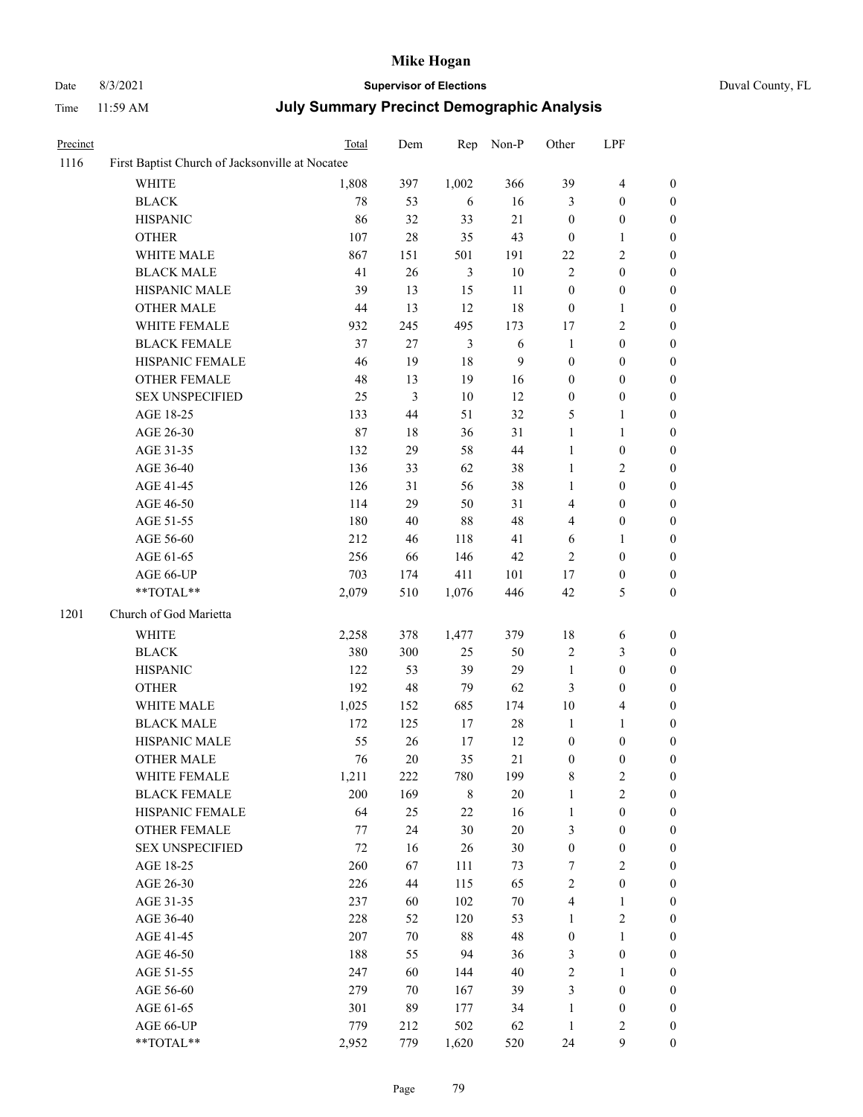# Date 8/3/2021 **Supervisor of Elections** Duval County, FL

| Precinct |                                                 | Total  | Dem            | Rep            | Non-P      | Other            | LPF              |                  |
|----------|-------------------------------------------------|--------|----------------|----------------|------------|------------------|------------------|------------------|
| 1116     | First Baptist Church of Jacksonville at Nocatee |        |                |                |            |                  |                  |                  |
|          | <b>WHITE</b>                                    | 1,808  | 397            | 1,002          | 366        | 39               | $\overline{4}$   | $\boldsymbol{0}$ |
|          | <b>BLACK</b>                                    | $78\,$ | 53             | 6              | 16         | 3                | $\boldsymbol{0}$ | $\boldsymbol{0}$ |
|          | <b>HISPANIC</b>                                 | 86     | 32             | 33             | 21         | $\boldsymbol{0}$ | $\boldsymbol{0}$ | $\boldsymbol{0}$ |
|          | <b>OTHER</b>                                    | 107    | $28\,$         | 35             | 43         | $\boldsymbol{0}$ | 1                | $\boldsymbol{0}$ |
|          | WHITE MALE                                      | 867    | 151            | 501            | 191        | $22\,$           | $\sqrt{2}$       | 0                |
|          | <b>BLACK MALE</b>                               | 41     | 26             | $\mathfrak{Z}$ | $10\,$     | $\sqrt{2}$       | $\boldsymbol{0}$ | 0                |
|          | HISPANIC MALE                                   | 39     | 13             | 15             | $11\,$     | $\boldsymbol{0}$ | $\boldsymbol{0}$ | 0                |
|          | <b>OTHER MALE</b>                               | $44\,$ | 13             | 12             | 18         | $\boldsymbol{0}$ | $\mathbf{1}$     | $\boldsymbol{0}$ |
|          | WHITE FEMALE                                    | 932    | 245            | 495            | 173        | $17\,$           | $\sqrt{2}$       | $\boldsymbol{0}$ |
|          | <b>BLACK FEMALE</b>                             | 37     | $27\,$         | 3              | $\sqrt{6}$ | $\mathbf{1}$     | $\boldsymbol{0}$ | $\boldsymbol{0}$ |
|          | HISPANIC FEMALE                                 | 46     | 19             | $18\,$         | 9          | $\boldsymbol{0}$ | $\boldsymbol{0}$ | $\boldsymbol{0}$ |
|          | OTHER FEMALE                                    | 48     | 13             | 19             | 16         | $\boldsymbol{0}$ | $\boldsymbol{0}$ | $\boldsymbol{0}$ |
|          | <b>SEX UNSPECIFIED</b>                          | 25     | $\mathfrak{Z}$ | $10\,$         | 12         | $\boldsymbol{0}$ | $\boldsymbol{0}$ | $\boldsymbol{0}$ |
|          | AGE 18-25                                       | 133    | $44\,$         | 51             | 32         | 5                | 1                | $\boldsymbol{0}$ |
|          | AGE 26-30                                       | 87     | $18\,$         | 36             | 31         | $\mathbf{1}$     | $\mathbf{1}$     | 0                |
|          | AGE 31-35                                       | 132    | 29             | 58             | $44\,$     | $\mathbf{1}$     | $\boldsymbol{0}$ | 0                |
|          | AGE 36-40                                       | 136    | 33             | 62             | $38\,$     | $\mathbf{1}$     | $\overline{c}$   | 0                |
|          | AGE 41-45                                       | 126    | 31             | 56             | 38         | $\mathbf{1}$     | $\boldsymbol{0}$ | $\boldsymbol{0}$ |
|          | AGE 46-50                                       | 114    | 29             | 50             | 31         | 4                | $\boldsymbol{0}$ | $\boldsymbol{0}$ |
|          | AGE 51-55                                       | 180    | 40             | $88\,$         | 48         | 4                | $\boldsymbol{0}$ | $\boldsymbol{0}$ |
|          | AGE 56-60                                       | 212    | 46             | 118            | 41         | 6                | 1                | $\boldsymbol{0}$ |
|          | AGE 61-65                                       | 256    | 66             | 146            | $42\,$     | $\sqrt{2}$       | $\boldsymbol{0}$ | $\boldsymbol{0}$ |
|          | AGE 66-UP                                       | 703    | 174            | 411            | 101        | 17               | $\boldsymbol{0}$ | 0                |
|          | $**TOTAL**$                                     | 2,079  | 510            | 1,076          | 446        | 42               | 5                | $\boldsymbol{0}$ |
| 1201     | Church of God Marietta                          |        |                |                |            |                  |                  |                  |
|          | WHITE                                           | 2,258  | 378            | 1,477          | 379        | $18\,$           | 6                | $\boldsymbol{0}$ |
|          | <b>BLACK</b>                                    | 380    | 300            | 25             | 50         | $\sqrt{2}$       | $\mathfrak{Z}$   | $\boldsymbol{0}$ |
|          | <b>HISPANIC</b>                                 | 122    | 53             | 39             | 29         | $\mathbf{1}$     | $\boldsymbol{0}$ | 0                |
|          | <b>OTHER</b>                                    | 192    | 48             | 79             | 62         | 3                | $\boldsymbol{0}$ | 0                |
|          | WHITE MALE                                      | 1,025  | 152            | 685            | 174        | $10\,$           | $\overline{4}$   | $\boldsymbol{0}$ |
|          | <b>BLACK MALE</b>                               | 172    | 125            | 17             | $28\,$     | $\mathbf{1}$     | 1                | $\boldsymbol{0}$ |
|          | HISPANIC MALE                                   | 55     | 26             | 17             | 12         | $\boldsymbol{0}$ | $\boldsymbol{0}$ | $\boldsymbol{0}$ |
|          | <b>OTHER MALE</b>                               | 76     | $20\,$         | 35             | 21         | $\boldsymbol{0}$ | $\boldsymbol{0}$ | $\boldsymbol{0}$ |
|          | WHITE FEMALE                                    | 1,211  | 222            | 780            | 199        | 8                | $\sqrt{2}$       | $\overline{0}$   |
|          | <b>BLACK FEMALE</b>                             | 200    | 169            | $\,8\,$        | $20\,$     | $\mathbf{1}$     | $\sqrt{2}$       | 0                |
|          | <b>HISPANIC FEMALE</b>                          | 64     | 25             | 22             | 16         | $\mathbf{1}$     | $\boldsymbol{0}$ | 0                |
|          | <b>OTHER FEMALE</b>                             | 77     | 24             | 30             | $20\,$     | 3                | $\boldsymbol{0}$ | 0                |
|          | <b>SEX UNSPECIFIED</b>                          | 72     | 16             | 26             | $30\,$     | $\boldsymbol{0}$ | $\boldsymbol{0}$ | 0                |
|          | AGE 18-25                                       | 260    | 67             | 111            | 73         | 7                | $\overline{c}$   | 0                |
|          | AGE 26-30                                       | 226    | 44             | 115            | 65         | $\sqrt{2}$       | $\boldsymbol{0}$ | 0                |
|          | AGE 31-35                                       | 237    | 60             | 102            | $70\,$     | 4                | 1                | $\boldsymbol{0}$ |
|          | AGE 36-40                                       | 228    | 52             | 120            | 53         | $\mathbf{1}$     | $\sqrt{2}$       | $\overline{0}$   |
|          | AGE 41-45                                       | 207    | $70\,$         | $88\,$         | 48         | $\boldsymbol{0}$ | $\mathbf{1}$     | 0                |
|          | AGE 46-50                                       | 188    | 55             | 94             | 36         | 3                | $\boldsymbol{0}$ | 0                |
|          | AGE 51-55                                       | 247    | 60             | 144            | $40\,$     | $\sqrt{2}$       | $\mathbf{1}$     | 0                |
|          | AGE 56-60                                       | 279    | 70             | 167            | 39         | 3                | $\boldsymbol{0}$ | 0                |
|          | AGE 61-65                                       | 301    | 89             | 177            | 34         | $\mathbf{1}$     | $\boldsymbol{0}$ | 0                |
|          | AGE 66-UP                                       | 779    | 212            | 502            | 62         | $\mathbf{1}$     | $\sqrt{2}$       | 0                |
|          | **TOTAL**                                       | 2,952  | 779            | 1,620          | 520        | 24               | $\boldsymbol{9}$ | $\boldsymbol{0}$ |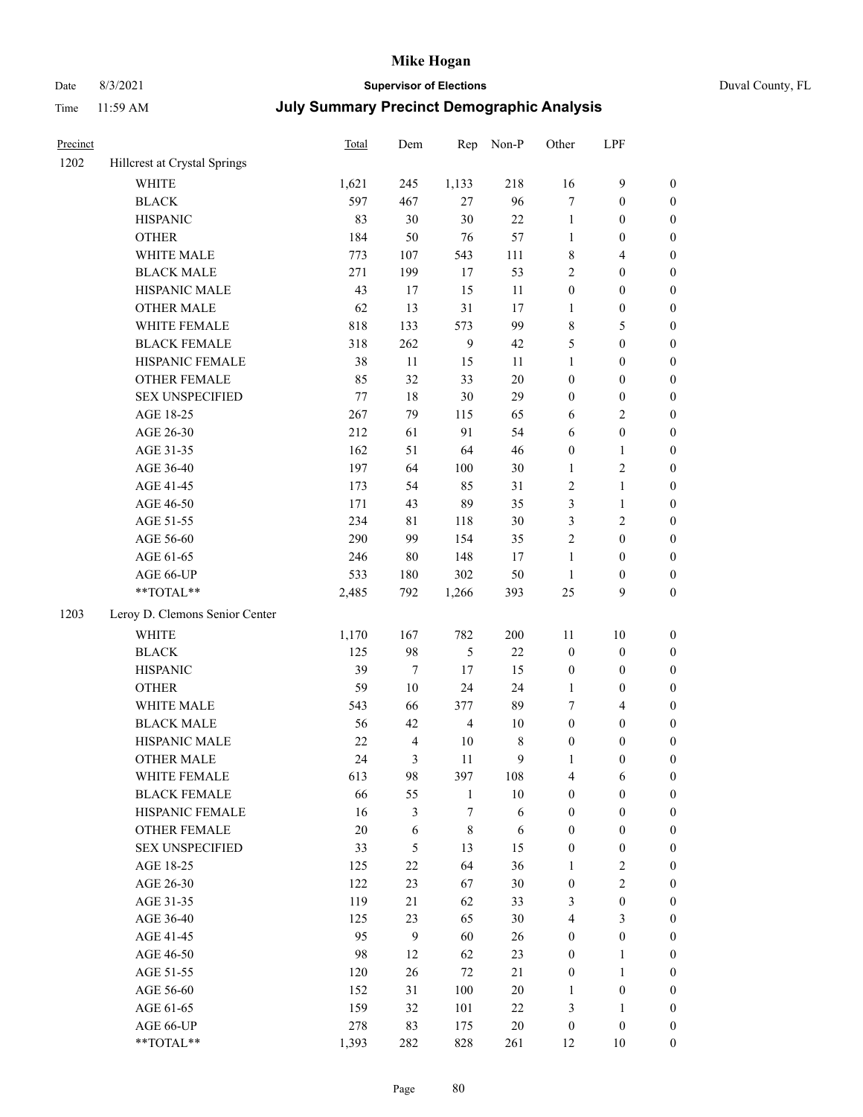## Date 8/3/2021 **Supervisor of Elections** Duval County, FL

| Precinct |                                | Total   | Dem    | Rep            | Non-P  | Other            | LPF                     |                  |
|----------|--------------------------------|---------|--------|----------------|--------|------------------|-------------------------|------------------|
| 1202     | Hillcrest at Crystal Springs   |         |        |                |        |                  |                         |                  |
|          | <b>WHITE</b>                   | 1,621   | 245    | 1,133          | 218    | 16               | 9                       | $\boldsymbol{0}$ |
|          | <b>BLACK</b>                   | 597     | 467    | 27             | 96     | $\tau$           | $\boldsymbol{0}$        | $\boldsymbol{0}$ |
|          | <b>HISPANIC</b>                | 83      | 30     | $30\,$         | $22\,$ | $\mathbf{1}$     | $\boldsymbol{0}$        | $\boldsymbol{0}$ |
|          | <b>OTHER</b>                   | 184     | 50     | 76             | 57     | $\mathbf{1}$     | $\boldsymbol{0}$        | $\boldsymbol{0}$ |
|          | WHITE MALE                     | 773     | 107    | 543            | 111    | 8                | $\overline{4}$          | $\boldsymbol{0}$ |
|          | <b>BLACK MALE</b>              | 271     | 199    | 17             | 53     | $\overline{c}$   | $\boldsymbol{0}$        | $\boldsymbol{0}$ |
|          | HISPANIC MALE                  | 43      | 17     | 15             | 11     | $\boldsymbol{0}$ | $\boldsymbol{0}$        | $\boldsymbol{0}$ |
|          | <b>OTHER MALE</b>              | 62      | 13     | 31             | 17     | 1                | $\boldsymbol{0}$        | $\boldsymbol{0}$ |
|          | WHITE FEMALE                   | 818     | 133    | 573            | 99     | 8                | $\mathfrak{S}$          | $\boldsymbol{0}$ |
|          | <b>BLACK FEMALE</b>            | 318     | 262    | 9              | 42     | 5                | $\boldsymbol{0}$        | 0                |
|          | HISPANIC FEMALE                | 38      | 11     | 15             | 11     | $\mathbf{1}$     | $\boldsymbol{0}$        | $\boldsymbol{0}$ |
|          | OTHER FEMALE                   | 85      | 32     | 33             | $20\,$ | $\boldsymbol{0}$ | $\boldsymbol{0}$        | $\boldsymbol{0}$ |
|          | <b>SEX UNSPECIFIED</b>         | $77 \,$ | 18     | $30\,$         | 29     | $\boldsymbol{0}$ | $\boldsymbol{0}$        | $\boldsymbol{0}$ |
|          | AGE 18-25                      | 267     | 79     | 115            | 65     | 6                | $\sqrt{2}$              | $\boldsymbol{0}$ |
|          | AGE 26-30                      | 212     | 61     | 91             | 54     | 6                | $\boldsymbol{0}$        | $\boldsymbol{0}$ |
|          | AGE 31-35                      | 162     | 51     | 64             | 46     | $\boldsymbol{0}$ | $\mathbf{1}$            | $\boldsymbol{0}$ |
|          | AGE 36-40                      | 197     | 64     | 100            | 30     | $\mathbf{1}$     | $\sqrt{2}$              | $\boldsymbol{0}$ |
|          | AGE 41-45                      | 173     | 54     | 85             | 31     | $\overline{c}$   | $\mathbf{1}$            | $\boldsymbol{0}$ |
|          | AGE 46-50                      | 171     | 43     | 89             | 35     | $\mathfrak{Z}$   | $\mathbf{1}$            | $\boldsymbol{0}$ |
|          | AGE 51-55                      | 234     | 81     | 118            | 30     | 3                | $\mathfrak{2}$          | 0                |
|          | AGE 56-60                      | 290     | 99     | 154            | 35     | $\overline{c}$   | $\boldsymbol{0}$        | 0                |
|          | AGE 61-65                      | 246     | 80     | 148            | 17     | $\mathbf{1}$     | $\boldsymbol{0}$        | $\boldsymbol{0}$ |
|          | AGE 66-UP                      | 533     | 180    | 302            | 50     | 1                | $\boldsymbol{0}$        | $\boldsymbol{0}$ |
|          | **TOTAL**                      | 2,485   | 792    | 1,266          | 393    | 25               | 9                       | $\boldsymbol{0}$ |
| 1203     | Leroy D. Clemons Senior Center |         |        |                |        |                  |                         |                  |
|          | <b>WHITE</b>                   | 1,170   | 167    | 782            | 200    | 11               | $10\,$                  | $\boldsymbol{0}$ |
|          | <b>BLACK</b>                   | 125     | 98     | 5              | 22     | $\boldsymbol{0}$ | $\boldsymbol{0}$        | $\boldsymbol{0}$ |
|          | <b>HISPANIC</b>                | 39      | $\tau$ | 17             | 15     | $\boldsymbol{0}$ | $\boldsymbol{0}$        | $\boldsymbol{0}$ |
|          | <b>OTHER</b>                   | 59      | $10\,$ | 24             | 24     | $\mathbf{1}$     | $\boldsymbol{0}$        | $\boldsymbol{0}$ |
|          | WHITE MALE                     | 543     | 66     | 377            | 89     | 7                | $\overline{\mathbf{4}}$ | $\boldsymbol{0}$ |
|          | <b>BLACK MALE</b>              | 56      | 42     | $\overline{4}$ | 10     | $\boldsymbol{0}$ | $\boldsymbol{0}$        | $\boldsymbol{0}$ |
|          | HISPANIC MALE                  | 22      | 4      | 10             | 8      | $\boldsymbol{0}$ | $\boldsymbol{0}$        | 0                |
|          | <b>OTHER MALE</b>              | 24      | 3      | 11             | 9      | $\mathbf{1}$     | $\boldsymbol{0}$        | $\boldsymbol{0}$ |
|          | WHITE FEMALE                   | 613     | 98     | 397            | 108    | 4                | 6                       | $\boldsymbol{0}$ |
|          | <b>BLACK FEMALE</b>            | 66      | 55     | $\mathbf{1}$   | $10\,$ | $\boldsymbol{0}$ | $\boldsymbol{0}$        | $\overline{0}$   |
|          | HISPANIC FEMALE                | 16      | 3      | $\tau$         | 6      | $\boldsymbol{0}$ | $\boldsymbol{0}$        | $\overline{0}$   |
|          | <b>OTHER FEMALE</b>            | $20\,$  | 6      | $\,8\,$        | 6      | $\boldsymbol{0}$ | $\boldsymbol{0}$        | $\overline{0}$   |
|          | <b>SEX UNSPECIFIED</b>         | 33      | 5      | 13             | 15     | $\boldsymbol{0}$ | $\boldsymbol{0}$        | $\overline{0}$   |
|          | AGE 18-25                      | 125     | $22\,$ | 64             | 36     | $\mathbf{1}$     | $\sqrt{2}$              | $\theta$         |
|          | AGE 26-30                      | 122     | 23     | 67             | 30     | $\boldsymbol{0}$ | $\overline{2}$          | 0                |
|          | AGE 31-35                      | 119     | 21     | 62             | 33     | 3                | $\boldsymbol{0}$        | 0                |
|          | AGE 36-40                      | 125     | 23     | 65             | 30     | $\overline{4}$   | $\mathfrak{Z}$          | 0                |
|          | AGE 41-45                      | 95      | 9      | 60             | 26     | $\boldsymbol{0}$ | $\boldsymbol{0}$        | 0                |
|          | AGE 46-50                      | 98      | 12     | 62             | 23     | $\boldsymbol{0}$ | $\mathbf{1}$            | $\boldsymbol{0}$ |
|          | AGE 51-55                      | 120     | 26     | $72\,$         | 21     | $\boldsymbol{0}$ | $\mathbf{1}$            | $\boldsymbol{0}$ |
|          | AGE 56-60                      | 152     | 31     | 100            | $20\,$ | $\mathbf{1}$     | $\boldsymbol{0}$        | $\boldsymbol{0}$ |
|          | AGE 61-65                      | 159     | 32     | 101            | 22     | 3                | $\mathbf{1}$            | $\boldsymbol{0}$ |
|          | AGE 66-UP                      | 278     | 83     | 175            | $20\,$ | $\boldsymbol{0}$ | $\boldsymbol{0}$        | $\boldsymbol{0}$ |
|          | **TOTAL**                      | 1,393   | 282    | 828            | 261    | 12               | 10                      | $\boldsymbol{0}$ |
|          |                                |         |        |                |        |                  |                         |                  |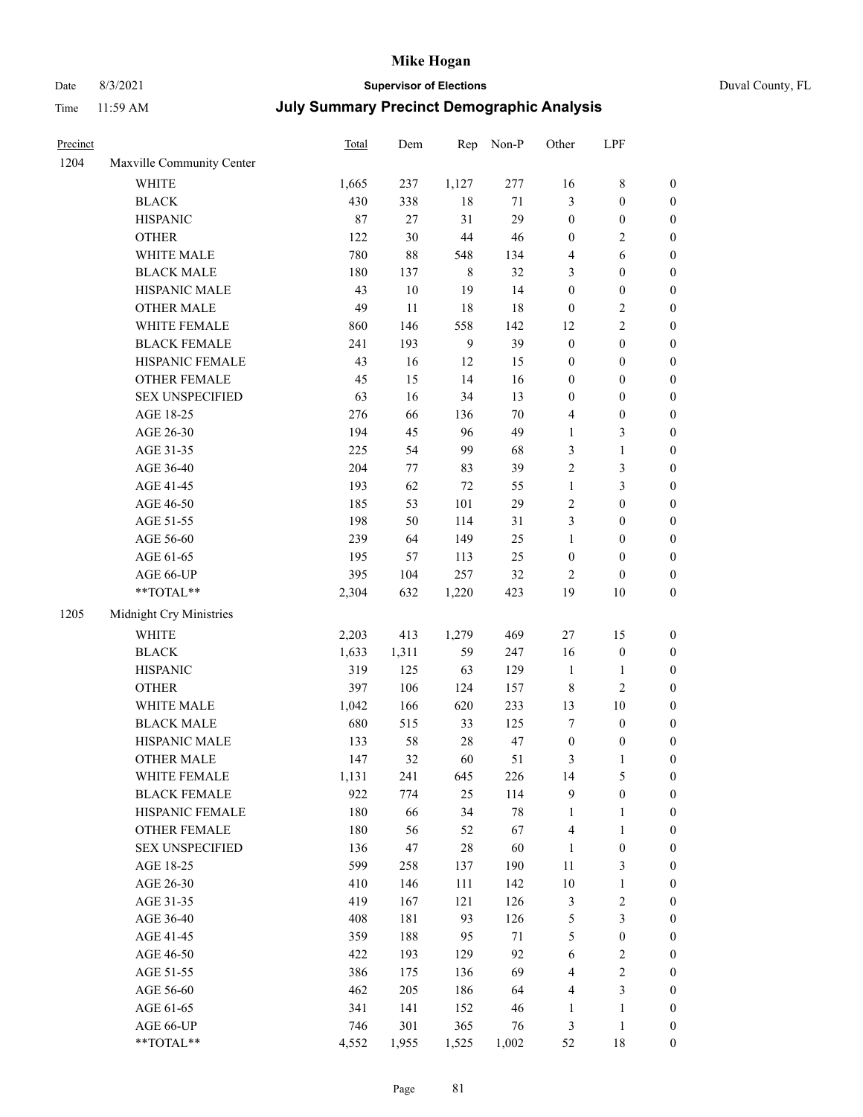## Date 8/3/2021 **Supervisor of Elections** Duval County, FL

| Precinct |                                                           | Total | Dem    | Rep            | Non-P  | Other            | LPF              |                  |
|----------|-----------------------------------------------------------|-------|--------|----------------|--------|------------------|------------------|------------------|
| 1204     | Maxville Community Center                                 |       |        |                |        |                  |                  |                  |
|          | <b>WHITE</b>                                              | 1,665 | 237    | 1,127          | 277    | 16               | $8\,$            | 0                |
|          | <b>BLACK</b>                                              | 430   | 338    | $18\,$         | 71     | 3                | $\boldsymbol{0}$ | $\boldsymbol{0}$ |
|          | <b>HISPANIC</b>                                           | 87    | 27     | 31             | 29     | $\boldsymbol{0}$ | $\boldsymbol{0}$ | $\boldsymbol{0}$ |
|          | <b>OTHER</b>                                              | 122   | 30     | $44\,$         | 46     | $\boldsymbol{0}$ | $\sqrt{2}$       | $\boldsymbol{0}$ |
|          | WHITE MALE                                                | 780   | $88\,$ | 548            | 134    | 4                | 6                | $\boldsymbol{0}$ |
|          | <b>BLACK MALE</b>                                         | 180   | 137    | $\,8\,$        | 32     | 3                | $\boldsymbol{0}$ | $\boldsymbol{0}$ |
|          | HISPANIC MALE                                             | 43    | $10\,$ | 19             | 14     | $\boldsymbol{0}$ | $\boldsymbol{0}$ | $\boldsymbol{0}$ |
|          | <b>OTHER MALE</b>                                         | 49    | 11     | 18             | 18     | $\boldsymbol{0}$ | $\sqrt{2}$       | $\boldsymbol{0}$ |
|          | WHITE FEMALE                                              | 860   | 146    | 558            | 142    | 12               | $\overline{2}$   | $\boldsymbol{0}$ |
|          | <b>BLACK FEMALE</b>                                       | 241   | 193    | $\overline{9}$ | 39     | $\boldsymbol{0}$ | $\boldsymbol{0}$ | $\boldsymbol{0}$ |
|          | HISPANIC FEMALE                                           | 43    | 16     | 12             | 15     | $\boldsymbol{0}$ | $\boldsymbol{0}$ | 0                |
|          | <b>OTHER FEMALE</b>                                       | 45    | 15     | 14             | 16     | $\boldsymbol{0}$ | $\boldsymbol{0}$ | $\boldsymbol{0}$ |
|          | <b>SEX UNSPECIFIED</b>                                    | 63    | 16     | 34             | 13     | $\boldsymbol{0}$ | $\boldsymbol{0}$ | $\boldsymbol{0}$ |
|          | AGE 18-25                                                 | 276   | 66     | 136            | $70\,$ | 4                | $\boldsymbol{0}$ | $\boldsymbol{0}$ |
|          | AGE 26-30                                                 | 194   | 45     | 96             | 49     | $\mathbf{1}$     | $\mathfrak{Z}$   | $\boldsymbol{0}$ |
|          | AGE 31-35                                                 | 225   | 54     | 99             | 68     | 3                | $\mathbf{1}$     | $\boldsymbol{0}$ |
|          | AGE 36-40                                                 | 204   | 77     | 83             | 39     | $\mathfrak{2}$   | $\mathfrak{Z}$   | $\boldsymbol{0}$ |
|          | AGE 41-45                                                 | 193   | 62     | 72             | 55     | $\mathbf{1}$     | $\mathfrak{Z}$   | $\boldsymbol{0}$ |
|          | AGE 46-50                                                 | 185   | 53     | 101            | 29     | $\sqrt{2}$       | $\boldsymbol{0}$ | $\boldsymbol{0}$ |
|          | AGE 51-55                                                 | 198   | 50     | 114            | 31     | 3                | $\boldsymbol{0}$ | $\boldsymbol{0}$ |
|          | AGE 56-60                                                 | 239   | 64     | 149            | 25     | $\mathbf{1}$     | $\boldsymbol{0}$ | 0                |
|          | AGE 61-65                                                 | 195   | 57     | 113            | 25     | $\boldsymbol{0}$ | $\boldsymbol{0}$ | 0                |
|          | AGE 66-UP                                                 | 395   | 104    | 257            | 32     | $\overline{c}$   | $\boldsymbol{0}$ | $\boldsymbol{0}$ |
|          | $\mathrm{*}\mathrm{*}\mathrm{TOTAL} \mathrm{*}\mathrm{*}$ | 2,304 | 632    | 1,220          | 423    | 19               | $10\,$           | $\boldsymbol{0}$ |
| 1205     | Midnight Cry Ministries                                   |       |        |                |        |                  |                  |                  |
|          | <b>WHITE</b>                                              | 2,203 | 413    | 1,279          | 469    | $27\,$           | 15               | $\boldsymbol{0}$ |
|          | <b>BLACK</b>                                              | 1,633 | 1,311  | 59             | 247    | 16               | $\boldsymbol{0}$ | $\boldsymbol{0}$ |
|          | <b>HISPANIC</b>                                           | 319   | 125    | 63             | 129    | $\mathbf{1}$     | $\mathbf{1}$     | $\boldsymbol{0}$ |
|          | <b>OTHER</b>                                              | 397   | 106    | 124            | 157    | $\,$ 8 $\,$      | $\overline{c}$   | $\boldsymbol{0}$ |
|          | WHITE MALE                                                | 1,042 | 166    | 620            | 233    | 13               | $10\,$           | $\boldsymbol{0}$ |
|          | <b>BLACK MALE</b>                                         | 680   | 515    | 33             | 125    | 7                | $\boldsymbol{0}$ | $\boldsymbol{0}$ |
|          | HISPANIC MALE                                             | 133   | 58     | $28\,$         | 47     | $\boldsymbol{0}$ | $\boldsymbol{0}$ | 0                |
|          | <b>OTHER MALE</b>                                         | 147   | 32     | 60             | 51     | 3                | $\mathbf{1}$     | $\boldsymbol{0}$ |
|          | WHITE FEMALE                                              | 1,131 | 241    | 645            | 226    | 14               | 5                | 0                |
|          | <b>BLACK FEMALE</b>                                       | 922   | 774    | 25             | 114    | 9                | $\boldsymbol{0}$ | $\boldsymbol{0}$ |
|          | HISPANIC FEMALE                                           | 180   | 66     | 34             | $78\,$ | $\mathbf{1}$     | $\mathbf{1}$     | $\boldsymbol{0}$ |
|          | <b>OTHER FEMALE</b>                                       | 180   | 56     | 52             | 67     | $\overline{4}$   | $\mathbf{1}$     | $\overline{0}$   |
|          | <b>SEX UNSPECIFIED</b>                                    | 136   | 47     | $28\,$         | 60     | $\mathbf{1}$     | $\boldsymbol{0}$ | 0                |
|          | AGE 18-25                                                 | 599   | 258    | 137            | 190    | $11\,$           | $\mathfrak{Z}$   | 0                |
|          | AGE 26-30                                                 | 410   | 146    | 111            | 142    | $10\,$           | $\mathbf{1}$     | 0                |
|          | AGE 31-35                                                 | 419   | 167    | 121            | 126    | $\mathfrak{Z}$   | $\sqrt{2}$       | 0                |
|          | AGE 36-40                                                 | 408   | 181    | 93             | 126    | 5                | $\mathfrak{Z}$   | 0                |
|          | AGE 41-45                                                 | 359   | 188    | 95             | 71     | 5                | $\boldsymbol{0}$ | 0                |
|          | AGE 46-50                                                 | 422   | 193    | 129            | 92     | 6                | $\sqrt{2}$       | 0                |
|          | AGE 51-55                                                 | 386   | 175    | 136            | 69     | 4                | $\sqrt{2}$       | 0                |
|          | AGE 56-60                                                 | 462   | 205    | 186            | 64     | 4                | $\mathfrak{Z}$   | $\boldsymbol{0}$ |
|          | AGE 61-65                                                 | 341   | 141    | 152            | 46     | $\mathbf{1}$     | $\mathbf{1}$     | $\boldsymbol{0}$ |
|          | AGE 66-UP                                                 | 746   | 301    | 365            | 76     | 3                | $\mathbf{1}$     | $\boldsymbol{0}$ |
|          | **TOTAL**                                                 | 4,552 | 1,955  | 1,525          | 1,002  | 52               | 18               | $\boldsymbol{0}$ |
|          |                                                           |       |        |                |        |                  |                  |                  |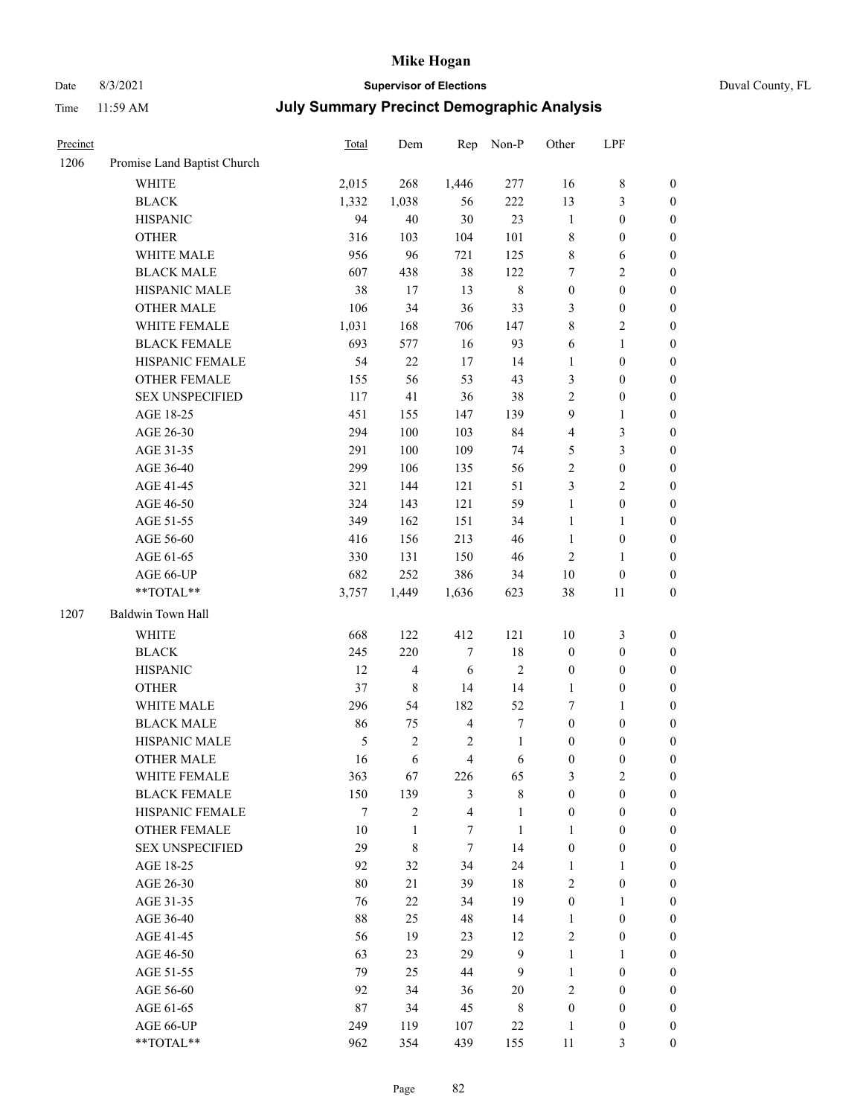# Date 8/3/2021 **Supervisor of Elections** Duval County, FL

| Precinct |                             | <b>Total</b> | Dem                     | Rep                     | Non-P            | Other            | LPF              |                  |
|----------|-----------------------------|--------------|-------------------------|-------------------------|------------------|------------------|------------------|------------------|
| 1206     | Promise Land Baptist Church |              |                         |                         |                  |                  |                  |                  |
|          | <b>WHITE</b>                | 2,015        | 268                     | 1,446                   | 277              | 16               | $\,$ 8 $\,$      | 0                |
|          | <b>BLACK</b>                | 1,332        | 1,038                   | 56                      | 222              | 13               | $\mathfrak{Z}$   | 0                |
|          | <b>HISPANIC</b>             | 94           | 40                      | 30                      | 23               | $\mathbf{1}$     | $\boldsymbol{0}$ | $\boldsymbol{0}$ |
|          | <b>OTHER</b>                | 316          | 103                     | 104                     | 101              | 8                | $\boldsymbol{0}$ | $\boldsymbol{0}$ |
|          | WHITE MALE                  | 956          | 96                      | 721                     | 125              | 8                | 6                | $\boldsymbol{0}$ |
|          | <b>BLACK MALE</b>           | 607          | 438                     | 38                      | 122              | 7                | $\sqrt{2}$       | $\boldsymbol{0}$ |
|          | HISPANIC MALE               | 38           | 17                      | 13                      | $\,$ 8 $\,$      | $\boldsymbol{0}$ | $\boldsymbol{0}$ | $\boldsymbol{0}$ |
|          | <b>OTHER MALE</b>           | 106          | 34                      | 36                      | 33               | 3                | $\boldsymbol{0}$ | $\boldsymbol{0}$ |
|          | WHITE FEMALE                | 1,031        | 168                     | 706                     | 147              | 8                | $\overline{2}$   | $\boldsymbol{0}$ |
|          | <b>BLACK FEMALE</b>         | 693          | 577                     | 16                      | 93               | 6                | $\mathbf{1}$     | $\boldsymbol{0}$ |
|          | HISPANIC FEMALE             | 54           | 22                      | 17                      | 14               | $\mathbf{1}$     | $\boldsymbol{0}$ | $\boldsymbol{0}$ |
|          | OTHER FEMALE                | 155          | 56                      | 53                      | 43               | 3                | $\boldsymbol{0}$ | $\boldsymbol{0}$ |
|          | <b>SEX UNSPECIFIED</b>      | 117          | 41                      | 36                      | 38               | $\overline{2}$   | $\boldsymbol{0}$ | $\boldsymbol{0}$ |
|          | AGE 18-25                   | 451          | 155                     | 147                     | 139              | 9                | $\mathbf{1}$     | $\boldsymbol{0}$ |
|          | AGE 26-30                   | 294          | 100                     | 103                     | 84               | 4                | $\mathfrak{Z}$   | $\boldsymbol{0}$ |
|          | AGE 31-35                   | 291          | 100                     | 109                     | 74               | 5                | $\mathfrak{Z}$   | $\boldsymbol{0}$ |
|          | AGE 36-40                   | 299          | 106                     | 135                     | 56               | $\overline{c}$   | $\boldsymbol{0}$ | $\boldsymbol{0}$ |
|          | AGE 41-45                   | 321          | 144                     | 121                     | 51               | 3                | $\overline{2}$   | $\boldsymbol{0}$ |
|          | AGE 46-50                   | 324          | 143                     | 121                     | 59               | $\mathbf{1}$     | $\boldsymbol{0}$ | $\boldsymbol{0}$ |
|          | AGE 51-55                   | 349          | 162                     | 151                     | 34               | $\mathbf{1}$     | 1                | $\boldsymbol{0}$ |
|          | AGE 56-60                   | 416          | 156                     | 213                     | 46               | $\mathbf{1}$     | $\boldsymbol{0}$ | 0                |
|          | AGE 61-65                   | 330          | 131                     | 150                     | 46               | $\mathbf{2}$     | $\mathbf{1}$     | 0                |
|          | AGE 66-UP                   | 682          | 252                     | 386                     | 34               | $10\,$           | $\boldsymbol{0}$ | $\boldsymbol{0}$ |
|          | **TOTAL**                   | 3,757        | 1,449                   | 1,636                   | 623              | 38               | 11               | $\boldsymbol{0}$ |
| 1207     | Baldwin Town Hall           |              |                         |                         |                  |                  |                  |                  |
|          | <b>WHITE</b>                | 668          | 122                     | 412                     | 121              | $10\,$           | $\mathfrak{Z}$   | $\boldsymbol{0}$ |
|          | <b>BLACK</b>                | 245          | 220                     | $\boldsymbol{7}$        | 18               | $\boldsymbol{0}$ | $\boldsymbol{0}$ | $\boldsymbol{0}$ |
|          | <b>HISPANIC</b>             | 12           | $\overline{\mathbf{4}}$ | 6                       | $\sqrt{2}$       | $\boldsymbol{0}$ | $\boldsymbol{0}$ | $\boldsymbol{0}$ |
|          | <b>OTHER</b>                | 37           | $\,$ 8 $\,$             | 14                      | 14               | $\mathbf{1}$     | $\boldsymbol{0}$ | $\boldsymbol{0}$ |
|          | WHITE MALE                  | 296          | 54                      | 182                     | 52               | 7                | $\mathbf{1}$     | $\boldsymbol{0}$ |
|          | <b>BLACK MALE</b>           | 86           | 75                      | $\overline{4}$          | $\boldsymbol{7}$ | $\boldsymbol{0}$ | $\boldsymbol{0}$ | $\boldsymbol{0}$ |
|          | HISPANIC MALE               | 5            | $\sqrt{2}$              | $\overline{c}$          | $\mathbf{1}$     | $\boldsymbol{0}$ | $\boldsymbol{0}$ | $\boldsymbol{0}$ |
|          | OTHER MALE                  | 16           | 6                       | $\overline{\mathbf{4}}$ | 6                | $\boldsymbol{0}$ | $\boldsymbol{0}$ | $\boldsymbol{0}$ |
|          | WHITE FEMALE                | 363          | 67                      | 226                     | 65               | 3                | 2                | 0                |
|          | <b>BLACK FEMALE</b>         | 150          | 139                     | 3                       | $\,$ 8 $\,$      | $\boldsymbol{0}$ | $\boldsymbol{0}$ | $\overline{0}$   |
|          | HISPANIC FEMALE             | 7            | $\overline{c}$          | $\overline{\mathbf{4}}$ | $\mathbf{1}$     | $\boldsymbol{0}$ | $\boldsymbol{0}$ | $\overline{0}$   |
|          | <b>OTHER FEMALE</b>         | 10           | 1                       | 7                       | $\mathbf{1}$     | $\mathbf{1}$     | $\boldsymbol{0}$ | $\overline{0}$   |
|          | <b>SEX UNSPECIFIED</b>      | 29           | 8                       | $\tau$                  | 14               | $\boldsymbol{0}$ | $\boldsymbol{0}$ | $\overline{0}$   |
|          | AGE 18-25                   | 92           | 32                      | 34                      | 24               | $\mathbf{1}$     | $\mathbf{1}$     | $\overline{0}$   |
|          | AGE 26-30                   | $80\,$       | 21                      | 39                      | 18               | 2                | $\boldsymbol{0}$ | $\overline{0}$   |
|          | AGE 31-35                   | 76           | 22                      | 34                      | 19               | $\boldsymbol{0}$ | $\mathbf{1}$     | 0                |
|          | AGE 36-40                   | 88           | 25                      | 48                      | 14               | $\mathbf{1}$     | $\boldsymbol{0}$ | 0                |
|          | AGE 41-45                   | 56           | 19                      | 23                      | 12               | 2                | $\boldsymbol{0}$ | 0                |
|          | AGE 46-50                   | 63           | 23                      | 29                      | 9                | $\mathbf{1}$     | $\mathbf{1}$     | 0                |
|          | AGE 51-55                   | 79           | 25                      | 44                      | 9                | $\mathbf{1}$     | $\boldsymbol{0}$ | $\overline{0}$   |
|          | AGE 56-60                   | 92           | 34                      | 36                      | 20               | 2                | $\boldsymbol{0}$ | $\overline{0}$   |
|          | AGE 61-65                   | 87           | 34                      | 45                      | $\,$ 8 $\,$      | $\boldsymbol{0}$ | $\boldsymbol{0}$ | $\overline{0}$   |
|          | AGE 66-UP                   | 249          | 119                     | 107                     | $22\,$           | $\mathbf{1}$     | $\boldsymbol{0}$ | $\boldsymbol{0}$ |
|          | **TOTAL**                   | 962          | 354                     | 439                     | 155              | 11               | $\mathfrak{Z}$   | $\boldsymbol{0}$ |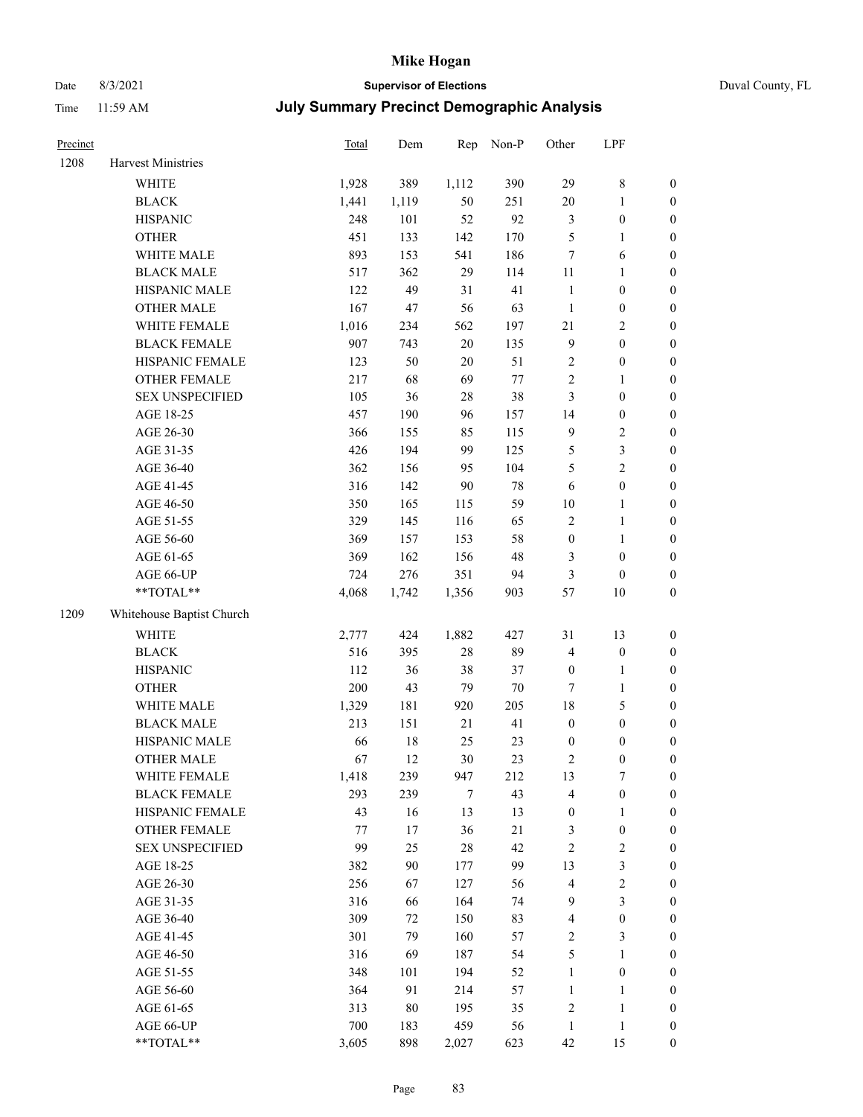## Date 8/3/2021 **Supervisor of Elections** Duval County, FL

| Precinct |                           | Total | Dem    | Rep    | Non-P  | Other                   | LPF              |                  |
|----------|---------------------------|-------|--------|--------|--------|-------------------------|------------------|------------------|
| 1208     | Harvest Ministries        |       |        |        |        |                         |                  |                  |
|          | <b>WHITE</b>              | 1,928 | 389    | 1,112  | 390    | 29                      | $\,$ 8 $\,$      | $\boldsymbol{0}$ |
|          | <b>BLACK</b>              | 1,441 | 1,119  | 50     | 251    | $20\,$                  | $\mathbf{1}$     | $\boldsymbol{0}$ |
|          | <b>HISPANIC</b>           | 248   | 101    | 52     | 92     | 3                       | $\boldsymbol{0}$ | $\boldsymbol{0}$ |
|          | <b>OTHER</b>              | 451   | 133    | 142    | 170    | 5                       | $\mathbf{1}$     | $\boldsymbol{0}$ |
|          | WHITE MALE                | 893   | 153    | 541    | 186    | 7                       | 6                | $\boldsymbol{0}$ |
|          | <b>BLACK MALE</b>         | 517   | 362    | 29     | 114    | $11\,$                  | $\mathbf{1}$     | $\boldsymbol{0}$ |
|          | HISPANIC MALE             | 122   | 49     | 31     | 41     | $\mathbf{1}$            | $\boldsymbol{0}$ | $\boldsymbol{0}$ |
|          | <b>OTHER MALE</b>         | 167   | 47     | 56     | 63     | $\mathbf{1}$            | $\boldsymbol{0}$ | $\boldsymbol{0}$ |
|          | WHITE FEMALE              | 1,016 | 234    | 562    | 197    | 21                      | $\sqrt{2}$       | $\boldsymbol{0}$ |
|          | <b>BLACK FEMALE</b>       | 907   | 743    | 20     | 135    | $\overline{9}$          | $\boldsymbol{0}$ | 0                |
|          | HISPANIC FEMALE           | 123   | 50     | 20     | 51     | $\sqrt{2}$              | $\boldsymbol{0}$ | $\boldsymbol{0}$ |
|          | OTHER FEMALE              | 217   | 68     | 69     | $77\,$ | $\sqrt{2}$              | $\mathbf{1}$     | $\boldsymbol{0}$ |
|          | <b>SEX UNSPECIFIED</b>    | 105   | 36     | 28     | 38     | 3                       | $\boldsymbol{0}$ | $\boldsymbol{0}$ |
|          | AGE 18-25                 | 457   | 190    | 96     | 157    | 14                      | $\boldsymbol{0}$ | $\boldsymbol{0}$ |
|          | AGE 26-30                 | 366   | 155    | 85     | 115    | $\overline{9}$          | $\sqrt{2}$       | $\boldsymbol{0}$ |
|          | AGE 31-35                 | 426   | 194    | 99     | 125    | 5                       | $\mathfrak{Z}$   | $\boldsymbol{0}$ |
|          | AGE 36-40                 | 362   | 156    | 95     | 104    | 5                       | $\overline{2}$   | $\boldsymbol{0}$ |
|          | AGE 41-45                 | 316   | 142    | 90     | $78\,$ | 6                       | $\boldsymbol{0}$ | $\boldsymbol{0}$ |
|          | AGE 46-50                 | 350   | 165    | 115    | 59     | $10\,$                  | $\mathbf{1}$     | $\boldsymbol{0}$ |
|          | AGE 51-55                 | 329   | 145    | 116    | 65     | $\sqrt{2}$              | $\mathbf{1}$     | 0                |
|          | AGE 56-60                 | 369   | 157    | 153    | 58     | $\boldsymbol{0}$        | $\mathbf{1}$     | $\boldsymbol{0}$ |
|          | AGE 61-65                 | 369   | 162    | 156    | 48     | 3                       | $\boldsymbol{0}$ | $\boldsymbol{0}$ |
|          | AGE 66-UP                 | 724   | 276    | 351    | 94     | 3                       | $\boldsymbol{0}$ | $\boldsymbol{0}$ |
|          | **TOTAL**                 | 4,068 | 1,742  | 1,356  | 903    | 57                      | $10\,$           | $\boldsymbol{0}$ |
| 1209     | Whitehouse Baptist Church |       |        |        |        |                         |                  |                  |
|          | <b>WHITE</b>              | 2,777 | 424    | 1,882  | 427    | 31                      | 13               | $\boldsymbol{0}$ |
|          | <b>BLACK</b>              | 516   | 395    | 28     | 89     | 4                       | $\boldsymbol{0}$ | $\boldsymbol{0}$ |
|          | <b>HISPANIC</b>           | 112   | 36     | 38     | 37     | $\boldsymbol{0}$        | $\mathbf{1}$     | $\boldsymbol{0}$ |
|          | <b>OTHER</b>              | 200   | 43     | 79     | $70\,$ | $\tau$                  | $\mathbf{1}$     | $\boldsymbol{0}$ |
|          | WHITE MALE                | 1,329 | 181    | 920    | 205    | $18\,$                  | $\mathfrak s$    | $\boldsymbol{0}$ |
|          | <b>BLACK MALE</b>         | 213   | 151    | 21     | 41     | $\boldsymbol{0}$        | $\boldsymbol{0}$ | $\boldsymbol{0}$ |
|          | HISPANIC MALE             | 66    | $18\,$ | 25     | 23     | $\boldsymbol{0}$        | $\boldsymbol{0}$ | 0                |
|          | <b>OTHER MALE</b>         | 67    | 12     | 30     | 23     | 2                       | $\boldsymbol{0}$ | $\boldsymbol{0}$ |
|          | WHITE FEMALE              | 1,418 | 239    | 947    | 212    | 13                      | $\tau$           | 0                |
|          | <b>BLACK FEMALE</b>       | 293   | 239    | $\tau$ | 43     | 4                       | $\boldsymbol{0}$ | $\overline{0}$   |
|          | HISPANIC FEMALE           | 43    | 16     | 13     | 13     | $\boldsymbol{0}$        | $\mathbf{1}$     | $\overline{0}$   |
|          | <b>OTHER FEMALE</b>       | 77    | 17     | 36     | $21\,$ | 3                       | $\boldsymbol{0}$ | 0                |
|          | <b>SEX UNSPECIFIED</b>    | 99    | 25     | 28     | 42     | $\sqrt{2}$              | $\sqrt{2}$       | 0                |
|          | AGE 18-25                 | 382   | 90     | 177    | 99     | 13                      | $\mathfrak{Z}$   | 0                |
|          | AGE 26-30                 | 256   | 67     | 127    | 56     | $\overline{4}$          | $\sqrt{2}$       | 0                |
|          | AGE 31-35                 | 316   | 66     | 164    | 74     | 9                       | $\mathfrak{Z}$   | 0                |
|          | AGE 36-40                 | 309   | 72     | 150    | 83     | $\overline{\mathbf{4}}$ | $\boldsymbol{0}$ | 0                |
|          | AGE 41-45                 | 301   | 79     | 160    | 57     | 2                       | 3                | 0                |
|          | AGE 46-50                 | 316   | 69     | 187    | 54     | 5                       | $\mathbf{1}$     | $\overline{0}$   |
|          | AGE 51-55                 | 348   | 101    | 194    | 52     | $\mathbf{1}$            | $\boldsymbol{0}$ | $\boldsymbol{0}$ |
|          | AGE 56-60                 | 364   | 91     | 214    | 57     | $\mathbf{1}$            | $\mathbf{1}$     | $\overline{0}$   |
|          | AGE 61-65                 | 313   | $80\,$ | 195    | 35     | $\sqrt{2}$              | $\mathbf{1}$     | 0                |
|          | AGE 66-UP                 | 700   | 183    | 459    | 56     | $\mathbf{1}$            | $\mathbf{1}$     | $\boldsymbol{0}$ |
|          | **TOTAL**                 | 3,605 | 898    | 2,027  | 623    | 42                      | 15               | $\boldsymbol{0}$ |
|          |                           |       |        |        |        |                         |                  |                  |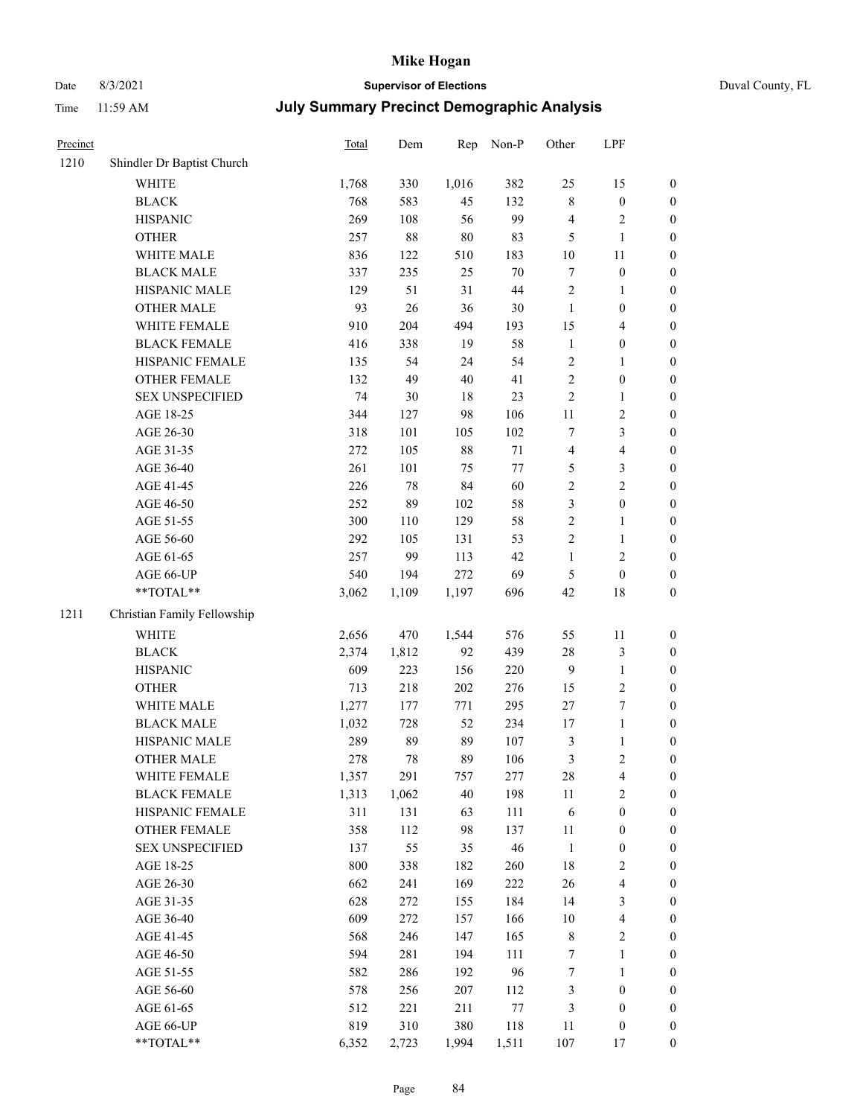## Date 8/3/2021 **Supervisor of Elections** Duval County, FL

| Precinct |                             | Total | Dem   | Rep    | Non-P   | Other            | LPF                     |                  |
|----------|-----------------------------|-------|-------|--------|---------|------------------|-------------------------|------------------|
| 1210     | Shindler Dr Baptist Church  |       |       |        |         |                  |                         |                  |
|          | <b>WHITE</b>                | 1,768 | 330   | 1,016  | 382     | 25               | 15                      | 0                |
|          | <b>BLACK</b>                | 768   | 583   | 45     | 132     | $\,$ 8 $\,$      | $\boldsymbol{0}$        | $\boldsymbol{0}$ |
|          | <b>HISPANIC</b>             | 269   | 108   | 56     | 99      | $\overline{4}$   | $\sqrt{2}$              | $\boldsymbol{0}$ |
|          | <b>OTHER</b>                | 257   | 88    | $80\,$ | 83      | 5                | $\mathbf{1}$            | $\boldsymbol{0}$ |
|          | WHITE MALE                  | 836   | 122   | 510    | 183     | 10               | 11                      | $\boldsymbol{0}$ |
|          | <b>BLACK MALE</b>           | 337   | 235   | 25     | $70\,$  | $\boldsymbol{7}$ | $\boldsymbol{0}$        | $\boldsymbol{0}$ |
|          | HISPANIC MALE               | 129   | 51    | 31     | $44\,$  | $\sqrt{2}$       | $\mathbf{1}$            | $\boldsymbol{0}$ |
|          | <b>OTHER MALE</b>           | 93    | 26    | 36     | 30      | $\mathbf{1}$     | $\boldsymbol{0}$        | $\boldsymbol{0}$ |
|          | WHITE FEMALE                | 910   | 204   | 494    | 193     | 15               | $\overline{\mathbf{4}}$ | $\boldsymbol{0}$ |
|          | <b>BLACK FEMALE</b>         | 416   | 338   | 19     | 58      | $\mathbf{1}$     | $\boldsymbol{0}$        | $\boldsymbol{0}$ |
|          | HISPANIC FEMALE             | 135   | 54    | 24     | 54      | 2                | $\mathbf{1}$            | 0                |
|          | OTHER FEMALE                | 132   | 49    | $40\,$ | 41      | $\overline{c}$   | $\boldsymbol{0}$        | $\boldsymbol{0}$ |
|          | <b>SEX UNSPECIFIED</b>      | 74    | 30    | 18     | 23      | $\sqrt{2}$       | $\mathbf{1}$            | $\boldsymbol{0}$ |
|          | AGE 18-25                   | 344   | 127   | 98     | 106     | $11\,$           | $\sqrt{2}$              | $\boldsymbol{0}$ |
|          | AGE 26-30                   | 318   | 101   | 105    | 102     | 7                | $\mathfrak{Z}$          | $\boldsymbol{0}$ |
|          | AGE 31-35                   | 272   | 105   | $88\,$ | 71      | $\overline{4}$   | $\overline{\mathbf{4}}$ | $\boldsymbol{0}$ |
|          | AGE 36-40                   | 261   | 101   | 75     | 77      | 5                | $\mathfrak{Z}$          | $\boldsymbol{0}$ |
|          | AGE 41-45                   | 226   | 78    | 84     | 60      | $\sqrt{2}$       | $\overline{2}$          | $\boldsymbol{0}$ |
|          | AGE 46-50                   | 252   | 89    | 102    | 58      | 3                | $\boldsymbol{0}$        | $\boldsymbol{0}$ |
|          | AGE 51-55                   | 300   | 110   | 129    | 58      | $\sqrt{2}$       | $\mathbf{1}$            | $\boldsymbol{0}$ |
|          | AGE 56-60                   | 292   | 105   | 131    | 53      | $\sqrt{2}$       | $\mathbf{1}$            | 0                |
|          | AGE 61-65                   | 257   | 99    | 113    | 42      | $\mathbf{1}$     | $\sqrt{2}$              | 0                |
|          | AGE 66-UP                   | 540   | 194   | 272    | 69      | $\mathfrak{S}$   | $\boldsymbol{0}$        | $\boldsymbol{0}$ |
|          | $**TOTAL**$                 | 3,062 | 1,109 | 1,197  | 696     | 42               | $18\,$                  | $\boldsymbol{0}$ |
| 1211     | Christian Family Fellowship |       |       |        |         |                  |                         |                  |
|          | WHITE                       | 2,656 | 470   | 1,544  | 576     | 55               | 11                      | $\boldsymbol{0}$ |
|          | <b>BLACK</b>                | 2,374 | 1,812 | 92     | 439     | $28\,$           | $\mathfrak{Z}$          | $\boldsymbol{0}$ |
|          | <b>HISPANIC</b>             | 609   | 223   | 156    | 220     | $\overline{9}$   | $\mathbf{1}$            | $\boldsymbol{0}$ |
|          | <b>OTHER</b>                | 713   | 218   | 202    | 276     | 15               | $\sqrt{2}$              | $\boldsymbol{0}$ |
|          | WHITE MALE                  | 1,277 | 177   | 771    | 295     | 27               | $\boldsymbol{7}$        | $\boldsymbol{0}$ |
|          | <b>BLACK MALE</b>           | 1,032 | 728   | 52     | 234     | 17               | $\mathbf{1}$            | $\boldsymbol{0}$ |
|          | HISPANIC MALE               | 289   | 89    | 89     | 107     | $\mathfrak z$    | $\mathbf{1}$            | $\boldsymbol{0}$ |
|          | <b>OTHER MALE</b>           | 278   | 78    | 89     | 106     | 3                | $\overline{c}$          | $\boldsymbol{0}$ |
|          | WHITE FEMALE                | 1,357 | 291   | 757    | 277     | 28               | 4                       | 0                |
|          | <b>BLACK FEMALE</b>         | 1,313 | 1,062 | 40     | 198     | 11               | $\sqrt{2}$              | $\overline{0}$   |
|          | HISPANIC FEMALE             | 311   | 131   | 63     | $111\,$ | 6                | $\boldsymbol{0}$        | $\overline{0}$   |
|          | OTHER FEMALE                | 358   | 112   | 98     | 137     | $11\,$           | $\boldsymbol{0}$        | $\overline{0}$   |
|          | <b>SEX UNSPECIFIED</b>      | 137   | 55    | 35     | 46      | $\mathbf{1}$     | $\boldsymbol{0}$        | 0                |
|          | AGE 18-25                   | 800   | 338   | 182    | 260     | 18               | $\sqrt{2}$              | 0                |
|          | AGE 26-30                   | 662   | 241   | 169    | 222     | 26               | $\overline{\mathbf{4}}$ | 0                |
|          | AGE 31-35                   | 628   | 272   | 155    | 184     | 14               | $\mathfrak{Z}$          | 0                |
|          | AGE 36-40                   | 609   | 272   | 157    | 166     | $10\,$           | $\overline{\mathbf{4}}$ | 0                |
|          | AGE 41-45                   | 568   | 246   | 147    | 165     | 8                | $\sqrt{2}$              | 0                |
|          | AGE 46-50                   | 594   | 281   | 194    | 111     | 7                | $\mathbf{1}$            | 0                |
|          | AGE 51-55                   | 582   | 286   | 192    | 96      | 7                | $\mathbf{1}$            | 0                |
|          | AGE 56-60                   | 578   | 256   | 207    | 112     | 3                | $\boldsymbol{0}$        | 0                |
|          | AGE 61-65                   | 512   | 221   | 211    | $77 \,$ | 3                | $\boldsymbol{0}$        | $\boldsymbol{0}$ |
|          | AGE 66-UP                   | 819   | 310   | 380    | 118     | 11               | $\boldsymbol{0}$        | 0                |
|          | **TOTAL**                   | 6,352 | 2,723 | 1,994  | 1,511   | 107              | 17                      | $\boldsymbol{0}$ |
|          |                             |       |       |        |         |                  |                         |                  |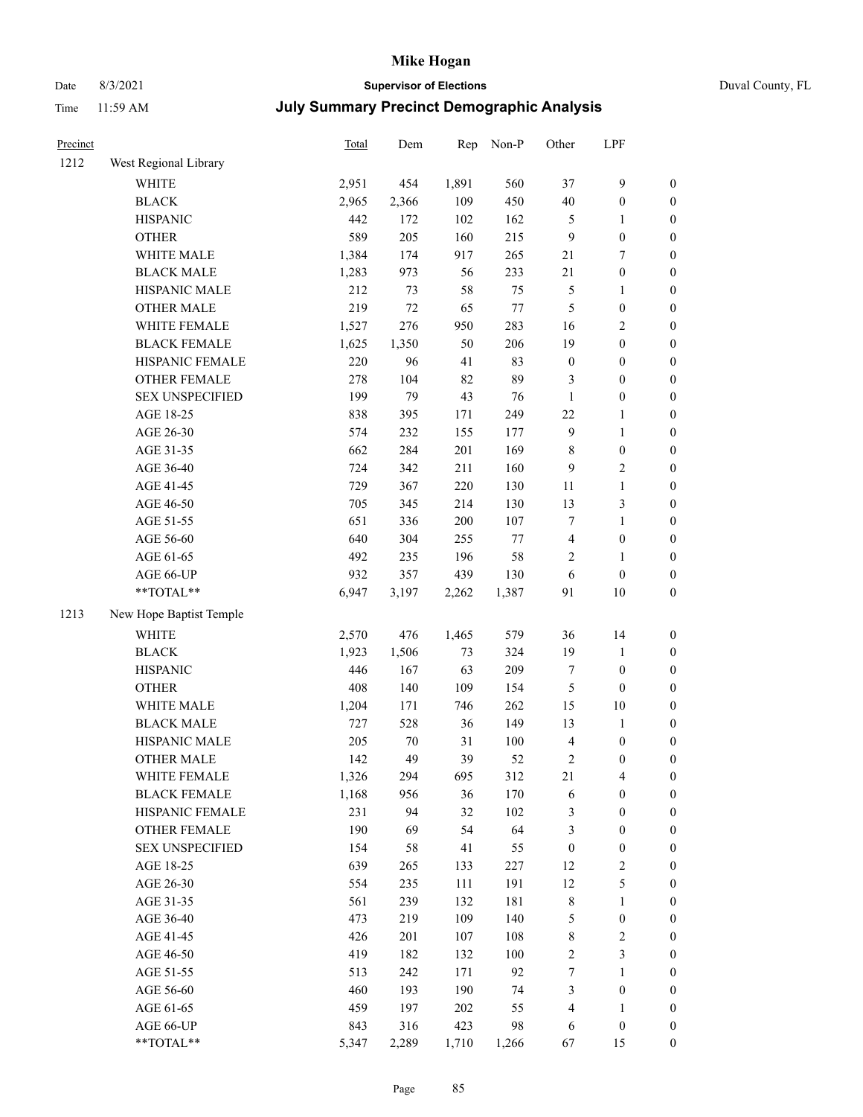# Date 8/3/2021 **Supervisor of Elections** Duval County, FL

| Precinct |                         | Total | Dem   | Rep   | Non-P   | Other            | LPF              |                  |
|----------|-------------------------|-------|-------|-------|---------|------------------|------------------|------------------|
| 1212     | West Regional Library   |       |       |       |         |                  |                  |                  |
|          | <b>WHITE</b>            | 2,951 | 454   | 1,891 | 560     | 37               | $\boldsymbol{9}$ | 0                |
|          | <b>BLACK</b>            | 2,965 | 2,366 | 109   | 450     | 40               | $\boldsymbol{0}$ | $\boldsymbol{0}$ |
|          | <b>HISPANIC</b>         | 442   | 172   | 102   | 162     | 5                | 1                | $\boldsymbol{0}$ |
|          | <b>OTHER</b>            | 589   | 205   | 160   | 215     | 9                | $\boldsymbol{0}$ | $\boldsymbol{0}$ |
|          | WHITE MALE              | 1,384 | 174   | 917   | 265     | 21               | $\tau$           | $\boldsymbol{0}$ |
|          | <b>BLACK MALE</b>       | 1,283 | 973   | 56    | 233     | 21               | $\boldsymbol{0}$ | $\boldsymbol{0}$ |
|          | HISPANIC MALE           | 212   | 73    | 58    | 75      | 5                | $\mathbf{1}$     | $\boldsymbol{0}$ |
|          | <b>OTHER MALE</b>       | 219   | 72    | 65    | $77 \,$ | 5                | $\boldsymbol{0}$ | $\boldsymbol{0}$ |
|          | WHITE FEMALE            | 1,527 | 276   | 950   | 283     | 16               | $\sqrt{2}$       | $\boldsymbol{0}$ |
|          | <b>BLACK FEMALE</b>     | 1,625 | 1,350 | 50    | 206     | 19               | $\boldsymbol{0}$ | $\boldsymbol{0}$ |
|          | HISPANIC FEMALE         | 220   | 96    | 41    | 83      | $\boldsymbol{0}$ | $\boldsymbol{0}$ | $\boldsymbol{0}$ |
|          | OTHER FEMALE            | 278   | 104   | 82    | 89      | 3                | $\boldsymbol{0}$ | $\boldsymbol{0}$ |
|          | <b>SEX UNSPECIFIED</b>  | 199   | 79    | 43    | 76      | $\mathbf{1}$     | $\boldsymbol{0}$ | $\boldsymbol{0}$ |
|          | AGE 18-25               | 838   | 395   | 171   | 249     | $22\,$           | 1                | $\boldsymbol{0}$ |
|          | AGE 26-30               | 574   | 232   | 155   | 177     | 9                | $\mathbf{1}$     | $\boldsymbol{0}$ |
|          | AGE 31-35               | 662   | 284   | 201   | 169     | 8                | $\boldsymbol{0}$ | $\boldsymbol{0}$ |
|          | AGE 36-40               | 724   | 342   | 211   | 160     | 9                | $\sqrt{2}$       | $\boldsymbol{0}$ |
|          | AGE 41-45               | 729   | 367   | 220   | 130     | 11               | $\mathbf{1}$     | $\boldsymbol{0}$ |
|          | AGE 46-50               | 705   | 345   | 214   | 130     | 13               | $\mathfrak{Z}$   | $\boldsymbol{0}$ |
|          | AGE 51-55               | 651   | 336   | 200   | 107     | 7                | $\mathbf{1}$     | $\boldsymbol{0}$ |
|          | AGE 56-60               | 640   | 304   | 255   | $77 \,$ | 4                | $\boldsymbol{0}$ | 0                |
|          | AGE 61-65               | 492   | 235   | 196   | 58      | 2                | 1                | 0                |
|          | AGE 66-UP               | 932   | 357   | 439   | 130     | 6                | $\boldsymbol{0}$ | $\boldsymbol{0}$ |
|          | $**TOTAL**$             | 6,947 | 3,197 | 2,262 | 1,387   | 91               | $10\,$           | $\boldsymbol{0}$ |
| 1213     | New Hope Baptist Temple |       |       |       |         |                  |                  |                  |
|          | <b>WHITE</b>            | 2,570 | 476   | 1,465 | 579     | 36               | 14               | $\boldsymbol{0}$ |
|          | <b>BLACK</b>            | 1,923 | 1,506 | 73    | 324     | 19               | $\mathbf{1}$     | $\boldsymbol{0}$ |
|          | <b>HISPANIC</b>         | 446   | 167   | 63    | 209     | $\boldsymbol{7}$ | $\boldsymbol{0}$ | $\boldsymbol{0}$ |
|          | <b>OTHER</b>            | 408   | 140   | 109   | 154     | 5                | $\boldsymbol{0}$ | $\boldsymbol{0}$ |
|          | WHITE MALE              | 1,204 | 171   | 746   | 262     | 15               | 10               | $\boldsymbol{0}$ |
|          | <b>BLACK MALE</b>       | 727   | 528   | 36    | 149     | 13               | $\mathbf{1}$     | $\boldsymbol{0}$ |
|          | HISPANIC MALE           | 205   | 70    | 31    | 100     | 4                | $\boldsymbol{0}$ | $\boldsymbol{0}$ |
|          | <b>OTHER MALE</b>       | 142   | 49    | 39    | 52      | 2                | $\boldsymbol{0}$ | $\boldsymbol{0}$ |
|          | WHITE FEMALE            | 1,326 | 294   | 695   | 312     | 21               | 4                | 0                |
|          | <b>BLACK FEMALE</b>     | 1,168 | 956   | 36    | 170     | 6                | $\boldsymbol{0}$ | $\boldsymbol{0}$ |
|          | HISPANIC FEMALE         | 231   | 94    | 32    | 102     | 3                | $\boldsymbol{0}$ | $\overline{0}$   |
|          | <b>OTHER FEMALE</b>     | 190   | 69    | 54    | 64      | 3                | $\boldsymbol{0}$ | $\overline{0}$   |
|          | <b>SEX UNSPECIFIED</b>  | 154   | 58    | 41    | 55      | $\boldsymbol{0}$ | $\boldsymbol{0}$ | 0                |
|          | AGE 18-25               | 639   | 265   | 133   | 227     | 12               | $\sqrt{2}$       | 0                |
|          | AGE 26-30               | 554   | 235   | 111   | 191     | 12               | 5                | 0                |
|          | AGE 31-35               | 561   | 239   | 132   | 181     | 8                | $\mathbf{1}$     | 0                |
|          | AGE 36-40               | 473   | 219   | 109   | 140     | 5                | $\boldsymbol{0}$ | 0                |
|          | AGE 41-45               | 426   | 201   | 107   | 108     | 8                | $\sqrt{2}$       | 0                |
|          | AGE 46-50               | 419   | 182   | 132   | 100     | 2                | 3                | 0                |
|          | AGE 51-55               | 513   | 242   | 171   | 92      | $\boldsymbol{7}$ | $\mathbf{1}$     | $\boldsymbol{0}$ |
|          | AGE 56-60               | 460   | 193   | 190   | 74      | 3                | $\boldsymbol{0}$ | $\overline{0}$   |
|          | AGE 61-65               | 459   | 197   | 202   | 55      | 4                | 1                | $\overline{0}$   |
|          | AGE 66-UP               | 843   | 316   | 423   | 98      | 6                | $\boldsymbol{0}$ | 0                |
|          | **TOTAL**               | 5,347 | 2,289 | 1,710 | 1,266   | 67               | 15               | $\boldsymbol{0}$ |
|          |                         |       |       |       |         |                  |                  |                  |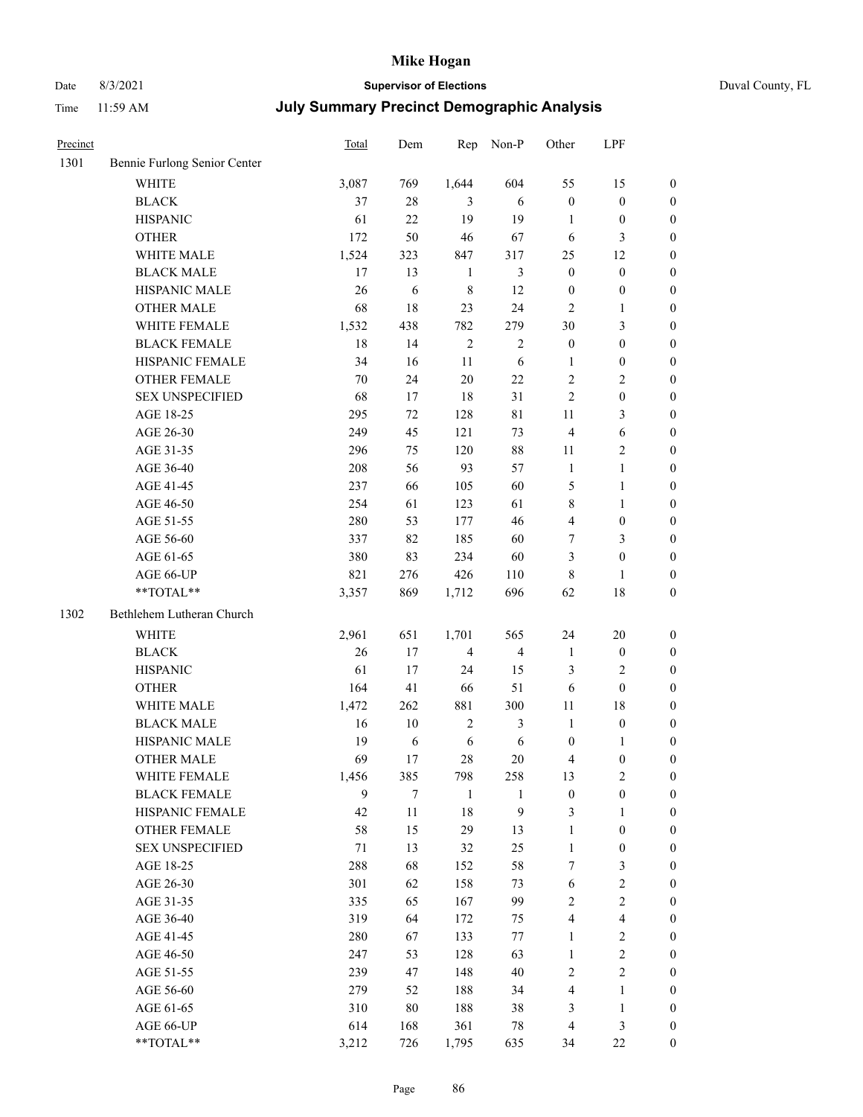# Date 8/3/2021 **Supervisor of Elections** Duval County, FL

| Precinct |                              | Total | Dem    | Rep            | Non-P            | Other            | LPF              |                  |
|----------|------------------------------|-------|--------|----------------|------------------|------------------|------------------|------------------|
| 1301     | Bennie Furlong Senior Center |       |        |                |                  |                  |                  |                  |
|          | <b>WHITE</b>                 | 3,087 | 769    | 1,644          | 604              | 55               | 15               | $\boldsymbol{0}$ |
|          | <b>BLACK</b>                 | 37    | 28     | 3              | 6                | $\boldsymbol{0}$ | $\boldsymbol{0}$ | $\boldsymbol{0}$ |
|          | <b>HISPANIC</b>              | 61    | 22     | 19             | 19               | 1                | $\boldsymbol{0}$ | $\boldsymbol{0}$ |
|          | <b>OTHER</b>                 | 172   | 50     | 46             | 67               | 6                | $\mathfrak{Z}$   | $\boldsymbol{0}$ |
|          | WHITE MALE                   | 1,524 | 323    | 847            | 317              | 25               | 12               | $\boldsymbol{0}$ |
|          | <b>BLACK MALE</b>            | 17    | 13     | $\mathbf{1}$   | 3                | $\boldsymbol{0}$ | $\boldsymbol{0}$ | $\boldsymbol{0}$ |
|          | HISPANIC MALE                | 26    | 6      | 8              | 12               | $\boldsymbol{0}$ | $\boldsymbol{0}$ | $\boldsymbol{0}$ |
|          | <b>OTHER MALE</b>            | 68    | 18     | 23             | 24               | 2                | 1                | $\boldsymbol{0}$ |
|          | WHITE FEMALE                 | 1,532 | 438    | 782            | 279              | 30               | $\mathfrak{Z}$   | $\boldsymbol{0}$ |
|          | <b>BLACK FEMALE</b>          | 18    | 14     | $\mathfrak{2}$ | $\mathfrak{2}$   | $\boldsymbol{0}$ | $\boldsymbol{0}$ | 0                |
|          | HISPANIC FEMALE              | 34    | 16     | 11             | 6                | $\mathbf{1}$     | $\boldsymbol{0}$ | $\boldsymbol{0}$ |
|          | OTHER FEMALE                 | 70    | 24     | 20             | $22\,$           | 2                | $\sqrt{2}$       | $\boldsymbol{0}$ |
|          | <b>SEX UNSPECIFIED</b>       | 68    | 17     | 18             | 31               | $\overline{c}$   | $\boldsymbol{0}$ | $\boldsymbol{0}$ |
|          | AGE 18-25                    | 295   | 72     | 128            | 81               | $11\,$           | $\mathfrak{Z}$   | $\boldsymbol{0}$ |
|          | AGE 26-30                    | 249   | 45     | 121            | 73               | $\overline{4}$   | 6                | $\boldsymbol{0}$ |
|          | AGE 31-35                    | 296   | 75     | 120            | 88               | 11               | $\sqrt{2}$       | $\boldsymbol{0}$ |
|          | AGE 36-40                    | 208   | 56     | 93             | 57               | $\mathbf{1}$     | $\mathbf{1}$     | $\boldsymbol{0}$ |
|          | AGE 41-45                    | 237   | 66     | 105            | 60               | 5                | $\mathbf{1}$     | $\boldsymbol{0}$ |
|          | AGE 46-50                    | 254   | 61     | 123            | 61               | 8                | $\mathbf{1}$     | $\boldsymbol{0}$ |
|          | AGE 51-55                    | 280   | 53     | 177            | 46               | 4                | $\boldsymbol{0}$ | 0                |
|          | AGE 56-60                    | 337   | 82     | 185            | 60               | 7                | 3                | $\boldsymbol{0}$ |
|          | AGE 61-65                    | 380   | 83     | 234            | 60               | 3                | $\boldsymbol{0}$ | $\boldsymbol{0}$ |
|          | AGE 66-UP                    | 821   | 276    | 426            | 110              | 8                | 1                | $\boldsymbol{0}$ |
|          | **TOTAL**                    | 3,357 | 869    | 1,712          | 696              | 62               | 18               | $\boldsymbol{0}$ |
| 1302     | Bethlehem Lutheran Church    |       |        |                |                  |                  |                  |                  |
|          | <b>WHITE</b>                 | 2,961 | 651    | 1,701          | 565              | 24               | 20               | $\boldsymbol{0}$ |
|          | <b>BLACK</b>                 | 26    | 17     | $\overline{4}$ | $\overline{4}$   | $\mathbf{1}$     | $\boldsymbol{0}$ | $\boldsymbol{0}$ |
|          | <b>HISPANIC</b>              | 61    | 17     | 24             | 15               | 3                | $\sqrt{2}$       | $\boldsymbol{0}$ |
|          | <b>OTHER</b>                 | 164   | 41     | 66             | 51               | 6                | $\boldsymbol{0}$ | $\overline{0}$   |
|          | WHITE MALE                   | 1,472 | 262    | 881            | 300              | $11\,$           | 18               | $\boldsymbol{0}$ |
|          | <b>BLACK MALE</b>            | 16    | 10     | $\sqrt{2}$     | $\mathfrak{Z}$   | $\mathbf{1}$     | $\boldsymbol{0}$ | $\boldsymbol{0}$ |
|          | HISPANIC MALE                | 19    | 6      | $\sqrt{6}$     | 6                | $\boldsymbol{0}$ | 1                | 0                |
|          | <b>OTHER MALE</b>            | 69    | 17     | 28             | 20               | 4                | $\boldsymbol{0}$ | $\boldsymbol{0}$ |
|          | WHITE FEMALE                 | 1,456 | 385    | 798            | 258              | 13               | $\boldsymbol{2}$ | $\overline{0}$   |
|          | <b>BLACK FEMALE</b>          | 9     | $\tau$ | $\mathbf{1}$   | 1                | $\boldsymbol{0}$ | $\boldsymbol{0}$ | $\overline{0}$   |
|          | HISPANIC FEMALE              | 42    | 11     | 18             | $\boldsymbol{9}$ | 3                | $\mathbf{1}$     | $\overline{0}$   |
|          | <b>OTHER FEMALE</b>          | 58    | 15     | 29             | 13               | 1                | $\boldsymbol{0}$ | 0                |
|          | <b>SEX UNSPECIFIED</b>       | 71    | 13     | 32             | 25               | $\mathbf{1}$     | $\boldsymbol{0}$ | 0                |
|          | AGE 18-25                    | 288   | 68     | 152            | 58               | 7                | 3                | 0                |
|          | AGE 26-30                    | 301   | 62     | 158            | 73               | 6                | $\sqrt{2}$       | 0                |
|          | AGE 31-35                    | 335   | 65     | 167            | 99               | 2                | $\sqrt{2}$       | 0                |
|          | AGE 36-40                    | 319   | 64     | 172            | 75               | 4                | $\overline{4}$   | 0                |
|          | AGE 41-45                    | 280   | 67     | 133            | $77 \,$          | $\mathbf{1}$     | $\sqrt{2}$       | 0                |
|          | AGE 46-50                    | 247   | 53     | 128            | 63               | $\mathbf{1}$     | $\sqrt{2}$       | 0                |
|          | AGE 51-55                    | 239   | 47     | 148            | 40               | 2                | $\sqrt{2}$       | $\boldsymbol{0}$ |
|          | AGE 56-60                    | 279   | 52     | 188            | 34               | 4                | $\mathbf{1}$     | $\boldsymbol{0}$ |
|          | AGE 61-65                    | 310   | 80     | 188            | 38               | 3                | $\mathbf{1}$     | 0                |
|          | AGE 66-UP                    | 614   | 168    | 361            | 78               | 4                | $\mathfrak{Z}$   | 0                |
|          | **TOTAL**                    | 3,212 | 726    | 1,795          | 635              | 34               | $22\,$           | $\boldsymbol{0}$ |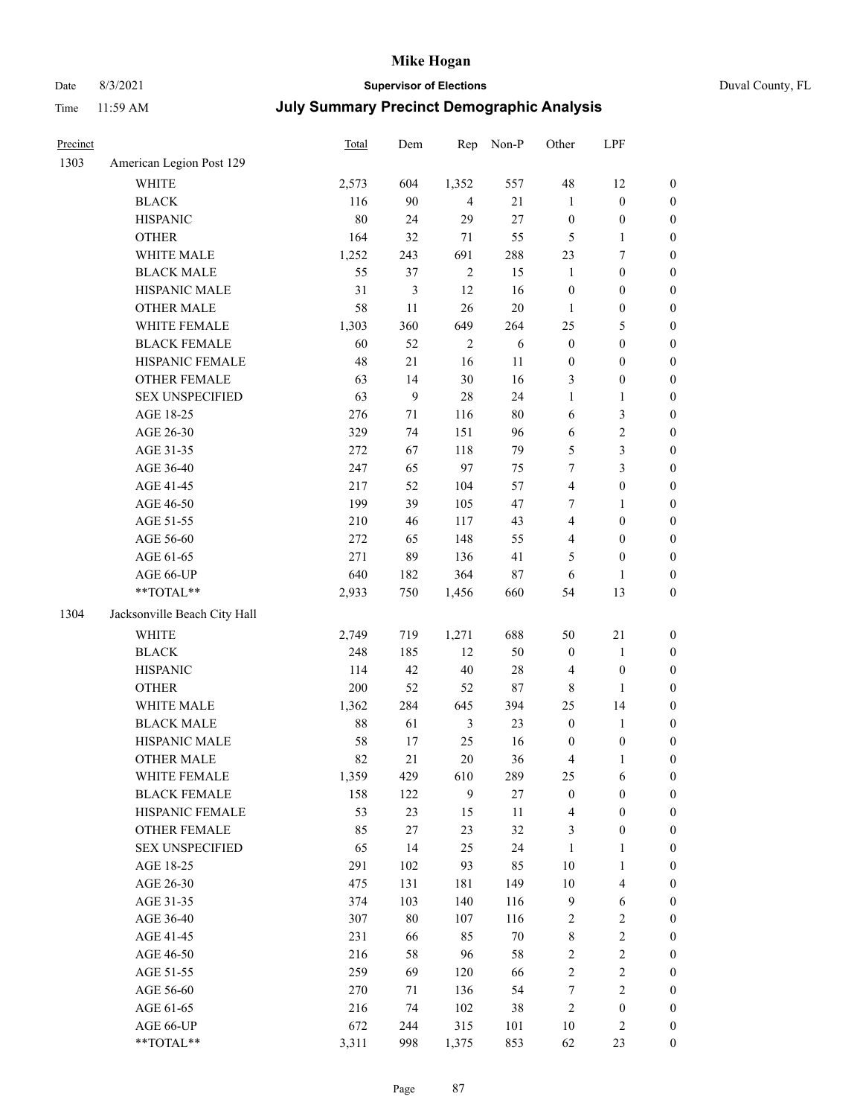# Date 8/3/2021 **Supervisor of Elections** Duval County, FL

| Precinct |                                                            | Total | Dem            | Rep            | Non-P  | Other            | LPF              |                       |
|----------|------------------------------------------------------------|-------|----------------|----------------|--------|------------------|------------------|-----------------------|
| 1303     | American Legion Post 129                                   |       |                |                |        |                  |                  |                       |
|          | <b>WHITE</b>                                               | 2,573 | 604            | 1,352          | 557    | 48               | 12               | 0                     |
|          | <b>BLACK</b>                                               | 116   | 90             | $\overline{4}$ | 21     | $\mathbf{1}$     | $\boldsymbol{0}$ | 0                     |
|          | <b>HISPANIC</b>                                            | 80    | 24             | 29             | $27\,$ | $\boldsymbol{0}$ | $\boldsymbol{0}$ | $\boldsymbol{0}$      |
|          | <b>OTHER</b>                                               | 164   | 32             | $71\,$         | 55     | 5                | 1                | $\boldsymbol{0}$      |
|          | WHITE MALE                                                 | 1,252 | 243            | 691            | 288    | 23               | $\tau$           | $\boldsymbol{0}$      |
|          | <b>BLACK MALE</b>                                          | 55    | 37             | $\sqrt{2}$     | 15     | $\mathbf{1}$     | $\boldsymbol{0}$ | $\boldsymbol{0}$      |
|          | HISPANIC MALE                                              | 31    | $\mathfrak{Z}$ | 12             | 16     | $\boldsymbol{0}$ | $\boldsymbol{0}$ | $\boldsymbol{0}$      |
|          | <b>OTHER MALE</b>                                          | 58    | 11             | 26             | 20     | $\mathbf{1}$     | $\boldsymbol{0}$ | $\boldsymbol{0}$      |
|          | WHITE FEMALE                                               | 1,303 | 360            | 649            | 264    | 25               | $\mathfrak s$    | $\boldsymbol{0}$      |
|          | <b>BLACK FEMALE</b>                                        | 60    | 52             | $\sqrt{2}$     | 6      | $\boldsymbol{0}$ | $\boldsymbol{0}$ | $\boldsymbol{0}$      |
|          | HISPANIC FEMALE                                            | 48    | $21\,$         | 16             | 11     | $\boldsymbol{0}$ | $\boldsymbol{0}$ | 0                     |
|          | OTHER FEMALE                                               | 63    | 14             | 30             | 16     | 3                | $\boldsymbol{0}$ | $\boldsymbol{0}$      |
|          | <b>SEX UNSPECIFIED</b>                                     | 63    | 9              | 28             | 24     | $\mathbf{1}$     | $\mathbf{1}$     | $\boldsymbol{0}$      |
|          | AGE 18-25                                                  | 276   | $71\,$         | 116            | 80     | 6                | $\mathfrak{Z}$   | $\boldsymbol{0}$      |
|          | AGE 26-30                                                  | 329   | 74             | 151            | 96     | 6                | $\sqrt{2}$       | $\boldsymbol{0}$      |
|          | AGE 31-35                                                  | 272   | 67             | 118            | 79     | 5                | 3                | $\boldsymbol{0}$      |
|          | AGE 36-40                                                  | 247   | 65             | 97             | 75     | 7                | 3                | $\boldsymbol{0}$      |
|          | AGE 41-45                                                  | 217   | 52             | 104            | 57     | 4                | $\boldsymbol{0}$ | $\boldsymbol{0}$      |
|          | AGE 46-50                                                  | 199   | 39             | 105            | 47     | 7                | $\mathbf{1}$     | $\boldsymbol{0}$      |
|          | AGE 51-55                                                  | 210   | 46             | 117            | 43     | 4                | $\boldsymbol{0}$ | $\boldsymbol{0}$      |
|          | AGE 56-60                                                  | 272   | 65             | 148            | 55     | 4                | $\boldsymbol{0}$ |                       |
|          | AGE 61-65                                                  | 271   | 89             | 136            | 41     | 5                | $\boldsymbol{0}$ | 0<br>$\boldsymbol{0}$ |
|          |                                                            | 640   |                | 364            | $87\,$ |                  |                  |                       |
|          | AGE 66-UP<br>$**TOTAL**$                                   |       | 182            |                | 660    | 6<br>54          | 1                | $\boldsymbol{0}$      |
|          |                                                            | 2,933 | 750            | 1,456          |        |                  | 13               | $\boldsymbol{0}$      |
| 1304     | Jacksonville Beach City Hall                               |       |                |                |        |                  |                  |                       |
|          | WHITE                                                      | 2,749 | 719            | 1,271          | 688    | 50               | 21               | $\boldsymbol{0}$      |
|          | <b>BLACK</b>                                               | 248   | 185            | 12             | 50     | $\boldsymbol{0}$ | $\mathbf{1}$     | $\boldsymbol{0}$      |
|          | <b>HISPANIC</b>                                            | 114   | 42             | 40             | 28     | 4                | $\boldsymbol{0}$ | $\boldsymbol{0}$      |
|          | <b>OTHER</b>                                               | 200   | 52             | 52             | $87\,$ | 8                | 1                | $\boldsymbol{0}$      |
|          | WHITE MALE                                                 | 1,362 | 284            | 645            | 394    | 25               | 14               | $\boldsymbol{0}$      |
|          | <b>BLACK MALE</b>                                          | 88    | 61             | $\mathfrak{Z}$ | 23     | $\boldsymbol{0}$ | $\mathbf{1}$     | $\boldsymbol{0}$      |
|          | HISPANIC MALE                                              | 58    | 17             | 25             | 16     | $\boldsymbol{0}$ | $\boldsymbol{0}$ | 0                     |
|          | <b>OTHER MALE</b>                                          | 82    | 21             | 20             | 36     | 4                | $\mathbf{1}$     | $\boldsymbol{0}$      |
|          | WHITE FEMALE                                               | 1,359 | 429            | 610            | 289    | 25               | 6                | 0                     |
|          | <b>BLACK FEMALE</b>                                        | 158   | 122            | 9              | $27\,$ | $\boldsymbol{0}$ | $\boldsymbol{0}$ | $\overline{0}$        |
|          | HISPANIC FEMALE                                            | 53    | 23             | 15             | $11\,$ | 4                | $\boldsymbol{0}$ | $\overline{0}$        |
|          | OTHER FEMALE                                               | 85    | $27\,$         | 23             | 32     | 3                | $\boldsymbol{0}$ | $\overline{0}$        |
|          | <b>SEX UNSPECIFIED</b>                                     | 65    | 14             | 25             | 24     | $\mathbf{1}$     | $\mathbf{1}$     | 0                     |
|          | AGE 18-25                                                  | 291   | 102            | 93             | 85     | 10               | $\mathbf{1}$     | 0                     |
|          | AGE 26-30                                                  | 475   | 131            | 181            | 149    | $10\,$           | $\overline{4}$   | 0                     |
|          | AGE 31-35                                                  | 374   | 103            | 140            | 116    | 9                | 6                | 0                     |
|          | AGE 36-40                                                  | 307   | 80             | 107            | 116    | 2                | $\sqrt{2}$       | 0                     |
|          | AGE 41-45                                                  | 231   | 66             | 85             | 70     | 8                | $\sqrt{2}$       | 0                     |
|          | AGE 46-50                                                  | 216   | 58             | 96             | 58     | $\mathbf{2}$     | $\sqrt{2}$       | 0                     |
|          | AGE 51-55                                                  | 259   | 69             | 120            | 66     | $\mathbf{2}$     | $\sqrt{2}$       | 0                     |
|          | AGE 56-60                                                  | 270   | 71             | 136            | 54     | 7                | $\sqrt{2}$       | $\overline{0}$        |
|          | AGE 61-65                                                  | 216   | 74             | 102            | 38     | 2                | $\boldsymbol{0}$ | $\overline{0}$        |
|          | AGE 66-UP                                                  | 672   | 244            | 315            | 101    | 10               | $\mathfrak{2}$   | 0                     |
|          | $\mathrm{*}\mathrm{*} \mathrm{TOTAL} \mathrm{*}\mathrm{*}$ | 3,311 | 998            | 1,375          | 853    | 62               | 23               | $\boldsymbol{0}$      |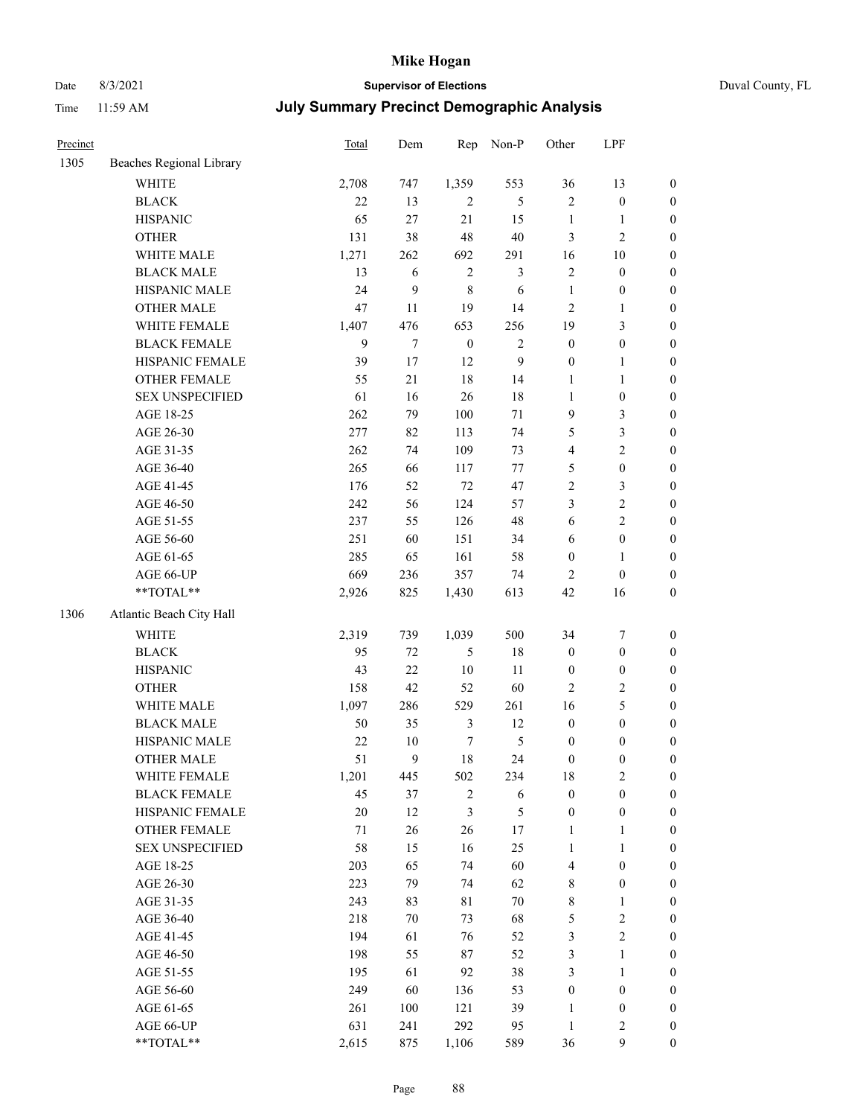# Date 8/3/2021 **Supervisor of Elections** Duval County, FL

| Precinct |                                                           | Total  | Dem              | Rep              | Non-P          | Other            | LPF              |                  |
|----------|-----------------------------------------------------------|--------|------------------|------------------|----------------|------------------|------------------|------------------|
| 1305     | Beaches Regional Library                                  |        |                  |                  |                |                  |                  |                  |
|          | <b>WHITE</b>                                              | 2,708  | 747              | 1,359            | 553            | 36               | 13               | $\boldsymbol{0}$ |
|          | <b>BLACK</b>                                              | 22     | 13               | $\overline{2}$   | 5              | $\mathbf{2}$     | $\boldsymbol{0}$ | $\boldsymbol{0}$ |
|          | <b>HISPANIC</b>                                           | 65     | 27               | 21               | 15             | $\mathbf{1}$     | 1                | $\boldsymbol{0}$ |
|          | <b>OTHER</b>                                              | 131    | 38               | 48               | 40             | 3                | $\sqrt{2}$       | $\boldsymbol{0}$ |
|          | WHITE MALE                                                | 1,271  | 262              | 692              | 291            | 16               | 10               | $\boldsymbol{0}$ |
|          | <b>BLACK MALE</b>                                         | 13     | 6                | $\mathbf{2}$     | $\mathfrak{Z}$ | 2                | $\boldsymbol{0}$ | $\boldsymbol{0}$ |
|          | HISPANIC MALE                                             | 24     | 9                | 8                | 6              | $\mathbf{1}$     | $\boldsymbol{0}$ | $\boldsymbol{0}$ |
|          | <b>OTHER MALE</b>                                         | 47     | 11               | 19               | 14             | 2                | $\mathbf{1}$     | $\boldsymbol{0}$ |
|          | WHITE FEMALE                                              | 1,407  | 476              | 653              | 256            | 19               | $\mathfrak{Z}$   | $\boldsymbol{0}$ |
|          | <b>BLACK FEMALE</b>                                       | 9      | $\boldsymbol{7}$ | $\boldsymbol{0}$ | $\sqrt{2}$     | $\boldsymbol{0}$ | $\boldsymbol{0}$ | 0                |
|          | HISPANIC FEMALE                                           | 39     | 17               | 12               | 9              | $\boldsymbol{0}$ | $\mathbf{1}$     | $\boldsymbol{0}$ |
|          | OTHER FEMALE                                              | 55     | 21               | 18               | 14             | $\mathbf{1}$     | $\mathbf{1}$     | $\boldsymbol{0}$ |
|          | <b>SEX UNSPECIFIED</b>                                    | 61     | 16               | 26               | 18             | $\mathbf{1}$     | $\boldsymbol{0}$ | $\boldsymbol{0}$ |
|          | AGE 18-25                                                 | 262    | 79               | 100              | $71\,$         | 9                | $\mathfrak{Z}$   | $\boldsymbol{0}$ |
|          | AGE 26-30                                                 | 277    | 82               | 113              | 74             | 5                | 3                | $\boldsymbol{0}$ |
|          | AGE 31-35                                                 | 262    | 74               | 109              | 73             | 4                | $\sqrt{2}$       | $\boldsymbol{0}$ |
|          | AGE 36-40                                                 | 265    | 66               | 117              | $77\,$         | 5                | $\boldsymbol{0}$ | $\boldsymbol{0}$ |
|          | AGE 41-45                                                 | 176    | 52               | $72\,$           | 47             | $\overline{c}$   | $\mathfrak{Z}$   | $\boldsymbol{0}$ |
|          | AGE 46-50                                                 | 242    | 56               | 124              | 57             | 3                | $\sqrt{2}$       | $\boldsymbol{0}$ |
|          | AGE 51-55                                                 | 237    | 55               | 126              | 48             | 6                | $\sqrt{2}$       | 0                |
|          | AGE 56-60                                                 | 251    | 60               | 151              | 34             | 6                | $\boldsymbol{0}$ | $\boldsymbol{0}$ |
|          | AGE 61-65                                                 | 285    | 65               | 161              | 58             | $\boldsymbol{0}$ | $\mathbf{1}$     | $\boldsymbol{0}$ |
|          | AGE 66-UP                                                 | 669    | 236              | 357              | 74             | 2                | $\boldsymbol{0}$ | $\boldsymbol{0}$ |
|          | $\mathrm{*}\mathrm{*}\mathrm{TOTAL} \mathrm{*}\mathrm{*}$ | 2,926  | 825              | 1,430            | 613            | 42               | 16               | $\boldsymbol{0}$ |
| 1306     | Atlantic Beach City Hall                                  |        |                  |                  |                |                  |                  |                  |
|          | <b>WHITE</b>                                              | 2,319  | 739              | 1,039            | 500            | 34               | $\boldsymbol{7}$ | $\boldsymbol{0}$ |
|          | <b>BLACK</b>                                              | 95     | $72\,$           | 5                | 18             | $\boldsymbol{0}$ | $\boldsymbol{0}$ | $\boldsymbol{0}$ |
|          | <b>HISPANIC</b>                                           | 43     | 22               | 10               | 11             | $\boldsymbol{0}$ | $\boldsymbol{0}$ | $\boldsymbol{0}$ |
|          | <b>OTHER</b>                                              | 158    | 42               | 52               | 60             | $\overline{c}$   | $\sqrt{2}$       | $\boldsymbol{0}$ |
|          | WHITE MALE                                                | 1,097  | 286              | 529              | 261            | 16               | $\mathfrak s$    | $\boldsymbol{0}$ |
|          | <b>BLACK MALE</b>                                         | 50     | 35               | 3                | 12             | $\boldsymbol{0}$ | $\boldsymbol{0}$ | $\boldsymbol{0}$ |
|          | HISPANIC MALE                                             | 22     | 10               | $\boldsymbol{7}$ | $\mathfrak s$  | $\boldsymbol{0}$ | $\boldsymbol{0}$ | 0                |
|          | <b>OTHER MALE</b>                                         | 51     | 9                | 18               | 24             | 0                | $\boldsymbol{0}$ | $\boldsymbol{0}$ |
|          | WHITE FEMALE                                              | 1,201  | 445              | 502              | 234            | 18               | $\sqrt{2}$       | 0                |
|          | <b>BLACK FEMALE</b>                                       | 45     | 37               | $\sqrt{2}$       | 6              | $\boldsymbol{0}$ | $\boldsymbol{0}$ | $\overline{0}$   |
|          | HISPANIC FEMALE                                           | $20\,$ | 12               | 3                | 5              | $\boldsymbol{0}$ | $\boldsymbol{0}$ | $\overline{0}$   |
|          | <b>OTHER FEMALE</b>                                       | $71\,$ | 26               | 26               | 17             | 1                | $\mathbf{1}$     | 0                |
|          | <b>SEX UNSPECIFIED</b>                                    | 58     | 15               | 16               | 25             | $\mathbf{1}$     | $\mathbf{1}$     | $\overline{0}$   |
|          | AGE 18-25                                                 | 203    | 65               | 74               | 60             | 4                | $\boldsymbol{0}$ | 0                |
|          | AGE 26-30                                                 | 223    | 79               | 74               | 62             | 8                | $\boldsymbol{0}$ | 0                |
|          | AGE 31-35                                                 | 243    | 83               | 81               | 70             | 8                | 1                | 0                |
|          | AGE 36-40                                                 | 218    | $70\,$           | 73               | 68             | 5                | $\sqrt{2}$       | 0                |
|          | AGE 41-45                                                 | 194    | 61               | 76               | 52             | 3                | $\sqrt{2}$       | 0                |
|          | AGE 46-50                                                 | 198    | 55               | 87               | 52             | 3                | $\mathbf{1}$     | $\overline{0}$   |
|          | AGE 51-55                                                 | 195    | 61               | 92               | 38             | 3                | $\mathbf{1}$     | $\boldsymbol{0}$ |
|          | AGE 56-60                                                 | 249    | 60               | 136              | 53             | $\boldsymbol{0}$ | $\boldsymbol{0}$ | $\overline{0}$   |
|          | AGE 61-65                                                 | 261    | 100              | 121              | 39             | $\mathbf{1}$     | $\boldsymbol{0}$ | 0                |
|          | AGE 66-UP                                                 | 631    | 241              | 292              | 95             | $\mathbf{1}$     | $\sqrt{2}$       | 0                |
|          | **TOTAL**                                                 | 2,615  | 875              | 1,106            | 589            | 36               | 9                | $\boldsymbol{0}$ |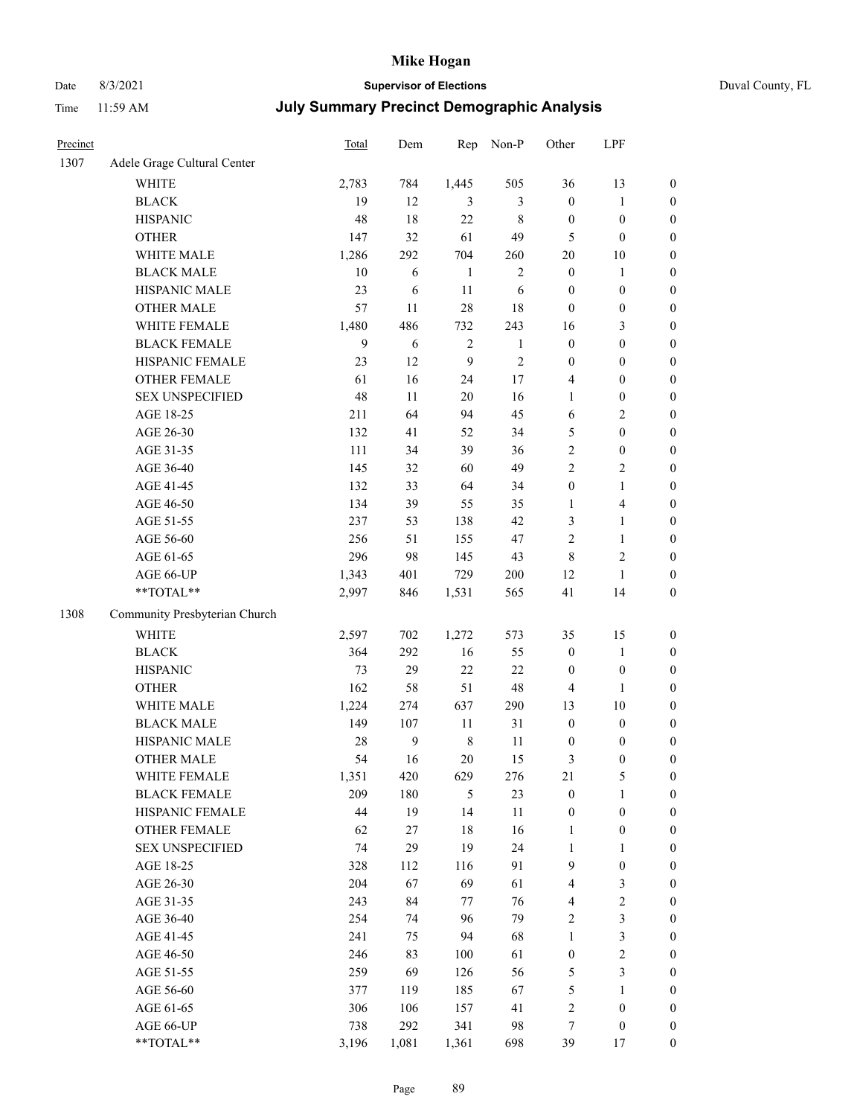## Date 8/3/2021 **Supervisor of Elections** Duval County, FL

| Precinct |                               | Total | Dem              | Rep          | Non-P        | Other                   | LPF              |                  |
|----------|-------------------------------|-------|------------------|--------------|--------------|-------------------------|------------------|------------------|
| 1307     | Adele Grage Cultural Center   |       |                  |              |              |                         |                  |                  |
|          | <b>WHITE</b>                  | 2,783 | 784              | 1,445        | 505          | 36                      | 13               | 0                |
|          | <b>BLACK</b>                  | 19    | 12               | 3            | 3            | $\boldsymbol{0}$        | $\mathbf{1}$     | $\boldsymbol{0}$ |
|          | <b>HISPANIC</b>               | 48    | 18               | 22           | $\,$ 8 $\,$  | $\boldsymbol{0}$        | $\boldsymbol{0}$ | $\boldsymbol{0}$ |
|          | <b>OTHER</b>                  | 147   | 32               | 61           | 49           | 5                       | $\boldsymbol{0}$ | $\boldsymbol{0}$ |
|          | WHITE MALE                    | 1,286 | 292              | 704          | 260          | 20                      | 10               | $\boldsymbol{0}$ |
|          | <b>BLACK MALE</b>             | 10    | 6                | $\mathbf{1}$ | $\sqrt{2}$   | $\boldsymbol{0}$        | 1                | $\boldsymbol{0}$ |
|          | HISPANIC MALE                 | 23    | 6                | 11           | 6            | $\boldsymbol{0}$        | $\boldsymbol{0}$ | $\boldsymbol{0}$ |
|          | <b>OTHER MALE</b>             | 57    | 11               | 28           | 18           | $\boldsymbol{0}$        | $\boldsymbol{0}$ | $\boldsymbol{0}$ |
|          | WHITE FEMALE                  | 1,480 | 486              | 732          | 243          | 16                      | $\mathfrak{Z}$   | $\boldsymbol{0}$ |
|          | <b>BLACK FEMALE</b>           | 9     | 6                | $\sqrt{2}$   | $\mathbf{1}$ | $\boldsymbol{0}$        | $\boldsymbol{0}$ | $\boldsymbol{0}$ |
|          | HISPANIC FEMALE               | 23    | 12               | 9            | $\sqrt{2}$   | $\boldsymbol{0}$        | $\boldsymbol{0}$ | $\boldsymbol{0}$ |
|          | OTHER FEMALE                  | 61    | 16               | 24           | $17\,$       | 4                       | $\boldsymbol{0}$ | $\boldsymbol{0}$ |
|          | <b>SEX UNSPECIFIED</b>        | 48    | 11               | 20           | 16           | $\mathbf{1}$            | $\boldsymbol{0}$ | $\boldsymbol{0}$ |
|          | AGE 18-25                     | 211   | 64               | 94           | 45           | 6                       | $\sqrt{2}$       | $\boldsymbol{0}$ |
|          | AGE 26-30                     | 132   | 41               | 52           | 34           | 5                       | $\boldsymbol{0}$ | $\boldsymbol{0}$ |
|          | AGE 31-35                     | 111   | 34               | 39           | 36           | $\overline{c}$          | $\boldsymbol{0}$ | $\boldsymbol{0}$ |
|          | AGE 36-40                     | 145   | 32               | 60           | 49           | $\overline{c}$          | $\sqrt{2}$       | $\boldsymbol{0}$ |
|          | AGE 41-45                     | 132   | 33               | 64           | 34           | $\boldsymbol{0}$        | $\mathbf{1}$     | $\boldsymbol{0}$ |
|          | AGE 46-50                     | 134   | 39               | 55           | 35           | $\mathbf{1}$            | $\overline{4}$   | $\boldsymbol{0}$ |
|          | AGE 51-55                     | 237   | 53               | 138          | 42           | 3                       | $\mathbf{1}$     | $\boldsymbol{0}$ |
|          | AGE 56-60                     | 256   | 51               | 155          | 47           | $\overline{c}$          | $\mathbf{1}$     | 0                |
|          | AGE 61-65                     | 296   | 98               | 145          | 43           | 8                       | $\sqrt{2}$       | $\boldsymbol{0}$ |
|          | AGE 66-UP                     | 1,343 | 401              | 729          | 200          | 12                      | $\mathbf{1}$     | $\boldsymbol{0}$ |
|          | $**TOTAL**$                   | 2,997 | 846              | 1,531        | 565          | 41                      | 14               | $\boldsymbol{0}$ |
|          |                               |       |                  |              |              |                         |                  |                  |
| 1308     | Community Presbyterian Church |       |                  |              |              |                         |                  |                  |
|          | WHITE                         | 2,597 | 702              | 1,272        | 573          | 35                      | 15               | $\boldsymbol{0}$ |
|          | <b>BLACK</b>                  | 364   | 292              | 16           | 55           | $\boldsymbol{0}$        | $\mathbf{1}$     | $\boldsymbol{0}$ |
|          | <b>HISPANIC</b>               | 73    | 29               | 22           | 22           | $\boldsymbol{0}$        | $\boldsymbol{0}$ | $\boldsymbol{0}$ |
|          | <b>OTHER</b>                  | 162   | 58               | 51           | 48           | 4                       | $\mathbf{1}$     | $\boldsymbol{0}$ |
|          | WHITE MALE                    | 1,224 | 274              | 637          | 290          | 13                      | 10               | $\boldsymbol{0}$ |
|          | <b>BLACK MALE</b>             | 149   | 107              | $11\,$       | 31           | $\boldsymbol{0}$        | $\boldsymbol{0}$ | $\boldsymbol{0}$ |
|          | HISPANIC MALE                 | 28    | $\boldsymbol{9}$ | $\,8\,$      | 11           | $\boldsymbol{0}$        | $\boldsymbol{0}$ | $\boldsymbol{0}$ |
|          | <b>OTHER MALE</b>             | 54    | 16               | 20           | 15           | 3                       | $\boldsymbol{0}$ | $\boldsymbol{0}$ |
|          | WHITE FEMALE                  | 1,351 | 420              | 629          | 276          | 21                      | 5                | 0                |
|          | <b>BLACK FEMALE</b>           | 209   | 180              | 5            | 23           | $\boldsymbol{0}$        | $\mathbf{1}$     | $\overline{0}$   |
|          | HISPANIC FEMALE               | 44    | 19               | 14           | $11\,$       | $\boldsymbol{0}$        | $\boldsymbol{0}$ | $\overline{0}$   |
|          | OTHER FEMALE                  | 62    | $27\,$           | 18           | 16           | 1                       | $\boldsymbol{0}$ | $\overline{0}$   |
|          | <b>SEX UNSPECIFIED</b>        | 74    | 29               | 19           | 24           | $\mathbf{1}$            | $\mathbf{1}$     | 0                |
|          | AGE 18-25                     | 328   | 112              | 116          | 91           | 9                       | $\boldsymbol{0}$ | 0                |
|          | AGE 26-30                     | 204   | 67               | 69           | 61           | 4                       | 3                | 0                |
|          | AGE 31-35                     | 243   | 84               | 77           | 76           | 4                       | $\sqrt{2}$       | 0                |
|          | AGE 36-40                     | 254   | 74               | 96           | 79           | 2                       | $\mathfrak{Z}$   | 0                |
|          | AGE 41-45                     | 241   | 75               | 94           | 68           | 1                       | $\mathfrak{Z}$   | 0                |
|          | AGE 46-50                     | 246   | 83               | 100          | 61           | $\boldsymbol{0}$        | $\sqrt{2}$       | 0                |
|          | AGE 51-55                     | 259   | 69               | 126          | 56           | 5                       | 3                | 0                |
|          | AGE 56-60                     | 377   | 119              | 185          | 67           | 5                       | 1                | 0                |
|          | AGE 61-65                     | 306   | 106              | 157          | 41           | $\overline{\mathbf{c}}$ | $\boldsymbol{0}$ | 0                |
|          | AGE 66-UP                     | 738   | 292              | 341          | 98           | 7                       | $\boldsymbol{0}$ | 0                |
|          | **TOTAL**                     | 3,196 | 1,081            | 1,361        | 698          | 39                      | 17               | $\boldsymbol{0}$ |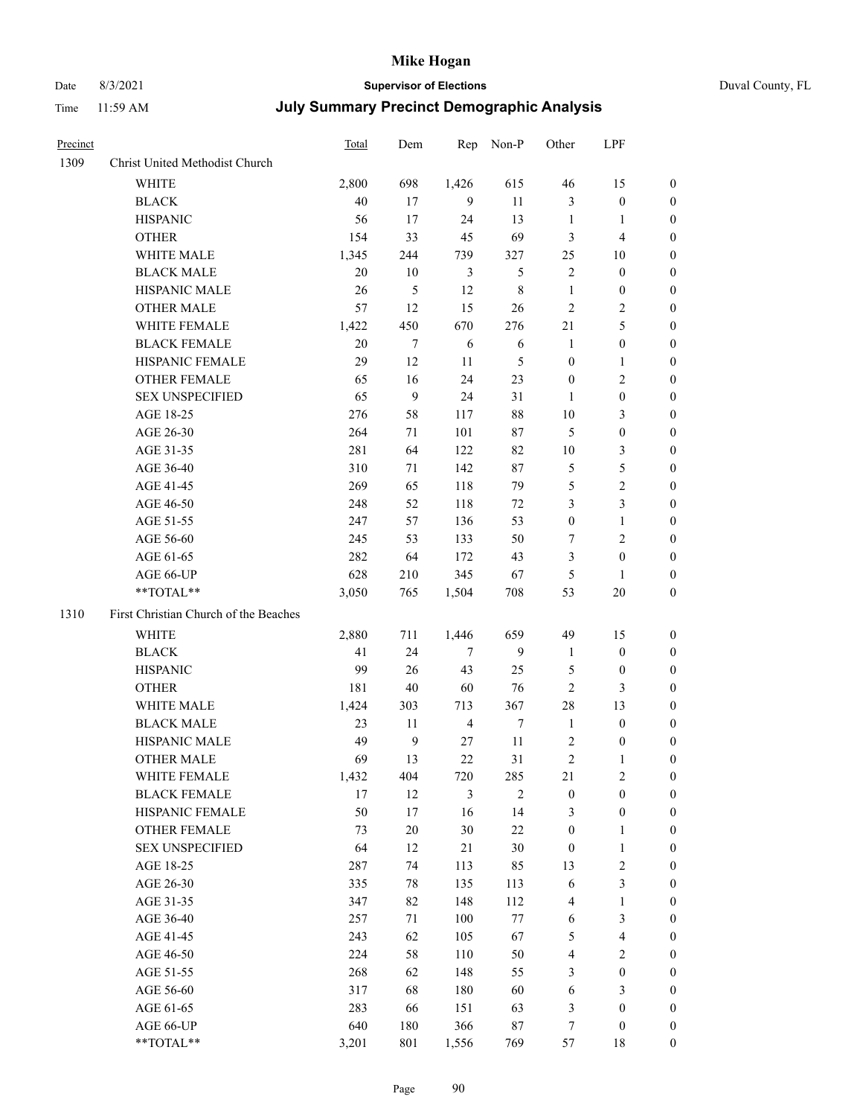## Date 8/3/2021 **Supervisor of Elections** Duval County, FL

| Precinct |                                       | Total | Dem            |                | Rep Non-P      | Other            | LPF              |                  |
|----------|---------------------------------------|-------|----------------|----------------|----------------|------------------|------------------|------------------|
| 1309     | Christ United Methodist Church        |       |                |                |                |                  |                  |                  |
|          | <b>WHITE</b>                          | 2,800 | 698            | 1,426          | 615            | 46               | 15               | 0                |
|          | <b>BLACK</b>                          | 40    | 17             | 9              | 11             | 3                | $\boldsymbol{0}$ | $\boldsymbol{0}$ |
|          | <b>HISPANIC</b>                       | 56    | 17             | 24             | 13             | 1                | 1                | $\boldsymbol{0}$ |
|          | <b>OTHER</b>                          | 154   | 33             | 45             | 69             | 3                | $\overline{4}$   | $\boldsymbol{0}$ |
|          | WHITE MALE                            | 1,345 | 244            | 739            | 327            | 25               | 10               | $\boldsymbol{0}$ |
|          | <b>BLACK MALE</b>                     | 20    | 10             | 3              | $\mathfrak{S}$ | 2                | $\boldsymbol{0}$ | $\boldsymbol{0}$ |
|          | HISPANIC MALE                         | 26    | $\mathfrak{S}$ | 12             | $8\,$          | $\mathbf{1}$     | $\boldsymbol{0}$ | $\boldsymbol{0}$ |
|          | <b>OTHER MALE</b>                     | 57    | 12             | 15             | 26             | $\mathbf{2}$     | $\sqrt{2}$       | $\boldsymbol{0}$ |
|          | WHITE FEMALE                          | 1,422 | 450            | 670            | 276            | 21               | $\mathfrak s$    | 0                |
|          | <b>BLACK FEMALE</b>                   | 20    | $\tau$         | 6              | 6              | $\mathbf{1}$     | $\boldsymbol{0}$ | 0                |
|          | HISPANIC FEMALE                       | 29    | 12             | 11             | $\mathfrak{S}$ | $\boldsymbol{0}$ | $\mathbf{1}$     | 0                |
|          | OTHER FEMALE                          | 65    | 16             | 24             | 23             | $\boldsymbol{0}$ | $\sqrt{2}$       | 0                |
|          | SEX UNSPECIFIED                       | 65    | 9              | 24             | 31             | 1                | $\boldsymbol{0}$ | $\boldsymbol{0}$ |
|          | AGE 18-25                             | 276   | 58             | 117            | $88\,$         | $10\,$           | $\mathfrak{Z}$   | $\boldsymbol{0}$ |
|          | AGE 26-30                             | 264   | 71             | 101            | $87\,$         | 5                | $\boldsymbol{0}$ | $\boldsymbol{0}$ |
|          | AGE 31-35                             | 281   | 64             | 122            | 82             | $10\,$           | $\mathfrak{Z}$   | $\boldsymbol{0}$ |
|          | AGE 36-40                             | 310   | 71             | 142            | $87\,$         | 5                | 5                | $\overline{0}$   |
|          | AGE 41-45                             | 269   | 65             | 118            | 79             | 5                | $\sqrt{2}$       | $\overline{0}$   |
|          | AGE 46-50                             | 248   | 52             | 118            | 72             | 3                | $\mathfrak{Z}$   | 0                |
|          | AGE 51-55                             | 247   | 57             | 136            | 53             | $\boldsymbol{0}$ | $\mathbf{1}$     | 0                |
|          | AGE 56-60                             | 245   | 53             | 133            | 50             | 7                | $\sqrt{2}$       | 0                |
|          | AGE 61-65                             | 282   | 64             | 172            | 43             | 3                | $\boldsymbol{0}$ | 0                |
|          | AGE 66-UP                             | 628   | 210            | 345            | 67             | 5                | $\mathbf{1}$     | $\boldsymbol{0}$ |
|          | **TOTAL**                             | 3,050 | 765            | 1,504          | 708            | 53               | 20               | $\boldsymbol{0}$ |
| 1310     | First Christian Church of the Beaches |       |                |                |                |                  |                  |                  |
|          | WHITE                                 | 2,880 | 711            | 1,446          | 659            | 49               | 15               | $\boldsymbol{0}$ |
|          | <b>BLACK</b>                          | 41    | 24             | 7              | 9              | $\mathbf{1}$     | $\boldsymbol{0}$ | $\boldsymbol{0}$ |
|          | <b>HISPANIC</b>                       | 99    | 26             | 43             | 25             | 5                | $\boldsymbol{0}$ | $\boldsymbol{0}$ |
|          | <b>OTHER</b>                          | 181   | $40\,$         | 60             | 76             | $\sqrt{2}$       | $\mathfrak{Z}$   | $\overline{0}$   |
|          | WHITE MALE                            | 1,424 | 303            | 713            | 367            | $28\,$           | 13               | $\boldsymbol{0}$ |
|          | <b>BLACK MALE</b>                     | 23    | 11             | $\overline{4}$ | $\tau$         | $\mathbf{1}$     | $\boldsymbol{0}$ | 0                |
|          | HISPANIC MALE                         | 49    | $\overline{9}$ | 27             | 11             | 2                | $\boldsymbol{0}$ | 0                |
|          | <b>OTHER MALE</b>                     | 69    | 13             | 22             | 31             | $\overline{c}$   | 1                | $\boldsymbol{0}$ |
|          | WHITE FEMALE                          | 1,432 | 404            | 720            | 285            | 21               | $\overline{c}$   | $\overline{0}$   |
|          | <b>BLACK FEMALE</b>                   | 17    | 12             | 3              | $\overline{2}$ | $\boldsymbol{0}$ | $\boldsymbol{0}$ | $\overline{0}$   |
|          | HISPANIC FEMALE                       | 50    | 17             | 16             | 14             | 3                | $\boldsymbol{0}$ | $\overline{0}$   |
|          | <b>OTHER FEMALE</b>                   | 73    | $20\,$         | 30             | $22\,$         | $\boldsymbol{0}$ | $\mathbf{1}$     | 0                |
|          | <b>SEX UNSPECIFIED</b>                | 64    | 12             | 21             | $30\,$         | $\boldsymbol{0}$ | $\mathbf{1}$     | 0                |
|          | AGE 18-25                             | 287   | 74             | 113            | 85             | 13               | $\sqrt{2}$       | 0                |
|          | AGE 26-30                             | 335   | $78\,$         | 135            | 113            | 6                | $\mathfrak{Z}$   | 0                |
|          | AGE 31-35                             | 347   | 82             | 148            | 112            | 4                | $\mathbf{1}$     | 0                |
|          | AGE 36-40                             | 257   | 71             | 100            | $77\,$         | 6                | $\mathfrak{Z}$   | 0                |
|          | AGE 41-45                             | 243   | 62             | 105            | 67             | 5                | $\overline{4}$   | 0                |
|          | AGE 46-50                             | 224   | 58             | 110            | 50             | 4                | $\sqrt{2}$       | 0                |
|          | AGE 51-55                             | 268   | 62             | 148            | 55             | 3                | $\boldsymbol{0}$ | $\boldsymbol{0}$ |
|          | AGE 56-60                             | 317   | 68             | 180            | 60             | 6                | $\mathfrak{Z}$   | $\boldsymbol{0}$ |
|          | AGE 61-65                             | 283   | 66             | 151            | 63             | 3                | $\boldsymbol{0}$ | 0                |
|          | AGE 66-UP                             | 640   | 180            | 366            | $87\,$         | 7                | $\boldsymbol{0}$ | 0                |
|          | **TOTAL**                             | 3,201 | 801            | 1,556          | 769            | 57               | 18               | $\overline{0}$   |
|          |                                       |       |                |                |                |                  |                  |                  |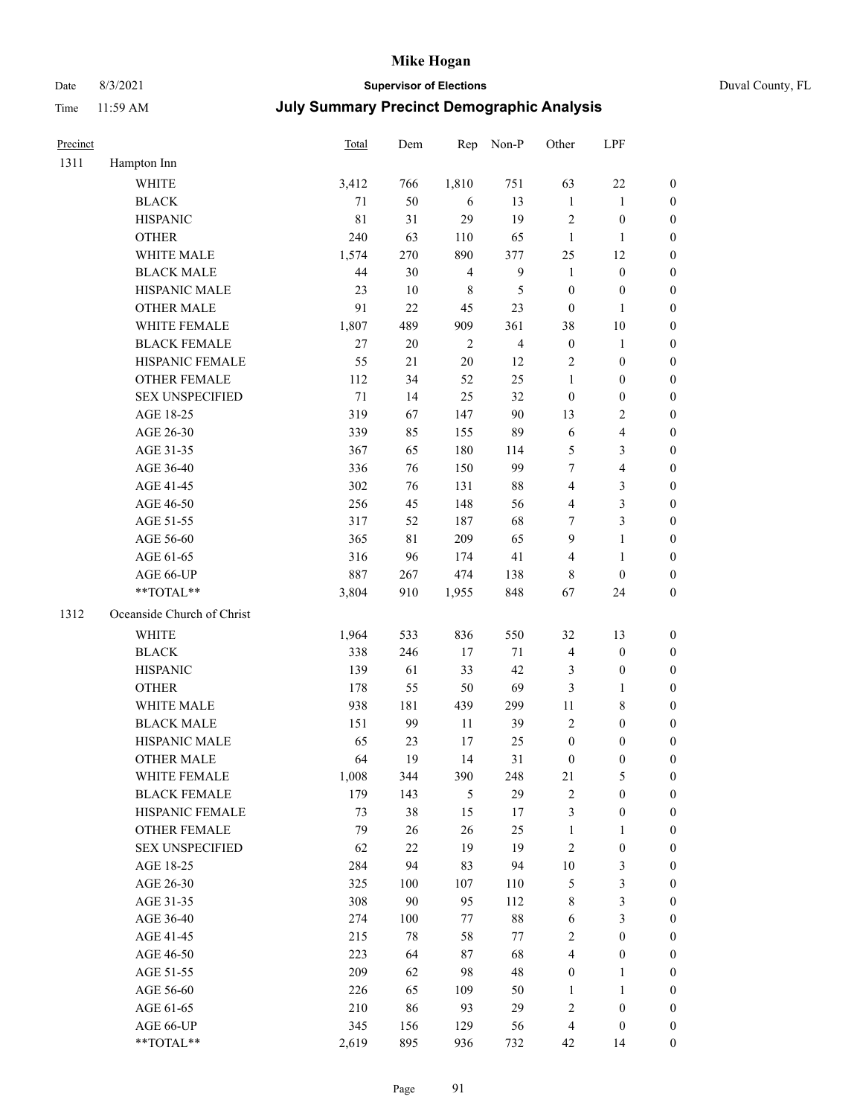## Date 8/3/2021 **Supervisor of Elections** Duval County, FL

| Precinct |                            | Total | Dem    | Rep            | Non-P            | Other            | LPF                     |                  |
|----------|----------------------------|-------|--------|----------------|------------------|------------------|-------------------------|------------------|
| 1311     | Hampton Inn                |       |        |                |                  |                  |                         |                  |
|          | <b>WHITE</b>               | 3,412 | 766    | 1,810          | 751              | 63               | $22\,$                  | $\boldsymbol{0}$ |
|          | <b>BLACK</b>               | 71    | 50     | 6              | 13               | $\mathbf{1}$     | $\mathbf{1}$            | $\boldsymbol{0}$ |
|          | <b>HISPANIC</b>            | 81    | 31     | 29             | 19               | 2                | $\boldsymbol{0}$        | $\boldsymbol{0}$ |
|          | <b>OTHER</b>               | 240   | 63     | 110            | 65               | $\mathbf{1}$     | $\mathbf{1}$            | $\boldsymbol{0}$ |
|          | WHITE MALE                 | 1,574 | 270    | 890            | 377              | 25               | 12                      | $\boldsymbol{0}$ |
|          | <b>BLACK MALE</b>          | 44    | 30     | $\overline{4}$ | $\boldsymbol{9}$ | $\mathbf{1}$     | $\boldsymbol{0}$        | $\boldsymbol{0}$ |
|          | HISPANIC MALE              | 23    | $10\,$ | $\,$ 8 $\,$    | $\mathfrak{S}$   | $\boldsymbol{0}$ | $\boldsymbol{0}$        | $\boldsymbol{0}$ |
|          | <b>OTHER MALE</b>          | 91    | 22     | 45             | 23               | $\boldsymbol{0}$ | $\mathbf{1}$            | $\boldsymbol{0}$ |
|          | WHITE FEMALE               | 1,807 | 489    | 909            | 361              | 38               | $10\,$                  | $\boldsymbol{0}$ |
|          | <b>BLACK FEMALE</b>        | 27    | $20\,$ | $\overline{2}$ | $\overline{4}$   | $\boldsymbol{0}$ | $\mathbf{1}$            | 0                |
|          | HISPANIC FEMALE            | 55    | 21     | 20             | 12               | $\overline{2}$   | $\boldsymbol{0}$        | $\boldsymbol{0}$ |
|          | OTHER FEMALE               | 112   | 34     | 52             | 25               | $\mathbf{1}$     | $\boldsymbol{0}$        | $\boldsymbol{0}$ |
|          | <b>SEX UNSPECIFIED</b>     | 71    | 14     | 25             | 32               | $\boldsymbol{0}$ | $\boldsymbol{0}$        | $\boldsymbol{0}$ |
|          | AGE 18-25                  | 319   | 67     | 147            | $90\,$           | 13               | $\sqrt{2}$              | $\boldsymbol{0}$ |
|          | AGE 26-30                  | 339   | 85     | 155            | 89               | 6                | $\overline{\mathbf{4}}$ | $\boldsymbol{0}$ |
|          | AGE 31-35                  | 367   | 65     | 180            | 114              | 5                | $\mathfrak{Z}$          | $\boldsymbol{0}$ |
|          | AGE 36-40                  | 336   | 76     | 150            | 99               | 7                | $\overline{\mathbf{4}}$ | $\boldsymbol{0}$ |
|          | AGE 41-45                  | 302   | 76     | 131            | $88\,$           | $\overline{4}$   | $\mathfrak{Z}$          | $\boldsymbol{0}$ |
|          | AGE 46-50                  | 256   | 45     | 148            | 56               | 4                | $\mathfrak{Z}$          | $\boldsymbol{0}$ |
|          | AGE 51-55                  | 317   | 52     | 187            | 68               | 7                | $\mathfrak{Z}$          | 0                |
|          | AGE 56-60                  | 365   | 81     | 209            | 65               | 9                | $\mathbf{1}$            | $\boldsymbol{0}$ |
|          | AGE 61-65                  | 316   | 96     | 174            | 41               | 4                | $\mathbf{1}$            | $\boldsymbol{0}$ |
|          | AGE 66-UP                  | 887   | 267    | 474            | 138              | 8                | $\boldsymbol{0}$        | $\boldsymbol{0}$ |
|          | **TOTAL**                  | 3,804 | 910    | 1,955          | 848              | 67               | 24                      | $\boldsymbol{0}$ |
| 1312     | Oceanside Church of Christ |       |        |                |                  |                  |                         |                  |
|          | WHITE                      | 1,964 | 533    | 836            | 550              | 32               | 13                      | $\boldsymbol{0}$ |
|          | <b>BLACK</b>               | 338   | 246    | 17             | 71               | 4                | $\boldsymbol{0}$        | $\boldsymbol{0}$ |
|          | <b>HISPANIC</b>            | 139   | 61     | 33             | 42               | 3                | $\boldsymbol{0}$        | $\boldsymbol{0}$ |
|          | <b>OTHER</b>               | 178   | 55     | 50             | 69               | 3                | $\mathbf{1}$            | $\boldsymbol{0}$ |
|          | WHITE MALE                 | 938   | 181    | 439            | 299              | $11\,$           | $8\,$                   | $\boldsymbol{0}$ |
|          | <b>BLACK MALE</b>          | 151   | 99     | 11             | 39               | $\mathbf{2}$     | $\boldsymbol{0}$        | $\boldsymbol{0}$ |
|          | HISPANIC MALE              | 65    | 23     | 17             | 25               | $\boldsymbol{0}$ | $\boldsymbol{0}$        | 0                |
|          | <b>OTHER MALE</b>          | 64    | 19     | 14             | 31               | $\boldsymbol{0}$ | $\boldsymbol{0}$        | $\boldsymbol{0}$ |
|          | WHITE FEMALE               | 1,008 | 344    | 390            | 248              | 21               | 5                       | $\overline{0}$   |
|          | <b>BLACK FEMALE</b>        | 179   | 143    | 5              | 29               | 2                | $\boldsymbol{0}$        | $\overline{0}$   |
|          | HISPANIC FEMALE            | 73    | 38     | 15             | 17               | 3                | $\boldsymbol{0}$        | $\overline{0}$   |
|          | <b>OTHER FEMALE</b>        | 79    | 26     | 26             | 25               | $\mathbf{1}$     | $\mathbf{1}$            | 0                |
|          | <b>SEX UNSPECIFIED</b>     | 62    | $22\,$ | 19             | 19               | $\sqrt{2}$       | $\boldsymbol{0}$        | 0                |
|          | AGE 18-25                  | 284   | 94     | 83             | 94               | $10\,$           | $\mathfrak{Z}$          | 0                |
|          | AGE 26-30                  | 325   | 100    | 107            | 110              | 5                | $\mathfrak{Z}$          | 0                |
|          | AGE 31-35                  | 308   | 90     | 95             | 112              | 8                | $\mathfrak{Z}$          | 0                |
|          | AGE 36-40                  | 274   | 100    | 77             | $88\,$           | 6                | $\mathfrak{Z}$          | 0                |
|          | AGE 41-45                  | 215   | $78\,$ | 58             | $77\,$           | 2                | $\boldsymbol{0}$        | 0                |
|          | AGE 46-50                  | 223   | 64     | 87             | 68               | 4                | $\boldsymbol{0}$        | 0                |
|          | AGE 51-55                  | 209   | 62     | 98             | 48               | $\boldsymbol{0}$ | $\mathbf{1}$            | $\boldsymbol{0}$ |
|          | AGE 56-60                  | 226   | 65     | 109            | 50               | 1                | $\mathbf{1}$            | $\boldsymbol{0}$ |
|          | AGE 61-65                  | 210   | 86     | 93             | 29               | 2                | $\boldsymbol{0}$        | 0                |
|          | AGE 66-UP                  | 345   | 156    | 129            | 56               | 4                | $\boldsymbol{0}$        | 0                |
|          | **TOTAL**                  | 2,619 | 895    | 936            | 732              | 42               | 14                      | $\boldsymbol{0}$ |
|          |                            |       |        |                |                  |                  |                         |                  |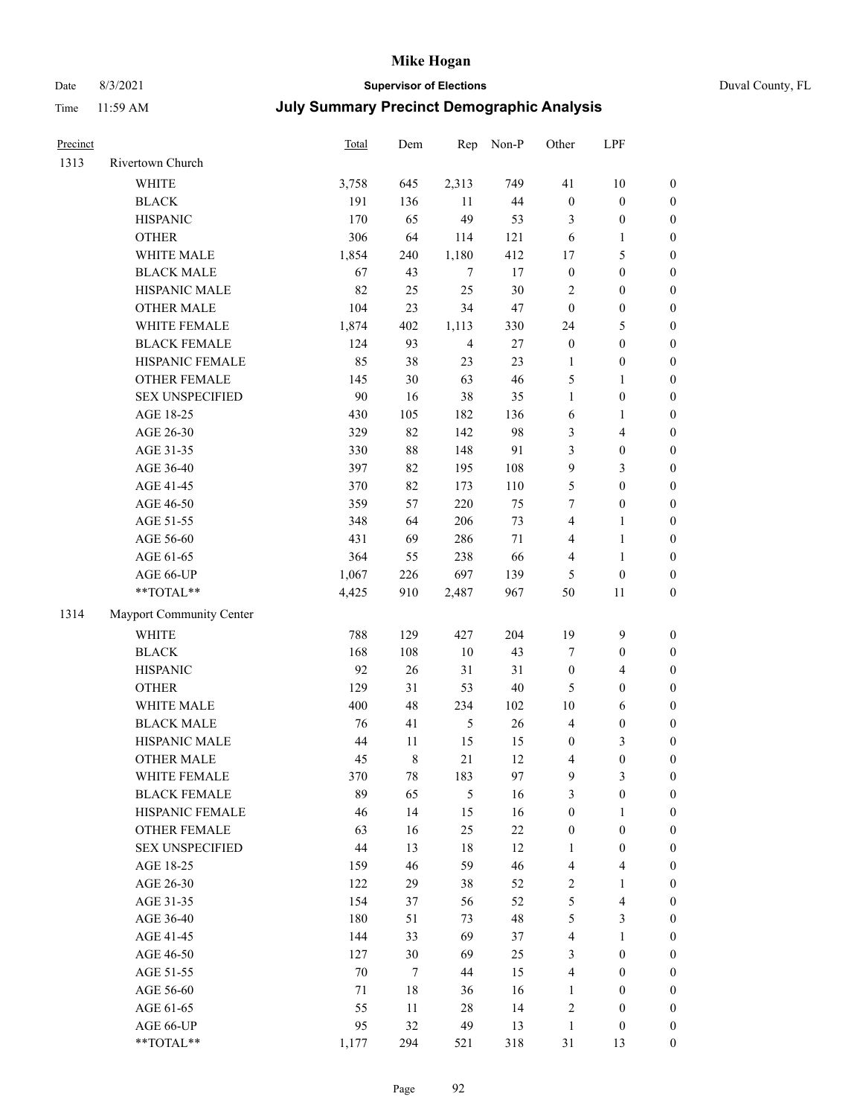## Date 8/3/2021 **Supervisor of Elections** Duval County, FL

| Precinct |                          | Total  | Dem         | Rep            | Non-P  | Other                   | LPF              |                  |
|----------|--------------------------|--------|-------------|----------------|--------|-------------------------|------------------|------------------|
| 1313     | Rivertown Church         |        |             |                |        |                         |                  |                  |
|          | <b>WHITE</b>             | 3,758  | 645         | 2,313          | 749    | 41                      | 10               | 0                |
|          | <b>BLACK</b>             | 191    | 136         | 11             | 44     | $\boldsymbol{0}$        | $\boldsymbol{0}$ | $\boldsymbol{0}$ |
|          | <b>HISPANIC</b>          | 170    | 65          | 49             | 53     | 3                       | $\boldsymbol{0}$ | $\boldsymbol{0}$ |
|          | <b>OTHER</b>             | 306    | 64          | 114            | 121    | 6                       | 1                | $\boldsymbol{0}$ |
|          | WHITE MALE               | 1,854  | 240         | 1,180          | 412    | 17                      | $\mathfrak s$    | $\boldsymbol{0}$ |
|          | <b>BLACK MALE</b>        | 67     | 43          | 7              | 17     | $\boldsymbol{0}$        | $\boldsymbol{0}$ | $\boldsymbol{0}$ |
|          | HISPANIC MALE            | 82     | 25          | 25             | 30     | 2                       | $\boldsymbol{0}$ | $\boldsymbol{0}$ |
|          | <b>OTHER MALE</b>        | 104    | 23          | 34             | 47     | $\boldsymbol{0}$        | $\boldsymbol{0}$ | $\boldsymbol{0}$ |
|          | WHITE FEMALE             | 1,874  | 402         | 1,113          | 330    | 24                      | $\mathfrak s$    | $\boldsymbol{0}$ |
|          | <b>BLACK FEMALE</b>      | 124    | 93          | $\overline{4}$ | $27\,$ | $\boldsymbol{0}$        | $\boldsymbol{0}$ | $\boldsymbol{0}$ |
|          | HISPANIC FEMALE          | 85     | 38          | 23             | 23     | 1                       | $\boldsymbol{0}$ | 0                |
|          | OTHER FEMALE             | 145    | 30          | 63             | 46     | 5                       | $\mathbf{1}$     | $\boldsymbol{0}$ |
|          | <b>SEX UNSPECIFIED</b>   | 90     | 16          | 38             | 35     | $\mathbf{1}$            | $\boldsymbol{0}$ | $\boldsymbol{0}$ |
|          | AGE 18-25                | 430    | 105         | 182            | 136    | 6                       | 1                | $\boldsymbol{0}$ |
|          | AGE 26-30                | 329    | 82          | 142            | 98     | 3                       | $\overline{4}$   | $\boldsymbol{0}$ |
|          | AGE 31-35                | 330    | $88\,$      | 148            | 91     | 3                       | $\boldsymbol{0}$ | $\boldsymbol{0}$ |
|          | AGE 36-40                | 397    | 82          | 195            | 108    | 9                       | 3                | $\boldsymbol{0}$ |
|          | AGE 41-45                | 370    | 82          | 173            | 110    | 5                       | $\boldsymbol{0}$ | $\boldsymbol{0}$ |
|          | AGE 46-50                | 359    | 57          | 220            | 75     | 7                       | $\boldsymbol{0}$ | $\boldsymbol{0}$ |
|          | AGE 51-55                | 348    | 64          | 206            | 73     | 4                       | 1                | $\boldsymbol{0}$ |
|          | AGE 56-60                | 431    | 69          | 286            | 71     | 4                       | $\mathbf{1}$     | 0                |
|          | AGE 61-65                | 364    | 55          | 238            | 66     | 4                       | $\mathbf{1}$     | 0                |
|          | AGE 66-UP                | 1,067  | 226         | 697            | 139    | 5                       | $\boldsymbol{0}$ | $\boldsymbol{0}$ |
|          | $**TOTAL**$              | 4,425  | 910         | 2,487          | 967    | 50                      | 11               | $\boldsymbol{0}$ |
| 1314     | Mayport Community Center |        |             |                |        |                         |                  |                  |
|          | <b>WHITE</b>             | 788    | 129         | 427            | 204    | 19                      | $\mathbf{9}$     | $\boldsymbol{0}$ |
|          | <b>BLACK</b>             | 168    | 108         | 10             | 43     | 7                       | $\boldsymbol{0}$ | $\boldsymbol{0}$ |
|          | <b>HISPANIC</b>          | 92     | 26          | 31             | 31     | $\boldsymbol{0}$        | $\overline{4}$   | $\boldsymbol{0}$ |
|          | <b>OTHER</b>             | 129    | 31          | 53             | 40     | 5                       | $\boldsymbol{0}$ | $\boldsymbol{0}$ |
|          | WHITE MALE               | 400    | 48          | 234            | 102    | 10                      | 6                | $\boldsymbol{0}$ |
|          | <b>BLACK MALE</b>        | 76     | 41          | $\mathfrak{S}$ | 26     | $\overline{4}$          | $\boldsymbol{0}$ | $\boldsymbol{0}$ |
|          | HISPANIC MALE            | 44     | 11          | 15             | 15     | $\boldsymbol{0}$        | $\mathfrak{Z}$   | $\boldsymbol{0}$ |
|          | <b>OTHER MALE</b>        | 45     | $\,$ 8 $\,$ | 21             | 12     | 4                       | $\boldsymbol{0}$ | $\boldsymbol{0}$ |
|          | WHITE FEMALE             | 370    | 78          | 183            | 97     | 9                       | 3                | 0                |
|          | <b>BLACK FEMALE</b>      | 89     | 65          | 5              | 16     | 3                       | $\boldsymbol{0}$ | $\overline{0}$   |
|          | HISPANIC FEMALE          | 46     | 14          | 15             | 16     | $\boldsymbol{0}$        | 1                | $\overline{0}$   |
|          | OTHER FEMALE             | 63     | 16          | 25             | $22\,$ | $\boldsymbol{0}$        | $\boldsymbol{0}$ | 0                |
|          | <b>SEX UNSPECIFIED</b>   | 44     | 13          | 18             | 12     | 1                       | $\boldsymbol{0}$ | 0                |
|          | AGE 18-25                | 159    | 46          | 59             | 46     | 4                       | $\overline{4}$   | 0                |
|          | AGE 26-30                | 122    | 29          | 38             | 52     | $\mathbf{2}$            | $\mathbf{1}$     | 0                |
|          | AGE 31-35                | 154    | 37          | 56             | 52     | 5                       | $\overline{4}$   | 0                |
|          | AGE 36-40                | 180    | 51          | 73             | 48     | 5                       | $\mathfrak{Z}$   | 0                |
|          | AGE 41-45                | 144    | 33          | 69             | 37     | 4                       | $\mathbf{1}$     | 0                |
|          | AGE 46-50                | 127    | 30          | 69             | 25     | 3                       | $\boldsymbol{0}$ | 0                |
|          | AGE 51-55                | $70\,$ | $\tau$      | 44             | 15     | 4                       | $\boldsymbol{0}$ | 0                |
|          | AGE 56-60                | 71     | 18          | 36             | 16     | 1                       | $\boldsymbol{0}$ | 0                |
|          | AGE 61-65                | 55     | 11          | 28             | 14     | $\overline{\mathbf{c}}$ | $\boldsymbol{0}$ | 0                |
|          | AGE 66-UP                | 95     | 32          | 49             | 13     | $\mathbf{1}$            | $\boldsymbol{0}$ | 0                |
|          | **TOTAL**                | 1,177  | 294         | 521            | 318    | 31                      | 13               | $\boldsymbol{0}$ |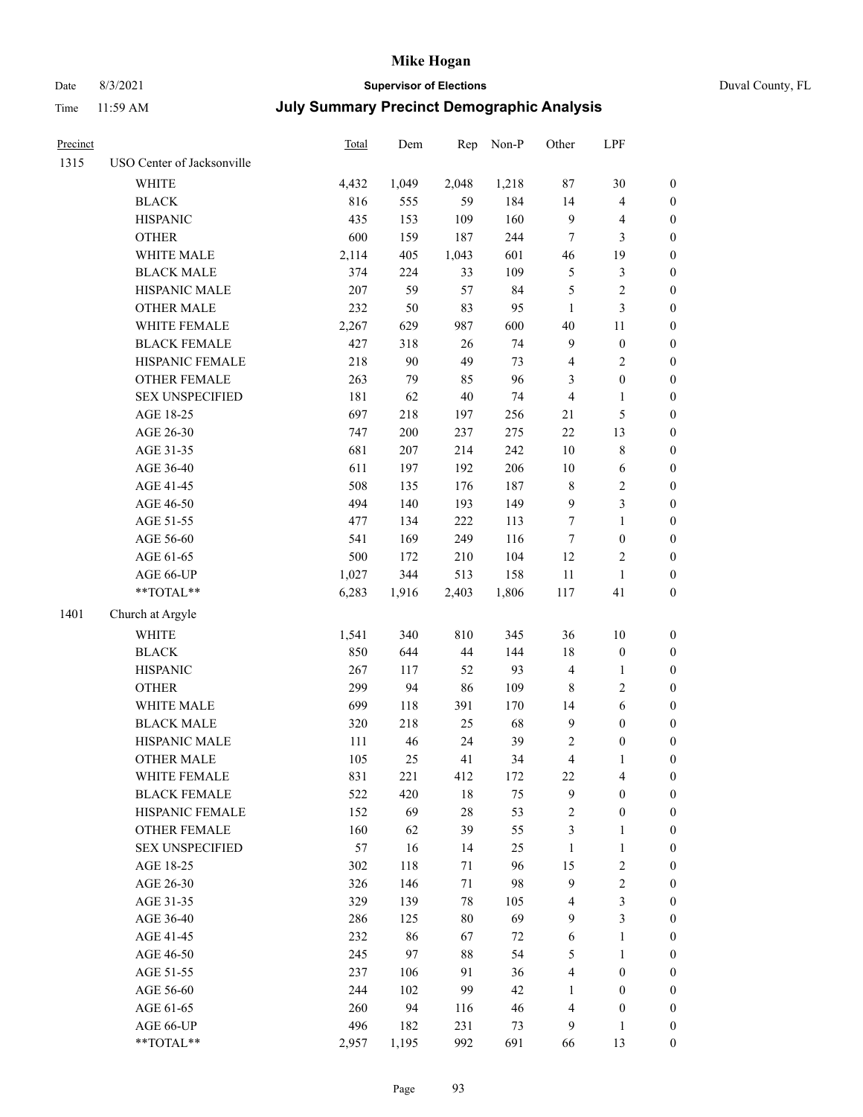# Date 8/3/2021 **Supervisor of Elections** Duval County, FL

| Precinct |                            | Total | Dem    | Rep    | Non-P | Other            | LPF              |                  |
|----------|----------------------------|-------|--------|--------|-------|------------------|------------------|------------------|
| 1315     | USO Center of Jacksonville |       |        |        |       |                  |                  |                  |
|          | <b>WHITE</b>               | 4,432 | 1,049  | 2,048  | 1,218 | $87\,$           | 30               | 0                |
|          | <b>BLACK</b>               | 816   | 555    | 59     | 184   | 14               | $\overline{4}$   | $\boldsymbol{0}$ |
|          | <b>HISPANIC</b>            | 435   | 153    | 109    | 160   | 9                | $\overline{4}$   | $\boldsymbol{0}$ |
|          | <b>OTHER</b>               | 600   | 159    | 187    | 244   | 7                | 3                | $\boldsymbol{0}$ |
|          | WHITE MALE                 | 2,114 | 405    | 1,043  | 601   | 46               | 19               | $\boldsymbol{0}$ |
|          | <b>BLACK MALE</b>          | 374   | 224    | 33     | 109   | 5                | $\mathfrak{Z}$   | $\boldsymbol{0}$ |
|          | HISPANIC MALE              | 207   | 59     | 57     | 84    | 5                | $\sqrt{2}$       | $\boldsymbol{0}$ |
|          | <b>OTHER MALE</b>          | 232   | 50     | 83     | 95    | $\mathbf{1}$     | 3                | $\boldsymbol{0}$ |
|          | WHITE FEMALE               | 2,267 | 629    | 987    | 600   | 40               | $11\,$           | $\boldsymbol{0}$ |
|          | <b>BLACK FEMALE</b>        | 427   | 318    | $26\,$ | 74    | 9                | $\boldsymbol{0}$ | 0                |
|          | HISPANIC FEMALE            | 218   | $90\,$ | 49     | 73    | 4                | $\sqrt{2}$       | 0                |
|          | OTHER FEMALE               | 263   | 79     | 85     | 96    | 3                | $\boldsymbol{0}$ | $\boldsymbol{0}$ |
|          | <b>SEX UNSPECIFIED</b>     | 181   | 62     | $40\,$ | 74    | 4                | $\mathbf{1}$     | $\boldsymbol{0}$ |
|          | AGE 18-25                  | 697   | 218    | 197    | 256   | 21               | $\mathfrak s$    | $\boldsymbol{0}$ |
|          | AGE 26-30                  | 747   | 200    | 237    | 275   | $22\,$           | 13               | $\boldsymbol{0}$ |
|          | AGE 31-35                  | 681   | 207    | 214    | 242   | $10\,$           | $\,$ $\,$        | $\boldsymbol{0}$ |
|          | AGE 36-40                  | 611   | 197    | 192    | 206   | 10               | 6                | $\boldsymbol{0}$ |
|          | AGE 41-45                  | 508   | 135    | 176    | 187   | $\,$ 8 $\,$      | $\sqrt{2}$       | $\boldsymbol{0}$ |
|          | AGE 46-50                  | 494   | 140    | 193    | 149   | $\boldsymbol{9}$ | $\mathfrak{Z}$   | $\boldsymbol{0}$ |
|          | AGE 51-55                  | 477   | 134    | 222    | 113   | 7                | $\mathbf{1}$     | $\boldsymbol{0}$ |
|          | AGE 56-60                  | 541   | 169    | 249    | 116   | 7                | $\boldsymbol{0}$ | 0                |
|          | AGE 61-65                  | 500   | 172    | 210    | 104   | 12               | $\overline{c}$   | 0                |
|          | AGE 66-UP                  | 1,027 | 344    | 513    | 158   | $11\,$           | $\mathbf{1}$     | $\boldsymbol{0}$ |
|          | $**TOTAL**$                | 6,283 | 1,916  | 2,403  | 1,806 | 117              | 41               | $\boldsymbol{0}$ |
|          |                            |       |        |        |       |                  |                  |                  |
| 1401     | Church at Argyle           |       |        |        |       |                  |                  |                  |
|          | <b>WHITE</b>               | 1,541 | 340    | 810    | 345   | 36               | $10\,$           | $\boldsymbol{0}$ |
|          | <b>BLACK</b>               | 850   | 644    | 44     | 144   | 18               | $\boldsymbol{0}$ | $\boldsymbol{0}$ |
|          | <b>HISPANIC</b>            | 267   | 117    | 52     | 93    | 4                | $\mathbf{1}$     | $\boldsymbol{0}$ |
|          | <b>OTHER</b>               | 299   | 94     | 86     | 109   | 8                | $\sqrt{2}$       | $\boldsymbol{0}$ |
|          | WHITE MALE                 | 699   | 118    | 391    | 170   | 14               | 6                | $\boldsymbol{0}$ |
|          | <b>BLACK MALE</b>          | 320   | 218    | 25     | 68    | $\mathbf{9}$     | $\boldsymbol{0}$ | $\boldsymbol{0}$ |
|          | HISPANIC MALE              | 111   | 46     | 24     | 39    | 2                | $\boldsymbol{0}$ | $\boldsymbol{0}$ |
|          | <b>OTHER MALE</b>          | 105   | 25     | 41     | 34    | $\overline{4}$   | $\mathbf{1}$     | $\boldsymbol{0}$ |
|          | WHITE FEMALE               | 831   | 221    | 412    | 172   | 22               | 4                | 0                |
|          | <b>BLACK FEMALE</b>        | 522   | 420    | 18     | 75    | 9                | $\boldsymbol{0}$ | $\overline{0}$   |
|          | HISPANIC FEMALE            | 152   | 69     | 28     | 53    | 2                | $\boldsymbol{0}$ | $\overline{0}$   |
|          | <b>OTHER FEMALE</b>        | 160   | 62     | 39     | 55    | 3                | $\mathbf{1}$     | $\overline{0}$   |
|          | <b>SEX UNSPECIFIED</b>     | 57    | 16     | 14     | 25    | $\mathbf{1}$     | $\mathbf{1}$     | 0                |
|          | AGE 18-25                  | 302   | 118    | 71     | 96    | 15               | $\sqrt{2}$       | 0                |
|          | AGE 26-30                  | 326   | 146    | 71     | 98    | 9                | $\sqrt{2}$       | 0                |
|          | AGE 31-35                  | 329   | 139    | 78     | 105   | 4                | 3                | 0                |
|          | AGE 36-40                  | 286   | 125    | $80\,$ | 69    | 9                | $\mathfrak{Z}$   | 0                |
|          | AGE 41-45                  | 232   | 86     | 67     | 72    | 6                | $\mathbf{1}$     | 0                |
|          | AGE 46-50                  | 245   | 97     | 88     | 54    | 5                | $\mathbf{1}$     | 0                |
|          | AGE 51-55                  | 237   | 106    | 91     | 36    | 4                | $\boldsymbol{0}$ | 0                |
|          | AGE 56-60                  | 244   | 102    | 99     | 42    | 1                | $\boldsymbol{0}$ | 0                |
|          | AGE 61-65                  | 260   | 94     | 116    | 46    | 4                | $\boldsymbol{0}$ | $\overline{0}$   |
|          | AGE 66-UP                  | 496   | 182    | 231    | 73    | 9                | $\mathbf{1}$     | 0                |
|          | $**TOTAL**$                | 2,957 | 1,195  | 992    | 691   | 66               | 13               | $\boldsymbol{0}$ |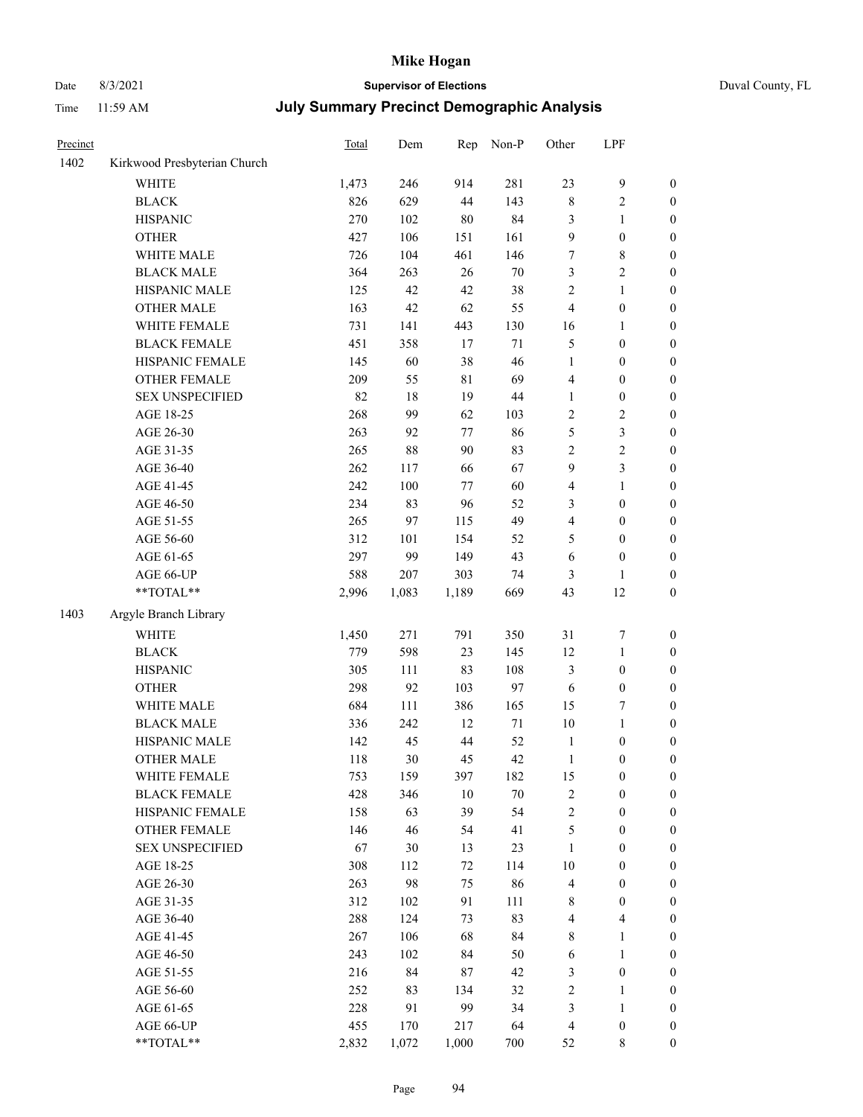# Date 8/3/2021 **Supervisor of Elections** Duval County, FL

| Precinct |                              | Total | Dem          | Rep    | Non-P  | Other          | LPF              |                                      |
|----------|------------------------------|-------|--------------|--------|--------|----------------|------------------|--------------------------------------|
| 1402     | Kirkwood Presbyterian Church |       |              |        |        |                |                  |                                      |
|          | <b>WHITE</b>                 | 1,473 | 246          | 914    | 281    | 23             | $\mathbf{9}$     | 0                                    |
|          | <b>BLACK</b>                 | 826   | 629          | 44     | 143    | $\,$ $\,$      | $\sqrt{2}$       | 0                                    |
|          | <b>HISPANIC</b>              | 270   | 102          | 80     | 84     | 3              | $\mathbf{1}$     | $\boldsymbol{0}$                     |
|          | <b>OTHER</b>                 | 427   | 106          | 151    | 161    | 9              | $\boldsymbol{0}$ | $\boldsymbol{0}$                     |
|          | WHITE MALE                   | 726   | 104          | 461    | 146    | 7              | $\,$ 8 $\,$      | $\boldsymbol{0}$                     |
|          | <b>BLACK MALE</b>            | 364   | 263          | 26     | $70\,$ | 3              | $\sqrt{2}$       | $\boldsymbol{0}$                     |
|          | HISPANIC MALE                | 125   | 42           | 42     | 38     | 2              | $\mathbf{1}$     | $\boldsymbol{0}$                     |
|          | <b>OTHER MALE</b>            | 163   | 42           | 62     | 55     | 4              | $\boldsymbol{0}$ | $\boldsymbol{0}$                     |
|          | WHITE FEMALE                 | 731   | 141          | 443    | 130    | 16             | 1                | $\boldsymbol{0}$                     |
|          | <b>BLACK FEMALE</b>          | 451   | 358          | 17     | $71\,$ | 5              | $\boldsymbol{0}$ | $\boldsymbol{0}$                     |
|          | HISPANIC FEMALE              | 145   | 60           | 38     | 46     | $\mathbf{1}$   | $\boldsymbol{0}$ | $\boldsymbol{0}$                     |
|          | OTHER FEMALE                 | 209   | 55           | 81     | 69     | 4              | $\boldsymbol{0}$ | $\boldsymbol{0}$                     |
|          | <b>SEX UNSPECIFIED</b>       | 82    | 18           | 19     | 44     | $\mathbf{1}$   | $\boldsymbol{0}$ | $\boldsymbol{0}$                     |
|          | AGE 18-25                    | 268   | 99           | 62     | 103    | $\overline{c}$ | $\sqrt{2}$       | $\boldsymbol{0}$                     |
|          | AGE 26-30                    | 263   | 92           | 77     | 86     | 5              | $\mathfrak{Z}$   | $\boldsymbol{0}$                     |
|          | AGE 31-35                    | 265   | 88           | 90     | 83     | $\overline{c}$ | $\sqrt{2}$       | $\boldsymbol{0}$                     |
|          | AGE 36-40                    | 262   | 117          | 66     | 67     | 9              | 3                | $\boldsymbol{0}$                     |
|          | AGE 41-45                    | 242   | 100          | $77\,$ | 60     | 4              | $\mathbf{1}$     | $\boldsymbol{0}$                     |
|          | AGE 46-50                    | 234   | 83           | 96     | 52     | 3              | $\boldsymbol{0}$ | $\boldsymbol{0}$                     |
|          | AGE 51-55                    | 265   | 97           | 115    | 49     | 4              | $\boldsymbol{0}$ | $\boldsymbol{0}$                     |
|          | AGE 56-60                    | 312   | 101          | 154    | 52     |                | $\boldsymbol{0}$ |                                      |
|          | AGE 61-65                    | 297   | 99           | 149    | 43     | 5<br>6         | $\boldsymbol{0}$ | 0<br>$\boldsymbol{0}$                |
|          |                              | 588   |              | 303    | 74     |                |                  |                                      |
|          | AGE 66-UP<br>$**TOTAL**$     | 2,996 | 207<br>1,083 | 1,189  | 669    | 3<br>43        | 1<br>12          | $\boldsymbol{0}$<br>$\boldsymbol{0}$ |
|          |                              |       |              |        |        |                |                  |                                      |
| 1403     | Argyle Branch Library        |       |              |        |        |                |                  |                                      |
|          | <b>WHITE</b>                 | 1,450 | 271          | 791    | 350    | 31             | $\boldsymbol{7}$ | $\boldsymbol{0}$                     |
|          | <b>BLACK</b>                 | 779   | 598          | 23     | 145    | 12             | $\mathbf{1}$     | $\boldsymbol{0}$                     |
|          | <b>HISPANIC</b>              | 305   | 111          | 83     | 108    | 3              | $\boldsymbol{0}$ | $\boldsymbol{0}$                     |
|          | <b>OTHER</b>                 | 298   | 92           | 103    | 97     | 6              | $\boldsymbol{0}$ | $\boldsymbol{0}$                     |
|          | WHITE MALE                   | 684   | 111          | 386    | 165    | 15             | $\boldsymbol{7}$ | $\boldsymbol{0}$                     |
|          | <b>BLACK MALE</b>            | 336   | 242          | 12     | $71\,$ | 10             | $\mathbf{1}$     | $\boldsymbol{0}$                     |
|          | HISPANIC MALE                | 142   | 45           | 44     | 52     | $\mathbf{1}$   | $\boldsymbol{0}$ | 0                                    |
|          | <b>OTHER MALE</b>            | 118   | 30           | 45     | 42     | $\mathbf{1}$   | $\boldsymbol{0}$ | $\boldsymbol{0}$                     |
|          | WHITE FEMALE                 | 753   | 159          | 397    | 182    | 15             | 0                | 0                                    |
|          | <b>BLACK FEMALE</b>          | 428   | 346          | 10     | 70     | 2              | $\boldsymbol{0}$ | $\overline{0}$                       |
|          | HISPANIC FEMALE              | 158   | 63           | 39     | 54     | $\overline{c}$ | $\boldsymbol{0}$ | $\overline{0}$                       |
|          | OTHER FEMALE                 | 146   | 46           | 54     | 41     | 5              | $\boldsymbol{0}$ | $\overline{0}$                       |
|          | <b>SEX UNSPECIFIED</b>       | 67    | 30           | 13     | 23     | $\mathbf{1}$   | $\boldsymbol{0}$ | 0                                    |
|          | AGE 18-25                    | 308   | 112          | 72     | 114    | 10             | $\boldsymbol{0}$ | $\theta$                             |
|          | AGE 26-30                    | 263   | 98           | 75     | 86     | 4              | $\boldsymbol{0}$ | 0                                    |
|          | AGE 31-35                    | 312   | 102          | 91     | 111    | 8              | $\boldsymbol{0}$ | 0                                    |
|          | AGE 36-40                    | 288   | 124          | 73     | 83     | 4              | $\overline{4}$   | 0                                    |
|          | AGE 41-45                    | 267   | 106          | 68     | 84     | 8              | $\mathbf{1}$     | 0                                    |
|          | AGE 46-50                    | 243   | 102          | 84     | 50     | 6              | $\mathbf{1}$     | 0                                    |
|          | AGE 51-55                    | 216   | 84           | 87     | 42     | 3              | $\boldsymbol{0}$ | 0                                    |
|          | AGE 56-60                    | 252   | 83           | 134    | 32     | $\overline{c}$ | 1                | 0                                    |
|          | AGE 61-65                    | 228   | 91           | 99     | 34     | 3              | $\mathbf{1}$     | 0                                    |
|          | AGE 66-UP                    | 455   | 170          | 217    | 64     | 4              | $\boldsymbol{0}$ | 0                                    |
|          | **TOTAL**                    | 2,832 | 1,072        | 1,000  | 700    | 52             | 8                | $\boldsymbol{0}$                     |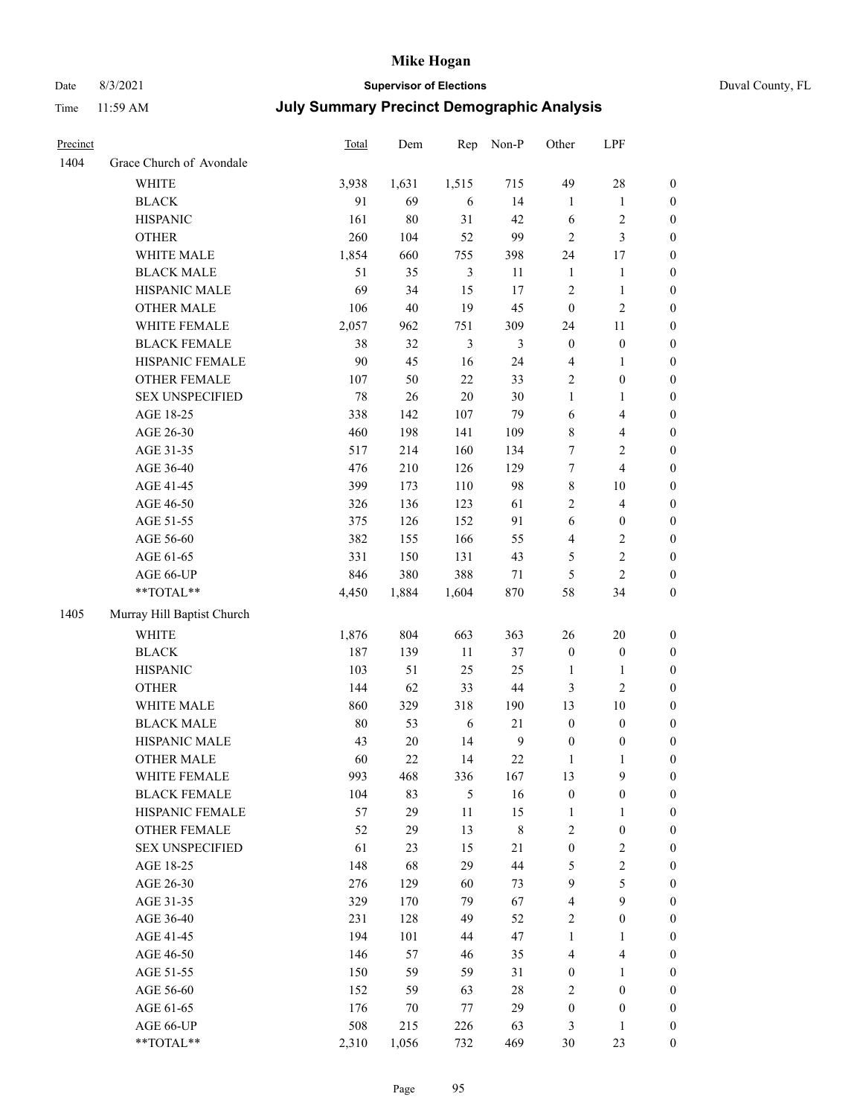# Date 8/3/2021 **Supervisor of Elections** Duval County, FL

| Precinct |                            | Total | Dem    | Rep            | Non-P          | Other            | LPF                     |                  |
|----------|----------------------------|-------|--------|----------------|----------------|------------------|-------------------------|------------------|
| 1404     | Grace Church of Avondale   |       |        |                |                |                  |                         |                  |
|          | <b>WHITE</b>               | 3,938 | 1,631  | 1,515          | 715            | 49               | $28\,$                  | $\boldsymbol{0}$ |
|          | <b>BLACK</b>               | 91    | 69     | $\sqrt{6}$     | 14             | $\mathbf{1}$     | $\mathbf{1}$            | $\boldsymbol{0}$ |
|          | <b>HISPANIC</b>            | 161   | 80     | 31             | 42             | 6                | $\sqrt{2}$              | $\boldsymbol{0}$ |
|          | <b>OTHER</b>               | 260   | 104    | 52             | 99             | $\overline{c}$   | 3                       | $\boldsymbol{0}$ |
|          | WHITE MALE                 | 1,854 | 660    | 755            | 398            | 24               | 17                      | $\boldsymbol{0}$ |
|          | <b>BLACK MALE</b>          | 51    | 35     | $\mathfrak{Z}$ | 11             | $\mathbf{1}$     | $\mathbf{1}$            | $\boldsymbol{0}$ |
|          | HISPANIC MALE              | 69    | 34     | 15             | 17             | $\overline{c}$   | $\mathbf{1}$            | $\boldsymbol{0}$ |
|          | <b>OTHER MALE</b>          | 106   | 40     | 19             | 45             | $\boldsymbol{0}$ | $\sqrt{2}$              | 0                |
|          | WHITE FEMALE               | 2,057 | 962    | 751            | 309            | 24               | 11                      | 0                |
|          | <b>BLACK FEMALE</b>        | 38    | 32     | $\mathfrak{Z}$ | 3              | $\boldsymbol{0}$ | $\boldsymbol{0}$        | $\boldsymbol{0}$ |
|          | HISPANIC FEMALE            | 90    | 45     | 16             | 24             | $\overline{4}$   | $\mathbf{1}$            | $\boldsymbol{0}$ |
|          | OTHER FEMALE               | 107   | 50     | $22\,$         | 33             | $\sqrt{2}$       | $\boldsymbol{0}$        | $\boldsymbol{0}$ |
|          | <b>SEX UNSPECIFIED</b>     | 78    | 26     | $20\,$         | 30             | $\mathbf{1}$     | $\mathbf{1}$            | $\boldsymbol{0}$ |
|          | AGE 18-25                  | 338   | 142    | 107            | 79             | 6                | $\overline{\mathbf{4}}$ | $\boldsymbol{0}$ |
|          | AGE 26-30                  | 460   | 198    | 141            | 109            | 8                | $\overline{\mathbf{4}}$ | $\boldsymbol{0}$ |
|          | AGE 31-35                  | 517   | 214    | 160            | 134            | 7                | $\overline{2}$          | $\boldsymbol{0}$ |
|          | AGE 36-40                  | 476   | 210    | 126            | 129            | 7                | $\overline{4}$          | $\boldsymbol{0}$ |
|          | AGE 41-45                  | 399   | 173    | 110            | 98             | 8                | $10\,$                  | $\boldsymbol{0}$ |
|          | AGE 46-50                  | 326   | 136    | 123            | 61             | $\mathbf{2}$     | $\overline{4}$          | 0                |
|          | AGE 51-55                  | 375   | 126    | 152            | 91             | $\sqrt{6}$       | $\boldsymbol{0}$        | 0                |
|          | AGE 56-60                  | 382   | 155    | 166            | 55             | 4                | $\overline{c}$          | $\boldsymbol{0}$ |
|          | AGE 61-65                  | 331   | 150    | 131            | 43             | 5                | $\sqrt{2}$              | $\boldsymbol{0}$ |
|          | AGE 66-UP                  | 846   | 380    | 388            | 71             | 5                | $\mathbf{2}$            | $\boldsymbol{0}$ |
|          | $**TOTAL**$                | 4,450 | 1,884  | 1,604          | 870            | 58               | 34                      | $\boldsymbol{0}$ |
| 1405     | Murray Hill Baptist Church |       |        |                |                |                  |                         |                  |
|          | <b>WHITE</b>               | 1,876 | 804    | 663            | 363            | 26               | $20\,$                  | $\boldsymbol{0}$ |
|          | <b>BLACK</b>               | 187   | 139    | 11             | 37             | $\boldsymbol{0}$ | $\boldsymbol{0}$        | $\boldsymbol{0}$ |
|          | <b>HISPANIC</b>            | 103   | 51     | 25             | 25             | $\mathbf{1}$     | $\mathbf{1}$            | $\boldsymbol{0}$ |
|          | <b>OTHER</b>               | 144   | 62     | 33             | $44\,$         | 3                | $\mathbf{2}$            | $\boldsymbol{0}$ |
|          | WHITE MALE                 | 860   | 329    | 318            | 190            | 13               | $10\,$                  | $\boldsymbol{0}$ |
|          | <b>BLACK MALE</b>          | 80    | 53     | 6              | 21             | $\boldsymbol{0}$ | $\boldsymbol{0}$        | 0                |
|          | HISPANIC MALE              | 43    | $20\,$ | 14             | $\overline{9}$ | $\boldsymbol{0}$ | $\boldsymbol{0}$        | 0                |
|          | <b>OTHER MALE</b>          | 60    | 22     | 14             | 22             | $\mathbf{1}$     | $\mathbf{1}$            | $\boldsymbol{0}$ |
|          | WHITE FEMALE               | 993   | 468    | 336            | 167            | 13               | 9                       | $\boldsymbol{0}$ |
|          | <b>BLACK FEMALE</b>        | 104   | 83     | $\mathfrak{S}$ | 16             | $\boldsymbol{0}$ | $\boldsymbol{0}$        | $\boldsymbol{0}$ |
|          | HISPANIC FEMALE            | 57    | 29     | $11\,$         | 15             | $\mathbf{1}$     | $\mathbf{1}$            | $\overline{0}$   |
|          | <b>OTHER FEMALE</b>        | 52    | 29     | 13             | $\,$ $\,$      | $\sqrt{2}$       | $\boldsymbol{0}$        | $\overline{0}$   |
|          | <b>SEX UNSPECIFIED</b>     | 61    | 23     | 15             | 21             | $\boldsymbol{0}$ | $\sqrt{2}$              | 0                |
|          | AGE 18-25                  | 148   | 68     | 29             | 44             | 5                | $\sqrt{2}$              | 0                |
|          | AGE 26-30                  | 276   | 129    | 60             | 73             | $\mathbf{9}$     | 5                       | 0                |
|          | AGE 31-35                  | 329   | 170    | 79             | 67             | $\overline{4}$   | 9                       | 0                |
|          | AGE 36-40                  | 231   | 128    | 49             | 52             | $\overline{c}$   | $\boldsymbol{0}$        | 0                |
|          | AGE 41-45                  | 194   | 101    | 44             | 47             | $\mathbf{1}$     | $\mathbf{1}$            | $\boldsymbol{0}$ |
|          | AGE 46-50                  | 146   | 57     | 46             | 35             | 4                | $\overline{\mathbf{4}}$ | $\boldsymbol{0}$ |
|          | AGE 51-55                  | 150   | 59     | 59             | 31             | $\boldsymbol{0}$ | $\mathbf{1}$            | $\boldsymbol{0}$ |
|          | AGE 56-60                  | 152   | 59     | 63             | 28             | $\overline{c}$   | $\boldsymbol{0}$        | $\boldsymbol{0}$ |
|          | AGE 61-65                  | 176   | 70     | 77             | 29             | $\boldsymbol{0}$ | $\boldsymbol{0}$        | $\boldsymbol{0}$ |
|          | AGE 66-UP                  | 508   | 215    | 226            | 63             | 3                | $\mathbf{1}$            | $\boldsymbol{0}$ |
|          | **TOTAL**                  | 2,310 | 1,056  | 732            | 469            | 30               | 23                      | $\overline{0}$   |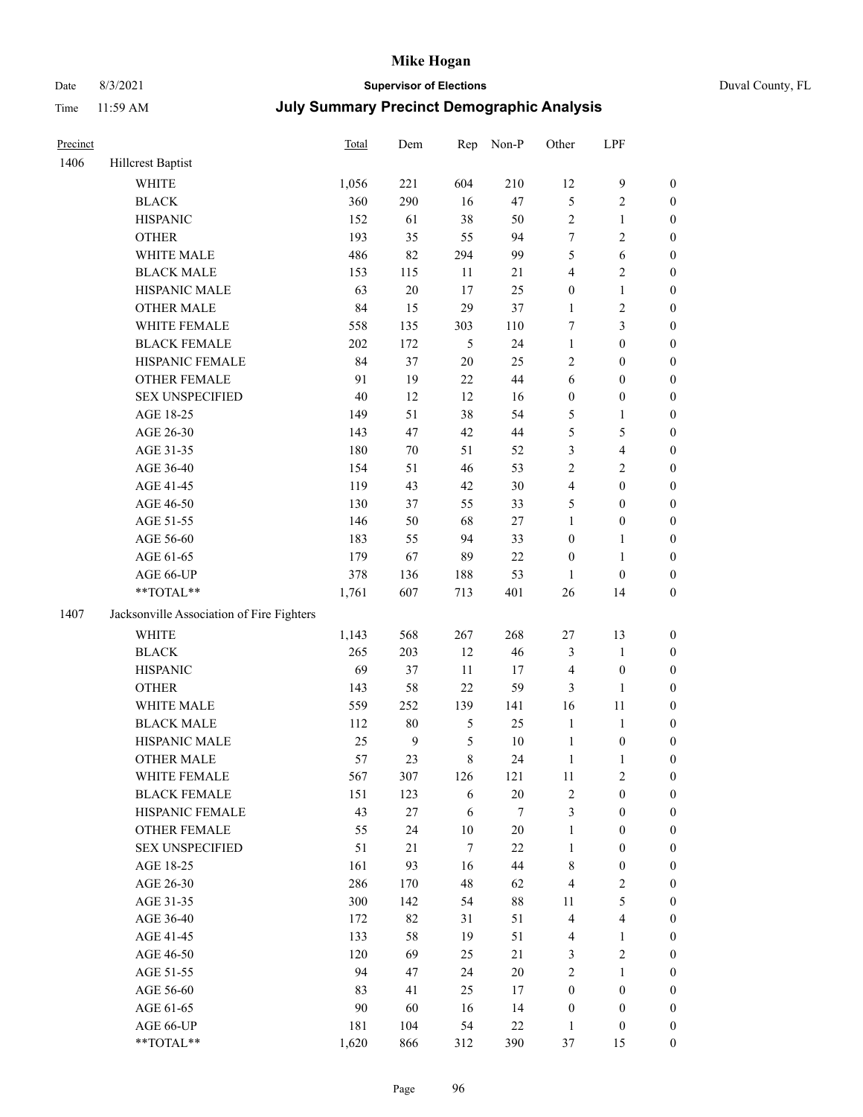# Date 8/3/2021 **Supervisor of Elections** Duval County, FL

| Precinct |                                                           | Total | Dem              | Rep           | Non-P  | Other            | LPF              |                  |
|----------|-----------------------------------------------------------|-------|------------------|---------------|--------|------------------|------------------|------------------|
| 1406     | <b>Hillcrest Baptist</b>                                  |       |                  |               |        |                  |                  |                  |
|          | <b>WHITE</b>                                              | 1,056 | 221              | 604           | 210    | 12               | $\boldsymbol{9}$ | 0                |
|          | <b>BLACK</b>                                              | 360   | 290              | 16            | 47     | 5                | $\sqrt{2}$       | $\boldsymbol{0}$ |
|          | <b>HISPANIC</b>                                           | 152   | 61               | 38            | 50     | 2                | $\mathbf{1}$     | $\boldsymbol{0}$ |
|          | <b>OTHER</b>                                              | 193   | 35               | 55            | 94     | 7                | $\sqrt{2}$       | $\boldsymbol{0}$ |
|          | WHITE MALE                                                | 486   | 82               | 294           | 99     | 5                | 6                | $\boldsymbol{0}$ |
|          | <b>BLACK MALE</b>                                         | 153   | 115              | 11            | $21\,$ | 4                | $\sqrt{2}$       | $\boldsymbol{0}$ |
|          | HISPANIC MALE                                             | 63    | 20               | 17            | 25     | 0                | $\mathbf{1}$     | $\boldsymbol{0}$ |
|          | <b>OTHER MALE</b>                                         | 84    | 15               | 29            | 37     | $\mathbf{1}$     | $\sqrt{2}$       | $\boldsymbol{0}$ |
|          | WHITE FEMALE                                              | 558   | 135              | 303           | 110    | 7                | 3                | $\boldsymbol{0}$ |
|          | <b>BLACK FEMALE</b>                                       | 202   | 172              | $\mathfrak s$ | 24     | $\mathbf{1}$     | $\boldsymbol{0}$ | $\boldsymbol{0}$ |
|          | HISPANIC FEMALE                                           | 84    | 37               | $20\,$        | 25     | $\mathbf{2}$     | $\boldsymbol{0}$ | $\boldsymbol{0}$ |
|          | OTHER FEMALE                                              | 91    | 19               | 22            | 44     | 6                | $\boldsymbol{0}$ | $\boldsymbol{0}$ |
|          | <b>SEX UNSPECIFIED</b>                                    | 40    | 12               | 12            | 16     | $\boldsymbol{0}$ | $\boldsymbol{0}$ | $\boldsymbol{0}$ |
|          | AGE 18-25                                                 | 149   | 51               | 38            | 54     | 5                | $\mathbf{1}$     | $\boldsymbol{0}$ |
|          | AGE 26-30                                                 | 143   | 47               | 42            | 44     | 5                | $\mathfrak s$    | $\boldsymbol{0}$ |
|          | AGE 31-35                                                 | 180   | 70               | 51            | 52     | 3                | $\overline{4}$   | $\boldsymbol{0}$ |
|          | AGE 36-40                                                 | 154   | 51               | 46            | 53     | $\overline{c}$   | $\sqrt{2}$       | $\boldsymbol{0}$ |
|          | AGE 41-45                                                 | 119   | 43               | 42            | $30\,$ | 4                | $\boldsymbol{0}$ | $\boldsymbol{0}$ |
|          | AGE 46-50                                                 | 130   | 37               | 55            | 33     | 5                | $\boldsymbol{0}$ | $\boldsymbol{0}$ |
|          | AGE 51-55                                                 | 146   | 50               | 68            | $27\,$ | 1                | $\boldsymbol{0}$ | $\boldsymbol{0}$ |
|          | AGE 56-60                                                 | 183   | 55               | 94            | 33     | $\boldsymbol{0}$ | 1                | 0                |
|          | AGE 61-65                                                 | 179   | 67               | 89            | $22\,$ | $\boldsymbol{0}$ | $\mathbf{1}$     | $\boldsymbol{0}$ |
|          | AGE 66-UP                                                 | 378   | 136              | 188           | 53     | 1                | $\boldsymbol{0}$ | $\boldsymbol{0}$ |
|          | $\mathrm{*}\mathrm{*}\mathrm{TOTAL} \mathrm{*}\mathrm{*}$ | 1,761 | 607              | 713           | 401    | 26               | 14               | $\boldsymbol{0}$ |
| 1407     | Jacksonville Association of Fire Fighters                 |       |                  |               |        |                  |                  |                  |
|          | WHITE                                                     | 1,143 | 568              | 267           | 268    | $27\,$           | 13               | $\boldsymbol{0}$ |
|          | <b>BLACK</b>                                              | 265   | 203              | 12            | 46     | 3                | $\mathbf{1}$     | $\boldsymbol{0}$ |
|          | <b>HISPANIC</b>                                           | 69    | 37               | $11\,$        | 17     | 4                | $\boldsymbol{0}$ | $\boldsymbol{0}$ |
|          | <b>OTHER</b>                                              | 143   | 58               | 22            | 59     | 3                | $\mathbf{1}$     | $\boldsymbol{0}$ |
|          | WHITE MALE                                                | 559   | 252              | 139           | 141    | 16               | 11               | $\boldsymbol{0}$ |
|          | <b>BLACK MALE</b>                                         | 112   | 80               | 5             | 25     | $\mathbf{1}$     | $\mathbf{1}$     | $\boldsymbol{0}$ |
|          | HISPANIC MALE                                             | 25    | $\boldsymbol{9}$ | 5             | $10\,$ | $\mathbf{1}$     | $\boldsymbol{0}$ | 0                |
|          | <b>OTHER MALE</b>                                         | 57    | 23               | 8             | 24     | $\mathbf{1}$     | $\mathbf{1}$     | $\boldsymbol{0}$ |
|          | WHITE FEMALE                                              | 567   | 307              | 126           | 121    | 11               | $\overline{c}$   | 0                |
|          | <b>BLACK FEMALE</b>                                       | 151   | 123              | 6             | 20     | 2                | $\boldsymbol{0}$ | $\overline{0}$   |
|          | HISPANIC FEMALE                                           | 43    | $27\,$           | 6             | 7      | 3                | $\boldsymbol{0}$ | $\overline{0}$   |
|          | OTHER FEMALE                                              | 55    | 24               | $10\,$        | 20     | 1                | $\boldsymbol{0}$ | $\overline{0}$   |
|          | <b>SEX UNSPECIFIED</b>                                    | 51    | 21               | 7             | $22\,$ | $\mathbf{1}$     | $\boldsymbol{0}$ | 0                |
|          | AGE 18-25                                                 | 161   | 93               | 16            | 44     | 8                | $\boldsymbol{0}$ | 0                |
|          | AGE 26-30                                                 | 286   | 170              | 48            | 62     | 4                | $\sqrt{2}$       | 0                |
|          | AGE 31-35                                                 | 300   | 142              | 54            | $88\,$ | 11               | 5                | 0                |
|          | AGE 36-40                                                 | 172   | 82               | 31            | 51     | 4                | $\overline{4}$   | 0                |
|          | AGE 41-45                                                 | 133   | 58               | 19            | 51     | 4                | $\mathbf{1}$     | 0                |
|          | AGE 46-50                                                 | 120   | 69               | 25            | 21     | 3                | $\sqrt{2}$       | 0                |
|          | AGE 51-55                                                 | 94    | 47               | 24            | $20\,$ | $\overline{c}$   | $\mathbf{1}$     | 0                |
|          | AGE 56-60                                                 | 83    | 41               | 25            | 17     | $\boldsymbol{0}$ | $\boldsymbol{0}$ | 0                |
|          | AGE 61-65                                                 | 90    | 60               | 16            | 14     | $\boldsymbol{0}$ | $\boldsymbol{0}$ | 0                |
|          | AGE 66-UP                                                 | 181   | 104              | 54            | 22     | $\mathbf{1}$     | $\boldsymbol{0}$ | 0                |
|          | **TOTAL**                                                 | 1,620 | 866              | 312           | 390    | 37               | 15               | $\boldsymbol{0}$ |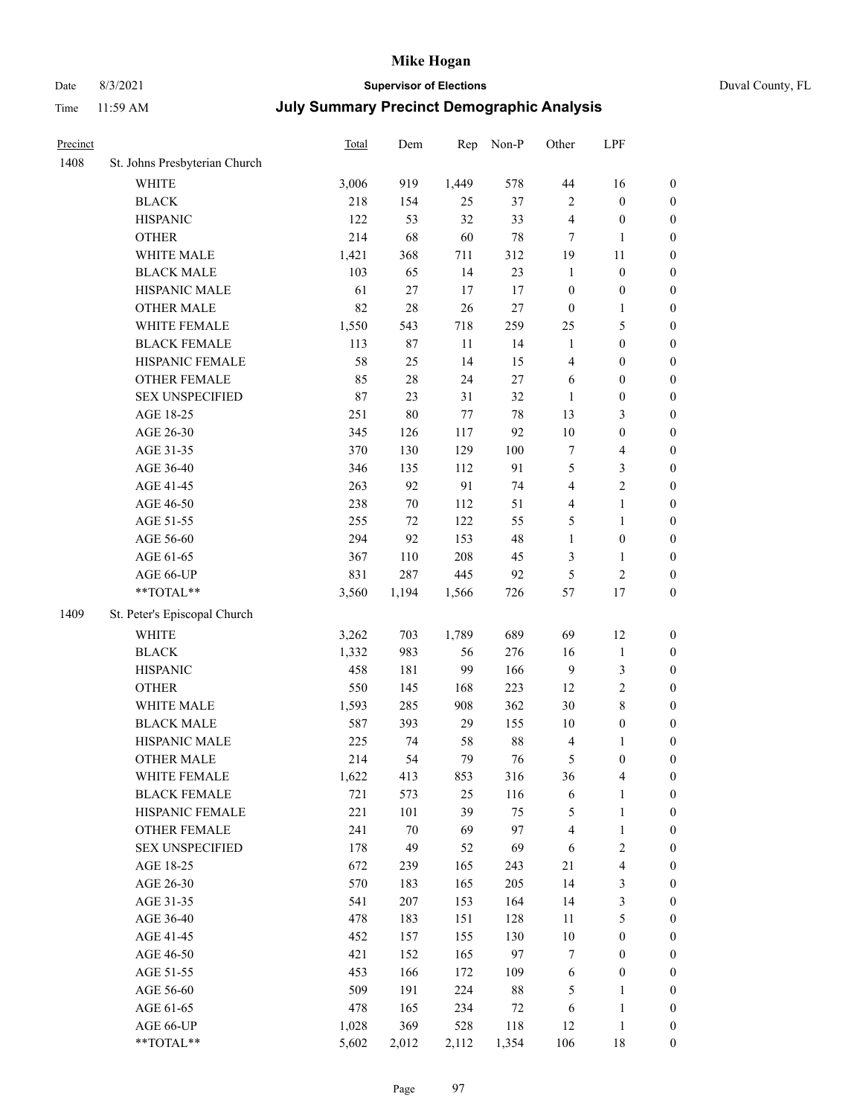## Date 8/3/2021 **Supervisor of Elections** Duval County, FL

| Precinct |                               | Total | Dem    | Rep     | Non-P  | Other            | LPF              |                  |
|----------|-------------------------------|-------|--------|---------|--------|------------------|------------------|------------------|
| 1408     | St. Johns Presbyterian Church |       |        |         |        |                  |                  |                  |
|          | <b>WHITE</b>                  | 3,006 | 919    | 1,449   | 578    | 44               | 16               | $\boldsymbol{0}$ |
|          | <b>BLACK</b>                  | 218   | 154    | 25      | 37     | $\mathbf{2}$     | $\boldsymbol{0}$ | $\boldsymbol{0}$ |
|          | <b>HISPANIC</b>               | 122   | 53     | 32      | 33     | 4                | $\boldsymbol{0}$ | $\boldsymbol{0}$ |
|          | <b>OTHER</b>                  | 214   | 68     | 60      | 78     | 7                | $\mathbf{1}$     | $\boldsymbol{0}$ |
|          | WHITE MALE                    | 1,421 | 368    | 711     | 312    | 19               | 11               | $\boldsymbol{0}$ |
|          | <b>BLACK MALE</b>             | 103   | 65     | 14      | 23     | $\mathbf{1}$     | $\boldsymbol{0}$ | $\boldsymbol{0}$ |
|          | HISPANIC MALE                 | 61    | $27\,$ | 17      | 17     | $\boldsymbol{0}$ | $\boldsymbol{0}$ | $\boldsymbol{0}$ |
|          | <b>OTHER MALE</b>             | 82    | 28     | 26      | $27\,$ | $\boldsymbol{0}$ | 1                | $\boldsymbol{0}$ |
|          | WHITE FEMALE                  | 1,550 | 543    | 718     | 259    | 25               | $\mathfrak s$    | $\boldsymbol{0}$ |
|          | <b>BLACK FEMALE</b>           | 113   | 87     | 11      | 14     | $\mathbf{1}$     | $\boldsymbol{0}$ | 0                |
|          | HISPANIC FEMALE               | 58    | 25     | 14      | 15     | 4                | $\boldsymbol{0}$ | $\boldsymbol{0}$ |
|          | OTHER FEMALE                  | 85    | 28     | 24      | $27\,$ | 6                | $\boldsymbol{0}$ | $\boldsymbol{0}$ |
|          | <b>SEX UNSPECIFIED</b>        | 87    | 23     | 31      | 32     | $\mathbf{1}$     | $\boldsymbol{0}$ | $\boldsymbol{0}$ |
|          | AGE 18-25                     | 251   | 80     | $77 \,$ | 78     | 13               | $\mathfrak{Z}$   | $\boldsymbol{0}$ |
|          | AGE 26-30                     | 345   | 126    | 117     | 92     | 10               | $\boldsymbol{0}$ | $\boldsymbol{0}$ |
|          | AGE 31-35                     | 370   | 130    | 129     | 100    | $\boldsymbol{7}$ | $\overline{4}$   | $\boldsymbol{0}$ |
|          | AGE 36-40                     | 346   | 135    | 112     | 91     | 5                | $\mathfrak{Z}$   | $\boldsymbol{0}$ |
|          | AGE 41-45                     | 263   | 92     | 91      | 74     | 4                | $\sqrt{2}$       | $\boldsymbol{0}$ |
|          | AGE 46-50                     | 238   | 70     | 112     | 51     | 4                | $\mathbf{1}$     | $\boldsymbol{0}$ |
|          | AGE 51-55                     | 255   | 72     | 122     | 55     | 5                | $\mathbf{1}$     | 0                |
|          | AGE 56-60                     | 294   | 92     | 153     | 48     | $\mathbf{1}$     | $\boldsymbol{0}$ | $\boldsymbol{0}$ |
|          | AGE 61-65                     | 367   | 110    | 208     | 45     | 3                | $\mathbf{1}$     | $\boldsymbol{0}$ |
|          | AGE 66-UP                     | 831   | 287    | 445     | 92     | 5                | $\sqrt{2}$       | $\boldsymbol{0}$ |
|          | $**TOTAL**$                   | 3,560 | 1,194  | 1,566   | 726    | 57               | 17               | $\boldsymbol{0}$ |
| 1409     | St. Peter's Episcopal Church  |       |        |         |        |                  |                  |                  |
|          | WHITE                         | 3,262 | 703    | 1,789   | 689    | 69               | 12               | $\boldsymbol{0}$ |
|          | <b>BLACK</b>                  | 1,332 | 983    | 56      | 276    | 16               | $\mathbf{1}$     | $\boldsymbol{0}$ |
|          | <b>HISPANIC</b>               | 458   | 181    | 99      | 166    | 9                | 3                | $\boldsymbol{0}$ |
|          | <b>OTHER</b>                  | 550   | 145    | 168     | 223    | 12               | $\sqrt{2}$       | $\boldsymbol{0}$ |
|          | WHITE MALE                    | 1,593 | 285    | 908     | 362    | 30               | $\,$ $\,$        | $\boldsymbol{0}$ |
|          | <b>BLACK MALE</b>             | 587   | 393    | 29      | 155    | $10\,$           | $\boldsymbol{0}$ | $\boldsymbol{0}$ |
|          | HISPANIC MALE                 | 225   | 74     | 58      | 88     | 4                | 1                | 0                |
|          | <b>OTHER MALE</b>             | 214   | 54     | 79      | 76     | 5                | $\boldsymbol{0}$ | $\boldsymbol{0}$ |
|          | WHITE FEMALE                  | 1,622 | 413    | 853     | 316    | 36               | $\overline{4}$   | $\boldsymbol{0}$ |
|          | <b>BLACK FEMALE</b>           | 721   | 573    | 25      | 116    | 6                | $\mathbf{1}$     | $\boldsymbol{0}$ |
|          | HISPANIC FEMALE               | 221   | 101    | 39      | 75     | 5                | $\mathbf{1}$     | $\boldsymbol{0}$ |
|          | <b>OTHER FEMALE</b>           | 241   | $70\,$ | 69      | 97     | 4                | $\mathbf{1}$     | 0                |
|          | <b>SEX UNSPECIFIED</b>        | 178   | 49     | 52      | 69     | 6                | $\sqrt{2}$       | 0                |
|          | AGE 18-25                     | 672   | 239    | 165     | 243    | 21               | $\overline{4}$   | 0                |
|          | AGE 26-30                     | 570   | 183    | 165     | 205    | 14               | $\sqrt{3}$       | 0                |
|          | AGE 31-35                     | 541   | 207    | 153     | 164    | 14               | $\sqrt{3}$       | 0                |
|          | AGE 36-40                     | 478   | 183    | 151     | 128    | 11               | $\mathfrak s$    | 0                |
|          | AGE 41-45                     | 452   | 157    | 155     | 130    | $10\,$           | $\boldsymbol{0}$ | 0                |
|          | AGE 46-50                     | 421   | 152    | 165     | 97     | 7                | $\boldsymbol{0}$ | 0                |
|          | AGE 51-55                     | 453   | 166    | 172     | 109    | 6                | $\boldsymbol{0}$ | $\boldsymbol{0}$ |
|          | AGE 56-60                     | 509   | 191    | 224     | 88     | 5                | $\mathbf{1}$     | $\boldsymbol{0}$ |
|          | AGE 61-65                     | 478   | 165    | 234     | 72     | 6                | $\mathbf{1}$     | 0                |
|          | AGE 66-UP                     | 1,028 | 369    | 528     | 118    | 12               | $\mathbf{1}$     | 0                |
|          | **TOTAL**                     | 5,602 | 2,012  | 2,112   | 1,354  | 106              | 18               | $\overline{0}$   |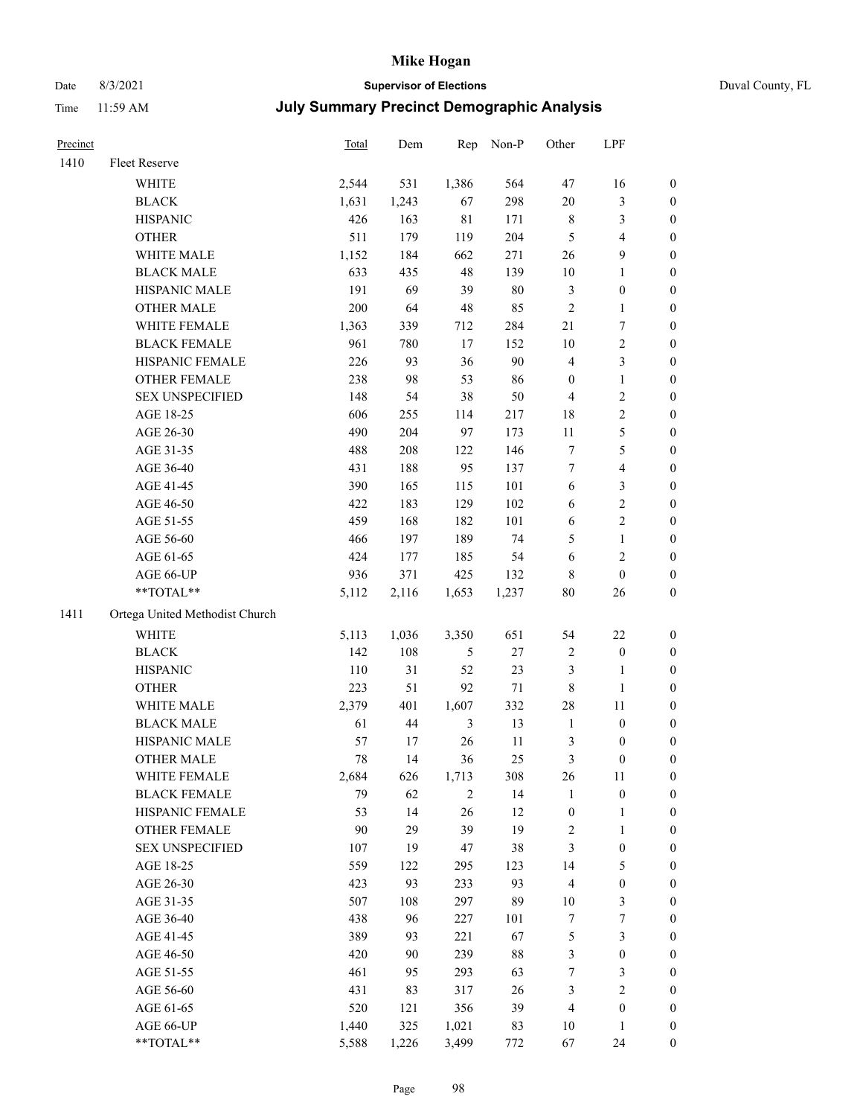## Date 8/3/2021 **Supervisor of Elections** Duval County, FL

| Precinct |                                | <b>Total</b> | Dem    | Rep            | Non-P  | Other                   | LPF              |                  |
|----------|--------------------------------|--------------|--------|----------------|--------|-------------------------|------------------|------------------|
| 1410     | <b>Fleet Reserve</b>           |              |        |                |        |                         |                  |                  |
|          | WHITE                          | 2,544        | 531    | 1,386          | 564    | 47                      | 16               | $\boldsymbol{0}$ |
|          | <b>BLACK</b>                   | 1,631        | 1,243  | 67             | 298    | $20\,$                  | $\mathfrak{Z}$   | 0                |
|          | <b>HISPANIC</b>                | 426          | 163    | $8\sqrt{1}$    | 171    | 8                       | $\mathfrak{Z}$   | $\boldsymbol{0}$ |
|          | <b>OTHER</b>                   | 511          | 179    | 119            | 204    | 5                       | $\overline{4}$   | $\boldsymbol{0}$ |
|          | WHITE MALE                     | 1,152        | 184    | 662            | 271    | 26                      | $\boldsymbol{9}$ | $\boldsymbol{0}$ |
|          | <b>BLACK MALE</b>              | 633          | 435    | 48             | 139    | $10\,$                  | $\mathbf{1}$     | $\boldsymbol{0}$ |
|          | HISPANIC MALE                  | 191          | 69     | 39             | $80\,$ | 3                       | $\boldsymbol{0}$ | $\boldsymbol{0}$ |
|          | <b>OTHER MALE</b>              | 200          | 64     | 48             | 85     | $\overline{c}$          | $\mathbf{1}$     | $\boldsymbol{0}$ |
|          | WHITE FEMALE                   | 1,363        | 339    | 712            | 284    | 21                      | $\overline{7}$   | $\boldsymbol{0}$ |
|          | <b>BLACK FEMALE</b>            | 961          | 780    | 17             | 152    | $10\,$                  | $\sqrt{2}$       | 0                |
|          | HISPANIC FEMALE                | 226          | 93     | 36             | 90     | 4                       | $\mathfrak{Z}$   | 0                |
|          | OTHER FEMALE                   | 238          | 98     | 53             | 86     | $\boldsymbol{0}$        | $\mathbf{1}$     | 0                |
|          | <b>SEX UNSPECIFIED</b>         | 148          | 54     | 38             | 50     | $\overline{4}$          | $\sqrt{2}$       | $\boldsymbol{0}$ |
|          | AGE 18-25                      | 606          | 255    | 114            | 217    | 18                      | $\sqrt{2}$       | $\boldsymbol{0}$ |
|          | AGE 26-30                      | 490          | 204    | 97             | 173    | $11\,$                  | 5                | $\boldsymbol{0}$ |
|          | AGE 31-35                      | 488          | 208    | 122            | 146    | $\boldsymbol{7}$        | $\mathfrak s$    | $\boldsymbol{0}$ |
|          | AGE 36-40                      | 431          | 188    | 95             | 137    | 7                       | $\overline{4}$   | $\boldsymbol{0}$ |
|          | AGE 41-45                      | 390          | 165    | 115            | 101    | 6                       | $\mathfrak{Z}$   | $\boldsymbol{0}$ |
|          | AGE 46-50                      | 422          | 183    | 129            | 102    | 6                       | $\sqrt{2}$       | 0                |
|          | AGE 51-55                      | 459          | 168    | 182            | 101    | 6                       | $\sqrt{2}$       | 0                |
|          | AGE 56-60                      | 466          | 197    | 189            | 74     | 5                       | $\mathbf{1}$     | 0                |
|          | AGE 61-65                      | 424          | 177    | 185            | 54     | 6                       | $\sqrt{2}$       | 0                |
|          | AGE 66-UP                      | 936          | 371    | 425            | 132    | 8                       | $\boldsymbol{0}$ | $\boldsymbol{0}$ |
|          | **TOTAL**                      | 5,112        | 2,116  | 1,653          | 1,237  | $80\,$                  | 26               | $\boldsymbol{0}$ |
| 1411     | Ortega United Methodist Church |              |        |                |        |                         |                  |                  |
|          | WHITE                          | 5,113        | 1,036  | 3,350          | 651    | 54                      | 22               | $\boldsymbol{0}$ |
|          | <b>BLACK</b>                   | 142          | 108    | 5              | $27\,$ | 2                       | $\boldsymbol{0}$ | $\boldsymbol{0}$ |
|          | <b>HISPANIC</b>                | 110          | 31     | 52             | 23     | 3                       | $\mathbf{1}$     | $\boldsymbol{0}$ |
|          | <b>OTHER</b>                   | 223          | 51     | 92             | 71     | 8                       | $\mathbf{1}$     | $\boldsymbol{0}$ |
|          | WHITE MALE                     | 2,379        | 401    | 1,607          | 332    | 28                      | 11               | $\boldsymbol{0}$ |
|          | <b>BLACK MALE</b>              | 61           | $44\,$ | $\mathfrak{Z}$ | 13     | $\mathbf{1}$            | $\boldsymbol{0}$ | $\boldsymbol{0}$ |
|          | HISPANIC MALE                  | 57           | 17     | 26             | 11     | 3                       | 0                | 0                |
|          | <b>OTHER MALE</b>              | 78           | 14     | 36             | 25     | 3                       | $\boldsymbol{0}$ | $\boldsymbol{0}$ |
|          | WHITE FEMALE                   | 2,684        | 626    | 1,713          | 308    | 26                      | 11               | 0                |
|          | <b>BLACK FEMALE</b>            | 79           | 62     | 2              | 14     | 1                       | $\boldsymbol{0}$ | 0                |
|          | HISPANIC FEMALE                | 53           | 14     | 26             | 12     | $\boldsymbol{0}$        | 1                | $\boldsymbol{0}$ |
|          | <b>OTHER FEMALE</b>            | 90           | 29     | 39             | 19     | $\overline{\mathbf{c}}$ | $\mathbf{1}$     | 0                |
|          | <b>SEX UNSPECIFIED</b>         | 107          | 19     | 47             | 38     | 3                       | $\boldsymbol{0}$ | 0                |
|          | AGE 18-25                      | 559          | 122    | 295            | 123    | 14                      | $\mathfrak s$    | 0                |
|          | AGE 26-30                      | 423          | 93     | 233            | 93     | 4                       | $\boldsymbol{0}$ | 0                |
|          | AGE 31-35                      | 507          | 108    | 297            | 89     | $10\,$                  | $\mathfrak z$    | 0                |
|          | AGE 36-40                      | 438          | 96     | 227            | 101    | 7                       | $\boldsymbol{7}$ | 0                |
|          | AGE 41-45                      | 389          | 93     | 221            | 67     | 5                       | $\mathfrak{Z}$   | 0                |
|          | AGE 46-50                      | 420          | 90     | 239            | $88\,$ | 3                       | $\boldsymbol{0}$ | 0                |
|          | AGE 51-55                      | 461          | 95     | 293            | 63     | $\boldsymbol{7}$        | $\mathfrak{Z}$   | $\boldsymbol{0}$ |
|          | AGE 56-60                      | 431          | 83     | 317            | 26     | 3                       | $\sqrt{2}$       | $\boldsymbol{0}$ |
|          | AGE 61-65                      | 520          | 121    | 356            | 39     | 4                       | $\boldsymbol{0}$ | $\overline{0}$   |
|          | AGE 66-UP                      | 1,440        | 325    | 1,021          | 83     | $10\,$                  | $\mathbf{1}$     | 0                |
|          | **TOTAL**                      | 5,588        | 1,226  | 3,499          | 772    | 67                      | 24               | $\boldsymbol{0}$ |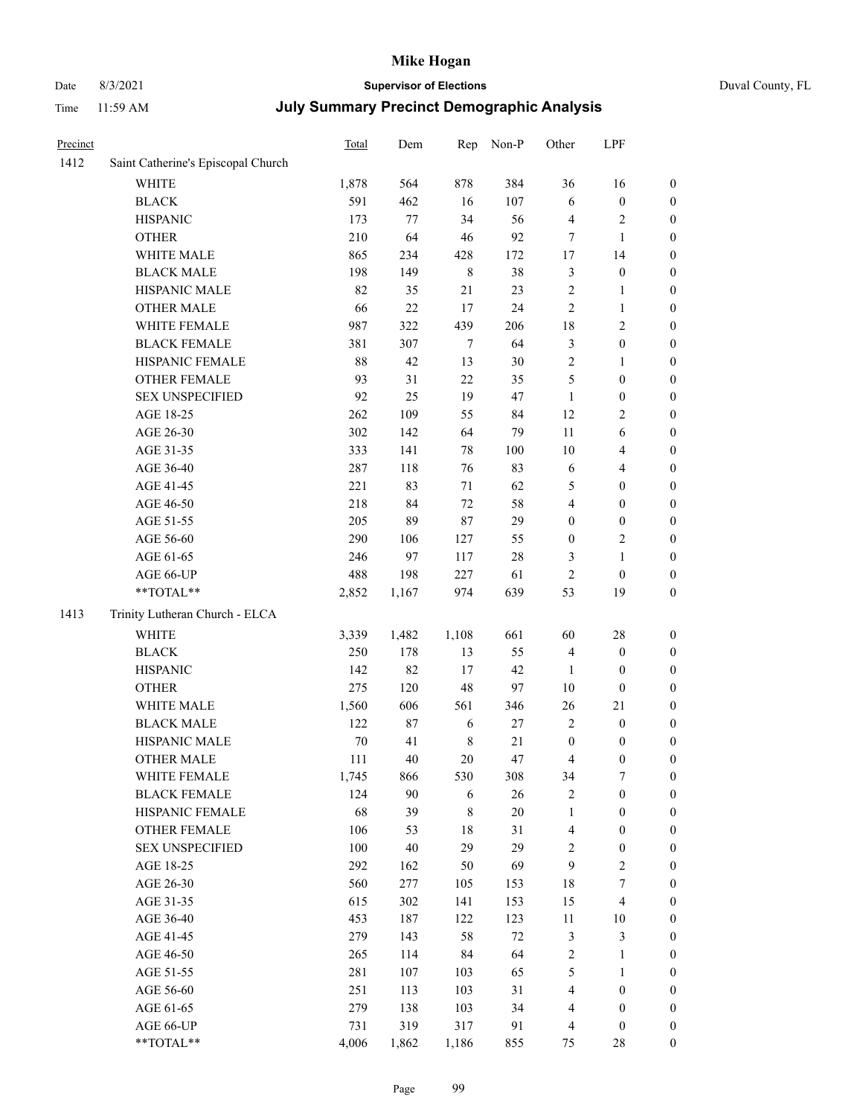# Date 8/3/2021 **Supervisor of Elections** Duval County, FL

| Precinct |                                                            | Total  | Dem   | Rep         | Non-P  | Other            | LPF              |                  |
|----------|------------------------------------------------------------|--------|-------|-------------|--------|------------------|------------------|------------------|
| 1412     | Saint Catherine's Episcopal Church                         |        |       |             |        |                  |                  |                  |
|          | <b>WHITE</b>                                               | 1,878  | 564   | 878         | 384    | 36               | 16               | 0                |
|          | <b>BLACK</b>                                               | 591    | 462   | 16          | 107    | 6                | $\boldsymbol{0}$ | 0                |
|          | <b>HISPANIC</b>                                            | 173    | 77    | 34          | 56     | 4                | $\sqrt{2}$       | $\boldsymbol{0}$ |
|          | <b>OTHER</b>                                               | 210    | 64    | 46          | 92     | 7                | $\mathbf{1}$     | $\boldsymbol{0}$ |
|          | WHITE MALE                                                 | 865    | 234   | 428         | 172    | 17               | 14               | $\boldsymbol{0}$ |
|          | <b>BLACK MALE</b>                                          | 198    | 149   | $\,$ 8 $\,$ | 38     | 3                | $\boldsymbol{0}$ | $\boldsymbol{0}$ |
|          | HISPANIC MALE                                              | 82     | 35    | 21          | 23     | $\overline{c}$   | $\mathbf{1}$     | $\boldsymbol{0}$ |
|          | <b>OTHER MALE</b>                                          | 66     | 22    | 17          | 24     | 2                | $\mathbf{1}$     | $\boldsymbol{0}$ |
|          | WHITE FEMALE                                               | 987    | 322   | 439         | 206    | 18               | $\sqrt{2}$       | $\boldsymbol{0}$ |
|          | <b>BLACK FEMALE</b>                                        | 381    | 307   | 7           | 64     | 3                | $\boldsymbol{0}$ | $\boldsymbol{0}$ |
|          | HISPANIC FEMALE                                            | 88     | 42    | 13          | 30     | $\overline{c}$   | 1                | $\boldsymbol{0}$ |
|          | OTHER FEMALE                                               | 93     | 31    | 22          | 35     | 5                | $\boldsymbol{0}$ | $\boldsymbol{0}$ |
|          | <b>SEX UNSPECIFIED</b>                                     | 92     | 25    | 19          | 47     | $\mathbf{1}$     | $\boldsymbol{0}$ | $\boldsymbol{0}$ |
|          | AGE 18-25                                                  | 262    | 109   | 55          | 84     | 12               | $\sqrt{2}$       | $\boldsymbol{0}$ |
|          | AGE 26-30                                                  | 302    | 142   | 64          | 79     | 11               | 6                | $\boldsymbol{0}$ |
|          | AGE 31-35                                                  | 333    | 141   | 78          | 100    | 10               | $\overline{4}$   | $\boldsymbol{0}$ |
|          | AGE 36-40                                                  | 287    | 118   | 76          | 83     | 6                | $\overline{4}$   | $\boldsymbol{0}$ |
|          | AGE 41-45                                                  | 221    | 83    | 71          | 62     | 5                | $\boldsymbol{0}$ | $\boldsymbol{0}$ |
|          | AGE 46-50                                                  | 218    | 84    | 72          | 58     | 4                | $\boldsymbol{0}$ | $\boldsymbol{0}$ |
|          | AGE 51-55                                                  | 205    | 89    | 87          | 29     | 0                | $\boldsymbol{0}$ | $\boldsymbol{0}$ |
|          | AGE 56-60                                                  | 290    | 106   | 127         | 55     | $\boldsymbol{0}$ | $\sqrt{2}$       | 0                |
|          | AGE 61-65                                                  | 246    | 97    | 117         | $28\,$ | 3                | $\mathbf{1}$     | $\boldsymbol{0}$ |
|          | AGE 66-UP                                                  | 488    | 198   | 227         | 61     | $\mathfrak{2}$   | $\boldsymbol{0}$ | $\boldsymbol{0}$ |
|          | $**TOTAL**$                                                | 2,852  | 1,167 | 974         | 639    | 53               | 19               | $\boldsymbol{0}$ |
| 1413     | Trinity Lutheran Church - ELCA                             |        |       |             |        |                  |                  |                  |
|          | <b>WHITE</b>                                               | 3,339  | 1,482 | 1,108       | 661    | 60               | 28               | $\boldsymbol{0}$ |
|          | <b>BLACK</b>                                               | 250    | 178   | 13          | 55     | 4                | $\boldsymbol{0}$ | $\boldsymbol{0}$ |
|          | <b>HISPANIC</b>                                            | 142    | 82    | 17          | 42     | 1                | $\boldsymbol{0}$ | $\boldsymbol{0}$ |
|          | <b>OTHER</b>                                               | 275    | 120   | 48          | 97     | 10               | $\boldsymbol{0}$ | $\boldsymbol{0}$ |
|          | WHITE MALE                                                 | 1,560  | 606   | 561         | 346    | 26               | 21               | $\boldsymbol{0}$ |
|          | <b>BLACK MALE</b>                                          | 122    | 87    | 6           | $27\,$ | $\mathfrak{2}$   | $\boldsymbol{0}$ | $\boldsymbol{0}$ |
|          | HISPANIC MALE                                              | $70\,$ | 41    | $\,$ 8 $\,$ | $21\,$ | $\boldsymbol{0}$ | $\boldsymbol{0}$ | 0                |
|          | <b>OTHER MALE</b>                                          | 111    | 40    | 20          | 47     | 4                | $\boldsymbol{0}$ | $\boldsymbol{0}$ |
|          | WHITE FEMALE                                               | 1,745  | 866   | 530         | 308    | 34               | 7                | 0                |
|          | <b>BLACK FEMALE</b>                                        | 124    | 90    | 6           | 26     | 2                | $\boldsymbol{0}$ | $\overline{0}$   |
|          | HISPANIC FEMALE                                            | 68     | 39    | 8           | 20     | 1                | $\boldsymbol{0}$ | $\overline{0}$   |
|          | OTHER FEMALE                                               | 106    | 53    | 18          | 31     | 4                | $\boldsymbol{0}$ | $\overline{0}$   |
|          | <b>SEX UNSPECIFIED</b>                                     | 100    | 40    | 29          | 29     | 2                | $\boldsymbol{0}$ | 0                |
|          | AGE 18-25                                                  | 292    | 162   | 50          | 69     | 9                | $\sqrt{2}$       | 0                |
|          | AGE 26-30                                                  | 560    | 277   | 105         | 153    | 18               | $\boldsymbol{7}$ | 0                |
|          | AGE 31-35                                                  | 615    | 302   | 141         | 153    | 15               | $\overline{4}$   | 0                |
|          | AGE 36-40                                                  | 453    | 187   | 122         | 123    | 11               | 10               | 0                |
|          | AGE 41-45                                                  | 279    | 143   | 58          | $72\,$ | 3                | $\mathfrak{Z}$   | 0                |
|          | AGE 46-50                                                  | 265    | 114   | 84          | 64     | 2                | $\mathbf{1}$     | 0                |
|          | AGE 51-55                                                  | 281    | 107   | 103         | 65     | 5                | $\mathbf{1}$     | 0                |
|          | AGE 56-60                                                  | 251    | 113   | 103         | 31     | 4                | $\boldsymbol{0}$ | 0                |
|          | AGE 61-65                                                  | 279    | 138   | 103         | 34     | 4                | $\boldsymbol{0}$ | 0                |
|          | AGE 66-UP                                                  | 731    | 319   | 317         | 91     | 4                | $\boldsymbol{0}$ | 0                |
|          | $\mathrm{*}\mathrm{*} \mathrm{TOTAL} \mathrm{*}\mathrm{*}$ | 4,006  | 1,862 | 1,186       | 855    | 75               | 28               | $\boldsymbol{0}$ |
|          |                                                            |        |       |             |        |                  |                  |                  |